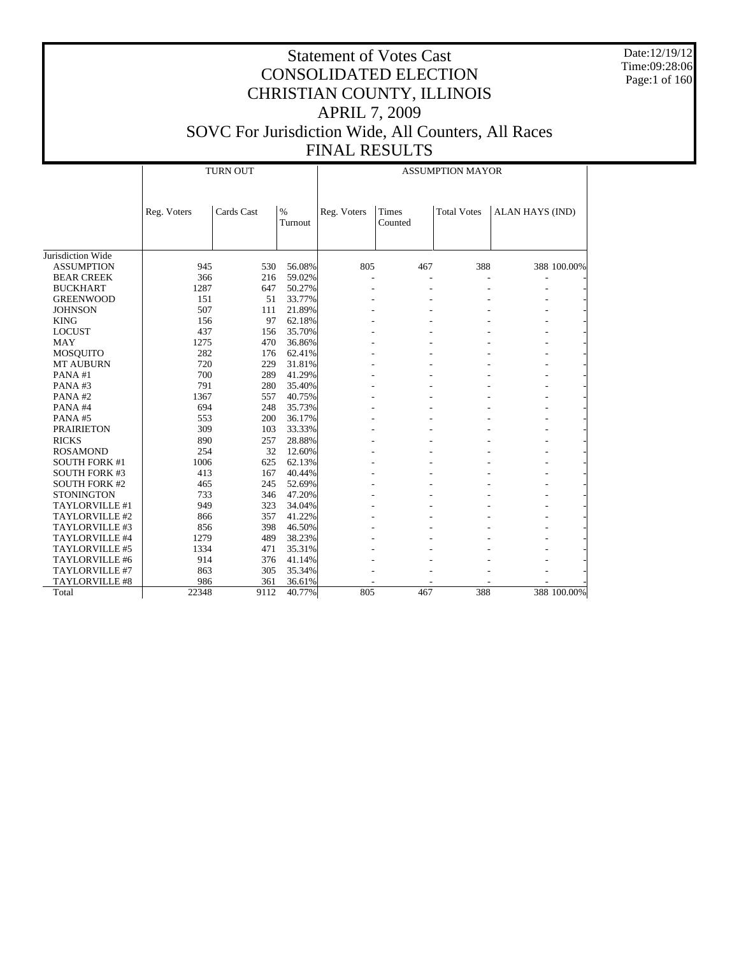Date:12/19/12 Time:09:28:06 Page:1 of 160

|                      |             | <b>TURN OUT</b> |                 | <b>ASSUMPTION MAYOR</b> |                  |                    |                        |  |  |
|----------------------|-------------|-----------------|-----------------|-------------------------|------------------|--------------------|------------------------|--|--|
|                      | Reg. Voters | Cards Cast      | $\%$<br>Turnout | Reg. Voters             | Times<br>Counted | <b>Total Votes</b> | <b>ALAN HAYS (IND)</b> |  |  |
| Jurisdiction Wide    |             |                 |                 |                         |                  |                    |                        |  |  |
| <b>ASSUMPTION</b>    | 945         | 530             | 56.08%          | 805                     | 467              | 388                | 388 100.00%            |  |  |
| <b>BEAR CREEK</b>    | 366         | 216             | 59.02%          |                         |                  |                    |                        |  |  |
| <b>BUCKHART</b>      | 1287        | 647             | 50.27%          |                         |                  |                    |                        |  |  |
| <b>GREENWOOD</b>     | 151         | 51              | 33.77%          |                         |                  |                    |                        |  |  |
| <b>JOHNSON</b>       | 507         | 111             | 21.89%          |                         |                  |                    |                        |  |  |
| <b>KING</b>          | 156         | 97              | 62.18%          |                         |                  |                    |                        |  |  |
| <b>LOCUST</b>        | 437         | 156             | 35.70%          |                         |                  |                    |                        |  |  |
| <b>MAY</b>           | 1275        | 470             | 36.86%          |                         |                  |                    |                        |  |  |
| <b>MOSQUITO</b>      | 282         | 176             | 62.41%          |                         |                  |                    |                        |  |  |
| <b>MT AUBURN</b>     | 720         | 229             | 31.81%          |                         |                  |                    |                        |  |  |
| PANA#1               | 700         | 289             | 41.29%          |                         |                  |                    |                        |  |  |
| PANA#3               | 791         | 280             | 35.40%          |                         |                  |                    |                        |  |  |
| PANA#2               | 1367        | 557             | 40.75%          |                         |                  |                    |                        |  |  |
| PANA#4               | 694         | 248             | 35.73%          |                         |                  |                    |                        |  |  |
| PANA#5               | 553         | 200             | 36.17%          |                         |                  |                    |                        |  |  |
| <b>PRAIRIETON</b>    | 309         | 103             | 33.33%          |                         |                  |                    |                        |  |  |
| <b>RICKS</b>         | 890         | 257             | 28.88%          |                         |                  |                    |                        |  |  |
| <b>ROSAMOND</b>      | 254         | 32              | 12.60%          |                         |                  |                    |                        |  |  |
| <b>SOUTH FORK #1</b> | 1006        | 625             | 62.13%          |                         |                  |                    |                        |  |  |
| <b>SOUTH FORK #3</b> | 413         | 167             | 40.44%          |                         |                  |                    |                        |  |  |
| <b>SOUTH FORK #2</b> | 465         | 245             | 52.69%          |                         |                  |                    |                        |  |  |
| <b>STONINGTON</b>    | 733         | 346             | 47.20%          |                         |                  |                    |                        |  |  |
| TAYLORVILLE #1       | 949         | 323             | 34.04%          |                         |                  |                    |                        |  |  |
| TAYLORVILLE #2       | 866         | 357             | 41.22%          |                         |                  |                    |                        |  |  |
| TAYLORVILLE #3       | 856         | 398             | 46.50%          |                         |                  |                    |                        |  |  |
| TAYLORVILLE #4       | 1279        | 489             | 38.23%          |                         |                  |                    |                        |  |  |
| TAYLORVILLE #5       | 1334        | 471             | 35.31%          |                         |                  |                    |                        |  |  |
| TAYLORVILLE #6       | 914         | 376             | 41.14%          |                         |                  |                    |                        |  |  |
| TAYLORVILLE #7       | 863         | 305             | 35.34%          |                         |                  |                    |                        |  |  |
| TAYLORVILLE #8       | 986         | 361             | 36.61%          |                         |                  |                    |                        |  |  |
| Total                | 22348       | 9112            | 40.77%          | 805                     | 467              | 388                | 388 100.00%            |  |  |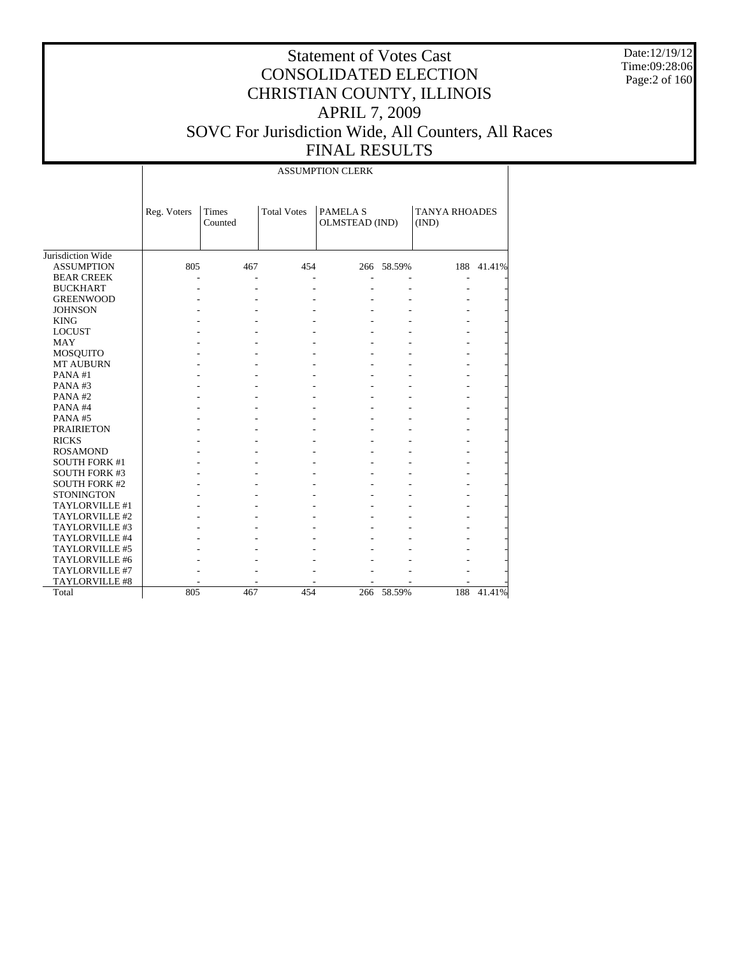Date:12/19/12 Time:09:28:06 Page:2 of 160

|                      |             | <b>ASSUMPTION CLERK</b> |                    |                                  |            |                               |            |  |  |  |
|----------------------|-------------|-------------------------|--------------------|----------------------------------|------------|-------------------------------|------------|--|--|--|
|                      | Reg. Voters | Times<br>Counted        | <b>Total Votes</b> | <b>PAMELAS</b><br>OLMSTEAD (IND) |            | <b>TANYA RHOADES</b><br>(IND) |            |  |  |  |
| Jurisdiction Wide    |             |                         |                    |                                  |            |                               |            |  |  |  |
| <b>ASSUMPTION</b>    | 805         | 467                     | 454                |                                  | 266 58.59% |                               | 188 41.41% |  |  |  |
| <b>BEAR CREEK</b>    |             |                         |                    |                                  |            |                               |            |  |  |  |
| <b>BUCKHART</b>      |             |                         |                    |                                  |            |                               |            |  |  |  |
| <b>GREENWOOD</b>     |             |                         |                    |                                  |            |                               |            |  |  |  |
| <b>JOHNSON</b>       |             |                         |                    |                                  |            |                               |            |  |  |  |
| <b>KING</b>          |             |                         |                    |                                  |            |                               |            |  |  |  |
| <b>LOCUST</b>        |             |                         |                    |                                  |            |                               |            |  |  |  |
| <b>MAY</b>           |             |                         |                    |                                  |            |                               |            |  |  |  |
| MOSQUITO             |             |                         |                    |                                  |            |                               |            |  |  |  |
| <b>MT AUBURN</b>     |             |                         |                    |                                  |            |                               |            |  |  |  |
| PANA#1               |             |                         |                    |                                  |            |                               |            |  |  |  |
| PANA#3               |             |                         |                    |                                  |            |                               |            |  |  |  |
| PANA#2               |             |                         |                    |                                  |            |                               |            |  |  |  |
| PANA#4               |             |                         |                    |                                  |            |                               |            |  |  |  |
| PANA#5               |             |                         |                    |                                  |            |                               |            |  |  |  |
| <b>PRAIRIETON</b>    |             |                         |                    |                                  |            |                               |            |  |  |  |
| <b>RICKS</b>         |             |                         |                    |                                  |            |                               |            |  |  |  |
| <b>ROSAMOND</b>      |             |                         |                    |                                  |            |                               |            |  |  |  |
| <b>SOUTH FORK #1</b> |             |                         |                    |                                  |            |                               |            |  |  |  |
| <b>SOUTH FORK #3</b> |             |                         |                    |                                  |            |                               |            |  |  |  |
| <b>SOUTH FORK #2</b> |             |                         |                    |                                  |            |                               |            |  |  |  |
| <b>STONINGTON</b>    |             |                         |                    |                                  |            |                               |            |  |  |  |
| TAYLORVILLE #1       |             |                         |                    |                                  |            |                               |            |  |  |  |
| TAYLORVILLE #2       |             |                         |                    |                                  |            |                               |            |  |  |  |
| TAYLORVILLE #3       |             |                         |                    |                                  |            |                               |            |  |  |  |
| TAYLORVILLE #4       |             |                         |                    |                                  |            |                               |            |  |  |  |
| TAYLORVILLE #5       |             |                         |                    |                                  |            |                               |            |  |  |  |
| TAYLORVILLE #6       |             |                         |                    |                                  |            |                               |            |  |  |  |
| TAYLORVILLE #7       |             |                         |                    |                                  |            |                               |            |  |  |  |
| TAYLORVILLE #8       |             |                         |                    |                                  |            |                               |            |  |  |  |
| Total                | 805         | 467                     | 454                | 266                              | 58.59%     | 188                           | 41.41%     |  |  |  |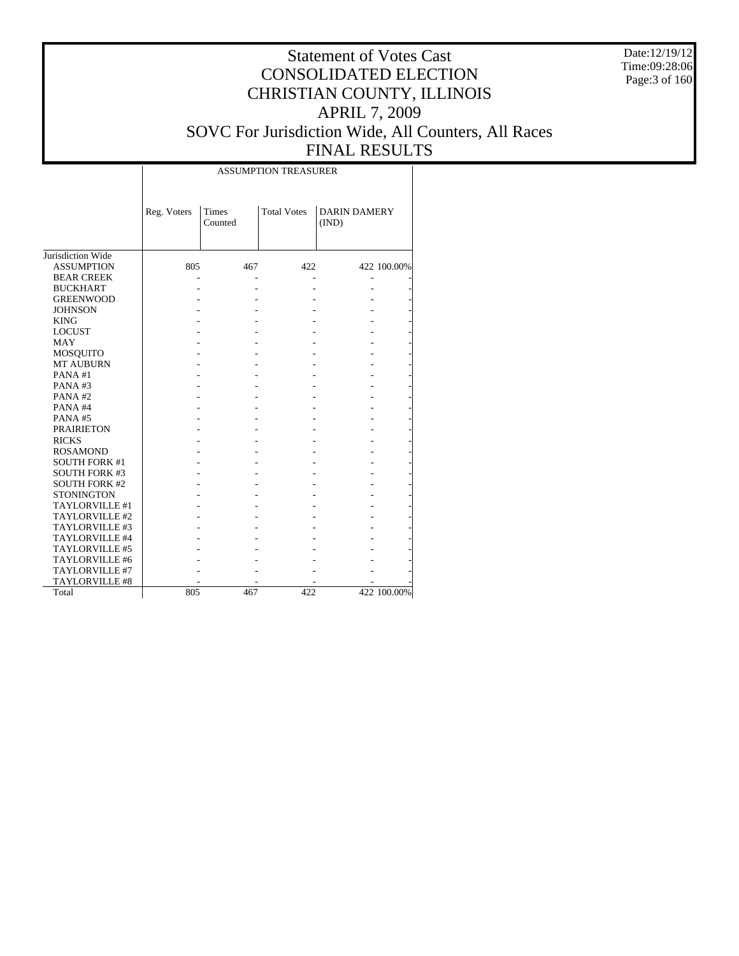Date:12/19/12 Time:09:28:06 Page:3 of 160

#### Statement of Votes Cast CONSOLIDATED ELECTION CHRISTIAN COUNTY, ILLINOIS APRIL 7, 2009 SOVC For Jurisdiction Wide, All Counters, All Races FINAL RESULTS

|                      |             |                  | <b>ASSUMPTION TREASURER</b> |                              |             |
|----------------------|-------------|------------------|-----------------------------|------------------------------|-------------|
|                      | Reg. Voters | Times<br>Counted | <b>Total Votes</b>          | <b>DARIN DAMERY</b><br>(IND) |             |
| Jurisdiction Wide    |             |                  |                             |                              |             |
| <b>ASSUMPTION</b>    | 805         | 467              | 422                         |                              | 422 100.00% |
| <b>BEAR CREEK</b>    |             |                  |                             |                              |             |
| <b>BUCKHART</b>      |             |                  |                             |                              |             |
| <b>GREENWOOD</b>     |             |                  |                             |                              |             |
| <b>JOHNSON</b>       |             |                  |                             |                              |             |
| <b>KING</b>          |             |                  |                             |                              |             |
| <b>LOCUST</b>        |             |                  |                             |                              |             |
| <b>MAY</b>           |             |                  |                             |                              |             |
| <b>MOSQUITO</b>      |             |                  |                             |                              |             |
| <b>MT AUBURN</b>     |             |                  |                             |                              |             |
| PANA#1               |             |                  |                             |                              |             |
| PANA#3               |             |                  |                             |                              |             |
| PANA#2               |             |                  |                             |                              |             |
| PANA#4               |             |                  |                             |                              |             |
| PANA#5               |             |                  |                             |                              |             |
| <b>PRAIRIETON</b>    |             |                  |                             |                              |             |
| <b>RICKS</b>         |             |                  |                             |                              |             |
| <b>ROSAMOND</b>      |             |                  |                             |                              |             |
| <b>SOUTH FORK #1</b> |             |                  |                             |                              |             |
| <b>SOUTH FORK #3</b> |             |                  |                             |                              |             |
| <b>SOUTH FORK #2</b> |             |                  |                             |                              |             |
| <b>STONINGTON</b>    |             |                  |                             |                              |             |
| TAYLORVILLE #1       |             |                  |                             |                              |             |
| TAYLORVILLE #2       |             |                  |                             |                              |             |
| TAYLORVILLE #3       |             |                  |                             |                              |             |
| TAYLORVILLE #4       |             |                  |                             |                              |             |
| TAYLORVILLE #5       |             |                  |                             |                              |             |
| TAYLORVILLE #6       |             |                  |                             |                              |             |
| TAYLORVILLE #7       |             |                  |                             |                              |             |
| TAYLORVILLE #8       |             |                  |                             |                              |             |
| Total                | 805         | 467              | 422                         |                              | 422 100.00% |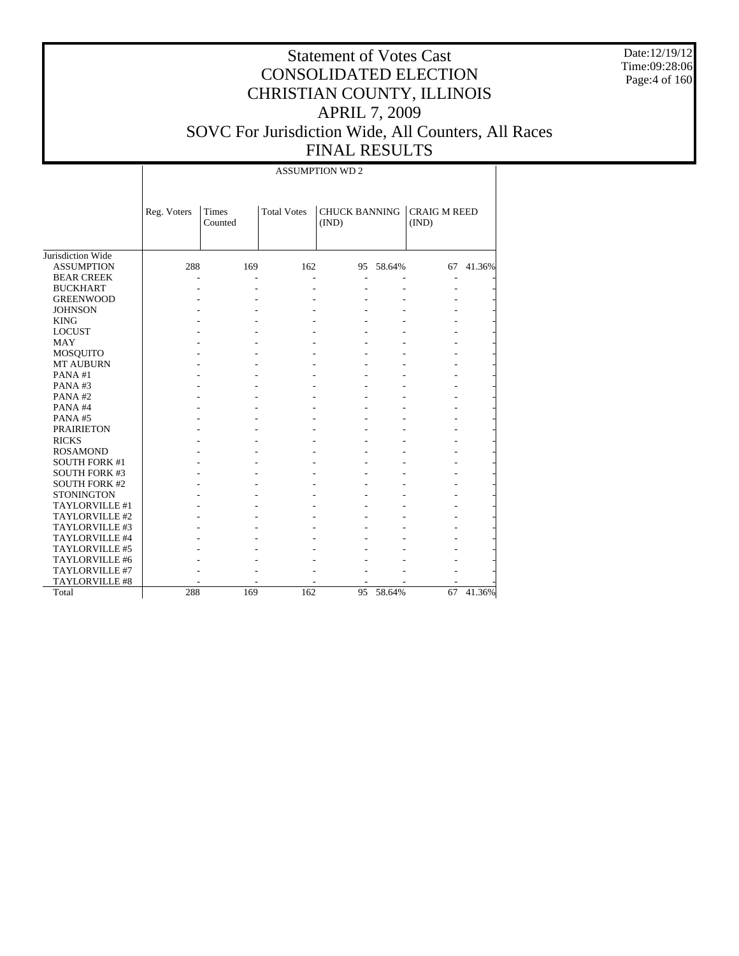Date:12/19/12 Time:09:28:06 Page:4 of 160

|                      |             |                  |                    | <b>ASSUMPTION WD 2</b>        |           |                              |        |
|----------------------|-------------|------------------|--------------------|-------------------------------|-----------|------------------------------|--------|
|                      | Reg. Voters | Times<br>Counted | <b>Total Votes</b> | <b>CHUCK BANNING</b><br>(IND) |           | <b>CRAIG M REED</b><br>(IND) |        |
| Jurisdiction Wide    |             |                  |                    |                               |           |                              |        |
| <b>ASSUMPTION</b>    | 288         | 169              | 162                |                               | 95 58.64% | 67                           | 41.36% |
| <b>BEAR CREEK</b>    |             |                  |                    |                               |           | Ĭ.                           |        |
| <b>BUCKHART</b>      |             |                  |                    |                               |           |                              |        |
| <b>GREENWOOD</b>     |             |                  |                    |                               |           |                              |        |
| <b>JOHNSON</b>       |             |                  |                    |                               |           |                              |        |
| <b>KING</b>          |             |                  |                    |                               |           |                              |        |
| <b>LOCUST</b>        |             |                  |                    |                               |           |                              |        |
| <b>MAY</b>           |             |                  |                    |                               |           |                              |        |
| <b>MOSQUITO</b>      |             |                  |                    |                               |           |                              |        |
| MT AUBURN            |             |                  |                    |                               |           |                              |        |
| PANA#1               |             |                  |                    |                               |           |                              |        |
| PANA#3               |             |                  |                    |                               |           |                              |        |
| PANA#2               |             |                  |                    |                               |           |                              |        |
| PANA#4               |             |                  |                    |                               |           |                              |        |
| PANA#5               |             |                  |                    |                               |           |                              |        |
| <b>PRAIRIETON</b>    |             |                  |                    |                               |           |                              |        |
| <b>RICKS</b>         |             |                  |                    |                               |           |                              |        |
| <b>ROSAMOND</b>      |             |                  |                    |                               |           |                              |        |
| <b>SOUTH FORK #1</b> |             |                  |                    |                               |           |                              |        |
| <b>SOUTH FORK #3</b> |             |                  |                    |                               |           |                              |        |
| <b>SOUTH FORK #2</b> |             |                  |                    |                               |           |                              |        |
| <b>STONINGTON</b>    |             |                  |                    |                               |           |                              |        |
| TAYLORVILLE #1       |             |                  |                    |                               |           |                              |        |
| TAYLORVILLE #2       |             |                  |                    |                               |           |                              |        |
| TAYLORVILLE #3       |             |                  |                    |                               |           |                              |        |
| TAYLORVILLE #4       |             |                  |                    |                               |           |                              |        |
| TAYLORVILLE #5       |             |                  |                    |                               |           |                              |        |
| TAYLORVILLE #6       |             |                  |                    |                               |           |                              |        |
| TAYLORVILLE #7       |             |                  |                    |                               |           |                              |        |
| TAYLORVILLE #8       |             |                  |                    |                               |           |                              |        |
| Total                | 288         | 169              | 162                | 95                            | 58.64%    | 67                           | 41.36% |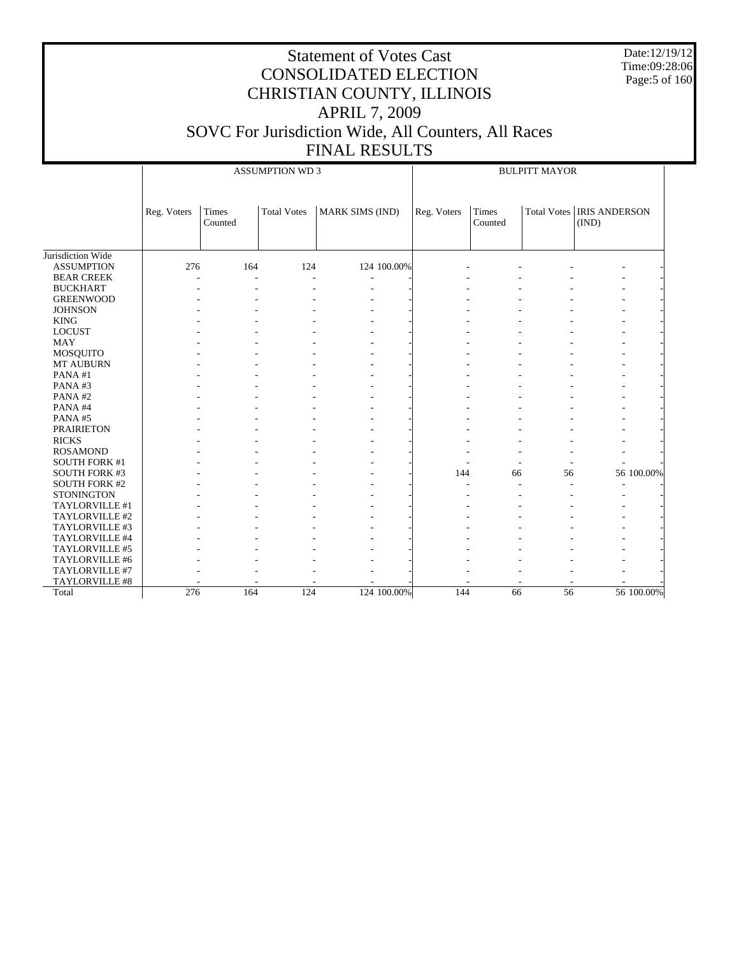Date:12/19/12 Time:09:28:06 Page:5 of 160

|                      |             | <b>ASSUMPTION WD 3</b> |                    |                        |             | <b>BULPITT MAYOR</b> |    |                                             |            |  |
|----------------------|-------------|------------------------|--------------------|------------------------|-------------|----------------------|----|---------------------------------------------|------------|--|
|                      | Reg. Voters | Times<br>Counted       | <b>Total Votes</b> | <b>MARK SIMS (IND)</b> | Reg. Voters | Times<br>Counted     |    | <b>Total Votes   IRIS ANDERSON</b><br>(IND) |            |  |
| Jurisdiction Wide    |             |                        |                    |                        |             |                      |    |                                             |            |  |
| <b>ASSUMPTION</b>    | 276         | 164                    | 124                | 124 100.00%            |             |                      |    |                                             |            |  |
| <b>BEAR CREEK</b>    |             | $\overline{a}$         |                    | ÷,                     |             |                      |    |                                             |            |  |
| <b>BUCKHART</b>      |             |                        |                    |                        |             |                      |    |                                             |            |  |
| <b>GREENWOOD</b>     |             |                        |                    |                        |             |                      |    |                                             |            |  |
| <b>JOHNSON</b>       |             |                        |                    |                        |             |                      |    |                                             |            |  |
| <b>KING</b>          |             |                        |                    |                        |             |                      |    |                                             |            |  |
| <b>LOCUST</b>        |             |                        |                    |                        |             |                      |    |                                             |            |  |
| <b>MAY</b>           |             |                        |                    |                        |             |                      |    |                                             |            |  |
| MOSQUITO             |             |                        |                    |                        |             |                      |    |                                             |            |  |
| MT AUBURN            |             |                        |                    |                        |             |                      |    |                                             |            |  |
| PANA#1               |             |                        |                    |                        |             |                      |    |                                             |            |  |
| PANA#3               |             |                        |                    |                        |             |                      |    |                                             |            |  |
| PANA#2               |             |                        |                    |                        |             |                      |    |                                             |            |  |
| PANA#4               |             |                        |                    |                        |             |                      |    |                                             |            |  |
| PANA#5               |             |                        |                    |                        |             |                      |    |                                             |            |  |
| <b>PRAIRIETON</b>    |             |                        |                    |                        |             |                      |    |                                             |            |  |
| <b>RICKS</b>         |             |                        |                    |                        |             |                      |    |                                             |            |  |
| <b>ROSAMOND</b>      |             |                        |                    |                        |             |                      |    |                                             |            |  |
| <b>SOUTH FORK #1</b> |             |                        |                    |                        |             |                      |    |                                             |            |  |
| <b>SOUTH FORK #3</b> |             |                        |                    |                        | 144         | 66                   | 56 |                                             | 56 100.00% |  |
| <b>SOUTH FORK #2</b> |             |                        |                    |                        |             |                      |    |                                             |            |  |
| <b>STONINGTON</b>    |             |                        |                    |                        |             |                      |    |                                             |            |  |
| TAYLORVILLE #1       |             |                        |                    |                        |             |                      |    |                                             |            |  |
| TAYLORVILLE #2       |             |                        |                    |                        |             |                      |    |                                             |            |  |
| TAYLORVILLE #3       |             |                        |                    |                        |             |                      |    |                                             |            |  |
| TAYLORVILLE #4       |             |                        |                    |                        |             |                      |    |                                             |            |  |
| TAYLORVILLE #5       |             |                        |                    |                        |             |                      |    |                                             |            |  |
| TAYLORVILLE #6       |             |                        |                    |                        |             |                      |    |                                             |            |  |
| TAYLORVILLE #7       |             |                        |                    |                        |             |                      |    |                                             |            |  |
| TAYLORVILLE #8       |             |                        |                    |                        |             |                      |    |                                             |            |  |
| Total                | 276         | 164                    | 124                | 124 100.00%            | 144         | 66                   | 56 |                                             | 56 100.00% |  |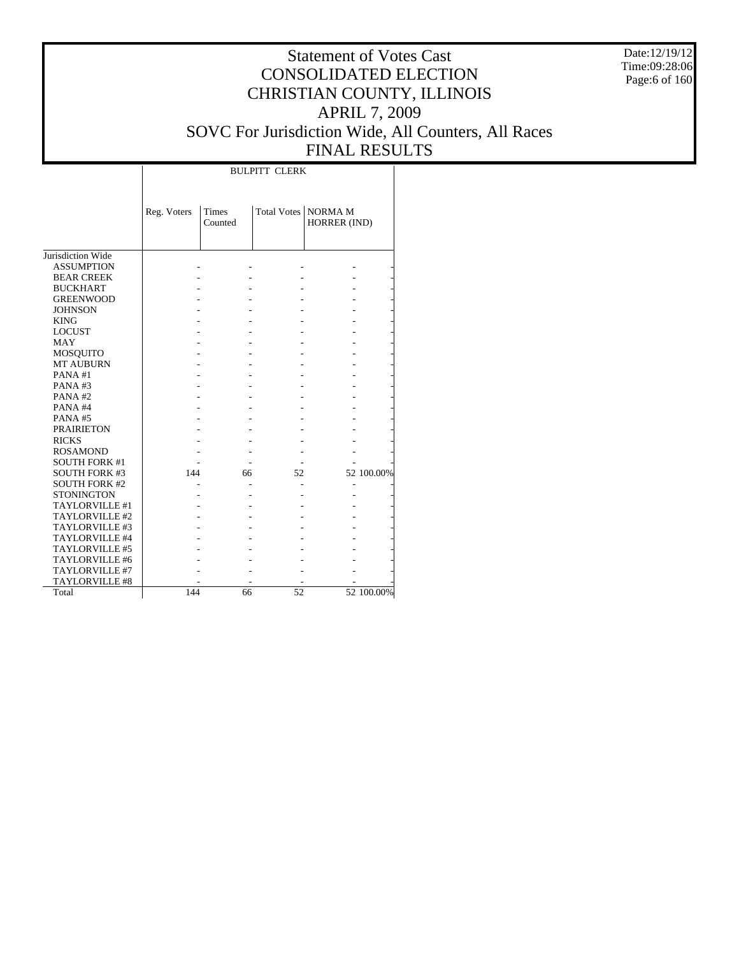Date:12/19/12 Time:09:28:06 Page:6 of 160

### Statement of Votes Cast CONSOLIDATED ELECTION CHRISTIAN COUNTY, ILLINOIS APRIL 7, 2009 SOVC For Jurisdiction Wide, All Counters, All Races FINAL RESULTS

Τ

|                                     |             |                         | <b>BULPITT CLERK</b> |                                       |            |
|-------------------------------------|-------------|-------------------------|----------------------|---------------------------------------|------------|
|                                     | Reg. Voters | <b>Times</b><br>Counted |                      | Total Votes   NORMA M<br>HORRER (IND) |            |
| Jurisdiction Wide                   |             |                         |                      |                                       |            |
| <b>ASSUMPTION</b>                   |             |                         |                      |                                       |            |
| <b>BEAR CREEK</b>                   |             |                         |                      |                                       |            |
| <b>BUCKHART</b>                     |             |                         |                      |                                       |            |
| <b>GREENWOOD</b>                    |             |                         |                      |                                       |            |
| <b>JOHNSON</b>                      |             |                         |                      |                                       |            |
| <b>KING</b>                         |             |                         |                      |                                       |            |
| <b>LOCUST</b>                       |             |                         |                      |                                       |            |
| <b>MAY</b>                          |             |                         |                      |                                       |            |
|                                     |             |                         |                      |                                       |            |
| <b>MOSQUITO</b><br><b>MT AUBURN</b> |             |                         |                      |                                       |            |
| PANA#1                              |             |                         |                      |                                       |            |
| PANA#3                              |             |                         |                      |                                       |            |
| PANA#2                              |             |                         |                      |                                       |            |
|                                     |             |                         |                      |                                       |            |
| PANA#4                              |             |                         |                      |                                       |            |
| PANA#5                              |             |                         |                      |                                       |            |
| <b>PRAIRIETON</b>                   |             |                         |                      |                                       |            |
| <b>RICKS</b>                        |             |                         |                      |                                       |            |
| <b>ROSAMOND</b>                     |             |                         |                      |                                       |            |
| <b>SOUTH FORK #1</b>                |             |                         |                      |                                       |            |
| <b>SOUTH FORK #3</b>                | 144         | 66                      | 52                   |                                       | 52 100.00% |
| <b>SOUTH FORK #2</b>                |             |                         |                      |                                       |            |
| <b>STONINGTON</b>                   |             |                         |                      |                                       |            |
| TAYLORVILLE #1                      |             |                         |                      |                                       |            |
| TAYLORVILLE #2                      |             |                         |                      |                                       |            |
| TAYLORVILLE #3                      |             |                         |                      |                                       |            |
| TAYLORVILLE #4                      |             |                         |                      |                                       |            |
| TAYLORVILLE #5                      |             |                         |                      |                                       |            |
| TAYLORVILLE #6                      |             |                         |                      |                                       |            |
| TAYLORVILLE #7                      |             |                         |                      |                                       |            |
| TAYLORVILLE #8                      |             |                         |                      |                                       |            |
| Total                               | 144         | 66                      | 52                   |                                       | 52 100.00% |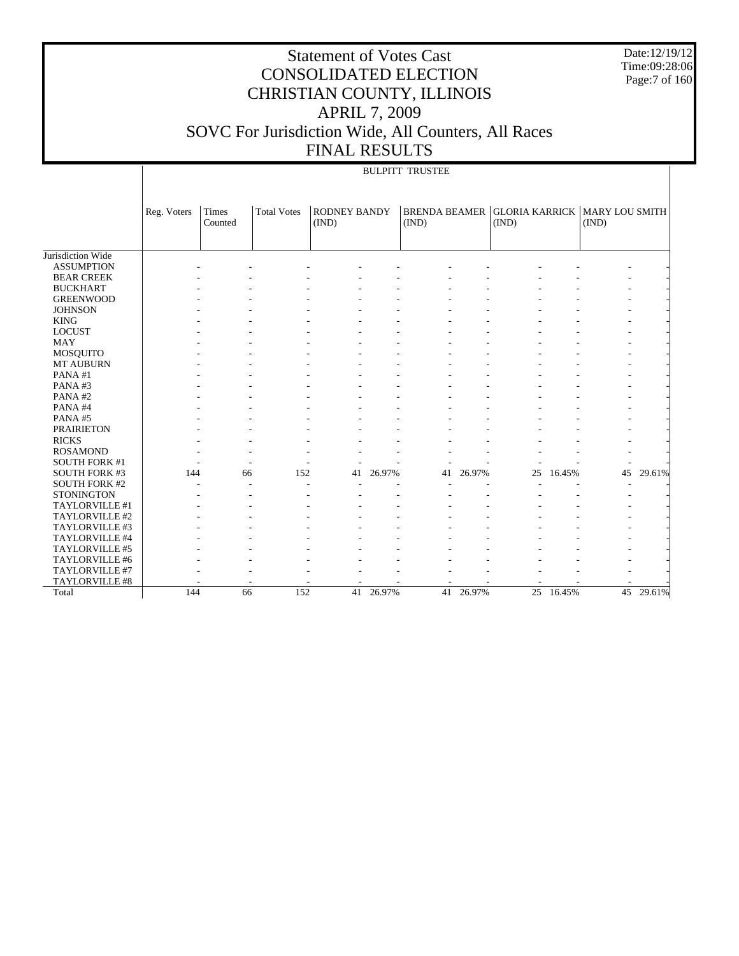Date:12/19/12 Time:09:28:06 Page:7 of 160

### Statement of Votes Cast CONSOLIDATED ELECTION CHRISTIAN COUNTY, ILLINOIS APRIL 7, 2009 SOVC For Jurisdiction Wide, All Counters, All Races FINAL RESULTS

#### BULPITT TRUSTEE

|                      | Reg. Voters | <b>Times</b><br>Counted | <b>Total Votes</b> | <b>RODNEY BANDY</b><br>(IND) |        | <b>BRENDA BEAMER</b><br>(IND) |           | <b>GLORIA KARRICK   MARY LOU SMITH</b><br>(IND) |        | (IND) |        |
|----------------------|-------------|-------------------------|--------------------|------------------------------|--------|-------------------------------|-----------|-------------------------------------------------|--------|-------|--------|
|                      |             |                         |                    |                              |        |                               |           |                                                 |        |       |        |
| Jurisdiction Wide    |             |                         |                    |                              |        |                               |           |                                                 |        |       |        |
| <b>ASSUMPTION</b>    |             |                         |                    |                              |        |                               |           |                                                 |        |       |        |
| <b>BEAR CREEK</b>    |             |                         |                    |                              |        |                               |           |                                                 |        |       |        |
| <b>BUCKHART</b>      |             |                         |                    |                              |        |                               |           |                                                 |        |       |        |
| <b>GREENWOOD</b>     |             |                         |                    |                              |        |                               |           |                                                 |        |       |        |
| <b>JOHNSON</b>       |             |                         |                    |                              |        |                               |           |                                                 |        |       |        |
| <b>KING</b>          |             |                         |                    |                              |        |                               |           |                                                 |        |       |        |
| <b>LOCUST</b>        |             |                         |                    |                              |        |                               |           |                                                 |        |       |        |
| <b>MAY</b>           |             |                         |                    |                              |        |                               |           |                                                 |        |       |        |
| <b>MOSQUITO</b>      |             |                         |                    |                              |        |                               |           |                                                 |        |       |        |
| <b>MT AUBURN</b>     |             |                         |                    |                              |        |                               |           |                                                 |        |       |        |
| PANA#1               |             |                         |                    |                              |        |                               |           |                                                 |        |       |        |
| PANA#3               |             |                         |                    |                              |        |                               |           |                                                 |        |       |        |
| PANA#2               |             |                         |                    |                              |        |                               |           |                                                 |        |       |        |
| PANA#4               |             |                         |                    |                              |        |                               |           |                                                 |        |       |        |
| PANA#5               |             |                         |                    |                              |        |                               |           |                                                 |        |       |        |
| <b>PRAIRIETON</b>    |             |                         |                    |                              |        |                               |           |                                                 |        |       |        |
| <b>RICKS</b>         |             |                         |                    |                              |        |                               |           |                                                 |        |       |        |
| <b>ROSAMOND</b>      |             |                         |                    |                              |        |                               |           |                                                 |        |       |        |
| <b>SOUTH FORK #1</b> |             |                         |                    |                              |        |                               |           |                                                 |        |       |        |
| SOUTH FORK #3        | 144         | 66                      | 152                | 41                           | 26.97% | 41                            | 26.97%    | 25                                              | 16.45% | 45    | 29.61% |
| <b>SOUTH FORK #2</b> |             | ٠                       |                    | ٠                            |        |                               |           |                                                 |        |       |        |
| <b>STONINGTON</b>    |             |                         |                    |                              |        |                               |           |                                                 |        |       |        |
| TAYLORVILLE #1       |             |                         |                    |                              |        |                               |           |                                                 |        |       |        |
| TAYLORVILLE #2       |             |                         |                    |                              |        |                               |           |                                                 |        |       |        |
| TAYLORVILLE #3       |             |                         |                    |                              |        |                               |           |                                                 |        |       |        |
| TAYLORVILLE #4       |             |                         |                    |                              |        |                               |           |                                                 |        |       |        |
| TAYLORVILLE #5       |             |                         |                    |                              |        |                               |           |                                                 |        |       |        |
| TAYLORVILLE #6       |             |                         |                    |                              |        |                               |           |                                                 |        |       |        |
| TAYLORVILLE #7       |             |                         |                    |                              |        |                               |           |                                                 |        |       |        |
| TAYLORVILLE #8       |             |                         |                    |                              |        |                               |           |                                                 |        |       |        |
| Total                | 144         | 66                      | 152                | 41                           | 26.97% |                               | 41 26.97% | 25                                              | 16.45% | 45    | 29.61% |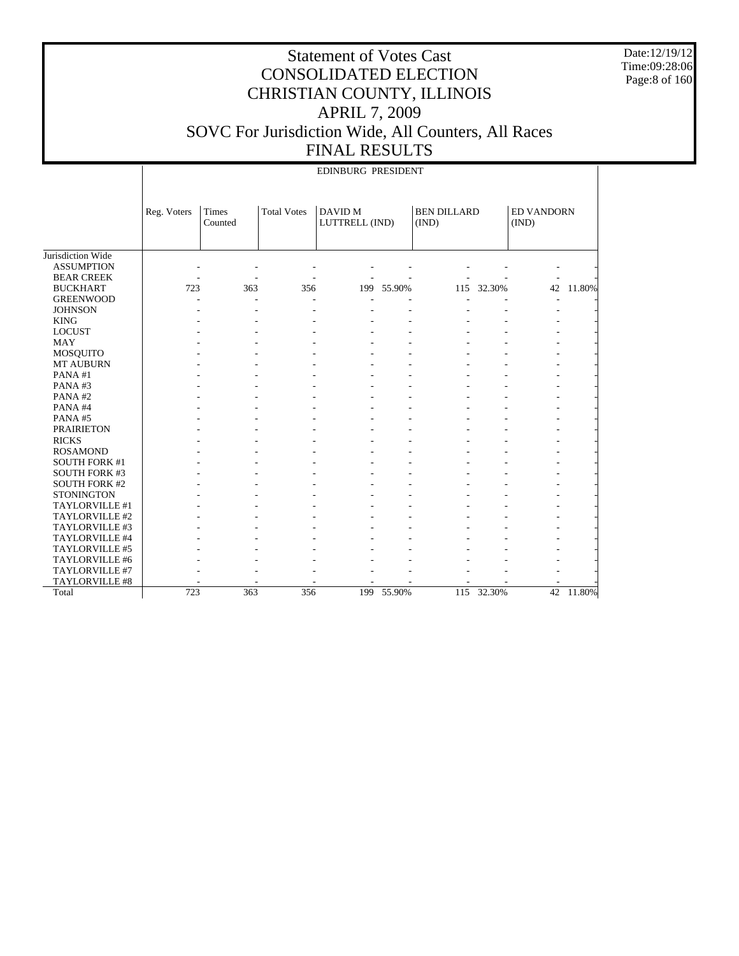Date:12/19/12 Time:09:28:06 Page:8 of 160

|                       |             | <b>EDINBURG PRESIDENT</b> |                    |                           |            |                             |            |                            |           |  |
|-----------------------|-------------|---------------------------|--------------------|---------------------------|------------|-----------------------------|------------|----------------------------|-----------|--|
|                       | Reg. Voters | Times<br>Counted          | <b>Total Votes</b> | DAVID M<br>LUTTRELL (IND) |            | <b>BEN DILLARD</b><br>(IND) |            | <b>ED VANDORN</b><br>(IND) |           |  |
| Jurisdiction Wide     |             |                           |                    |                           |            |                             |            |                            |           |  |
| <b>ASSUMPTION</b>     |             |                           |                    |                           |            |                             |            |                            |           |  |
| <b>BEAR CREEK</b>     |             |                           |                    |                           |            |                             |            |                            |           |  |
| <b>BUCKHART</b>       | 723         | 363                       | 356                |                           | 199 55.90% |                             | 115 32.30% |                            | 42 11.80% |  |
| <b>GREENWOOD</b>      |             |                           |                    |                           |            |                             |            |                            |           |  |
| <b>JOHNSON</b>        |             |                           |                    |                           |            |                             |            |                            |           |  |
| <b>KING</b>           |             |                           |                    |                           |            |                             |            |                            |           |  |
| <b>LOCUST</b>         |             |                           |                    |                           |            |                             |            |                            |           |  |
| <b>MAY</b>            |             |                           |                    |                           |            |                             |            |                            |           |  |
| <b>MOSQUITO</b>       |             |                           |                    |                           |            |                             |            |                            |           |  |
| MT AUBURN             |             |                           |                    |                           |            |                             |            |                            |           |  |
| PANA#1                |             |                           |                    |                           |            |                             |            |                            |           |  |
| PANA#3                |             |                           |                    |                           |            |                             |            |                            |           |  |
| PANA#2                |             |                           |                    |                           |            |                             |            |                            |           |  |
| PANA#4                |             |                           |                    |                           |            |                             |            |                            |           |  |
| PANA#5                |             |                           |                    |                           |            |                             |            |                            |           |  |
| <b>PRAIRIETON</b>     |             |                           |                    |                           |            |                             |            |                            |           |  |
| <b>RICKS</b>          |             |                           |                    |                           |            |                             |            |                            |           |  |
| <b>ROSAMOND</b>       |             |                           |                    |                           |            |                             |            |                            |           |  |
| <b>SOUTH FORK #1</b>  |             |                           |                    |                           |            |                             |            |                            |           |  |
| <b>SOUTH FORK #3</b>  |             |                           |                    |                           |            |                             |            |                            |           |  |
| <b>SOUTH FORK #2</b>  |             |                           |                    |                           |            |                             |            |                            |           |  |
| <b>STONINGTON</b>     |             |                           |                    |                           |            |                             |            |                            |           |  |
| TAYLORVILLE #1        |             |                           |                    |                           |            |                             |            |                            |           |  |
| TAYLORVILLE #2        |             |                           |                    |                           |            |                             |            |                            |           |  |
| TAYLORVILLE #3        |             |                           |                    |                           |            |                             |            |                            |           |  |
| TAYLORVILLE #4        |             |                           |                    |                           |            |                             |            |                            |           |  |
| TAYLORVILLE #5        |             |                           |                    |                           |            |                             |            |                            |           |  |
| TAYLORVILLE #6        |             |                           |                    |                           |            |                             |            |                            |           |  |
| TAYLORVILLE #7        |             |                           |                    |                           |            |                             |            |                            |           |  |
| <b>TAYLORVILLE #8</b> |             |                           |                    |                           |            |                             |            |                            |           |  |
| Total                 | 723         | 363                       | 356                | 199                       | 55.90%     |                             | 115 32.30% |                            | 42 11.80% |  |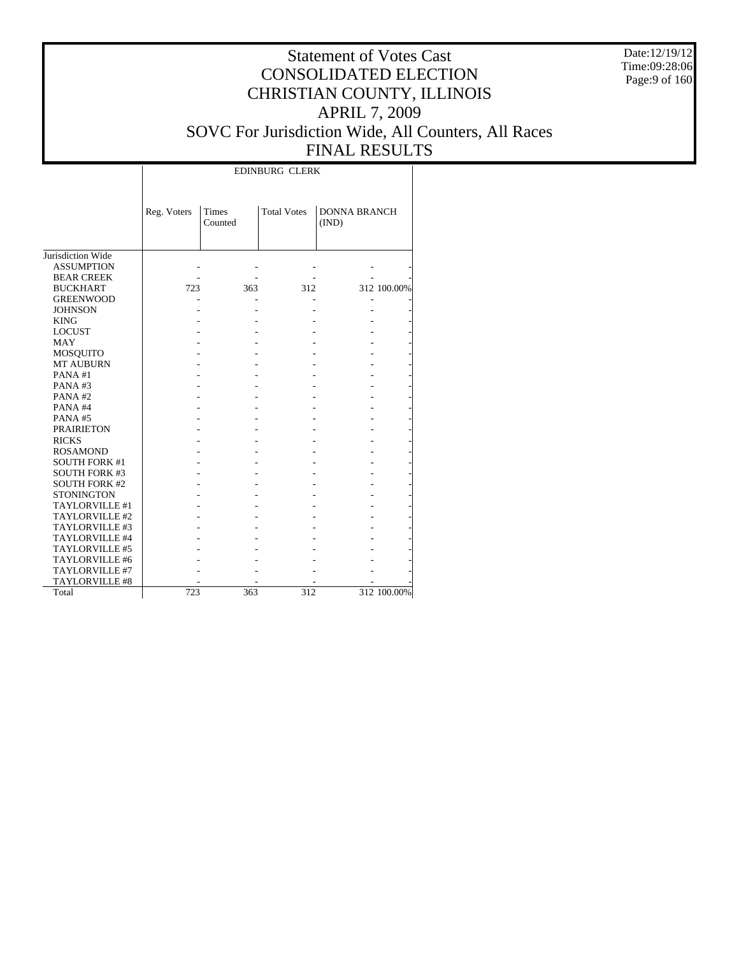Date:12/19/12 Time:09:28:06 Page:9 of 160

#### Statement of Votes Cast CONSOLIDATED ELECTION CHRISTIAN COUNTY, ILLINOIS APRIL 7, 2009 SOVC For Jurisdiction Wide, All Counters, All Races FINAL RESULTS

Т

|                      |             |                  | <b>EDINBURG CLERK</b> |                              |             |
|----------------------|-------------|------------------|-----------------------|------------------------------|-------------|
|                      | Reg. Voters | Times<br>Counted | <b>Total Votes</b>    | <b>DONNA BRANCH</b><br>(IND) |             |
| Jurisdiction Wide    |             |                  |                       |                              |             |
| <b>ASSUMPTION</b>    |             |                  |                       |                              |             |
| <b>BEAR CREEK</b>    |             |                  |                       |                              |             |
| <b>BUCKHART</b>      | 723         | 363              | 312                   |                              | 312 100.00% |
| <b>GREENWOOD</b>     |             |                  |                       |                              |             |
| <b>JOHNSON</b>       |             |                  |                       |                              |             |
| <b>KING</b>          |             |                  |                       |                              |             |
| <b>LOCUST</b>        |             |                  |                       |                              |             |
| <b>MAY</b>           |             |                  |                       |                              |             |
| <b>MOSQUITO</b>      |             |                  |                       |                              |             |
| <b>MT AUBURN</b>     |             |                  |                       |                              |             |
| PANA#1               |             |                  |                       |                              |             |
| PANA#3               |             |                  |                       |                              |             |
| PANA#2               |             |                  |                       |                              |             |
| PANA#4               |             |                  |                       |                              |             |
| PANA#5               |             |                  |                       |                              |             |
| <b>PRAIRIETON</b>    |             |                  |                       |                              |             |
| <b>RICKS</b>         |             |                  |                       |                              |             |
| <b>ROSAMOND</b>      |             |                  |                       |                              |             |
| <b>SOUTH FORK #1</b> |             |                  |                       |                              |             |
| <b>SOUTH FORK #3</b> |             |                  |                       |                              |             |
| <b>SOUTH FORK #2</b> |             |                  |                       |                              |             |
| <b>STONINGTON</b>    |             |                  |                       |                              |             |
| TAYLORVILLE #1       |             |                  |                       |                              |             |
| TAYLORVILLE #2       |             |                  |                       |                              |             |
| TAYLORVILLE #3       |             |                  |                       |                              |             |
| TAYLORVILLE #4       |             |                  |                       |                              |             |
| TAYLORVILLE #5       |             |                  |                       |                              |             |
| TAYLORVILLE #6       |             |                  |                       |                              |             |
| TAYLORVILLE #7       |             |                  |                       |                              |             |
| TAYLORVILLE #8       |             |                  |                       |                              |             |
| Total                | 723         | 363              | 312                   |                              | 312 100.00% |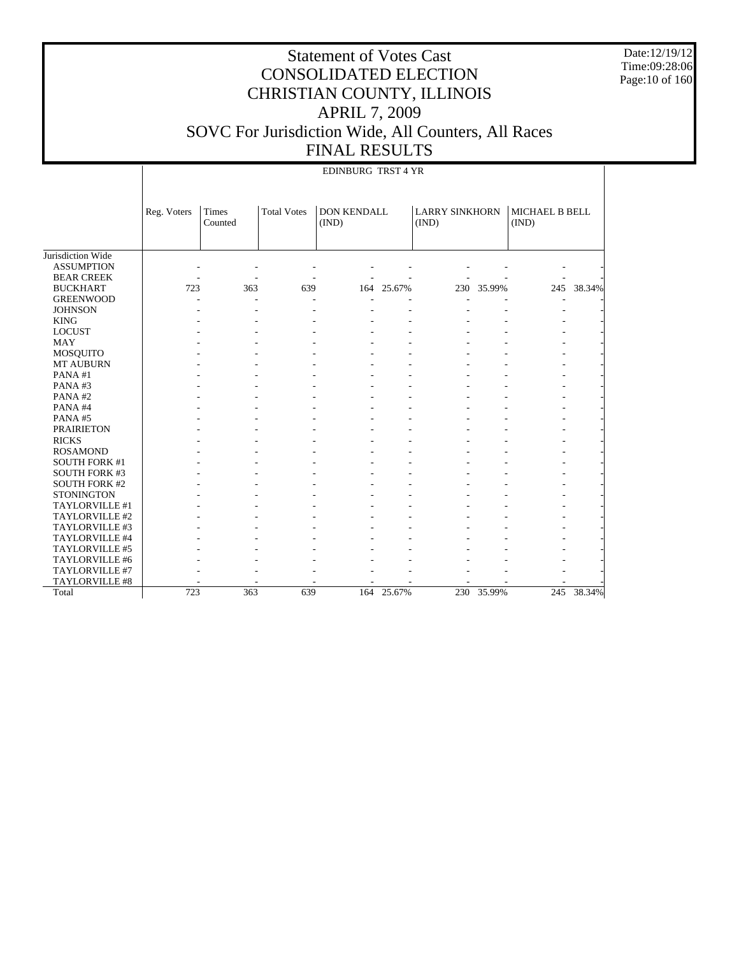Date:12/19/12 Time:09:28:06 Page:10 of 160

|                      |             | <b>EDINBURG TRST 4 YR</b> |                    |                      |            |                                |            |                         |            |
|----------------------|-------------|---------------------------|--------------------|----------------------|------------|--------------------------------|------------|-------------------------|------------|
|                      | Reg. Voters | Times<br>Counted          | <b>Total Votes</b> | DON KENDALL<br>(IND) |            | <b>LARRY SINKHORN</b><br>(IND) |            | MICHAEL B BELL<br>(IND) |            |
| Jurisdiction Wide    |             |                           |                    |                      |            |                                |            |                         |            |
| <b>ASSUMPTION</b>    |             |                           |                    |                      |            |                                |            |                         |            |
| <b>BEAR CREEK</b>    |             |                           |                    |                      |            |                                |            |                         |            |
| <b>BUCKHART</b>      | 723         | 363                       | 639                |                      | 164 25.67% |                                | 230 35.99% |                         | 245 38.34% |
| <b>GREENWOOD</b>     |             |                           |                    |                      |            |                                |            |                         |            |
| <b>JOHNSON</b>       |             |                           |                    |                      |            |                                |            |                         |            |
| <b>KING</b>          |             |                           |                    |                      |            |                                |            |                         |            |
| <b>LOCUST</b>        |             |                           |                    |                      |            |                                |            |                         |            |
| <b>MAY</b>           |             |                           |                    |                      |            |                                |            |                         |            |
| <b>MOSQUITO</b>      |             |                           |                    |                      |            |                                |            |                         |            |
| MT AUBURN            |             |                           |                    |                      |            |                                |            |                         |            |
| PANA#1               |             |                           |                    |                      |            |                                |            |                         |            |
| PANA#3               |             |                           |                    |                      |            |                                |            |                         |            |
| PANA#2               |             |                           |                    |                      |            |                                |            |                         |            |
| PANA#4               |             |                           |                    |                      |            |                                |            |                         |            |
| PANA#5               |             |                           |                    |                      |            |                                |            |                         |            |
| <b>PRAIRIETON</b>    |             |                           |                    |                      |            |                                |            |                         |            |
| <b>RICKS</b>         |             |                           |                    |                      |            |                                |            |                         |            |
| <b>ROSAMOND</b>      |             |                           |                    |                      |            |                                |            |                         |            |
| <b>SOUTH FORK #1</b> |             |                           |                    |                      |            |                                |            |                         |            |
| <b>SOUTH FORK #3</b> |             |                           |                    |                      |            |                                |            |                         |            |
| <b>SOUTH FORK #2</b> |             |                           |                    |                      |            |                                |            |                         |            |
| <b>STONINGTON</b>    |             |                           |                    |                      |            |                                |            |                         |            |
| TAYLORVILLE #1       |             |                           |                    |                      |            |                                |            |                         |            |
| TAYLORVILLE #2       |             |                           |                    |                      |            |                                |            |                         |            |
| TAYLORVILLE #3       |             |                           |                    |                      |            |                                |            |                         |            |
| TAYLORVILLE #4       |             |                           |                    |                      |            |                                |            |                         |            |
| TAYLORVILLE #5       |             |                           |                    |                      |            |                                |            |                         |            |
| TAYLORVILLE #6       |             |                           |                    |                      |            |                                |            |                         |            |
| TAYLORVILLE #7       |             |                           |                    |                      |            |                                |            |                         |            |
| TAYLORVILLE #8       |             |                           |                    |                      |            |                                |            |                         |            |
| Total                | 723         | 363                       | 639                | 164                  | 25.67%     |                                | 230 35.99% |                         | 245 38.34% |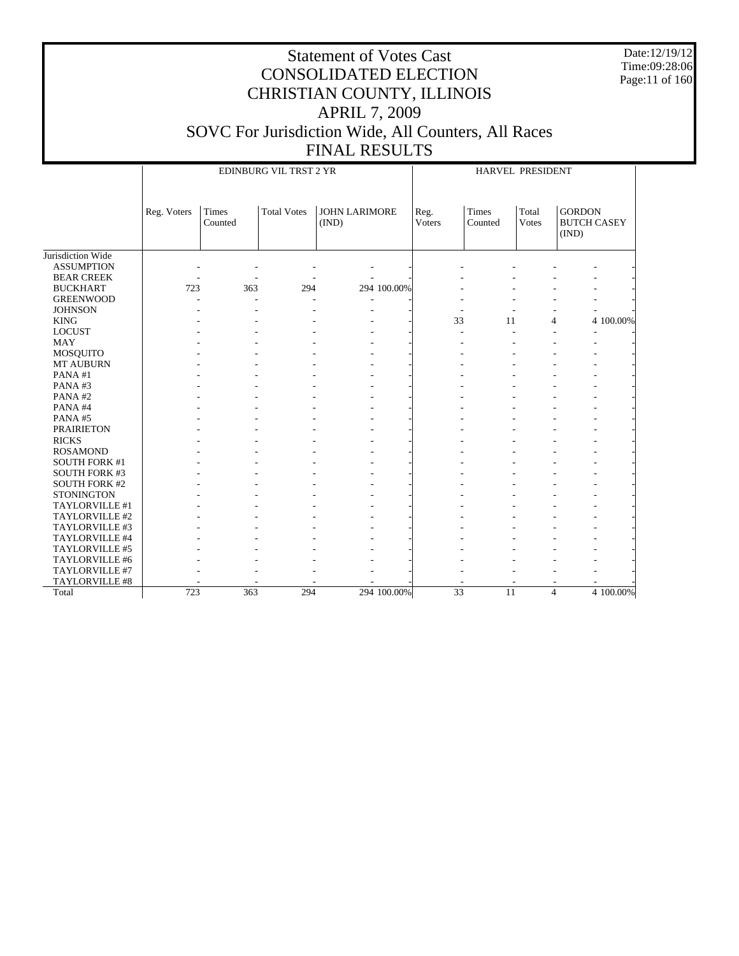Date:12/19/12 Time:09:28:06 Page:11 of 160

|                      |             |                  | EDINBURG VIL TRST 2 YR |                               | HARVEL PRESIDENT |                         |                |                                              |  |
|----------------------|-------------|------------------|------------------------|-------------------------------|------------------|-------------------------|----------------|----------------------------------------------|--|
|                      | Reg. Voters | Times<br>Counted | <b>Total Votes</b>     | <b>JOHN LARIMORE</b><br>(IND) | Reg.<br>Voters   | <b>Times</b><br>Counted | Total<br>Votes | <b>GORDON</b><br><b>BUTCH CASEY</b><br>(IND) |  |
| Jurisdiction Wide    |             |                  |                        |                               |                  |                         |                |                                              |  |
| <b>ASSUMPTION</b>    |             |                  |                        |                               |                  |                         |                |                                              |  |
| <b>BEAR CREEK</b>    |             |                  |                        |                               |                  |                         |                |                                              |  |
| <b>BUCKHART</b>      | 723         | 363              | 294                    | 294 100.00%                   |                  |                         |                |                                              |  |
| <b>GREENWOOD</b>     |             |                  |                        |                               |                  |                         |                |                                              |  |
| <b>JOHNSON</b>       |             |                  |                        |                               |                  |                         |                |                                              |  |
| <b>KING</b>          |             |                  |                        |                               | 33               | 11                      |                | 4 100.00%<br>$\overline{4}$                  |  |
| <b>LOCUST</b>        |             |                  |                        |                               | ÷.               |                         |                | L.                                           |  |
| MAY                  |             |                  |                        |                               |                  |                         |                |                                              |  |
| MOSQUITO             |             |                  |                        |                               |                  |                         |                |                                              |  |
| MT AUBURN            |             |                  |                        |                               |                  |                         |                |                                              |  |
| PANA#1               |             |                  |                        |                               |                  |                         |                |                                              |  |
| PANA#3               |             |                  |                        |                               |                  |                         |                |                                              |  |
| PANA#2               |             |                  |                        |                               |                  |                         |                |                                              |  |
| PANA#4               |             |                  |                        |                               |                  |                         |                |                                              |  |
| PANA#5               |             |                  |                        |                               |                  |                         |                |                                              |  |
| <b>PRAIRIETON</b>    |             |                  |                        |                               |                  |                         |                |                                              |  |
| <b>RICKS</b>         |             |                  |                        |                               |                  |                         |                |                                              |  |
| <b>ROSAMOND</b>      |             |                  |                        |                               |                  |                         |                |                                              |  |
| <b>SOUTH FORK #1</b> |             |                  |                        |                               |                  |                         |                |                                              |  |
| <b>SOUTH FORK #3</b> |             |                  |                        |                               |                  |                         |                |                                              |  |
| <b>SOUTH FORK #2</b> |             |                  |                        |                               |                  |                         |                |                                              |  |
| <b>STONINGTON</b>    |             |                  |                        |                               |                  |                         |                |                                              |  |
| TAYLORVILLE #1       |             |                  |                        |                               |                  |                         |                |                                              |  |
| TAYLORVILLE #2       |             |                  |                        |                               |                  |                         |                |                                              |  |
| TAYLORVILLE #3       |             |                  |                        |                               |                  |                         |                |                                              |  |
| TAYLORVILLE #4       |             |                  |                        |                               |                  |                         |                |                                              |  |
| TAYLORVILLE #5       |             |                  |                        |                               |                  |                         |                |                                              |  |
| TAYLORVILLE #6       |             |                  |                        |                               |                  |                         |                |                                              |  |
| TAYLORVILLE #7       |             |                  |                        |                               |                  |                         |                |                                              |  |
| TAYLORVILLE #8       |             |                  |                        |                               |                  |                         |                |                                              |  |
| Total                | 723         | 363              | 294                    | 294 100.00%                   | $\overline{33}$  | 11                      |                | 4 100.00%<br>$\overline{4}$                  |  |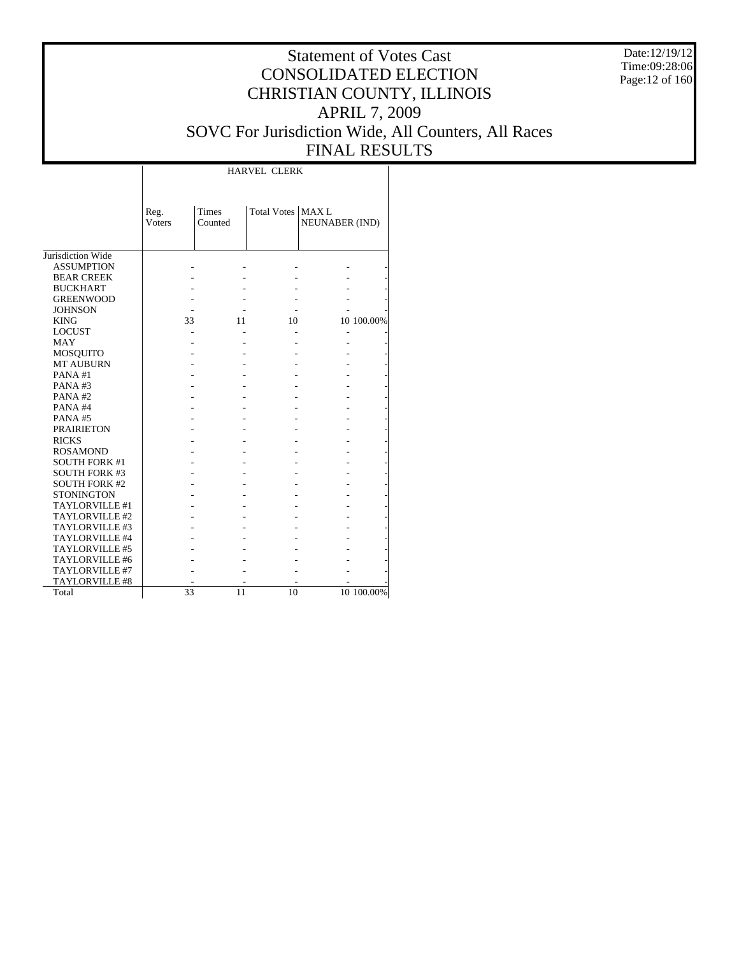Date:12/19/12 Time:09:28:06 Page:12 of 160

### Statement of Votes Cast CONSOLIDATED ELECTION CHRISTIAN COUNTY, ILLINOIS APRIL 7, 2009 SOVC For Jurisdiction Wide, All Counters, All Races FINAL RESULTS

Τ

|                      |                        |                  | <b>HARVEL CLERK</b> |                       |            |
|----------------------|------------------------|------------------|---------------------|-----------------------|------------|
|                      | Reg.<br><b>V</b> oters | Times<br>Counted | Total Votes   MAX L | <b>NEUNABER (IND)</b> |            |
| Jurisdiction Wide    |                        |                  |                     |                       |            |
| <b>ASSUMPTION</b>    |                        |                  |                     |                       |            |
| <b>BEAR CREEK</b>    |                        |                  |                     |                       |            |
| <b>BUCKHART</b>      |                        |                  |                     |                       |            |
| <b>GREENWOOD</b>     |                        |                  |                     |                       |            |
| <b>JOHNSON</b>       |                        |                  |                     |                       |            |
| <b>KING</b>          | 33                     | 11               | 10                  |                       | 10 100.00% |
| <b>LOCUST</b>        |                        |                  |                     |                       |            |
| <b>MAY</b>           |                        |                  |                     |                       |            |
| <b>MOSQUITO</b>      |                        |                  |                     |                       |            |
| <b>MT AUBURN</b>     |                        |                  |                     |                       |            |
| PANA#1               |                        |                  |                     |                       |            |
| PANA#3               |                        |                  |                     |                       |            |
| PANA#2               |                        |                  |                     |                       |            |
| PANA#4               |                        |                  |                     |                       |            |
| PANA#5               |                        |                  |                     |                       |            |
| <b>PRAIRIETON</b>    |                        |                  |                     |                       |            |
| <b>RICKS</b>         |                        |                  |                     |                       |            |
| <b>ROSAMOND</b>      |                        |                  |                     |                       |            |
| <b>SOUTH FORK #1</b> |                        |                  |                     |                       |            |
| <b>SOUTH FORK #3</b> |                        |                  |                     |                       |            |
| <b>SOUTH FORK #2</b> |                        |                  |                     |                       |            |
| <b>STONINGTON</b>    |                        |                  |                     |                       |            |
| TAYLORVILLE #1       |                        |                  |                     |                       |            |
| TAYLORVILLE #2       |                        |                  |                     |                       |            |
| TAYLORVILLE #3       |                        |                  |                     |                       |            |
| TAYLORVILLE #4       |                        |                  |                     |                       |            |
| TAYLORVILLE #5       |                        |                  |                     |                       |            |
| TAYLORVILLE #6       |                        |                  |                     |                       |            |
| TAYLORVILLE #7       |                        |                  |                     |                       |            |
| TAYLORVILLE #8       |                        |                  |                     |                       |            |
| Total                | 33                     | 11               | 10                  |                       | 10 100.00% |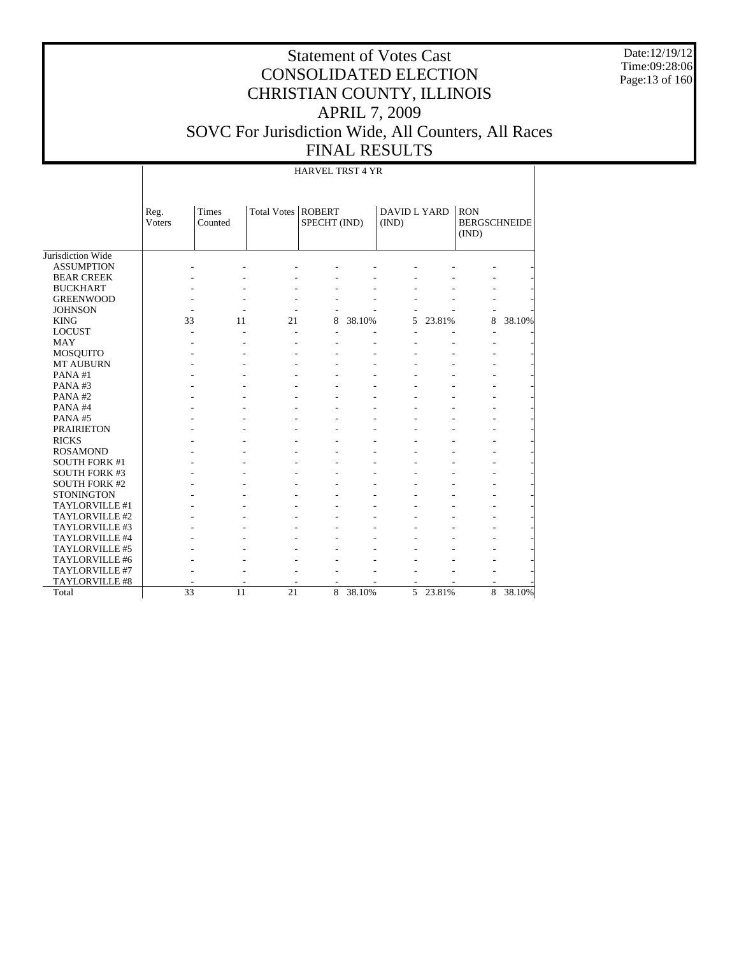Date:12/19/12 Time:09:28:06 Page:13 of 160

### Statement of Votes Cast CONSOLIDATED ELECTION CHRISTIAN COUNTY, ILLINOIS APRIL 7, 2009 SOVC For Jurisdiction Wide, All Counters, All Races FINAL RESULTS

#### HARVEL TRST 4 YR

| Jurisdiction Wide    | Reg.<br><b>Voters</b> | Times<br>Counted | Total Votes              | <b>ROBERT</b><br>SPECHT (IND) |        | DAVID L YARD<br>(IND) |          | <b>RON</b><br><b>BERGSCHNEIDE</b><br>(IND) |        |
|----------------------|-----------------------|------------------|--------------------------|-------------------------------|--------|-----------------------|----------|--------------------------------------------|--------|
| <b>ASSUMPTION</b>    |                       |                  |                          |                               |        |                       |          |                                            |        |
| <b>BEAR CREEK</b>    |                       |                  |                          |                               |        |                       |          |                                            |        |
|                      |                       |                  |                          |                               |        |                       |          |                                            |        |
| <b>BUCKHART</b>      |                       |                  |                          |                               |        |                       |          |                                            |        |
| <b>GREENWOOD</b>     |                       |                  |                          |                               |        |                       |          |                                            |        |
| <b>JOHNSON</b>       |                       |                  |                          |                               |        |                       |          |                                            |        |
| <b>KING</b>          | 33                    | 11               | 21                       | 8                             | 38.10% | 5                     | 23.81%   | 8                                          | 38.10% |
| <b>LOCUST</b>        |                       |                  |                          |                               |        |                       |          |                                            |        |
| <b>MAY</b>           |                       |                  |                          |                               |        |                       |          |                                            |        |
| MOSQUITO             |                       |                  |                          |                               |        |                       |          |                                            |        |
| <b>MT AUBURN</b>     |                       |                  |                          |                               |        |                       |          |                                            |        |
| PANA#1               |                       |                  |                          |                               |        |                       |          |                                            |        |
| PANA#3               |                       |                  |                          |                               |        |                       |          |                                            |        |
| PANA#2               |                       |                  |                          |                               |        |                       |          |                                            |        |
| PANA#4               |                       |                  |                          |                               |        |                       |          |                                            |        |
| PANA#5               |                       |                  |                          |                               |        |                       |          |                                            |        |
| <b>PRAIRIETON</b>    |                       |                  |                          |                               |        |                       |          |                                            |        |
| <b>RICKS</b>         |                       |                  |                          |                               |        |                       |          |                                            |        |
| <b>ROSAMOND</b>      |                       |                  |                          |                               |        |                       |          |                                            |        |
| <b>SOUTH FORK #1</b> |                       |                  |                          |                               |        |                       |          |                                            |        |
| <b>SOUTH FORK #3</b> |                       |                  |                          |                               |        |                       |          |                                            |        |
| <b>SOUTH FORK #2</b> |                       |                  |                          |                               |        |                       |          |                                            |        |
| <b>STONINGTON</b>    |                       |                  |                          |                               |        |                       |          |                                            |        |
| TAYLORVILLE #1       |                       |                  |                          |                               |        |                       |          |                                            |        |
| TAYLORVILLE #2       |                       |                  |                          |                               |        |                       |          |                                            |        |
| TAYLORVILLE #3       |                       |                  |                          |                               |        |                       |          |                                            |        |
| TAYLORVILLE #4       |                       |                  |                          |                               |        |                       |          |                                            |        |
| TAYLORVILLE #5       |                       |                  |                          |                               |        |                       |          |                                            |        |
| TAYLORVILLE #6       |                       |                  |                          |                               |        |                       |          |                                            |        |
| TAYLORVILLE #7       |                       |                  |                          |                               |        |                       |          |                                            |        |
| TAYLORVILLE #8       | ٠                     |                  | $\overline{\phantom{a}}$ | $\overline{\phantom{a}}$      |        | $\overline{a}$        |          |                                            |        |
| Total                | 33                    | 11               | 21                       | 8                             | 38.10% |                       | 5 23.81% | 8                                          | 38.10% |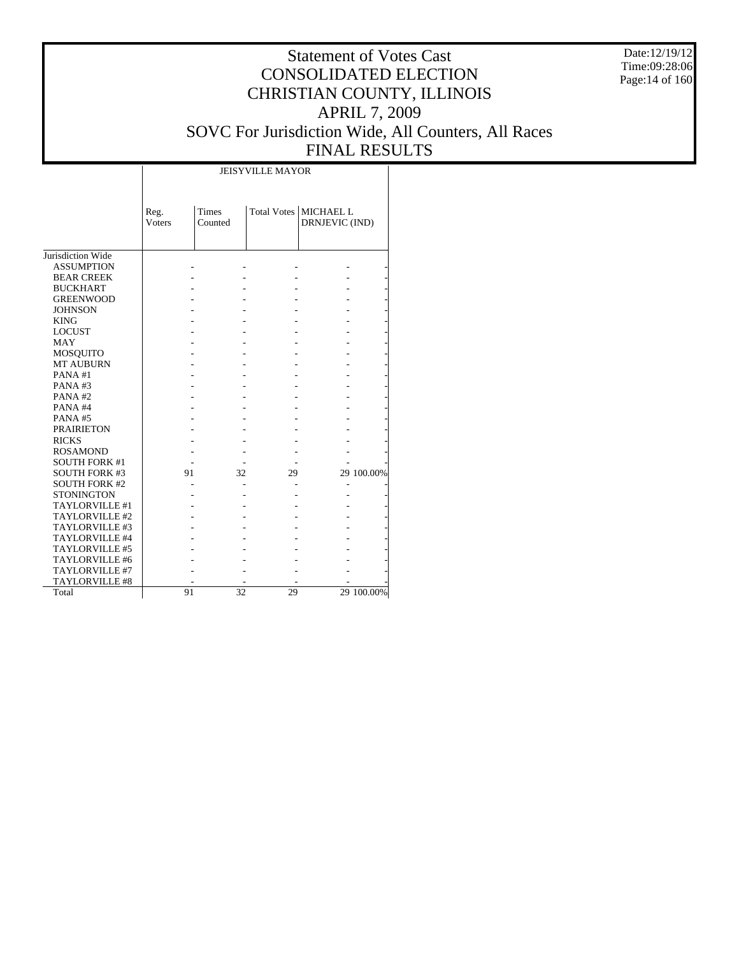Date:12/19/12 Time:09:28:06 Page:14 of 160

### Statement of Votes Cast CONSOLIDATED ELECTION CHRISTIAN COUNTY, ILLINOIS APRIL 7, 2009 SOVC For Jurisdiction Wide, All Counters, All Races FINAL RESULTS

Τ

|                       | Reg.<br><b>Voters</b> | Times<br>Counted |    | Total Votes   MICHAEL L<br>DRNJEVIC (IND) |            |
|-----------------------|-----------------------|------------------|----|-------------------------------------------|------------|
| Jurisdiction Wide     |                       |                  |    |                                           |            |
| <b>ASSUMPTION</b>     |                       |                  |    |                                           |            |
| <b>BEAR CREEK</b>     |                       |                  |    |                                           |            |
| <b>BUCKHART</b>       |                       |                  |    |                                           |            |
| <b>GREENWOOD</b>      |                       |                  |    |                                           |            |
| <b>JOHNSON</b>        |                       |                  |    |                                           |            |
| <b>KING</b>           |                       |                  |    |                                           |            |
| <b>LOCUST</b>         |                       |                  |    |                                           |            |
| MAY                   |                       |                  |    |                                           |            |
| <b>MOSQUITO</b>       |                       |                  |    |                                           |            |
| <b>MT AUBURN</b>      |                       |                  |    |                                           |            |
| PANA#1                |                       |                  |    |                                           |            |
| PANA#3                |                       |                  |    |                                           |            |
| PANA#2                |                       |                  |    |                                           |            |
| PANA#4                |                       |                  |    |                                           |            |
| PANA#5                |                       |                  |    |                                           |            |
| <b>PRAIRIETON</b>     |                       |                  |    |                                           |            |
| <b>RICKS</b>          |                       |                  |    |                                           |            |
| <b>ROSAMOND</b>       |                       |                  |    |                                           |            |
| <b>SOUTH FORK #1</b>  |                       |                  |    |                                           |            |
| <b>SOUTH FORK #3</b>  | 91                    | 32               | 29 |                                           | 29 100.00% |
| <b>SOUTH FORK #2</b>  |                       |                  |    |                                           |            |
| <b>STONINGTON</b>     |                       |                  |    |                                           |            |
| TAYLORVILLE #1        |                       |                  |    |                                           |            |
| TAYLORVILLE#2         |                       |                  |    |                                           |            |
| TAYLORVILLE #3        |                       |                  |    |                                           |            |
| TAYLORVILLE #4        |                       |                  |    |                                           |            |
| TAYLORVILLE #5        |                       |                  |    |                                           |            |
| TAYLORVILLE #6        |                       |                  |    |                                           |            |
| TAYLORVILLE #7        |                       |                  |    |                                           |            |
| <b>TAYLORVILLE #8</b> |                       |                  |    |                                           |            |
| Total                 | 91                    | 32               | 29 |                                           | 29 100.00% |

 $\overline{\phantom{a}}$ 

JEISYVILLE MAYOR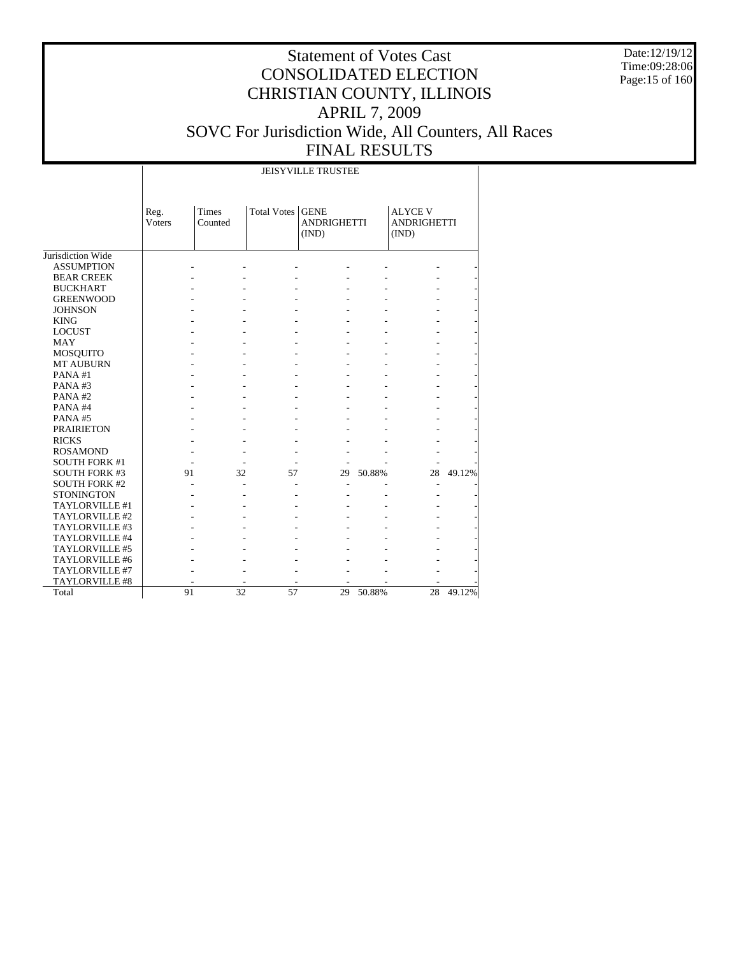Date:12/19/12 Time:09:28:06 Page:15 of 160

|                      |                | <b>JEISYVILLE TRUSTEE</b> |                    |                                            |        |                                               |        |  |  |  |  |  |  |
|----------------------|----------------|---------------------------|--------------------|--------------------------------------------|--------|-----------------------------------------------|--------|--|--|--|--|--|--|
|                      | Reg.<br>Voters | Times<br>Counted          | <b>Total Votes</b> | <b>GENE</b><br><b>ANDRIGHETTI</b><br>(IND) |        | <b>ALYCE V</b><br><b>ANDRIGHETTI</b><br>(IND) |        |  |  |  |  |  |  |
| Jurisdiction Wide    |                |                           |                    |                                            |        |                                               |        |  |  |  |  |  |  |
| <b>ASSUMPTION</b>    |                |                           |                    |                                            |        |                                               |        |  |  |  |  |  |  |
| <b>BEAR CREEK</b>    |                |                           |                    |                                            |        |                                               |        |  |  |  |  |  |  |
| <b>BUCKHART</b>      |                |                           |                    |                                            |        |                                               |        |  |  |  |  |  |  |
| <b>GREENWOOD</b>     |                |                           |                    |                                            |        |                                               |        |  |  |  |  |  |  |
| <b>JOHNSON</b>       |                |                           |                    |                                            |        |                                               |        |  |  |  |  |  |  |
| <b>KING</b>          |                |                           |                    |                                            |        |                                               |        |  |  |  |  |  |  |
| <b>LOCUST</b>        |                |                           |                    |                                            |        |                                               |        |  |  |  |  |  |  |
| <b>MAY</b>           |                |                           |                    |                                            |        |                                               |        |  |  |  |  |  |  |
| <b>MOSQUITO</b>      |                |                           |                    |                                            |        |                                               |        |  |  |  |  |  |  |
| <b>MT AUBURN</b>     |                |                           |                    |                                            |        |                                               |        |  |  |  |  |  |  |
| PANA#1               |                |                           |                    |                                            |        |                                               |        |  |  |  |  |  |  |
| PANA#3               |                |                           |                    |                                            |        |                                               |        |  |  |  |  |  |  |
| PANA#2               |                |                           |                    |                                            |        |                                               |        |  |  |  |  |  |  |
| PANA#4               |                |                           |                    |                                            |        |                                               |        |  |  |  |  |  |  |
| PANA#5               |                |                           |                    |                                            |        |                                               |        |  |  |  |  |  |  |
| <b>PRAIRIETON</b>    |                |                           |                    |                                            |        |                                               |        |  |  |  |  |  |  |
| <b>RICKS</b>         |                |                           |                    |                                            |        |                                               |        |  |  |  |  |  |  |
| <b>ROSAMOND</b>      |                |                           |                    |                                            |        |                                               |        |  |  |  |  |  |  |
| <b>SOUTH FORK #1</b> |                |                           |                    |                                            |        |                                               |        |  |  |  |  |  |  |
| <b>SOUTH FORK #3</b> | 91             | 32                        | 57                 | 29                                         | 50.88% | 28                                            | 49.12% |  |  |  |  |  |  |
| <b>SOUTH FORK #2</b> |                |                           |                    |                                            |        |                                               |        |  |  |  |  |  |  |
| <b>STONINGTON</b>    |                |                           |                    |                                            |        |                                               |        |  |  |  |  |  |  |
| TAYLORVILLE #1       |                |                           |                    |                                            |        |                                               |        |  |  |  |  |  |  |
| TAYLORVILLE #2       |                |                           |                    |                                            |        |                                               |        |  |  |  |  |  |  |
| TAYLORVILLE #3       |                |                           |                    |                                            |        |                                               |        |  |  |  |  |  |  |
| TAYLORVILLE #4       |                |                           |                    |                                            |        |                                               |        |  |  |  |  |  |  |
| TAYLORVILLE #5       |                |                           |                    |                                            |        |                                               |        |  |  |  |  |  |  |
| TAYLORVILLE #6       |                |                           |                    |                                            |        |                                               |        |  |  |  |  |  |  |
| TAYLORVILLE #7       |                |                           |                    |                                            |        |                                               |        |  |  |  |  |  |  |
| TAYLORVILLE #8       |                |                           |                    |                                            |        |                                               |        |  |  |  |  |  |  |
| Total                | 91             | $\overline{32}$           | 57                 | 29                                         | 50.88% | 28                                            | 49.12% |  |  |  |  |  |  |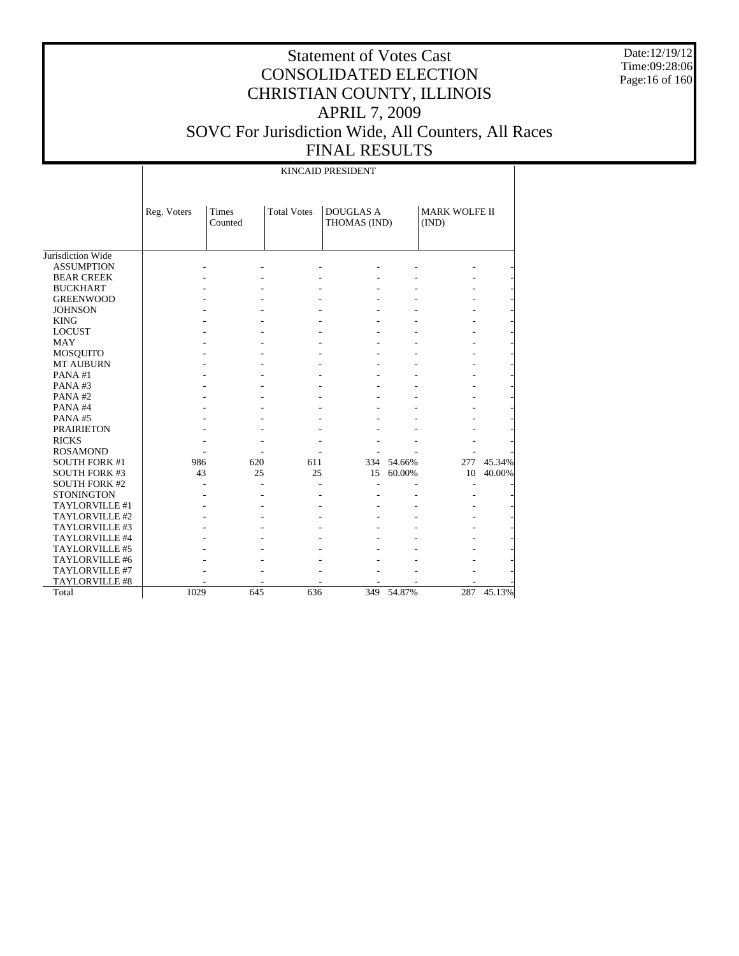Date:12/19/12 Time:09:28:06 Page:16 of 160

|                       |             |                                               |     | KINCAID PRESIDENT                |            |                               |        |
|-----------------------|-------------|-----------------------------------------------|-----|----------------------------------|------------|-------------------------------|--------|
|                       | Reg. Voters | <b>Total Votes</b><br><b>Times</b><br>Counted |     | <b>DOUGLAS A</b><br>THOMAS (IND) |            | <b>MARK WOLFE II</b><br>(IND) |        |
| Jurisdiction Wide     |             |                                               |     |                                  |            |                               |        |
| <b>ASSUMPTION</b>     |             |                                               |     |                                  |            |                               |        |
| <b>BEAR CREEK</b>     |             |                                               |     |                                  |            |                               |        |
| <b>BUCKHART</b>       |             |                                               |     |                                  |            |                               |        |
| <b>GREENWOOD</b>      |             |                                               |     |                                  |            |                               |        |
| <b>JOHNSON</b>        |             |                                               |     |                                  |            |                               |        |
| <b>KING</b>           |             |                                               |     |                                  |            |                               |        |
| <b>LOCUST</b>         |             |                                               |     |                                  |            |                               |        |
| <b>MAY</b>            |             |                                               |     |                                  |            |                               |        |
| <b>MOSQUITO</b>       |             |                                               |     |                                  |            |                               |        |
| <b>MT AUBURN</b>      |             |                                               |     |                                  |            |                               |        |
| PANA#1                |             |                                               |     |                                  |            |                               |        |
| PANA#3                |             |                                               |     |                                  |            |                               |        |
| PANA#2                |             |                                               |     |                                  |            |                               |        |
| PANA#4                |             |                                               |     |                                  |            |                               |        |
| PANA#5                |             |                                               |     |                                  |            |                               |        |
| <b>PRAIRIETON</b>     |             |                                               |     |                                  |            |                               |        |
| <b>RICKS</b>          |             |                                               |     |                                  |            |                               |        |
| <b>ROSAMOND</b>       |             |                                               |     |                                  |            |                               |        |
| <b>SOUTH FORK #1</b>  | 986         | 620                                           | 611 |                                  | 334 54.66% | 277                           | 45.34% |
| <b>SOUTH FORK #3</b>  | 43          | 25                                            | 25  | 15                               | 60.00%     | 10                            | 40.00% |
| <b>SOUTH FORK #2</b>  |             |                                               |     |                                  |            |                               |        |
| <b>STONINGTON</b>     |             |                                               |     |                                  |            |                               |        |
| TAYLORVILLE #1        |             |                                               |     |                                  |            |                               |        |
| TAYLORVILLE #2        |             |                                               |     |                                  |            |                               |        |
| TAYLORVILLE #3        |             |                                               |     |                                  |            |                               |        |
| TAYLORVILLE #4        |             |                                               |     |                                  |            |                               |        |
| TAYLORVILLE #5        |             |                                               |     |                                  |            |                               |        |
| TAYLORVILLE #6        |             |                                               |     |                                  |            |                               |        |
| TAYLORVILLE #7        |             |                                               |     |                                  |            |                               |        |
| <b>TAYLORVILLE #8</b> |             |                                               |     |                                  |            |                               |        |
| Total                 | 1029        | 645                                           | 636 |                                  | 349 54.87% | 287                           | 45.13% |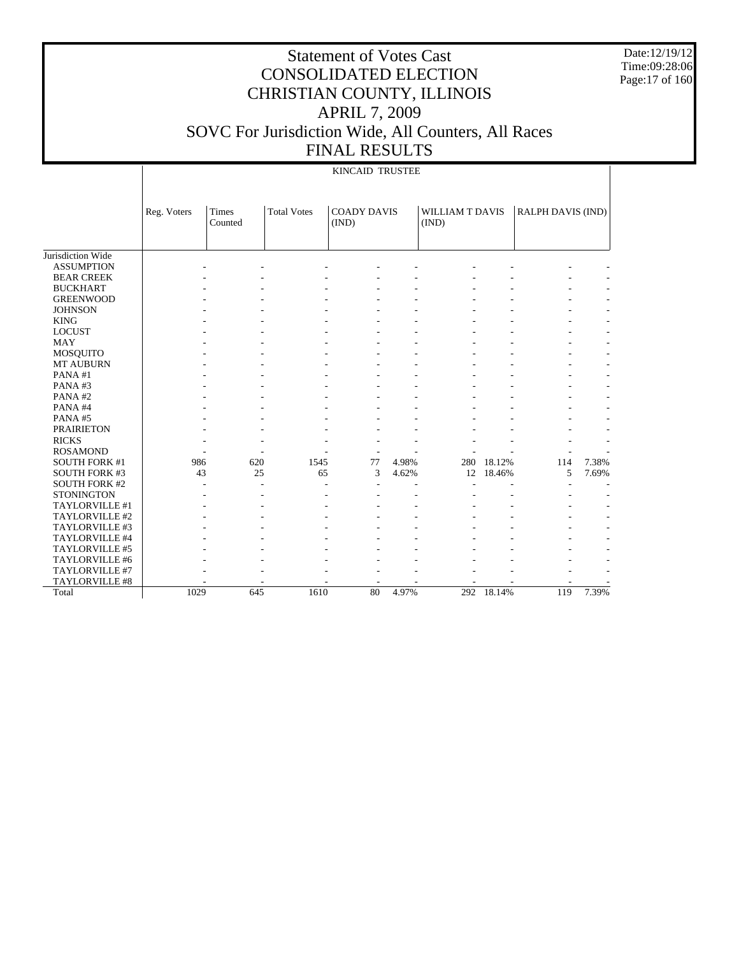Date:12/19/12 Time:09:28:06 Page:17 of 160

|                       |             |                         |                    | <b>KINCAID TRUSTEE</b>      |       |                          |            |                   |       |
|-----------------------|-------------|-------------------------|--------------------|-----------------------------|-------|--------------------------|------------|-------------------|-------|
|                       | Reg. Voters | <b>Times</b><br>Counted | <b>Total Votes</b> | <b>COADY DAVIS</b><br>(IND) |       | WILLIAM T DAVIS<br>(IND) |            | RALPH DAVIS (IND) |       |
| Jurisdiction Wide     |             |                         |                    |                             |       |                          |            |                   |       |
| <b>ASSUMPTION</b>     |             |                         |                    |                             |       |                          |            |                   |       |
| <b>BEAR CREEK</b>     |             |                         |                    |                             |       |                          |            |                   |       |
| <b>BUCKHART</b>       |             |                         |                    |                             |       |                          |            |                   |       |
| <b>GREENWOOD</b>      |             |                         |                    |                             |       |                          |            |                   |       |
| <b>JOHNSON</b>        |             |                         |                    |                             |       |                          |            |                   |       |
| <b>KING</b>           |             |                         |                    |                             |       |                          |            |                   |       |
| <b>LOCUST</b>         |             |                         |                    |                             |       |                          |            |                   |       |
| <b>MAY</b>            |             |                         |                    |                             |       |                          |            |                   |       |
| MOSQUITO              |             |                         |                    |                             |       |                          |            |                   |       |
| <b>MT AUBURN</b>      |             |                         |                    |                             |       |                          |            |                   |       |
| PANA#1                |             |                         |                    |                             |       |                          |            |                   |       |
| PANA#3                |             |                         |                    |                             |       |                          |            |                   |       |
| PANA#2                |             |                         |                    |                             |       |                          |            |                   |       |
| PANA#4                |             |                         |                    |                             |       |                          |            |                   |       |
| PANA#5                |             |                         |                    |                             |       |                          |            |                   |       |
| <b>PRAIRIETON</b>     |             |                         |                    |                             |       |                          |            |                   |       |
| <b>RICKS</b>          |             |                         |                    |                             |       |                          |            |                   |       |
| <b>ROSAMOND</b>       |             | ٠                       |                    |                             |       |                          |            |                   |       |
| <b>SOUTH FORK #1</b>  | 986         | 620                     | 1545               | 77                          | 4.98% |                          | 280 18.12% | 114               | 7.38% |
| <b>SOUTH FORK #3</b>  | 43          | 25                      | 65                 | 3                           | 4.62% | 12                       | 18.46%     | 5                 | 7.69% |
| <b>SOUTH FORK #2</b>  |             |                         |                    | $\overline{a}$              |       |                          |            |                   |       |
| <b>STONINGTON</b>     |             |                         |                    |                             |       |                          |            |                   |       |
| TAYLORVILLE #1        |             |                         |                    |                             |       |                          |            |                   |       |
| TAYLORVILLE #2        |             |                         |                    |                             |       |                          |            |                   |       |
| TAYLORVILLE #3        |             |                         |                    |                             |       |                          |            |                   |       |
| TAYLORVILLE #4        |             |                         |                    |                             |       |                          |            |                   |       |
| TAYLORVILLE #5        |             |                         |                    |                             |       |                          |            |                   |       |
| TAYLORVILLE #6        |             |                         |                    |                             |       |                          |            |                   |       |
| TAYLORVILLE #7        |             |                         |                    |                             |       |                          |            |                   |       |
| <b>TAYLORVILLE #8</b> |             |                         |                    |                             |       |                          |            |                   |       |
| Total                 | 1029        | 645                     | 1610               | 80                          | 4.97% |                          | 292 18.14% | 119               | 7.39% |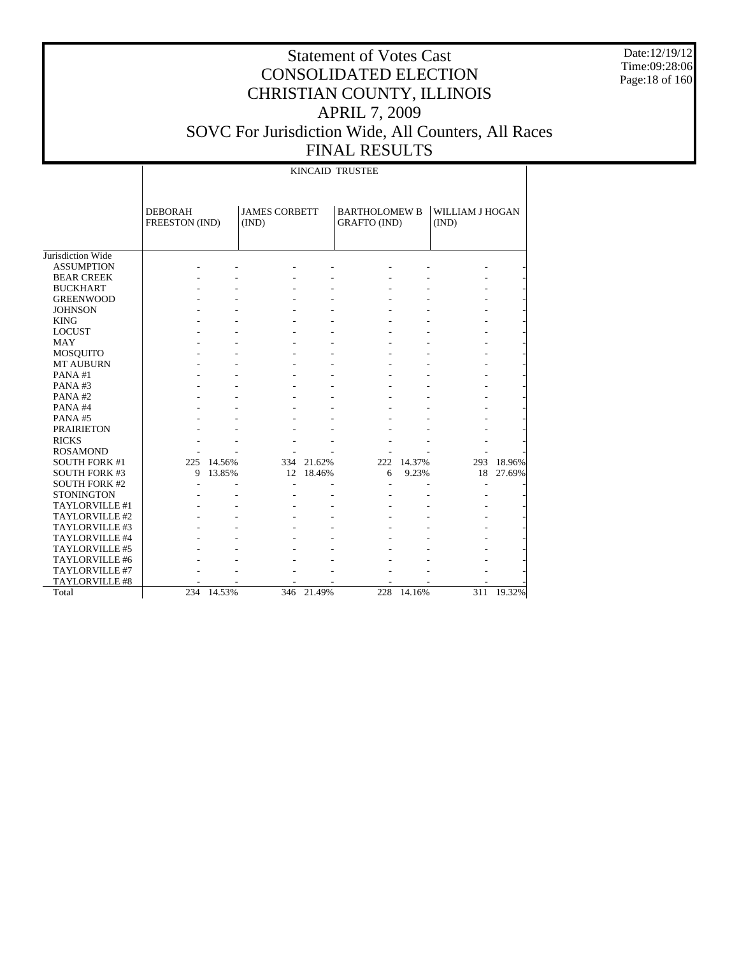Date:12/19/12 Time:09:28:06 Page:18 of 160

### Statement of Votes Cast CONSOLIDATED ELECTION CHRISTIAN COUNTY, ILLINOIS APRIL 7, 2009 SOVC For Jurisdiction Wide, All Counters, All Races FINAL RESULTS

KINCAID TRUSTEE

|                      | <b>DEBORAH</b><br>FREESTON (IND) |        | <b>JAMES CORBETT</b><br>(IND) |            | <b>BARTHOLOMEW B</b><br><b>GRAFTO</b> (IND) |        | WILLIAM J HOGAN<br>(IND) |        |
|----------------------|----------------------------------|--------|-------------------------------|------------|---------------------------------------------|--------|--------------------------|--------|
| Jurisdiction Wide    |                                  |        |                               |            |                                             |        |                          |        |
| <b>ASSUMPTION</b>    |                                  |        |                               |            |                                             |        |                          |        |
| <b>BEAR CREEK</b>    |                                  |        |                               |            |                                             |        |                          |        |
| <b>BUCKHART</b>      |                                  |        |                               |            |                                             |        |                          |        |
| <b>GREENWOOD</b>     |                                  |        |                               |            |                                             |        |                          |        |
| <b>JOHNSON</b>       |                                  |        |                               |            |                                             |        |                          |        |
| <b>KING</b>          |                                  |        |                               |            |                                             |        |                          |        |
| <b>LOCUST</b>        |                                  |        |                               |            |                                             |        |                          |        |
| <b>MAY</b>           |                                  |        |                               |            |                                             |        |                          |        |
| <b>MOSQUITO</b>      |                                  |        |                               |            |                                             |        |                          |        |
| <b>MT AUBURN</b>     |                                  |        |                               |            |                                             |        |                          |        |
| PANA#1               |                                  |        |                               |            |                                             |        |                          |        |
| PANA#3               |                                  |        |                               |            |                                             |        |                          |        |
| PANA#2               |                                  |        |                               |            |                                             |        |                          |        |
| PANA#4               |                                  |        |                               |            |                                             |        |                          |        |
| PANA#5               |                                  |        |                               |            |                                             |        |                          |        |
| <b>PRAIRIETON</b>    |                                  |        |                               |            |                                             |        |                          |        |
| <b>RICKS</b>         |                                  |        |                               |            |                                             |        |                          |        |
| <b>ROSAMOND</b>      |                                  |        |                               |            |                                             |        |                          |        |
| <b>SOUTH FORK #1</b> | 225                              | 14.56% |                               | 334 21.62% | 222                                         | 14.37% | 293                      | 18.96% |
| <b>SOUTH FORK #3</b> | 9                                | 13.85% | 12                            | 18.46%     | 6                                           | 9.23%  | 18                       | 27.69% |
| <b>SOUTH FORK #2</b> |                                  |        |                               |            |                                             |        | $\overline{a}$           |        |
| <b>STONINGTON</b>    |                                  |        |                               |            |                                             |        |                          |        |
| TAYLORVILLE #1       |                                  |        |                               |            |                                             |        |                          |        |
| TAYLORVILLE #2       |                                  |        |                               |            |                                             |        |                          |        |
| TAYLORVILLE #3       |                                  |        |                               |            |                                             |        |                          |        |
| TAYLORVILLE #4       |                                  |        |                               |            |                                             |        |                          |        |
| TAYLORVILLE #5       |                                  |        |                               |            |                                             |        |                          |        |
| TAYLORVILLE #6       |                                  |        |                               |            |                                             |        |                          |        |
| TAYLORVILLE #7       |                                  |        |                               |            |                                             |        |                          |        |
| TAYLORVILLE #8       |                                  |        |                               |            |                                             |        |                          |        |
| Total                | 234                              | 14.53% |                               | 346 21.49% | 228                                         | 14.16% | 311                      | 19.32% |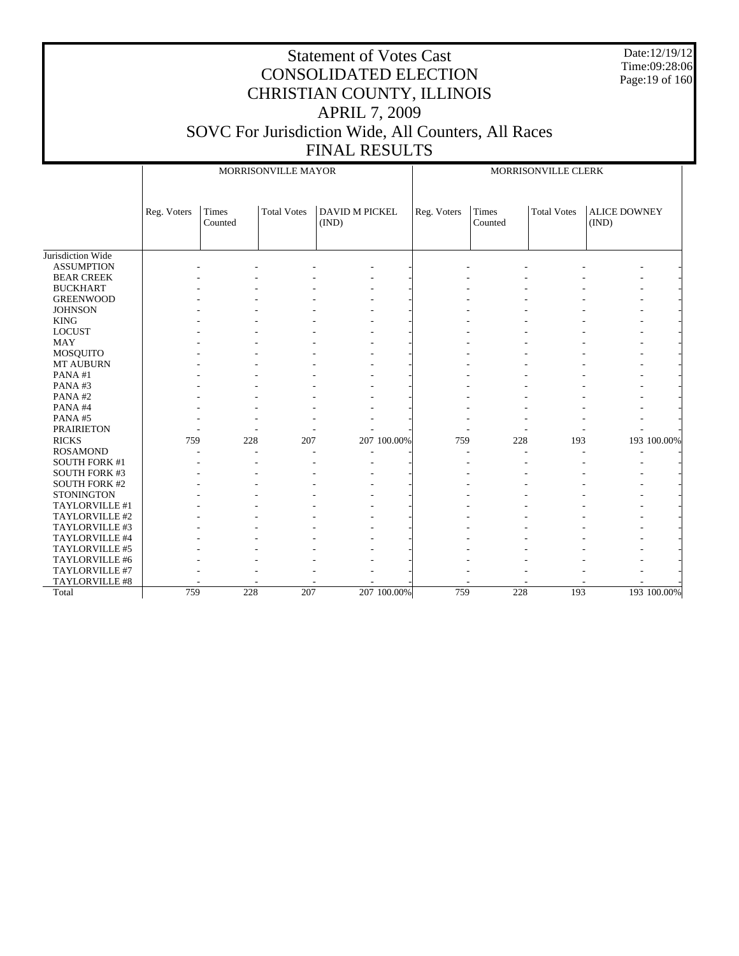Date:12/19/12 Time:09:28:06 Page:19 of 160

|                      |             |                  | MORRISONVILLE MAYOR |                                |             | MORRISONVILLE CLERK |                  |                    |                              |             |  |  |
|----------------------|-------------|------------------|---------------------|--------------------------------|-------------|---------------------|------------------|--------------------|------------------------------|-------------|--|--|
|                      | Reg. Voters | Times<br>Counted | <b>Total Votes</b>  | <b>DAVID M PICKEL</b><br>(IND) |             | Reg. Voters         | Times<br>Counted | <b>Total Votes</b> | <b>ALICE DOWNEY</b><br>(IND) |             |  |  |
| Jurisdiction Wide    |             |                  |                     |                                |             |                     |                  |                    |                              |             |  |  |
| <b>ASSUMPTION</b>    |             |                  |                     |                                |             |                     |                  |                    |                              |             |  |  |
| <b>BEAR CREEK</b>    |             |                  |                     |                                |             |                     |                  |                    |                              |             |  |  |
| <b>BUCKHART</b>      |             |                  |                     |                                |             |                     |                  |                    |                              |             |  |  |
| <b>GREENWOOD</b>     |             |                  |                     |                                |             |                     |                  |                    |                              |             |  |  |
| <b>JOHNSON</b>       |             |                  |                     |                                |             |                     |                  |                    |                              |             |  |  |
| <b>KING</b>          |             |                  |                     |                                |             |                     |                  |                    |                              |             |  |  |
| <b>LOCUST</b>        |             |                  |                     |                                |             |                     |                  |                    |                              |             |  |  |
| <b>MAY</b>           |             |                  |                     |                                |             |                     |                  |                    |                              |             |  |  |
| MOSQUITO             |             |                  |                     |                                |             |                     |                  |                    |                              |             |  |  |
| <b>MT AUBURN</b>     |             |                  |                     |                                |             |                     |                  |                    |                              |             |  |  |
| PANA#1               |             |                  |                     |                                |             |                     |                  |                    |                              |             |  |  |
| PANA#3               |             |                  |                     |                                |             |                     |                  |                    |                              |             |  |  |
| PANA#2               |             |                  |                     |                                |             |                     |                  |                    |                              |             |  |  |
| PANA#4               |             |                  |                     |                                |             |                     |                  |                    |                              |             |  |  |
| PANA#5               |             |                  |                     |                                |             |                     |                  |                    |                              |             |  |  |
| <b>PRAIRIETON</b>    |             |                  |                     |                                |             |                     |                  |                    |                              |             |  |  |
| <b>RICKS</b>         | 759         | 228              | 207                 |                                | 207 100.00% | 759                 | 228              | 193                |                              | 193 100.00% |  |  |
| <b>ROSAMOND</b>      |             |                  |                     |                                |             |                     |                  |                    |                              |             |  |  |
| <b>SOUTH FORK #1</b> |             |                  |                     |                                |             |                     |                  |                    |                              |             |  |  |
| <b>SOUTH FORK #3</b> |             |                  |                     |                                |             |                     |                  |                    |                              |             |  |  |
| <b>SOUTH FORK #2</b> |             |                  |                     |                                |             |                     |                  |                    |                              |             |  |  |
| <b>STONINGTON</b>    |             |                  |                     |                                |             |                     |                  |                    |                              |             |  |  |
| TAYLORVILLE #1       |             |                  |                     |                                |             |                     |                  |                    |                              |             |  |  |
| TAYLORVILLE #2       |             |                  |                     |                                |             |                     |                  |                    |                              |             |  |  |
| TAYLORVILLE #3       |             |                  |                     |                                |             |                     |                  |                    |                              |             |  |  |
| TAYLORVILLE #4       |             |                  |                     |                                |             |                     |                  |                    |                              |             |  |  |
| TAYLORVILLE #5       |             |                  |                     |                                |             |                     |                  |                    |                              |             |  |  |
| TAYLORVILLE #6       |             |                  |                     |                                |             |                     |                  |                    |                              |             |  |  |
| TAYLORVILLE #7       |             |                  |                     |                                |             |                     |                  |                    |                              |             |  |  |
| TAYLORVILLE #8       |             |                  |                     |                                |             |                     |                  |                    |                              |             |  |  |
| Total                | 759         | 228              | 207                 |                                | 207 100.00% | 759                 | 228              | 193                |                              | 193 100.00% |  |  |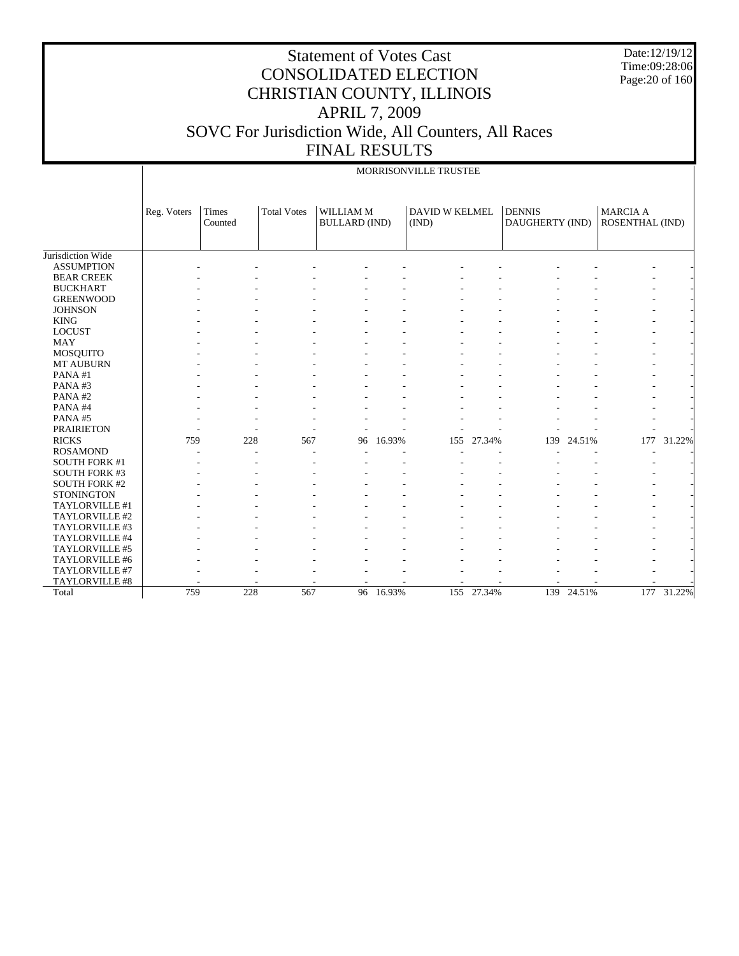Date:12/19/12 Time:09:28:06 Page:20 of 160

|                      |             |                  |                    |                                   |        | MORRISONVILLE TRUSTEE          |        |                                  |        |                                    |        |
|----------------------|-------------|------------------|--------------------|-----------------------------------|--------|--------------------------------|--------|----------------------------------|--------|------------------------------------|--------|
|                      |             |                  |                    |                                   |        |                                |        |                                  |        |                                    |        |
|                      | Reg. Voters | Times<br>Counted | <b>Total Votes</b> | WILLIAM M<br><b>BULLARD</b> (IND) |        | <b>DAVID W KELMEL</b><br>(IND) |        | <b>DENNIS</b><br>DAUGHERTY (IND) |        | <b>MARCIA A</b><br>ROSENTHAL (IND) |        |
|                      |             |                  |                    |                                   |        |                                |        |                                  |        |                                    |        |
| Jurisdiction Wide    |             |                  |                    |                                   |        |                                |        |                                  |        |                                    |        |
| <b>ASSUMPTION</b>    |             |                  |                    |                                   |        |                                |        |                                  |        |                                    |        |
| <b>BEAR CREEK</b>    |             |                  |                    |                                   |        |                                |        |                                  |        |                                    |        |
| <b>BUCKHART</b>      |             |                  |                    |                                   |        |                                |        |                                  |        |                                    |        |
| <b>GREENWOOD</b>     |             |                  |                    |                                   |        |                                |        |                                  |        |                                    |        |
| <b>JOHNSON</b>       |             |                  |                    |                                   |        |                                |        |                                  |        |                                    |        |
| <b>KING</b>          |             |                  |                    |                                   |        |                                |        |                                  |        |                                    |        |
| <b>LOCUST</b>        |             |                  |                    |                                   |        |                                |        |                                  |        |                                    |        |
| MAY                  |             |                  |                    |                                   |        |                                |        |                                  |        |                                    |        |
| <b>MOSQUITO</b>      |             |                  |                    |                                   |        |                                |        |                                  |        |                                    |        |
| <b>MT AUBURN</b>     |             |                  |                    |                                   |        |                                |        |                                  |        |                                    |        |
| PANA#1               |             |                  |                    |                                   |        |                                |        |                                  |        |                                    |        |
| PANA#3               |             |                  |                    |                                   |        |                                |        |                                  |        |                                    |        |
| PANA#2               |             |                  |                    |                                   |        |                                |        |                                  |        |                                    |        |
| PANA#4               |             |                  |                    |                                   |        |                                |        |                                  |        |                                    |        |
| PANA#5               |             |                  |                    |                                   |        |                                |        |                                  |        |                                    |        |
| <b>PRAIRIETON</b>    |             |                  |                    |                                   |        |                                |        |                                  |        |                                    |        |
| <b>RICKS</b>         | 759         | 228              | 567                | 96                                | 16.93% | 155                            | 27.34% | 139                              | 24.51% | 177                                | 31.22% |
| <b>ROSAMOND</b>      |             |                  |                    |                                   |        |                                |        |                                  |        |                                    |        |
| <b>SOUTH FORK #1</b> |             |                  |                    |                                   |        |                                |        |                                  |        |                                    |        |
| <b>SOUTH FORK #3</b> |             |                  |                    |                                   |        |                                |        |                                  |        |                                    |        |
| <b>SOUTH FORK #2</b> |             |                  |                    |                                   |        |                                |        |                                  |        |                                    |        |
| <b>STONINGTON</b>    |             |                  |                    |                                   |        |                                |        |                                  |        |                                    |        |
| TAYLORVILLE #1       |             |                  |                    |                                   |        |                                |        |                                  |        |                                    |        |
| TAYLORVILLE #2       |             |                  |                    |                                   |        |                                |        |                                  |        |                                    |        |
| TAYLORVILLE #3       |             |                  |                    |                                   |        |                                |        |                                  |        |                                    |        |
| TAYLORVILLE #4       |             |                  |                    |                                   |        |                                |        |                                  |        |                                    |        |
| TAYLORVILLE #5       |             |                  |                    |                                   |        |                                |        |                                  |        |                                    |        |
| TAYLORVILLE #6       |             |                  |                    |                                   |        |                                |        |                                  |        |                                    |        |
| TAYLORVILLE #7       |             |                  |                    |                                   |        |                                |        |                                  |        |                                    |        |
| TAYLORVILLE #8       |             |                  |                    |                                   |        |                                |        |                                  |        |                                    |        |
| Total                | 759         | 228              | 567                | 96                                | 16.93% | 155                            | 27.34% | 139                              | 24.51% | 177                                | 31.22% |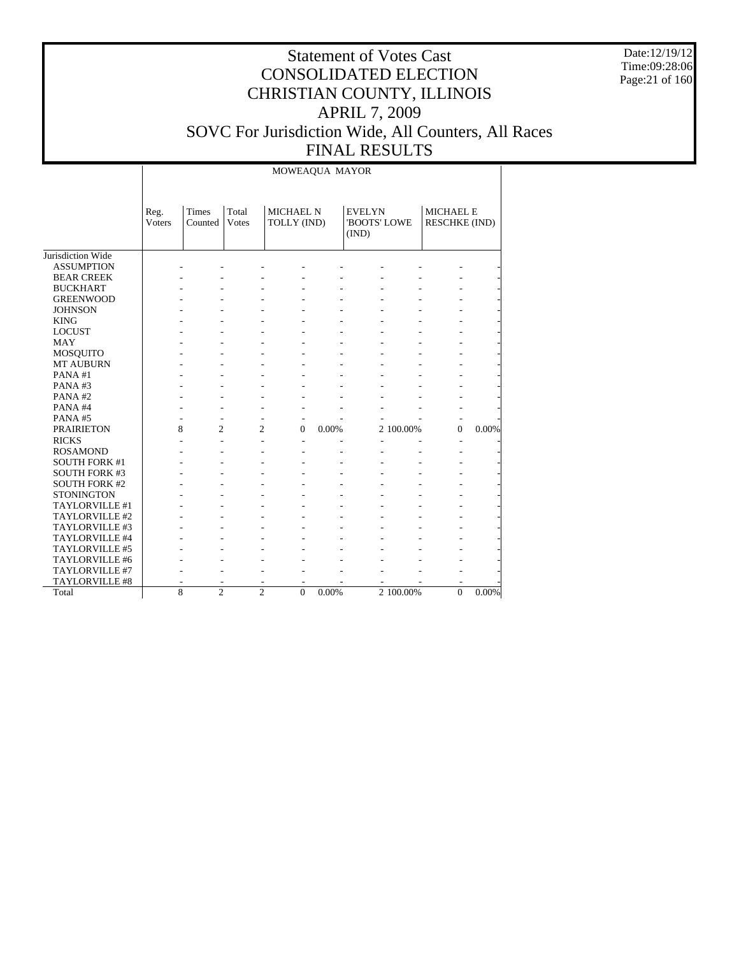Date:12/19/12 Time:09:28:06 Page:21 of 160

#### Statement of Votes Cast CONSOLIDATED ELECTION CHRISTIAN COUNTY, ILLINOIS APRIL 7, 2009 SOVC For Jurisdiction Wide, All Counters, All Races FINAL RESULTS

Jurisdiction Wide ASSUMPTION BEAR CREEK BUCKHART GREENWOOD **JOHNSON**  KING LOCUST MAY MOSQUITO MT AUBURN PANA #1 PANA #3 PANA #2 PANA #4 PANA #5 PRAIRIETON RICKS ROSAMOND SOUTH FORK #1 SOUTH FORK #3 SOUTH FORK #2 **STONINGTON**  TAYLORVILLE #1 TAYLORVILLE #2 TAYLORVILLE #3 TAYLORVILLE #4 TAYLORVILLE #5 TAYLORVILLE #6 TAYLORVILLE #7 TAYLORVILLE #8 Total Reg. Voters Times Counted Total Votes MICHAEL N TOLLY (IND) EVELYN 'BOOTS' LOWE (IND) MICHAEL E RESCHKE (IND) MOWEAQUA MAYOR - - - - - - - - - - - - - - - - - - - - - - - - - - - - - - - - - - - - - - - - - - - - - - - - - - - - - - - - - - - - - - - - - - - - - - - - - - - - - - - - - - - - - - - - - - - - - - - - - - - - - - - - - - - - - - - - - - - - - - - - - - - - - - - - - - - - - - - 8 2 2 0 0.00% 2 100.00% 0 0.00% - - - - - - - - - - - - - - - - - - - - - - - - - - - - - - - - - - - - - - - - - - - - - - - - - - - - - - - - - - - - - - - - - - - - - - - - - - - - - - - - - - - - - - - - - - - - - - - - - - - - - - - - - - - - - - - - - - - - - - - - - - - - - - 8 2 2 0 0.00% 2 100.00% 0 0.00%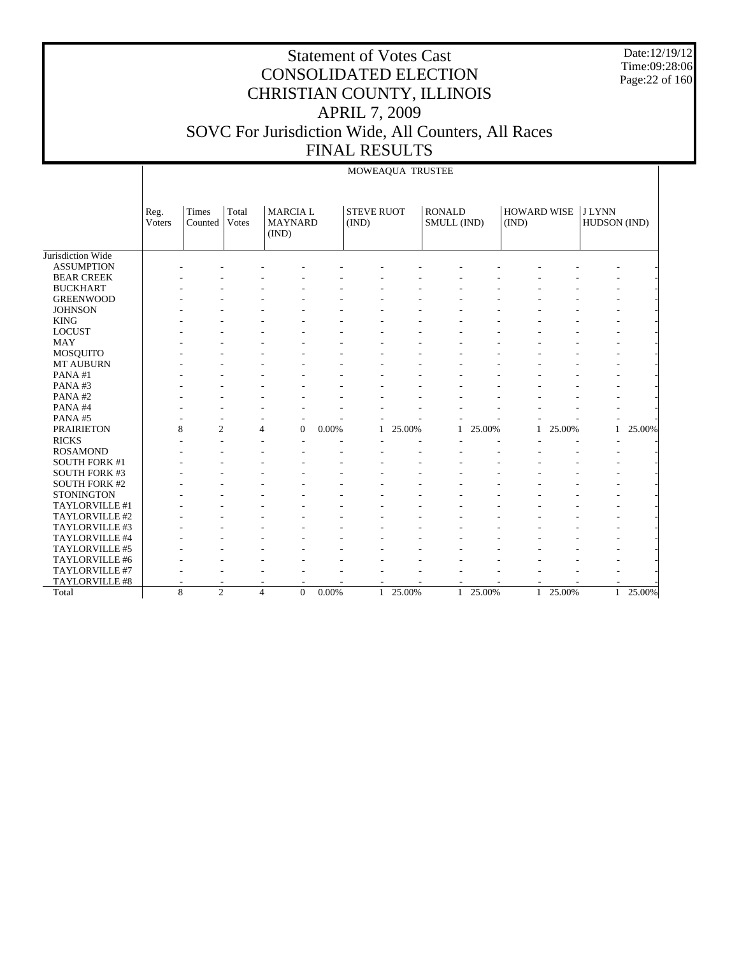Date:12/19/12 Time:09:28:06 Page:22 of 160

|                      |                | MOWEAQUA TRUSTEE |                       |                                           |       |                            |        |                              |        |                             |        |                              |        |  |
|----------------------|----------------|------------------|-----------------------|-------------------------------------------|-------|----------------------------|--------|------------------------------|--------|-----------------------------|--------|------------------------------|--------|--|
|                      | Reg.<br>Voters | Times<br>Counted | Total<br><b>Votes</b> | <b>MARCIAL</b><br><b>MAYNARD</b><br>(IND) |       | <b>STEVE RUOT</b><br>(IND) |        | <b>RONALD</b><br>SMULL (IND) |        | <b>HOWARD WISE</b><br>(IND) |        | <b>JLYNN</b><br>HUDSON (IND) |        |  |
| Jurisdiction Wide    |                |                  |                       |                                           |       |                            |        |                              |        |                             |        |                              |        |  |
| <b>ASSUMPTION</b>    |                |                  |                       |                                           |       |                            |        |                              |        |                             |        |                              |        |  |
| <b>BEAR CREEK</b>    |                |                  |                       |                                           |       |                            |        |                              |        |                             |        |                              |        |  |
| <b>BUCKHART</b>      |                |                  |                       |                                           |       |                            |        |                              |        |                             |        |                              |        |  |
| <b>GREENWOOD</b>     |                |                  |                       |                                           |       |                            |        |                              |        |                             |        |                              |        |  |
| <b>JOHNSON</b>       |                |                  |                       |                                           |       |                            |        |                              |        |                             |        |                              |        |  |
| <b>KING</b>          |                |                  |                       |                                           |       |                            |        |                              |        |                             |        |                              |        |  |
| <b>LOCUST</b>        |                |                  |                       |                                           |       |                            |        |                              |        |                             |        |                              |        |  |
| <b>MAY</b>           |                |                  |                       |                                           |       |                            |        |                              |        |                             |        |                              |        |  |
| MOSQUITO             |                |                  |                       |                                           |       |                            |        |                              |        |                             |        |                              |        |  |
| <b>MT AUBURN</b>     |                |                  |                       |                                           |       |                            |        |                              |        |                             |        |                              |        |  |
| PANA#1               |                |                  |                       |                                           |       |                            |        |                              |        |                             |        |                              |        |  |
| PANA#3               |                |                  |                       |                                           |       |                            |        |                              |        |                             |        |                              |        |  |
| PANA#2               |                |                  |                       |                                           |       |                            |        |                              |        |                             |        |                              |        |  |
| PANA#4               |                |                  |                       |                                           |       |                            |        |                              |        |                             |        |                              |        |  |
| PANA#5               |                |                  |                       |                                           |       |                            |        |                              |        |                             |        |                              |        |  |
| <b>PRAIRIETON</b>    | 8              | $\overline{c}$   | 4                     | $\overline{0}$                            | 0.00% | 1                          | 25.00% | $\mathbf{1}$                 | 25.00% | 1                           | 25.00% | $\mathbf{1}$                 | 25.00% |  |
| <b>RICKS</b>         |                |                  |                       |                                           |       |                            |        |                              |        |                             |        |                              |        |  |
| <b>ROSAMOND</b>      |                |                  |                       |                                           |       |                            |        |                              |        |                             |        |                              |        |  |
| <b>SOUTH FORK #1</b> |                |                  |                       |                                           |       |                            |        |                              |        |                             |        |                              |        |  |
| <b>SOUTH FORK #3</b> |                |                  |                       |                                           |       |                            |        |                              |        |                             |        |                              |        |  |
| <b>SOUTH FORK #2</b> |                |                  |                       |                                           |       |                            |        |                              |        |                             |        |                              |        |  |
| <b>STONINGTON</b>    |                |                  |                       |                                           |       |                            |        |                              |        |                             |        |                              |        |  |
| TAYLORVILLE #1       |                |                  |                       |                                           |       |                            |        |                              |        |                             |        |                              |        |  |
| TAYLORVILLE #2       |                |                  |                       |                                           |       |                            |        |                              |        |                             |        |                              |        |  |
| TAYLORVILLE #3       |                |                  |                       |                                           |       |                            |        |                              |        |                             |        |                              |        |  |
| TAYLORVILLE #4       |                |                  |                       |                                           |       |                            |        |                              |        |                             |        |                              |        |  |
| TAYLORVILLE #5       |                |                  |                       |                                           |       |                            |        |                              |        |                             |        |                              |        |  |
| TAYLORVILLE #6       |                |                  |                       |                                           |       |                            |        |                              |        |                             |        |                              |        |  |
| TAYLORVILLE #7       |                |                  |                       |                                           |       |                            |        |                              |        |                             |        |                              |        |  |
| TAYLORVILLE #8       |                |                  |                       |                                           |       |                            |        |                              |        |                             |        |                              |        |  |
| Total                | $\overline{8}$ | $\overline{2}$   | $\overline{4}$        | $\overline{0}$                            | 0.00% | $\mathbf{1}$               | 25.00% | $\mathbf{1}$                 | 25.00% | 1                           | 25.00% | $\mathbf{1}$                 | 25.00% |  |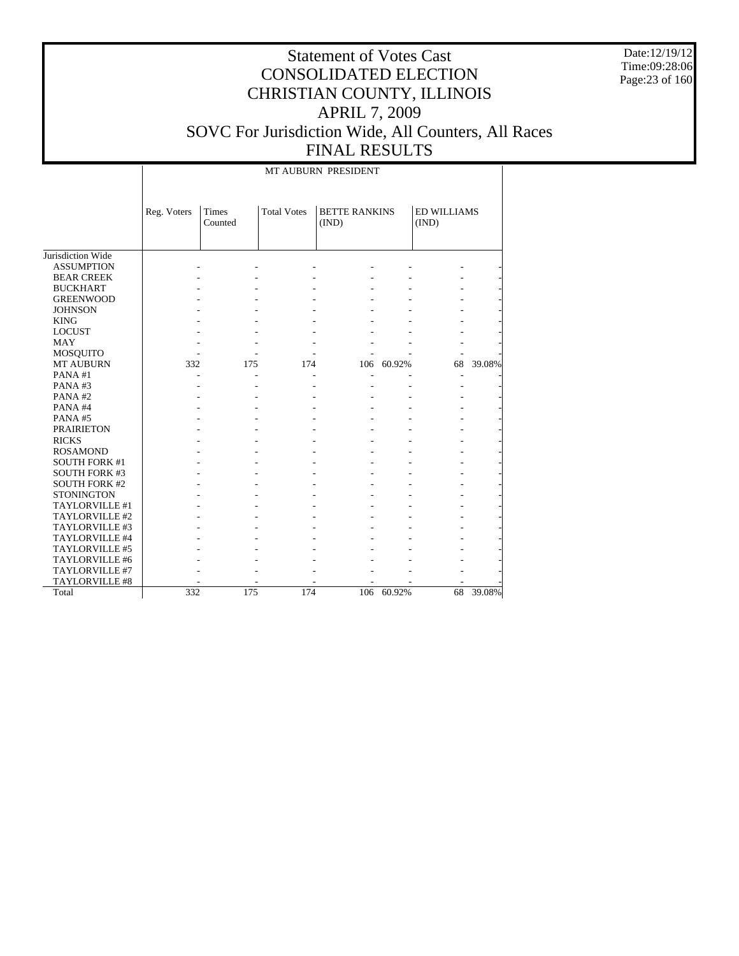Date:12/19/12 Time:09:28:06 Page:23 of 160

### Statement of Votes Cast CONSOLIDATED ELECTION CHRISTIAN COUNTY, ILLINOIS APRIL 7, 2009 SOVC For Jurisdiction Wide, All Counters, All Races FINAL RESULTS

MT AUBURN PRESIDENT

|                      | Reg. Voters | Times<br>Counted | <b>Total Votes</b> | <b>BETTE RANKINS</b><br>(IND) |        | <b>ED WILLIAMS</b><br>(IND) |        |
|----------------------|-------------|------------------|--------------------|-------------------------------|--------|-----------------------------|--------|
|                      |             |                  |                    |                               |        |                             |        |
| Jurisdiction Wide    |             |                  |                    |                               |        |                             |        |
| <b>ASSUMPTION</b>    |             |                  |                    |                               |        |                             |        |
| <b>BEAR CREEK</b>    |             |                  |                    |                               |        |                             |        |
| <b>BUCKHART</b>      |             |                  |                    |                               |        |                             |        |
| <b>GREENWOOD</b>     |             |                  |                    |                               |        |                             |        |
| <b>JOHNSON</b>       |             |                  |                    |                               |        |                             |        |
| <b>KING</b>          |             |                  |                    |                               |        |                             |        |
| <b>LOCUST</b>        |             |                  |                    |                               |        |                             |        |
| <b>MAY</b>           |             |                  |                    |                               |        |                             |        |
| <b>MOSQUITO</b>      |             |                  |                    |                               |        |                             |        |
| <b>MT AUBURN</b>     | 332         | 175              | 174                | 106                           | 60.92% | 68                          | 39.08% |
| PANA#1               |             |                  |                    |                               |        |                             |        |
| PANA#3               |             |                  |                    |                               |        |                             |        |
| PANA#2               |             |                  |                    |                               |        |                             |        |
| PANA#4               |             |                  |                    |                               |        |                             |        |
| PANA#5               |             |                  |                    |                               |        |                             |        |
| <b>PRAIRIETON</b>    |             |                  |                    |                               |        |                             |        |
| <b>RICKS</b>         |             |                  |                    |                               |        |                             |        |
| <b>ROSAMOND</b>      |             |                  |                    |                               |        |                             |        |
| <b>SOUTH FORK #1</b> |             |                  |                    |                               |        |                             |        |
| <b>SOUTH FORK #3</b> |             |                  |                    |                               |        |                             |        |
| <b>SOUTH FORK #2</b> |             |                  |                    |                               |        |                             |        |
| <b>STONINGTON</b>    |             |                  |                    |                               |        |                             |        |
| TAYLORVILLE #1       |             |                  |                    |                               |        |                             |        |
| TAYLORVILLE #2       |             |                  |                    |                               |        |                             |        |
| TAYLORVILLE #3       |             |                  |                    |                               |        |                             |        |
| TAYLORVILLE #4       |             |                  |                    |                               |        |                             |        |
| TAYLORVILLE #5       |             |                  |                    |                               |        |                             |        |
| TAYLORVILLE #6       |             |                  |                    |                               |        |                             |        |
| TAYLORVILLE #7       |             |                  |                    |                               |        |                             |        |
| TAYLORVILLE #8       |             |                  |                    |                               |        |                             |        |
| Total                | 332         | 175              | 174                | 106                           | 60.92% | 68                          | 39.08% |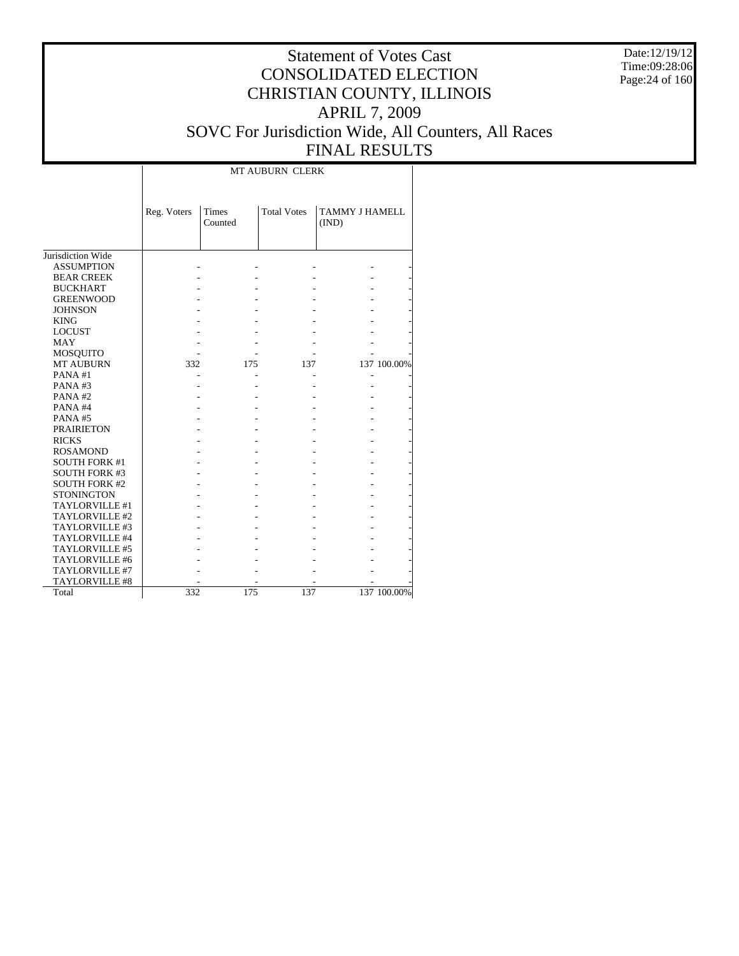Date:12/19/12 Time:09:28:06 Page:24 of 160

### Statement of Votes Cast CONSOLIDATED ELECTION CHRISTIAN COUNTY, ILLINOIS APRIL 7, 2009 SOVC For Jurisdiction Wide, All Counters, All Races FINAL RESULTS

т

|                      |             | MT AUBURN CLERK  |                    |                                |             |  |  |  |  |  |
|----------------------|-------------|------------------|--------------------|--------------------------------|-------------|--|--|--|--|--|
|                      | Reg. Voters | Times<br>Counted | <b>Total Votes</b> | <b>TAMMY J HAMELL</b><br>(IND) |             |  |  |  |  |  |
| Jurisdiction Wide    |             |                  |                    |                                |             |  |  |  |  |  |
| <b>ASSUMPTION</b>    |             |                  |                    |                                |             |  |  |  |  |  |
|                      |             |                  |                    |                                |             |  |  |  |  |  |
| <b>BEAR CREEK</b>    |             |                  |                    |                                |             |  |  |  |  |  |
| <b>BUCKHART</b>      |             |                  |                    |                                |             |  |  |  |  |  |
| <b>GREENWOOD</b>     |             |                  |                    |                                |             |  |  |  |  |  |
| <b>JOHNSON</b>       |             |                  |                    |                                |             |  |  |  |  |  |
| <b>KING</b>          |             |                  |                    |                                |             |  |  |  |  |  |
| <b>LOCUST</b>        |             |                  |                    |                                |             |  |  |  |  |  |
| <b>MAY</b>           |             |                  |                    |                                |             |  |  |  |  |  |
| MOSQUITO             |             |                  |                    |                                |             |  |  |  |  |  |
| <b>MT AUBURN</b>     | 332         | 175              | 137                |                                | 137 100.00% |  |  |  |  |  |
| PANA#1               |             |                  |                    |                                |             |  |  |  |  |  |
| PANA#3               |             |                  |                    |                                |             |  |  |  |  |  |
| PANA#2               |             |                  |                    |                                |             |  |  |  |  |  |
| PANA#4               |             |                  |                    |                                |             |  |  |  |  |  |
| PANA#5               |             |                  |                    |                                |             |  |  |  |  |  |
| <b>PRAIRIETON</b>    |             |                  |                    |                                |             |  |  |  |  |  |
| <b>RICKS</b>         |             |                  |                    |                                |             |  |  |  |  |  |
| <b>ROSAMOND</b>      |             |                  |                    |                                |             |  |  |  |  |  |
| <b>SOUTH FORK #1</b> |             |                  |                    |                                |             |  |  |  |  |  |
| <b>SOUTH FORK #3</b> |             |                  |                    |                                |             |  |  |  |  |  |
| <b>SOUTH FORK #2</b> |             |                  |                    |                                |             |  |  |  |  |  |
| <b>STONINGTON</b>    |             |                  |                    |                                |             |  |  |  |  |  |
| TAYLORVILLE #1       |             |                  |                    |                                |             |  |  |  |  |  |
| TAYLORVILLE #2       |             |                  |                    |                                |             |  |  |  |  |  |
| TAYLORVILLE #3       |             |                  |                    |                                |             |  |  |  |  |  |
| TAYLORVILLE #4       |             |                  |                    |                                |             |  |  |  |  |  |
| TAYLORVILLE #5       |             |                  |                    |                                |             |  |  |  |  |  |
| TAYLORVILLE #6       |             |                  |                    |                                |             |  |  |  |  |  |
| TAYLORVILLE #7       |             |                  |                    |                                |             |  |  |  |  |  |
| TAYLORVILLE #8       |             |                  |                    |                                |             |  |  |  |  |  |
| Total                | 332         | 175              | 137                |                                | 137 100.00% |  |  |  |  |  |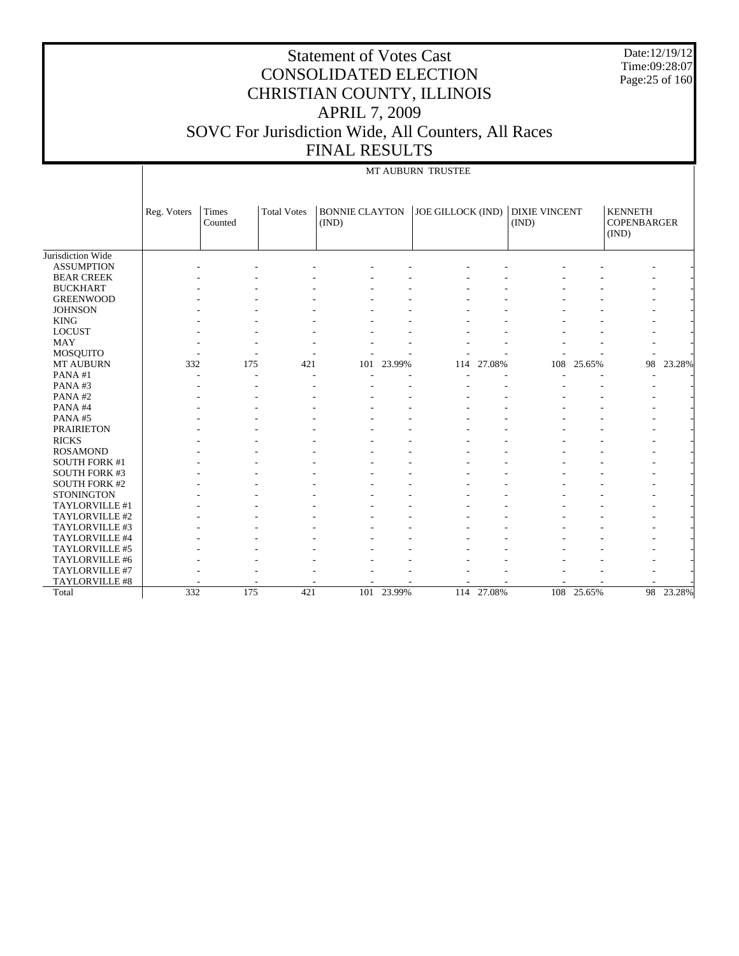|                                     |             |                  |                    | <b>Statement of Votes Cast</b><br><b>APRIL 7, 2009</b><br><b>FINAL RESULTS</b> |        | <b>CONSOLIDATED ELECTION</b><br>CHRISTIAN COUNTY, ILLINOIS<br>SOVC For Jurisdiction Wide, All Counters, All Races |            |                               |            | Date:12/19/12<br>Time:09:28:07<br>Page: 25 of 160 |        |
|-------------------------------------|-------------|------------------|--------------------|--------------------------------------------------------------------------------|--------|-------------------------------------------------------------------------------------------------------------------|------------|-------------------------------|------------|---------------------------------------------------|--------|
|                                     |             |                  |                    |                                                                                |        | MT AUBURN TRUSTEE                                                                                                 |            |                               |            |                                                   |        |
|                                     | Reg. Voters | Times<br>Counted | <b>Total Votes</b> | <b>BONNIE CLAYTON</b><br>(IND)                                                 |        | JOE GILLOCK (IND)                                                                                                 |            | <b>DIXIE VINCENT</b><br>(IND) |            | <b>KENNETH</b><br><b>COPENBARGER</b><br>(IND)     |        |
| Jurisdiction Wide                   |             |                  |                    |                                                                                |        |                                                                                                                   |            |                               |            |                                                   |        |
| <b>ASSUMPTION</b>                   |             |                  |                    |                                                                                |        |                                                                                                                   |            |                               |            |                                                   |        |
| <b>BEAR CREEK</b>                   |             |                  |                    |                                                                                |        |                                                                                                                   |            |                               |            |                                                   |        |
| <b>BUCKHART</b><br><b>GREENWOOD</b> |             |                  |                    |                                                                                |        |                                                                                                                   |            |                               |            |                                                   |        |
| <b>JOHNSON</b>                      |             |                  |                    |                                                                                |        |                                                                                                                   |            |                               |            |                                                   |        |
| <b>KING</b>                         |             |                  |                    |                                                                                |        |                                                                                                                   |            |                               |            |                                                   |        |
| <b>LOCUST</b>                       |             |                  |                    |                                                                                |        |                                                                                                                   |            |                               |            |                                                   |        |
| MAY                                 |             |                  |                    |                                                                                |        |                                                                                                                   |            |                               |            |                                                   |        |
| MOSQUITO                            |             |                  |                    |                                                                                |        |                                                                                                                   |            |                               |            |                                                   |        |
| <b>MT AUBURN</b>                    | 332         | 175              | 421                | 101                                                                            | 23.99% |                                                                                                                   | 114 27.08% | 108                           | 25.65%     | 98                                                | 23.28% |
| PANA#1                              |             |                  |                    |                                                                                |        |                                                                                                                   |            |                               |            |                                                   |        |
| PANA#3                              |             |                  |                    |                                                                                |        |                                                                                                                   |            |                               |            |                                                   |        |
| PANA#2                              |             |                  |                    |                                                                                |        |                                                                                                                   |            |                               |            |                                                   |        |
| PANA#4                              |             |                  |                    |                                                                                |        |                                                                                                                   |            |                               |            |                                                   |        |
| PANA#5                              |             |                  |                    |                                                                                |        |                                                                                                                   |            |                               |            |                                                   |        |
| <b>PRAIRIETON</b>                   |             |                  |                    |                                                                                |        |                                                                                                                   |            |                               |            |                                                   |        |
| <b>RICKS</b>                        |             |                  |                    |                                                                                |        |                                                                                                                   |            |                               |            |                                                   |        |
| <b>ROSAMOND</b>                     |             |                  |                    |                                                                                |        |                                                                                                                   |            |                               |            |                                                   |        |
| <b>SOUTH FORK #1</b>                |             |                  |                    |                                                                                |        |                                                                                                                   |            |                               |            |                                                   |        |
| <b>SOUTH FORK #3</b>                |             |                  |                    |                                                                                |        |                                                                                                                   |            |                               |            |                                                   |        |
| <b>SOUTH FORK #2</b>                |             |                  |                    |                                                                                |        |                                                                                                                   |            |                               |            |                                                   |        |
| <b>STONINGTON</b>                   |             |                  |                    |                                                                                |        |                                                                                                                   |            |                               |            |                                                   |        |
| TAYLORVILLE #1                      |             |                  |                    |                                                                                |        |                                                                                                                   |            |                               |            |                                                   |        |
| TAYLORVILLE #2                      |             |                  |                    |                                                                                |        |                                                                                                                   |            |                               |            |                                                   |        |
| TAYLORVILLE #3                      |             |                  |                    |                                                                                |        |                                                                                                                   |            |                               |            |                                                   |        |
| TAYLORVILLE #4                      |             |                  |                    |                                                                                |        |                                                                                                                   |            |                               |            |                                                   |        |
| TAYLORVILLE #5                      |             |                  |                    |                                                                                |        |                                                                                                                   |            |                               |            |                                                   |        |
| TAYLORVILLE #6                      |             |                  |                    |                                                                                |        |                                                                                                                   |            |                               |            |                                                   |        |
| TAYLORVILLE #7                      |             |                  |                    |                                                                                |        |                                                                                                                   |            |                               |            |                                                   |        |
| TAYLORVILLE #8                      |             |                  |                    |                                                                                |        |                                                                                                                   |            |                               |            |                                                   |        |
| Total                               | 332         | 175              | 421                | 101                                                                            | 23.99% |                                                                                                                   | 114 27.08% |                               | 108 25.65% | 98                                                | 23.28% |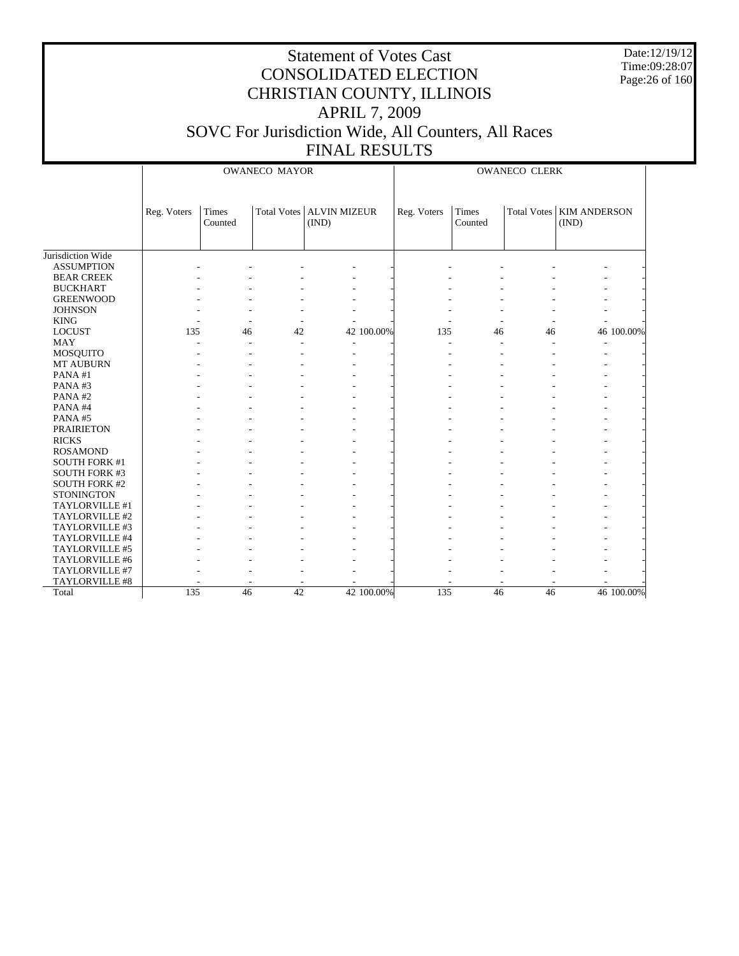Date:12/19/12 Time:09:28:07 Page:26 of 160

|                      |             | <b>OWANECO MAYOR</b> |                 |                            |            |             | <b>OWANECO CLERK</b> |    |                            |  |  |
|----------------------|-------------|----------------------|-----------------|----------------------------|------------|-------------|----------------------|----|----------------------------|--|--|
|                      | Reg. Voters | Times                |                 | Total Votes   ALVIN MIZEUR |            | Reg. Voters | Times                |    | Total Votes   KIM ANDERSON |  |  |
|                      |             | Counted              |                 | (IND)                      |            |             | Counted              |    | (IND)                      |  |  |
|                      |             |                      |                 |                            |            |             |                      |    |                            |  |  |
|                      |             |                      |                 |                            |            |             |                      |    |                            |  |  |
| Jurisdiction Wide    |             |                      |                 |                            |            |             |                      |    |                            |  |  |
| <b>ASSUMPTION</b>    |             |                      |                 |                            |            |             |                      |    |                            |  |  |
| <b>BEAR CREEK</b>    |             |                      |                 |                            |            |             |                      |    |                            |  |  |
| <b>BUCKHART</b>      |             |                      |                 |                            |            |             |                      |    |                            |  |  |
| <b>GREENWOOD</b>     |             |                      |                 |                            |            |             |                      |    |                            |  |  |
| <b>JOHNSON</b>       |             |                      |                 |                            |            |             |                      |    |                            |  |  |
| <b>KING</b>          |             |                      |                 |                            |            |             |                      |    |                            |  |  |
| <b>LOCUST</b>        | 135         | 46                   | 42              |                            | 42 100.00% | 135         | 46                   | 46 | 46 100.00%                 |  |  |
| <b>MAY</b>           |             |                      |                 |                            |            |             |                      |    |                            |  |  |
| MOSQUITO             |             |                      |                 |                            |            |             |                      |    |                            |  |  |
| MT AUBURN            |             |                      |                 |                            |            |             |                      |    |                            |  |  |
| PANA#1               |             |                      |                 |                            |            |             |                      |    |                            |  |  |
| PANA#3               |             |                      |                 |                            |            |             |                      |    |                            |  |  |
| PANA#2               |             |                      |                 |                            |            |             |                      |    |                            |  |  |
| PANA#4               |             |                      |                 |                            |            |             |                      |    |                            |  |  |
| PANA#5               |             |                      |                 |                            |            |             |                      |    |                            |  |  |
| <b>PRAIRIETON</b>    |             |                      |                 |                            |            |             |                      |    |                            |  |  |
| <b>RICKS</b>         |             |                      |                 |                            |            |             |                      |    |                            |  |  |
| <b>ROSAMOND</b>      |             |                      |                 |                            |            |             |                      |    |                            |  |  |
| <b>SOUTH FORK #1</b> |             |                      |                 |                            |            |             |                      |    |                            |  |  |
| <b>SOUTH FORK #3</b> |             |                      |                 |                            |            |             |                      |    |                            |  |  |
| <b>SOUTH FORK #2</b> |             |                      |                 |                            |            |             |                      |    |                            |  |  |
| <b>STONINGTON</b>    |             |                      |                 |                            |            |             |                      |    |                            |  |  |
| TAYLORVILLE #1       |             |                      |                 |                            |            |             |                      |    |                            |  |  |
| TAYLORVILLE #2       |             |                      |                 |                            |            |             |                      |    |                            |  |  |
| TAYLORVILLE #3       |             |                      |                 |                            |            |             |                      |    |                            |  |  |
| TAYLORVILLE #4       |             |                      |                 |                            |            |             |                      |    |                            |  |  |
| TAYLORVILLE #5       |             |                      |                 |                            |            |             |                      |    |                            |  |  |
| TAYLORVILLE #6       |             |                      |                 |                            |            |             |                      |    |                            |  |  |
| TAYLORVILLE #7       |             |                      |                 |                            |            |             |                      |    |                            |  |  |
| TAYLORVILLE #8       |             |                      |                 |                            |            |             |                      |    |                            |  |  |
| Total                | 135         | $\overline{46}$      | $\overline{42}$ |                            | 42 100.00% | 135         | 46                   | 46 | 46 100.00%                 |  |  |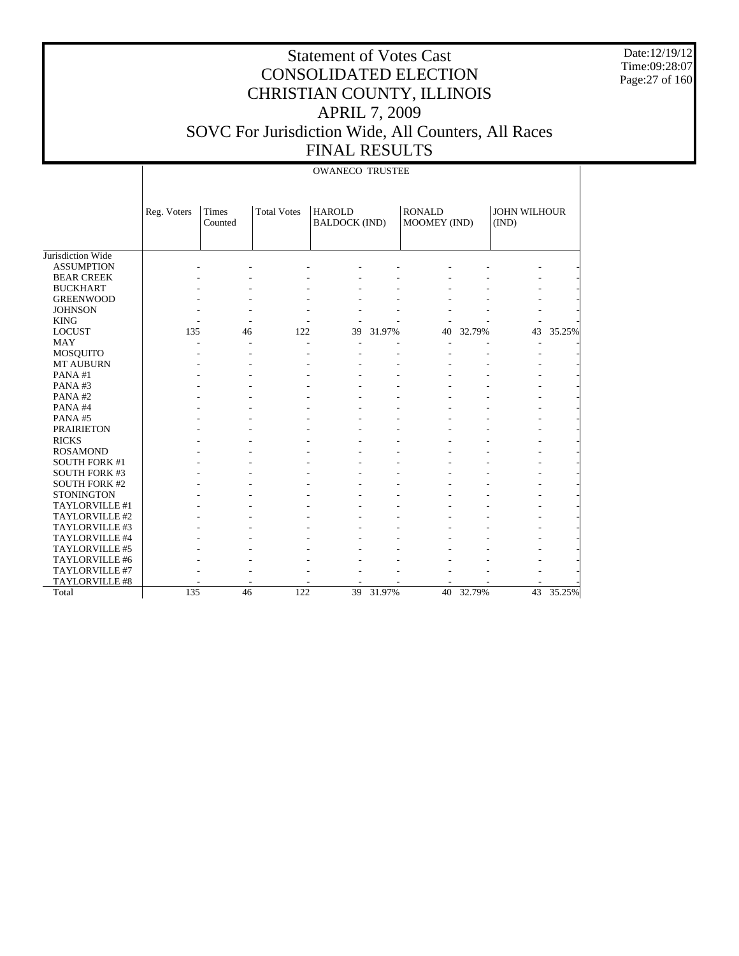Date:12/19/12 Time:09:28:07 Page:27 of 160

|                      |             |                  |                    | <b>OWANECO TRUSTEE</b>                |        |                               |        |                              |        |
|----------------------|-------------|------------------|--------------------|---------------------------------------|--------|-------------------------------|--------|------------------------------|--------|
|                      | Reg. Voters | Times<br>Counted | <b>Total Votes</b> | <b>HAROLD</b><br><b>BALDOCK (IND)</b> |        | <b>RONALD</b><br>MOOMEY (IND) |        | <b>JOHN WILHOUR</b><br>(IND) |        |
| Jurisdiction Wide    |             |                  |                    |                                       |        |                               |        |                              |        |
| <b>ASSUMPTION</b>    |             |                  |                    |                                       |        |                               |        |                              |        |
| <b>BEAR CREEK</b>    |             |                  |                    |                                       |        |                               |        |                              |        |
| <b>BUCKHART</b>      |             |                  |                    |                                       |        |                               |        |                              |        |
| <b>GREENWOOD</b>     |             |                  |                    |                                       |        |                               |        |                              |        |
| <b>JOHNSON</b>       |             |                  |                    |                                       |        |                               |        |                              |        |
| <b>KING</b>          |             |                  |                    |                                       |        |                               |        |                              |        |
| <b>LOCUST</b>        | 135         | 46               | 122                | 39                                    | 31.97% | 40                            | 32.79% | 43                           | 35.25% |
| <b>MAY</b>           |             |                  | ÷.                 |                                       |        |                               |        |                              |        |
| MOSQUITO             |             |                  |                    |                                       |        |                               |        |                              |        |
| <b>MT AUBURN</b>     |             |                  |                    |                                       |        |                               |        |                              |        |
| PANA#1               |             |                  |                    |                                       |        |                               |        |                              |        |
| PANA#3               |             |                  |                    |                                       |        |                               |        |                              |        |
| PANA#2               |             |                  |                    |                                       |        |                               |        |                              |        |
| PANA#4               |             |                  |                    |                                       |        |                               |        |                              |        |
| PANA#5               |             |                  |                    |                                       |        |                               |        |                              |        |
| <b>PRAIRIETON</b>    |             |                  |                    |                                       |        |                               |        |                              |        |
| <b>RICKS</b>         |             |                  |                    |                                       |        |                               |        |                              |        |
| <b>ROSAMOND</b>      |             |                  |                    |                                       |        |                               |        |                              |        |
| <b>SOUTH FORK #1</b> |             |                  |                    |                                       |        |                               |        |                              |        |
| <b>SOUTH FORK #3</b> |             |                  |                    |                                       |        |                               |        |                              |        |
| <b>SOUTH FORK #2</b> |             |                  |                    |                                       |        |                               |        |                              |        |
| <b>STONINGTON</b>    |             |                  |                    |                                       |        |                               |        |                              |        |
| TAYLORVILLE #1       |             |                  |                    |                                       |        |                               |        |                              |        |
| TAYLORVILLE #2       |             |                  |                    |                                       |        |                               |        |                              |        |
| TAYLORVILLE #3       |             |                  |                    |                                       |        |                               |        |                              |        |
| TAYLORVILLE #4       |             |                  |                    |                                       |        |                               |        |                              |        |
| TAYLORVILLE #5       |             |                  |                    |                                       |        |                               |        |                              |        |
| TAYLORVILLE #6       |             |                  |                    |                                       |        |                               |        |                              |        |
| TAYLORVILLE #7       |             |                  |                    |                                       |        |                               |        |                              |        |
| TAYLORVILLE #8       |             |                  |                    |                                       |        |                               |        |                              |        |
| Total                | 135         | 46               | 122                | 39                                    | 31.97% | 40                            | 32.79% | 43                           | 35.25% |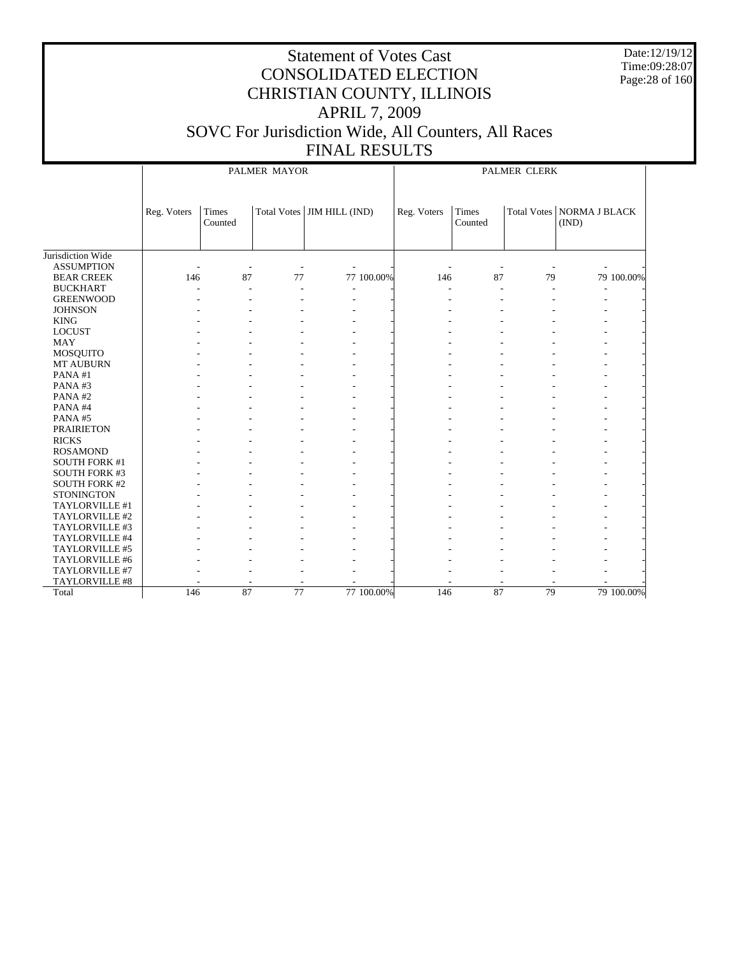Date:12/19/12 Time:09:28:07 Page:28 of 160

|                       |             |                  | PALMER MAYOR    |                              |             | PALMER CLERK     |    |                                      |            |  |
|-----------------------|-------------|------------------|-----------------|------------------------------|-------------|------------------|----|--------------------------------------|------------|--|
|                       | Reg. Voters | Times<br>Counted |                 | Total Votes   JIM HILL (IND) | Reg. Voters | Times<br>Counted |    | Total Votes   NORMA J BLACK<br>(IND) |            |  |
| Jurisdiction Wide     |             |                  |                 |                              |             |                  |    |                                      |            |  |
| <b>ASSUMPTION</b>     |             |                  |                 |                              |             |                  |    |                                      |            |  |
| <b>BEAR CREEK</b>     | 146         | 87               | 77              | 77 100.00%                   | 146         | 87               | 79 |                                      | 79 100.00% |  |
| <b>BUCKHART</b>       |             | $\overline{a}$   |                 | $\overline{a}$               |             |                  | L. |                                      |            |  |
| <b>GREENWOOD</b>      |             |                  |                 |                              |             |                  |    |                                      |            |  |
| <b>JOHNSON</b>        |             |                  |                 |                              |             |                  |    |                                      |            |  |
| <b>KING</b>           |             |                  |                 |                              |             |                  |    |                                      |            |  |
| <b>LOCUST</b>         |             |                  |                 |                              |             |                  |    |                                      |            |  |
| <b>MAY</b>            |             |                  |                 |                              |             |                  |    |                                      |            |  |
| <b>MOSQUITO</b>       |             |                  |                 |                              |             |                  |    |                                      |            |  |
| MT AUBURN             |             |                  |                 |                              |             |                  |    |                                      |            |  |
| PANA#1                |             |                  |                 |                              |             |                  |    |                                      |            |  |
| PANA#3                |             |                  |                 |                              |             |                  |    |                                      |            |  |
| PANA#2                |             |                  |                 |                              |             |                  |    |                                      |            |  |
| PANA#4                |             |                  |                 |                              |             |                  |    |                                      |            |  |
| PANA#5                |             |                  |                 |                              |             |                  |    |                                      |            |  |
| <b>PRAIRIETON</b>     |             |                  |                 |                              |             |                  |    |                                      |            |  |
| <b>RICKS</b>          |             |                  |                 |                              |             |                  |    |                                      |            |  |
| <b>ROSAMOND</b>       |             |                  |                 |                              |             |                  |    |                                      |            |  |
| <b>SOUTH FORK #1</b>  |             |                  |                 |                              |             |                  |    |                                      |            |  |
| <b>SOUTH FORK #3</b>  |             |                  |                 |                              |             |                  |    |                                      |            |  |
| <b>SOUTH FORK #2</b>  |             |                  |                 |                              |             |                  |    |                                      |            |  |
| <b>STONINGTON</b>     |             |                  |                 |                              |             |                  |    |                                      |            |  |
| TAYLORVILLE #1        |             |                  |                 |                              |             |                  |    |                                      |            |  |
| TAYLORVILLE #2        |             |                  |                 |                              |             |                  |    |                                      |            |  |
| TAYLORVILLE #3        |             |                  |                 |                              |             |                  |    |                                      |            |  |
| TAYLORVILLE #4        |             |                  |                 |                              |             |                  |    |                                      |            |  |
| TAYLORVILLE #5        |             |                  |                 |                              |             |                  |    |                                      |            |  |
| TAYLORVILLE #6        |             |                  |                 |                              |             |                  |    |                                      |            |  |
| TAYLORVILLE #7        |             |                  |                 |                              |             |                  |    |                                      |            |  |
| <b>TAYLORVILLE #8</b> |             |                  |                 |                              |             |                  |    |                                      |            |  |
| Total                 | 146         | 87               | $\overline{77}$ | 77 100.00%                   | 146         | 87               | 79 |                                      | 79 100.00% |  |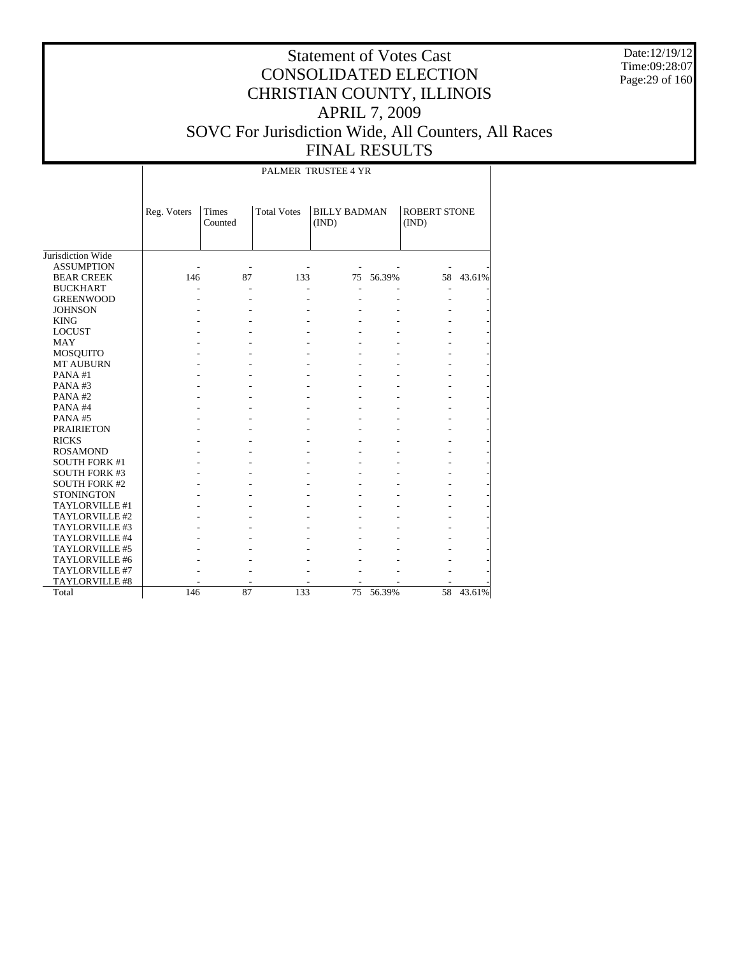Date:12/19/12 Time:09:28:07 Page:29 of 160

### Statement of Votes Cast CONSOLIDATED ELECTION CHRISTIAN COUNTY, ILLINOIS APRIL 7, 2009 SOVC For Jurisdiction Wide, All Counters, All Races FINAL RESULTS

PALMER TRUSTEE 4 YR

|                       | Reg. Voters | <b>Times</b><br>Counted | <b>Total Votes</b> | <b>BILLY BADMAN</b><br>(IND) |        | <b>ROBERT STONE</b><br>(IND) |           |
|-----------------------|-------------|-------------------------|--------------------|------------------------------|--------|------------------------------|-----------|
| Jurisdiction Wide     |             |                         |                    |                              |        |                              |           |
| <b>ASSUMPTION</b>     |             |                         |                    |                              |        |                              |           |
| <b>BEAR CREEK</b>     | 146         | 87                      | 133                | 75                           | 56.39% |                              | 58 43.61% |
| <b>BUCKHART</b>       |             |                         |                    |                              |        |                              |           |
| <b>GREENWOOD</b>      |             |                         |                    |                              |        |                              |           |
| <b>JOHNSON</b>        |             |                         |                    |                              |        |                              |           |
| <b>KING</b>           |             |                         |                    |                              |        |                              |           |
| <b>LOCUST</b>         |             |                         |                    |                              |        |                              |           |
| <b>MAY</b>            |             |                         |                    |                              |        |                              |           |
| <b>MOSQUITO</b>       |             |                         |                    |                              |        |                              |           |
| <b>MT AUBURN</b>      |             |                         |                    |                              |        |                              |           |
| PANA#1                |             |                         |                    |                              |        |                              |           |
| PANA#3                |             |                         |                    |                              |        |                              |           |
| PANA#2                |             |                         |                    |                              |        |                              |           |
| PANA#4                |             |                         |                    |                              |        |                              |           |
| PANA#5                |             |                         |                    |                              |        |                              |           |
| <b>PRAIRIETON</b>     |             |                         |                    |                              |        |                              |           |
| <b>RICKS</b>          |             |                         |                    |                              |        |                              |           |
| <b>ROSAMOND</b>       |             |                         |                    |                              |        |                              |           |
| <b>SOUTH FORK #1</b>  |             |                         |                    |                              |        |                              |           |
| <b>SOUTH FORK #3</b>  |             |                         |                    |                              |        |                              |           |
| <b>SOUTH FORK #2</b>  |             |                         |                    |                              |        |                              |           |
| <b>STONINGTON</b>     |             |                         |                    |                              |        |                              |           |
| TAYLORVILLE #1        |             |                         |                    |                              |        |                              |           |
| TAYLORVILLE #2        |             |                         |                    |                              |        |                              |           |
| TAYLORVILLE #3        |             |                         |                    |                              |        |                              |           |
| <b>TAYLORVILLE #4</b> |             |                         |                    |                              |        |                              |           |
| TAYLORVILLE #5        |             |                         |                    |                              |        |                              |           |
| TAYLORVILLE #6        |             |                         |                    |                              |        |                              |           |
| <b>TAYLORVILLE #7</b> |             |                         |                    |                              |        |                              |           |
| <b>TAYLORVILLE #8</b> |             |                         |                    |                              |        |                              |           |
| Total                 | 146         | 87                      | 133                | 75                           | 56.39% | 58                           | 43.61%    |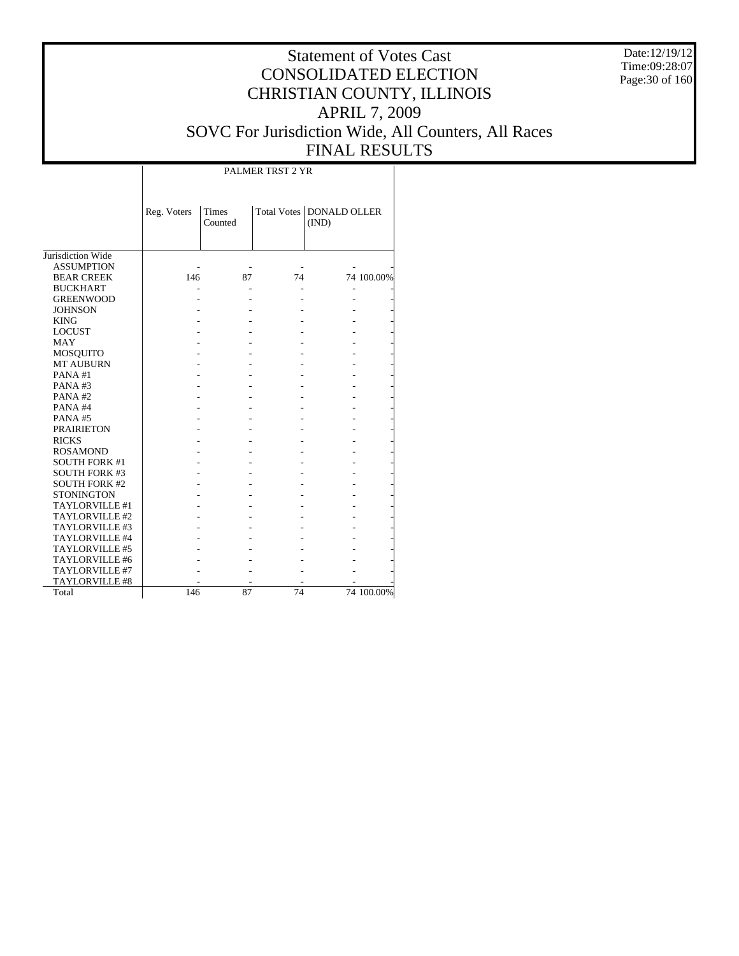Date:12/19/12 Time:09:28:07 Page:30 of 160

### Statement of Votes Cast CONSOLIDATED ELECTION CHRISTIAN COUNTY, ILLINOIS APRIL 7, 2009 SOVC For Jurisdiction Wide, All Counters, All Races FINAL RESULTS

|                      |             |                         | PALMER TRST 2 YR |                              |            |
|----------------------|-------------|-------------------------|------------------|------------------------------|------------|
|                      | Reg. Voters | <b>Times</b><br>Counted | Total Votes      | <b>DONALD OLLER</b><br>(IND) |            |
| Jurisdiction Wide    |             |                         |                  |                              |            |
| <b>ASSUMPTION</b>    |             |                         |                  |                              |            |
| <b>BEAR CREEK</b>    | 146         | 87                      | 74               |                              | 74 100.00% |
| <b>BUCKHART</b>      |             |                         |                  |                              |            |
| <b>GREENWOOD</b>     |             |                         |                  |                              |            |
| <b>JOHNSON</b>       |             |                         |                  |                              |            |
| <b>KING</b>          |             |                         |                  |                              |            |
| <b>LOCUST</b>        |             |                         |                  |                              |            |
| <b>MAY</b>           |             |                         |                  |                              |            |
| MOSQUITO             |             |                         |                  |                              |            |
| <b>MT AUBURN</b>     |             |                         |                  |                              |            |
| PANA#1               |             |                         |                  |                              |            |
| PANA#3               |             |                         |                  |                              |            |
| PANA#2               |             |                         |                  |                              |            |
| PANA#4               |             |                         |                  |                              |            |
| PANA#5               |             |                         |                  |                              |            |
| <b>PRAIRIETON</b>    |             |                         |                  |                              |            |
| <b>RICKS</b>         |             |                         |                  |                              |            |
| <b>ROSAMOND</b>      |             |                         |                  |                              |            |
| <b>SOUTH FORK #1</b> |             |                         |                  |                              |            |
| <b>SOUTH FORK #3</b> |             |                         |                  |                              |            |
| <b>SOUTH FORK #2</b> |             |                         |                  |                              |            |
| <b>STONINGTON</b>    |             |                         |                  |                              |            |
| TAYLORVILLE #1       |             |                         |                  |                              |            |
| TAYLORVILLE #2       |             |                         |                  |                              |            |
| TAYLORVILLE #3       |             |                         |                  |                              |            |
| TAYLORVILLE #4       |             |                         |                  |                              |            |
| TAYLORVILLE #5       |             |                         |                  |                              |            |
| TAYLORVILLE #6       |             |                         |                  |                              |            |
| TAYLORVILLE #7       |             |                         |                  |                              |            |
| TAYLORVILLE #8       |             |                         |                  |                              |            |
| Total                | 146         | 87                      | 74               |                              | 74 100.00% |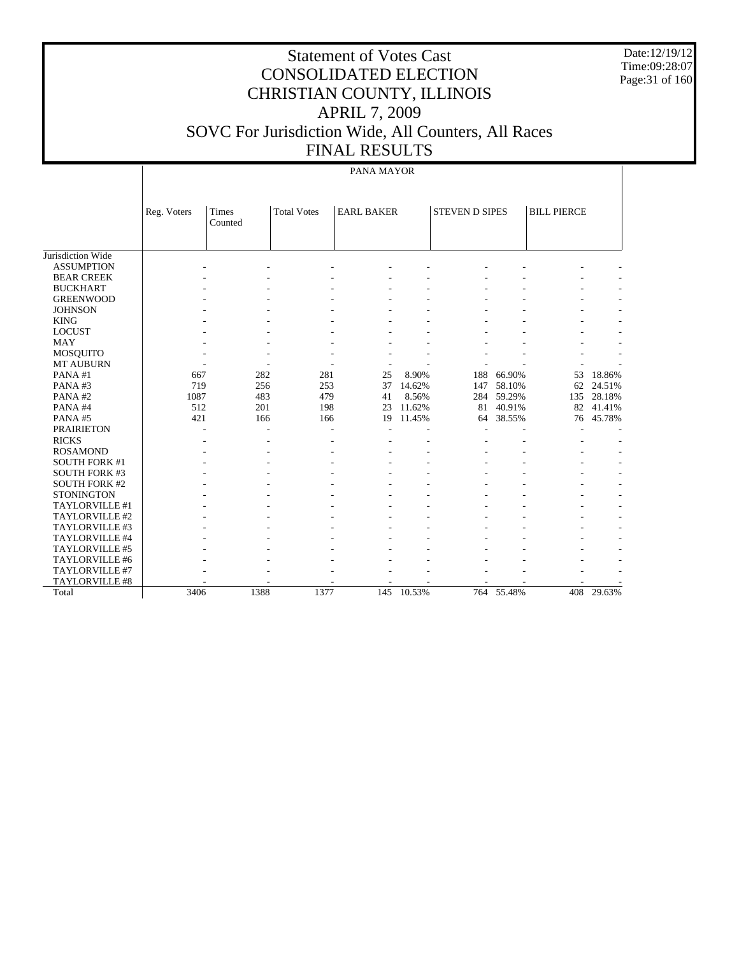Date:12/19/12 Time:09:28:07 Page:31 of 160

### Statement of Votes Cast CONSOLIDATED ELECTION CHRISTIAN COUNTY, ILLINOIS APRIL 7, 2009 SOVC For Jurisdiction Wide, All Counters, All Races FINAL RESULTS

#### PANA MAYOR

|                      | Reg. Voters | Times<br>Counted | <b>Total Votes</b> | <b>EARL BAKER</b> |            | <b>STEVEN D SIPES</b> |            | <b>BILL PIERCE</b> |        |
|----------------------|-------------|------------------|--------------------|-------------------|------------|-----------------------|------------|--------------------|--------|
|                      |             |                  |                    |                   |            |                       |            |                    |        |
|                      |             |                  |                    |                   |            |                       |            |                    |        |
| Jurisdiction Wide    |             |                  |                    |                   |            |                       |            |                    |        |
| <b>ASSUMPTION</b>    |             |                  |                    |                   |            |                       |            |                    |        |
| <b>BEAR CREEK</b>    |             |                  |                    |                   |            |                       |            |                    |        |
| <b>BUCKHART</b>      |             |                  |                    |                   |            |                       |            |                    |        |
| <b>GREENWOOD</b>     |             |                  |                    |                   |            |                       |            |                    |        |
| <b>JOHNSON</b>       |             |                  |                    |                   |            |                       |            |                    |        |
| <b>KING</b>          |             |                  |                    |                   |            |                       |            |                    |        |
| <b>LOCUST</b>        |             |                  |                    |                   |            |                       |            |                    |        |
| <b>MAY</b>           |             |                  |                    |                   |            |                       |            |                    |        |
| <b>MOSQUITO</b>      |             |                  |                    |                   |            |                       |            |                    |        |
| MT AUBURN            |             |                  |                    |                   |            |                       |            |                    |        |
| PANA#1               | 667         | 282              | 281                | 25                | 8.90%      | 188                   | 66.90%     | 53                 | 18.86% |
| PANA#3               | 719         | 256              | 253                | 37                | 14.62%     | 147                   | 58.10%     | 62                 | 24.51% |
| PANA#2               | 1087        | 483              | 479                | 41                | 8.56%      | 284                   | 59.29%     | 135                | 28.18% |
| PANA#4               | 512         | 201              | 198                | 23                | 11.62%     | 81                    | 40.91%     | 82                 | 41.41% |
| PANA#5               | 421         | 166              | 166                | 19                | 11.45%     | 64                    | 38.55%     | 76                 | 45.78% |
| <b>PRAIRIETON</b>    |             |                  |                    |                   |            |                       |            |                    |        |
| <b>RICKS</b>         |             |                  |                    |                   |            |                       |            |                    |        |
| <b>ROSAMOND</b>      |             |                  |                    |                   |            |                       |            |                    |        |
| <b>SOUTH FORK #1</b> |             |                  |                    |                   |            |                       |            |                    |        |
| <b>SOUTH FORK #3</b> |             |                  |                    |                   |            |                       |            |                    |        |
| <b>SOUTH FORK #2</b> |             |                  |                    |                   |            |                       |            |                    |        |
| <b>STONINGTON</b>    |             |                  |                    |                   |            |                       |            |                    |        |
| TAYLORVILLE #1       |             |                  |                    |                   |            |                       |            |                    |        |
| TAYLORVILLE #2       |             |                  |                    |                   |            |                       |            |                    |        |
| TAYLORVILLE #3       |             |                  |                    |                   |            |                       |            |                    |        |
| TAYLORVILLE #4       |             |                  |                    |                   |            |                       |            |                    |        |
| TAYLORVILLE #5       |             |                  |                    |                   |            |                       |            |                    |        |
| TAYLORVILLE #6       |             |                  |                    |                   |            |                       |            |                    |        |
| TAYLORVILLE #7       |             |                  |                    |                   |            |                       |            |                    |        |
| TAYLORVILLE #8       |             |                  |                    |                   |            |                       |            |                    |        |
| Total                | 3406        | 1388             | 1377               |                   | 145 10.53% |                       | 764 55.48% | 408                | 29.63% |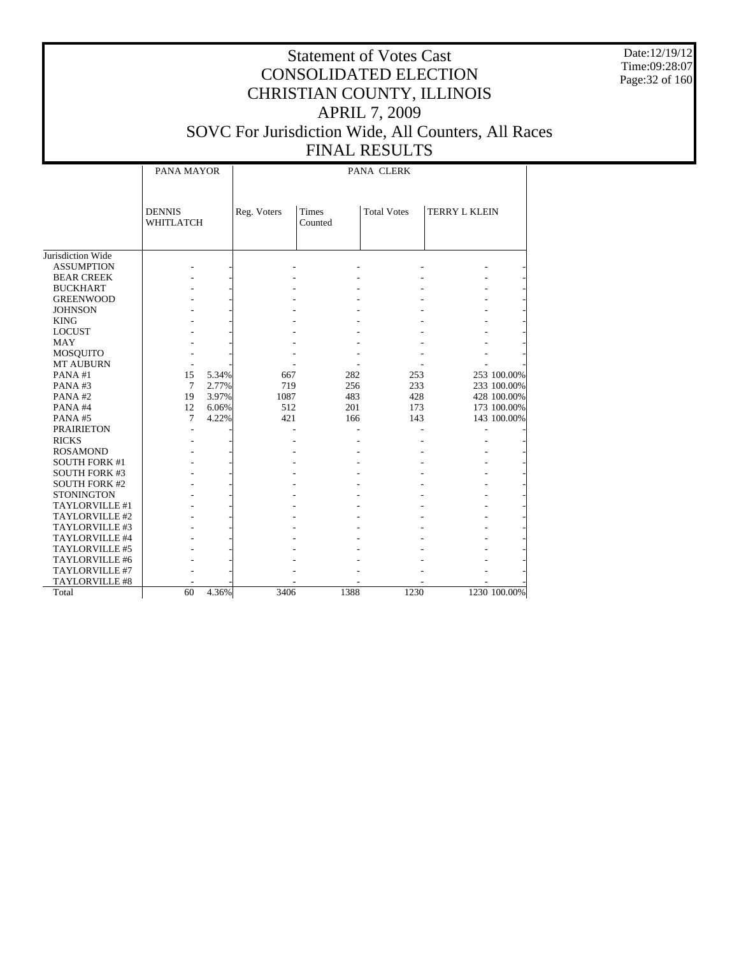Date:12/19/12 Time:09:28:07 Page:32 of 160

#### Statement of Votes Cast CONSOLIDATED ELECTION CHRISTIAN COUNTY, ILLINOIS APRIL 7, 2009 SOVC For Jurisdiction Wide, All Counters, All Races FINAL RESULTS

# PANA CLERK

|                      | PANA MAYOR                 |       | PANA CLERK  |                         |                    |                      |  |  |  |
|----------------------|----------------------------|-------|-------------|-------------------------|--------------------|----------------------|--|--|--|
|                      |                            |       |             |                         |                    |                      |  |  |  |
|                      | <b>DENNIS</b><br>WHITLATCH |       | Reg. Voters | <b>Times</b><br>Counted | <b>Total Votes</b> | <b>TERRY L KLEIN</b> |  |  |  |
|                      |                            |       |             |                         |                    |                      |  |  |  |
|                      |                            |       |             |                         |                    |                      |  |  |  |
| Jurisdiction Wide    |                            |       |             |                         |                    |                      |  |  |  |
| <b>ASSUMPTION</b>    |                            |       |             |                         |                    |                      |  |  |  |
| <b>BEAR CREEK</b>    |                            |       |             |                         |                    |                      |  |  |  |
| <b>BUCKHART</b>      |                            |       |             |                         |                    |                      |  |  |  |
| <b>GREENWOOD</b>     |                            |       |             |                         |                    |                      |  |  |  |
| <b>JOHNSON</b>       |                            |       |             |                         |                    |                      |  |  |  |
| <b>KING</b>          |                            |       |             |                         |                    |                      |  |  |  |
| <b>LOCUST</b>        |                            |       |             |                         |                    |                      |  |  |  |
| <b>MAY</b>           |                            |       |             |                         |                    |                      |  |  |  |
| <b>MOSQUITO</b>      |                            |       |             |                         |                    |                      |  |  |  |
| <b>MT AUBURN</b>     |                            |       |             |                         |                    |                      |  |  |  |
| PANA#1               | 15                         | 5.34% | 667         | 282                     | 253                | 253 100.00%          |  |  |  |
| PANA#3               | $\tau$                     | 2.77% | 719         | 256                     | 233                | 233 100.00%          |  |  |  |
| PANA#2               | 19                         | 3.97% | 1087        | 483                     | 428                | 428 100.00%          |  |  |  |
| PANA#4               | 12                         | 6.06% | 512         | 201                     | 173                | 173 100.00%          |  |  |  |
| PANA#5               | 7                          | 4.22% | 421         | 166                     | 143                | 143 100.00%          |  |  |  |
| <b>PRAIRIETON</b>    |                            |       |             |                         |                    |                      |  |  |  |
| <b>RICKS</b>         |                            |       |             |                         |                    |                      |  |  |  |
| <b>ROSAMOND</b>      |                            |       |             |                         |                    |                      |  |  |  |
| <b>SOUTH FORK #1</b> |                            |       |             |                         |                    |                      |  |  |  |
| <b>SOUTH FORK #3</b> |                            |       |             |                         |                    |                      |  |  |  |
| <b>SOUTH FORK #2</b> |                            |       |             |                         |                    |                      |  |  |  |
| <b>STONINGTON</b>    |                            |       |             |                         |                    |                      |  |  |  |
| TAYLORVILLE #1       |                            |       |             |                         |                    |                      |  |  |  |
| TAYLORVILLE #2       |                            |       |             |                         |                    |                      |  |  |  |
| TAYLORVILLE #3       |                            |       |             |                         |                    |                      |  |  |  |
| TAYLORVILLE #4       |                            |       |             |                         |                    |                      |  |  |  |
| TAYLORVILLE #5       |                            |       |             |                         |                    |                      |  |  |  |
| TAYLORVILLE #6       |                            |       |             |                         |                    |                      |  |  |  |
| TAYLORVILLE #7       |                            |       |             |                         |                    |                      |  |  |  |
| TAYLORVILLE #8       |                            |       |             |                         |                    |                      |  |  |  |
| Total                | 60                         | 4.36% | 3406        | 1388                    | 1230               | 1230 100.00%         |  |  |  |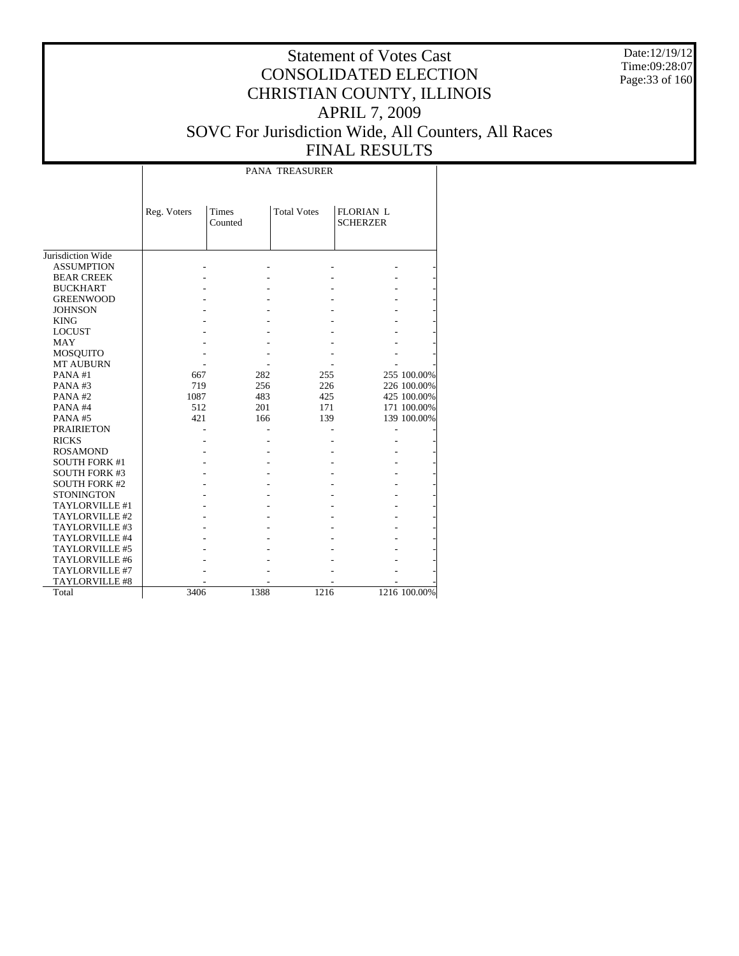Date:12/19/12 Time:09:28:07 Page:33 of 160

|                      |             |                         | PANA TREASURER     |                                     |              |
|----------------------|-------------|-------------------------|--------------------|-------------------------------------|--------------|
|                      | Reg. Voters | <b>Times</b><br>Counted | <b>Total Votes</b> | <b>FLORIAN L</b><br><b>SCHERZER</b> |              |
| Jurisdiction Wide    |             |                         |                    |                                     |              |
| <b>ASSUMPTION</b>    |             |                         |                    |                                     |              |
| <b>BEAR CREEK</b>    |             |                         |                    |                                     |              |
| <b>BUCKHART</b>      |             |                         |                    |                                     |              |
| <b>GREENWOOD</b>     |             |                         |                    |                                     |              |
| <b>JOHNSON</b>       |             |                         |                    |                                     |              |
| <b>KING</b>          |             |                         |                    |                                     |              |
| <b>LOCUST</b>        |             |                         |                    |                                     |              |
| <b>MAY</b>           |             |                         |                    |                                     |              |
| <b>MOSQUITO</b>      |             |                         |                    |                                     |              |
| <b>MT AUBURN</b>     |             |                         |                    |                                     |              |
| PANA#1               | 667         | 282                     | 255                |                                     | 255 100.00%  |
| PANA#3               | 719         | 256                     | 226                |                                     | 226 100.00%  |
| PANA#2               | 1087        | 483                     | 425                |                                     | 425 100.00%  |
| PANA#4               | 512         | 201                     | 171                |                                     | 171 100.00%  |
| PANA#5               | 421         | 166                     | 139                |                                     | 139 100.00%  |
| <b>PRAIRIETON</b>    |             |                         |                    |                                     |              |
| <b>RICKS</b>         |             |                         |                    |                                     |              |
| <b>ROSAMOND</b>      |             |                         |                    |                                     |              |
| <b>SOUTH FORK #1</b> |             |                         |                    |                                     |              |
| <b>SOUTH FORK #3</b> |             |                         |                    |                                     |              |
| <b>SOUTH FORK #2</b> |             |                         |                    |                                     |              |
| <b>STONINGTON</b>    |             |                         |                    |                                     |              |
| TAYLORVILLE #1       |             |                         |                    |                                     |              |
| TAYLORVILLE #2       |             |                         |                    |                                     |              |
| TAYLORVILLE #3       |             |                         |                    |                                     |              |
| TAYLORVILLE #4       |             |                         |                    |                                     |              |
| TAYLORVILLE #5       |             |                         |                    |                                     |              |
| TAYLORVILLE #6       |             |                         |                    |                                     |              |
| TAYLORVILLE #7       |             |                         |                    |                                     |              |
| TAYLORVILLE #8       |             |                         |                    |                                     |              |
| Total                | 3406        | 1388                    | 1216               |                                     | 1216 100.00% |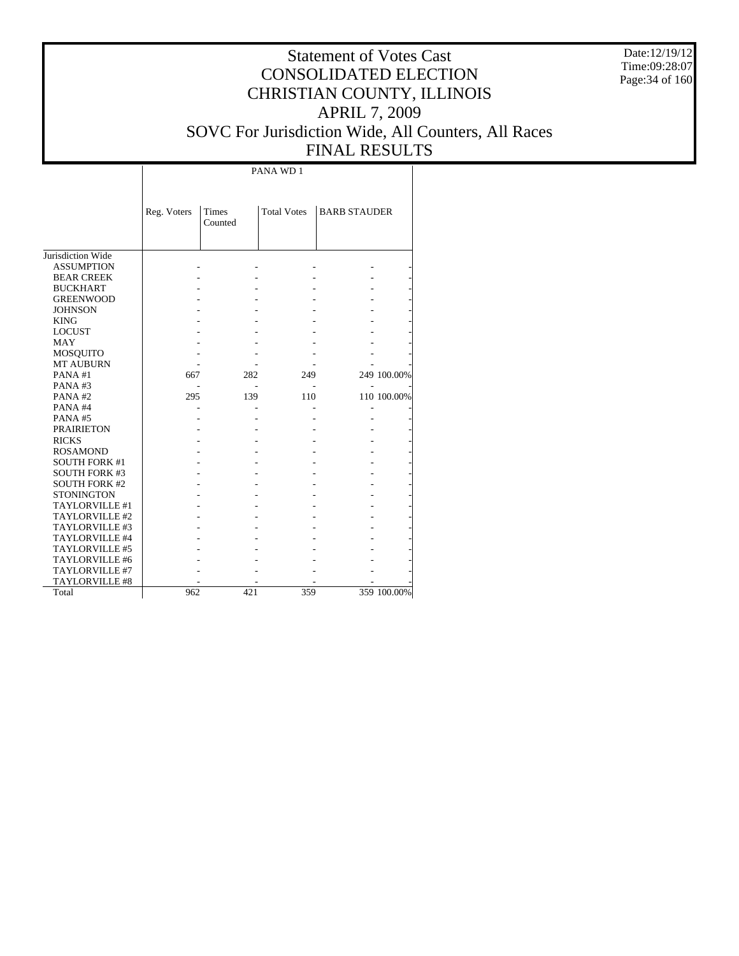Date:12/19/12 Time:09:28:07 Page:34 of 160

#### Statement of Votes Cast CONSOLIDATED ELECTION CHRISTIAN COUNTY, ILLINOIS APRIL 7, 2009 SOVC For Jurisdiction Wide, All Counters, All Races FINAL RESULTS

Jurisdiction Wide ASSUMPTION BEAR CREEK BUCKHART GREENWOOD JOHNSON KING LOCUST MAY MOSQUITO MT AUBURN PANA #1 PANA #3 PANA #2 PANA #4 PANA #5 PRAIRIETON RICKS ROSAMOND SOUTH FORK #1 SOUTH FORK #3 SOUTH FORK #2 **STONINGTON**  TAYLORVILLE #1 TAYLORVILLE #2 TAYLORVILLE #3 TAYLORVILLE #4 TAYLORVILLE #5 TAYLORVILLE #6 TAYLORVILLE #7 TAYLORVILLE #8 Total Reg. Voters Times Counted Total Votes | BARB STAUDER PANA WD 1 - - - - - - - - - - - - - - - - - - - - - - - - - - - - - - - - - - - - - - - - - - - - - - - - - - 667 282 249 249 100.00% - - - - - 295 139 110 110 100.00% - - - - - - - - - - - - - - - - - - - - - - - - - - - - - - - - - - - - - - - - - - - - - - - - - - - - - - - - - - - - - - - - - - - - - - - - - - - - - - - - - - - - - 962 421 359 359 100.00%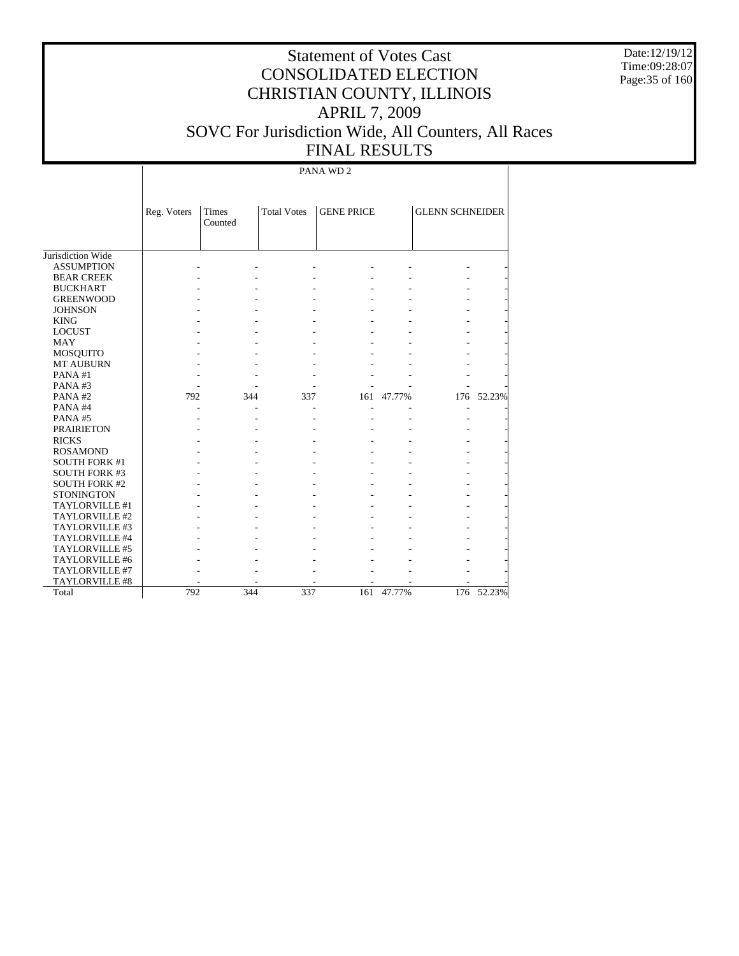Date:12/19/12 Time:09:28:07 Page:35 of 160

### Statement of Votes Cast CONSOLIDATED ELECTION CHRISTIAN COUNTY, ILLINOIS APRIL 7, 2009 SOVC For Jurisdiction Wide, All Counters, All Races FINAL RESULTS

PANA WD 2

|                       | Reg. Voters | Times<br>Counted | <b>Total Votes</b> | <b>GENE PRICE</b> |        | <b>GLENN SCHNEIDER</b>   |        |
|-----------------------|-------------|------------------|--------------------|-------------------|--------|--------------------------|--------|
| Jurisdiction Wide     |             |                  |                    |                   |        |                          |        |
| <b>ASSUMPTION</b>     |             |                  |                    |                   |        |                          |        |
| <b>BEAR CREEK</b>     |             |                  |                    |                   |        |                          |        |
| <b>BUCKHART</b>       |             |                  |                    |                   |        |                          |        |
| <b>GREENWOOD</b>      |             |                  |                    |                   |        |                          |        |
| <b>JOHNSON</b>        |             |                  |                    |                   |        |                          |        |
| <b>KING</b>           |             |                  |                    |                   |        |                          |        |
| <b>LOCUST</b>         |             |                  |                    |                   |        |                          |        |
| <b>MAY</b>            |             |                  |                    |                   |        |                          |        |
| <b>MOSQUITO</b>       |             |                  |                    |                   |        |                          |        |
| <b>MT AUBURN</b>      |             |                  |                    |                   |        |                          |        |
| PANA#1                |             |                  |                    |                   |        |                          |        |
| PANA#3                |             |                  |                    |                   |        |                          |        |
| PANA#2                | 792         | 344              | 337                | 161               | 47.77% | 176                      | 52.23% |
| PANA#4                |             |                  |                    |                   |        | $\overline{\phantom{a}}$ |        |
| PANA#5                |             |                  |                    |                   |        |                          |        |
| <b>PRAIRIETON</b>     |             |                  |                    |                   |        |                          |        |
| <b>RICKS</b>          |             |                  |                    |                   |        |                          |        |
| <b>ROSAMOND</b>       |             |                  |                    |                   |        |                          |        |
| <b>SOUTH FORK #1</b>  |             |                  |                    |                   |        |                          |        |
| <b>SOUTH FORK #3</b>  |             |                  |                    |                   |        |                          |        |
| <b>SOUTH FORK #2</b>  |             |                  |                    |                   |        |                          |        |
| <b>STONINGTON</b>     |             |                  |                    |                   |        |                          |        |
| TAYLORVILLE #1        |             |                  |                    |                   |        |                          |        |
| TAYLORVILLE #2        |             |                  |                    |                   |        |                          |        |
| TAYLORVILLE #3        |             |                  |                    |                   |        |                          |        |
| TAYLORVILLE #4        |             |                  |                    |                   |        |                          |        |
| <b>TAYLORVILLE #5</b> |             |                  |                    |                   |        |                          |        |
| TAYLORVILLE #6        |             |                  |                    |                   |        |                          |        |
| TAYLORVILLE #7        |             |                  |                    |                   |        |                          |        |
| TAYLORVILLE #8        |             |                  |                    |                   |        |                          |        |
| Total                 | 792         | 344              | 337                | 161               | 47.77% | 176                      | 52.23% |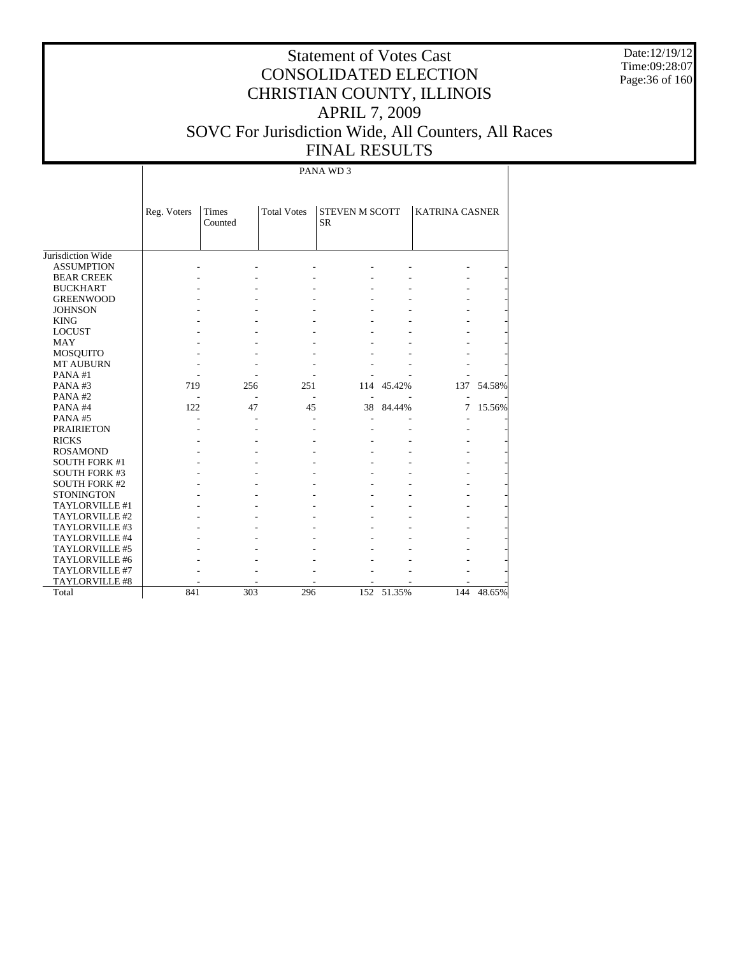Date:12/19/12 Time:09:28:07 Page:36 of 160

### Statement of Votes Cast CONSOLIDATED ELECTION CHRISTIAN COUNTY, ILLINOIS APRIL 7, 2009 SOVC For Jurisdiction Wide, All Counters, All Races FINAL RESULTS

PANA WD 3

|                      | Reg. Voters | <b>Times</b><br>Counted | <b>Total Votes</b> | <b>STEVEN M SCOTT</b><br><b>SR</b> |            | <b>KATRINA CASNER</b> |        |
|----------------------|-------------|-------------------------|--------------------|------------------------------------|------------|-----------------------|--------|
|                      |             |                         |                    |                                    |            |                       |        |
|                      |             |                         |                    |                                    |            |                       |        |
| Jurisdiction Wide    |             |                         |                    |                                    |            |                       |        |
| <b>ASSUMPTION</b>    |             |                         |                    |                                    |            |                       |        |
| <b>BEAR CREEK</b>    |             |                         |                    |                                    |            |                       |        |
| <b>BUCKHART</b>      |             |                         |                    |                                    |            |                       |        |
| <b>GREENWOOD</b>     |             |                         |                    |                                    |            |                       |        |
| <b>JOHNSON</b>       |             |                         |                    |                                    |            |                       |        |
| <b>KING</b>          |             |                         |                    |                                    |            |                       |        |
| <b>LOCUST</b>        |             |                         |                    |                                    |            |                       |        |
| <b>MAY</b>           |             |                         |                    |                                    |            |                       |        |
| <b>MOSQUITO</b>      |             |                         |                    |                                    |            |                       |        |
| <b>MT AUBURN</b>     |             |                         |                    |                                    |            |                       |        |
| PANA#1               |             |                         |                    |                                    |            |                       |        |
| PANA#3               | 719         | 256                     | 251                | 114                                | 45.42%     | 137                   | 54.58% |
| PANA#2               |             |                         | $\overline{a}$     | $\overline{a}$                     |            |                       |        |
| PANA#4               | 122         | 47                      | 45                 | 38                                 | 84.44%     | 7                     | 15.56% |
| PANA#5               |             |                         | L,                 | $\overline{a}$                     |            |                       |        |
| <b>PRAIRIETON</b>    |             |                         |                    |                                    |            |                       |        |
| <b>RICKS</b>         |             |                         |                    |                                    |            |                       |        |
| <b>ROSAMOND</b>      |             |                         |                    |                                    |            |                       |        |
| <b>SOUTH FORK #1</b> |             |                         |                    |                                    |            |                       |        |
| <b>SOUTH FORK #3</b> |             |                         |                    |                                    |            |                       |        |
| <b>SOUTH FORK #2</b> |             |                         |                    |                                    |            |                       |        |
| <b>STONINGTON</b>    |             |                         |                    |                                    |            |                       |        |
| TAYLORVILLE #1       |             |                         |                    |                                    |            |                       |        |
| TAYLORVILLE #2       |             |                         |                    |                                    |            |                       |        |
| TAYLORVILLE #3       |             |                         |                    |                                    |            |                       |        |
| TAYLORVILLE #4       |             |                         |                    |                                    |            |                       |        |
| TAYLORVILLE #5       |             |                         |                    |                                    |            |                       |        |
| TAYLORVILLE #6       |             |                         |                    |                                    |            |                       |        |
| TAYLORVILLE #7       |             |                         |                    |                                    |            |                       |        |
| TAYLORVILLE #8       |             |                         |                    |                                    |            |                       |        |
| Total                | 841         | 303                     | 296                |                                    | 152 51.35% | 144                   | 48.65% |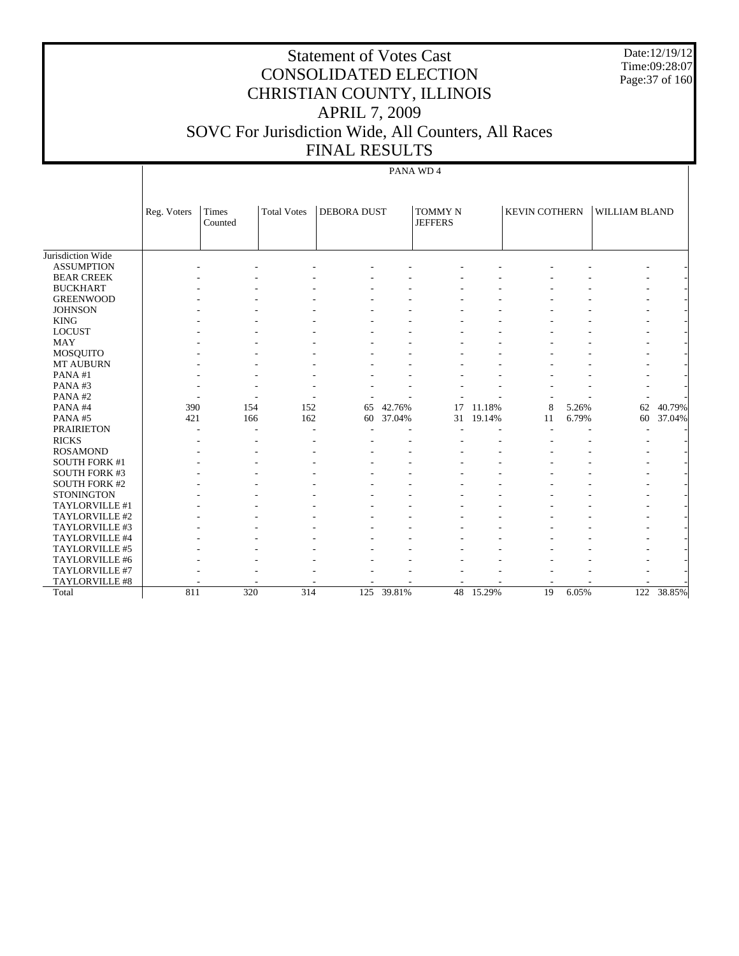Date:12/19/12 Time:09:28:07 Page:37 of 160

# Statement of Votes Cast CONSOLIDATED ELECTION CHRISTIAN COUNTY, ILLINOIS APRIL 7, 2009 SOVC For Jurisdiction Wide, All Counters, All Races FINAL RESULTS

#### PANA WD 4

|                       | Reg. Voters | <b>Times</b><br>Counted | <b>Total Votes</b>       | <b>DEBORA DUST</b> |            | <b>TOMMY N</b><br><b>JEFFERS</b> |        | <b>KEVIN COTHERN</b> |       | WILLIAM BLAND    |        |
|-----------------------|-------------|-------------------------|--------------------------|--------------------|------------|----------------------------------|--------|----------------------|-------|------------------|--------|
|                       |             |                         |                          |                    |            |                                  |        |                      |       |                  |        |
| Jurisdiction Wide     |             |                         |                          |                    |            |                                  |        |                      |       |                  |        |
| <b>ASSUMPTION</b>     |             |                         |                          |                    |            |                                  |        |                      |       |                  |        |
| <b>BEAR CREEK</b>     |             |                         |                          |                    |            |                                  |        |                      |       |                  |        |
| <b>BUCKHART</b>       |             |                         |                          |                    |            |                                  |        |                      |       |                  |        |
| <b>GREENWOOD</b>      |             |                         |                          |                    |            |                                  |        |                      |       |                  |        |
| <b>JOHNSON</b>        |             |                         |                          |                    |            |                                  |        |                      |       |                  |        |
| <b>KING</b>           |             |                         |                          |                    |            |                                  |        |                      |       |                  |        |
| <b>LOCUST</b>         |             |                         |                          |                    |            |                                  |        |                      |       |                  |        |
| <b>MAY</b>            |             |                         |                          |                    |            |                                  |        |                      |       |                  |        |
| <b>MOSQUITO</b>       |             |                         |                          |                    |            |                                  |        |                      |       |                  |        |
| <b>MT AUBURN</b>      |             |                         |                          |                    |            |                                  |        |                      |       |                  |        |
| PANA#1                |             |                         |                          |                    |            |                                  |        |                      |       |                  |        |
| PANA#3                |             |                         |                          |                    |            |                                  |        |                      |       |                  |        |
| PANA#2                |             |                         |                          |                    |            |                                  |        |                      |       |                  |        |
| PANA#4                | 390         | 154                     | 152                      | 65                 | 42.76%     | 17                               | 11.18% | 8                    | 5.26% | 62               | 40.79% |
| PANA#5                | 421         | 166                     | 162                      | 60                 | 37.04%     | 31                               | 19.14% | 11                   | 6.79% | 60               | 37.04% |
| <b>PRAIRIETON</b>     |             | ٠                       | $\overline{\phantom{a}}$ |                    |            |                                  |        |                      |       | ٠                |        |
| <b>RICKS</b>          |             |                         |                          |                    |            |                                  |        |                      |       |                  |        |
| <b>ROSAMOND</b>       |             |                         |                          |                    |            |                                  |        |                      |       |                  |        |
| <b>SOUTH FORK #1</b>  |             |                         |                          |                    |            |                                  |        |                      |       |                  |        |
| <b>SOUTH FORK #3</b>  |             |                         |                          |                    |            |                                  |        |                      |       |                  |        |
| <b>SOUTH FORK #2</b>  |             |                         |                          |                    |            |                                  |        |                      |       |                  |        |
| <b>STONINGTON</b>     |             |                         |                          |                    |            |                                  |        |                      |       |                  |        |
| TAYLORVILLE #1        |             |                         |                          |                    |            |                                  |        |                      |       |                  |        |
| TAYLORVILLE #2        |             |                         |                          |                    |            |                                  |        |                      |       |                  |        |
| TAYLORVILLE #3        |             |                         |                          |                    |            |                                  |        |                      |       |                  |        |
| TAYLORVILLE #4        |             |                         |                          |                    |            |                                  |        |                      |       |                  |        |
| TAYLORVILLE #5        |             |                         |                          |                    |            |                                  |        |                      |       |                  |        |
| TAYLORVILLE #6        |             |                         |                          |                    |            |                                  |        |                      |       |                  |        |
| TAYLORVILLE #7        |             |                         |                          |                    |            |                                  |        |                      |       |                  |        |
| <b>TAYLORVILLE #8</b> |             |                         |                          |                    |            |                                  |        |                      |       |                  |        |
| Total                 | 811         | 320                     | 314                      |                    | 125 39.81% | 48                               | 15.29% | 19                   | 6.05% | $\overline{122}$ | 38.85% |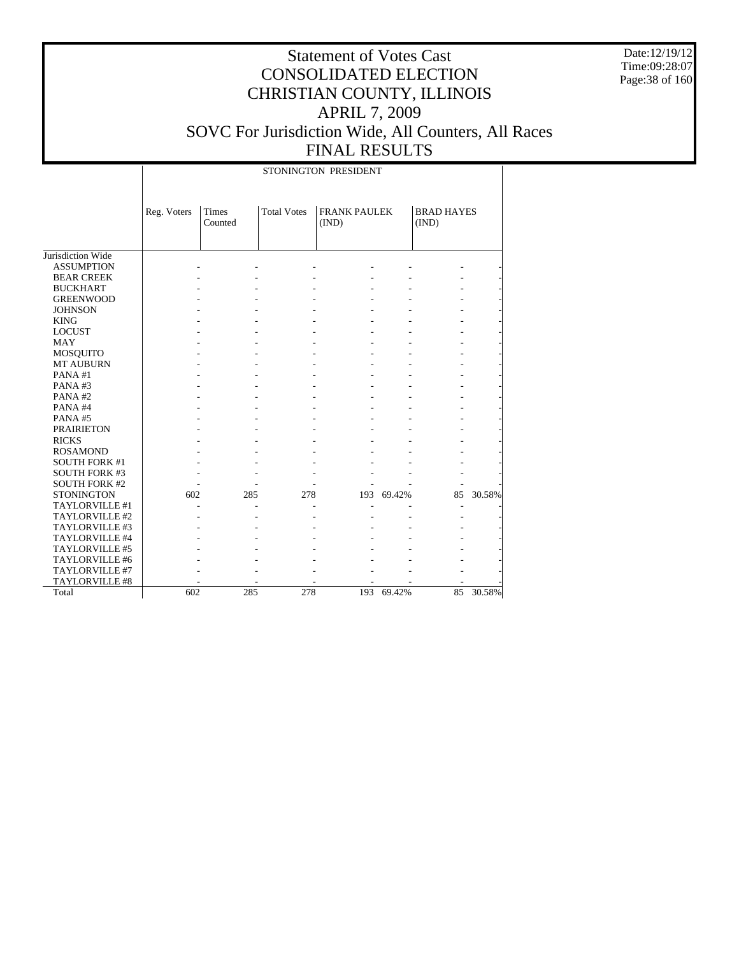Date:12/19/12 Time:09:28:07 Page:38 of 160

## Statement of Votes Cast CONSOLIDATED ELECTION CHRISTIAN COUNTY, ILLINOIS APRIL 7, 2009 SOVC For Jurisdiction Wide, All Counters, All Races FINAL RESULTS

Jurisdiction Wide ASSUMPTION BEAR CREEK BUCKHART GREENWOOD JOHNSON KING LOCUST MAY MOSQUITO MT AUBURN PANA #1 PANA #3 PANA #2 PANA #4 PANA #5 PRAIRIETON RICKS ROSAMOND SOUTH FORK #1 SOUTH FORK #3 SOUTH FORK #2 STONINGTON TAYLORVILLE #1 TAYLORVILLE #2 TAYLORVILLE #3 TAYLORVILLE #4 TAYLORVILLE #5 TAYLORVILLE #6 TAYLORVILLE #7 TAYLORVILLE #8 Total Reg. Voters | Times Counted Total Votes | FRANK PAULEK (IND) BRAD HAYES (IND) STONINGTON PRESIDENT - - - - - - - - - - - - - - - - - - - - - - - - - - - - - - - - - - - - - - - - - - - - - - - - - - - - - - - - - - - - - - - - - - - - - - - - - - - - - - - - - - - - - - - - - - - - - - - - - - - - - - - - - - - - - - - - - - - - - - - - - - - - - - - - - - - - - - - - - - - - - - - - - - - 602 285 278 193 69.42% 85 30.58% - - - - - - - - - - - - - - - - - - - - - - - - - - - - - - - - - - - - - - - - - - - - - - - - - - - - - - - - 602 285 278 193 69.42% 85 30.58%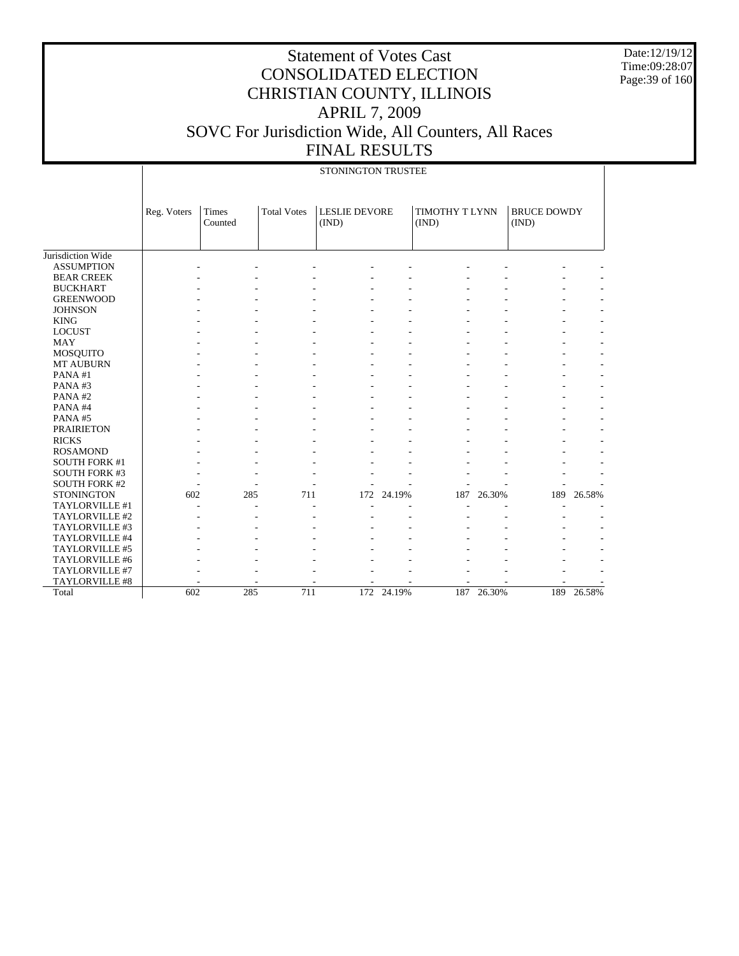Date:12/19/12 Time:09:28:07 Page:39 of 160

|                      |             |                  |                    | STONINGTON TRUSTEE            |            |                         |        |                             |            |
|----------------------|-------------|------------------|--------------------|-------------------------------|------------|-------------------------|--------|-----------------------------|------------|
|                      | Reg. Voters | Times<br>Counted | <b>Total Votes</b> | <b>LESLIE DEVORE</b><br>(IND) |            | TIMOTHY T LYNN<br>(IND) |        | <b>BRUCE DOWDY</b><br>(IND) |            |
| Jurisdiction Wide    |             |                  |                    |                               |            |                         |        |                             |            |
| <b>ASSUMPTION</b>    |             |                  |                    |                               |            |                         |        |                             |            |
| <b>BEAR CREEK</b>    |             |                  |                    |                               |            |                         |        |                             |            |
| <b>BUCKHART</b>      |             |                  |                    |                               |            |                         |        |                             |            |
| <b>GREENWOOD</b>     |             |                  |                    |                               |            |                         |        |                             |            |
| <b>JOHNSON</b>       |             |                  |                    |                               |            |                         |        |                             |            |
| <b>KING</b>          |             |                  |                    |                               |            |                         |        |                             |            |
| <b>LOCUST</b>        |             |                  |                    |                               |            |                         |        |                             |            |
| <b>MAY</b>           |             |                  |                    |                               |            |                         |        |                             |            |
| MOSQUITO             |             |                  |                    |                               |            |                         |        |                             |            |
| MT AUBURN            |             |                  |                    |                               |            |                         |        |                             |            |
| PANA#1               |             |                  |                    |                               |            |                         |        |                             |            |
| PANA#3               |             |                  |                    |                               |            |                         |        |                             |            |
| PANA#2               |             |                  |                    |                               |            |                         |        |                             |            |
| PANA#4               |             |                  |                    |                               |            |                         |        |                             |            |
| PANA#5               |             |                  |                    |                               |            |                         |        |                             |            |
| <b>PRAIRIETON</b>    |             |                  |                    |                               |            |                         |        |                             |            |
| <b>RICKS</b>         |             |                  |                    |                               |            |                         |        |                             |            |
| <b>ROSAMOND</b>      |             |                  |                    |                               |            |                         |        |                             |            |
| <b>SOUTH FORK #1</b> |             |                  |                    |                               |            |                         |        |                             |            |
| <b>SOUTH FORK #3</b> |             |                  |                    |                               |            |                         |        |                             |            |
| <b>SOUTH FORK #2</b> |             |                  |                    |                               |            |                         |        |                             |            |
| <b>STONINGTON</b>    | 602         | 285              | 711                | 172                           | 24.19%     | 187                     | 26.30% | 189                         | 26.58%     |
| TAYLORVILLE #1       |             |                  |                    |                               |            |                         |        |                             |            |
| TAYLORVILLE #2       |             |                  |                    |                               |            |                         |        |                             |            |
| TAYLORVILLE #3       |             |                  |                    |                               |            |                         |        |                             |            |
| TAYLORVILLE #4       |             |                  |                    |                               |            |                         |        |                             |            |
| TAYLORVILLE #5       |             |                  |                    |                               |            |                         |        |                             |            |
| TAYLORVILLE #6       |             |                  |                    |                               |            |                         |        |                             |            |
| TAYLORVILLE #7       |             |                  |                    |                               |            |                         |        |                             |            |
| TAYLORVILLE #8       |             |                  |                    |                               |            |                         |        |                             |            |
| Total                | 602         | 285              | 711                |                               | 172 24.19% | 187                     | 26.30% |                             | 189 26.58% |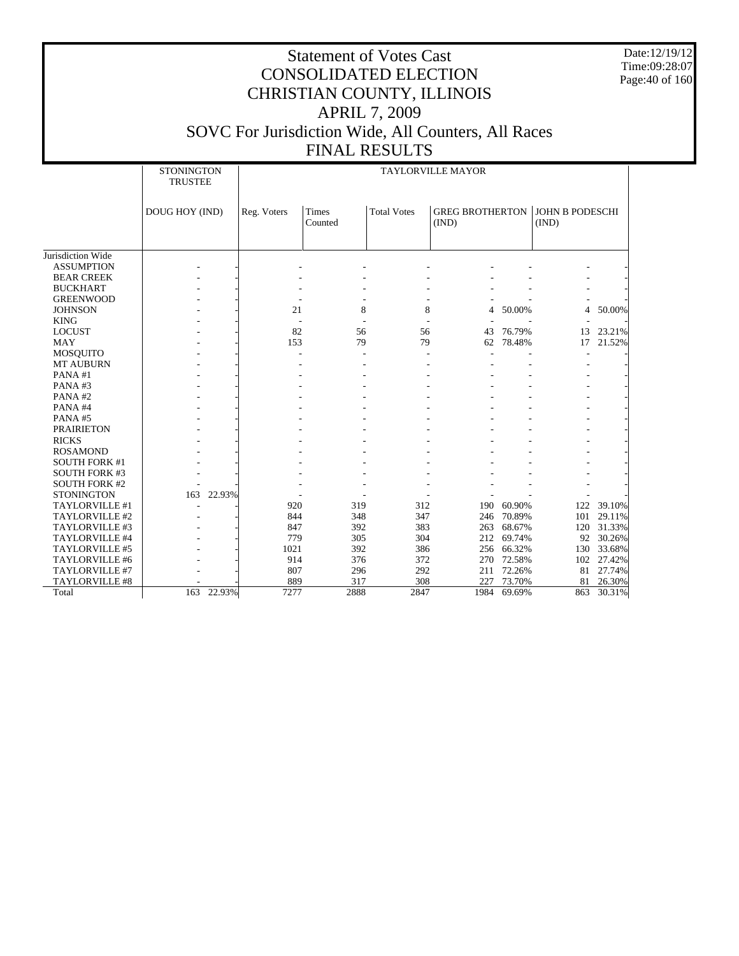Date:12/19/12 Time:09:28:07 Page:40 of 160

|                       | <b>STONINGTON</b><br><b>TRUSTEE</b> |        |             |                         |                    | <b>TAYLORVILLE MAYOR</b>        |            |                                 |            |
|-----------------------|-------------------------------------|--------|-------------|-------------------------|--------------------|---------------------------------|------------|---------------------------------|------------|
|                       | DOUG HOY (IND)                      |        | Reg. Voters | <b>Times</b><br>Counted | <b>Total Votes</b> | <b>GREG BROTHERTON</b><br>(IND) |            | <b>JOHN B PODESCHI</b><br>(IND) |            |
|                       |                                     |        |             |                         |                    |                                 |            |                                 |            |
| Jurisdiction Wide     |                                     |        |             |                         |                    |                                 |            |                                 |            |
| <b>ASSUMPTION</b>     |                                     |        |             |                         |                    |                                 |            |                                 |            |
| <b>BEAR CREEK</b>     |                                     |        |             |                         |                    |                                 |            |                                 |            |
| <b>BUCKHART</b>       |                                     |        |             |                         |                    |                                 |            |                                 |            |
| <b>GREENWOOD</b>      |                                     |        |             |                         |                    |                                 |            |                                 |            |
| <b>JOHNSON</b>        |                                     |        | 21          | 8                       | 8                  | 4                               | 50.00%     | $\overline{4}$                  | 50.00%     |
| <b>KING</b>           |                                     |        |             |                         |                    |                                 |            |                                 |            |
| <b>LOCUST</b>         |                                     |        | 82          | 56                      | 56                 | 43                              | 76.79%     | 13                              | 23.21%     |
| <b>MAY</b>            |                                     |        | 153         | 79                      | 79                 | 62                              | 78.48%     | 17                              | 21.52%     |
| <b>MOSQUITO</b>       |                                     |        |             |                         |                    |                                 |            |                                 |            |
| <b>MT AUBURN</b>      |                                     |        |             |                         |                    |                                 |            |                                 |            |
| PANA#1                |                                     |        |             |                         |                    |                                 |            |                                 |            |
| PANA#3                |                                     |        |             |                         |                    |                                 |            |                                 |            |
| PANA#2                |                                     |        |             |                         |                    |                                 |            |                                 |            |
| PANA#4                |                                     |        |             |                         |                    |                                 |            |                                 |            |
| PANA#5                |                                     |        |             |                         |                    |                                 |            |                                 |            |
| <b>PRAIRIETON</b>     |                                     |        |             |                         |                    |                                 |            |                                 |            |
| <b>RICKS</b>          |                                     |        |             |                         |                    |                                 |            |                                 |            |
| <b>ROSAMOND</b>       |                                     |        |             |                         |                    |                                 |            |                                 |            |
| <b>SOUTH FORK #1</b>  |                                     |        |             |                         |                    |                                 |            |                                 |            |
| <b>SOUTH FORK #3</b>  |                                     |        |             |                         |                    |                                 |            |                                 |            |
| <b>SOUTH FORK #2</b>  |                                     |        |             |                         |                    |                                 |            |                                 |            |
| <b>STONINGTON</b>     | 163                                 | 22.93% |             |                         |                    |                                 |            |                                 |            |
| TAYLORVILLE #1        |                                     |        | 920         | 319                     | 312                | 190                             | 60.90%     |                                 | 122 39.10% |
| TAYLORVILLE #2        |                                     |        | 844         | 348                     | 347                | 246                             | 70.89%     | 101                             | 29.11%     |
| TAYLORVILLE #3        |                                     |        | 847         | 392                     | 383                | 263                             | 68.67%     |                                 | 120 31.33% |
| TAYLORVILLE #4        |                                     |        | 779         | 305                     | 304                | 212                             | 69.74%     | 92                              | 30.26%     |
| TAYLORVILLE #5        |                                     |        | 1021        | 392                     | 386                |                                 | 256 66.32% | 130                             | 33.68%     |
| TAYLORVILLE #6        |                                     |        | 914         | 376                     | 372                | 270                             | 72.58%     | 102                             | 27.42%     |
| TAYLORVILLE #7        |                                     |        | 807         | 296                     | 292                | 211                             | 72.26%     | 81                              | 27.74%     |
| <b>TAYLORVILLE #8</b> |                                     |        | 889         | 317                     | 308                | 227                             | 73.70%     | 81                              | 26.30%     |
| Total                 | 163                                 | 22.93% | 7277        | 2888                    | 2847               | 1984                            | 69.69%     | 863                             | 30.31%     |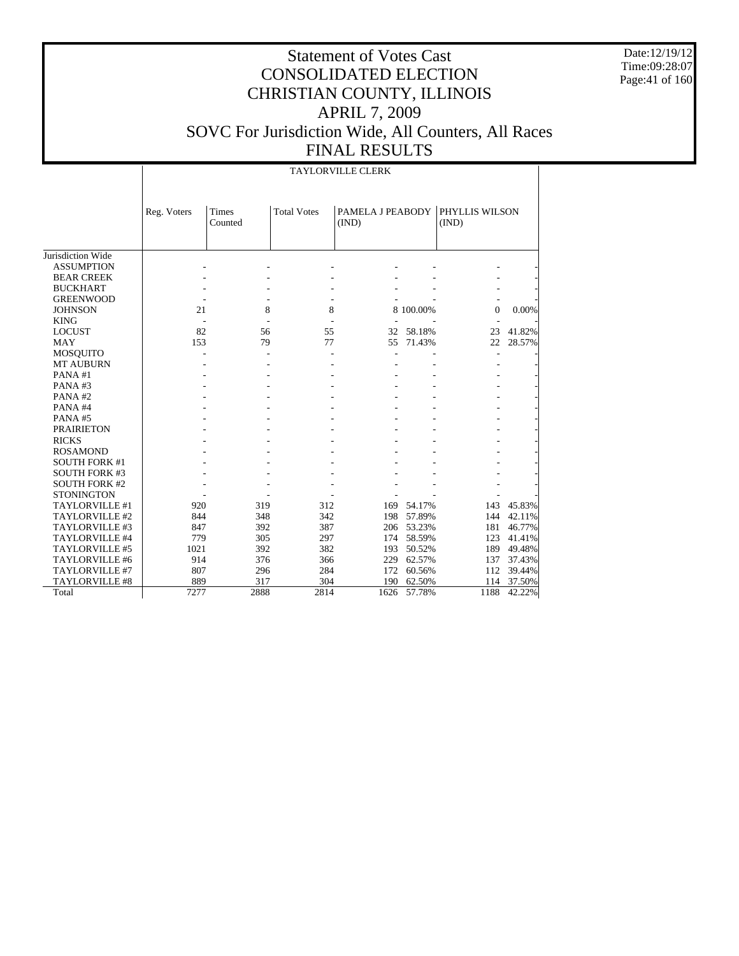Date:12/19/12 Time:09:28:07 Page: 41 of 160

# Statement of Votes Cast CONSOLIDATED ELECTION CHRISTIAN COUNTY, ILLINOIS APRIL 7, 2009 SOVC For Jurisdiction Wide, All Counters, All Races FINAL RESULTS

#### TAYLORVILLE CLERK

| <b>Total Votes</b><br>PAMELA J PEABODY<br>PHYLLIS WILSON<br><b>Times</b><br>Reg. Voters<br>Counted<br>(IND)<br>(IND)<br>Jurisdiction Wide<br><b>ASSUMPTION</b><br><b>BEAR CREEK</b><br><b>BUCKHART</b><br><b>GREENWOOD</b><br>21<br>8<br>8<br>8 100.00%<br><b>JOHNSON</b><br>0<br>0.00%<br><b>KING</b><br>82<br>56<br>55<br>58.18%<br>23<br>41.82%<br><b>LOCUST</b><br>32<br><b>MAY</b><br>153<br>79<br>77<br>55<br>71.43%<br>22<br>28.57%<br><b>MOSQUITO</b><br><b>MT AUBURN</b><br>PANA#1<br>PANA#3<br>PANA#2<br>PANA#4<br>PANA#5<br><b>PRAIRIETON</b><br><b>RICKS</b><br><b>ROSAMOND</b><br><b>SOUTH FORK #1</b><br><b>SOUTH FORK #3</b><br><b>SOUTH FORK #2</b><br><b>STONINGTON</b><br>319<br>312<br>54.17%<br>45.83%<br>TAYLORVILLE #1<br>920<br>169<br>143<br>TAYLORVILLE #2<br>844<br>348<br>342<br>57.89%<br>144<br>42.11%<br>198<br>387<br>53.23%<br>TAYLORVILLE #3<br>847<br>392<br>181<br>46.77%<br>206<br>305<br>58.59%<br>TAYLORVILLE #4<br>779<br>297<br>123<br>41.41%<br>174<br>382<br>392<br>TAYLORVILLE #5<br>1021<br>50.52%<br>189<br>49.48%<br>193<br>TAYLORVILLE #6<br>376<br>62.57%<br>37.43%<br>914<br>366<br>229<br>137<br>TAYLORVILLE #7<br>807<br>296<br>284<br>60.56%<br>112<br>39.44%<br>172 |  |  |  |  |
|--------------------------------------------------------------------------------------------------------------------------------------------------------------------------------------------------------------------------------------------------------------------------------------------------------------------------------------------------------------------------------------------------------------------------------------------------------------------------------------------------------------------------------------------------------------------------------------------------------------------------------------------------------------------------------------------------------------------------------------------------------------------------------------------------------------------------------------------------------------------------------------------------------------------------------------------------------------------------------------------------------------------------------------------------------------------------------------------------------------------------------------------------------------------------------------------------------------------------|--|--|--|--|
|                                                                                                                                                                                                                                                                                                                                                                                                                                                                                                                                                                                                                                                                                                                                                                                                                                                                                                                                                                                                                                                                                                                                                                                                                          |  |  |  |  |
|                                                                                                                                                                                                                                                                                                                                                                                                                                                                                                                                                                                                                                                                                                                                                                                                                                                                                                                                                                                                                                                                                                                                                                                                                          |  |  |  |  |
|                                                                                                                                                                                                                                                                                                                                                                                                                                                                                                                                                                                                                                                                                                                                                                                                                                                                                                                                                                                                                                                                                                                                                                                                                          |  |  |  |  |
|                                                                                                                                                                                                                                                                                                                                                                                                                                                                                                                                                                                                                                                                                                                                                                                                                                                                                                                                                                                                                                                                                                                                                                                                                          |  |  |  |  |
|                                                                                                                                                                                                                                                                                                                                                                                                                                                                                                                                                                                                                                                                                                                                                                                                                                                                                                                                                                                                                                                                                                                                                                                                                          |  |  |  |  |
|                                                                                                                                                                                                                                                                                                                                                                                                                                                                                                                                                                                                                                                                                                                                                                                                                                                                                                                                                                                                                                                                                                                                                                                                                          |  |  |  |  |
|                                                                                                                                                                                                                                                                                                                                                                                                                                                                                                                                                                                                                                                                                                                                                                                                                                                                                                                                                                                                                                                                                                                                                                                                                          |  |  |  |  |
|                                                                                                                                                                                                                                                                                                                                                                                                                                                                                                                                                                                                                                                                                                                                                                                                                                                                                                                                                                                                                                                                                                                                                                                                                          |  |  |  |  |
|                                                                                                                                                                                                                                                                                                                                                                                                                                                                                                                                                                                                                                                                                                                                                                                                                                                                                                                                                                                                                                                                                                                                                                                                                          |  |  |  |  |
|                                                                                                                                                                                                                                                                                                                                                                                                                                                                                                                                                                                                                                                                                                                                                                                                                                                                                                                                                                                                                                                                                                                                                                                                                          |  |  |  |  |
|                                                                                                                                                                                                                                                                                                                                                                                                                                                                                                                                                                                                                                                                                                                                                                                                                                                                                                                                                                                                                                                                                                                                                                                                                          |  |  |  |  |
|                                                                                                                                                                                                                                                                                                                                                                                                                                                                                                                                                                                                                                                                                                                                                                                                                                                                                                                                                                                                                                                                                                                                                                                                                          |  |  |  |  |
|                                                                                                                                                                                                                                                                                                                                                                                                                                                                                                                                                                                                                                                                                                                                                                                                                                                                                                                                                                                                                                                                                                                                                                                                                          |  |  |  |  |
|                                                                                                                                                                                                                                                                                                                                                                                                                                                                                                                                                                                                                                                                                                                                                                                                                                                                                                                                                                                                                                                                                                                                                                                                                          |  |  |  |  |
|                                                                                                                                                                                                                                                                                                                                                                                                                                                                                                                                                                                                                                                                                                                                                                                                                                                                                                                                                                                                                                                                                                                                                                                                                          |  |  |  |  |
|                                                                                                                                                                                                                                                                                                                                                                                                                                                                                                                                                                                                                                                                                                                                                                                                                                                                                                                                                                                                                                                                                                                                                                                                                          |  |  |  |  |
|                                                                                                                                                                                                                                                                                                                                                                                                                                                                                                                                                                                                                                                                                                                                                                                                                                                                                                                                                                                                                                                                                                                                                                                                                          |  |  |  |  |
|                                                                                                                                                                                                                                                                                                                                                                                                                                                                                                                                                                                                                                                                                                                                                                                                                                                                                                                                                                                                                                                                                                                                                                                                                          |  |  |  |  |
|                                                                                                                                                                                                                                                                                                                                                                                                                                                                                                                                                                                                                                                                                                                                                                                                                                                                                                                                                                                                                                                                                                                                                                                                                          |  |  |  |  |
|                                                                                                                                                                                                                                                                                                                                                                                                                                                                                                                                                                                                                                                                                                                                                                                                                                                                                                                                                                                                                                                                                                                                                                                                                          |  |  |  |  |
|                                                                                                                                                                                                                                                                                                                                                                                                                                                                                                                                                                                                                                                                                                                                                                                                                                                                                                                                                                                                                                                                                                                                                                                                                          |  |  |  |  |
|                                                                                                                                                                                                                                                                                                                                                                                                                                                                                                                                                                                                                                                                                                                                                                                                                                                                                                                                                                                                                                                                                                                                                                                                                          |  |  |  |  |
|                                                                                                                                                                                                                                                                                                                                                                                                                                                                                                                                                                                                                                                                                                                                                                                                                                                                                                                                                                                                                                                                                                                                                                                                                          |  |  |  |  |
|                                                                                                                                                                                                                                                                                                                                                                                                                                                                                                                                                                                                                                                                                                                                                                                                                                                                                                                                                                                                                                                                                                                                                                                                                          |  |  |  |  |
|                                                                                                                                                                                                                                                                                                                                                                                                                                                                                                                                                                                                                                                                                                                                                                                                                                                                                                                                                                                                                                                                                                                                                                                                                          |  |  |  |  |
|                                                                                                                                                                                                                                                                                                                                                                                                                                                                                                                                                                                                                                                                                                                                                                                                                                                                                                                                                                                                                                                                                                                                                                                                                          |  |  |  |  |
|                                                                                                                                                                                                                                                                                                                                                                                                                                                                                                                                                                                                                                                                                                                                                                                                                                                                                                                                                                                                                                                                                                                                                                                                                          |  |  |  |  |
|                                                                                                                                                                                                                                                                                                                                                                                                                                                                                                                                                                                                                                                                                                                                                                                                                                                                                                                                                                                                                                                                                                                                                                                                                          |  |  |  |  |
|                                                                                                                                                                                                                                                                                                                                                                                                                                                                                                                                                                                                                                                                                                                                                                                                                                                                                                                                                                                                                                                                                                                                                                                                                          |  |  |  |  |
|                                                                                                                                                                                                                                                                                                                                                                                                                                                                                                                                                                                                                                                                                                                                                                                                                                                                                                                                                                                                                                                                                                                                                                                                                          |  |  |  |  |
|                                                                                                                                                                                                                                                                                                                                                                                                                                                                                                                                                                                                                                                                                                                                                                                                                                                                                                                                                                                                                                                                                                                                                                                                                          |  |  |  |  |
|                                                                                                                                                                                                                                                                                                                                                                                                                                                                                                                                                                                                                                                                                                                                                                                                                                                                                                                                                                                                                                                                                                                                                                                                                          |  |  |  |  |
| <b>TAYLORVILLE #8</b><br>889<br>317<br>304<br>62.50%<br>37.50%<br>190<br>114                                                                                                                                                                                                                                                                                                                                                                                                                                                                                                                                                                                                                                                                                                                                                                                                                                                                                                                                                                                                                                                                                                                                             |  |  |  |  |
| 2888<br>7277<br>2814<br>57.78%<br>1188<br>42.22%<br>Total<br>1626                                                                                                                                                                                                                                                                                                                                                                                                                                                                                                                                                                                                                                                                                                                                                                                                                                                                                                                                                                                                                                                                                                                                                        |  |  |  |  |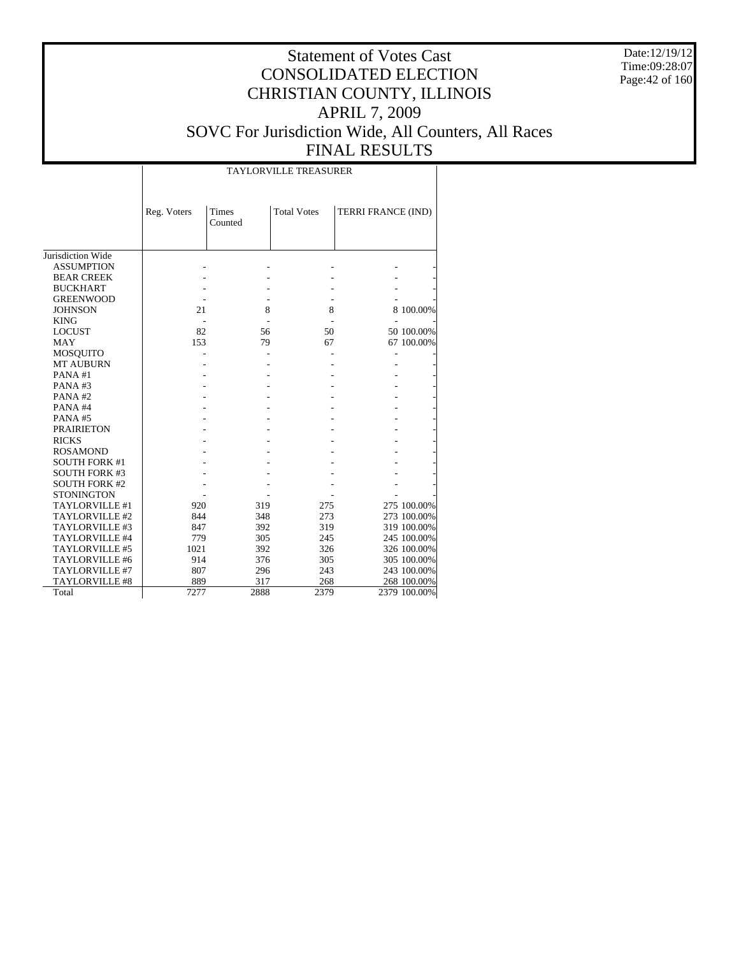Date:12/19/12 Time:09:28:07 Page:42 of 160

# Statement of Votes Cast CONSOLIDATED ELECTION CHRISTIAN COUNTY, ILLINOIS APRIL 7, 2009 SOVC For Jurisdiction Wide, All Counters, All Races FINAL RESULTS

| FINAL KESU                   |
|------------------------------|
| <b>TAYLORVILLE TREASURER</b> |

|                      | Reg. Voters | <b>Times</b><br>Counted | <b>Total Votes</b> | TERRI FRANCE (IND) |              |
|----------------------|-------------|-------------------------|--------------------|--------------------|--------------|
| Jurisdiction Wide    |             |                         |                    |                    |              |
| <b>ASSUMPTION</b>    |             |                         |                    |                    |              |
| <b>BEAR CREEK</b>    |             |                         |                    |                    |              |
| <b>BUCKHART</b>      |             |                         |                    |                    |              |
| <b>GREENWOOD</b>     |             |                         |                    |                    |              |
| <b>JOHNSON</b>       | 21          | 8                       | 8                  |                    | 8 100.00%    |
| <b>KING</b>          |             |                         |                    |                    |              |
| <b>LOCUST</b>        | 82          | 56                      | 50                 |                    | 50 100.00%   |
| <b>MAY</b>           | 153         | 79                      | 67                 |                    | 67 100.00%   |
| <b>MOSQUITO</b>      |             |                         |                    |                    |              |
| <b>MT AUBURN</b>     |             |                         |                    |                    |              |
| PANA#1               |             |                         |                    |                    |              |
| PANA#3               |             |                         |                    |                    |              |
| PANA#2               |             |                         |                    |                    |              |
| PANA#4               |             |                         |                    |                    |              |
| <b>PANA#5</b>        |             |                         |                    |                    |              |
| <b>PRAIRIETON</b>    |             |                         |                    |                    |              |
| <b>RICKS</b>         |             |                         |                    |                    |              |
| <b>ROSAMOND</b>      |             |                         |                    |                    |              |
| <b>SOUTH FORK #1</b> |             |                         |                    |                    |              |
| <b>SOUTH FORK #3</b> |             |                         |                    |                    |              |
| <b>SOUTH FORK #2</b> |             |                         |                    |                    |              |
| <b>STONINGTON</b>    |             |                         |                    |                    |              |
| TAYLORVILLE #1       | 920         | 319                     | 275                |                    | 275 100.00%  |
| TAYLORVILLE#2        | 844         | 348                     | 273                |                    | 273 100.00%  |
| TAYLORVILLE #3       | 847         | 392                     | 319                |                    | 319 100.00%  |
| TAYLORVILLE #4       | 779         | 305                     | 245                |                    | 245 100.00%  |
| TAYLORVILLE #5       | 1021        | 392                     | 326                |                    | 326 100.00%  |
| TAYLORVILLE #6       | 914         | 376                     | 305                |                    | 305 100.00%  |
| TAYLORVILLE #7       | 807         | 296                     | 243                |                    | 243 100.00%  |
| TAYLORVILLE #8       | 889         | 317                     | 268                |                    | 268 100.00%  |
| Total                | 7277        | 2888                    | 2379               |                    | 2379 100.00% |
|                      |             |                         |                    |                    |              |

 $\overline{\phantom{a}}$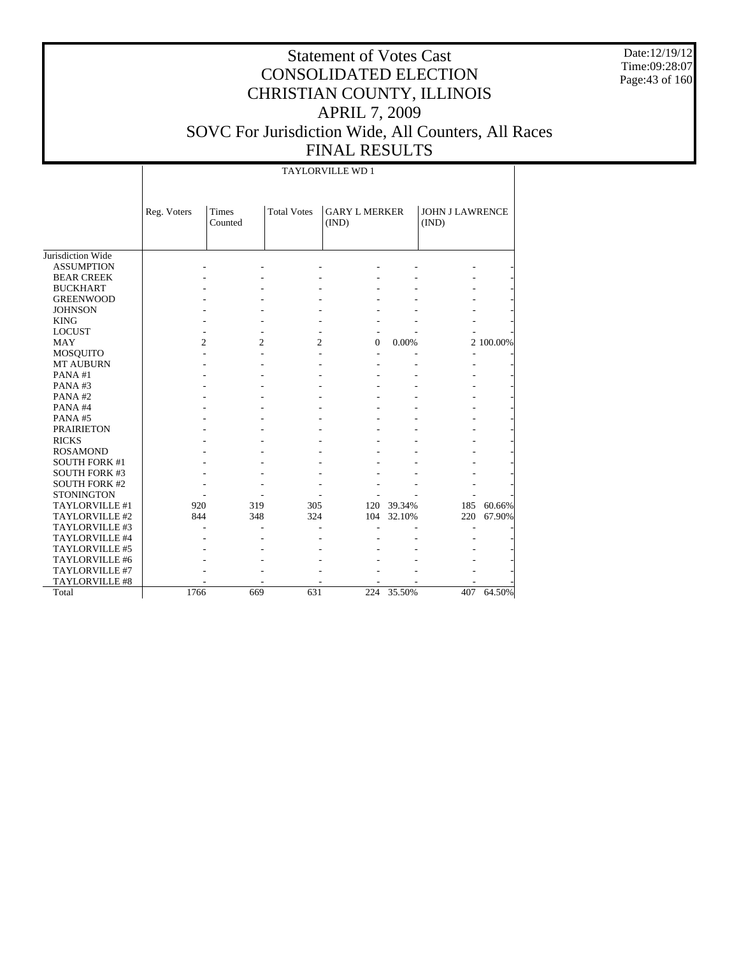Date:12/19/12 Time:09:28:07 Page:43 of 160

# Statement of Votes Cast CONSOLIDATED ELECTION CHRISTIAN COUNTY, ILLINOIS APRIL 7, 2009 SOVC For Jurisdiction Wide, All Counters, All Races FINAL RESULTS

TAYLORVILLE WD 1

|                      | Reg. Voters    | <b>Times</b><br>Counted | <b>Total Votes</b> | <b>GARY L MERKER</b><br>(IND) |        | <b>JOHN J LAWRENCE</b><br>(IND) |           |
|----------------------|----------------|-------------------------|--------------------|-------------------------------|--------|---------------------------------|-----------|
|                      |                |                         |                    |                               |        |                                 |           |
| Jurisdiction Wide    |                |                         |                    |                               |        |                                 |           |
| <b>ASSUMPTION</b>    |                |                         |                    |                               |        |                                 |           |
| <b>BEAR CREEK</b>    |                |                         |                    |                               |        |                                 |           |
| <b>BUCKHART</b>      |                |                         |                    |                               |        |                                 |           |
| <b>GREENWOOD</b>     |                |                         |                    |                               |        |                                 |           |
| <b>JOHNSON</b>       |                |                         |                    |                               |        |                                 |           |
| <b>KING</b>          |                |                         |                    |                               |        |                                 |           |
| <b>LOCUST</b>        |                |                         |                    |                               |        |                                 |           |
| MAY                  | $\overline{c}$ | $\overline{2}$          | $\overline{2}$     | $\Omega$                      | 0.00%  |                                 | 2 100.00% |
| MOSQUITO             |                |                         |                    |                               |        |                                 |           |
| <b>MT AUBURN</b>     |                |                         |                    |                               |        |                                 |           |
| PANA#1               |                |                         |                    |                               |        |                                 |           |
| PANA#3               |                |                         |                    |                               |        |                                 |           |
| PANA#2               |                |                         |                    |                               |        |                                 |           |
| PANA#4               |                |                         |                    |                               |        |                                 |           |
| PANA#5               |                |                         |                    |                               |        |                                 |           |
| <b>PRAIRIETON</b>    |                |                         |                    |                               |        |                                 |           |
| <b>RICKS</b>         |                |                         |                    |                               |        |                                 |           |
| <b>ROSAMOND</b>      |                |                         |                    |                               |        |                                 |           |
| <b>SOUTH FORK #1</b> |                |                         |                    |                               |        |                                 |           |
| <b>SOUTH FORK #3</b> |                |                         |                    |                               |        |                                 |           |
| <b>SOUTH FORK #2</b> |                |                         |                    |                               |        |                                 |           |
| <b>STONINGTON</b>    |                |                         |                    |                               |        |                                 |           |
| TAYLORVILLE #1       | 920            | 319                     | 305                | 120                           | 39.34% | 185                             | 60.66%    |
| TAYLORVILLE #2       | 844            | 348                     | 324                | 104                           | 32.10% | 220                             | 67.90%    |
| TAYLORVILLE #3       |                |                         |                    |                               |        |                                 |           |
| TAYLORVILLE #4       |                |                         |                    |                               |        |                                 |           |
| TAYLORVILLE #5       |                |                         |                    |                               |        |                                 |           |
| TAYLORVILLE #6       |                |                         |                    |                               |        |                                 |           |
| TAYLORVILLE #7       |                |                         |                    |                               |        |                                 |           |
| TAYLORVILLE #8       |                |                         |                    |                               |        |                                 |           |
| Total                | 1766           | 669                     | 631                | 224                           | 35.50% | 407                             | 64.50%    |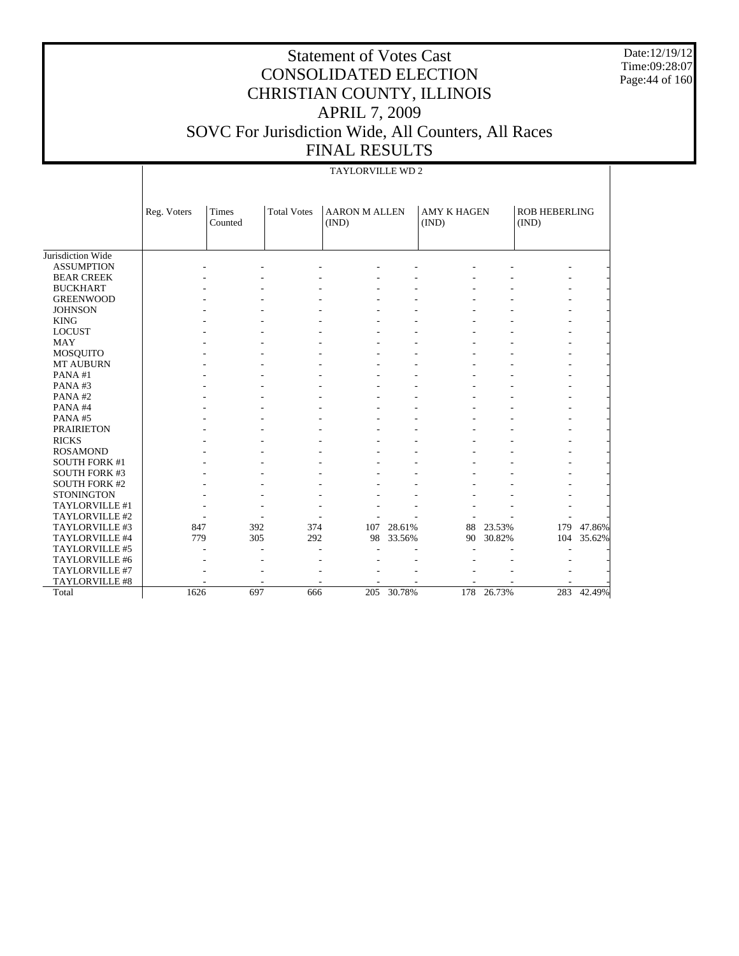Date:12/19/12 Time:09:28:07 Page:44 of 160

|                       |             |                  |                    | TAYLORVILLE WD 2              |        |                             |        |                               |        |
|-----------------------|-------------|------------------|--------------------|-------------------------------|--------|-----------------------------|--------|-------------------------------|--------|
|                       | Reg. Voters | Times<br>Counted | <b>Total Votes</b> | <b>AARON M ALLEN</b><br>(IND) |        | <b>AMY K HAGEN</b><br>(IND) |        | <b>ROB HEBERLING</b><br>(IND) |        |
| Jurisdiction Wide     |             |                  |                    |                               |        |                             |        |                               |        |
| <b>ASSUMPTION</b>     |             |                  |                    |                               |        |                             |        |                               |        |
| <b>BEAR CREEK</b>     |             |                  |                    |                               |        |                             |        |                               |        |
| <b>BUCKHART</b>       |             |                  |                    |                               |        |                             |        |                               |        |
| <b>GREENWOOD</b>      |             |                  |                    |                               |        |                             |        |                               |        |
| <b>JOHNSON</b>        |             |                  |                    |                               |        |                             |        |                               |        |
| <b>KING</b>           |             |                  |                    |                               |        |                             |        |                               |        |
| <b>LOCUST</b>         |             |                  |                    |                               |        |                             |        |                               |        |
| <b>MAY</b>            |             |                  |                    |                               |        |                             |        |                               |        |
| MOSQUITO              |             |                  |                    |                               |        |                             |        |                               |        |
| <b>MT AUBURN</b>      |             |                  |                    |                               |        |                             |        |                               |        |
| PANA#1                |             |                  |                    |                               |        |                             |        |                               |        |
| PANA#3                |             |                  |                    |                               |        |                             |        |                               |        |
| PANA#2                |             |                  |                    |                               |        |                             |        |                               |        |
| PANA#4                |             |                  |                    |                               |        |                             |        |                               |        |
| PANA#5                |             |                  |                    |                               |        |                             |        |                               |        |
| <b>PRAIRIETON</b>     |             |                  |                    |                               |        |                             |        |                               |        |
| <b>RICKS</b>          |             |                  |                    |                               |        |                             |        |                               |        |
| <b>ROSAMOND</b>       |             |                  |                    |                               |        |                             |        |                               |        |
| <b>SOUTH FORK #1</b>  |             |                  |                    |                               |        |                             |        |                               |        |
| <b>SOUTH FORK #3</b>  |             |                  |                    |                               |        |                             |        |                               |        |
| <b>SOUTH FORK #2</b>  |             |                  |                    |                               |        |                             |        |                               |        |
| <b>STONINGTON</b>     |             |                  |                    |                               |        |                             |        |                               |        |
| TAYLORVILLE #1        |             |                  |                    |                               |        |                             |        |                               |        |
| TAYLORVILLE #2        |             |                  |                    |                               |        |                             |        |                               |        |
| TAYLORVILLE #3        | 847         | 392              | 374                | 107                           | 28.61% | 88                          | 23.53% | 179                           | 47.86% |
| TAYLORVILLE #4        | 779         | 305              | 292                | 98                            | 33.56% | 90                          | 30.82% | 104                           | 35.62% |
| TAYLORVILLE #5        |             |                  |                    |                               |        |                             |        |                               |        |
| TAYLORVILLE #6        |             |                  |                    |                               |        |                             |        |                               |        |
| TAYLORVILLE #7        |             |                  |                    |                               |        |                             |        |                               |        |
| <b>TAYLORVILLE #8</b> |             |                  |                    |                               |        |                             |        |                               |        |
| Total                 | 1626        | 697              | 666                | 205                           | 30.78% | 178                         | 26.73% | 283                           | 42.49% |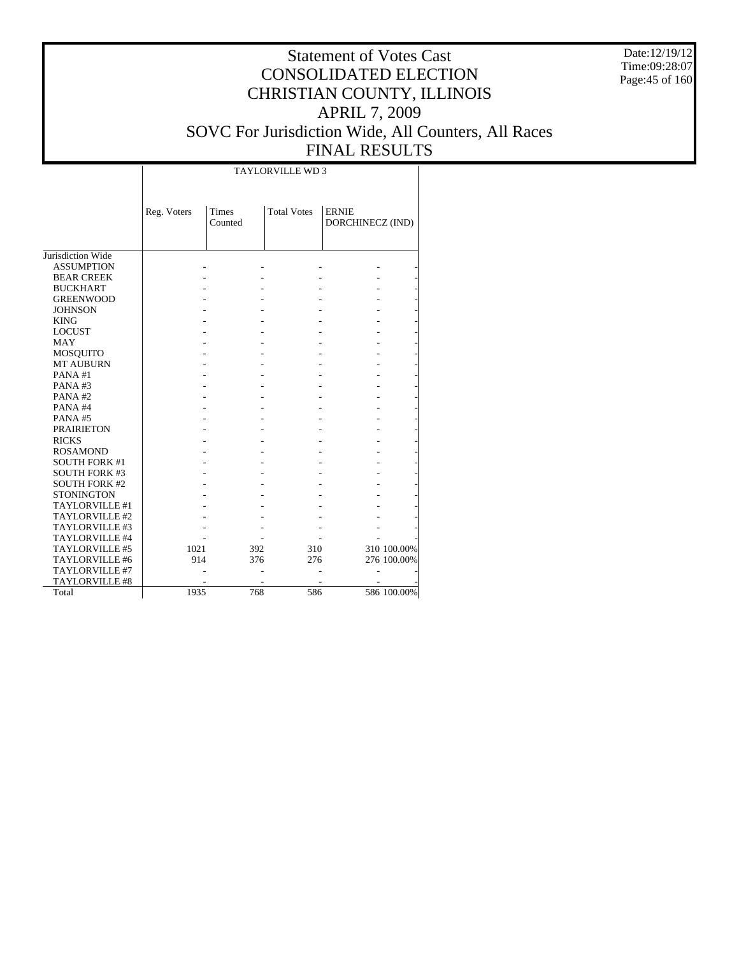Date:12/19/12 Time:09:28:07 Page:45 of 160

#### Statement of Votes Cast CONSOLIDATED ELECTION CHRISTIAN COUNTY, ILLINOIS APRIL 7, 2009 SOVC For Jurisdiction Wide, All Counters, All Races FINAL RESULTS

Jurisdiction Wide ASSUMPTION BEAR CREEK BUCKHART GREENWOOD JOHNSON KING LOCUST MAY MOSQUITO MT AUBURN PANA #1 PANA #3 PANA #2 PANA #4 PANA #5 PRAIRIETON RICKS ROSAMOND SOUTH FORK #1 SOUTH FORK #3 SOUTH FORK #2 **STONINGTON**  TAYLORVILLE #1 TAYLORVILLE #2 TAYLORVILLE #3 TAYLORVILLE #4 TAYLORVILLE #5 TAYLORVILLE #6 TAYLORVILLE #7 TAYLORVILLE #8 Total Reg. Voters Times Counted Total Votes | ERNIE DORCHINECZ (IND) TAYLORVILLE WD 3 - - - - - - - - - - - - - - - - - - - - - - - - - - - - - - - - - - - - - - - - - - - - - - - - - - - - - - - - - - - - - - - - - - - - - - - - - - - - - - - - - - - - - - - - - - - - - - - - - - - - - - - - - - - - - - - - - - - - - - - - - - - - - - - - - - 1021 392 310 310 100.00% 914 376 276 276 100.00% - - - - - - - - - - 1935 768 586 586 100.00%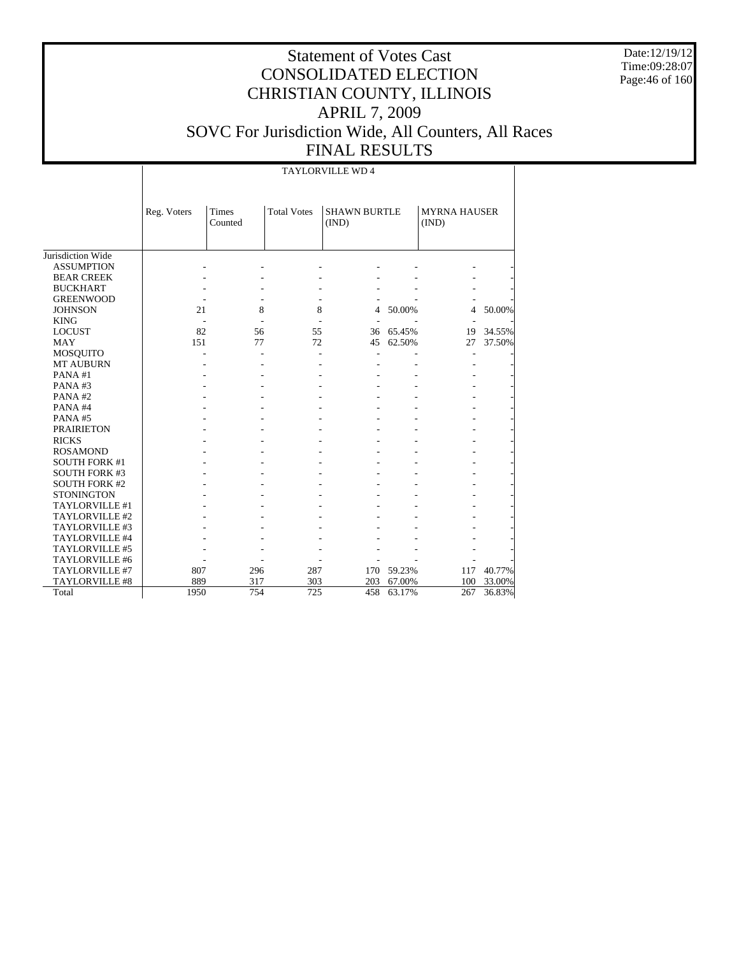Date:12/19/12 Time:09:28:07 Page:46 of 160

# Statement of Votes Cast CONSOLIDATED ELECTION CHRISTIAN COUNTY, ILLINOIS APRIL 7, 2009 SOVC For Jurisdiction Wide, All Counters, All Races FINAL RESULTS

TAYLORVILLE WD 4

|                      | Reg. Voters | <b>Times</b><br>Counted | <b>Total Votes</b> | <b>SHAWN BURTLE</b><br>(IND) |        | <b>MYRNA HAUSER</b><br>(IND) |        |
|----------------------|-------------|-------------------------|--------------------|------------------------------|--------|------------------------------|--------|
|                      |             |                         |                    |                              |        |                              |        |
| Jurisdiction Wide    |             |                         |                    |                              |        |                              |        |
| <b>ASSUMPTION</b>    |             |                         |                    |                              |        |                              |        |
| <b>BEAR CREEK</b>    |             |                         |                    |                              |        |                              |        |
| <b>BUCKHART</b>      |             |                         |                    |                              |        |                              |        |
| <b>GREENWOOD</b>     |             |                         |                    |                              |        |                              |        |
| <b>JOHNSON</b>       | 21          | 8                       | 8                  | 4                            | 50.00% | 4                            | 50.00% |
| <b>KING</b>          |             |                         |                    | ÷.                           |        |                              |        |
| <b>LOCUST</b>        | 82          | 56                      | 55                 | 36                           | 65.45% | 19                           | 34.55% |
| <b>MAY</b>           | 151         | 77                      | 72                 | 45                           | 62.50% | 27                           | 37.50% |
| <b>MOSQUITO</b>      |             |                         |                    |                              |        |                              |        |
| <b>MT AUBURN</b>     |             |                         |                    |                              |        |                              |        |
| PANA#1               |             |                         |                    |                              |        |                              |        |
| PANA#3               |             |                         |                    |                              |        |                              |        |
| PANA#2               |             |                         |                    |                              |        |                              |        |
| PANA#4               |             |                         |                    |                              |        |                              |        |
| PANA#5               |             |                         |                    |                              |        |                              |        |
| <b>PRAIRIETON</b>    |             |                         |                    |                              |        |                              |        |
| <b>RICKS</b>         |             |                         |                    |                              |        |                              |        |
| <b>ROSAMOND</b>      |             |                         |                    |                              |        |                              |        |
| <b>SOUTH FORK #1</b> |             |                         |                    |                              |        |                              |        |
| <b>SOUTH FORK #3</b> |             |                         |                    |                              |        |                              |        |
| <b>SOUTH FORK #2</b> |             |                         |                    |                              |        |                              |        |
| <b>STONINGTON</b>    |             |                         |                    |                              |        |                              |        |
| TAYLORVILLE #1       |             |                         |                    |                              |        |                              |        |
| TAYLORVILLE #2       |             |                         |                    |                              |        |                              |        |
| TAYLORVILLE #3       |             |                         |                    |                              |        |                              |        |
| TAYLORVILLE #4       |             |                         |                    |                              |        |                              |        |
| TAYLORVILLE #5       |             |                         |                    |                              |        |                              |        |
| TAYLORVILLE #6       |             |                         |                    |                              |        |                              |        |
| TAYLORVILLE #7       | 807         | 296                     | 287                | 170                          | 59.23% | 117                          | 40.77% |
| TAYLORVILLE #8       | 889         | 317                     | 303                | 203                          | 67.00% | 100                          | 33.00% |
| Total                | 1950        | 754                     | 725                | 458                          | 63.17% | 267                          | 36.83% |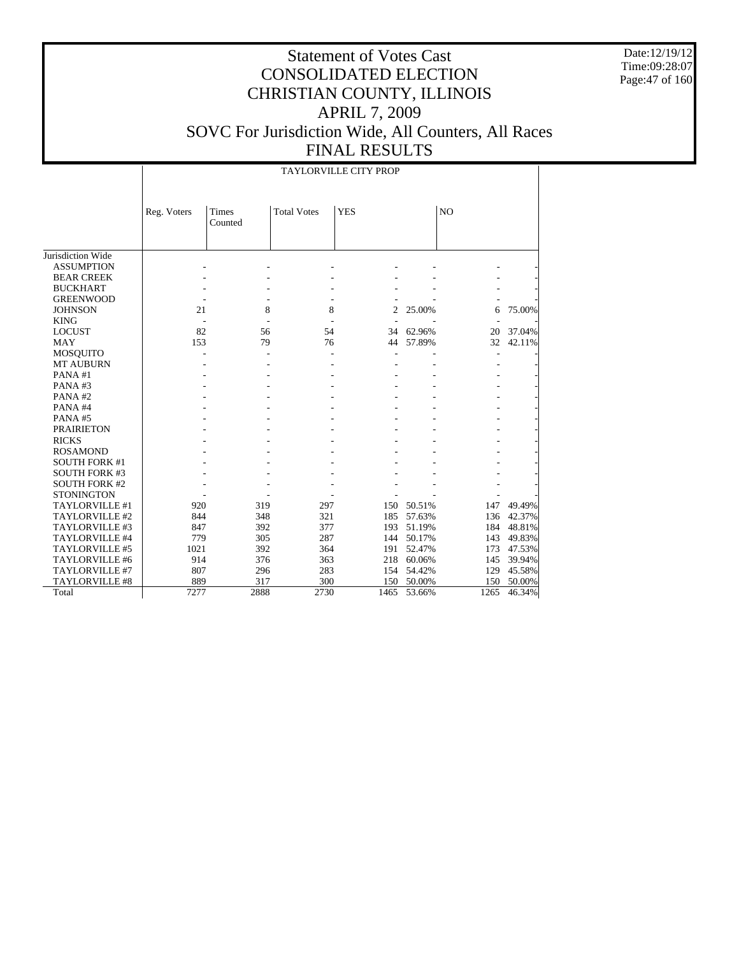Date:12/19/12 Time:09:28:07 Page:47 of 160

| <b>TAYLORVILLE CITY PROP</b> |
|------------------------------|
|------------------------------|

|                       | Reg. Voters | <b>Times</b><br>Counted | <b>Total Votes</b> | <b>YES</b>     |        | N <sub>O</sub> |        |
|-----------------------|-------------|-------------------------|--------------------|----------------|--------|----------------|--------|
|                       |             |                         |                    |                |        |                |        |
| Jurisdiction Wide     |             |                         |                    |                |        |                |        |
| <b>ASSUMPTION</b>     |             |                         |                    |                |        |                |        |
| <b>BEAR CREEK</b>     |             |                         |                    |                |        |                |        |
| <b>BUCKHART</b>       |             |                         |                    |                |        |                |        |
| <b>GREENWOOD</b>      |             |                         |                    |                |        |                |        |
| <b>JOHNSON</b>        | 21          | 8                       | 8                  | $\overline{c}$ | 25.00% | 6              | 75.00% |
| <b>KING</b>           |             |                         |                    |                |        |                |        |
| <b>LOCUST</b>         | 82          | 56                      | 54                 | 34             | 62.96% | 20             | 37.04% |
| <b>MAY</b>            | 153         | 79                      | 76                 | 44             | 57.89% | 32             | 42.11% |
| <b>MOSQUITO</b>       |             |                         |                    |                |        |                |        |
| <b>MT AUBURN</b>      |             |                         |                    |                |        |                |        |
| PANA#1                |             |                         |                    |                |        |                |        |
| PANA#3                |             |                         |                    |                |        |                |        |
| PANA#2                |             |                         |                    |                |        |                |        |
| PANA#4                |             |                         |                    |                |        |                |        |
| PANA#5                |             |                         |                    |                |        |                |        |
| <b>PRAIRIETON</b>     |             |                         |                    |                |        |                |        |
| <b>RICKS</b>          |             |                         |                    |                |        |                |        |
| <b>ROSAMOND</b>       |             |                         |                    |                |        |                |        |
| <b>SOUTH FORK #1</b>  |             |                         |                    |                |        |                |        |
| <b>SOUTH FORK #3</b>  |             |                         |                    |                |        |                |        |
| <b>SOUTH FORK #2</b>  |             |                         |                    |                |        |                |        |
| <b>STONINGTON</b>     |             |                         |                    |                |        |                |        |
| TAYLORVILLE #1        | 920         | 319                     | 297                | 150            | 50.51% | 147            | 49.49% |
| TAYLORVILLE #2        | 844         | 348                     | 321                | 185            | 57.63% | 136            | 42.37% |
| TAYLORVILLE #3        | 847         | 392                     | 377                | 193            | 51.19% | 184            | 48.81% |
| TAYLORVILLE #4        | 779         | 305                     | 287                | 144            | 50.17% | 143            | 49.83% |
| TAYLORVILLE #5        | 1021        | 392                     | 364                | 191            | 52.47% | 173            | 47.53% |
| TAYLORVILLE #6        | 914         | 376                     | 363                | 218            | 60.06% | 145            | 39.94% |
| TAYLORVILLE #7        | 807         | 296                     | 283                | 154            | 54.42% | 129            | 45.58% |
| <b>TAYLORVILLE #8</b> | 889         | 317                     | 300                | 150            | 50.00% | 150            | 50.00% |
| Total                 | 7277        | 2888                    | 2730               | 1465           | 53.66% | 1265           | 46.34% |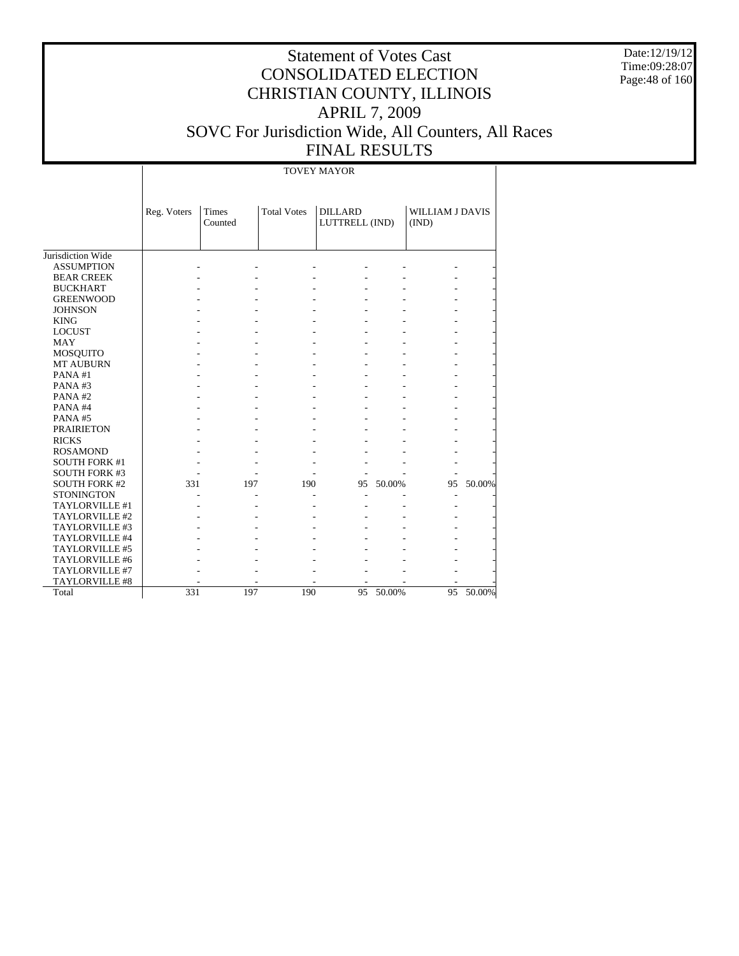Date:12/19/12 Time:09:28:07 Page:48 of 160

# Statement of Votes Cast CONSOLIDATED ELECTION CHRISTIAN COUNTY, ILLINOIS APRIL 7, 2009 SOVC For Jurisdiction Wide, All Counters, All Races FINAL RESULTS

TOVEY MAYOR

|                                        | Reg. Voters | Times<br>Counted | <b>Total Votes</b> | <b>DILLARD</b><br>LUTTRELL (IND) |        | WILLIAM J DAVIS<br>(IND) |        |
|----------------------------------------|-------------|------------------|--------------------|----------------------------------|--------|--------------------------|--------|
|                                        |             |                  |                    |                                  |        |                          |        |
| Jurisdiction Wide                      |             |                  |                    |                                  |        |                          |        |
| <b>ASSUMPTION</b><br><b>BEAR CREEK</b> |             |                  |                    |                                  |        |                          |        |
| <b>BUCKHART</b>                        |             |                  |                    |                                  |        |                          |        |
| <b>GREENWOOD</b>                       |             |                  |                    |                                  |        |                          |        |
| <b>JOHNSON</b>                         |             |                  |                    |                                  |        |                          |        |
| <b>KING</b>                            |             |                  |                    |                                  |        |                          |        |
| <b>LOCUST</b>                          |             |                  |                    |                                  |        |                          |        |
| <b>MAY</b>                             |             |                  |                    |                                  |        |                          |        |
| MOSQUITO                               |             |                  |                    |                                  |        |                          |        |
| <b>MT AUBURN</b>                       |             |                  |                    |                                  |        |                          |        |
| PANA#1                                 |             |                  |                    |                                  |        |                          |        |
| PANA#3                                 |             |                  |                    |                                  |        |                          |        |
| PANA#2                                 |             |                  |                    |                                  |        |                          |        |
| PANA#4                                 |             |                  |                    |                                  |        |                          |        |
| PANA#5                                 |             |                  |                    |                                  |        |                          |        |
| <b>PRAIRIETON</b>                      |             |                  |                    |                                  |        |                          |        |
| <b>RICKS</b>                           |             |                  |                    |                                  |        |                          |        |
| <b>ROSAMOND</b>                        |             |                  |                    |                                  |        |                          |        |
| <b>SOUTH FORK #1</b>                   |             |                  |                    |                                  |        |                          |        |
| <b>SOUTH FORK #3</b>                   |             |                  |                    |                                  |        |                          |        |
| <b>SOUTH FORK #2</b>                   | 331         | 197              | 190                | 95                               | 50.00% | 95                       | 50.00% |
| <b>STONINGTON</b>                      |             |                  |                    |                                  |        |                          |        |
| TAYLORVILLE #1                         |             |                  |                    |                                  |        |                          |        |
| TAYLORVILLE #2                         |             |                  |                    |                                  |        |                          |        |
| TAYLORVILLE #3                         |             |                  |                    |                                  |        |                          |        |
| TAYLORVILLE #4                         |             |                  |                    |                                  |        |                          |        |
| TAYLORVILLE #5                         |             |                  |                    |                                  |        |                          |        |
| TAYLORVILLE #6                         |             |                  |                    |                                  |        |                          |        |
| TAYLORVILLE #7                         |             |                  |                    |                                  |        |                          |        |
| TAYLORVILLE #8                         |             |                  |                    |                                  |        |                          |        |
| Total                                  | 331         | 197              | 190                | 95                               | 50.00% | 95                       | 50.00% |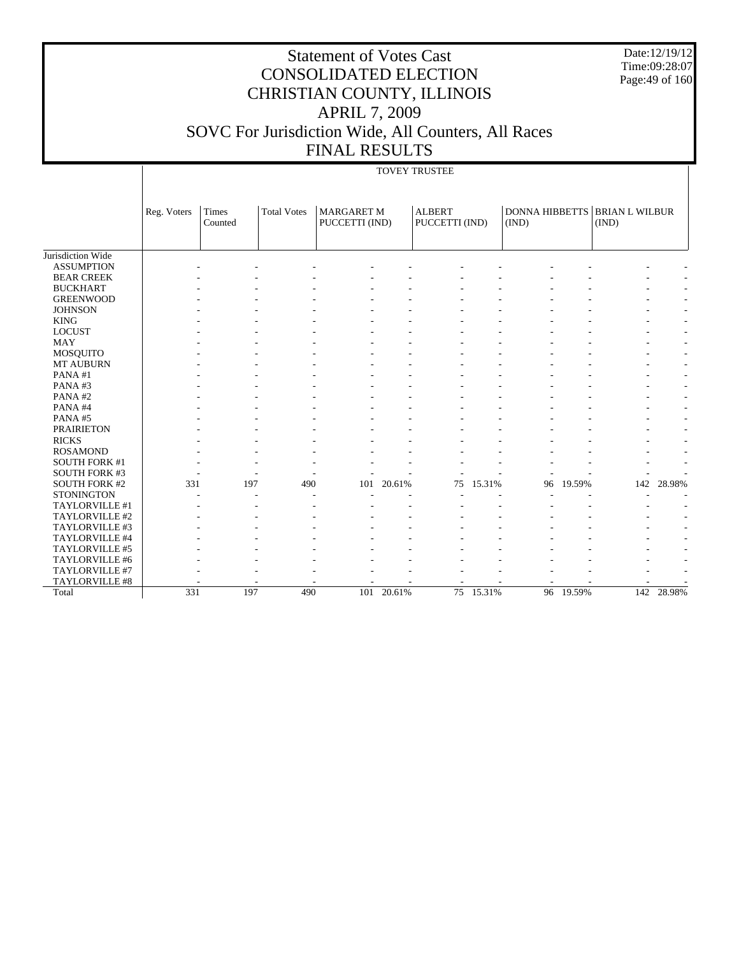Date:12/19/12 Time:09:28:07 Page:49 of 160

# Statement of Votes Cast CONSOLIDATED ELECTION CHRISTIAN COUNTY, ILLINOIS APRIL 7, 2009 SOVC For Jurisdiction Wide, All Counters, All Races FINAL RESULTS

# TOVEY TRUSTEE

|                      | Reg. Voters | <b>Times</b><br>Counted | <b>Total Votes</b> | <b>MARGARET M</b><br>PUCCETTI (IND) |        | <b>ALBERT</b><br>PUCCETTI (IND) |        | <b>DONNA HIBBETTS</b><br>(IND) |           | <b>BRIAN L WILBUR</b><br>(IND) |                          |
|----------------------|-------------|-------------------------|--------------------|-------------------------------------|--------|---------------------------------|--------|--------------------------------|-----------|--------------------------------|--------------------------|
|                      |             |                         |                    |                                     |        |                                 |        |                                |           |                                |                          |
| Jurisdiction Wide    |             |                         |                    |                                     |        |                                 |        |                                |           |                                |                          |
| <b>ASSUMPTION</b>    |             |                         |                    |                                     |        |                                 |        |                                |           |                                |                          |
| <b>BEAR CREEK</b>    |             |                         |                    |                                     |        |                                 |        |                                |           |                                |                          |
| <b>BUCKHART</b>      |             |                         |                    |                                     |        |                                 |        |                                |           |                                |                          |
| <b>GREENWOOD</b>     |             |                         |                    |                                     |        |                                 |        |                                |           |                                |                          |
| <b>JOHNSON</b>       |             |                         |                    |                                     |        |                                 |        |                                |           |                                |                          |
| <b>KING</b>          |             |                         |                    |                                     |        |                                 |        |                                |           |                                |                          |
| <b>LOCUST</b>        |             |                         |                    |                                     |        |                                 |        |                                |           |                                |                          |
| <b>MAY</b>           |             |                         |                    |                                     |        |                                 |        |                                |           |                                |                          |
| <b>MOSQUITO</b>      |             |                         |                    |                                     |        |                                 |        |                                |           |                                |                          |
| <b>MT AUBURN</b>     |             |                         |                    |                                     |        |                                 |        |                                |           |                                |                          |
| PANA#1               |             |                         |                    |                                     |        |                                 |        |                                |           |                                |                          |
| PANA#3               |             |                         |                    |                                     |        |                                 |        |                                |           |                                |                          |
| PANA#2               |             |                         |                    |                                     |        |                                 |        |                                |           |                                |                          |
| PANA#4               |             |                         |                    |                                     |        |                                 |        |                                |           |                                |                          |
| PANA#5               |             |                         |                    |                                     |        |                                 |        |                                |           |                                |                          |
| <b>PRAIRIETON</b>    |             |                         |                    |                                     |        |                                 |        |                                |           |                                |                          |
| <b>RICKS</b>         |             |                         |                    |                                     |        |                                 |        |                                |           |                                |                          |
| <b>ROSAMOND</b>      |             |                         |                    |                                     |        |                                 |        |                                |           |                                |                          |
| <b>SOUTH FORK #1</b> |             |                         |                    |                                     |        |                                 |        |                                |           |                                |                          |
| SOUTH FORK #3        |             |                         |                    |                                     |        |                                 |        |                                |           |                                |                          |
| <b>SOUTH FORK #2</b> | 331         | 197                     | 490                | 101                                 | 20.61% | 75                              | 15.31% | 96                             | 19.59%    | 142                            | 28.98%                   |
| <b>STONINGTON</b>    |             |                         |                    |                                     |        |                                 |        |                                |           |                                |                          |
| TAYLORVILLE #1       |             |                         |                    |                                     |        |                                 |        |                                |           |                                |                          |
| TAYLORVILLE #2       |             |                         |                    |                                     |        |                                 |        |                                |           |                                | $\overline{\phantom{a}}$ |
| TAYLORVILLE #3       |             |                         |                    |                                     |        |                                 |        |                                |           |                                |                          |
| TAYLORVILLE #4       |             |                         |                    |                                     |        |                                 |        |                                |           |                                |                          |
| TAYLORVILLE #5       |             |                         |                    |                                     |        |                                 |        |                                |           |                                |                          |
| TAYLORVILLE #6       |             |                         |                    |                                     |        |                                 |        |                                |           |                                |                          |
| TAYLORVILLE #7       |             |                         |                    |                                     |        |                                 |        |                                |           |                                |                          |
| TAYLORVILLE #8       |             |                         |                    |                                     |        |                                 |        |                                |           |                                |                          |
| Total                | 331         | 197                     | 490                | 101                                 | 20.61% | 75                              | 15.31% |                                | 96 19.59% | 142                            | 28.98%                   |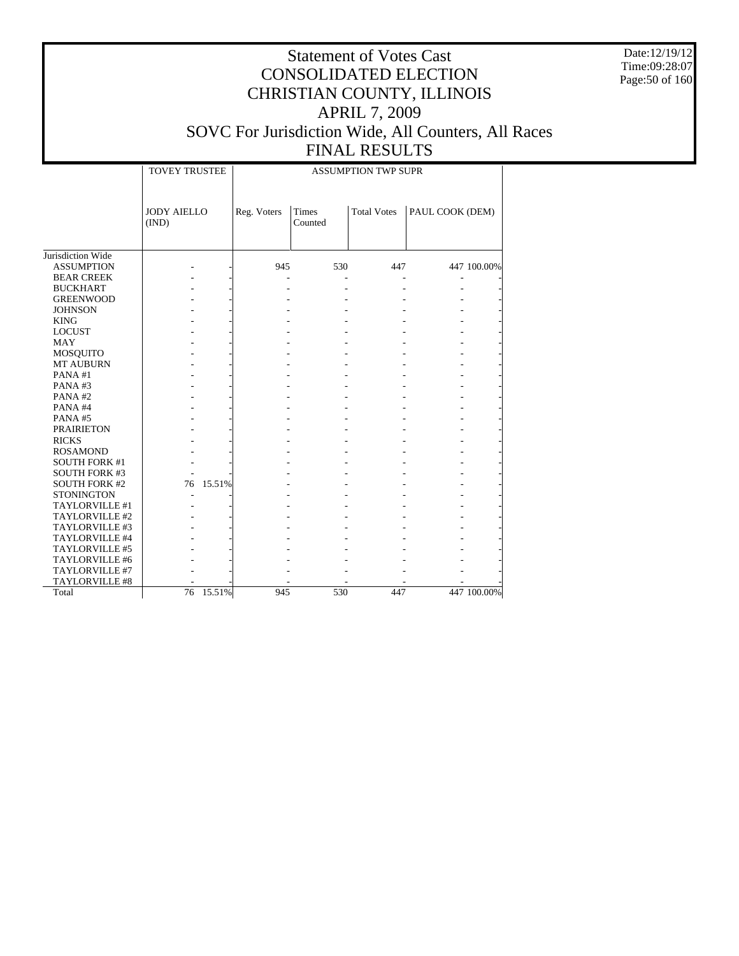Date:12/19/12 Time:09:28:07 Page:50 of 160

|  | ---------------        |  |  |  |
|--|------------------------|--|--|--|
|  | A CCI IMPTION TWD CHDD |  |  |  |

|                      | <b>TOVEY TRUSTEE</b>        | <b>ASSUMPTION TWP SUPR</b> |                         |                    |                 |  |  |  |  |  |
|----------------------|-----------------------------|----------------------------|-------------------------|--------------------|-----------------|--|--|--|--|--|
|                      |                             |                            |                         |                    |                 |  |  |  |  |  |
|                      | <b>JODY AIELLO</b><br>(IND) | Reg. Voters                | <b>Times</b><br>Counted | <b>Total Votes</b> | PAUL COOK (DEM) |  |  |  |  |  |
| Jurisdiction Wide    |                             |                            |                         |                    |                 |  |  |  |  |  |
| <b>ASSUMPTION</b>    |                             | 945                        | 530                     | 447                | 447 100.00%     |  |  |  |  |  |
| <b>BEAR CREEK</b>    |                             |                            |                         |                    |                 |  |  |  |  |  |
| <b>BUCKHART</b>      |                             |                            |                         |                    |                 |  |  |  |  |  |
| <b>GREENWOOD</b>     |                             |                            |                         |                    |                 |  |  |  |  |  |
| <b>JOHNSON</b>       |                             |                            |                         |                    |                 |  |  |  |  |  |
| <b>KING</b>          |                             |                            |                         |                    |                 |  |  |  |  |  |
| <b>LOCUST</b>        |                             |                            |                         |                    |                 |  |  |  |  |  |
| <b>MAY</b>           |                             |                            |                         |                    |                 |  |  |  |  |  |
| <b>MOSQUITO</b>      |                             |                            |                         |                    |                 |  |  |  |  |  |
| MT AUBURN            |                             |                            |                         |                    |                 |  |  |  |  |  |
| PANA#1               |                             |                            |                         |                    |                 |  |  |  |  |  |
| PANA#3               |                             |                            |                         |                    |                 |  |  |  |  |  |
| PANA#2               |                             |                            |                         |                    |                 |  |  |  |  |  |
| PANA#4               |                             |                            |                         |                    |                 |  |  |  |  |  |
| PANA#5               |                             |                            |                         |                    |                 |  |  |  |  |  |
| <b>PRAIRIETON</b>    |                             |                            |                         |                    |                 |  |  |  |  |  |
| <b>RICKS</b>         |                             |                            |                         |                    |                 |  |  |  |  |  |
| <b>ROSAMOND</b>      |                             |                            |                         |                    |                 |  |  |  |  |  |
| <b>SOUTH FORK #1</b> |                             |                            |                         |                    |                 |  |  |  |  |  |
| <b>SOUTH FORK #3</b> |                             |                            |                         |                    |                 |  |  |  |  |  |
| <b>SOUTH FORK #2</b> | 15.51%<br>76                |                            |                         |                    |                 |  |  |  |  |  |
| <b>STONINGTON</b>    |                             |                            |                         |                    |                 |  |  |  |  |  |
| TAYLORVILLE #1       |                             |                            |                         |                    |                 |  |  |  |  |  |
| TAYLORVILLE #2       |                             |                            |                         |                    |                 |  |  |  |  |  |
| TAYLORVILLE #3       |                             |                            |                         |                    |                 |  |  |  |  |  |
| TAYLORVILLE #4       |                             |                            |                         |                    |                 |  |  |  |  |  |
| TAYLORVILLE #5       |                             |                            |                         |                    |                 |  |  |  |  |  |
| TAYLORVILLE #6       |                             |                            |                         |                    |                 |  |  |  |  |  |
| TAYLORVILLE #7       |                             |                            |                         |                    |                 |  |  |  |  |  |
| TAYLORVILLE #8       |                             |                            |                         |                    |                 |  |  |  |  |  |
| Total                | 15.51%<br>76                | 945                        | 530                     | 447                | 447 100.00%     |  |  |  |  |  |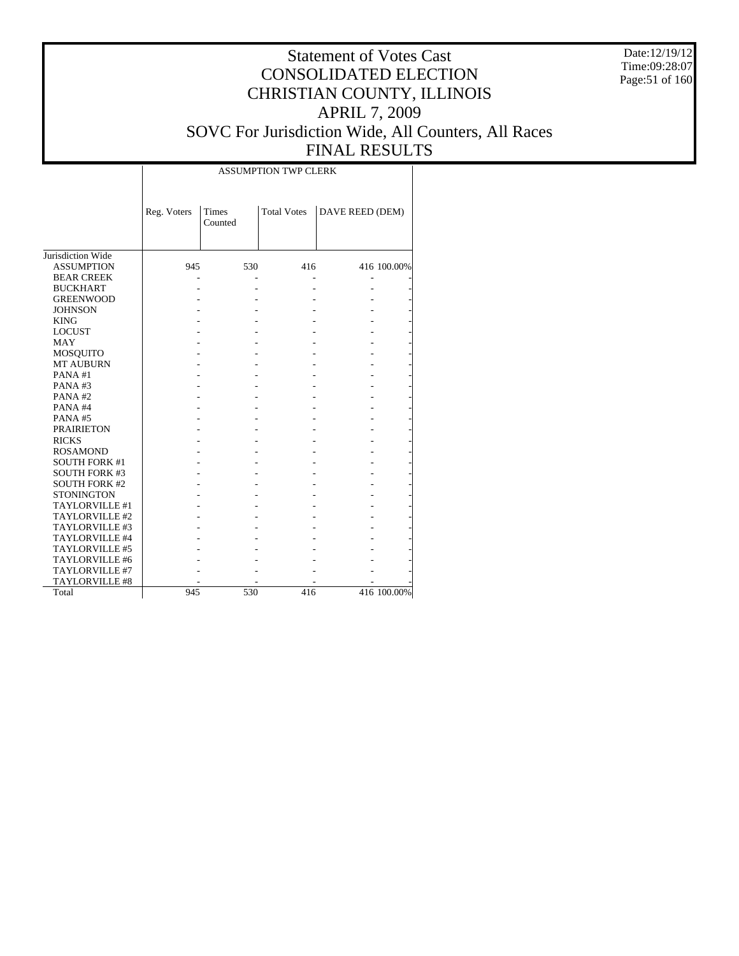Date:12/19/12 Time:09:28:07 Page:51 of 160

# Statement of Votes Cast CONSOLIDATED ELECTION CHRISTIAN COUNTY, ILLINOIS APRIL 7, 2009 SOVC For Jurisdiction Wide, All Counters, All Races FINAL RESULTS

|                       |             |                  | <b>ASSUMPTION TWP CLERK</b> |                 |             |
|-----------------------|-------------|------------------|-----------------------------|-----------------|-------------|
|                       | Reg. Voters | Times<br>Counted | <b>Total Votes</b>          | DAVE REED (DEM) |             |
| Jurisdiction Wide     |             |                  |                             |                 |             |
| <b>ASSUMPTION</b>     | 945         | 530              | 416                         |                 | 416 100.00% |
| <b>BEAR CREEK</b>     |             |                  |                             |                 |             |
| <b>BUCKHART</b>       |             |                  |                             |                 |             |
| <b>GREENWOOD</b>      |             |                  |                             |                 |             |
| <b>JOHNSON</b>        |             |                  |                             |                 |             |
| <b>KING</b>           |             |                  |                             |                 |             |
| <b>LOCUST</b>         |             |                  |                             |                 |             |
| <b>MAY</b>            |             |                  |                             |                 |             |
| MOSQUITO              |             |                  |                             |                 |             |
| <b>MT AUBURN</b>      |             |                  |                             |                 |             |
| PANA#1                |             |                  |                             |                 |             |
| PANA#3                |             |                  |                             |                 |             |
| PANA#2                |             |                  |                             |                 |             |
| PANA#4                |             |                  |                             |                 |             |
| PANA#5                |             |                  |                             |                 |             |
| <b>PRAIRIETON</b>     |             |                  |                             |                 |             |
| <b>RICKS</b>          |             |                  |                             |                 |             |
| <b>ROSAMOND</b>       |             |                  |                             |                 |             |
| <b>SOUTH FORK #1</b>  |             |                  |                             |                 |             |
| <b>SOUTH FORK #3</b>  |             |                  |                             |                 |             |
| <b>SOUTH FORK #2</b>  |             |                  |                             |                 |             |
| <b>STONINGTON</b>     |             |                  |                             |                 |             |
| <b>TAYLORVILLE #1</b> |             |                  |                             |                 |             |
| TAYLORVILLE #2        |             |                  |                             |                 |             |
| TAYLORVILLE #3        |             |                  |                             |                 |             |
| TAYLORVILLE #4        |             |                  |                             |                 |             |
| TAYLORVILLE #5        |             |                  |                             |                 |             |
| TAYLORVILLE #6        |             |                  |                             |                 |             |
| TAYLORVILLE #7        |             |                  |                             |                 |             |
| <b>TAYLORVILLE #8</b> |             |                  |                             |                 |             |
| Total                 | 945         | 530              | 416                         |                 | 416 100.00% |
|                       |             |                  |                             |                 |             |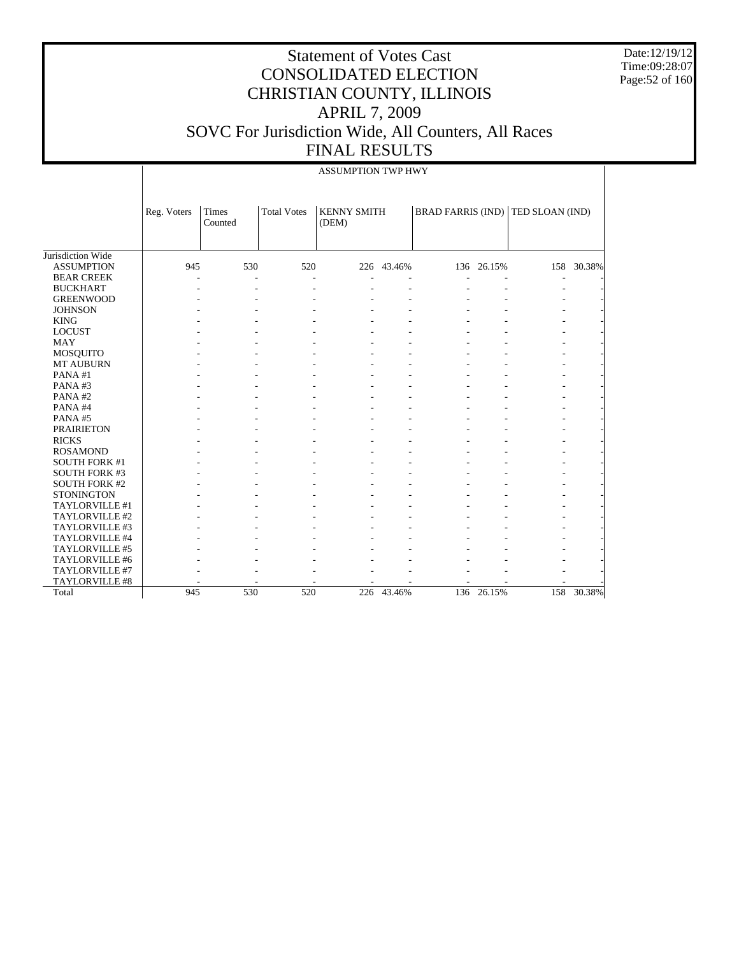Date:12/19/12 Time:09:28:07 Page:52 of 160

|                      |             | <b>ASSUMPTION TWP HWY</b>                                                                                  |     |     |            |  |            |  |            |  |  |  |
|----------------------|-------------|------------------------------------------------------------------------------------------------------------|-----|-----|------------|--|------------|--|------------|--|--|--|
|                      | Reg. Voters | Times<br><b>Total Votes</b><br><b>KENNY SMITH</b><br>BRAD FARRIS (IND) TED SLOAN (IND)<br>Counted<br>(DEM) |     |     |            |  |            |  |            |  |  |  |
|                      |             |                                                                                                            |     |     |            |  |            |  |            |  |  |  |
| Jurisdiction Wide    |             |                                                                                                            |     |     |            |  |            |  |            |  |  |  |
| <b>ASSUMPTION</b>    | 945         | 530                                                                                                        | 520 |     | 226 43.46% |  | 136 26.15% |  | 158 30.38% |  |  |  |
| <b>BEAR CREEK</b>    |             | $\overline{\phantom{a}}$                                                                                   |     |     |            |  |            |  |            |  |  |  |
| <b>BUCKHART</b>      |             |                                                                                                            |     |     |            |  |            |  |            |  |  |  |
| <b>GREENWOOD</b>     |             |                                                                                                            |     |     |            |  |            |  |            |  |  |  |
| <b>JOHNSON</b>       |             |                                                                                                            |     |     |            |  |            |  |            |  |  |  |
| <b>KING</b>          |             |                                                                                                            |     |     |            |  |            |  |            |  |  |  |
| <b>LOCUST</b>        |             |                                                                                                            |     |     |            |  |            |  |            |  |  |  |
| <b>MAY</b>           |             |                                                                                                            |     |     |            |  |            |  |            |  |  |  |
| MOSQUITO             |             |                                                                                                            |     |     |            |  |            |  |            |  |  |  |
| <b>MT AUBURN</b>     |             |                                                                                                            |     |     |            |  |            |  |            |  |  |  |
| PANA#1               |             |                                                                                                            |     |     |            |  |            |  |            |  |  |  |
| PANA#3               |             |                                                                                                            |     |     |            |  |            |  |            |  |  |  |
| PANA#2               |             |                                                                                                            |     |     |            |  |            |  |            |  |  |  |
| PANA#4               |             |                                                                                                            |     |     |            |  |            |  |            |  |  |  |
| PANA#5               |             |                                                                                                            |     |     |            |  |            |  |            |  |  |  |
| <b>PRAIRIETON</b>    |             |                                                                                                            |     |     |            |  |            |  |            |  |  |  |
| <b>RICKS</b>         |             |                                                                                                            |     |     |            |  |            |  |            |  |  |  |
| <b>ROSAMOND</b>      |             |                                                                                                            |     |     |            |  |            |  |            |  |  |  |
| <b>SOUTH FORK #1</b> |             |                                                                                                            |     |     |            |  |            |  |            |  |  |  |
| <b>SOUTH FORK #3</b> |             |                                                                                                            |     |     |            |  |            |  |            |  |  |  |
| <b>SOUTH FORK #2</b> |             |                                                                                                            |     |     |            |  |            |  |            |  |  |  |
| <b>STONINGTON</b>    |             |                                                                                                            |     |     |            |  |            |  |            |  |  |  |
| TAYLORVILLE #1       |             |                                                                                                            |     |     |            |  |            |  |            |  |  |  |
| TAYLORVILLE #2       |             |                                                                                                            |     |     |            |  |            |  |            |  |  |  |
| TAYLORVILLE #3       |             |                                                                                                            |     |     |            |  |            |  |            |  |  |  |
| TAYLORVILLE #4       |             |                                                                                                            |     |     |            |  |            |  |            |  |  |  |
| TAYLORVILLE #5       |             |                                                                                                            |     |     |            |  |            |  |            |  |  |  |
| TAYLORVILLE #6       |             |                                                                                                            |     |     |            |  |            |  |            |  |  |  |
| TAYLORVILLE #7       |             |                                                                                                            |     |     |            |  |            |  |            |  |  |  |
| TAYLORVILLE #8       |             |                                                                                                            |     |     |            |  |            |  |            |  |  |  |
| Total                | 945         | 530                                                                                                        | 520 | 226 | 43.46%     |  | 136 26.15% |  | 158 30.38% |  |  |  |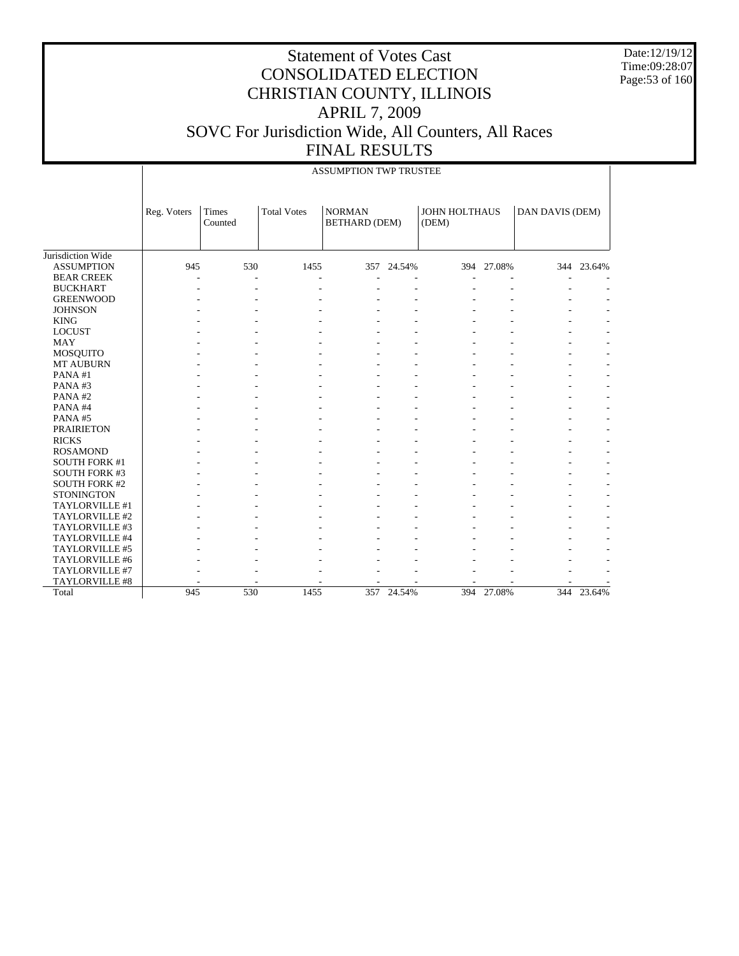Date:12/19/12 Time:09:28:07 Page:53 of 160

|                      |             |                  |                    | <b>ASSUMPTION TWP TRUSTEE</b>         |            |                        |            |                 |            |
|----------------------|-------------|------------------|--------------------|---------------------------------------|------------|------------------------|------------|-----------------|------------|
|                      | Reg. Voters | Times<br>Counted | <b>Total Votes</b> | <b>NORMAN</b><br><b>BETHARD (DEM)</b> |            | JOHN HOLTHAUS<br>(DEM) |            | DAN DAVIS (DEM) |            |
| Jurisdiction Wide    |             |                  |                    |                                       |            |                        |            |                 |            |
| <b>ASSUMPTION</b>    | 945         | 530              | 1455               |                                       | 357 24.54% |                        | 394 27.08% |                 | 344 23.64% |
| <b>BEAR CREEK</b>    |             | L.               |                    |                                       |            |                        |            |                 |            |
| <b>BUCKHART</b>      |             |                  |                    |                                       |            |                        |            |                 |            |
| <b>GREENWOOD</b>     |             |                  |                    |                                       |            |                        |            |                 |            |
| <b>JOHNSON</b>       |             |                  |                    |                                       |            |                        |            |                 |            |
| <b>KING</b>          |             |                  |                    |                                       |            |                        |            |                 |            |
| <b>LOCUST</b>        |             |                  |                    |                                       |            |                        |            |                 |            |
| <b>MAY</b>           |             |                  |                    |                                       |            |                        |            |                 |            |
| <b>MOSQUITO</b>      |             |                  |                    |                                       |            |                        |            |                 |            |
| <b>MT AUBURN</b>     |             |                  |                    |                                       |            |                        |            |                 |            |
| PANA#1               |             |                  |                    |                                       |            |                        |            |                 |            |
| PANA#3               |             |                  |                    |                                       |            |                        |            |                 |            |
| PANA#2               |             |                  |                    |                                       |            |                        |            |                 |            |
| PANA#4               |             |                  |                    |                                       |            |                        |            |                 |            |
| PANA#5               |             |                  |                    |                                       | ÷          |                        |            |                 |            |
| <b>PRAIRIETON</b>    |             |                  |                    |                                       | ÷          |                        |            |                 |            |
| <b>RICKS</b>         |             |                  |                    |                                       |            |                        |            |                 |            |
| <b>ROSAMOND</b>      |             |                  |                    |                                       |            |                        |            |                 |            |
| <b>SOUTH FORK #1</b> |             |                  |                    |                                       |            |                        |            |                 |            |
| <b>SOUTH FORK #3</b> |             |                  |                    |                                       |            |                        |            |                 |            |
| <b>SOUTH FORK #2</b> |             |                  |                    |                                       |            |                        |            |                 |            |
| <b>STONINGTON</b>    |             |                  |                    |                                       |            |                        |            |                 |            |
| TAYLORVILLE #1       |             |                  |                    |                                       |            |                        |            |                 |            |
| TAYLORVILLE #2       |             |                  |                    |                                       |            |                        |            |                 |            |
| TAYLORVILLE #3       |             |                  |                    |                                       |            |                        |            |                 |            |
| TAYLORVILLE #4       |             |                  |                    |                                       |            |                        |            |                 |            |
| TAYLORVILLE #5       |             |                  |                    |                                       |            |                        |            |                 |            |
| TAYLORVILLE #6       |             |                  |                    |                                       |            |                        |            |                 |            |
| TAYLORVILLE #7       |             |                  |                    |                                       |            |                        |            |                 |            |
| TAYLORVILLE #8       |             |                  |                    |                                       |            |                        |            |                 |            |
| Total                | 945         | 530              | 1455               |                                       | 357 24.54% |                        | 394 27.08% |                 | 344 23.64% |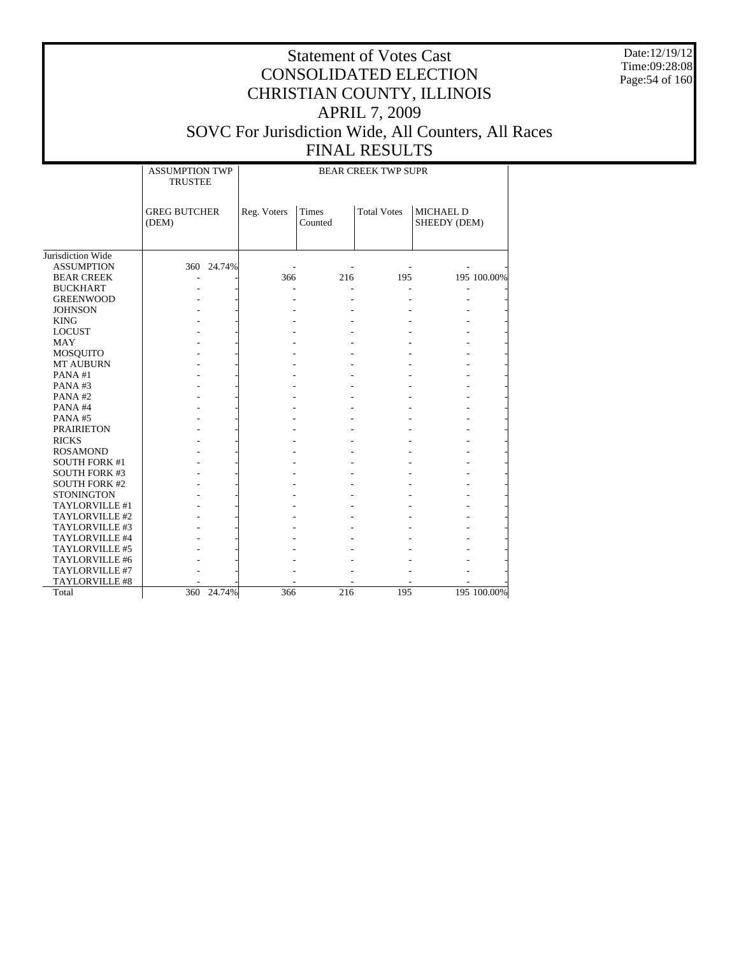Date:12/19/12 Time:09:28:08 Page:54 of 160

|                      | <b>ASSUMPTION TWP</b><br><b>TRUSTEE</b> |            | <b>BEAR CREEK TWP SUPR</b> |                  |                    |                                  |             |  |  |  |
|----------------------|-----------------------------------------|------------|----------------------------|------------------|--------------------|----------------------------------|-------------|--|--|--|
|                      |                                         |            |                            |                  |                    |                                  |             |  |  |  |
|                      | <b>GREG BUTCHER</b><br>(DEM)            |            | Reg. Voters                | Times<br>Counted | <b>Total Votes</b> | <b>MICHAEL D</b><br>SHEEDY (DEM) |             |  |  |  |
|                      |                                         |            |                            |                  |                    |                                  |             |  |  |  |
| Jurisdiction Wide    |                                         |            |                            |                  |                    |                                  |             |  |  |  |
| <b>ASSUMPTION</b>    |                                         | 360 24.74% |                            |                  |                    |                                  |             |  |  |  |
| <b>BEAR CREEK</b>    |                                         |            | 366                        | 216              | 195                |                                  | 195 100.00% |  |  |  |
| <b>BUCKHART</b>      |                                         |            |                            |                  |                    |                                  |             |  |  |  |
| <b>GREENWOOD</b>     |                                         |            |                            | $\overline{a}$   |                    |                                  |             |  |  |  |
| <b>JOHNSON</b>       |                                         |            |                            |                  |                    |                                  |             |  |  |  |
| <b>KING</b>          |                                         |            |                            |                  |                    |                                  |             |  |  |  |
| <b>LOCUST</b>        |                                         |            |                            |                  |                    |                                  |             |  |  |  |
| <b>MAY</b>           |                                         |            |                            |                  |                    |                                  |             |  |  |  |
| MOSQUITO             |                                         |            |                            |                  |                    |                                  |             |  |  |  |
| <b>MT AUBURN</b>     |                                         |            |                            |                  |                    |                                  |             |  |  |  |
| PANA#1               |                                         |            |                            |                  |                    |                                  |             |  |  |  |
| PANA#3               |                                         |            |                            |                  |                    |                                  |             |  |  |  |
| PANA#2               |                                         |            |                            |                  |                    |                                  |             |  |  |  |
| PANA#4               |                                         |            |                            |                  |                    |                                  |             |  |  |  |
| PANA#5               |                                         |            |                            |                  |                    |                                  |             |  |  |  |
| <b>PRAIRIETON</b>    |                                         |            |                            |                  |                    |                                  |             |  |  |  |
| <b>RICKS</b>         |                                         |            |                            |                  |                    |                                  |             |  |  |  |
| <b>ROSAMOND</b>      |                                         |            |                            |                  |                    |                                  |             |  |  |  |
| <b>SOUTH FORK #1</b> |                                         |            |                            |                  |                    |                                  |             |  |  |  |
| <b>SOUTH FORK #3</b> |                                         |            |                            |                  |                    |                                  |             |  |  |  |
| <b>SOUTH FORK #2</b> |                                         |            |                            |                  |                    |                                  |             |  |  |  |
| <b>STONINGTON</b>    |                                         |            |                            |                  |                    |                                  |             |  |  |  |
| TAYLORVILLE #1       |                                         |            |                            |                  |                    |                                  |             |  |  |  |
| TAYLORVILLE #2       |                                         |            |                            |                  |                    |                                  |             |  |  |  |
| TAYLORVILLE #3       |                                         |            |                            |                  |                    |                                  |             |  |  |  |
| TAYLORVILLE #4       |                                         |            |                            |                  |                    |                                  |             |  |  |  |
| TAYLORVILLE #5       |                                         |            |                            |                  |                    |                                  |             |  |  |  |
| TAYLORVILLE #6       |                                         |            |                            |                  |                    |                                  |             |  |  |  |
| TAYLORVILLE #7       |                                         |            |                            |                  |                    |                                  |             |  |  |  |
| TAYLORVILLE #8       |                                         |            |                            |                  |                    |                                  |             |  |  |  |
| Total                |                                         | 360 24.74% | 366                        | 216              | 195                |                                  | 195 100.00% |  |  |  |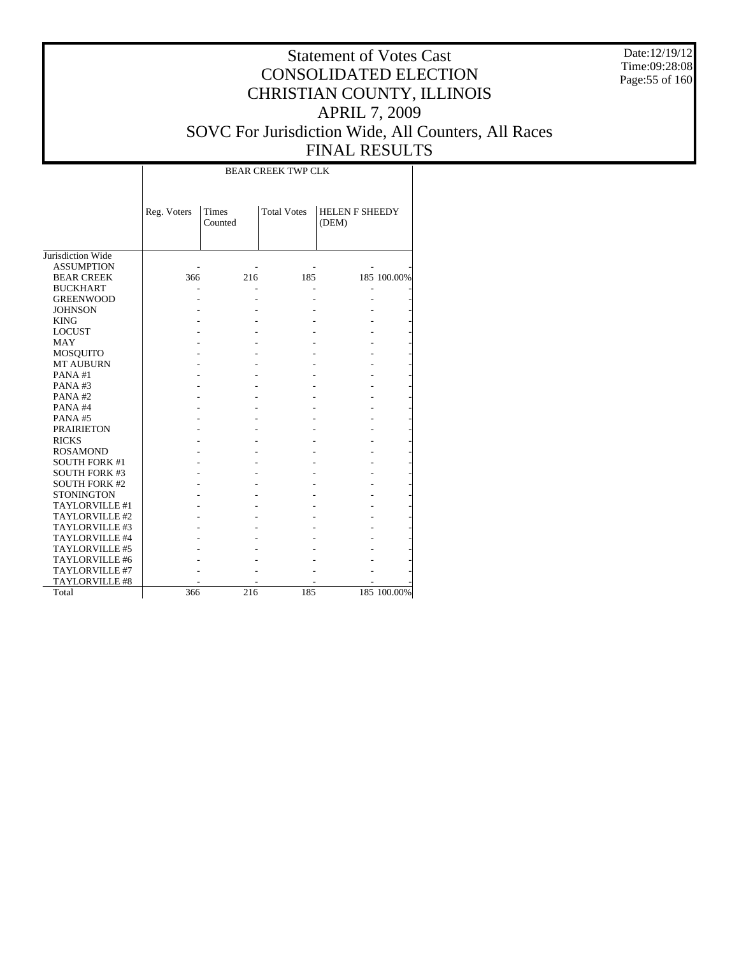Date:12/19/12 Time:09:28:08 Page:55 of 160

## Statement of Votes Cast CONSOLIDATED ELECTION CHRISTIAN COUNTY, ILLINOIS APRIL 7, 2009 SOVC For Jurisdiction Wide, All Counters, All Races FINAL RESULTS

T

|                      |             |                  | <b>BEAR CREEK TWP CLK</b> |                                |             |
|----------------------|-------------|------------------|---------------------------|--------------------------------|-------------|
|                      | Reg. Voters | Times<br>Counted | <b>Total Votes</b>        | <b>HELEN F SHEEDY</b><br>(DEM) |             |
| Jurisdiction Wide    |             |                  |                           |                                |             |
| <b>ASSUMPTION</b>    |             |                  |                           |                                |             |
| <b>BEAR CREEK</b>    | 366         | 216              | 185                       |                                | 185 100.00% |
| <b>BUCKHART</b>      |             |                  |                           |                                |             |
| <b>GREENWOOD</b>     |             |                  |                           |                                |             |
| <b>JOHNSON</b>       |             |                  |                           |                                |             |
| <b>KING</b>          |             |                  |                           |                                |             |
| <b>LOCUST</b>        |             |                  |                           |                                |             |
| <b>MAY</b>           |             |                  |                           |                                |             |
| MOSQUITO             |             |                  |                           |                                |             |
| <b>MT AUBURN</b>     |             |                  |                           |                                |             |
| PANA#1               |             |                  |                           |                                |             |
| PANA#3               |             |                  |                           |                                |             |
| PANA#2               |             |                  |                           |                                |             |
| PANA#4               |             |                  |                           |                                |             |
| PANA#5               |             |                  |                           |                                |             |
| <b>PRAIRIETON</b>    |             |                  |                           |                                |             |
| <b>RICKS</b>         |             |                  |                           |                                |             |
| <b>ROSAMOND</b>      |             |                  |                           |                                |             |
| <b>SOUTH FORK #1</b> |             |                  |                           |                                |             |
| <b>SOUTH FORK #3</b> |             |                  |                           |                                |             |
| <b>SOUTH FORK #2</b> |             |                  |                           |                                |             |
| <b>STONINGTON</b>    |             |                  |                           |                                |             |
| TAYLORVILLE #1       |             |                  |                           |                                |             |
| TAYLORVILLE #2       |             |                  |                           |                                |             |
| TAYLORVILLE #3       |             |                  |                           |                                |             |
| TAYLORVILLE #4       |             |                  |                           |                                |             |
| TAYLORVILLE #5       |             |                  |                           |                                |             |
| TAYLORVILLE #6       |             |                  |                           |                                |             |
| TAYLORVILLE #7       |             |                  |                           |                                |             |
| TAYLORVILLE #8       |             |                  |                           |                                |             |
| Total                | 366         | 216              | 185                       |                                | 185 100.00% |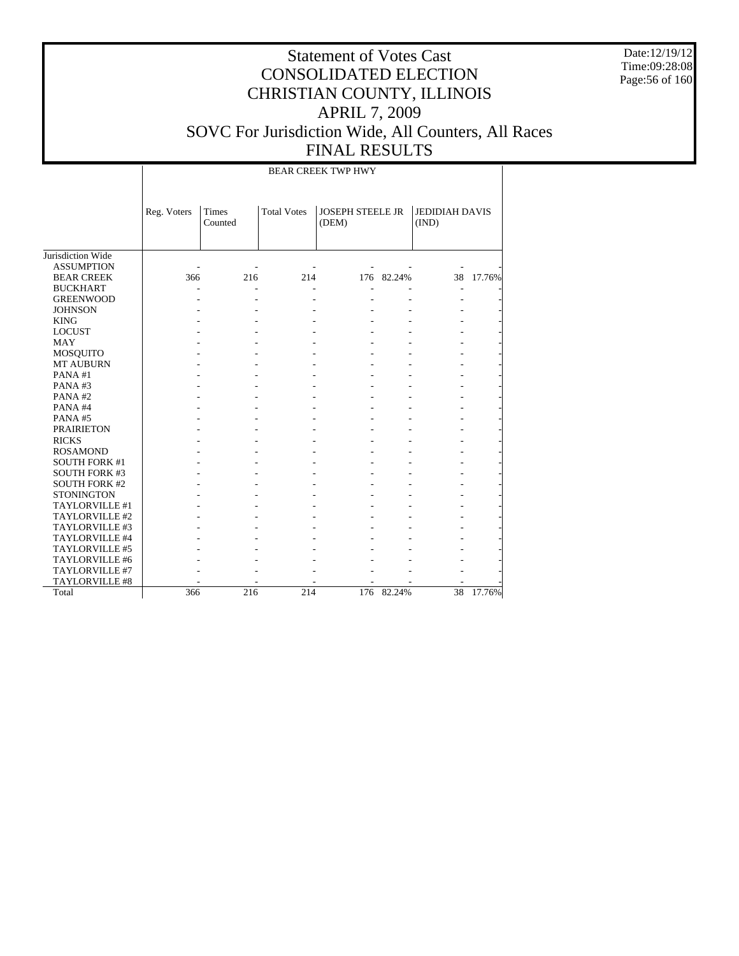Date:12/19/12 Time:09:28:08 Page:56 of 160

# Statement of Votes Cast CONSOLIDATED ELECTION CHRISTIAN COUNTY, ILLINOIS APRIL 7, 2009 SOVC For Jurisdiction Wide, All Counters, All Races FINAL RESULTS

BEAR CREEK TWP HWY

|                      | Reg. Voters | Times<br>Counted | <b>Total Votes</b> | <b>JOSEPH STEELE JR</b><br>(DEM) |        | <b>JEDIDIAH DAVIS</b><br>(IND) |        |
|----------------------|-------------|------------------|--------------------|----------------------------------|--------|--------------------------------|--------|
| Jurisdiction Wide    |             |                  |                    |                                  |        |                                |        |
| <b>ASSUMPTION</b>    |             |                  |                    |                                  |        |                                |        |
| <b>BEAR CREEK</b>    | 366         | 216              | 214                | 176                              | 82.24% | 38                             | 17.76% |
| <b>BUCKHART</b>      |             |                  |                    |                                  |        |                                |        |
| <b>GREENWOOD</b>     |             |                  |                    |                                  |        |                                |        |
| <b>JOHNSON</b>       |             |                  |                    |                                  |        |                                |        |
| <b>KING</b>          |             |                  |                    |                                  |        |                                |        |
| <b>LOCUST</b>        |             |                  |                    |                                  |        |                                |        |
| MAY                  |             |                  |                    |                                  |        |                                |        |
| MOSQUITO             |             |                  |                    |                                  |        |                                |        |
| <b>MT AUBURN</b>     |             |                  |                    |                                  |        |                                |        |
| PANA#1               |             |                  |                    |                                  |        |                                |        |
| PANA#3               |             |                  |                    |                                  |        |                                |        |
| PANA#2               |             |                  |                    |                                  |        |                                |        |
| PANA#4               |             |                  |                    |                                  |        |                                |        |
| PANA#5               |             |                  |                    |                                  |        |                                |        |
| <b>PRAIRIETON</b>    |             |                  |                    |                                  |        |                                |        |
| <b>RICKS</b>         |             |                  |                    |                                  |        |                                |        |
| <b>ROSAMOND</b>      |             |                  |                    |                                  |        |                                |        |
| <b>SOUTH FORK #1</b> |             |                  |                    |                                  |        |                                |        |
| <b>SOUTH FORK #3</b> |             |                  |                    |                                  |        |                                |        |
| <b>SOUTH FORK #2</b> |             |                  |                    |                                  |        |                                |        |
| <b>STONINGTON</b>    |             |                  |                    |                                  |        |                                |        |
| TAYLORVILLE #1       |             |                  |                    |                                  |        |                                |        |
| TAYLORVILLE #2       |             |                  |                    |                                  |        |                                |        |
| TAYLORVILLE #3       |             |                  |                    |                                  |        |                                |        |
| TAYLORVILLE #4       |             |                  |                    |                                  |        |                                |        |
| TAYLORVILLE #5       |             |                  |                    |                                  |        |                                |        |
| TAYLORVILLE #6       |             |                  |                    |                                  |        |                                |        |
| TAYLORVILLE #7       |             |                  |                    |                                  |        |                                |        |
| TAYLORVILLE #8       |             |                  |                    |                                  |        |                                |        |
| Total                | 366         | 216              | 214                | 176                              | 82.24% | 38                             | 17.76% |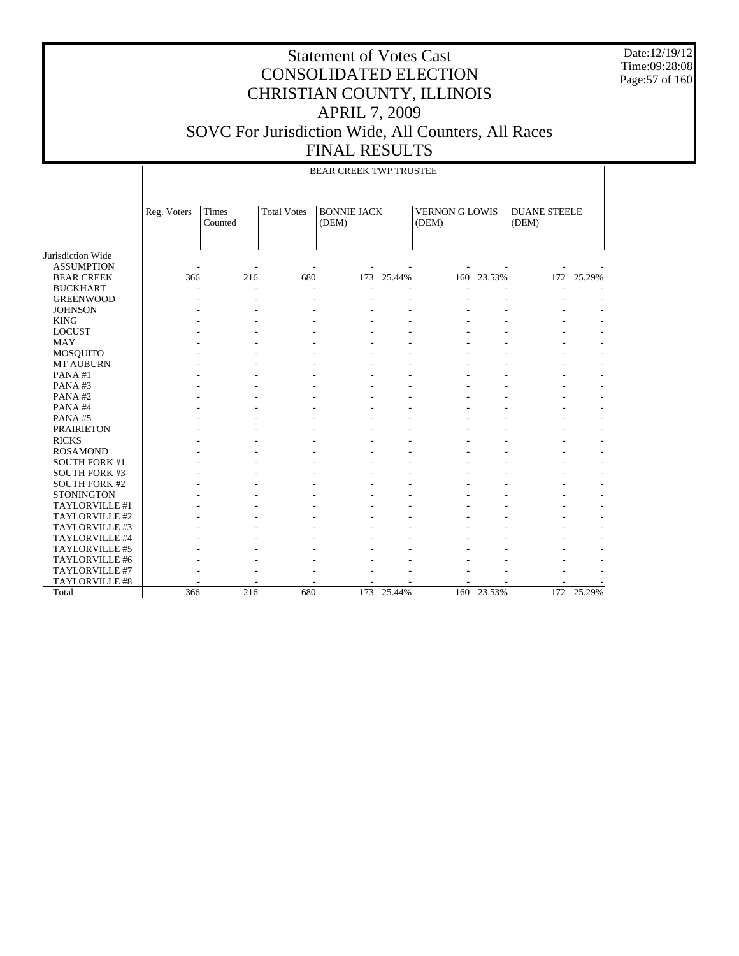Date:12/19/12 Time:09:28:08 Page:57 of 160

|                      |             |                  |                    | <b>BEAR CREEK TWP TRUSTEE</b> |        |                                |            |                              |            |
|----------------------|-------------|------------------|--------------------|-------------------------------|--------|--------------------------------|------------|------------------------------|------------|
|                      | Reg. Voters | Times<br>Counted | <b>Total Votes</b> | <b>BONNIE JACK</b><br>(DEM)   |        | <b>VERNON G LOWIS</b><br>(DEM) |            | <b>DUANE STEELE</b><br>(DEM) |            |
| Jurisdiction Wide    |             |                  |                    |                               |        |                                |            |                              |            |
| <b>ASSUMPTION</b>    |             |                  |                    |                               |        |                                |            |                              |            |
| <b>BEAR CREEK</b>    | 366         | 216              | 680                | 173                           | 25.44% |                                | 160 23.53% |                              | 172 25.29% |
| <b>BUCKHART</b>      |             |                  |                    |                               |        |                                |            |                              |            |
| <b>GREENWOOD</b>     |             |                  |                    |                               |        |                                |            |                              |            |
| <b>JOHNSON</b>       |             |                  |                    |                               |        |                                |            |                              |            |
| <b>KING</b>          |             |                  |                    |                               |        |                                |            |                              |            |
| <b>LOCUST</b>        |             |                  |                    |                               |        |                                |            |                              |            |
| <b>MAY</b>           |             |                  |                    |                               |        |                                |            |                              |            |
| <b>MOSQUITO</b>      |             |                  |                    |                               |        |                                |            |                              |            |
| <b>MT AUBURN</b>     |             |                  |                    |                               |        |                                |            |                              |            |
| PANA#1               |             |                  |                    |                               |        |                                |            |                              |            |
| PANA#3               |             |                  |                    |                               |        |                                |            |                              |            |
| PANA#2               |             |                  |                    |                               |        |                                |            |                              |            |
| PANA#4               |             |                  |                    |                               |        |                                |            |                              |            |
| PANA#5               |             |                  |                    |                               |        |                                |            |                              |            |
| <b>PRAIRIETON</b>    |             |                  |                    |                               |        |                                |            |                              |            |
| <b>RICKS</b>         |             |                  |                    |                               |        |                                |            |                              |            |
| <b>ROSAMOND</b>      |             |                  |                    |                               |        |                                |            |                              |            |
| <b>SOUTH FORK #1</b> |             |                  |                    |                               |        |                                |            |                              |            |
| <b>SOUTH FORK #3</b> |             |                  |                    |                               |        |                                |            |                              |            |
| <b>SOUTH FORK #2</b> |             |                  |                    |                               |        |                                |            |                              |            |
| <b>STONINGTON</b>    |             |                  |                    |                               |        |                                |            |                              |            |
| TAYLORVILLE #1       |             |                  |                    |                               |        |                                |            |                              |            |
| TAYLORVILLE #2       |             |                  |                    |                               |        |                                |            |                              |            |
| TAYLORVILLE #3       |             |                  |                    |                               |        |                                |            |                              |            |
| TAYLORVILLE #4       |             |                  |                    |                               |        |                                |            |                              |            |
| TAYLORVILLE #5       |             |                  |                    |                               |        |                                |            |                              |            |
| TAYLORVILLE #6       |             |                  |                    |                               |        |                                |            |                              |            |
| TAYLORVILLE #7       |             |                  |                    |                               |        |                                |            |                              |            |
| TAYLORVILLE #8       |             |                  |                    |                               |        |                                |            |                              |            |
| Total                | 366         | $\overline{216}$ | 680                | 173                           | 25.44% | 160                            | 23.53%     | 172                          | 25.29%     |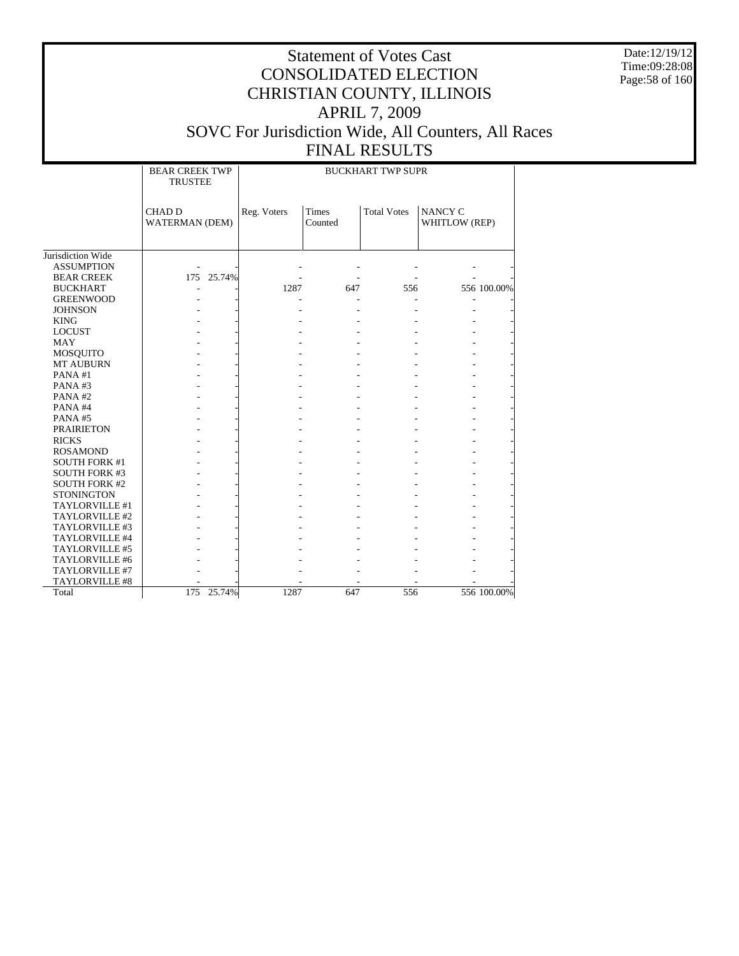Date:12/19/12 Time:09:28:08 Page:58 of 160

|                      | <b>BEAR CREEK TWP</b><br><b>TRUSTEE</b> | <b>BUCKHART TWP SUPR</b> |                         |                    |                          |  |  |  |  |  |
|----------------------|-----------------------------------------|--------------------------|-------------------------|--------------------|--------------------------|--|--|--|--|--|
|                      | <b>CHAD D</b><br><b>WATERMAN (DEM)</b>  | Reg. Voters              | <b>Times</b><br>Counted | <b>Total Votes</b> | NANCY C<br>WHITLOW (REP) |  |  |  |  |  |
| Jurisdiction Wide    |                                         |                          |                         |                    |                          |  |  |  |  |  |
| <b>ASSUMPTION</b>    |                                         |                          |                         |                    |                          |  |  |  |  |  |
| <b>BEAR CREEK</b>    | 175 25.74%                              |                          |                         |                    |                          |  |  |  |  |  |
| <b>BUCKHART</b>      |                                         | 1287                     | 647                     | 556                | 556 100.00%              |  |  |  |  |  |
| <b>GREENWOOD</b>     |                                         |                          |                         |                    |                          |  |  |  |  |  |
| <b>JOHNSON</b>       |                                         |                          |                         |                    |                          |  |  |  |  |  |
| <b>KING</b>          |                                         |                          |                         |                    |                          |  |  |  |  |  |
| <b>LOCUST</b>        |                                         |                          |                         |                    |                          |  |  |  |  |  |
| <b>MAY</b>           |                                         |                          |                         |                    |                          |  |  |  |  |  |
| MOSQUITO             |                                         |                          |                         |                    |                          |  |  |  |  |  |
| <b>MT AUBURN</b>     |                                         |                          |                         |                    |                          |  |  |  |  |  |
| PANA#1               |                                         |                          |                         |                    |                          |  |  |  |  |  |
| PANA#3               |                                         |                          |                         |                    |                          |  |  |  |  |  |
| PANA#2               |                                         |                          |                         |                    |                          |  |  |  |  |  |
| PANA#4               |                                         |                          |                         |                    |                          |  |  |  |  |  |
| PANA#5               |                                         |                          |                         |                    |                          |  |  |  |  |  |
| <b>PRAIRIETON</b>    |                                         |                          |                         |                    |                          |  |  |  |  |  |
| <b>RICKS</b>         |                                         |                          |                         |                    |                          |  |  |  |  |  |
| <b>ROSAMOND</b>      |                                         |                          |                         |                    |                          |  |  |  |  |  |
| <b>SOUTH FORK #1</b> |                                         |                          |                         |                    |                          |  |  |  |  |  |
| <b>SOUTH FORK #3</b> |                                         |                          |                         |                    |                          |  |  |  |  |  |
| <b>SOUTH FORK #2</b> |                                         |                          |                         |                    |                          |  |  |  |  |  |
| <b>STONINGTON</b>    |                                         |                          |                         |                    |                          |  |  |  |  |  |
| TAYLORVILLE #1       |                                         |                          |                         |                    |                          |  |  |  |  |  |
| TAYLORVILLE #2       |                                         |                          |                         |                    |                          |  |  |  |  |  |
| TAYLORVILLE #3       |                                         |                          |                         |                    |                          |  |  |  |  |  |
| TAYLORVILLE #4       |                                         |                          |                         |                    |                          |  |  |  |  |  |
| TAYLORVILLE #5       |                                         |                          |                         |                    |                          |  |  |  |  |  |
| TAYLORVILLE #6       |                                         |                          |                         |                    |                          |  |  |  |  |  |
| TAYLORVILLE #7       |                                         |                          |                         |                    |                          |  |  |  |  |  |
| TAYLORVILLE #8       |                                         |                          |                         |                    |                          |  |  |  |  |  |
| Total                | 175 25.74%                              | 1287                     | 647                     | 556                | 556 100.00%              |  |  |  |  |  |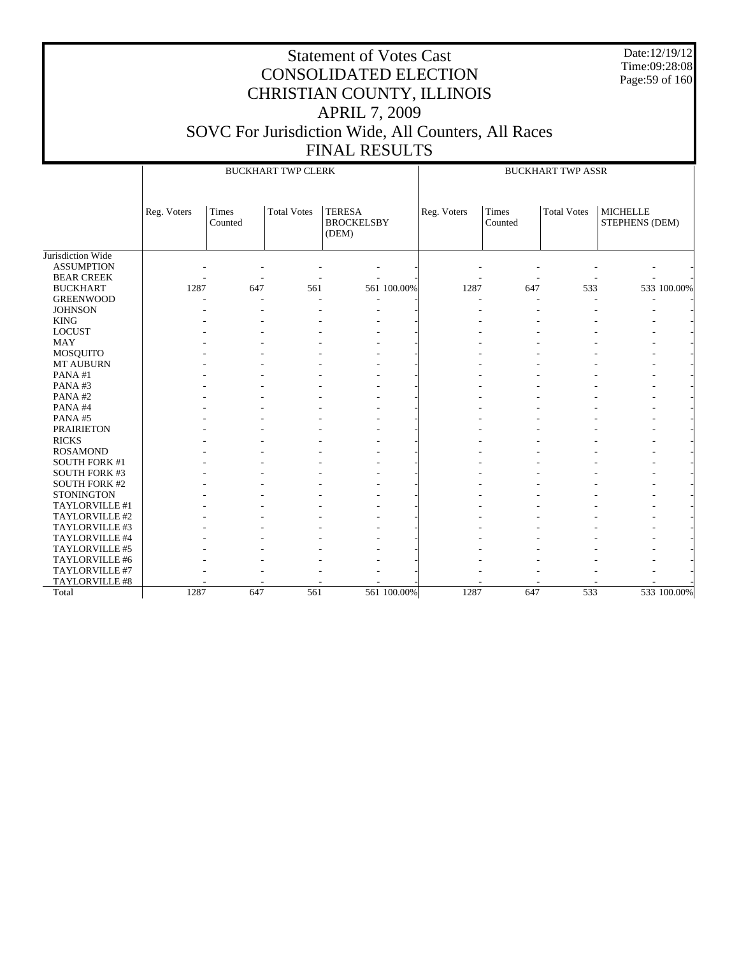Date:12/19/12 Time:09:28:08 Page:59 of 160

|                                                             |             |                         | <b>BUCKHART TWP CLERK</b> |                                             |             | <b>BUCKHART TWP ASSR</b> |                    |                                   |  |  |
|-------------------------------------------------------------|-------------|-------------------------|---------------------------|---------------------------------------------|-------------|--------------------------|--------------------|-----------------------------------|--|--|
|                                                             | Reg. Voters | <b>Times</b><br>Counted | <b>Total Votes</b>        | <b>TERESA</b><br><b>BROCKELSBY</b><br>(DEM) | Reg. Voters | <b>Times</b><br>Counted  | <b>Total Votes</b> | <b>MICHELLE</b><br>STEPHENS (DEM) |  |  |
| Jurisdiction Wide<br><b>ASSUMPTION</b><br><b>BEAR CREEK</b> |             |                         |                           |                                             |             |                          |                    |                                   |  |  |
| <b>BUCKHART</b>                                             | 1287        | 647                     | 561                       | 561 100.00%                                 | 1287        | 647                      | 533                | 533 100.00%                       |  |  |
| <b>GREENWOOD</b>                                            |             |                         |                           |                                             |             |                          |                    |                                   |  |  |
| <b>JOHNSON</b>                                              |             |                         |                           |                                             |             |                          |                    |                                   |  |  |
| <b>KING</b>                                                 |             |                         |                           |                                             |             |                          |                    |                                   |  |  |
| <b>LOCUST</b>                                               |             |                         |                           |                                             |             |                          |                    |                                   |  |  |
| <b>MAY</b>                                                  |             |                         |                           |                                             |             |                          |                    |                                   |  |  |
| MOSQUITO                                                    |             |                         |                           |                                             |             |                          |                    |                                   |  |  |
| <b>MT AUBURN</b>                                            |             |                         |                           |                                             |             |                          |                    |                                   |  |  |
| PANA#1                                                      |             |                         |                           |                                             |             |                          |                    |                                   |  |  |
| PANA#3                                                      |             |                         |                           |                                             |             |                          |                    |                                   |  |  |
| PANA#2                                                      |             |                         |                           |                                             |             |                          |                    |                                   |  |  |
| PANA#4                                                      |             |                         |                           |                                             |             |                          |                    |                                   |  |  |
| PANA#5                                                      |             |                         |                           |                                             |             |                          |                    |                                   |  |  |
| <b>PRAIRIETON</b>                                           |             |                         |                           |                                             |             |                          |                    |                                   |  |  |
| <b>RICKS</b>                                                |             |                         |                           |                                             |             |                          |                    |                                   |  |  |
| <b>ROSAMOND</b>                                             |             |                         |                           |                                             |             |                          |                    |                                   |  |  |
| <b>SOUTH FORK #1</b>                                        |             |                         |                           |                                             |             |                          |                    |                                   |  |  |
| <b>SOUTH FORK #3</b>                                        |             |                         |                           |                                             |             |                          |                    |                                   |  |  |
| <b>SOUTH FORK #2</b>                                        |             |                         |                           |                                             |             |                          |                    |                                   |  |  |
| <b>STONINGTON</b>                                           |             |                         |                           |                                             |             |                          |                    |                                   |  |  |
| TAYLORVILLE #1                                              |             |                         |                           |                                             |             |                          |                    |                                   |  |  |
| TAYLORVILLE #2                                              |             |                         |                           |                                             |             |                          |                    |                                   |  |  |
| TAYLORVILLE #3                                              |             |                         |                           |                                             |             |                          |                    |                                   |  |  |
| TAYLORVILLE #4                                              |             |                         |                           |                                             |             |                          |                    |                                   |  |  |
| TAYLORVILLE #5                                              |             |                         |                           |                                             |             |                          |                    |                                   |  |  |
| TAYLORVILLE #6                                              |             |                         |                           |                                             |             |                          |                    |                                   |  |  |
| TAYLORVILLE #7                                              |             |                         |                           |                                             |             |                          |                    |                                   |  |  |
| TAYLORVILLE #8                                              |             |                         |                           |                                             |             |                          |                    |                                   |  |  |
| Total                                                       | 1287        | 647                     | 561                       | 561 100.00%                                 | 1287        | 647                      | 533                | 533 100.00%                       |  |  |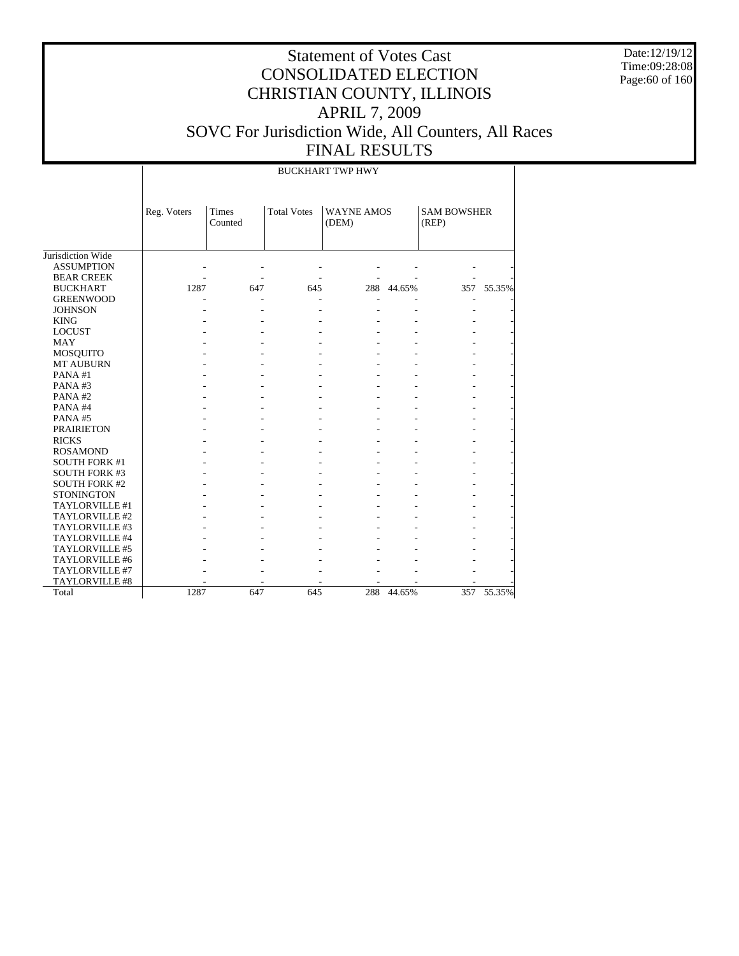Date:12/19/12 Time:09:28:08 Page:60 of 160

## Statement of Votes Cast CONSOLIDATED ELECTION CHRISTIAN COUNTY, ILLINOIS APRIL 7, 2009 SOVC For Jurisdiction Wide, All Counters, All Races FINAL RESULTS

- - - - - - - - - - - - - - - - - - - - - 1287 647 645 288 44.65% 357 55.35%

|                      |             | <b>BUCKHART TWP HWY</b> |     |                            |            |                             |            |  |  |  |  |  |  |
|----------------------|-------------|-------------------------|-----|----------------------------|------------|-----------------------------|------------|--|--|--|--|--|--|
|                      | Reg. Voters | <b>Times</b><br>Counted |     | <b>WAYNE AMOS</b><br>(DEM) |            | <b>SAM BOWSHER</b><br>(REP) |            |  |  |  |  |  |  |
| Jurisdiction Wide    |             |                         |     |                            |            |                             |            |  |  |  |  |  |  |
| <b>ASSUMPTION</b>    |             |                         |     |                            |            |                             |            |  |  |  |  |  |  |
| <b>BEAR CREEK</b>    |             |                         |     |                            |            |                             |            |  |  |  |  |  |  |
| <b>BUCKHART</b>      | 1287        | 647                     | 645 |                            | 288 44.65% |                             | 357 55.35% |  |  |  |  |  |  |
| <b>GREENWOOD</b>     |             |                         |     |                            |            | ٠                           |            |  |  |  |  |  |  |
| <b>JOHNSON</b>       |             |                         |     |                            |            |                             |            |  |  |  |  |  |  |
| <b>KING</b>          |             |                         |     |                            |            |                             |            |  |  |  |  |  |  |
| <b>LOCUST</b>        |             |                         |     |                            |            |                             |            |  |  |  |  |  |  |
| <b>MAY</b>           |             |                         |     |                            |            |                             |            |  |  |  |  |  |  |
| MOSQUITO             |             |                         |     |                            |            |                             |            |  |  |  |  |  |  |
| <b>MT AUBURN</b>     |             |                         |     |                            |            |                             |            |  |  |  |  |  |  |
| PANA#1               |             |                         |     |                            |            |                             |            |  |  |  |  |  |  |
| PANA#3               |             |                         |     |                            |            |                             |            |  |  |  |  |  |  |
| PANA#2               |             |                         |     |                            |            |                             |            |  |  |  |  |  |  |
| PANA#4               |             |                         |     |                            |            |                             |            |  |  |  |  |  |  |
| PANA#5               |             |                         |     |                            |            |                             |            |  |  |  |  |  |  |
| <b>PRAIRIETON</b>    |             |                         |     |                            |            |                             |            |  |  |  |  |  |  |
| <b>RICKS</b>         |             |                         |     |                            |            |                             |            |  |  |  |  |  |  |
| <b>ROSAMOND</b>      |             |                         |     |                            |            |                             |            |  |  |  |  |  |  |
| <b>SOUTH FORK #1</b> |             |                         |     |                            |            |                             |            |  |  |  |  |  |  |
| <b>SOUTH FORK #3</b> |             |                         |     |                            |            |                             |            |  |  |  |  |  |  |
| <b>SOUTH FORK #2</b> |             |                         |     |                            |            |                             |            |  |  |  |  |  |  |
| <b>STONINGTON</b>    |             |                         |     |                            |            |                             |            |  |  |  |  |  |  |
| TAYLORVILLE #1       |             |                         |     |                            |            |                             |            |  |  |  |  |  |  |
| TAYLORVILLE #2       |             |                         |     |                            |            |                             |            |  |  |  |  |  |  |
| TAYLORVILLE #3       |             |                         |     |                            |            |                             |            |  |  |  |  |  |  |
| TAYLORVILLE #4       |             |                         |     |                            |            |                             |            |  |  |  |  |  |  |
| TAYLORVILLE #5       |             |                         |     | ٠                          |            | ۰                           |            |  |  |  |  |  |  |

 TAYLORVILLE #6 TAYLORVILLE #7 TAYLORVILLE #8

Total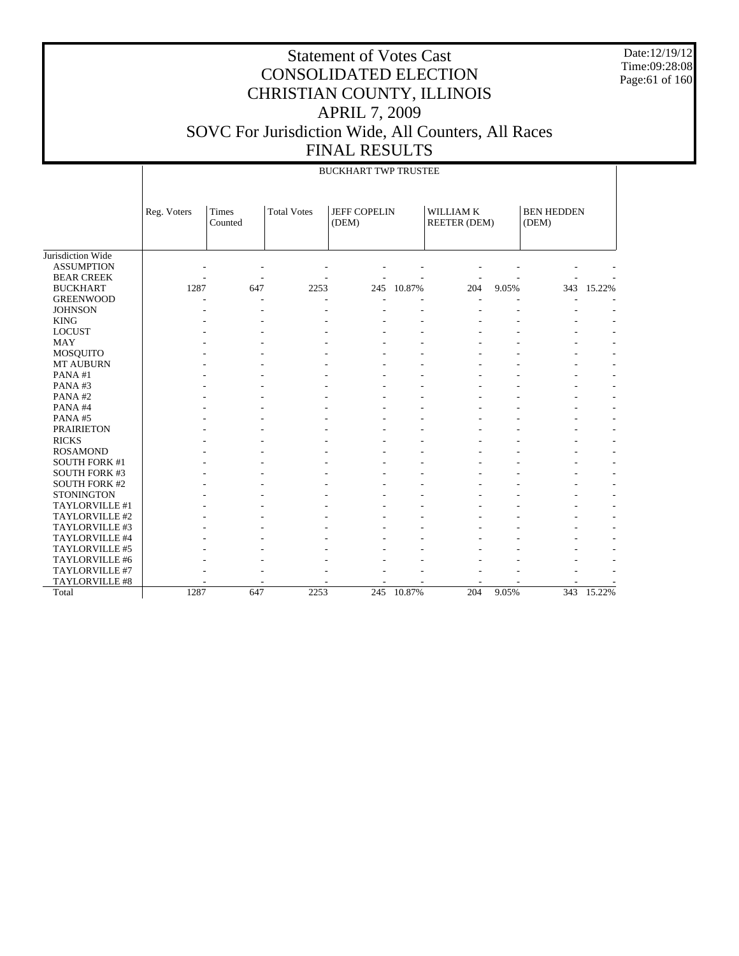Date:12/19/12 Time:09:28:08 Page:61 of 160

|                      |             | <b>BUCKHART TWP TRUSTEE</b> |                    |                              |        |                                  |       |                            |            |  |  |  |  |  |
|----------------------|-------------|-----------------------------|--------------------|------------------------------|--------|----------------------------------|-------|----------------------------|------------|--|--|--|--|--|
|                      | Reg. Voters | Times<br>Counted            | <b>Total Votes</b> | <b>JEFF COPELIN</b><br>(DEM) |        | WILLIAM K<br><b>REETER (DEM)</b> |       | <b>BEN HEDDEN</b><br>(DEM) |            |  |  |  |  |  |
| Jurisdiction Wide    |             |                             |                    |                              |        |                                  |       |                            |            |  |  |  |  |  |
| <b>ASSUMPTION</b>    |             |                             |                    |                              |        |                                  |       |                            |            |  |  |  |  |  |
| <b>BEAR CREEK</b>    |             |                             |                    |                              |        |                                  |       |                            |            |  |  |  |  |  |
| <b>BUCKHART</b>      | 1287        | 647                         | 2253               | 245                          | 10.87% | 204                              | 9.05% |                            | 343 15.22% |  |  |  |  |  |
| <b>GREENWOOD</b>     |             |                             |                    |                              |        |                                  |       |                            |            |  |  |  |  |  |
| <b>JOHNSON</b>       |             |                             |                    |                              |        |                                  |       |                            |            |  |  |  |  |  |
| <b>KING</b>          |             |                             |                    |                              |        |                                  |       |                            |            |  |  |  |  |  |
| <b>LOCUST</b>        |             |                             |                    |                              |        |                                  |       |                            |            |  |  |  |  |  |
| <b>MAY</b>           |             |                             |                    |                              |        |                                  |       |                            |            |  |  |  |  |  |
| <b>MOSQUITO</b>      |             |                             |                    |                              |        |                                  |       |                            |            |  |  |  |  |  |
| <b>MT AUBURN</b>     |             |                             |                    |                              |        |                                  |       |                            |            |  |  |  |  |  |
| PANA#1               |             |                             |                    |                              |        |                                  |       |                            |            |  |  |  |  |  |
| PANA#3               |             |                             |                    |                              |        |                                  |       |                            |            |  |  |  |  |  |
| PANA#2               |             |                             |                    |                              |        |                                  |       |                            |            |  |  |  |  |  |
| PANA#4               |             |                             |                    |                              |        |                                  |       |                            |            |  |  |  |  |  |
| PANA#5               |             |                             |                    |                              |        |                                  |       |                            |            |  |  |  |  |  |
| <b>PRAIRIETON</b>    |             |                             |                    |                              |        |                                  |       |                            |            |  |  |  |  |  |
| <b>RICKS</b>         |             |                             |                    |                              |        |                                  |       |                            |            |  |  |  |  |  |
| <b>ROSAMOND</b>      |             |                             |                    |                              |        |                                  |       |                            |            |  |  |  |  |  |
| <b>SOUTH FORK #1</b> |             |                             |                    |                              |        |                                  |       |                            |            |  |  |  |  |  |
| <b>SOUTH FORK #3</b> |             |                             |                    |                              |        |                                  |       |                            |            |  |  |  |  |  |
| <b>SOUTH FORK #2</b> |             |                             |                    |                              |        |                                  |       |                            |            |  |  |  |  |  |
| <b>STONINGTON</b>    |             |                             |                    |                              |        |                                  |       |                            |            |  |  |  |  |  |
| TAYLORVILLE #1       |             |                             |                    |                              |        |                                  |       |                            |            |  |  |  |  |  |
| TAYLORVILLE #2       |             |                             |                    |                              |        |                                  |       |                            |            |  |  |  |  |  |
| TAYLORVILLE #3       |             |                             |                    |                              |        |                                  |       |                            |            |  |  |  |  |  |
| TAYLORVILLE #4       |             |                             |                    |                              |        |                                  |       |                            |            |  |  |  |  |  |
| TAYLORVILLE #5       |             |                             |                    |                              |        |                                  |       |                            |            |  |  |  |  |  |
| TAYLORVILLE #6       |             |                             |                    |                              |        |                                  |       |                            |            |  |  |  |  |  |
| TAYLORVILLE #7       |             |                             |                    |                              |        |                                  |       |                            |            |  |  |  |  |  |
| TAYLORVILLE #8       |             |                             |                    |                              |        |                                  |       |                            |            |  |  |  |  |  |
| Total                | 1287        | 647                         | 2253               | 245                          | 10.87% | 204                              | 9.05% |                            | 343 15.22% |  |  |  |  |  |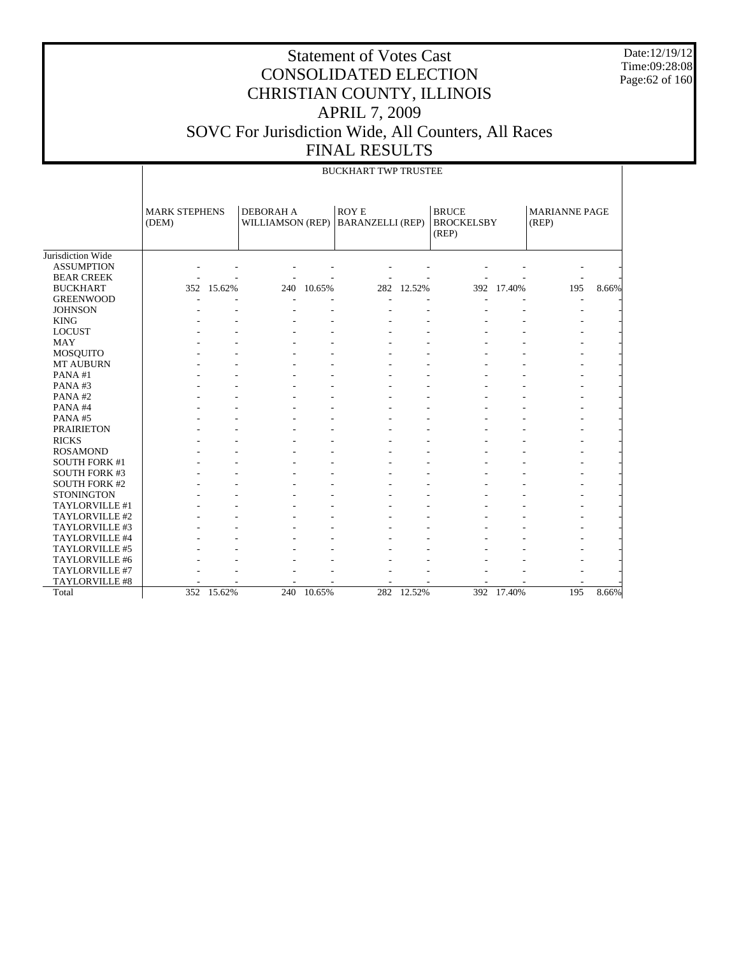Date:12/19/12 Time:09:28:08 Page:62 of 160

|                      |                               | <b>BUCKHART TWP TRUSTEE</b> |           |                                        |  |                         |                                            |            |                        |       |  |  |  |  |
|----------------------|-------------------------------|-----------------------------|-----------|----------------------------------------|--|-------------------------|--------------------------------------------|------------|------------------------|-------|--|--|--|--|
|                      | <b>MARK STEPHENS</b><br>(DEM) |                             | DEBORAH A | <b>ROYE</b><br><b>WILLIAMSON (REP)</b> |  | <b>BARANZELLI (REP)</b> | <b>BRUCE</b><br><b>BROCKELSBY</b><br>(REP) |            | MARIANNE PAGE<br>(REP) |       |  |  |  |  |
| Jurisdiction Wide    |                               |                             |           |                                        |  |                         |                                            |            |                        |       |  |  |  |  |
| <b>ASSUMPTION</b>    |                               |                             |           |                                        |  |                         |                                            |            |                        |       |  |  |  |  |
| <b>BEAR CREEK</b>    |                               |                             |           |                                        |  |                         |                                            |            |                        |       |  |  |  |  |
| <b>BUCKHART</b>      |                               | 352 15.62%                  | 240       | 10.65%                                 |  | 282 12.52%              | 392                                        | 17.40%     | 195                    | 8.66% |  |  |  |  |
| <b>GREENWOOD</b>     |                               |                             |           |                                        |  |                         |                                            |            |                        |       |  |  |  |  |
| <b>JOHNSON</b>       |                               |                             |           |                                        |  |                         |                                            |            |                        |       |  |  |  |  |
| <b>KING</b>          |                               |                             |           |                                        |  |                         |                                            |            |                        |       |  |  |  |  |
| <b>LOCUST</b>        |                               |                             |           |                                        |  |                         |                                            |            |                        |       |  |  |  |  |
| <b>MAY</b>           |                               |                             |           |                                        |  |                         |                                            |            |                        |       |  |  |  |  |
| MOSQUITO             |                               |                             |           |                                        |  |                         |                                            |            |                        |       |  |  |  |  |
| MT AUBURN            |                               |                             |           |                                        |  |                         |                                            |            |                        |       |  |  |  |  |
| PANA#1               |                               |                             |           |                                        |  |                         |                                            |            |                        |       |  |  |  |  |
| PANA#3               |                               |                             |           |                                        |  |                         |                                            |            |                        |       |  |  |  |  |
| PANA#2               |                               |                             |           |                                        |  |                         |                                            |            |                        |       |  |  |  |  |
| PANA#4               |                               |                             |           |                                        |  |                         |                                            |            |                        |       |  |  |  |  |
| PANA#5               |                               |                             |           |                                        |  |                         |                                            |            |                        |       |  |  |  |  |
| <b>PRAIRIETON</b>    |                               |                             |           |                                        |  |                         |                                            |            |                        |       |  |  |  |  |
| <b>RICKS</b>         |                               |                             |           |                                        |  |                         |                                            |            |                        |       |  |  |  |  |
| <b>ROSAMOND</b>      |                               |                             |           |                                        |  |                         |                                            |            |                        |       |  |  |  |  |
| <b>SOUTH FORK #1</b> |                               |                             |           |                                        |  |                         |                                            |            |                        |       |  |  |  |  |
| <b>SOUTH FORK #3</b> |                               |                             |           |                                        |  |                         |                                            |            |                        |       |  |  |  |  |
| <b>SOUTH FORK #2</b> |                               |                             |           |                                        |  |                         |                                            |            |                        |       |  |  |  |  |
| <b>STONINGTON</b>    |                               |                             |           |                                        |  |                         |                                            |            |                        |       |  |  |  |  |
| TAYLORVILLE #1       |                               |                             |           |                                        |  |                         |                                            |            |                        |       |  |  |  |  |
| TAYLORVILLE #2       |                               |                             |           |                                        |  |                         |                                            |            |                        |       |  |  |  |  |
| TAYLORVILLE #3       |                               |                             |           |                                        |  |                         |                                            |            |                        |       |  |  |  |  |
| TAYLORVILLE #4       |                               |                             |           |                                        |  |                         |                                            |            |                        |       |  |  |  |  |
| TAYLORVILLE #5       |                               |                             |           |                                        |  |                         |                                            |            |                        |       |  |  |  |  |
| TAYLORVILLE #6       |                               |                             |           |                                        |  |                         |                                            |            |                        |       |  |  |  |  |
| TAYLORVILLE #7       |                               |                             |           |                                        |  |                         |                                            |            |                        |       |  |  |  |  |
| TAYLORVILLE #8       |                               |                             |           |                                        |  |                         |                                            |            |                        |       |  |  |  |  |
| Total                |                               | 352 15.62%                  |           | 240 10.65%                             |  | 282 12.52%              |                                            | 392 17.40% | 195                    | 8.66% |  |  |  |  |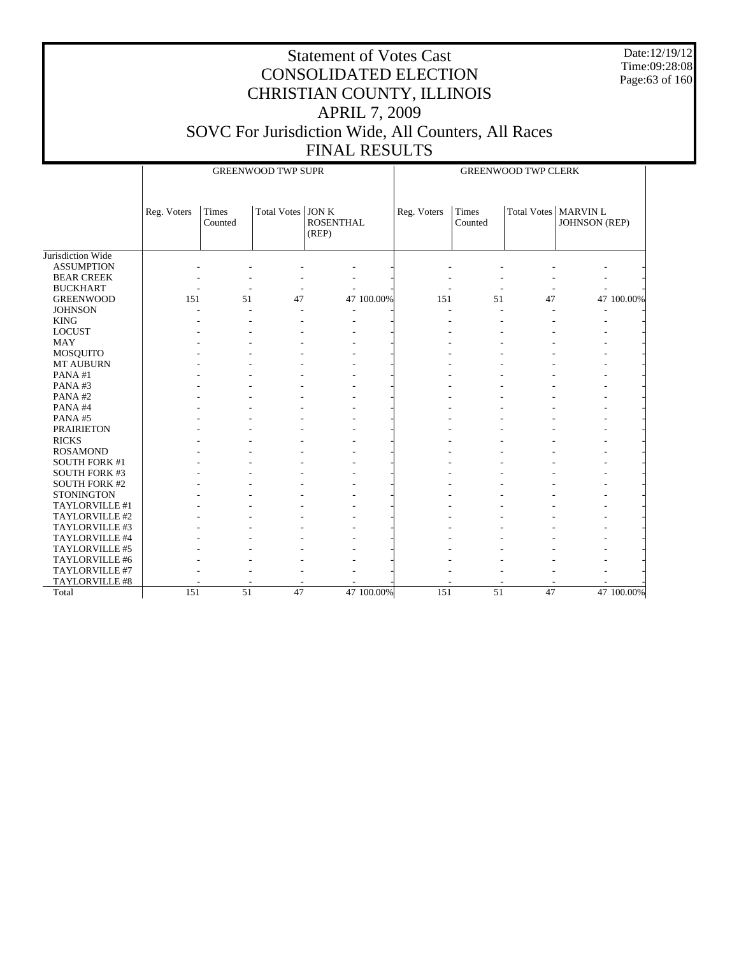Date:12/19/12 Time:09:28:08 Page:63 of 160

|                      |             |                  | <b>GREENWOOD TWP SUPR</b> |                           | <b>GREENWOOD TWP CLERK</b> |                  |    |                                                |  |  |
|----------------------|-------------|------------------|---------------------------|---------------------------|----------------------------|------------------|----|------------------------------------------------|--|--|
|                      | Reg. Voters | Times<br>Counted | Total Votes JON K         | <b>ROSENTHAL</b><br>(REP) | Reg. Voters                | Times<br>Counted |    | Total Votes   MARVIN L<br><b>JOHNSON</b> (REP) |  |  |
| Jurisdiction Wide    |             |                  |                           |                           |                            |                  |    |                                                |  |  |
| <b>ASSUMPTION</b>    |             |                  |                           |                           |                            |                  |    |                                                |  |  |
| <b>BEAR CREEK</b>    |             |                  |                           |                           |                            |                  |    |                                                |  |  |
| <b>BUCKHART</b>      |             |                  |                           |                           |                            |                  |    |                                                |  |  |
| <b>GREENWOOD</b>     | 151         | 51               | 47                        | 47 100.00%                | 151                        | 51               | 47 | 47 100.00%                                     |  |  |
| <b>JOHNSON</b>       |             | $\sim$           |                           |                           |                            |                  |    |                                                |  |  |
| <b>KING</b>          |             |                  |                           |                           |                            |                  |    |                                                |  |  |
| <b>LOCUST</b>        |             |                  |                           |                           |                            |                  |    |                                                |  |  |
| <b>MAY</b>           |             |                  |                           |                           |                            |                  |    |                                                |  |  |
| MOSQUITO             |             |                  |                           |                           |                            |                  |    |                                                |  |  |
| <b>MT AUBURN</b>     |             |                  |                           |                           |                            |                  |    |                                                |  |  |
| PANA#1               |             |                  |                           |                           |                            |                  |    |                                                |  |  |
| PANA#3               |             |                  |                           |                           |                            |                  |    |                                                |  |  |
| PANA#2               |             |                  |                           |                           |                            |                  |    |                                                |  |  |
| PANA#4               |             |                  |                           |                           |                            |                  |    |                                                |  |  |
| PANA#5               |             |                  |                           |                           |                            |                  |    |                                                |  |  |
| <b>PRAIRIETON</b>    |             |                  |                           |                           |                            |                  |    |                                                |  |  |
| <b>RICKS</b>         |             |                  |                           |                           |                            |                  |    |                                                |  |  |
| <b>ROSAMOND</b>      |             |                  |                           |                           |                            |                  |    |                                                |  |  |
| <b>SOUTH FORK #1</b> |             |                  |                           |                           |                            |                  |    |                                                |  |  |
| <b>SOUTH FORK #3</b> |             |                  |                           |                           |                            |                  |    |                                                |  |  |
| SOUTH FORK #2        |             |                  |                           |                           |                            |                  |    |                                                |  |  |
| <b>STONINGTON</b>    |             |                  |                           |                           |                            |                  |    |                                                |  |  |
| TAYLORVILLE #1       |             |                  |                           |                           |                            |                  |    |                                                |  |  |
| TAYLORVILLE #2       |             |                  |                           |                           |                            |                  |    |                                                |  |  |
| TAYLORVILLE #3       |             |                  |                           |                           |                            |                  |    |                                                |  |  |
| TAYLORVILLE #4       |             |                  |                           |                           |                            |                  |    |                                                |  |  |
| TAYLORVILLE #5       |             |                  |                           |                           |                            |                  |    |                                                |  |  |
| TAYLORVILLE #6       |             |                  |                           |                           |                            |                  |    |                                                |  |  |
| TAYLORVILLE #7       |             |                  |                           |                           |                            |                  |    |                                                |  |  |
| TAYLORVILLE #8       |             |                  |                           |                           |                            |                  |    |                                                |  |  |
| Total                | 151         | $\overline{51}$  | $\overline{47}$           | 47 100.00%                | 151                        | $\overline{51}$  | 47 | 47 100.00%                                     |  |  |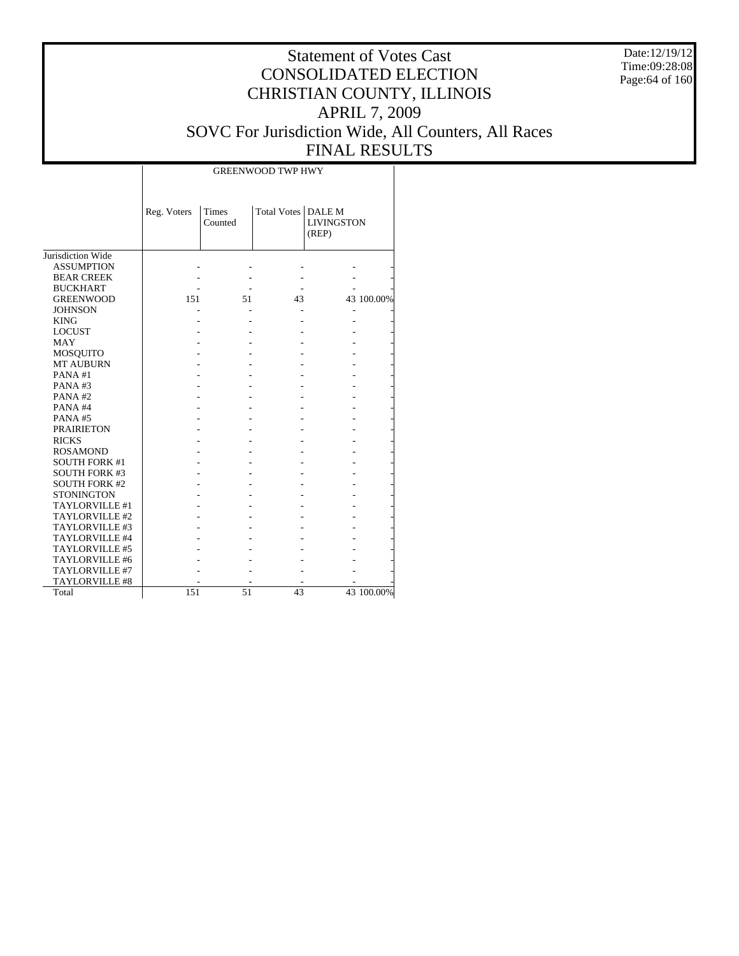Date:12/19/12 Time:09:28:08 Page:64 of 160

# Statement of Votes Cast CONSOLIDATED ELECTION CHRISTIAN COUNTY, ILLINOIS APRIL 7, 2009 SOVC For Jurisdiction Wide, All Counters, All Races FINAL RESULTS

Τ

|                       | Reg. Voters | Times<br>Counted | Total Votes   DALE M | <b>LIVINGSTON</b><br>(REP) |            |
|-----------------------|-------------|------------------|----------------------|----------------------------|------------|
| Jurisdiction Wide     |             |                  |                      |                            |            |
| <b>ASSUMPTION</b>     |             |                  |                      |                            |            |
| <b>BEAR CREEK</b>     |             |                  |                      |                            |            |
| <b>BUCKHART</b>       |             |                  |                      |                            |            |
| <b>GREENWOOD</b>      | 151         | 51               | 43                   |                            | 43 100.00% |
| <b>JOHNSON</b>        |             |                  |                      |                            |            |
| <b>KING</b>           |             |                  |                      |                            |            |
| <b>LOCUST</b>         |             |                  |                      |                            |            |
| <b>MAY</b>            |             |                  |                      |                            |            |
| <b>MOSQUITO</b>       |             |                  |                      |                            |            |
| <b>MT AUBURN</b>      |             |                  |                      |                            |            |
| PANA#1                |             |                  |                      |                            |            |
| PANA#3                |             |                  |                      |                            |            |
| PANA#2                |             |                  |                      |                            |            |
| PANA#4                |             |                  |                      |                            |            |
| <b>PANA#5</b>         |             |                  |                      |                            |            |
| <b>PRAIRIETON</b>     |             |                  |                      |                            |            |
| <b>RICKS</b>          |             |                  |                      |                            |            |
| <b>ROSAMOND</b>       |             |                  |                      |                            |            |
| <b>SOUTH FORK #1</b>  |             |                  |                      |                            |            |
| <b>SOUTH FORK #3</b>  |             |                  |                      |                            |            |
| <b>SOUTH FORK #2</b>  |             |                  |                      |                            |            |
| <b>STONINGTON</b>     |             |                  |                      |                            |            |
| TAYLORVILLE #1        |             |                  |                      |                            |            |
| TAYLORVILLE #2        |             |                  |                      |                            |            |
| TAYLORVILLE #3        |             |                  |                      |                            |            |
| TAYLORVILLE #4        |             |                  |                      |                            |            |
| TAYLORVILLE #5        |             |                  |                      |                            |            |
| TAYLORVILLE #6        |             |                  |                      |                            |            |
| TAYLORVILLE #7        |             |                  |                      |                            |            |
| <b>TAYLORVILLE #8</b> |             |                  |                      |                            |            |
| Total                 | 151         | 51               | 43                   |                            | 43 100.00% |

 $\overline{\phantom{a}}$ 

GREENWOOD TWP HWY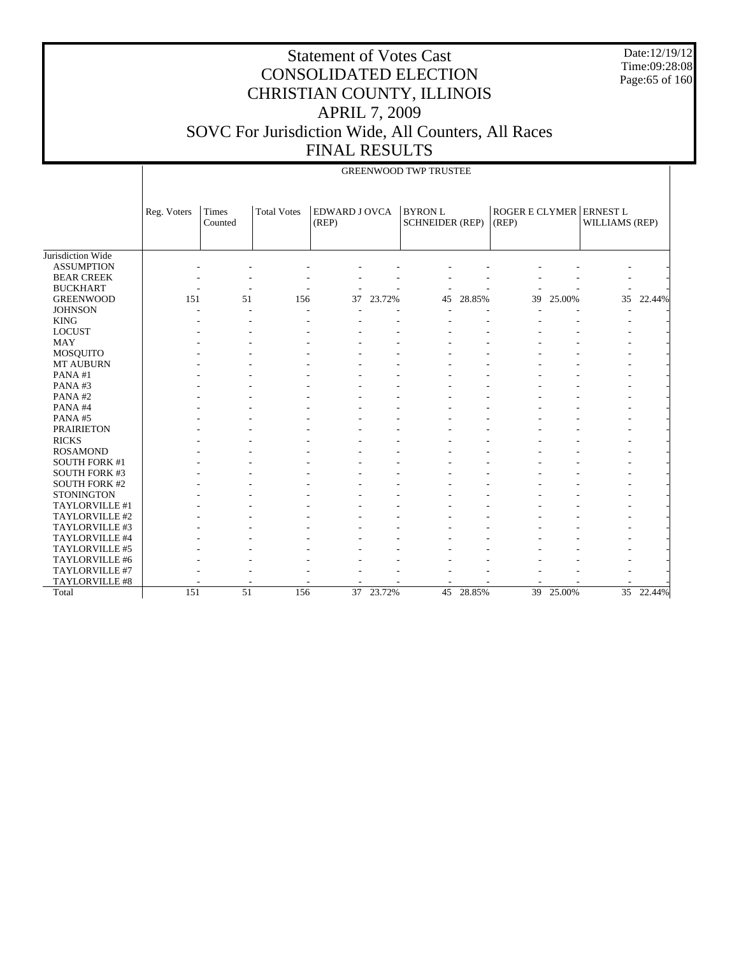Date:12/19/12 Time:09:28:08 Page:65 of 160

|                      |             |                  |                    |                               |        | <b>GREENWOOD TWP TRUSTEE</b>            |        |                                  |        |                 |        |
|----------------------|-------------|------------------|--------------------|-------------------------------|--------|-----------------------------------------|--------|----------------------------------|--------|-----------------|--------|
|                      | Reg. Voters | Times<br>Counted | <b>Total Votes</b> | <b>EDWARD J OVCA</b><br>(REP) |        | <b>BYRONL</b><br><b>SCHNEIDER (REP)</b> |        | ROGER E CLYMER ERNEST L<br>(REP) |        | WILLIAMS (REP)  |        |
| Jurisdiction Wide    |             |                  |                    |                               |        |                                         |        |                                  |        |                 |        |
| <b>ASSUMPTION</b>    |             |                  |                    |                               |        |                                         |        |                                  |        |                 |        |
| <b>BEAR CREEK</b>    |             |                  |                    |                               |        |                                         |        |                                  |        |                 |        |
| <b>BUCKHART</b>      |             | ۰                |                    |                               |        |                                         |        |                                  |        |                 |        |
| <b>GREENWOOD</b>     | 151         | 51               | 156                | 37                            | 23.72% | 45                                      | 28.85% | 39                               | 25.00% | 35              | 22.44% |
| <b>JOHNSON</b>       |             |                  |                    |                               |        |                                         |        |                                  |        |                 |        |
| <b>KING</b>          |             |                  |                    |                               |        |                                         |        |                                  |        |                 |        |
| <b>LOCUST</b>        |             |                  |                    |                               |        |                                         |        |                                  |        |                 |        |
| <b>MAY</b>           |             |                  |                    |                               |        |                                         |        |                                  |        |                 |        |
| <b>MOSQUITO</b>      |             |                  |                    |                               |        |                                         |        |                                  |        |                 |        |
| MT AUBURN            |             |                  |                    |                               |        |                                         |        |                                  |        |                 |        |
| PANA#1               |             |                  |                    |                               |        |                                         |        |                                  |        |                 |        |
| PANA#3               |             |                  |                    |                               |        |                                         |        |                                  |        |                 |        |
| PANA#2               |             |                  |                    |                               |        |                                         |        |                                  |        |                 |        |
| PANA#4               |             |                  |                    |                               |        |                                         |        |                                  |        |                 |        |
| PANA#5               |             |                  |                    |                               |        |                                         |        |                                  |        |                 |        |
| <b>PRAIRIETON</b>    |             |                  |                    |                               |        |                                         |        |                                  |        |                 |        |
| <b>RICKS</b>         |             |                  |                    |                               |        |                                         |        |                                  |        |                 |        |
| <b>ROSAMOND</b>      |             |                  |                    |                               |        |                                         |        |                                  |        |                 |        |
| <b>SOUTH FORK #1</b> |             |                  |                    |                               |        |                                         |        |                                  |        |                 |        |
| <b>SOUTH FORK #3</b> |             |                  |                    |                               |        |                                         |        |                                  |        |                 |        |
| <b>SOUTH FORK #2</b> |             |                  |                    |                               |        |                                         |        |                                  |        |                 |        |
| <b>STONINGTON</b>    |             |                  |                    |                               |        |                                         |        |                                  |        |                 |        |
| TAYLORVILLE #1       |             |                  |                    |                               |        |                                         |        |                                  |        |                 |        |
| TAYLORVILLE #2       |             |                  |                    |                               |        |                                         |        |                                  |        |                 |        |
| TAYLORVILLE #3       |             |                  |                    |                               |        |                                         |        |                                  |        |                 |        |
| TAYLORVILLE #4       |             |                  |                    |                               |        |                                         |        |                                  |        |                 |        |
| TAYLORVILLE #5       |             |                  |                    |                               |        |                                         |        |                                  |        |                 |        |
| TAYLORVILLE #6       |             |                  |                    |                               |        |                                         |        |                                  |        |                 |        |
| TAYLORVILLE #7       |             |                  |                    |                               |        |                                         |        |                                  |        |                 |        |
| TAYLORVILLE #8       |             |                  |                    |                               |        |                                         |        |                                  |        |                 |        |
| Total                | 151         | 51               | 156                | 37                            | 23.72% | 45                                      | 28.85% | 39                               | 25.00% | $\overline{35}$ | 22.44% |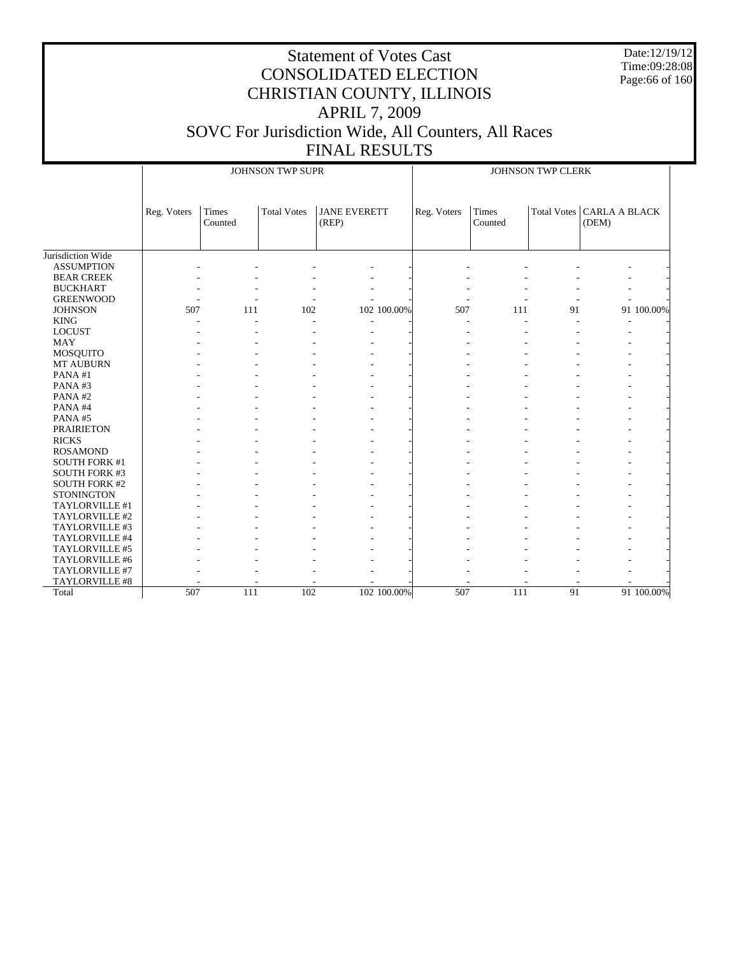Date:12/19/12 Time:09:28:08 Page:66 of 160

|                                  |             |                  | JOHNSON TWP SUPR   |                              |             | JOHNSON TWP CLERK |                  |    |                                      |            |
|----------------------------------|-------------|------------------|--------------------|------------------------------|-------------|-------------------|------------------|----|--------------------------------------|------------|
|                                  | Reg. Voters | Times<br>Counted | <b>Total Votes</b> | <b>JANE EVERETT</b><br>(REP) |             | Reg. Voters       | Times<br>Counted |    | Total Votes   CARLA A BLACK<br>(DEM) |            |
| Jurisdiction Wide                |             |                  |                    |                              |             |                   |                  |    |                                      |            |
| <b>ASSUMPTION</b>                |             |                  |                    |                              |             |                   |                  |    |                                      |            |
| <b>BEAR CREEK</b>                |             |                  |                    |                              |             |                   |                  |    |                                      |            |
| <b>BUCKHART</b>                  |             |                  |                    |                              |             |                   |                  |    |                                      |            |
| <b>GREENWOOD</b>                 |             |                  |                    |                              |             |                   |                  |    |                                      |            |
| <b>JOHNSON</b>                   | 507         | 111              | 102                |                              | 102 100.00% | 507               | 111              | 91 |                                      | 91 100.00% |
| <b>KING</b>                      |             |                  |                    |                              |             |                   |                  |    |                                      |            |
| <b>LOCUST</b>                    |             |                  |                    |                              |             |                   |                  |    |                                      |            |
| <b>MAY</b>                       |             |                  |                    |                              |             |                   |                  |    |                                      |            |
| MOSQUITO                         |             |                  |                    |                              |             |                   |                  |    |                                      |            |
| MT AUBURN                        |             |                  |                    |                              |             |                   |                  |    |                                      |            |
| PANA#1                           |             |                  |                    |                              |             |                   |                  |    |                                      |            |
| PANA#3                           |             |                  |                    |                              |             |                   |                  |    |                                      |            |
| PANA#2                           |             |                  |                    |                              |             |                   |                  |    |                                      |            |
| PANA#4                           |             |                  |                    |                              |             |                   |                  |    |                                      |            |
| PANA#5                           |             |                  |                    |                              |             |                   |                  |    |                                      |            |
| <b>PRAIRIETON</b>                |             |                  |                    |                              |             |                   |                  |    |                                      |            |
| <b>RICKS</b>                     |             |                  |                    |                              |             |                   |                  |    |                                      |            |
| <b>ROSAMOND</b>                  |             |                  |                    |                              |             |                   |                  |    |                                      |            |
| <b>SOUTH FORK #1</b>             |             |                  |                    |                              |             |                   |                  |    |                                      |            |
| <b>SOUTH FORK #3</b>             |             |                  |                    |                              |             |                   |                  |    |                                      |            |
| <b>SOUTH FORK #2</b>             |             |                  |                    |                              |             |                   |                  |    |                                      |            |
| <b>STONINGTON</b>                |             |                  |                    |                              |             |                   |                  |    |                                      |            |
| TAYLORVILLE #1                   |             |                  |                    |                              |             |                   |                  |    |                                      |            |
| TAYLORVILLE #2                   |             |                  |                    |                              |             |                   |                  |    |                                      |            |
| TAYLORVILLE #3                   |             |                  |                    |                              |             |                   |                  |    |                                      |            |
| TAYLORVILLE #4                   |             |                  |                    |                              |             |                   |                  |    |                                      |            |
|                                  |             |                  |                    |                              |             |                   |                  |    |                                      |            |
| TAYLORVILLE #5<br>TAYLORVILLE #6 |             |                  |                    |                              |             |                   |                  |    |                                      |            |
|                                  |             |                  |                    |                              |             |                   |                  |    |                                      |            |
| TAYLORVILLE #7                   |             |                  |                    |                              |             |                   |                  |    |                                      |            |
| TAYLORVILLE #8                   | 507         | 111              | 102                |                              |             | 507               |                  | 91 |                                      |            |
| Total                            |             |                  |                    |                              | 102 100.00% |                   | 111              |    |                                      | 91 100.00% |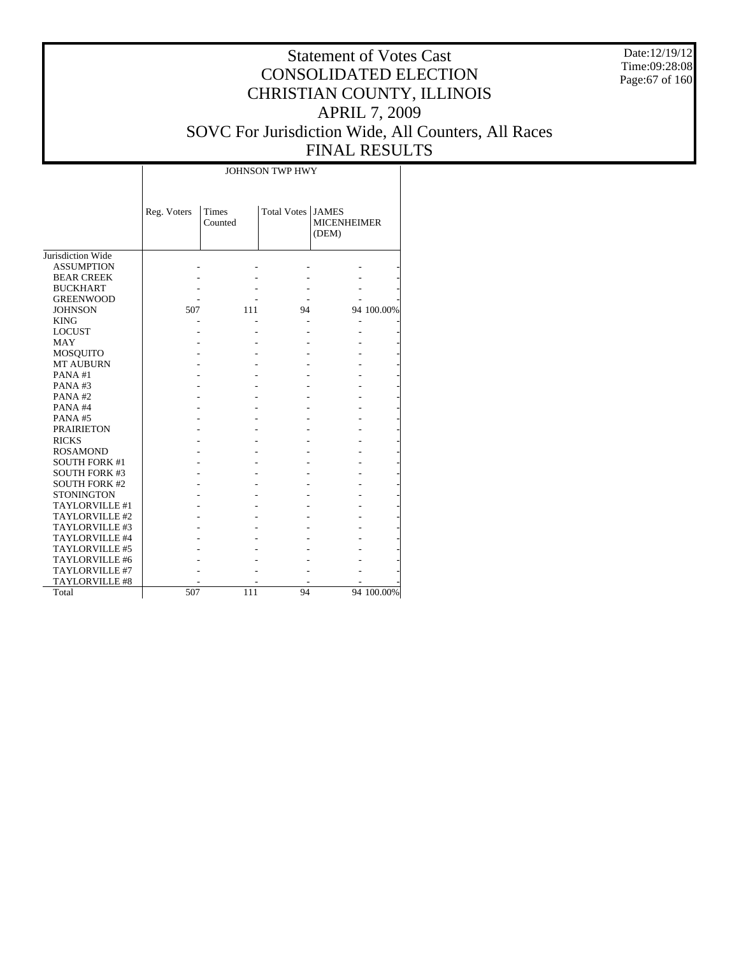Date:12/19/12 Time:09:28:08 Page:67 of 160

## Statement of Votes Cast CONSOLIDATED ELECTION CHRISTIAN COUNTY, ILLINOIS APRIL 7, 2009 SOVC For Jurisdiction Wide, All Counters, All Races FINAL RESULTS

T

|                      | JOHNSON TWP HWY |                  |                     |                             |            |  |  |  |  |  |  |
|----------------------|-----------------|------------------|---------------------|-----------------------------|------------|--|--|--|--|--|--|
|                      | Reg. Voters     | Times<br>Counted | Total Votes   JAMES | <b>MICENHEIMER</b><br>(DEM) |            |  |  |  |  |  |  |
| Jurisdiction Wide    |                 |                  |                     |                             |            |  |  |  |  |  |  |
| <b>ASSUMPTION</b>    |                 |                  |                     |                             |            |  |  |  |  |  |  |
| <b>BEAR CREEK</b>    |                 |                  |                     |                             |            |  |  |  |  |  |  |
| <b>BUCKHART</b>      |                 |                  |                     |                             |            |  |  |  |  |  |  |
| <b>GREENWOOD</b>     |                 |                  |                     |                             |            |  |  |  |  |  |  |
| <b>JOHNSON</b>       | 507             | 111              | 94                  |                             | 94 100.00% |  |  |  |  |  |  |
| <b>KING</b>          |                 |                  |                     |                             |            |  |  |  |  |  |  |
| <b>LOCUST</b>        |                 |                  |                     |                             |            |  |  |  |  |  |  |
| <b>MAY</b>           |                 |                  |                     |                             |            |  |  |  |  |  |  |
| <b>MOSQUITO</b>      |                 |                  |                     |                             |            |  |  |  |  |  |  |
| <b>MT AUBURN</b>     |                 |                  |                     |                             |            |  |  |  |  |  |  |
| PANA#1               |                 |                  |                     |                             |            |  |  |  |  |  |  |
| PANA#3               |                 |                  |                     |                             |            |  |  |  |  |  |  |
| PANA#2               |                 |                  |                     |                             |            |  |  |  |  |  |  |
| PANA#4               |                 |                  |                     |                             |            |  |  |  |  |  |  |
| PANA#5               |                 |                  |                     |                             |            |  |  |  |  |  |  |
| <b>PRAIRIETON</b>    |                 |                  |                     |                             |            |  |  |  |  |  |  |
| <b>RICKS</b>         |                 |                  |                     |                             |            |  |  |  |  |  |  |
| <b>ROSAMOND</b>      |                 |                  |                     |                             |            |  |  |  |  |  |  |
| <b>SOUTH FORK #1</b> |                 |                  |                     |                             |            |  |  |  |  |  |  |
| <b>SOUTH FORK #3</b> |                 |                  |                     |                             |            |  |  |  |  |  |  |
| <b>SOUTH FORK #2</b> |                 |                  |                     |                             |            |  |  |  |  |  |  |
| <b>STONINGTON</b>    |                 |                  |                     |                             |            |  |  |  |  |  |  |
| TAYLORVILLE #1       |                 |                  |                     |                             |            |  |  |  |  |  |  |
| TAYLORVILLE #2       |                 |                  |                     |                             |            |  |  |  |  |  |  |
| TAYLORVILLE #3       |                 |                  |                     |                             |            |  |  |  |  |  |  |
| TAYLORVILLE #4       |                 |                  |                     |                             |            |  |  |  |  |  |  |
| TAYLORVILLE #5       |                 |                  |                     |                             |            |  |  |  |  |  |  |
| TAYLORVILLE #6       |                 |                  |                     |                             |            |  |  |  |  |  |  |
| TAYLORVILLE #7       |                 |                  |                     |                             |            |  |  |  |  |  |  |
| TAYLORVILLE #8       |                 |                  |                     |                             |            |  |  |  |  |  |  |
| Total                | 507             | 111              | 94                  |                             | 94 100.00% |  |  |  |  |  |  |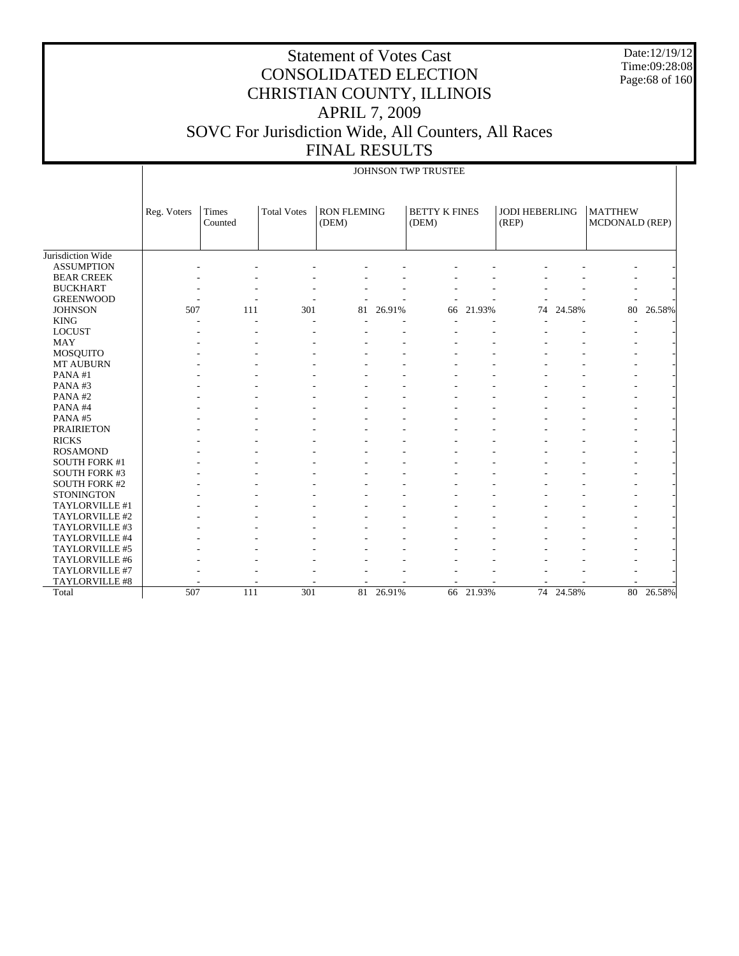Date:12/19/12 Time:09:28:08 Page:68 of 160

|                      |             | JOHNSON TWP TRUSTEE     |                    |                             |           |                               |        |                                |           |                                         |        |  |  |
|----------------------|-------------|-------------------------|--------------------|-----------------------------|-----------|-------------------------------|--------|--------------------------------|-----------|-----------------------------------------|--------|--|--|
|                      | Reg. Voters | <b>Times</b><br>Counted | <b>Total Votes</b> | <b>RON FLEMING</b><br>(DEM) |           | <b>BETTY K FINES</b><br>(DEM) |        | <b>JODI HEBERLING</b><br>(REP) |           | <b>MATTHEW</b><br><b>MCDONALD (REP)</b> |        |  |  |
| Jurisdiction Wide    |             |                         |                    |                             |           |                               |        |                                |           |                                         |        |  |  |
| <b>ASSUMPTION</b>    |             |                         |                    |                             |           |                               |        |                                |           |                                         |        |  |  |
| <b>BEAR CREEK</b>    |             |                         |                    |                             |           |                               |        |                                |           |                                         |        |  |  |
| <b>BUCKHART</b>      |             |                         |                    |                             |           |                               |        |                                |           |                                         |        |  |  |
| <b>GREENWOOD</b>     |             |                         |                    |                             |           |                               |        |                                |           |                                         |        |  |  |
| <b>JOHNSON</b>       | 507         | 111                     | 301                |                             | 81 26.91% | 66                            | 21.93% | 74                             | 24.58%    | 80                                      | 26.58% |  |  |
| <b>KING</b>          |             |                         |                    |                             |           |                               |        |                                |           |                                         |        |  |  |
| <b>LOCUST</b>        |             |                         |                    |                             |           |                               |        |                                |           |                                         |        |  |  |
| <b>MAY</b>           |             |                         |                    |                             |           |                               |        |                                |           |                                         |        |  |  |
| <b>MOSQUITO</b>      |             |                         |                    |                             |           |                               |        |                                |           |                                         |        |  |  |
| MT AUBURN            |             |                         |                    |                             |           |                               |        |                                |           |                                         |        |  |  |
| PANA#1               |             |                         |                    |                             |           |                               |        |                                |           |                                         |        |  |  |
| PANA#3               |             |                         |                    |                             |           |                               |        |                                |           |                                         |        |  |  |
| PANA#2               |             |                         |                    |                             |           |                               |        |                                |           |                                         |        |  |  |
| PANA#4               |             |                         |                    |                             |           |                               |        |                                |           |                                         |        |  |  |
| PANA#5               |             |                         |                    |                             |           |                               |        |                                |           |                                         |        |  |  |
| <b>PRAIRIETON</b>    |             |                         |                    |                             |           |                               |        |                                |           |                                         |        |  |  |
| <b>RICKS</b>         |             |                         |                    |                             |           |                               |        |                                |           |                                         |        |  |  |
| <b>ROSAMOND</b>      |             |                         |                    |                             |           |                               |        |                                |           |                                         |        |  |  |
| <b>SOUTH FORK #1</b> |             |                         |                    |                             |           |                               |        |                                |           |                                         |        |  |  |
| <b>SOUTH FORK #3</b> |             |                         |                    |                             |           |                               |        |                                |           |                                         |        |  |  |
| <b>SOUTH FORK #2</b> |             |                         |                    |                             |           |                               |        |                                |           |                                         |        |  |  |
| <b>STONINGTON</b>    |             |                         |                    |                             |           |                               |        |                                |           |                                         |        |  |  |
| TAYLORVILLE #1       |             |                         |                    |                             |           |                               |        |                                |           |                                         |        |  |  |
| TAYLORVILLE #2       |             |                         |                    |                             |           |                               |        |                                |           |                                         |        |  |  |
| TAYLORVILLE #3       |             |                         |                    |                             |           |                               |        |                                |           |                                         |        |  |  |
| TAYLORVILLE #4       |             |                         |                    |                             |           |                               |        |                                |           |                                         |        |  |  |
| TAYLORVILLE #5       |             |                         |                    |                             |           |                               |        |                                |           |                                         |        |  |  |
| TAYLORVILLE #6       |             |                         |                    |                             |           |                               |        |                                |           |                                         |        |  |  |
| TAYLORVILLE #7       |             |                         |                    |                             |           |                               |        |                                |           |                                         |        |  |  |
| TAYLORVILLE #8       |             |                         |                    |                             |           |                               |        |                                |           |                                         |        |  |  |
| Total                | 507         | 111                     | 301                | 81                          | 26.91%    | 66                            | 21.93% |                                | 74 24.58% | 80                                      | 26.58% |  |  |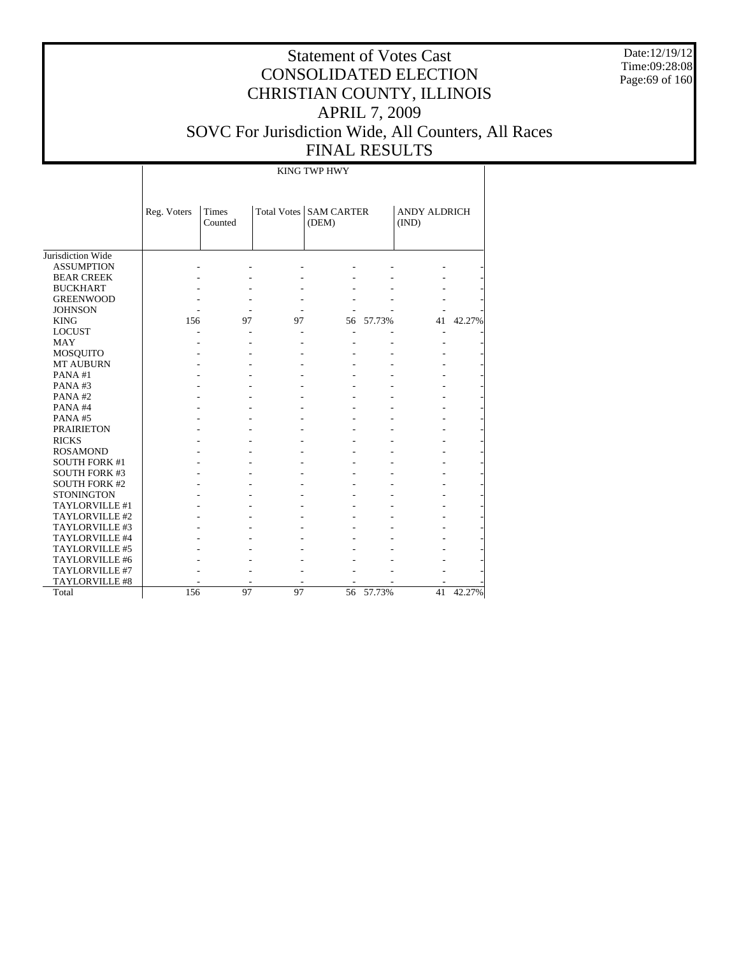Date:12/19/12 Time:09:28:08 Page:69 of 160

# Statement of Votes Cast CONSOLIDATED ELECTION CHRISTIAN COUNTY, ILLINOIS APRIL 7, 2009 SOVC For Jurisdiction Wide, All Counters, All Races FINAL RESULTS

KING TWP HWY

| Jurisdiction Wide<br><b>ASSUMPTION</b> | Reg. Voters | <b>Times</b><br>Counted | <b>Total Votes</b> | <b>SAM CARTER</b><br>(DEM) |           | <b>ANDY ALDRICH</b><br>(IND) |        |
|----------------------------------------|-------------|-------------------------|--------------------|----------------------------|-----------|------------------------------|--------|
| <b>BEAR CREEK</b>                      |             |                         |                    |                            |           |                              |        |
| <b>BUCKHART</b>                        |             |                         |                    |                            |           |                              |        |
| <b>GREENWOOD</b>                       |             |                         |                    |                            |           |                              |        |
| <b>JOHNSON</b>                         |             |                         |                    |                            |           |                              |        |
| <b>KING</b>                            | 156         | 97                      | 97                 | 56                         | 57.73%    | 41                           | 42.27% |
| <b>LOCUST</b>                          |             |                         |                    |                            |           |                              |        |
| <b>MAY</b>                             |             |                         |                    |                            |           |                              |        |
| <b>MOSQUITO</b>                        |             |                         |                    |                            |           |                              |        |
| <b>MT AUBURN</b>                       |             |                         |                    |                            |           |                              |        |
| PANA#1                                 |             |                         |                    |                            |           |                              |        |
| PANA#3                                 |             |                         |                    |                            |           |                              |        |
| PANA#2                                 |             |                         |                    |                            |           |                              |        |
| PANA#4                                 |             |                         |                    |                            |           |                              |        |
| PANA#5                                 |             |                         |                    |                            |           |                              |        |
| <b>PRAIRIETON</b>                      |             |                         |                    |                            |           |                              |        |
| <b>RICKS</b>                           |             |                         |                    |                            |           |                              |        |
| <b>ROSAMOND</b>                        |             |                         |                    |                            |           |                              |        |
| <b>SOUTH FORK #1</b>                   |             |                         |                    |                            |           |                              |        |
| <b>SOUTH FORK #3</b>                   |             |                         |                    |                            |           |                              |        |
| <b>SOUTH FORK #2</b>                   |             |                         |                    |                            |           |                              |        |
| <b>STONINGTON</b>                      |             |                         |                    |                            |           |                              |        |
| TAYLORVILLE #1                         |             |                         |                    |                            |           |                              |        |
| TAYLORVILLE #2                         |             |                         |                    |                            |           |                              |        |
| TAYLORVILLE #3                         |             |                         |                    |                            |           |                              |        |
| TAYLORVILLE #4                         |             |                         |                    |                            |           |                              |        |
| TAYLORVILLE #5                         |             |                         |                    |                            |           |                              |        |
| TAYLORVILLE #6                         |             |                         |                    |                            |           |                              |        |
| TAYLORVILLE #7                         |             |                         |                    |                            |           |                              |        |
| <b>TAYLORVILLE #8</b>                  |             |                         |                    |                            |           |                              |        |
| Total                                  | 156         | 97                      | 97                 |                            | 56 57.73% | 41                           | 42.27% |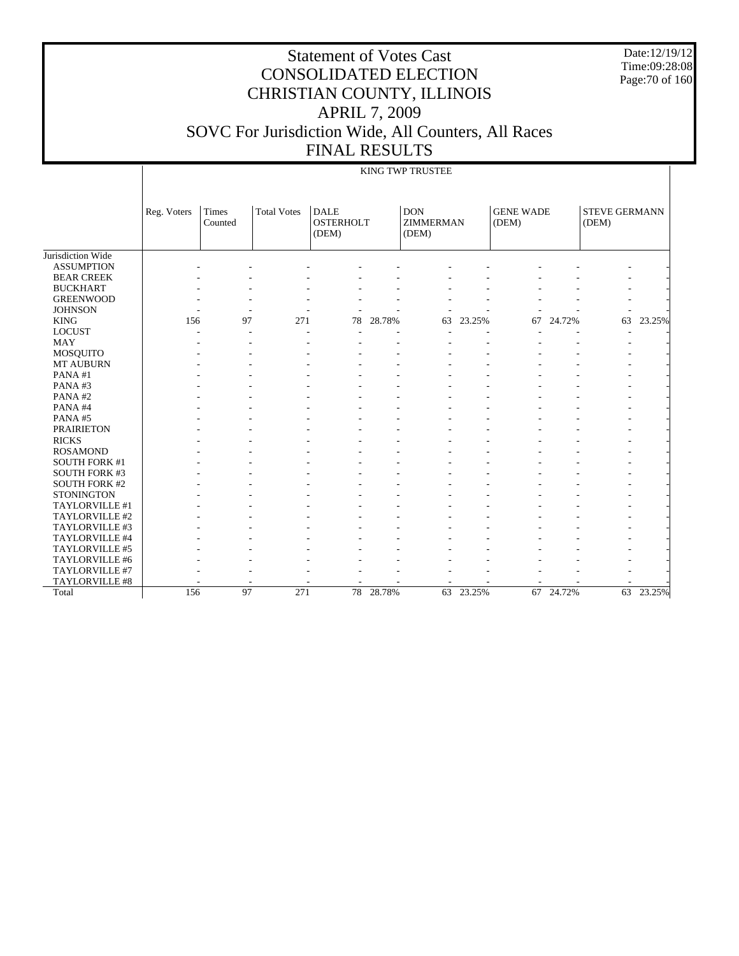Date:12/19/12 Time:09:28:08 Page:70 of 160

# Statement of Votes Cast CONSOLIDATED ELECTION CHRISTIAN COUNTY, ILLINOIS APRIL 7, 2009 SOVC For Jurisdiction Wide, All Counters, All Races FINAL RESULTS

#### KING TWP TRUSTEE

|                      | Reg. Voters | <b>Times</b><br>Counted | <b>Total Votes</b> | <b>DALE</b><br><b>OSTERHOLT</b><br>(DEM) |        | <b>DON</b><br><b>ZIMMERMAN</b><br>(DEM) |           | <b>GENE WADE</b><br>(DEM) |           | <b>STEVE GERMANN</b><br>(DEM) |        |
|----------------------|-------------|-------------------------|--------------------|------------------------------------------|--------|-----------------------------------------|-----------|---------------------------|-----------|-------------------------------|--------|
| Jurisdiction Wide    |             |                         |                    |                                          |        |                                         |           |                           |           |                               |        |
| <b>ASSUMPTION</b>    |             |                         |                    |                                          |        |                                         |           |                           |           |                               |        |
| <b>BEAR CREEK</b>    |             |                         |                    |                                          |        |                                         |           |                           |           |                               |        |
| <b>BUCKHART</b>      |             |                         |                    |                                          |        |                                         |           |                           |           |                               |        |
| <b>GREENWOOD</b>     |             |                         |                    |                                          |        |                                         |           |                           |           |                               |        |
| <b>JOHNSON</b>       |             |                         |                    |                                          |        |                                         |           |                           |           |                               |        |
| <b>KING</b>          | 156         | 97                      | 271                | 78                                       | 28.78% | 63                                      | 23.25%    | 67                        | 24.72%    | 63                            | 23.25% |
| <b>LOCUST</b>        |             | ÷                       | ٠                  |                                          |        |                                         |           |                           |           | $\overline{\phantom{a}}$      |        |
| <b>MAY</b>           |             |                         |                    |                                          |        |                                         |           |                           |           |                               |        |
| <b>MOSQUITO</b>      |             |                         |                    |                                          |        |                                         |           |                           |           |                               |        |
| MT AUBURN            |             |                         |                    |                                          |        |                                         |           |                           |           |                               |        |
| PANA#1               |             |                         |                    |                                          |        |                                         |           |                           |           |                               |        |
| PANA#3               |             |                         |                    |                                          |        |                                         |           |                           |           |                               |        |
| PANA#2               |             |                         |                    |                                          |        |                                         |           |                           |           |                               |        |
| PANA#4               |             |                         |                    |                                          |        |                                         |           |                           |           |                               |        |
| PANA#5               |             |                         |                    |                                          |        |                                         |           |                           |           |                               |        |
| <b>PRAIRIETON</b>    |             |                         |                    |                                          |        |                                         |           |                           |           |                               |        |
| <b>RICKS</b>         |             |                         |                    |                                          |        |                                         |           |                           |           |                               |        |
| <b>ROSAMOND</b>      |             |                         |                    |                                          |        |                                         |           |                           |           |                               |        |
| <b>SOUTH FORK #1</b> |             |                         |                    |                                          |        |                                         |           |                           |           |                               |        |
| <b>SOUTH FORK #3</b> |             |                         |                    |                                          |        |                                         |           |                           |           |                               |        |
| <b>SOUTH FORK #2</b> |             |                         |                    |                                          |        |                                         |           |                           |           |                               |        |
| <b>STONINGTON</b>    |             |                         |                    |                                          |        |                                         |           |                           |           | ٠                             |        |
| TAYLORVILLE #1       |             |                         |                    |                                          |        |                                         |           |                           |           |                               |        |
| TAYLORVILLE #2       |             |                         |                    |                                          |        |                                         |           |                           |           |                               |        |
| TAYLORVILLE #3       |             |                         |                    |                                          |        |                                         |           |                           |           | ۰                             |        |
| TAYLORVILLE #4       |             |                         |                    |                                          |        |                                         |           |                           |           |                               |        |
| TAYLORVILLE #5       |             |                         |                    |                                          |        |                                         |           |                           |           |                               |        |
| TAYLORVILLE #6       |             |                         |                    |                                          |        |                                         |           |                           |           |                               |        |
| TAYLORVILLE #7       |             |                         |                    |                                          |        |                                         |           |                           |           |                               |        |
| TAYLORVILLE #8       |             |                         |                    |                                          |        |                                         |           | ۰                         |           |                               |        |
| Total                | 156         | 97                      | 271                | 78                                       | 28.78% |                                         | 63 23.25% |                           | 67 24.72% | 63                            | 23.25% |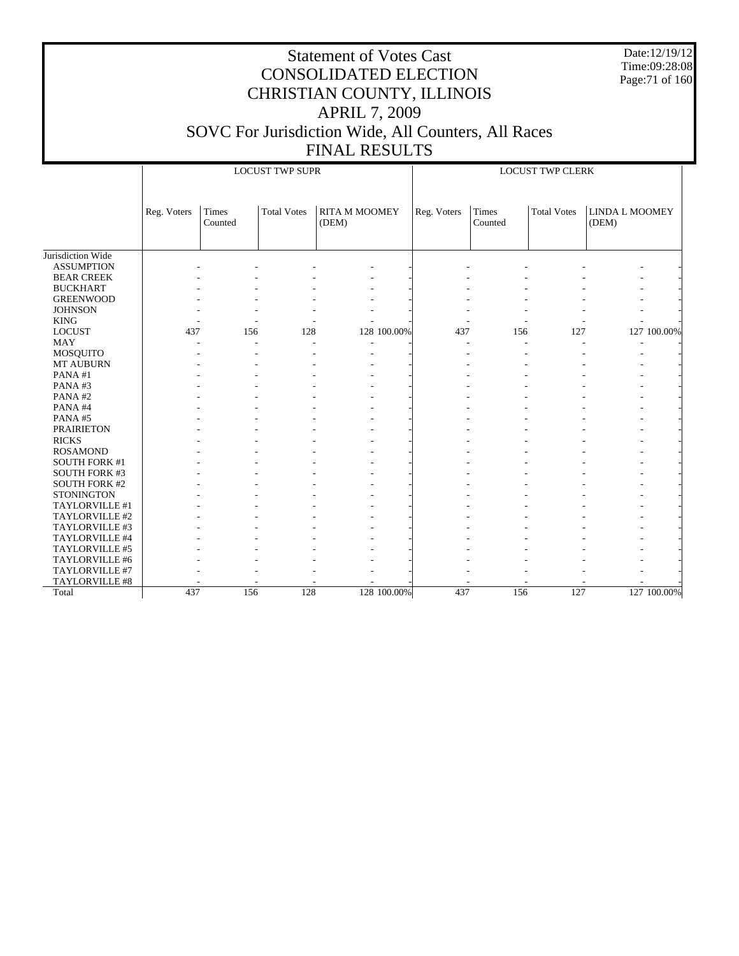Date:12/19/12 Time:09:28:08 Page:71 of 160

|                      |             |                  | <b>LOCUST TWP SUPR</b> |                               |             | <b>LOCUST TWP CLERK</b> |                  |                    |                                |             |  |
|----------------------|-------------|------------------|------------------------|-------------------------------|-------------|-------------------------|------------------|--------------------|--------------------------------|-------------|--|
|                      | Reg. Voters | Times<br>Counted | <b>Total Votes</b>     | <b>RITA M MOOMEY</b><br>(DEM) |             | Reg. Voters             | Times<br>Counted | <b>Total Votes</b> | <b>LINDA L MOOMEY</b><br>(DEM) |             |  |
| Jurisdiction Wide    |             |                  |                        |                               |             |                         |                  |                    |                                |             |  |
| <b>ASSUMPTION</b>    |             |                  |                        |                               |             |                         |                  |                    |                                |             |  |
| <b>BEAR CREEK</b>    |             |                  |                        |                               |             |                         |                  |                    |                                |             |  |
| <b>BUCKHART</b>      |             |                  |                        |                               |             |                         |                  |                    |                                |             |  |
| <b>GREENWOOD</b>     |             |                  |                        |                               |             |                         |                  |                    |                                |             |  |
| <b>JOHNSON</b>       |             |                  |                        |                               |             |                         |                  |                    |                                |             |  |
| <b>KING</b>          |             |                  |                        |                               |             |                         |                  |                    |                                |             |  |
| <b>LOCUST</b>        | 437         | 156              | 128                    |                               | 128 100.00% | 437                     | 156              | 127                |                                | 127 100.00% |  |
| <b>MAY</b>           |             |                  | ٠                      |                               |             |                         |                  |                    |                                |             |  |
| MOSQUITO             |             |                  |                        |                               |             |                         |                  |                    |                                |             |  |
| MT AUBURN            |             |                  |                        |                               |             |                         |                  |                    |                                |             |  |
| PANA#1               |             |                  |                        |                               |             |                         |                  |                    |                                |             |  |
| PANA#3               |             |                  |                        |                               |             |                         |                  |                    |                                |             |  |
| PANA#2               |             |                  |                        |                               |             |                         |                  |                    |                                |             |  |
| PANA#4               |             |                  |                        |                               |             |                         |                  |                    |                                |             |  |
| PANA#5               |             |                  |                        |                               |             |                         |                  |                    |                                |             |  |
| <b>PRAIRIETON</b>    |             |                  |                        |                               |             |                         |                  |                    |                                |             |  |
| <b>RICKS</b>         |             |                  |                        |                               |             |                         |                  |                    |                                |             |  |
| <b>ROSAMOND</b>      |             |                  |                        |                               |             |                         |                  |                    |                                |             |  |
| <b>SOUTH FORK #1</b> |             |                  |                        |                               |             |                         |                  |                    |                                |             |  |
| <b>SOUTH FORK #3</b> |             |                  |                        |                               |             |                         |                  |                    |                                |             |  |
| <b>SOUTH FORK #2</b> |             |                  |                        |                               |             |                         |                  |                    |                                |             |  |
| <b>STONINGTON</b>    |             |                  |                        |                               |             |                         |                  |                    |                                |             |  |
| TAYLORVILLE #1       |             |                  |                        |                               |             |                         |                  |                    |                                |             |  |
| TAYLORVILLE #2       |             |                  |                        |                               |             |                         |                  |                    |                                |             |  |
| TAYLORVILLE #3       |             |                  |                        |                               |             |                         |                  |                    |                                |             |  |
| TAYLORVILLE #4       |             |                  |                        |                               |             |                         |                  |                    |                                |             |  |
| TAYLORVILLE #5       |             |                  |                        |                               |             |                         |                  |                    |                                |             |  |
| TAYLORVILLE #6       |             |                  |                        |                               |             |                         |                  |                    |                                |             |  |
| TAYLORVILLE #7       |             |                  |                        |                               |             |                         |                  |                    |                                |             |  |
| TAYLORVILLE #8       |             |                  |                        |                               |             |                         |                  |                    |                                |             |  |
| Total                | 437         | 156              | 128                    |                               | 128 100.00% | 437                     | 156              | 127                |                                | 127 100.00% |  |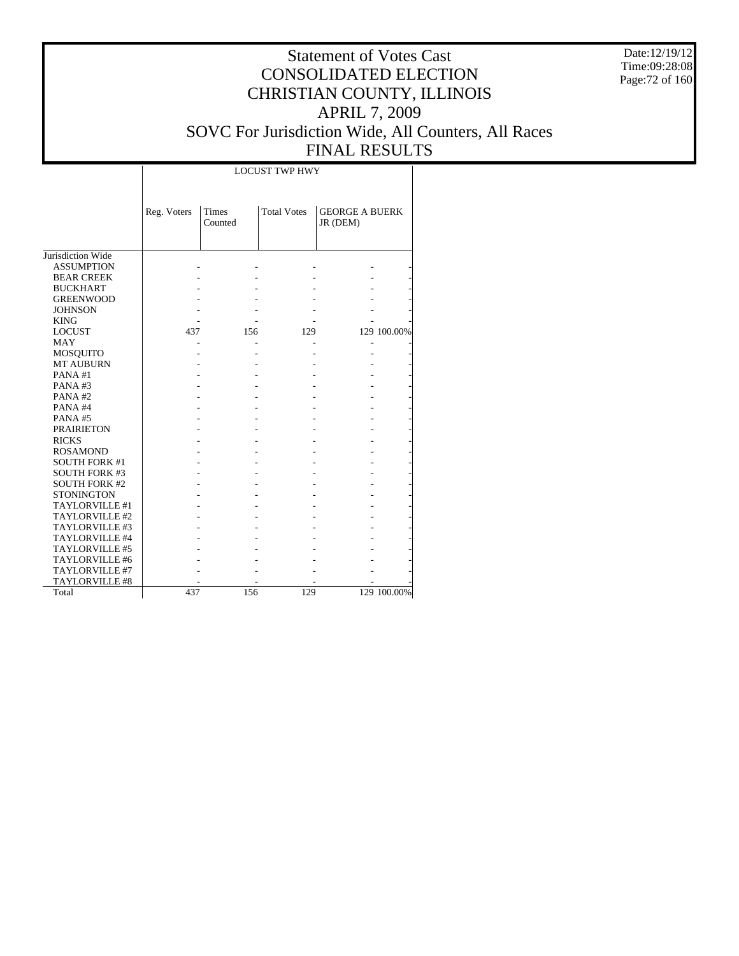Date:12/19/12 Time:09:28:08 Page:72 of 160

## Statement of Votes Cast CONSOLIDATED ELECTION CHRISTIAN COUNTY, ILLINOIS APRIL 7, 2009 SOVC For Jurisdiction Wide, All Counters, All Races FINAL RESULTS

 $\overline{\phantom{a}}$ 

|                      | <b>LOCUST TWP HWY</b> |                  |                    |                                   |             |
|----------------------|-----------------------|------------------|--------------------|-----------------------------------|-------------|
|                      |                       |                  |                    |                                   |             |
|                      | Reg. Voters           | Times<br>Counted | <b>Total Votes</b> | <b>GEORGE A BUERK</b><br>JR (DEM) |             |
| Jurisdiction Wide    |                       |                  |                    |                                   |             |
| <b>ASSUMPTION</b>    |                       |                  |                    |                                   |             |
| <b>BEAR CREEK</b>    |                       |                  |                    |                                   |             |
| <b>BUCKHART</b>      |                       |                  |                    |                                   |             |
| <b>GREENWOOD</b>     |                       |                  |                    |                                   |             |
| <b>JOHNSON</b>       |                       |                  |                    |                                   |             |
| <b>KING</b>          |                       |                  |                    |                                   |             |
| <b>LOCUST</b>        | 437                   | 156              | 129                |                                   | 129 100.00% |
| <b>MAY</b>           |                       |                  |                    |                                   |             |
| MOSQUITO             |                       |                  |                    |                                   |             |
| <b>MT AUBURN</b>     |                       |                  |                    |                                   |             |
| PANA#1               |                       |                  |                    |                                   |             |
| PANA#3               |                       |                  |                    |                                   |             |
| PANA#2               |                       |                  |                    |                                   |             |
| PANA#4               |                       |                  |                    |                                   |             |
| PANA#5               |                       |                  |                    |                                   |             |
| <b>PRAIRIETON</b>    |                       |                  |                    |                                   |             |
| <b>RICKS</b>         |                       |                  |                    |                                   |             |
| <b>ROSAMOND</b>      |                       |                  |                    |                                   |             |
| <b>SOUTH FORK #1</b> |                       |                  |                    |                                   |             |
| <b>SOUTH FORK #3</b> |                       |                  |                    |                                   |             |
| <b>SOUTH FORK #2</b> |                       |                  |                    |                                   |             |
| <b>STONINGTON</b>    |                       |                  |                    |                                   |             |
| TAYLORVILLE #1       |                       |                  |                    |                                   |             |
| TAYLORVILLE #2       |                       |                  |                    |                                   |             |
| TAYLORVILLE #3       |                       |                  |                    |                                   |             |
| TAYLORVILLE #4       |                       |                  |                    |                                   |             |
| TAYLORVILLE #5       |                       |                  |                    |                                   |             |
| TAYLORVILLE #6       |                       |                  |                    |                                   |             |
| TAYLORVILLE #7       |                       |                  |                    |                                   |             |
| TAYLORVILLE #8       |                       |                  |                    |                                   |             |
| Total                | 437                   | 156              | 129                |                                   | 129 100.00% |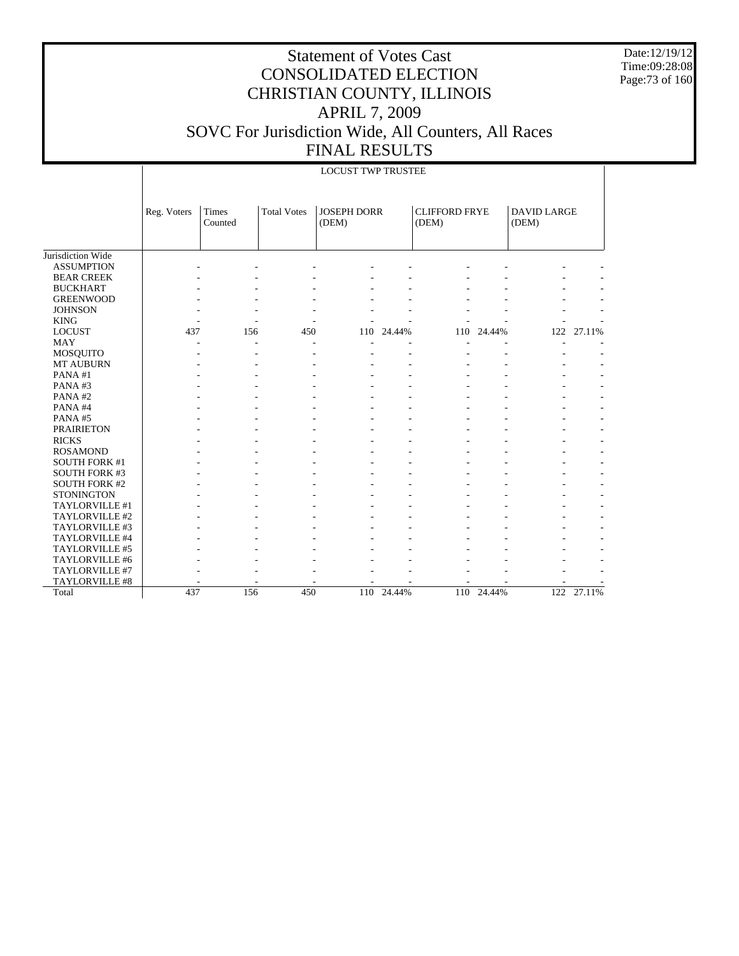Date:12/19/12 Time:09:28:08 Page:73 of 160

|                      |             |                  |                    | <b>LOCUST TWP TRUSTEE</b>   |        |                               |        |                             |            |
|----------------------|-------------|------------------|--------------------|-----------------------------|--------|-------------------------------|--------|-----------------------------|------------|
|                      | Reg. Voters | Times<br>Counted | <b>Total Votes</b> | <b>JOSEPH DORR</b><br>(DEM) |        | <b>CLIFFORD FRYE</b><br>(DEM) |        | <b>DAVID LARGE</b><br>(DEM) |            |
| Jurisdiction Wide    |             |                  |                    |                             |        |                               |        |                             |            |
| <b>ASSUMPTION</b>    |             |                  |                    |                             |        |                               |        |                             |            |
| <b>BEAR CREEK</b>    |             |                  |                    |                             |        |                               |        |                             |            |
| <b>BUCKHART</b>      |             |                  |                    |                             |        |                               |        |                             |            |
| <b>GREENWOOD</b>     |             |                  |                    |                             |        |                               |        |                             |            |
| <b>JOHNSON</b>       |             |                  |                    |                             |        |                               |        |                             |            |
| <b>KING</b>          |             |                  |                    |                             |        |                               |        |                             |            |
| <b>LOCUST</b>        | 437         | 156              | 450                | 110                         | 24.44% | 110                           | 24.44% |                             | 122 27.11% |
| <b>MAY</b>           |             | ٠                |                    |                             |        |                               |        |                             |            |
| MOSQUITO             |             |                  |                    |                             |        |                               |        |                             |            |
| <b>MT AUBURN</b>     |             |                  |                    |                             |        |                               |        |                             |            |
| PANA#1               |             |                  |                    |                             |        |                               |        |                             |            |
| PANA#3               |             |                  |                    |                             |        |                               |        |                             |            |
| PANA#2               |             |                  |                    |                             |        |                               |        |                             |            |
| PANA#4               |             |                  |                    |                             |        |                               |        |                             |            |
| PANA#5               |             |                  |                    |                             |        |                               |        |                             |            |
| <b>PRAIRIETON</b>    |             |                  |                    |                             |        |                               |        |                             |            |
| <b>RICKS</b>         |             |                  |                    |                             |        |                               |        |                             |            |
| <b>ROSAMOND</b>      |             |                  |                    |                             |        |                               |        |                             |            |
| <b>SOUTH FORK #1</b> |             |                  |                    |                             |        |                               |        |                             |            |
| <b>SOUTH FORK #3</b> |             |                  |                    |                             |        |                               |        |                             |            |
| <b>SOUTH FORK #2</b> |             |                  |                    |                             |        |                               |        |                             |            |
| <b>STONINGTON</b>    |             |                  |                    |                             |        |                               |        |                             |            |
| TAYLORVILLE #1       |             |                  |                    |                             |        |                               |        |                             |            |
| TAYLORVILLE #2       |             |                  |                    |                             |        |                               |        |                             |            |
| TAYLORVILLE #3       |             |                  |                    |                             |        |                               |        |                             |            |
| TAYLORVILLE #4       |             |                  |                    |                             |        |                               |        |                             |            |
| TAYLORVILLE #5       |             |                  |                    |                             |        |                               |        |                             |            |
| TAYLORVILLE #6       |             |                  |                    |                             |        |                               |        |                             |            |
| TAYLORVILLE #7       |             |                  |                    |                             |        |                               |        |                             |            |
| TAYLORVILLE #8       |             |                  |                    |                             |        |                               |        |                             |            |
| Total                | 437         | 156              | 450                | 110                         | 24.44% | 110                           | 24.44% | 122                         | 27.11%     |
|                      |             |                  |                    |                             |        |                               |        |                             |            |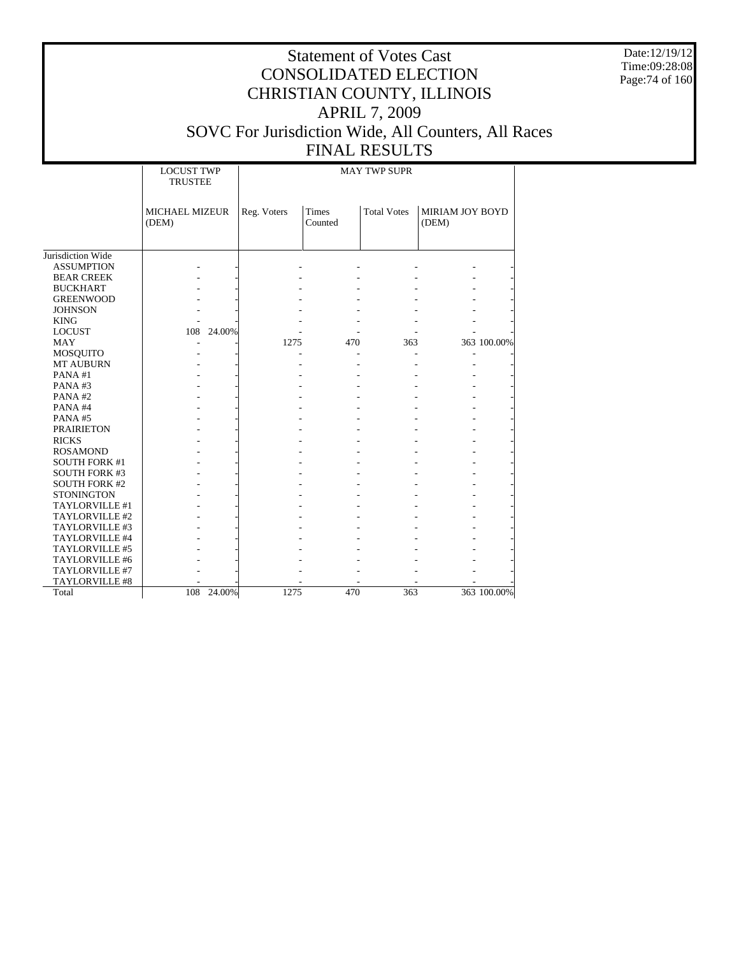Date:12/19/12 Time:09:28:08 Page:74 of 160

#### Statement of Votes Cast CONSOLIDATED ELECTION CHRISTIAN COUNTY, ILLINOIS APRIL 7, 2009 SOVC For Jurisdiction Wide, All Counters, All Races FINAL RESULTS

### MAY TWP SUPR

|                      | <b>LOCUST TWP</b><br><b>TRUSTEE</b> |            |             |                         | <b>MAY TWP SUPR</b> |                                 |  |
|----------------------|-------------------------------------|------------|-------------|-------------------------|---------------------|---------------------------------|--|
|                      | MICHAEL MIZEUR<br>(DEM)             |            | Reg. Voters | <b>Times</b><br>Counted | <b>Total Votes</b>  | <b>MIRIAM JOY BOYD</b><br>(DEM) |  |
|                      |                                     |            |             |                         |                     |                                 |  |
| Jurisdiction Wide    |                                     |            |             |                         |                     |                                 |  |
| <b>ASSUMPTION</b>    |                                     |            |             |                         |                     |                                 |  |
| <b>BEAR CREEK</b>    |                                     |            |             |                         |                     |                                 |  |
| <b>BUCKHART</b>      |                                     |            |             |                         |                     |                                 |  |
| <b>GREENWOOD</b>     |                                     |            |             |                         |                     |                                 |  |
| <b>JOHNSON</b>       |                                     |            |             |                         |                     |                                 |  |
| <b>KING</b>          |                                     |            |             |                         |                     |                                 |  |
| <b>LOCUST</b>        |                                     | 108 24.00% |             |                         |                     |                                 |  |
| <b>MAY</b>           |                                     |            | 1275        | 470                     | 363                 | 363 100.00%                     |  |
| MOSQUITO             |                                     |            |             |                         |                     |                                 |  |
| MT AUBURN            |                                     |            |             |                         |                     |                                 |  |
| PANA#1               |                                     |            |             |                         |                     |                                 |  |
| PANA#3               |                                     |            |             |                         |                     |                                 |  |
| PANA#2               |                                     |            |             |                         |                     |                                 |  |
| PANA#4               |                                     |            |             |                         |                     |                                 |  |
| PANA#5               |                                     |            |             |                         |                     |                                 |  |
| <b>PRAIRIETON</b>    |                                     |            |             |                         |                     |                                 |  |
| <b>RICKS</b>         |                                     |            |             |                         |                     |                                 |  |
| <b>ROSAMOND</b>      |                                     |            |             |                         |                     |                                 |  |
| <b>SOUTH FORK #1</b> |                                     |            |             |                         |                     |                                 |  |
| <b>SOUTH FORK #3</b> |                                     |            |             |                         |                     |                                 |  |
| <b>SOUTH FORK #2</b> |                                     |            |             |                         |                     |                                 |  |
| <b>STONINGTON</b>    |                                     |            |             |                         |                     |                                 |  |
| TAYLORVILLE #1       |                                     |            |             |                         |                     |                                 |  |
| TAYLORVILLE #2       |                                     |            |             |                         |                     |                                 |  |
| TAYLORVILLE #3       |                                     |            |             |                         |                     |                                 |  |
| TAYLORVILLE #4       |                                     |            |             |                         |                     |                                 |  |
| TAYLORVILLE #5       |                                     |            |             |                         |                     |                                 |  |
| TAYLORVILLE #6       |                                     |            |             |                         |                     |                                 |  |
| TAYLORVILLE #7       |                                     |            |             |                         |                     |                                 |  |
| TAYLORVILLE #8       |                                     |            |             |                         |                     |                                 |  |
| Total                | 108                                 | 24.00%     | 1275        | 470                     | 363                 | 363 100.00%                     |  |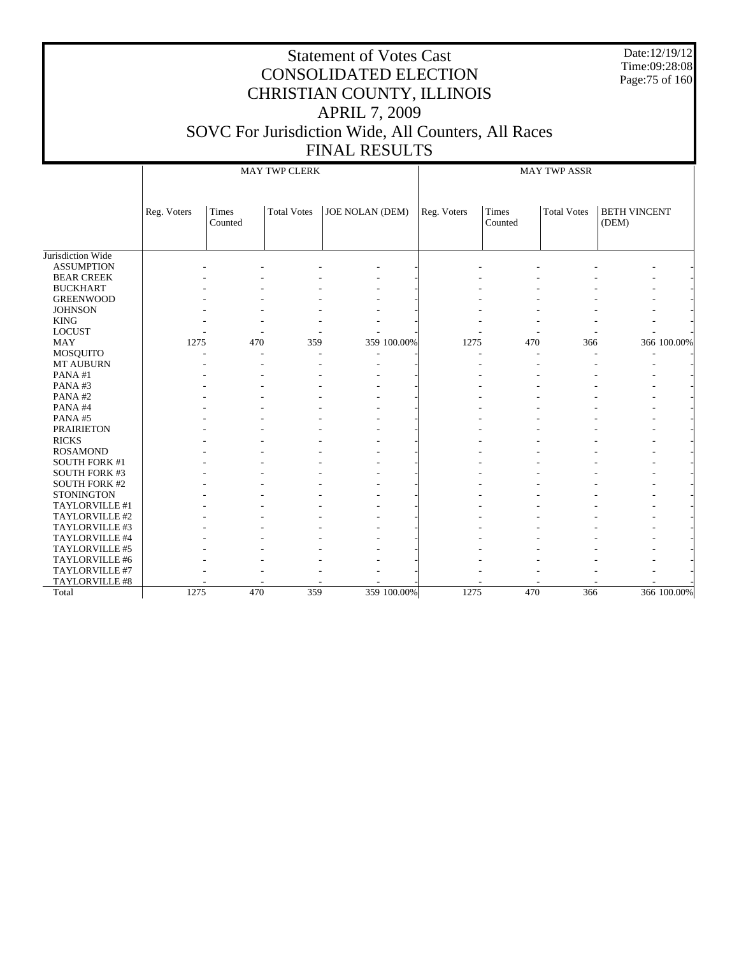Date:12/19/12 Time:09:28:08 Page:75 of 160

|                      |             |                  | <b>MAY TWP CLERK</b> |                 |             |                  | <b>MAY TWP ASSR</b> |                              |
|----------------------|-------------|------------------|----------------------|-----------------|-------------|------------------|---------------------|------------------------------|
|                      | Reg. Voters | Times<br>Counted | <b>Total Votes</b>   | JOE NOLAN (DEM) | Reg. Voters | Times<br>Counted | <b>Total Votes</b>  | <b>BETH VINCENT</b><br>(DEM) |
| Jurisdiction Wide    |             |                  |                      |                 |             |                  |                     |                              |
| <b>ASSUMPTION</b>    |             |                  |                      |                 |             |                  |                     |                              |
| <b>BEAR CREEK</b>    |             |                  |                      |                 |             |                  |                     |                              |
| <b>BUCKHART</b>      |             |                  |                      |                 |             |                  |                     |                              |
| <b>GREENWOOD</b>     |             |                  |                      |                 |             |                  |                     |                              |
| <b>JOHNSON</b>       |             |                  |                      |                 |             |                  |                     |                              |
| <b>KING</b>          |             |                  |                      |                 |             |                  |                     |                              |
| <b>LOCUST</b>        |             |                  |                      |                 |             |                  |                     |                              |
| <b>MAY</b>           | 1275        | 470              | 359                  | 359 100.00%     | 1275        | 470              | 366                 | 366 100.00%                  |
| <b>MOSQUITO</b>      |             |                  |                      |                 |             |                  |                     |                              |
| MT AUBURN            |             |                  |                      |                 |             |                  |                     |                              |
| PANA#1               |             |                  |                      |                 |             |                  |                     |                              |
| PANA#3               |             |                  |                      |                 |             |                  |                     |                              |
| PANA#2               |             |                  |                      |                 |             |                  |                     |                              |
| PANA#4               |             |                  |                      |                 |             |                  |                     |                              |
| PANA#5               |             |                  |                      |                 |             |                  |                     |                              |
| <b>PRAIRIETON</b>    |             |                  |                      |                 |             |                  |                     |                              |
| <b>RICKS</b>         |             |                  |                      |                 |             |                  |                     |                              |
| <b>ROSAMOND</b>      |             |                  |                      |                 |             |                  |                     |                              |
| <b>SOUTH FORK #1</b> |             |                  |                      |                 |             |                  |                     |                              |
| SOUTH FORK #3        |             |                  |                      |                 |             |                  |                     |                              |
| <b>SOUTH FORK #2</b> |             |                  |                      |                 |             |                  |                     |                              |
| <b>STONINGTON</b>    |             |                  |                      |                 |             |                  |                     |                              |
| TAYLORVILLE #1       |             |                  |                      |                 |             |                  |                     |                              |
| TAYLORVILLE #2       |             |                  |                      |                 |             |                  |                     |                              |
| TAYLORVILLE #3       |             |                  |                      |                 |             |                  |                     |                              |
| TAYLORVILLE #4       |             |                  |                      |                 |             |                  |                     |                              |
| TAYLORVILLE #5       |             |                  |                      |                 |             |                  |                     |                              |
| TAYLORVILLE #6       |             |                  |                      |                 |             |                  |                     |                              |
| TAYLORVILLE #7       |             |                  |                      |                 |             |                  |                     |                              |
| TAYLORVILLE #8       |             |                  |                      |                 |             |                  |                     |                              |
| Total                | 1275        | 470              | 359                  | 359 100.00%     | 1275        | 470              | 366                 | 366 100.00%                  |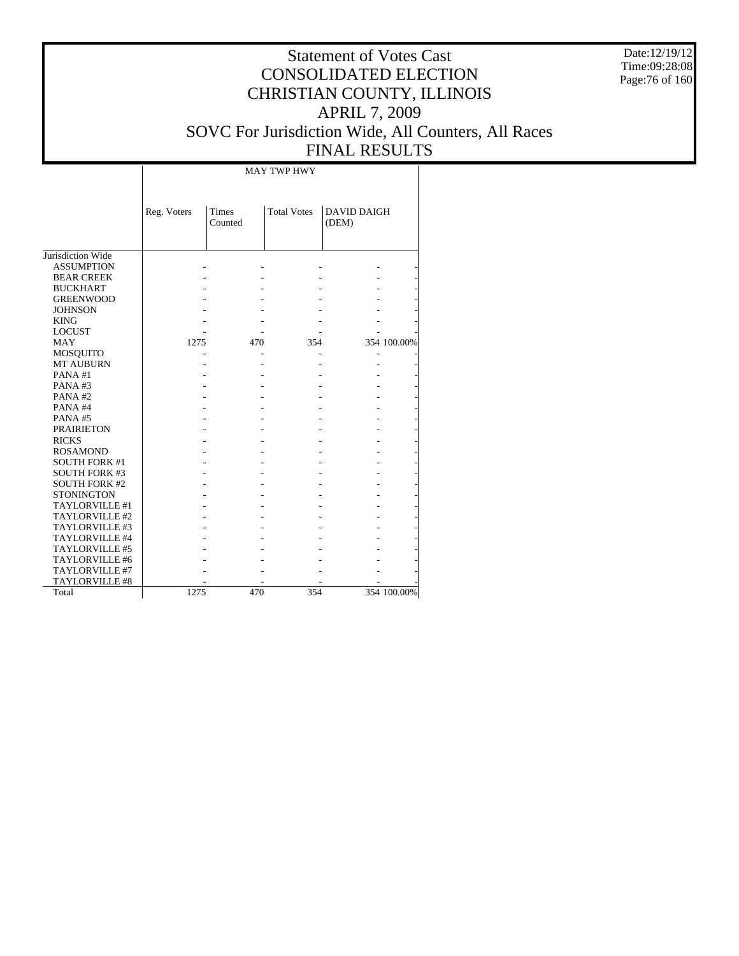Date:12/19/12 Time:09:28:08 Page:76 of 160

|                       |             |                         | <b>MAY TWP HWY</b> |                             |             |
|-----------------------|-------------|-------------------------|--------------------|-----------------------------|-------------|
|                       | Reg. Voters | <b>Times</b><br>Counted | <b>Total Votes</b> | <b>DAVID DAIGH</b><br>(DEM) |             |
| Jurisdiction Wide     |             |                         |                    |                             |             |
| <b>ASSUMPTION</b>     |             |                         |                    |                             |             |
| <b>BEAR CREEK</b>     |             |                         |                    |                             |             |
| <b>BUCKHART</b>       |             |                         |                    |                             |             |
| <b>GREENWOOD</b>      |             |                         |                    |                             |             |
| <b>JOHNSON</b>        |             |                         |                    |                             |             |
| <b>KING</b>           |             |                         |                    |                             |             |
| <b>LOCUST</b>         |             |                         |                    |                             |             |
| <b>MAY</b>            | 1275        | 470                     | 354                |                             | 354 100.00% |
| MOSQUITO              |             |                         |                    |                             |             |
| <b>MT AUBURN</b>      |             |                         |                    |                             |             |
| PANA#1                |             |                         |                    |                             |             |
| PANA#3                |             |                         |                    |                             |             |
| PANA#2                |             |                         |                    |                             |             |
| PANA#4                |             |                         |                    |                             |             |
| PANA#5                |             |                         |                    |                             |             |
| <b>PRAIRIETON</b>     |             |                         |                    |                             |             |
| <b>RICKS</b>          |             |                         |                    |                             |             |
| <b>ROSAMOND</b>       |             |                         |                    |                             |             |
| <b>SOUTH FORK #1</b>  |             |                         |                    |                             |             |
| <b>SOUTH FORK #3</b>  |             |                         |                    |                             |             |
| <b>SOUTH FORK #2</b>  |             |                         |                    |                             |             |
| <b>STONINGTON</b>     |             |                         |                    |                             |             |
| TAYLORVILLE #1        |             |                         |                    |                             |             |
| TAYLORVILLE #2        |             |                         |                    |                             |             |
| TAYLORVILLE #3        |             |                         |                    |                             |             |
| <b>TAYLORVILLE #4</b> |             |                         |                    |                             |             |
| TAYLORVILLE #5        |             |                         |                    |                             |             |
| TAYLORVILLE #6        |             |                         |                    |                             |             |
| TAYLORVILLE #7        |             |                         |                    |                             |             |
| <b>TAYLORVILLE #8</b> |             |                         |                    |                             |             |
| Total                 | 1275        | 470                     | 354                |                             | 354 100.00% |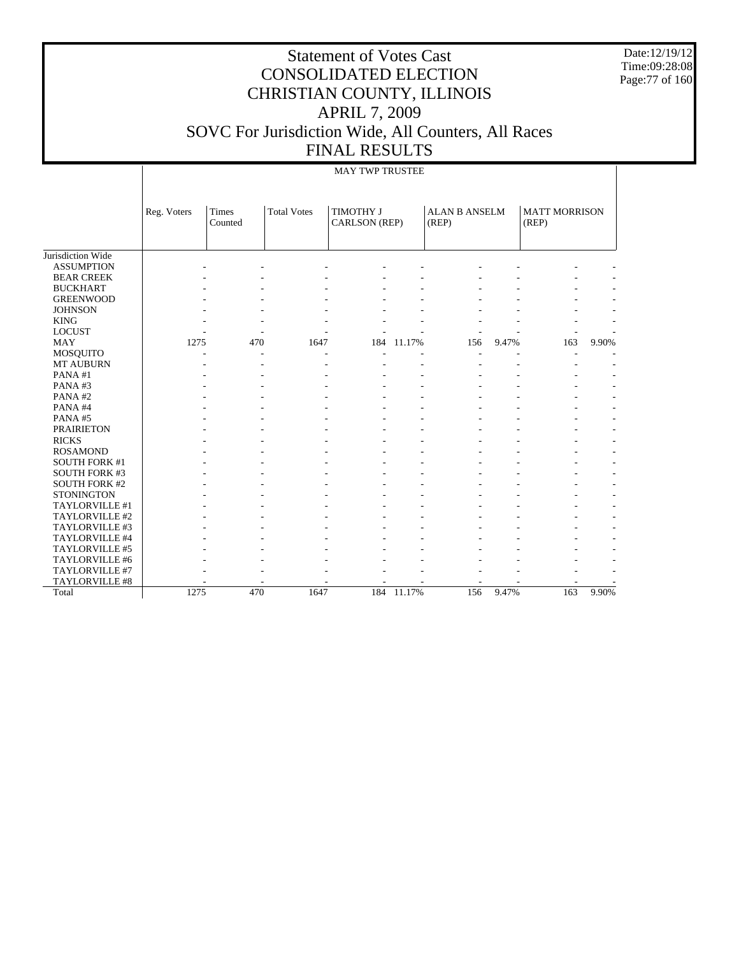Date:12/19/12 Time:09:28:08 Page:77 of 160

## Statement of Votes Cast CONSOLIDATED ELECTION CHRISTIAN COUNTY, ILLINOIS APRIL 7, 2009 SOVC For Jurisdiction Wide, All Counters, All Races FINAL RESULTS

#### MAY TWP TRUSTEE

|                                     | Reg. Voters | Times<br>Counted | <b>Total Votes</b> | <b>TIMOTHY J</b><br>CARLSON (REP) |        | <b>ALAN B ANSELM</b><br>(REP) |       | <b>MATT MORRISON</b><br>(REP) |       |
|-------------------------------------|-------------|------------------|--------------------|-----------------------------------|--------|-------------------------------|-------|-------------------------------|-------|
| Jurisdiction Wide                   |             |                  |                    |                                   |        |                               |       |                               |       |
| <b>ASSUMPTION</b>                   |             |                  |                    |                                   |        |                               |       |                               |       |
| <b>BEAR CREEK</b>                   |             |                  |                    |                                   |        |                               |       |                               |       |
|                                     |             |                  |                    |                                   |        |                               |       |                               |       |
| <b>BUCKHART</b><br><b>GREENWOOD</b> |             |                  |                    |                                   |        |                               |       |                               |       |
| <b>JOHNSON</b>                      |             |                  |                    |                                   |        |                               |       |                               |       |
| <b>KING</b>                         |             |                  |                    |                                   |        |                               |       |                               |       |
| <b>LOCUST</b>                       |             |                  |                    |                                   |        |                               |       |                               |       |
| MAY                                 | ٠<br>1275   | 470              | 1647               | 184                               | 11.17% | 156                           | 9.47% | 163                           | 9.90% |
| <b>MOSQUITO</b>                     | ٠           | ۰                |                    |                                   |        | ۰                             |       |                               |       |
| <b>MT AUBURN</b>                    |             |                  |                    |                                   |        |                               |       |                               |       |
| PANA#1                              |             |                  |                    |                                   |        |                               |       |                               |       |
| PANA#3                              |             |                  |                    |                                   |        |                               |       |                               |       |
| PANA#2                              |             |                  |                    |                                   |        |                               |       |                               |       |
| PANA#4                              |             |                  |                    |                                   |        |                               |       |                               |       |
| PANA#5                              |             |                  |                    |                                   |        |                               |       |                               |       |
| <b>PRAIRIETON</b>                   |             |                  |                    |                                   |        |                               |       |                               |       |
| <b>RICKS</b>                        |             |                  |                    |                                   |        |                               |       |                               |       |
| <b>ROSAMOND</b>                     |             |                  |                    |                                   |        |                               |       |                               | ٠     |
| <b>SOUTH FORK #1</b>                |             |                  |                    |                                   |        |                               |       |                               | ٠     |
| SOUTH FORK #3                       |             |                  |                    |                                   |        |                               |       |                               | ÷,    |
| <b>SOUTH FORK #2</b>                |             |                  |                    |                                   |        |                               |       |                               |       |
| <b>STONINGTON</b>                   |             |                  |                    |                                   |        |                               |       |                               | ٠     |
| TAYLORVILLE #1                      |             |                  |                    |                                   |        |                               |       |                               | ٠     |
| TAYLORVILLE #2                      |             |                  |                    |                                   |        |                               |       |                               |       |
| TAYLORVILLE #3                      |             |                  |                    |                                   |        |                               |       |                               |       |
| TAYLORVILLE #4                      |             |                  |                    |                                   |        |                               |       |                               |       |
| TAYLORVILLE #5                      |             |                  |                    |                                   |        |                               |       |                               |       |
| TAYLORVILLE #6                      |             |                  |                    |                                   |        |                               |       |                               |       |
| TAYLORVILLE #7                      |             |                  |                    |                                   |        |                               |       |                               |       |
| TAYLORVILLE #8                      |             |                  |                    |                                   |        |                               |       |                               |       |
| Total                               | 1275        | 470              | 1647               | 184                               | 11.17% | 156                           | 9.47% | 163                           | 9.90% |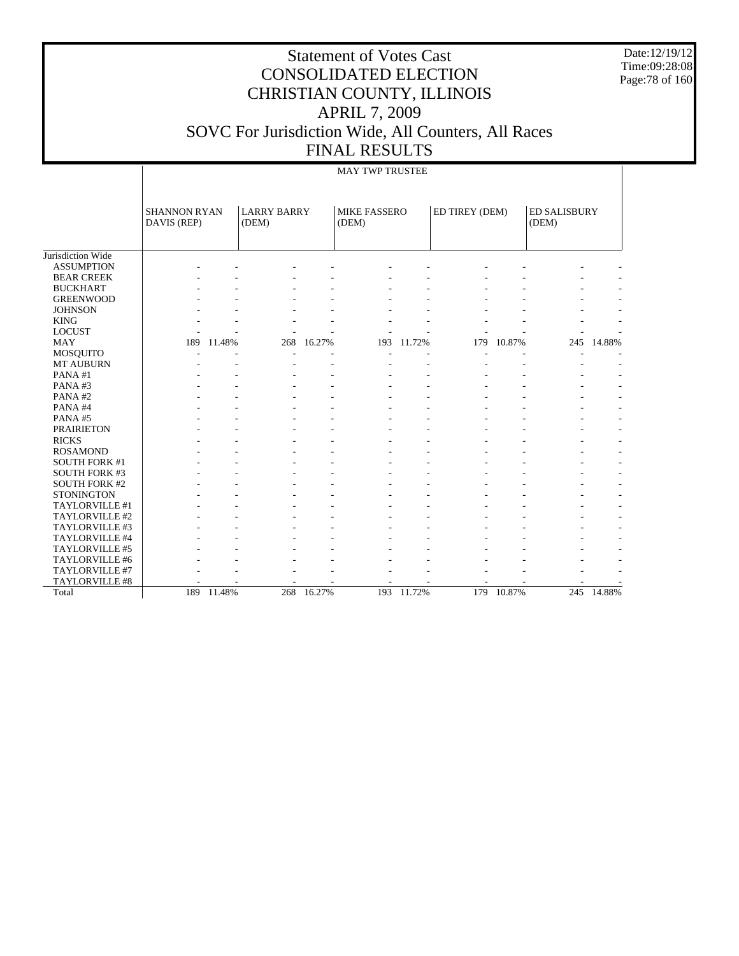Date:12/19/12 Time:09:28:08 Page:78 of 160

|  | <b>MAY TWP TRUSTEE</b> |  |
|--|------------------------|--|

|                      | <b>SHANNON RYAN</b> |            | <b>LARRY BARRY</b> |                          | <b>MIKE FASSERO</b> |        | ED TIREY (DEM) |            | ED SALISBURY |            |
|----------------------|---------------------|------------|--------------------|--------------------------|---------------------|--------|----------------|------------|--------------|------------|
|                      | DAVIS (REP)         |            | (DEM)              |                          | (DEM)               |        |                |            | (DEM)        |            |
|                      |                     |            |                    |                          |                     |        |                |            |              |            |
| Jurisdiction Wide    |                     |            |                    |                          |                     |        |                |            |              |            |
| <b>ASSUMPTION</b>    |                     |            |                    |                          |                     |        |                |            |              |            |
| <b>BEAR CREEK</b>    |                     |            |                    |                          |                     |        |                |            |              |            |
| <b>BUCKHART</b>      |                     |            |                    |                          |                     |        |                |            |              |            |
| <b>GREENWOOD</b>     |                     |            |                    |                          |                     |        |                |            |              |            |
| <b>JOHNSON</b>       |                     |            |                    |                          |                     |        |                |            |              |            |
| <b>KING</b>          |                     |            |                    |                          |                     |        |                |            |              |            |
| <b>LOCUST</b>        |                     |            |                    |                          |                     |        |                |            |              |            |
| <b>MAY</b>           | 189                 | 11.48%     | 268                | 16.27%                   | 193                 | 11.72% | 179            | 10.87%     | 245          | 14.88%     |
| MOSQUITO             |                     |            |                    |                          |                     |        |                |            |              |            |
| <b>MT AUBURN</b>     |                     |            |                    |                          |                     |        |                |            |              |            |
| PANA#1               |                     |            |                    |                          |                     |        |                |            |              |            |
| PANA#3               |                     |            |                    |                          |                     |        |                |            |              |            |
| PANA#2               |                     |            |                    |                          |                     |        |                |            |              |            |
| PANA#4               |                     |            |                    |                          |                     |        |                |            |              |            |
| PANA#5               |                     |            |                    |                          |                     |        |                |            |              |            |
| <b>PRAIRIETON</b>    |                     |            |                    |                          |                     |        |                |            |              |            |
| <b>RICKS</b>         |                     |            |                    |                          |                     |        |                |            |              |            |
| <b>ROSAMOND</b>      |                     |            |                    |                          |                     |        |                |            |              |            |
| <b>SOUTH FORK #1</b> |                     |            |                    |                          |                     |        |                |            |              |            |
| <b>SOUTH FORK #3</b> |                     |            |                    |                          |                     |        |                |            |              |            |
| SOUTH FORK #2        |                     |            |                    |                          |                     |        |                |            |              |            |
| <b>STONINGTON</b>    |                     |            |                    |                          |                     |        |                |            |              |            |
| TAYLORVILLE #1       |                     |            |                    |                          |                     |        |                |            |              |            |
| TAYLORVILLE #2       |                     |            |                    |                          |                     |        |                |            |              |            |
| TAYLORVILLE #3       |                     |            |                    |                          |                     |        |                |            |              |            |
| TAYLORVILLE #4       |                     |            |                    |                          |                     |        |                |            |              |            |
| TAYLORVILLE #5       |                     |            |                    |                          |                     |        |                |            |              |            |
| TAYLORVILLE #6       |                     |            |                    |                          |                     |        |                |            |              |            |
| TAYLORVILLE #7       |                     |            |                    |                          |                     |        |                |            |              |            |
| TAYLORVILLE #8       |                     |            |                    | $\overline{\phantom{a}}$ |                     |        |                |            |              |            |
| Total                |                     | 189 11.48% | 268                | 16.27%                   | 193                 | 11.72% |                | 179 10.87% |              | 245 14.88% |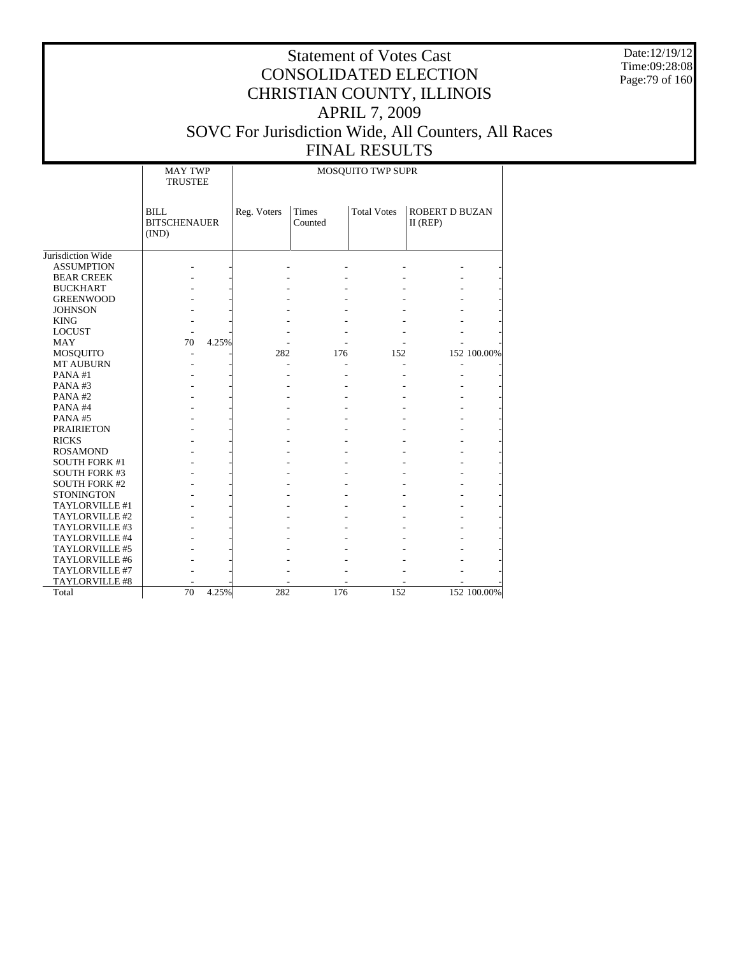Date:12/19/12 Time:09:28:08 Page:79 of 160

|                      | MAY TWP<br><b>TRUSTEE</b>                   |             |                  | <b>MOSQUITO TWP SUPR</b> |                                     |             |
|----------------------|---------------------------------------------|-------------|------------------|--------------------------|-------------------------------------|-------------|
|                      | <b>BILL</b><br><b>BITSCHENAUER</b><br>(IND) | Reg. Voters | Times<br>Counted | <b>Total Votes</b>       | <b>ROBERT D BUZAN</b><br>$II$ (REP) |             |
| Jurisdiction Wide    |                                             |             |                  |                          |                                     |             |
| <b>ASSUMPTION</b>    |                                             |             |                  |                          |                                     |             |
| <b>BEAR CREEK</b>    |                                             |             |                  |                          |                                     |             |
| <b>BUCKHART</b>      |                                             |             |                  |                          |                                     |             |
| <b>GREENWOOD</b>     |                                             |             |                  |                          |                                     |             |
| <b>JOHNSON</b>       |                                             |             |                  |                          |                                     |             |
| <b>KING</b>          |                                             |             |                  |                          |                                     |             |
| <b>LOCUST</b>        |                                             |             |                  |                          |                                     |             |
| <b>MAY</b>           | 70<br>4.25%                                 |             |                  |                          |                                     |             |
| MOSQUITO             |                                             | 282         | 176              | 152                      |                                     | 152 100.00% |
| MT AUBURN            |                                             |             |                  |                          |                                     |             |
| PANA#1               |                                             |             |                  |                          |                                     |             |
| PANA#3               |                                             |             |                  |                          |                                     |             |
| PANA#2               |                                             |             |                  |                          |                                     |             |
| PANA#4               |                                             |             |                  |                          |                                     |             |
| PANA#5               |                                             |             |                  |                          |                                     |             |
| <b>PRAIRIETON</b>    |                                             |             |                  |                          |                                     |             |
| <b>RICKS</b>         |                                             |             |                  |                          |                                     |             |
| <b>ROSAMOND</b>      |                                             |             |                  |                          |                                     |             |
| <b>SOUTH FORK #1</b> |                                             |             |                  |                          |                                     |             |
| <b>SOUTH FORK #3</b> |                                             |             |                  |                          |                                     |             |
| <b>SOUTH FORK #2</b> |                                             |             |                  |                          |                                     |             |
| <b>STONINGTON</b>    |                                             |             |                  |                          |                                     |             |
| TAYLORVILLE #1       |                                             |             |                  |                          |                                     |             |
| TAYLORVILLE #2       |                                             |             |                  |                          |                                     |             |
| TAYLORVILLE #3       |                                             |             |                  |                          |                                     |             |
| TAYLORVILLE #4       |                                             |             |                  |                          |                                     |             |
| TAYLORVILLE #5       |                                             |             |                  |                          |                                     |             |
| TAYLORVILLE #6       |                                             |             |                  |                          |                                     |             |
| TAYLORVILLE #7       |                                             |             |                  |                          |                                     |             |
| TAYLORVILLE #8       |                                             |             |                  |                          |                                     |             |
| Total                | $\overline{70}$<br>4.25%                    | 282         | 176              | 152                      |                                     | 152 100.00% |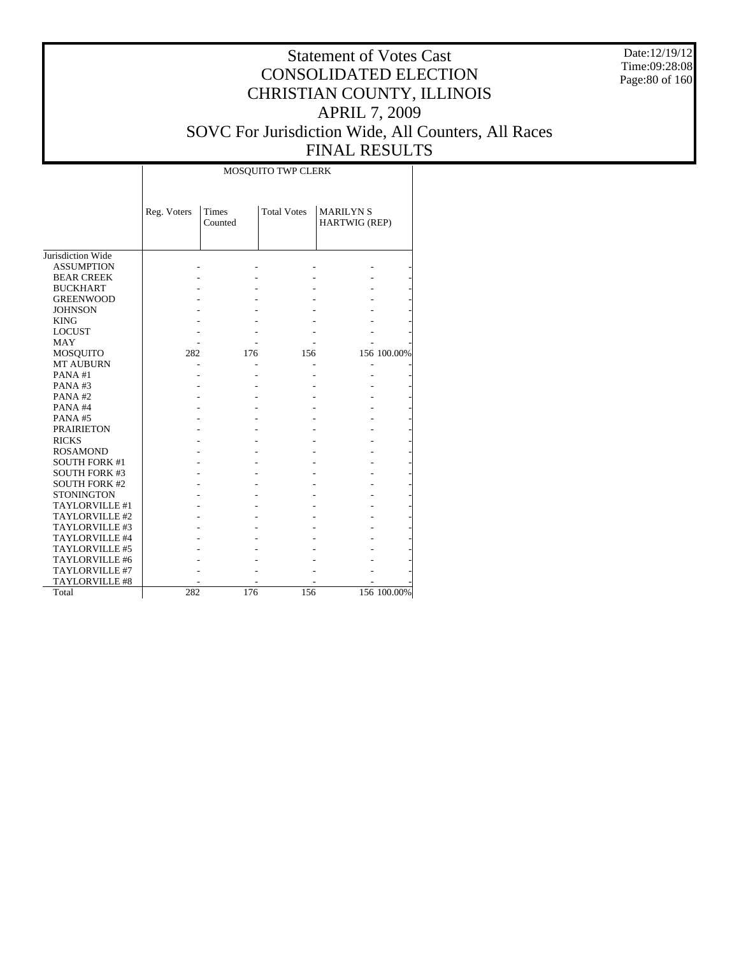Date:12/19/12 Time:09:28:08 Page:80 of 160

#### Statement of Votes Cast CONSOLIDATED ELECTION CHRISTIAN COUNTY, ILLINOIS APRIL 7, 2009 SOVC For Jurisdiction Wide, All Counters, All Races FINAL RESULTS

Τ

|                      |             |                  | MOSQUITO TWP CLERK |                                  |             |
|----------------------|-------------|------------------|--------------------|----------------------------------|-------------|
|                      | Reg. Voters | Times<br>Counted | <b>Total Votes</b> | <b>MARILYNS</b><br>HARTWIG (REP) |             |
|                      |             |                  |                    |                                  |             |
| Jurisdiction Wide    |             |                  |                    |                                  |             |
| <b>ASSUMPTION</b>    |             |                  |                    |                                  |             |
| <b>BEAR CREEK</b>    |             |                  |                    |                                  |             |
| <b>BUCKHART</b>      |             |                  |                    |                                  |             |
| <b>GREENWOOD</b>     |             |                  |                    |                                  |             |
| <b>JOHNSON</b>       |             |                  |                    |                                  |             |
| <b>KING</b>          |             |                  |                    |                                  |             |
| <b>LOCUST</b>        |             |                  |                    |                                  |             |
| <b>MAY</b>           |             |                  |                    |                                  |             |
| MOSQUITO             | 282         | 176              | 156                |                                  | 156 100.00% |
| <b>MT AUBURN</b>     |             |                  |                    |                                  |             |
| PANA#1               |             |                  |                    |                                  |             |
| PANA#3               |             |                  |                    |                                  |             |
| PANA#2               |             |                  |                    |                                  |             |
| PANA#4               |             |                  |                    |                                  |             |
| PANA#5               |             |                  |                    |                                  |             |
| <b>PRAIRIETON</b>    |             |                  |                    |                                  |             |
| <b>RICKS</b>         |             |                  |                    |                                  |             |
| <b>ROSAMOND</b>      |             |                  |                    |                                  |             |
| <b>SOUTH FORK #1</b> |             |                  |                    |                                  |             |
| <b>SOUTH FORK #3</b> |             |                  |                    |                                  |             |
| <b>SOUTH FORK #2</b> |             |                  |                    |                                  |             |
| <b>STONINGTON</b>    |             |                  |                    |                                  |             |
| TAYLORVILLE #1       |             |                  |                    |                                  |             |
| TAYLORVILLE #2       |             |                  |                    |                                  |             |
| TAYLORVILLE #3       |             |                  |                    |                                  |             |
| TAYLORVILLE #4       |             |                  |                    |                                  |             |
| TAYLORVILLE #5       |             |                  |                    |                                  |             |
| TAYLORVILLE #6       |             |                  |                    |                                  |             |
| TAYLORVILLE #7       |             |                  |                    |                                  |             |
| TAYLORVILLE #8       |             |                  |                    |                                  |             |
| Total                | 282         | 176              | 156                |                                  | 156 100.00% |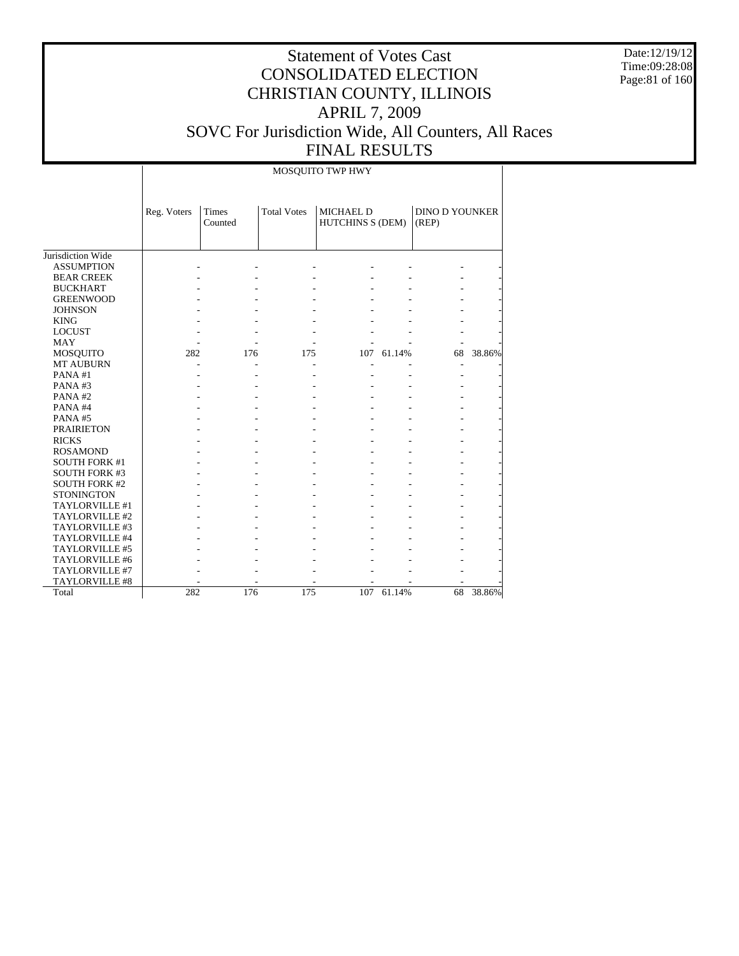Date:12/19/12 Time:09:28:08 Page:81 of 160

## Statement of Votes Cast CONSOLIDATED ELECTION CHRISTIAN COUNTY, ILLINOIS APRIL 7, 2009 SOVC For Jurisdiction Wide, All Counters, All Races FINAL RESULTS

MOSQUITO TWP HWY

|                      | Reg. Voters | <b>Times</b><br>Counted | <b>Total Votes</b> | <b>MICHAEL D</b><br><b>HUTCHINS S (DEM)</b> |        | <b>DINO D YOUNKER</b><br>(REP) |        |
|----------------------|-------------|-------------------------|--------------------|---------------------------------------------|--------|--------------------------------|--------|
| Jurisdiction Wide    |             |                         |                    |                                             |        |                                |        |
| <b>ASSUMPTION</b>    |             |                         |                    |                                             |        |                                |        |
| <b>BEAR CREEK</b>    |             |                         |                    |                                             |        |                                |        |
| <b>BUCKHART</b>      |             |                         |                    |                                             |        |                                |        |
| <b>GREENWOOD</b>     |             |                         |                    |                                             |        |                                |        |
| <b>JOHNSON</b>       |             |                         |                    |                                             |        |                                |        |
| <b>KING</b>          |             |                         |                    |                                             |        |                                |        |
| <b>LOCUST</b>        |             |                         |                    |                                             |        |                                |        |
| <b>MAY</b>           |             |                         |                    |                                             |        |                                |        |
| <b>MOSQUITO</b>      | 282         | 176                     | 175                | 107                                         | 61.14% | 68                             | 38.86% |
| <b>MT AUBURN</b>     |             |                         |                    |                                             |        |                                |        |
| PANA#1               |             |                         |                    |                                             |        |                                |        |
| PANA#3               |             |                         |                    |                                             |        |                                |        |
| PANA#2               |             |                         |                    |                                             |        |                                |        |
| PANA#4               |             |                         |                    |                                             |        |                                |        |
| PANA#5               |             |                         |                    |                                             |        |                                |        |
| <b>PRAIRIETON</b>    |             |                         |                    |                                             |        |                                |        |
| <b>RICKS</b>         |             |                         |                    |                                             |        |                                |        |
| <b>ROSAMOND</b>      |             |                         |                    |                                             |        |                                |        |
| <b>SOUTH FORK #1</b> |             |                         |                    |                                             |        |                                |        |
| <b>SOUTH FORK #3</b> |             |                         |                    |                                             |        |                                |        |
| <b>SOUTH FORK #2</b> |             |                         |                    |                                             |        |                                |        |
| <b>STONINGTON</b>    |             |                         |                    |                                             |        |                                |        |
| TAYLORVILLE #1       |             |                         |                    |                                             |        |                                |        |
| TAYLORVILLE #2       |             |                         |                    |                                             |        |                                |        |
| TAYLORVILLE #3       |             |                         |                    |                                             |        |                                |        |
| TAYLORVILLE #4       |             |                         |                    |                                             |        |                                |        |
| TAYLORVILLE #5       |             |                         |                    |                                             |        |                                |        |
| TAYLORVILLE #6       |             |                         |                    |                                             |        |                                |        |
| TAYLORVILLE #7       |             |                         |                    |                                             |        |                                |        |
| TAYLORVILLE #8       |             |                         |                    |                                             |        |                                |        |
| Total                | 282         | 176                     | 175                | 107                                         | 61.14% | 68                             | 38.86% |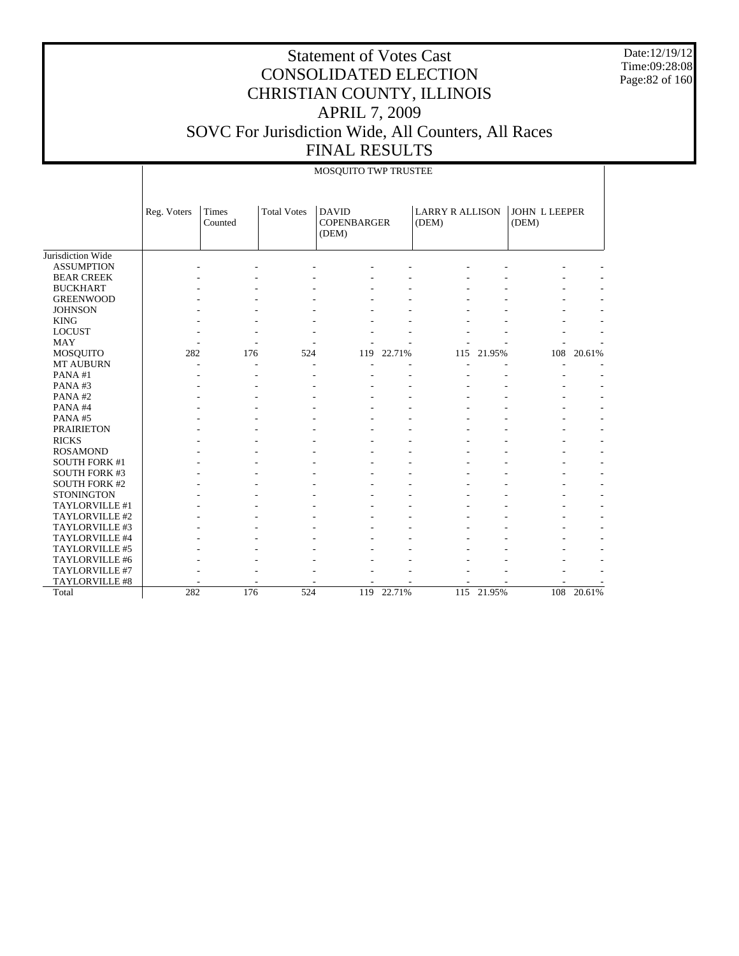Date:12/19/12 Time:09:28:08 Page:82 of 160

#### Statement of Votes Cast CONSOLIDATED ELECTION CHRISTIAN COUNTY, ILLINOIS APRIL 7, 2009 SOVC For Jurisdiction Wide, All Counters, All Races FINAL RESULTS

|                      |             |                         |                    | MOSQUITO TWP TRUSTEE                        |        |                                 |            |                               |        |
|----------------------|-------------|-------------------------|--------------------|---------------------------------------------|--------|---------------------------------|------------|-------------------------------|--------|
|                      | Reg. Voters | <b>Times</b><br>Counted | <b>Total Votes</b> | <b>DAVID</b><br><b>COPENBARGER</b><br>(DEM) |        | <b>LARRY R ALLISON</b><br>(DEM) |            | <b>JOHN L LEEPER</b><br>(DEM) |        |
| Jurisdiction Wide    |             |                         |                    |                                             |        |                                 |            |                               |        |
| <b>ASSUMPTION</b>    |             |                         |                    |                                             |        |                                 |            |                               |        |
| <b>BEAR CREEK</b>    |             |                         |                    |                                             |        |                                 |            |                               |        |
| <b>BUCKHART</b>      |             |                         |                    |                                             |        |                                 |            |                               |        |
| <b>GREENWOOD</b>     |             |                         |                    |                                             |        |                                 |            |                               |        |
| <b>JOHNSON</b>       |             |                         |                    |                                             |        |                                 |            |                               |        |
| <b>KING</b>          |             |                         |                    |                                             |        |                                 |            |                               |        |
| <b>LOCUST</b>        |             |                         |                    |                                             |        |                                 |            |                               |        |
| MAY                  |             |                         |                    |                                             |        |                                 |            |                               |        |
| MOSQUITO             | 282         | 176                     | 524                | 119                                         | 22.71% | 115                             | 21.95%     | 108                           | 20.61% |
| <b>MT AUBURN</b>     |             |                         |                    | ٠                                           |        |                                 |            |                               |        |
| PANA#1               |             |                         |                    |                                             |        |                                 |            |                               |        |
| PANA#3               |             |                         |                    |                                             |        |                                 |            |                               |        |
| PANA#2               |             |                         |                    |                                             |        |                                 |            |                               |        |
| PANA#4               |             |                         |                    |                                             |        |                                 |            |                               |        |
| PANA#5               |             |                         |                    |                                             |        |                                 |            |                               |        |
| <b>PRAIRIETON</b>    |             |                         |                    |                                             |        |                                 |            |                               |        |
| <b>RICKS</b>         |             |                         |                    |                                             |        |                                 |            |                               |        |
| <b>ROSAMOND</b>      |             |                         |                    |                                             |        |                                 |            |                               |        |
| <b>SOUTH FORK #1</b> |             |                         |                    |                                             |        |                                 |            |                               |        |
| <b>SOUTH FORK #3</b> |             |                         |                    |                                             |        |                                 |            |                               |        |
| <b>SOUTH FORK #2</b> |             |                         |                    |                                             |        |                                 |            |                               |        |
| <b>STONINGTON</b>    |             |                         |                    |                                             |        |                                 |            |                               |        |
| TAYLORVILLE #1       |             |                         |                    |                                             |        |                                 |            |                               |        |
| TAYLORVILLE #2       |             |                         |                    |                                             |        |                                 |            |                               |        |
| TAYLORVILLE #3       |             |                         |                    |                                             |        |                                 |            |                               |        |
| TAYLORVILLE #4       |             |                         |                    |                                             |        |                                 |            |                               |        |
| TAYLORVILLE #5       |             |                         |                    |                                             |        |                                 |            |                               |        |
| TAYLORVILLE #6       |             |                         |                    |                                             |        |                                 |            |                               |        |
| TAYLORVILLE #7       |             |                         |                    |                                             |        |                                 |            |                               |        |
| TAYLORVILLE #8       |             |                         |                    |                                             |        |                                 |            |                               |        |
| Total                | 282         | 176                     | 524                | 119                                         | 22.71% |                                 | 115 21.95% | 108                           | 20.61% |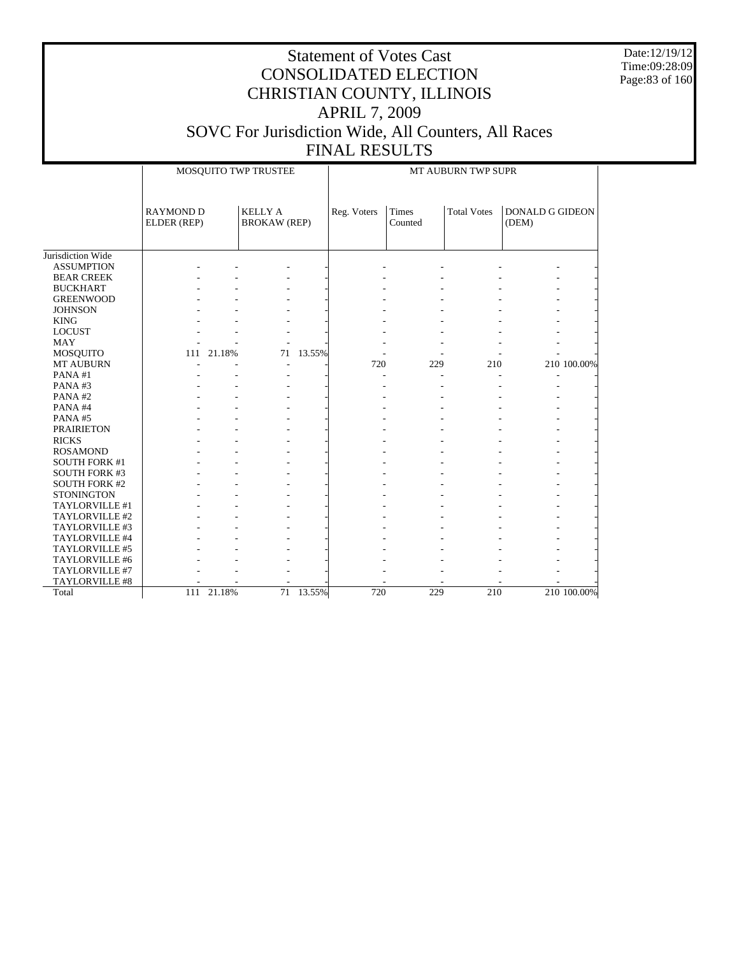Date:12/19/12 Time:09:28:09 Page:83 of 160

|                      |                                 |                | MOSQUITO TWP TRUSTEE                  |           | MT AUBURN TWP SUPR |                  |                    |                                 |             |  |  |
|----------------------|---------------------------------|----------------|---------------------------------------|-----------|--------------------|------------------|--------------------|---------------------------------|-------------|--|--|
|                      | <b>RAYMOND D</b><br>ELDER (REP) |                | <b>KELLY A</b><br><b>BROKAW (REP)</b> |           | Reg. Voters        | Times<br>Counted | <b>Total Votes</b> | <b>DONALD G GIDEON</b><br>(DEM) |             |  |  |
|                      |                                 |                |                                       |           |                    |                  |                    |                                 |             |  |  |
| Jurisdiction Wide    |                                 |                |                                       |           |                    |                  |                    |                                 |             |  |  |
| <b>ASSUMPTION</b>    |                                 |                |                                       |           |                    |                  |                    |                                 |             |  |  |
| <b>BEAR CREEK</b>    |                                 |                |                                       |           |                    |                  |                    |                                 |             |  |  |
| <b>BUCKHART</b>      |                                 |                |                                       |           |                    |                  |                    |                                 |             |  |  |
| <b>GREENWOOD</b>     |                                 |                |                                       |           |                    |                  |                    |                                 |             |  |  |
| <b>JOHNSON</b>       |                                 |                |                                       |           |                    |                  |                    |                                 |             |  |  |
| <b>KING</b>          |                                 |                |                                       |           |                    |                  |                    |                                 |             |  |  |
| <b>LOCUST</b>        |                                 |                |                                       |           |                    |                  |                    |                                 |             |  |  |
| <b>MAY</b>           |                                 |                |                                       |           |                    |                  |                    |                                 |             |  |  |
| <b>MOSQUITO</b>      |                                 | 111 21.18%     | 71                                    | 13.55%    |                    |                  |                    |                                 |             |  |  |
| MT AUBURN            |                                 |                |                                       |           | 720                | 229              | 210                |                                 | 210 100.00% |  |  |
| PANA#1               |                                 |                |                                       |           |                    |                  |                    |                                 |             |  |  |
| PANA#3               |                                 |                |                                       |           |                    |                  |                    |                                 |             |  |  |
| PANA#2               |                                 |                |                                       |           |                    |                  |                    |                                 |             |  |  |
| PANA#4               |                                 |                |                                       |           |                    |                  |                    |                                 |             |  |  |
| PANA#5               |                                 |                |                                       |           |                    |                  |                    |                                 |             |  |  |
| <b>PRAIRIETON</b>    |                                 |                |                                       |           |                    |                  |                    |                                 |             |  |  |
| <b>RICKS</b>         |                                 |                |                                       |           |                    |                  |                    |                                 |             |  |  |
| <b>ROSAMOND</b>      |                                 |                |                                       |           |                    |                  |                    |                                 |             |  |  |
| <b>SOUTH FORK #1</b> |                                 |                |                                       |           |                    |                  |                    |                                 |             |  |  |
| <b>SOUTH FORK #3</b> |                                 |                |                                       |           |                    |                  |                    |                                 |             |  |  |
| <b>SOUTH FORK #2</b> |                                 |                |                                       |           |                    |                  |                    |                                 |             |  |  |
| <b>STONINGTON</b>    |                                 |                |                                       |           |                    |                  |                    |                                 |             |  |  |
| TAYLORVILLE #1       |                                 |                |                                       |           |                    |                  |                    |                                 |             |  |  |
| TAYLORVILLE #2       |                                 |                |                                       |           |                    |                  |                    |                                 |             |  |  |
| TAYLORVILLE #3       |                                 |                |                                       |           |                    |                  |                    |                                 |             |  |  |
| TAYLORVILLE #4       |                                 |                |                                       |           |                    |                  |                    |                                 |             |  |  |
| TAYLORVILLE #5       |                                 |                |                                       |           |                    |                  |                    |                                 |             |  |  |
| TAYLORVILLE #6       |                                 |                |                                       |           |                    |                  |                    |                                 |             |  |  |
| TAYLORVILLE #7       |                                 |                |                                       |           |                    |                  |                    |                                 |             |  |  |
| TAYLORVILLE #8       |                                 |                |                                       |           |                    |                  |                    |                                 |             |  |  |
| Total                |                                 | $111$ $21.18%$ |                                       | 71 13.55% | 720                | 229              | 210                |                                 | 210 100.00% |  |  |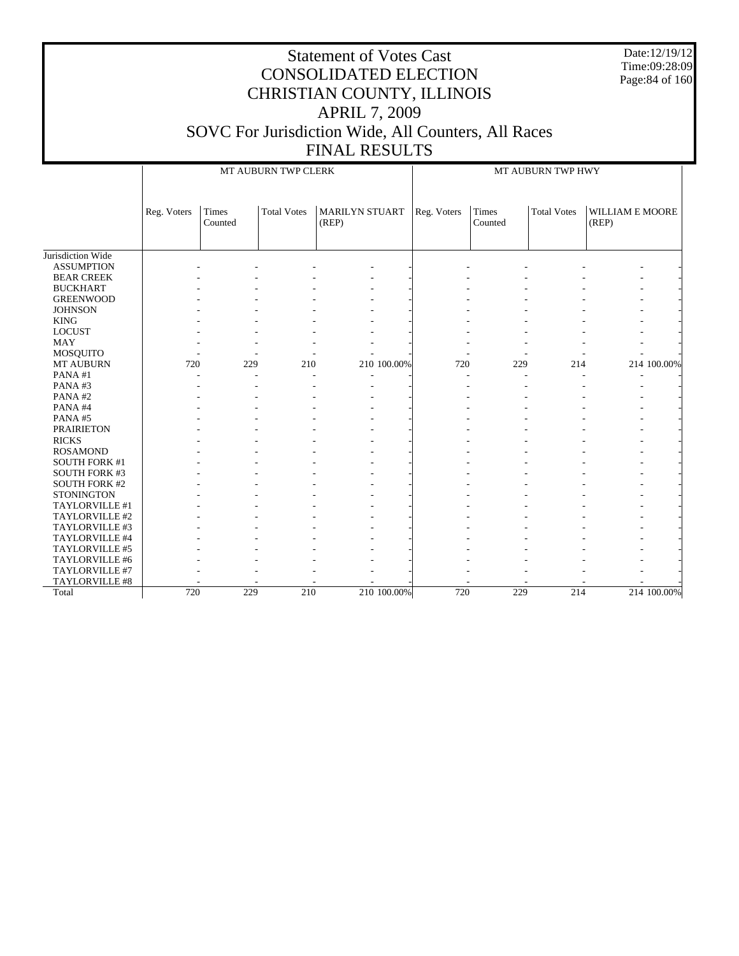Date:12/19/12 Time:09:28:09 Page:84 of 160

|                      |             |                  | MT AUBURN TWP CLERK |                                |             | MT AUBURN TWP HWY |                  |                    |                          |             |
|----------------------|-------------|------------------|---------------------|--------------------------------|-------------|-------------------|------------------|--------------------|--------------------------|-------------|
|                      | Reg. Voters | Times<br>Counted | <b>Total Votes</b>  | <b>MARILYN STUART</b><br>(REP) |             | Reg. Voters       | Times<br>Counted | <b>Total Votes</b> | WILLIAM E MOORE<br>(REP) |             |
| Jurisdiction Wide    |             |                  |                     |                                |             |                   |                  |                    |                          |             |
| <b>ASSUMPTION</b>    |             |                  |                     |                                |             |                   |                  |                    |                          |             |
| <b>BEAR CREEK</b>    |             |                  |                     |                                |             |                   |                  |                    |                          |             |
| <b>BUCKHART</b>      |             |                  |                     |                                |             |                   |                  |                    |                          |             |
| <b>GREENWOOD</b>     |             |                  |                     |                                |             |                   |                  |                    |                          |             |
| <b>JOHNSON</b>       |             |                  |                     |                                |             |                   |                  |                    |                          |             |
| <b>KING</b>          |             |                  |                     |                                |             |                   |                  |                    |                          |             |
| <b>LOCUST</b>        |             |                  |                     |                                |             |                   |                  |                    |                          |             |
| <b>MAY</b>           |             |                  |                     |                                |             |                   |                  |                    |                          |             |
| MOSQUITO             |             |                  |                     |                                |             |                   |                  |                    |                          |             |
| MT AUBURN            | 720         | 229              | 210                 |                                | 210 100.00% | 720               | 229              | 214                |                          | 214 100.00% |
| PANA#1               |             |                  |                     |                                |             | $\overline{a}$    |                  |                    |                          |             |
| PANA#3               |             |                  |                     |                                |             |                   |                  |                    |                          |             |
| PANA#2               |             |                  |                     |                                |             |                   |                  |                    |                          |             |
| PANA#4               |             |                  |                     |                                |             |                   |                  |                    |                          |             |
| PANA#5               |             |                  |                     |                                |             |                   |                  |                    |                          |             |
| <b>PRAIRIETON</b>    |             |                  |                     |                                |             |                   |                  |                    |                          |             |
| <b>RICKS</b>         |             |                  |                     |                                |             |                   |                  |                    |                          |             |
| <b>ROSAMOND</b>      |             |                  |                     |                                |             |                   |                  |                    |                          |             |
| <b>SOUTH FORK #1</b> |             |                  |                     |                                |             |                   |                  |                    |                          |             |
| SOUTH FORK #3        |             |                  |                     |                                |             |                   |                  |                    |                          |             |
| <b>SOUTH FORK #2</b> |             |                  |                     |                                |             |                   |                  |                    |                          |             |
| <b>STONINGTON</b>    |             |                  |                     |                                |             |                   |                  |                    |                          |             |
| TAYLORVILLE #1       |             |                  |                     |                                |             |                   |                  |                    |                          |             |
| TAYLORVILLE #2       |             |                  |                     |                                |             |                   |                  |                    |                          |             |
| TAYLORVILLE #3       |             |                  |                     |                                |             |                   |                  |                    |                          |             |
| TAYLORVILLE #4       |             |                  |                     |                                |             |                   |                  |                    |                          |             |
| TAYLORVILLE #5       |             |                  |                     |                                |             |                   |                  |                    |                          |             |
| TAYLORVILLE #6       |             |                  |                     |                                |             |                   |                  |                    |                          |             |
| TAYLORVILLE #7       |             |                  |                     |                                |             |                   |                  |                    |                          |             |
| TAYLORVILLE #8       |             |                  |                     |                                |             |                   |                  |                    |                          |             |
| Total                | 720         | 229              | 210                 |                                | 210 100.00% | 720               | 229              | 214                |                          | 214 100.00% |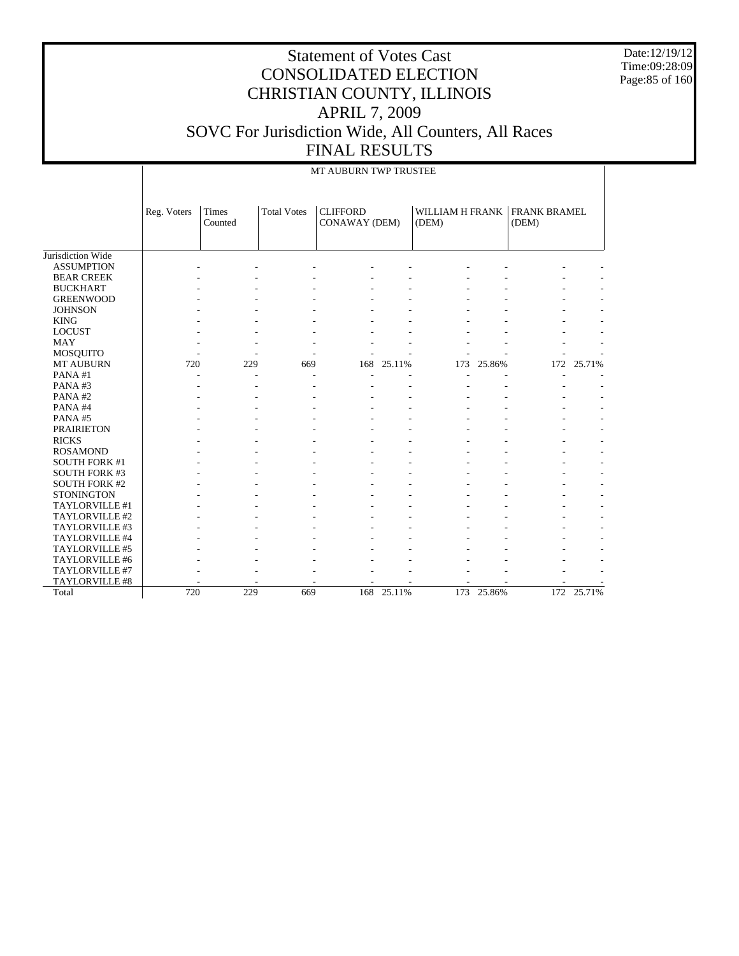Date:12/19/12 Time:09:28:09 Page:85 of 160

|                      |             |                  |                    | MT AUBURN TWP TRUSTEE            |        |                            |        |                              |            |
|----------------------|-------------|------------------|--------------------|----------------------------------|--------|----------------------------|--------|------------------------------|------------|
|                      | Reg. Voters | Times<br>Counted | <b>Total Votes</b> | <b>CLIFFORD</b><br>CONAWAY (DEM) |        | WILLIAM H FRANK  <br>(DEM) |        | <b>FRANK BRAMEL</b><br>(DEM) |            |
| Jurisdiction Wide    |             |                  |                    |                                  |        |                            |        |                              |            |
| <b>ASSUMPTION</b>    |             |                  |                    |                                  |        |                            |        |                              |            |
| <b>BEAR CREEK</b>    |             |                  |                    |                                  |        |                            |        |                              |            |
| <b>BUCKHART</b>      |             |                  |                    |                                  |        |                            |        |                              |            |
| <b>GREENWOOD</b>     |             |                  |                    |                                  |        |                            |        |                              |            |
| <b>JOHNSON</b>       |             |                  |                    |                                  |        |                            |        |                              |            |
| <b>KING</b>          |             |                  |                    |                                  |        |                            |        |                              |            |
| <b>LOCUST</b>        |             |                  |                    |                                  |        |                            |        |                              |            |
| <b>MAY</b>           |             |                  |                    |                                  |        |                            |        |                              |            |
| MOSQUITO             |             |                  |                    |                                  |        |                            |        |                              |            |
| MT AUBURN            | 720         | 229              | 669                | 168                              | 25.11% | 173                        | 25.86% |                              | 172 25.71% |
| PANA#1               |             |                  |                    |                                  |        |                            |        |                              |            |
| PANA#3               |             |                  |                    |                                  |        |                            |        |                              |            |
| PANA#2               |             |                  |                    |                                  |        |                            |        |                              |            |
| PANA#4               |             |                  |                    |                                  |        |                            |        |                              |            |
| PANA#5               |             |                  |                    |                                  |        |                            |        |                              |            |
| <b>PRAIRIETON</b>    |             |                  |                    |                                  |        |                            |        |                              |            |
| <b>RICKS</b>         |             |                  |                    |                                  |        |                            |        |                              |            |
| <b>ROSAMOND</b>      |             |                  |                    |                                  |        |                            |        |                              |            |
| <b>SOUTH FORK #1</b> |             |                  |                    |                                  |        |                            |        |                              |            |
| <b>SOUTH FORK #3</b> |             |                  |                    |                                  |        |                            |        |                              |            |
| <b>SOUTH FORK #2</b> |             |                  |                    |                                  |        |                            |        |                              |            |
| <b>STONINGTON</b>    |             |                  |                    |                                  |        |                            |        |                              |            |
| TAYLORVILLE #1       |             |                  |                    |                                  |        |                            |        |                              |            |
| TAYLORVILLE #2       |             |                  |                    |                                  |        |                            |        |                              |            |
| TAYLORVILLE #3       |             |                  |                    |                                  |        |                            |        |                              |            |
| TAYLORVILLE #4       |             |                  |                    |                                  |        |                            |        |                              |            |
| TAYLORVILLE #5       |             |                  |                    |                                  |        |                            |        |                              |            |
| TAYLORVILLE #6       |             |                  |                    |                                  |        |                            |        |                              |            |
| TAYLORVILLE #7       |             |                  |                    |                                  |        |                            |        |                              |            |
| TAYLORVILLE #8       |             |                  |                    |                                  |        |                            |        |                              |            |
| Total                | 720         | 229              | 669                | 168                              | 25.11% | 173                        | 25.86% |                              | 172 25.71% |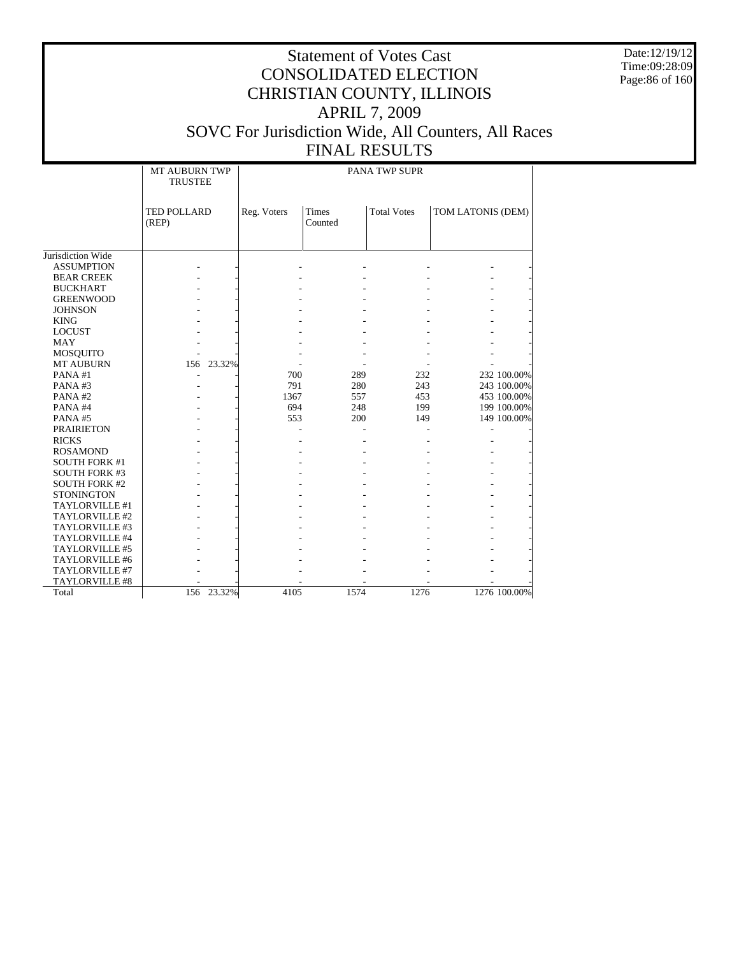Date:12/19/12 Time:09:28:09 Page:86 of 160

# Statement of Votes Cast CONSOLIDATED ELECTION CHRISTIAN COUNTY, ILLINOIS APRIL 7, 2009 SOVC For Jurisdiction Wide, All Counters, All Races

#### FINAL RESULTS PANA TWP SUPR

|                      | <b>MT AUBURN TWP</b> | PANA TWP SUPR |                  |                    |                   |  |  |  |
|----------------------|----------------------|---------------|------------------|--------------------|-------------------|--|--|--|
|                      | <b>TRUSTEE</b>       |               |                  |                    |                   |  |  |  |
|                      |                      |               |                  |                    |                   |  |  |  |
|                      | TED POLLARD<br>(REP) | Reg. Voters   | Times<br>Counted | <b>Total Votes</b> | TOM LATONIS (DEM) |  |  |  |
|                      |                      |               |                  |                    |                   |  |  |  |
|                      |                      |               |                  |                    |                   |  |  |  |
| Jurisdiction Wide    |                      |               |                  |                    |                   |  |  |  |
| <b>ASSUMPTION</b>    |                      |               |                  |                    |                   |  |  |  |
| <b>BEAR CREEK</b>    |                      |               |                  |                    |                   |  |  |  |
| <b>BUCKHART</b>      |                      |               |                  |                    |                   |  |  |  |
| <b>GREENWOOD</b>     |                      |               |                  |                    |                   |  |  |  |
| <b>JOHNSON</b>       |                      |               |                  |                    |                   |  |  |  |
| <b>KING</b>          |                      |               |                  |                    |                   |  |  |  |
| <b>LOCUST</b>        |                      |               |                  |                    |                   |  |  |  |
| <b>MAY</b>           |                      |               |                  |                    |                   |  |  |  |
| MOSQUITO             |                      |               |                  |                    |                   |  |  |  |
| <b>MT AUBURN</b>     | 156 23.32%           |               |                  |                    |                   |  |  |  |
| PANA#1               |                      | 700           | 289              | 232                | 232 100.00%       |  |  |  |
| PANA#3               |                      | 791           | 280              | 243                | 243 100.00%       |  |  |  |
| PANA#2               |                      | 1367          | 557              | 453                | 453 100.00%       |  |  |  |
| PANA#4               |                      | 694           | 248              | 199                | 199 100.00%       |  |  |  |
| PANA#5               |                      | 553           | 200              | 149                | 149 100.00%       |  |  |  |
| <b>PRAIRIETON</b>    |                      |               |                  |                    |                   |  |  |  |
| <b>RICKS</b>         |                      |               |                  |                    |                   |  |  |  |
| <b>ROSAMOND</b>      |                      |               |                  |                    |                   |  |  |  |
| <b>SOUTH FORK #1</b> |                      |               |                  |                    |                   |  |  |  |
| <b>SOUTH FORK #3</b> |                      |               |                  |                    |                   |  |  |  |
| <b>SOUTH FORK #2</b> |                      |               |                  |                    |                   |  |  |  |
| <b>STONINGTON</b>    |                      |               |                  |                    |                   |  |  |  |
| TAYLORVILLE #1       |                      |               |                  |                    |                   |  |  |  |
| TAYLORVILLE #2       |                      |               |                  |                    |                   |  |  |  |
| TAYLORVILLE #3       |                      |               |                  |                    |                   |  |  |  |
| TAYLORVILLE #4       |                      |               |                  |                    |                   |  |  |  |
| TAYLORVILLE #5       |                      |               |                  |                    |                   |  |  |  |
| TAYLORVILLE #6       |                      |               |                  |                    |                   |  |  |  |
| TAYLORVILLE #7       |                      |               |                  |                    |                   |  |  |  |
| TAYLORVILLE #8       |                      |               |                  |                    |                   |  |  |  |
| Total                | 156 23.32%           | 4105          | 1574             | 1276               | 1276 100.00%      |  |  |  |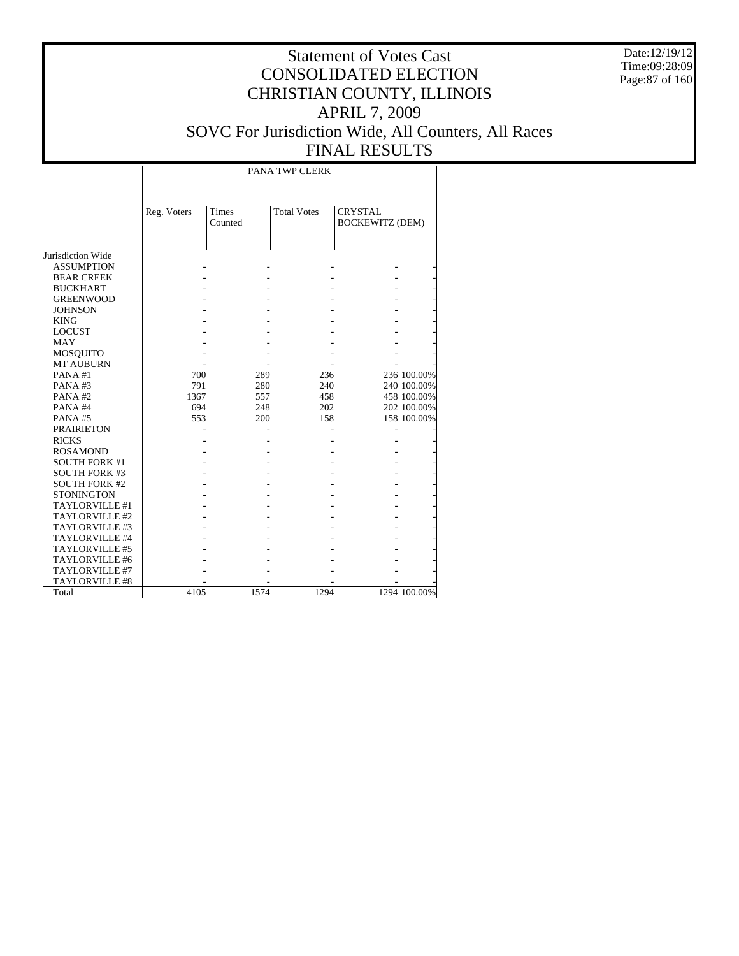Date:12/19/12 Time:09:28:09 Page:87 of 160

|                      |             |                  | PANA TWP CLERK     |                                          |              |
|----------------------|-------------|------------------|--------------------|------------------------------------------|--------------|
|                      | Reg. Voters | Times<br>Counted | <b>Total Votes</b> | <b>CRYSTAL</b><br><b>BOCKEWITZ (DEM)</b> |              |
| Jurisdiction Wide    |             |                  |                    |                                          |              |
| <b>ASSUMPTION</b>    |             |                  |                    |                                          |              |
| <b>BEAR CREEK</b>    |             |                  |                    |                                          |              |
| <b>BUCKHART</b>      |             |                  |                    |                                          |              |
| <b>GREENWOOD</b>     |             |                  |                    |                                          |              |
| <b>JOHNSON</b>       |             |                  |                    |                                          |              |
| <b>KING</b>          |             |                  |                    |                                          |              |
| <b>LOCUST</b>        |             |                  |                    |                                          |              |
| <b>MAY</b>           |             |                  |                    |                                          |              |
| MOSQUITO             |             |                  |                    |                                          |              |
| <b>MT AUBURN</b>     |             |                  |                    |                                          |              |
| PANA#1               | 700         | 289              | 236                |                                          | 236 100.00%  |
| PANA#3               | 791         | 280              | 240                |                                          | 240 100.00%  |
| PANA#2               | 1367        | 557              | 458                |                                          | 458 100.00%  |
| PANA#4               | 694         | 248              | 202                |                                          | 202 100.00%  |
| PANA#5               | 553         | 200              | 158                |                                          | 158 100.00%  |
| <b>PRAIRIETON</b>    |             |                  |                    |                                          |              |
| <b>RICKS</b>         |             |                  |                    |                                          |              |
| <b>ROSAMOND</b>      |             |                  |                    |                                          |              |
| <b>SOUTH FORK #1</b> |             |                  |                    |                                          |              |
| <b>SOUTH FORK #3</b> |             |                  |                    |                                          |              |
| <b>SOUTH FORK #2</b> |             |                  |                    |                                          |              |
| <b>STONINGTON</b>    |             |                  |                    |                                          |              |
| TAYLORVILLE #1       |             |                  |                    |                                          |              |
| TAYLORVILLE #2       |             |                  |                    |                                          |              |
| TAYLORVILLE #3       |             |                  |                    |                                          |              |
| TAYLORVILLE #4       |             |                  |                    |                                          |              |
| TAYLORVILLE #5       |             |                  |                    |                                          |              |
| TAYLORVILLE #6       |             |                  |                    |                                          |              |
| TAYLORVILLE #7       |             |                  |                    |                                          |              |
| TAYLORVILLE #8       |             |                  |                    |                                          |              |
| Total                | 4105        | 1574             | 1294               |                                          | 1294 100.00% |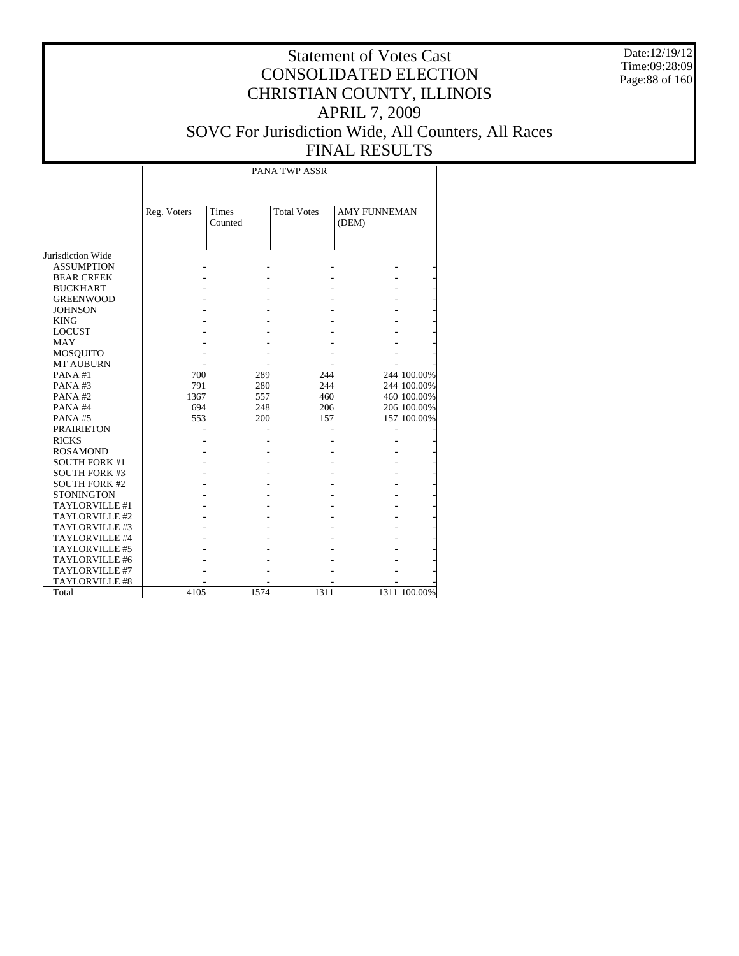Date:12/19/12 Time:09:28:09 Page:88 of 160

#### Statement of Votes Cast CONSOLIDATED ELECTION CHRISTIAN COUNTY, ILLINOIS APRIL 7, 2009 SOVC For Jurisdiction Wide, All Counters, All Races FINAL RESULTS

Jurisdiction Wide ASSUMPTION BEAR CREEK BUCKHART GREENWOOD JOHNSON KING LOCUST MAY MOSQUITO MT AUBURN PANA #1 PANA #3 PANA #2 PANA #4 PANA #5 PRAIRIETON RICKS ROSAMOND SOUTH FORK #1 SOUTH FORK #3 SOUTH FORK #2 **STONINGTON**  TAYLORVILLE #1 TAYLORVILLE #2 TAYLORVILLE #3 TAYLORVILLE #4 TAYLORVILLE #5 TAYLORVILLE #6 TAYLORVILLE #7 TAYLORVILLE #8 Total Reg. Voters Times Counted Total Votes | AMY FUNNEMAN (DEM) PANA TWP ASSR - - - - - - - - - - - - - - - - - - - - - - - - - - - - - - - - - - - - - - - - - - - - - - - - - - 700 289 244 244 100.00% 791 280 244 244 100.00% 1367 557 460 460 100.00%<br>
594 248 206 206 100.00% 694 248 206 206 100.00% 157 100.00% - - - - - - - - - - - - - - - - - - - - - - - - - - - - - - - - - - - - - - - - - - - - - - - - - - - - - - - - - - - - - - - - - - - - - - - - - - - 4105 1574 1311 1311 100.00%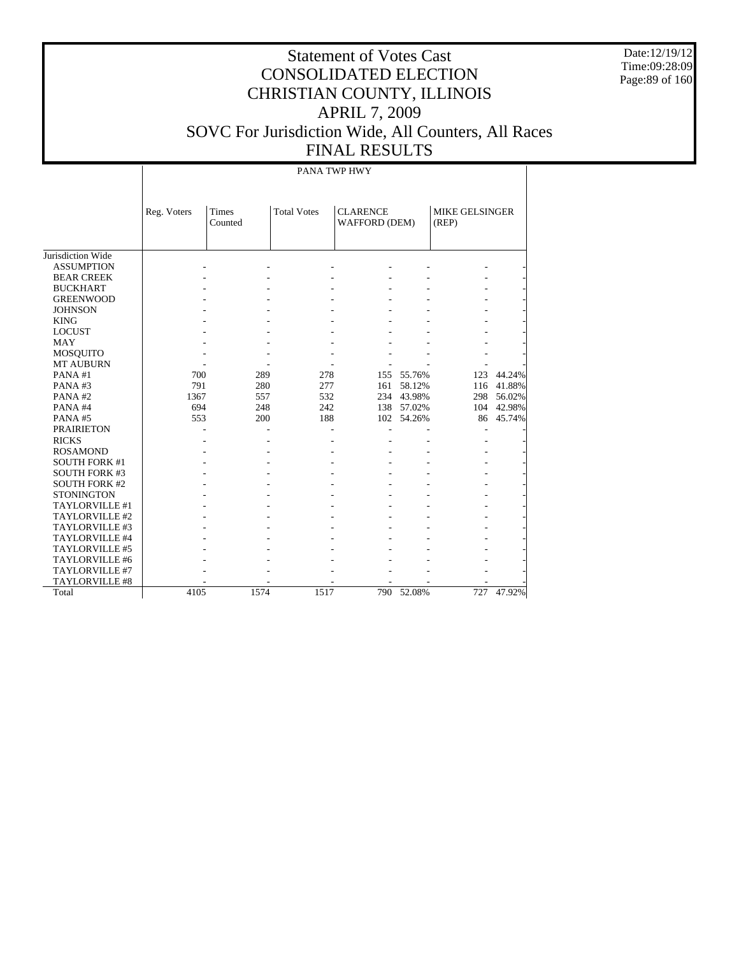Date:12/19/12 Time:09:28:09 Page:89 of 160

## Statement of Votes Cast CONSOLIDATED ELECTION CHRISTIAN COUNTY, ILLINOIS APRIL 7, 2009 SOVC For Jurisdiction Wide, All Counters, All Races FINAL RESULTS

#### PANA TWP HWY

|                      | Reg. Voters | <b>Total Votes</b><br><b>Times</b><br>Counted |      | <b>CLARENCE</b><br>WAFFORD (DEM) |            | MIKE GELSINGER<br>(REP) |        |
|----------------------|-------------|-----------------------------------------------|------|----------------------------------|------------|-------------------------|--------|
| Jurisdiction Wide    |             |                                               |      |                                  |            |                         |        |
| <b>ASSUMPTION</b>    |             |                                               |      |                                  |            |                         |        |
| <b>BEAR CREEK</b>    |             |                                               |      |                                  |            |                         |        |
| <b>BUCKHART</b>      |             |                                               |      |                                  |            |                         |        |
| <b>GREENWOOD</b>     |             |                                               |      |                                  |            |                         |        |
| <b>JOHNSON</b>       |             |                                               |      |                                  |            |                         |        |
| <b>KING</b>          |             |                                               |      |                                  |            |                         |        |
| <b>LOCUST</b>        |             |                                               |      |                                  |            |                         |        |
| <b>MAY</b>           |             |                                               |      |                                  |            |                         |        |
| MOSQUITO             |             |                                               |      |                                  |            |                         |        |
| <b>MT AUBURN</b>     |             |                                               |      |                                  |            |                         |        |
| PANA#1               | 700         | 289                                           | 278  |                                  | 155 55.76% | 123                     | 44.24% |
| PANA#3               | 791         | 280                                           | 277  | 161                              | 58.12%     | 116                     | 41.88% |
| PANA#2               | 1367        | 557                                           | 532  |                                  | 234 43.98% | 298                     | 56.02% |
| PANA#4               | 694         | 248                                           | 242  |                                  | 138 57.02% | 104                     | 42.98% |
| PANA#5               | 553         | 200                                           | 188  |                                  | 102 54.26% | 86                      | 45.74% |
| <b>PRAIRIETON</b>    |             |                                               |      |                                  |            |                         |        |
| <b>RICKS</b>         |             |                                               |      |                                  |            |                         |        |
| <b>ROSAMOND</b>      |             |                                               |      |                                  |            |                         |        |
| <b>SOUTH FORK #1</b> |             |                                               |      |                                  |            |                         |        |
| <b>SOUTH FORK #3</b> |             |                                               |      |                                  |            |                         |        |
| <b>SOUTH FORK #2</b> |             |                                               |      |                                  |            |                         |        |
| <b>STONINGTON</b>    |             |                                               |      |                                  |            |                         |        |
| TAYLORVILLE #1       |             |                                               |      |                                  |            |                         |        |
| TAYLORVILLE #2       |             |                                               |      |                                  |            |                         |        |
| TAYLORVILLE #3       |             |                                               |      |                                  |            |                         |        |
| TAYLORVILLE #4       |             |                                               |      |                                  |            |                         |        |
| TAYLORVILLE #5       |             |                                               |      |                                  |            |                         |        |
| TAYLORVILLE #6       |             |                                               |      |                                  |            |                         |        |
| TAYLORVILLE #7       |             |                                               |      |                                  |            |                         |        |
| TAYLORVILLE #8       |             |                                               |      |                                  |            |                         |        |
| Total                | 4105        | 1574                                          | 1517 | 790                              | 52.08%     | 727                     | 47.92% |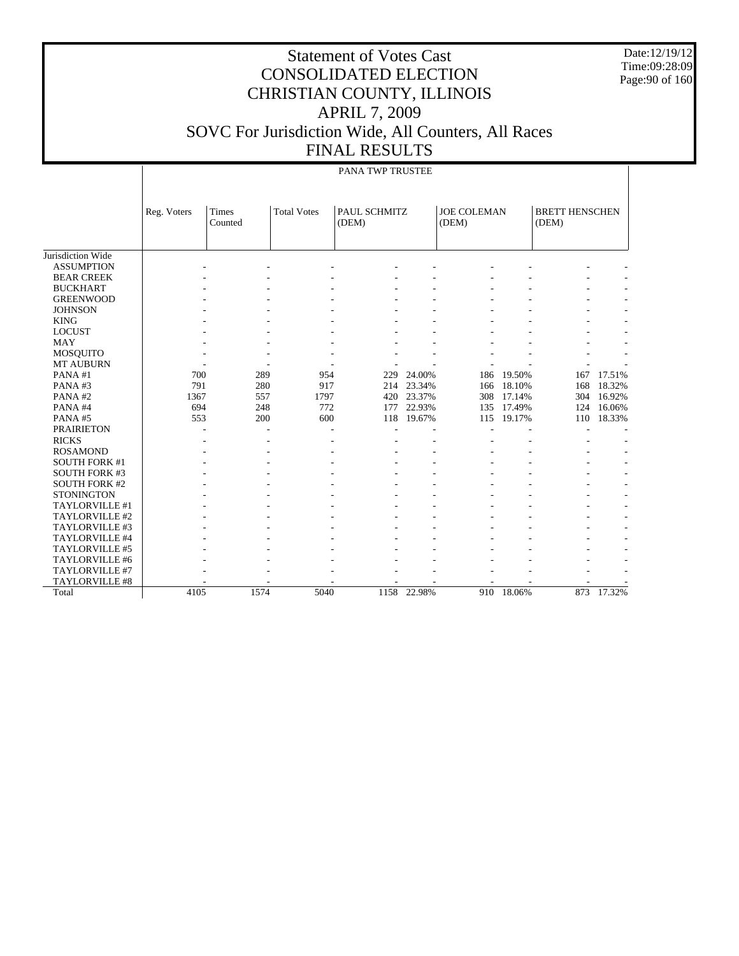Date:12/19/12 Time:09:28:09 Page:90 of 160

| PANA TWP TRUSTEE |  |
|------------------|--|

|                       | Reg. Voters | Times<br>Counted | <b>Total Votes</b> | PAUL SCHMITZ<br>(DEM) |             | <b>JOE COLEMAN</b><br>(DEM) |        | <b>BRETT HENSCHEN</b><br>(DEM) |        |
|-----------------------|-------------|------------------|--------------------|-----------------------|-------------|-----------------------------|--------|--------------------------------|--------|
|                       |             |                  |                    |                       |             |                             |        |                                |        |
| Jurisdiction Wide     |             |                  |                    |                       |             |                             |        |                                |        |
| <b>ASSUMPTION</b>     |             |                  |                    |                       |             |                             |        |                                |        |
| <b>BEAR CREEK</b>     |             |                  |                    |                       |             |                             |        |                                |        |
| <b>BUCKHART</b>       |             |                  |                    |                       |             |                             |        |                                |        |
| <b>GREENWOOD</b>      |             |                  |                    |                       |             |                             |        |                                |        |
| <b>JOHNSON</b>        |             |                  |                    |                       |             |                             |        |                                |        |
| <b>KING</b>           |             |                  |                    |                       |             |                             |        |                                |        |
| <b>LOCUST</b>         |             |                  |                    |                       |             |                             |        |                                |        |
| <b>MAY</b>            |             |                  |                    |                       |             |                             |        |                                |        |
| <b>MOSQUITO</b>       |             |                  |                    |                       |             |                             |        |                                |        |
| <b>MT AUBURN</b>      |             |                  |                    |                       |             |                             |        |                                |        |
| PANA#1                | 700         | 289              | 954                | 229                   | 24.00%      | 186                         | 19.50% | 167                            | 17.51% |
| PANA#3                | 791         | 280              | 917                | 214                   | 23.34%      | 166                         | 18.10% | 168                            | 18.32% |
| PANA#2                | 1367        | 557              | 1797               | 420                   | 23.37%      | 308                         | 17.14% | 304                            | 16.92% |
| PANA#4                | 694         | 248              | 772                | 177                   | 22.93%      | 135                         | 17.49% | 124                            | 16.06% |
| PANA#5                | 553         | 200              | 600                | 118                   | 19.67%      | 115                         | 19.17% | 110                            | 18.33% |
| <b>PRAIRIETON</b>     |             |                  |                    |                       |             |                             |        |                                |        |
| <b>RICKS</b>          |             |                  |                    |                       |             |                             |        |                                |        |
| <b>ROSAMOND</b>       |             |                  |                    |                       |             |                             |        |                                |        |
| <b>SOUTH FORK #1</b>  |             |                  |                    |                       |             |                             |        |                                |        |
| <b>SOUTH FORK #3</b>  |             |                  |                    |                       |             |                             |        |                                |        |
| <b>SOUTH FORK #2</b>  |             |                  |                    |                       |             |                             |        |                                |        |
| <b>STONINGTON</b>     |             |                  |                    |                       |             |                             |        |                                |        |
| TAYLORVILLE #1        |             |                  |                    |                       |             |                             |        |                                |        |
| TAYLORVILLE #2        |             |                  |                    |                       |             |                             |        |                                |        |
| TAYLORVILLE #3        |             |                  |                    |                       |             |                             |        |                                |        |
| TAYLORVILLE #4        |             |                  |                    |                       |             |                             |        |                                |        |
| TAYLORVILLE #5        |             |                  |                    |                       |             |                             |        |                                |        |
| TAYLORVILLE #6        |             |                  |                    |                       |             |                             |        |                                |        |
| <b>TAYLORVILLE #7</b> |             |                  |                    |                       |             |                             |        |                                |        |
| TAYLORVILLE #8        |             |                  |                    |                       |             |                             |        |                                |        |
| Total                 | 4105        | 1574             | 5040               |                       | 1158 22.98% | 910                         | 18.06% | 873                            | 17.32% |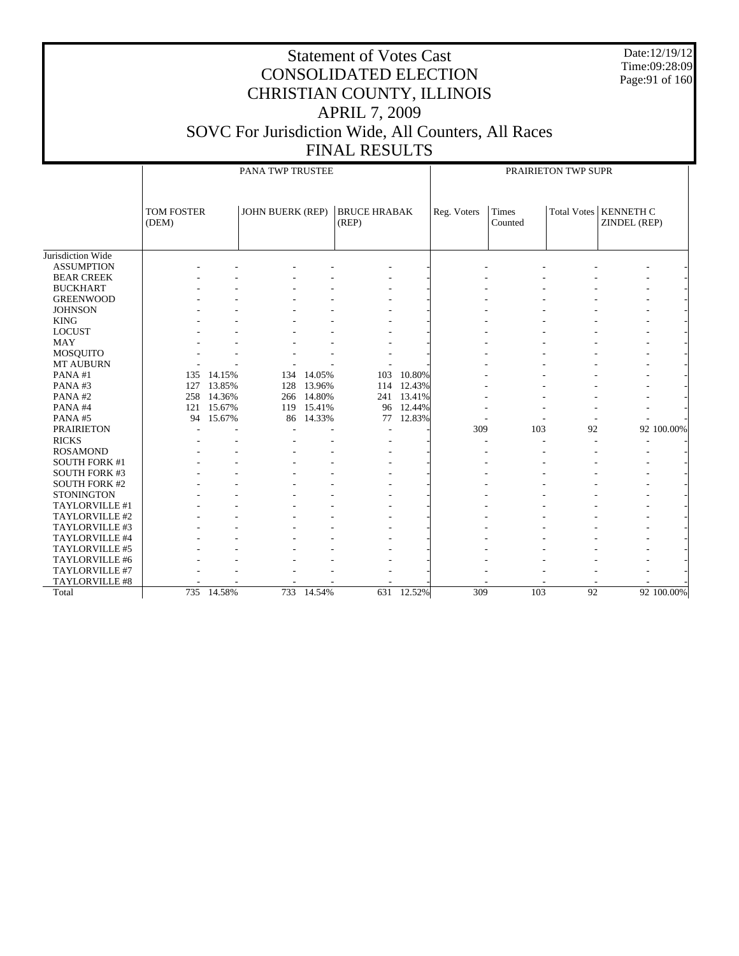Date:12/19/12 Time:09:28:09 Page:91 of 160

|                      |                            | PANA TWP TRUSTEE |                         |            |                              |            |             | PRAIRIETON TWP SUPR     |                 |                                         |            |  |
|----------------------|----------------------------|------------------|-------------------------|------------|------------------------------|------------|-------------|-------------------------|-----------------|-----------------------------------------|------------|--|
|                      | <b>TOM FOSTER</b><br>(DEM) |                  | <b>JOHN BUERK (REP)</b> |            | <b>BRUCE HRABAK</b><br>(REP) |            | Reg. Voters | <b>Times</b><br>Counted |                 | Total Votes   KENNETH C<br>ZINDEL (REP) |            |  |
| Jurisdiction Wide    |                            |                  |                         |            |                              |            |             |                         |                 |                                         |            |  |
| <b>ASSUMPTION</b>    |                            |                  |                         |            |                              |            |             |                         |                 |                                         |            |  |
| <b>BEAR CREEK</b>    |                            |                  |                         |            |                              |            |             |                         |                 |                                         |            |  |
| <b>BUCKHART</b>      |                            |                  |                         |            |                              |            |             |                         |                 |                                         |            |  |
| <b>GREENWOOD</b>     |                            |                  |                         |            |                              |            |             |                         |                 |                                         |            |  |
| <b>JOHNSON</b>       |                            |                  |                         |            |                              |            |             |                         |                 |                                         |            |  |
| <b>KING</b>          |                            |                  |                         |            |                              |            |             |                         |                 |                                         |            |  |
| <b>LOCUST</b>        |                            |                  |                         |            |                              |            |             |                         |                 |                                         |            |  |
| <b>MAY</b>           |                            |                  |                         |            |                              |            |             |                         |                 |                                         |            |  |
| <b>MOSQUITO</b>      |                            |                  |                         |            |                              |            |             |                         |                 |                                         |            |  |
| MT AUBURN            |                            |                  |                         |            |                              |            |             |                         |                 |                                         |            |  |
| PANA#1               | 135                        | 14.15%           |                         | 134 14.05% | 103                          | 10.80%     |             |                         |                 |                                         |            |  |
| PANA#3               |                            | 127 13.85%       | 128                     | 13.96%     |                              | 114 12.43% |             |                         |                 |                                         |            |  |
| PANA#2               | 258                        | 14.36%           |                         | 266 14.80% |                              | 241 13.41% |             |                         |                 |                                         |            |  |
| PANA#4               | 121                        | 15.67%           |                         | 119 15.41% |                              | 96 12.44%  |             |                         |                 |                                         |            |  |
| PANA#5               | 94                         | 15.67%           | 86                      | 14.33%     | 77                           | 12.83%     |             |                         |                 |                                         |            |  |
| <b>PRAIRIETON</b>    |                            |                  |                         |            |                              |            | 309         | 103                     | 92              |                                         | 92 100.00% |  |
| <b>RICKS</b>         |                            |                  |                         |            |                              |            |             |                         |                 |                                         |            |  |
| <b>ROSAMOND</b>      |                            |                  |                         |            |                              |            |             |                         |                 |                                         |            |  |
| <b>SOUTH FORK #1</b> |                            |                  |                         |            |                              |            |             |                         |                 |                                         |            |  |
| <b>SOUTH FORK #3</b> |                            |                  |                         |            |                              |            |             |                         |                 |                                         |            |  |
| <b>SOUTH FORK #2</b> |                            |                  |                         |            |                              |            |             |                         |                 |                                         |            |  |
| <b>STONINGTON</b>    |                            |                  |                         |            |                              |            |             |                         |                 |                                         |            |  |
| TAYLORVILLE #1       |                            |                  |                         |            |                              |            |             |                         |                 |                                         |            |  |
| TAYLORVILLE #2       |                            |                  |                         |            |                              |            |             |                         |                 |                                         |            |  |
| TAYLORVILLE #3       |                            |                  |                         |            |                              |            |             |                         |                 |                                         |            |  |
| TAYLORVILLE #4       |                            |                  |                         |            |                              |            |             |                         |                 |                                         |            |  |
| TAYLORVILLE #5       |                            |                  |                         |            |                              |            |             |                         |                 |                                         |            |  |
| TAYLORVILLE #6       |                            |                  |                         |            |                              |            |             |                         |                 |                                         |            |  |
| TAYLORVILLE #7       |                            |                  |                         |            |                              |            |             |                         |                 |                                         |            |  |
| TAYLORVILLE #8       |                            |                  |                         |            |                              |            |             |                         |                 |                                         |            |  |
| Total                |                            | 735 14.58%       |                         | 733 14.54% |                              | 631 12.52% | 309         | 103                     | $\overline{92}$ |                                         | 92 100.00% |  |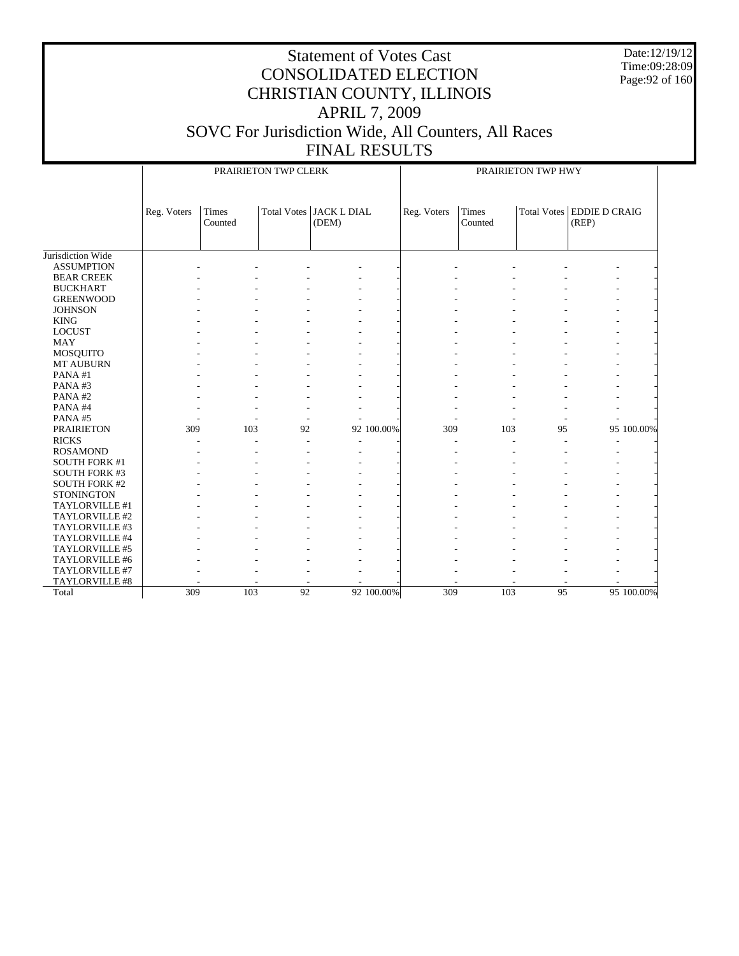Date:12/19/12 Time:09:28:09 Page:92 of 160

|                      |             |                  | PRAIRIETON TWP CLERK |                                    |            |             |                  | PRAIRIETON TWP HWY |                                      |            |
|----------------------|-------------|------------------|----------------------|------------------------------------|------------|-------------|------------------|--------------------|--------------------------------------|------------|
|                      | Reg. Voters | Times<br>Counted |                      | Total Votes   JACK L DIAL<br>(DEM) |            | Reg. Voters | Times<br>Counted |                    | Total Votes   EDDIE D CRAIG<br>(REP) |            |
| Jurisdiction Wide    |             |                  |                      |                                    |            |             |                  |                    |                                      |            |
| <b>ASSUMPTION</b>    |             |                  |                      |                                    |            |             |                  |                    |                                      |            |
|                      |             |                  |                      |                                    |            |             |                  |                    |                                      |            |
| <b>BEAR CREEK</b>    |             |                  |                      |                                    |            |             |                  |                    |                                      |            |
| <b>BUCKHART</b>      |             |                  |                      |                                    |            |             |                  |                    |                                      |            |
| <b>GREENWOOD</b>     |             |                  |                      |                                    |            |             |                  |                    |                                      |            |
| <b>JOHNSON</b>       |             |                  |                      |                                    |            |             |                  |                    |                                      |            |
| <b>KING</b>          |             |                  |                      |                                    |            |             |                  |                    |                                      |            |
| <b>LOCUST</b>        |             |                  |                      |                                    |            |             |                  |                    |                                      |            |
| <b>MAY</b>           |             |                  |                      |                                    |            |             |                  |                    |                                      |            |
| <b>MOSQUITO</b>      |             |                  |                      |                                    |            |             |                  |                    |                                      |            |
| MT AUBURN            |             |                  |                      |                                    |            |             |                  |                    |                                      |            |
| PANA#1               |             |                  |                      |                                    |            |             |                  |                    |                                      |            |
| PANA#3               |             |                  |                      |                                    |            |             |                  |                    |                                      |            |
| PANA#2               |             |                  |                      |                                    |            |             |                  |                    |                                      |            |
| PANA#4               |             |                  |                      |                                    |            |             |                  |                    |                                      |            |
| PANA#5               |             |                  |                      |                                    |            |             |                  |                    |                                      |            |
| <b>PRAIRIETON</b>    | 309         | 103              | 92                   |                                    | 92 100.00% | 309         | 103              | 95                 |                                      | 95 100.00% |
| <b>RICKS</b>         |             |                  |                      |                                    |            |             |                  |                    |                                      |            |
| <b>ROSAMOND</b>      |             |                  |                      |                                    |            |             |                  |                    |                                      |            |
| <b>SOUTH FORK #1</b> |             |                  |                      |                                    |            |             |                  |                    |                                      |            |
| <b>SOUTH FORK #3</b> |             |                  |                      |                                    |            |             |                  |                    |                                      |            |
| <b>SOUTH FORK #2</b> |             |                  |                      |                                    |            |             |                  |                    |                                      |            |
| <b>STONINGTON</b>    |             |                  |                      |                                    |            |             |                  |                    |                                      |            |
| TAYLORVILLE #1       |             |                  |                      |                                    |            |             |                  |                    |                                      |            |
| TAYLORVILLE #2       |             |                  |                      |                                    |            |             |                  |                    |                                      |            |
| TAYLORVILLE #3       |             |                  |                      |                                    |            |             |                  |                    |                                      |            |
| TAYLORVILLE #4       |             |                  |                      |                                    |            |             |                  |                    |                                      |            |
| TAYLORVILLE #5       |             |                  |                      |                                    |            |             |                  |                    |                                      |            |
| TAYLORVILLE #6       |             |                  |                      |                                    |            |             |                  |                    |                                      |            |
| TAYLORVILLE #7       |             |                  |                      |                                    |            |             |                  |                    |                                      |            |
| TAYLORVILLE #8       |             |                  |                      |                                    |            |             |                  |                    |                                      |            |
| Total                | 309         | 103              | 92                   |                                    | 92 100.00% | 309         | 103              | 95                 |                                      | 95 100.00% |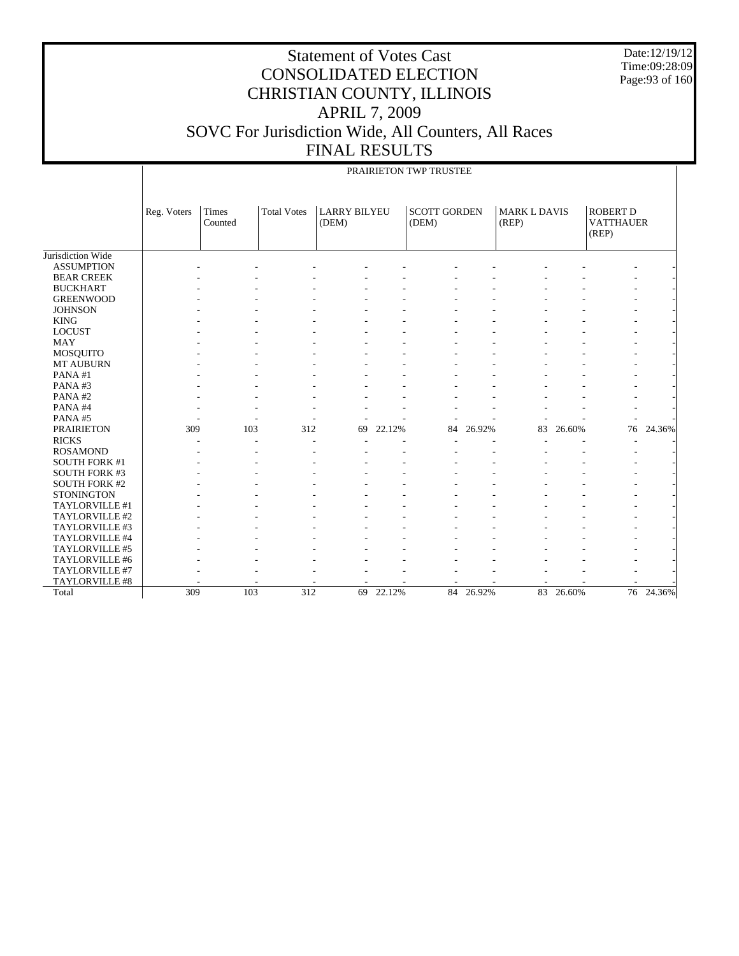Date:12/19/12 Time:09:28:09 Page:93 of 160

|                      |             | PRAIRIETON TWP TRUSTEE  |                    |                              |        |                              |        |                              |        |                                              |        |  |  |
|----------------------|-------------|-------------------------|--------------------|------------------------------|--------|------------------------------|--------|------------------------------|--------|----------------------------------------------|--------|--|--|
|                      | Reg. Voters | <b>Times</b><br>Counted | <b>Total Votes</b> | <b>LARRY BILYEU</b><br>(DEM) |        | <b>SCOTT GORDEN</b><br>(DEM) |        | <b>MARK L DAVIS</b><br>(REP) |        | <b>ROBERT D</b><br><b>VATTHAUER</b><br>(REP) |        |  |  |
| Jurisdiction Wide    |             |                         |                    |                              |        |                              |        |                              |        |                                              |        |  |  |
| <b>ASSUMPTION</b>    |             |                         |                    |                              |        |                              |        |                              |        |                                              |        |  |  |
| <b>BEAR CREEK</b>    |             |                         |                    |                              |        |                              |        |                              |        |                                              |        |  |  |
| <b>BUCKHART</b>      |             |                         |                    |                              |        |                              |        |                              |        |                                              |        |  |  |
| <b>GREENWOOD</b>     |             |                         |                    |                              |        |                              |        |                              |        |                                              |        |  |  |
| <b>JOHNSON</b>       |             |                         |                    |                              |        |                              |        |                              |        |                                              |        |  |  |
| <b>KING</b>          |             |                         |                    |                              |        |                              |        |                              |        |                                              |        |  |  |
| <b>LOCUST</b>        |             |                         |                    |                              |        |                              |        |                              |        |                                              |        |  |  |
| <b>MAY</b>           |             |                         |                    |                              |        |                              |        |                              |        |                                              |        |  |  |
| <b>MOSQUITO</b>      |             |                         |                    |                              |        |                              |        |                              |        |                                              |        |  |  |
| MT AUBURN            |             |                         |                    |                              |        |                              |        |                              |        |                                              |        |  |  |
| PANA#1               |             |                         |                    |                              |        |                              |        |                              |        |                                              |        |  |  |
| PANA#3               |             |                         |                    |                              |        |                              |        |                              |        |                                              |        |  |  |
| PANA#2               |             |                         |                    |                              |        |                              |        |                              |        |                                              |        |  |  |
| PANA#4               |             |                         |                    |                              |        |                              |        |                              |        |                                              |        |  |  |
| PANA#5               |             |                         |                    |                              |        |                              |        |                              |        |                                              |        |  |  |
| <b>PRAIRIETON</b>    | 309         | 103                     | 312                | 69                           | 22.12% | 84                           | 26.92% | 83                           | 26.60% | 76                                           | 24.36% |  |  |
| <b>RICKS</b>         |             |                         |                    |                              |        |                              |        |                              |        |                                              |        |  |  |
| <b>ROSAMOND</b>      |             |                         |                    |                              |        |                              |        |                              |        |                                              |        |  |  |
| <b>SOUTH FORK #1</b> |             |                         |                    |                              |        |                              |        |                              |        |                                              |        |  |  |
| <b>SOUTH FORK #3</b> |             |                         |                    |                              |        |                              |        |                              |        |                                              |        |  |  |
| <b>SOUTH FORK #2</b> |             |                         |                    |                              |        |                              |        |                              |        |                                              |        |  |  |
| <b>STONINGTON</b>    |             |                         |                    |                              |        |                              |        |                              |        |                                              |        |  |  |
| TAYLORVILLE #1       |             |                         |                    |                              |        |                              |        |                              |        |                                              |        |  |  |
| TAYLORVILLE #2       |             |                         |                    |                              |        |                              |        |                              |        |                                              |        |  |  |
| TAYLORVILLE #3       |             |                         |                    |                              |        |                              |        |                              |        |                                              |        |  |  |
| TAYLORVILLE #4       |             |                         |                    |                              |        |                              |        |                              |        |                                              |        |  |  |
| TAYLORVILLE #5       |             |                         |                    |                              |        |                              |        |                              |        |                                              |        |  |  |
| TAYLORVILLE #6       |             |                         |                    |                              |        |                              |        |                              |        |                                              |        |  |  |
| TAYLORVILLE #7       |             |                         |                    |                              |        |                              |        |                              |        |                                              |        |  |  |
| TAYLORVILLE #8       |             |                         |                    |                              |        |                              |        |                              |        |                                              |        |  |  |
| Total                | 309         | 103                     | 312                | 69                           | 22.12% | 84                           | 26.92% | 83                           | 26.60% | 76                                           | 24.36% |  |  |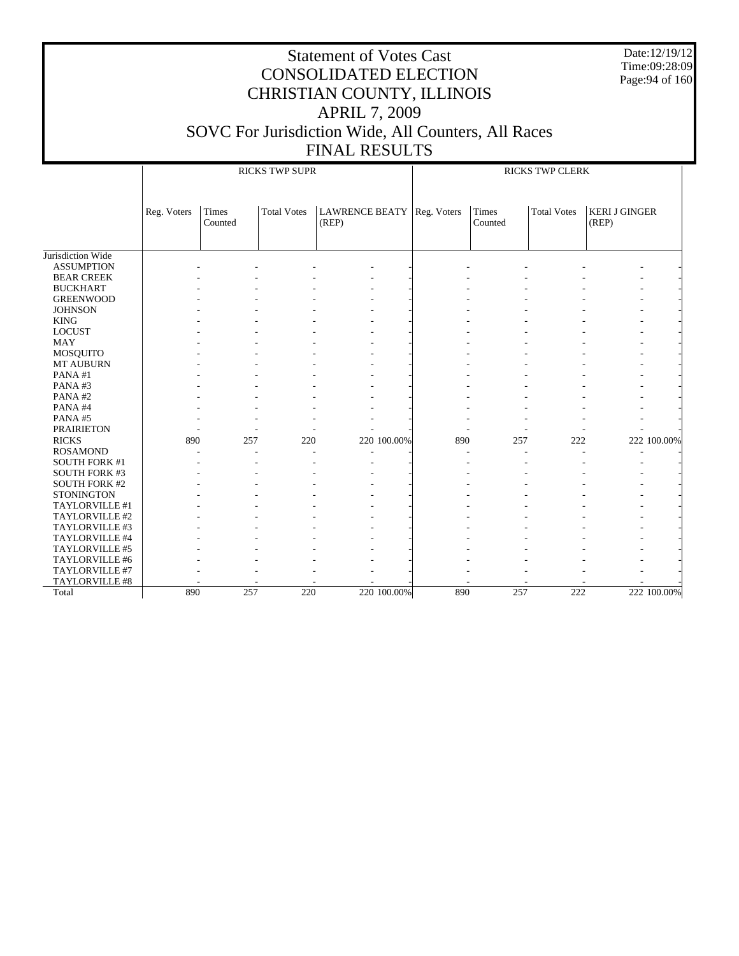Date:12/19/12 Time:09:28:09 Page:94 of 160

|                      |             |                  | <b>RICKS TWP SUPR</b> |                                |             | <b>RICKS TWP CLERK</b> |                    |                               |             |  |
|----------------------|-------------|------------------|-----------------------|--------------------------------|-------------|------------------------|--------------------|-------------------------------|-------------|--|
|                      | Reg. Voters | Times<br>Counted | <b>Total Votes</b>    | <b>LAWRENCE BEATY</b><br>(REP) | Reg. Voters | Times<br>Counted       | <b>Total Votes</b> | <b>KERI J GINGER</b><br>(REP) |             |  |
| Jurisdiction Wide    |             |                  |                       |                                |             |                        |                    |                               |             |  |
| <b>ASSUMPTION</b>    |             |                  |                       |                                |             |                        |                    |                               |             |  |
| <b>BEAR CREEK</b>    |             |                  |                       |                                |             |                        |                    |                               |             |  |
| <b>BUCKHART</b>      |             |                  |                       |                                |             |                        |                    |                               |             |  |
| <b>GREENWOOD</b>     |             |                  |                       |                                |             |                        |                    |                               |             |  |
| <b>JOHNSON</b>       |             |                  |                       |                                |             |                        |                    |                               |             |  |
| <b>KING</b>          |             |                  |                       |                                |             |                        |                    |                               |             |  |
| <b>LOCUST</b>        |             |                  |                       |                                |             |                        |                    |                               |             |  |
| <b>MAY</b>           |             |                  |                       |                                |             |                        |                    |                               |             |  |
| MOSQUITO             |             |                  |                       |                                |             |                        |                    |                               |             |  |
| MT AUBURN            |             |                  |                       |                                |             |                        |                    |                               |             |  |
| PANA#1               |             |                  |                       |                                |             |                        |                    |                               |             |  |
| PANA#3               |             |                  |                       |                                |             |                        |                    |                               |             |  |
| PANA#2               |             |                  |                       |                                |             |                        |                    |                               |             |  |
| PANA#4               |             |                  |                       |                                |             |                        |                    |                               |             |  |
| PANA#5               |             |                  |                       |                                |             |                        |                    |                               |             |  |
| <b>PRAIRIETON</b>    |             |                  |                       |                                |             |                        |                    |                               |             |  |
| <b>RICKS</b>         | 890         | 257              | 220                   | 220 100.00%                    | 890         | 257                    | 222                |                               | 222 100.00% |  |
| <b>ROSAMOND</b>      |             |                  |                       |                                |             |                        |                    |                               |             |  |
| <b>SOUTH FORK #1</b> |             |                  |                       |                                |             |                        |                    |                               |             |  |
| SOUTH FORK #3        |             |                  |                       |                                |             |                        |                    |                               |             |  |
| <b>SOUTH FORK #2</b> |             |                  |                       |                                |             |                        |                    |                               |             |  |
| <b>STONINGTON</b>    |             |                  |                       |                                |             |                        |                    |                               |             |  |
| TAYLORVILLE #1       |             |                  |                       |                                |             |                        |                    |                               |             |  |
| TAYLORVILLE #2       |             |                  |                       |                                |             |                        |                    |                               |             |  |
| TAYLORVILLE #3       |             |                  |                       |                                |             |                        |                    |                               |             |  |
| TAYLORVILLE #4       |             |                  |                       |                                |             |                        |                    |                               |             |  |
| TAYLORVILLE #5       |             |                  |                       |                                |             |                        |                    |                               |             |  |
| TAYLORVILLE #6       |             |                  |                       |                                |             |                        |                    |                               |             |  |
| TAYLORVILLE #7       |             |                  |                       |                                |             |                        |                    |                               |             |  |
| TAYLORVILLE #8       |             |                  |                       |                                |             |                        |                    |                               |             |  |
| Total                | 890         | 257              | 220                   | 220 100.00%                    | 890         | 257                    | 222                |                               | 222 100.00% |  |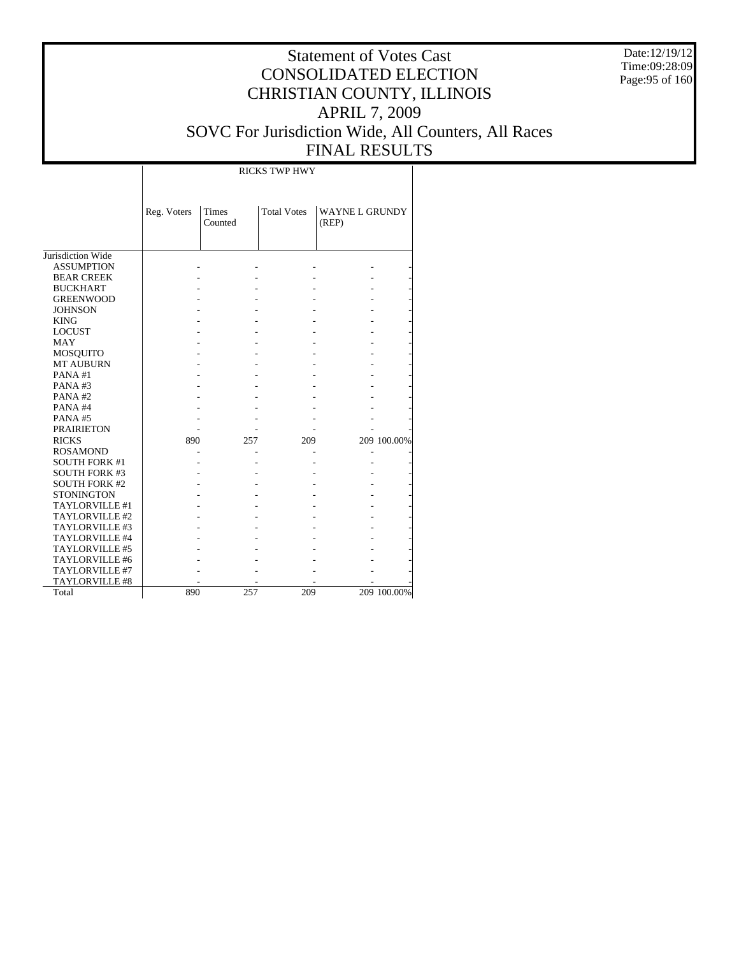Date:12/19/12 Time:09:28:09 Page:95 of 160

#### Statement of Votes Cast CONSOLIDATED ELECTION CHRISTIAN COUNTY, ILLINOIS APRIL 7, 2009 SOVC For Jurisdiction Wide, All Counters, All Races FINAL RESULTS

Τ

|                      |             |                         | <b>RICKS TWP HWY</b> |                               |             |
|----------------------|-------------|-------------------------|----------------------|-------------------------------|-------------|
|                      | Reg. Voters | <b>Times</b><br>Counted | <b>Total Votes</b>   | <b>WAYNEL GRUNDY</b><br>(REP) |             |
|                      |             |                         |                      |                               |             |
| Jurisdiction Wide    |             |                         |                      |                               |             |
| <b>ASSUMPTION</b>    |             |                         |                      |                               |             |
| <b>BEAR CREEK</b>    |             |                         |                      |                               |             |
| <b>BUCKHART</b>      |             |                         |                      |                               |             |
| <b>GREENWOOD</b>     |             |                         |                      |                               |             |
| <b>JOHNSON</b>       |             |                         |                      |                               |             |
| <b>KING</b>          |             |                         |                      |                               |             |
| <b>LOCUST</b>        |             |                         |                      |                               |             |
| <b>MAY</b>           |             |                         |                      |                               |             |
| MOSQUITO             |             |                         |                      |                               |             |
| <b>MT AUBURN</b>     |             |                         |                      |                               |             |
| PANA#1               |             |                         |                      |                               |             |
| PANA#3               |             |                         |                      |                               |             |
| PANA#2               |             |                         |                      |                               |             |
| PANA#4               |             |                         |                      |                               |             |
| PANA#5               |             |                         |                      |                               |             |
| <b>PRAIRIETON</b>    |             |                         |                      |                               |             |
| <b>RICKS</b>         | 890         | 257                     | 209                  |                               | 209 100.00% |
| <b>ROSAMOND</b>      |             |                         |                      |                               |             |
| <b>SOUTH FORK #1</b> |             |                         |                      |                               |             |
| <b>SOUTH FORK #3</b> |             |                         |                      |                               |             |
| <b>SOUTH FORK #2</b> |             |                         |                      |                               |             |
| <b>STONINGTON</b>    |             |                         |                      |                               |             |
| TAYLORVILLE #1       |             |                         |                      |                               |             |
| TAYLORVILLE #2       |             |                         |                      |                               |             |
| TAYLORVILLE #3       |             |                         |                      |                               |             |
| TAYLORVILLE #4       |             |                         |                      |                               |             |
| TAYLORVILLE #5       |             |                         |                      |                               |             |
| TAYLORVILLE #6       |             |                         |                      |                               |             |
| TAYLORVILLE #7       |             |                         |                      |                               |             |
| TAYLORVILLE #8       |             |                         |                      |                               |             |
| Total                | 890         | 257                     | 209                  |                               | 209 100.00% |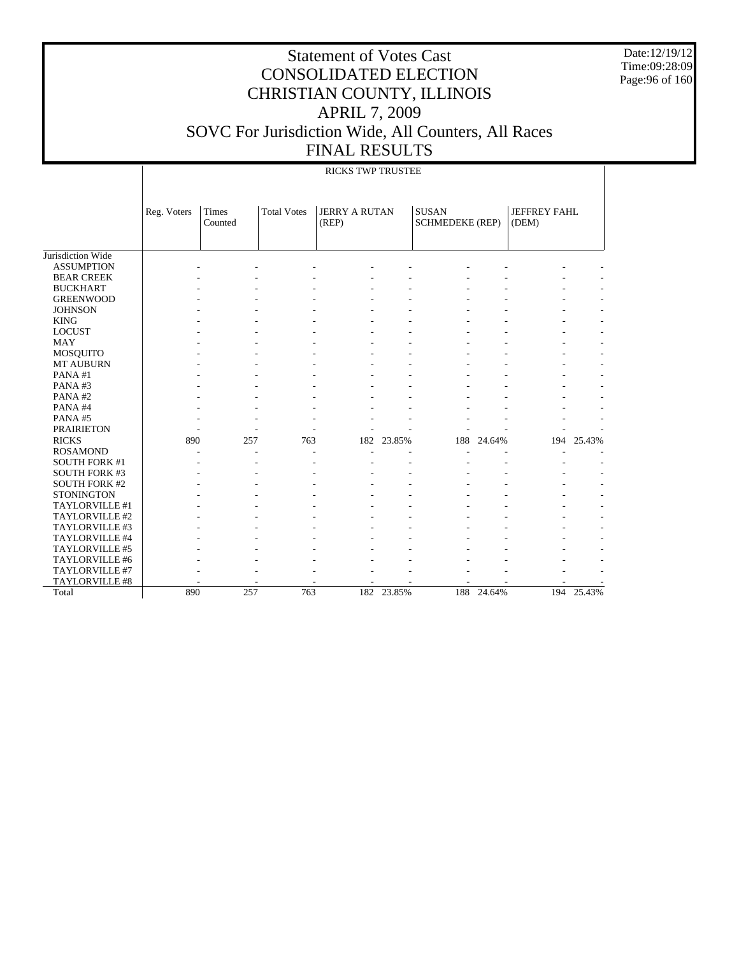Date:12/19/12 Time:09:28:09 Page:96 of 160

|                      |             | <b>RICKS TWP TRUSTEE</b> |                    |                               |            |                                        |        |                              |            |  |  |
|----------------------|-------------|--------------------------|--------------------|-------------------------------|------------|----------------------------------------|--------|------------------------------|------------|--|--|
|                      | Reg. Voters | Times<br>Counted         | <b>Total Votes</b> | <b>JERRY A RUTAN</b><br>(REP) |            | <b>SUSAN</b><br><b>SCHMEDEKE (REP)</b> |        | <b>JEFFREY FAHL</b><br>(DEM) |            |  |  |
| Jurisdiction Wide    |             |                          |                    |                               |            |                                        |        |                              |            |  |  |
| <b>ASSUMPTION</b>    |             |                          |                    |                               |            |                                        |        |                              |            |  |  |
| <b>BEAR CREEK</b>    |             |                          |                    |                               |            |                                        |        |                              |            |  |  |
| <b>BUCKHART</b>      |             |                          |                    |                               |            |                                        |        |                              |            |  |  |
| <b>GREENWOOD</b>     |             |                          |                    |                               |            |                                        |        |                              |            |  |  |
| <b>JOHNSON</b>       |             |                          |                    |                               |            |                                        |        |                              |            |  |  |
| <b>KING</b>          |             |                          |                    |                               |            |                                        |        |                              |            |  |  |
| <b>LOCUST</b>        |             |                          |                    |                               |            |                                        |        |                              |            |  |  |
| MAY                  |             |                          |                    |                               |            |                                        |        |                              |            |  |  |
| <b>MOSQUITO</b>      |             |                          |                    |                               |            |                                        |        |                              |            |  |  |
| MT AUBURN            |             |                          |                    |                               |            |                                        |        |                              |            |  |  |
| PANA#1               |             |                          |                    |                               |            |                                        |        |                              |            |  |  |
| PANA#3               |             |                          |                    |                               |            |                                        |        |                              |            |  |  |
| PANA#2               |             |                          |                    |                               |            |                                        |        |                              |            |  |  |
| PANA#4               |             |                          |                    |                               |            |                                        |        |                              |            |  |  |
| PANA#5               |             |                          |                    |                               |            |                                        |        |                              |            |  |  |
| <b>PRAIRIETON</b>    |             |                          |                    |                               |            |                                        |        |                              |            |  |  |
| <b>RICKS</b>         | 890         | 257                      | 763                | 182                           | 23.85%     | 188                                    | 24.64% | 194                          | 25.43%     |  |  |
| <b>ROSAMOND</b>      |             |                          |                    |                               |            |                                        |        |                              |            |  |  |
| <b>SOUTH FORK #1</b> |             |                          |                    |                               |            |                                        |        |                              |            |  |  |
| <b>SOUTH FORK #3</b> |             |                          |                    |                               |            |                                        |        |                              |            |  |  |
| <b>SOUTH FORK #2</b> |             |                          |                    |                               |            |                                        |        |                              |            |  |  |
| <b>STONINGTON</b>    |             |                          |                    |                               |            |                                        |        |                              |            |  |  |
| TAYLORVILLE #1       |             |                          |                    |                               |            |                                        |        |                              |            |  |  |
| TAYLORVILLE #2       |             |                          |                    |                               |            |                                        |        |                              |            |  |  |
| TAYLORVILLE #3       |             |                          |                    |                               |            |                                        |        |                              |            |  |  |
| TAYLORVILLE #4       |             |                          |                    |                               |            |                                        |        |                              |            |  |  |
| TAYLORVILLE #5       |             |                          |                    |                               |            |                                        |        |                              |            |  |  |
| TAYLORVILLE #6       |             |                          |                    |                               |            |                                        |        |                              |            |  |  |
| TAYLORVILLE #7       |             |                          |                    |                               |            |                                        |        |                              |            |  |  |
| TAYLORVILLE #8       |             |                          |                    |                               |            |                                        |        |                              |            |  |  |
| Total                | 890         | 257                      | 763                |                               | 182 23.85% | 188                                    | 24.64% |                              | 194 25.43% |  |  |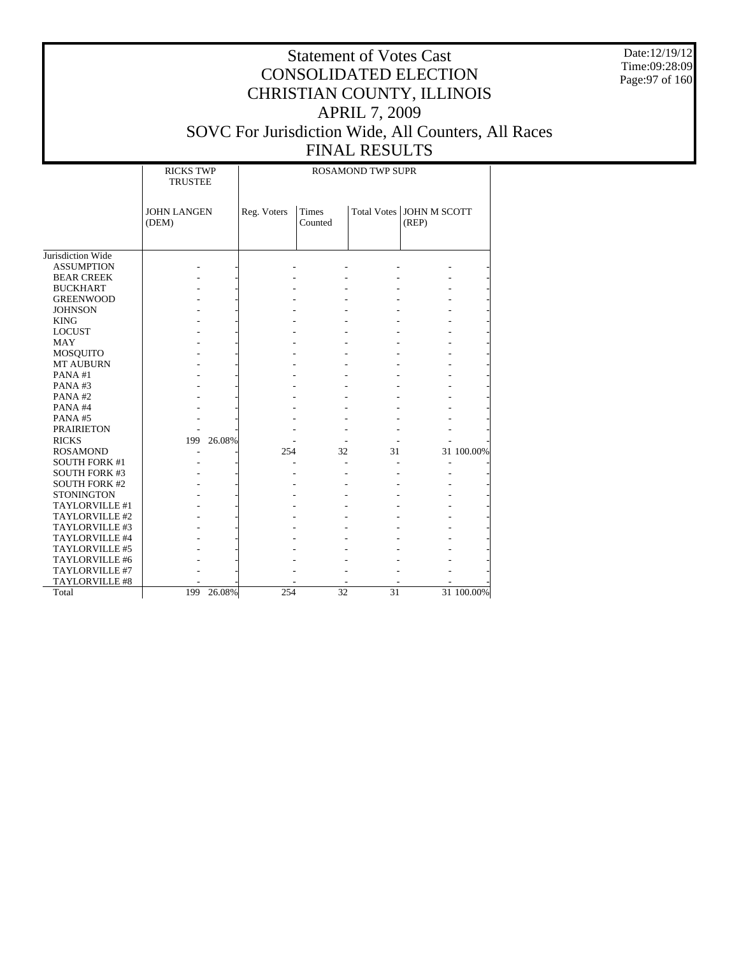Date:12/19/12 Time:09:28:09 Page:97 of 160

|                      | <b>RICKS TWP</b><br><b>TRUSTEE</b> |             |                         | <b>ROSAMOND TWP SUPR</b> |                       |            |
|----------------------|------------------------------------|-------------|-------------------------|--------------------------|-----------------------|------------|
|                      | <b>JOHN LANGEN</b><br>(DEM)        | Reg. Voters | <b>Times</b><br>Counted | <b>Total Votes</b>       | JOHN M SCOTT<br>(REP) |            |
| Jurisdiction Wide    |                                    |             |                         |                          |                       |            |
| <b>ASSUMPTION</b>    |                                    |             |                         |                          |                       |            |
| <b>BEAR CREEK</b>    |                                    |             |                         |                          |                       |            |
| <b>BUCKHART</b>      |                                    |             |                         |                          |                       |            |
| <b>GREENWOOD</b>     |                                    |             |                         |                          |                       |            |
| <b>JOHNSON</b>       |                                    |             |                         |                          |                       |            |
| <b>KING</b>          |                                    |             |                         |                          |                       |            |
| <b>LOCUST</b>        |                                    |             |                         |                          |                       |            |
| <b>MAY</b>           |                                    |             |                         |                          |                       |            |
| <b>MOSQUITO</b>      |                                    |             |                         |                          |                       |            |
| <b>MT AUBURN</b>     |                                    |             |                         |                          |                       |            |
| PANA#1               |                                    |             |                         |                          |                       |            |
| PANA#3               |                                    |             |                         |                          |                       |            |
| PANA#2               |                                    |             |                         |                          |                       |            |
| PANA#4               |                                    |             |                         |                          |                       |            |
| PANA#5               |                                    |             |                         |                          |                       |            |
| <b>PRAIRIETON</b>    |                                    |             |                         |                          |                       |            |
| <b>RICKS</b>         | 26.08%<br>199                      |             |                         |                          |                       |            |
| <b>ROSAMOND</b>      |                                    | 254         | 32                      | 31                       |                       | 31 100.00% |
| <b>SOUTH FORK #1</b> |                                    |             |                         |                          |                       |            |
| <b>SOUTH FORK #3</b> |                                    |             |                         |                          |                       |            |
| <b>SOUTH FORK #2</b> |                                    |             |                         |                          |                       |            |
| <b>STONINGTON</b>    |                                    |             |                         |                          |                       |            |
| TAYLORVILLE #1       |                                    |             |                         |                          |                       |            |
| TAYLORVILLE #2       |                                    |             |                         |                          |                       |            |
| TAYLORVILLE #3       |                                    |             |                         |                          |                       |            |
| TAYLORVILLE #4       |                                    |             |                         |                          |                       |            |
| TAYLORVILLE #5       |                                    |             |                         |                          |                       |            |
| TAYLORVILLE #6       |                                    |             |                         |                          |                       |            |
| TAYLORVILLE #7       |                                    |             |                         |                          |                       |            |
| TAYLORVILLE #8       |                                    |             |                         |                          |                       |            |
| Total                | 199<br>26.08%                      | 254         | $\overline{32}$         | $\overline{31}$          |                       | 31 100.00% |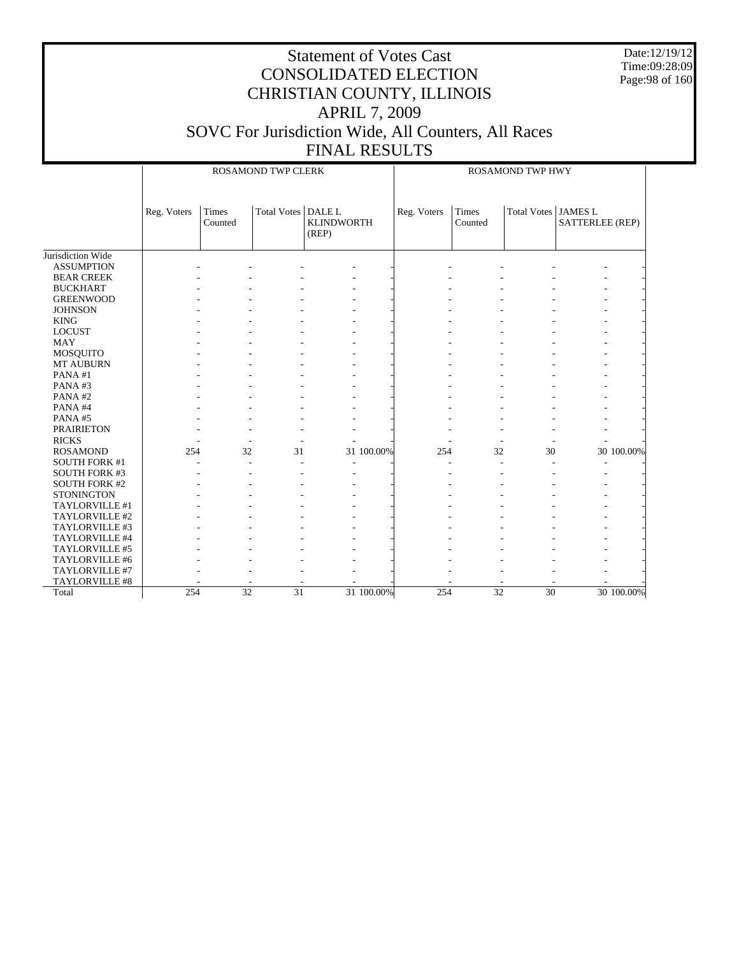Date:12/19/12 Time:09:28:09 Page:98 of 160

|                      |             |                  | ROSAMOND TWP CLERK   |                            | <b>ROSAMOND TWP HWY</b> |             |                  |                       |                 |  |
|----------------------|-------------|------------------|----------------------|----------------------------|-------------------------|-------------|------------------|-----------------------|-----------------|--|
|                      | Reg. Voters | Times<br>Counted | Total Votes   DALE L | <b>KLINDWORTH</b><br>(REP) |                         | Reg. Voters | Times<br>Counted | Total Votes   JAMES L | SATTERLEE (REP) |  |
|                      |             |                  |                      |                            |                         |             |                  |                       |                 |  |
| Jurisdiction Wide    |             |                  |                      |                            |                         |             |                  |                       |                 |  |
| <b>ASSUMPTION</b>    |             |                  |                      |                            |                         |             |                  |                       |                 |  |
| <b>BEAR CREEK</b>    |             |                  |                      |                            |                         |             |                  |                       |                 |  |
| <b>BUCKHART</b>      |             |                  |                      |                            |                         |             |                  |                       |                 |  |
| <b>GREENWOOD</b>     |             |                  |                      |                            |                         |             |                  |                       |                 |  |
| <b>JOHNSON</b>       |             |                  |                      |                            |                         |             |                  |                       |                 |  |
| <b>KING</b>          |             |                  |                      |                            |                         |             |                  |                       |                 |  |
| <b>LOCUST</b>        |             |                  |                      |                            |                         |             |                  |                       |                 |  |
| <b>MAY</b>           |             |                  |                      |                            |                         |             |                  |                       |                 |  |
| <b>MOSQUITO</b>      |             |                  |                      |                            |                         |             |                  |                       |                 |  |
| <b>MT AUBURN</b>     |             |                  |                      |                            |                         |             |                  |                       |                 |  |
| PANA#1               |             |                  |                      |                            |                         |             |                  |                       |                 |  |
| PANA#3               |             |                  |                      |                            |                         |             |                  |                       |                 |  |
| PANA#2               |             |                  |                      |                            |                         |             |                  |                       |                 |  |
| PANA#4               |             |                  |                      |                            |                         |             |                  |                       |                 |  |
| PANA#5               |             |                  |                      |                            |                         |             |                  |                       |                 |  |
| <b>PRAIRIETON</b>    |             |                  |                      |                            |                         |             |                  |                       |                 |  |
| <b>RICKS</b>         |             |                  | ÷                    |                            |                         |             |                  |                       |                 |  |
| <b>ROSAMOND</b>      | 254         | 32               | 31                   |                            | 31 100.00%              | 254         | 32               | 30                    | 30 100.00%      |  |
| <b>SOUTH FORK #1</b> |             |                  |                      |                            |                         |             |                  |                       |                 |  |
| <b>SOUTH FORK #3</b> |             |                  |                      |                            |                         |             |                  |                       |                 |  |
| <b>SOUTH FORK #2</b> |             |                  |                      |                            |                         |             |                  |                       |                 |  |
| <b>STONINGTON</b>    |             |                  |                      |                            |                         |             |                  |                       |                 |  |
| TAYLORVILLE #1       |             |                  |                      |                            |                         |             |                  |                       |                 |  |
| TAYLORVILLE #2       |             |                  |                      |                            |                         |             |                  |                       |                 |  |
| TAYLORVILLE #3       |             |                  |                      |                            |                         |             |                  |                       |                 |  |
| TAYLORVILLE #4       |             |                  |                      |                            |                         |             |                  |                       |                 |  |
| TAYLORVILLE #5       |             |                  |                      |                            |                         |             |                  |                       |                 |  |
| TAYLORVILLE #6       |             |                  |                      |                            |                         |             |                  |                       |                 |  |
| TAYLORVILLE #7       |             |                  |                      |                            |                         |             |                  |                       |                 |  |
| TAYLORVILLE #8       |             |                  |                      |                            |                         |             |                  |                       |                 |  |
| Total                | 254         | $\overline{32}$  | $\overline{31}$      |                            | 31 100.00%              | 254         | $\overline{32}$  | $\overline{30}$       | 30 100.00%      |  |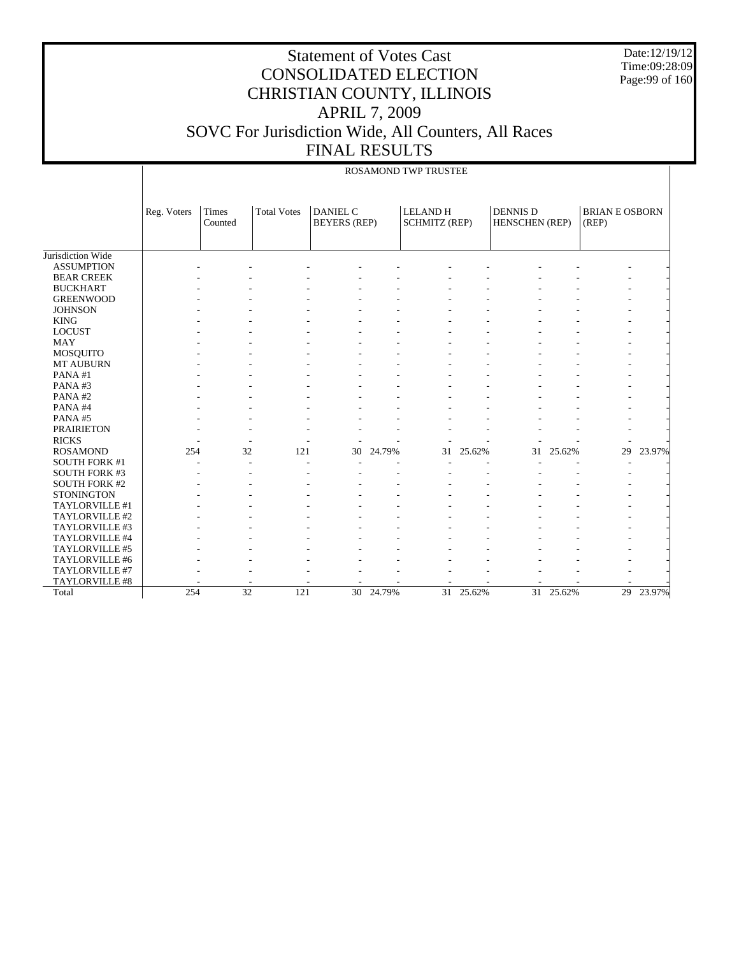Date:12/19/12 Time:09:28:09 Page:99 of 160

|                      |             |                  |                    |                                        |        | ROSAMOND TWP TRUSTEE                    |           |                                   |           |                                |        |
|----------------------|-------------|------------------|--------------------|----------------------------------------|--------|-----------------------------------------|-----------|-----------------------------------|-----------|--------------------------------|--------|
|                      | Reg. Voters | Times<br>Counted | <b>Total Votes</b> | <b>DANIEL C</b><br><b>BEYERS</b> (REP) |        | <b>LELAND H</b><br><b>SCHMITZ (REP)</b> |           | <b>DENNIS D</b><br>HENSCHEN (REP) |           | <b>BRIAN E OSBORN</b><br>(REP) |        |
| Jurisdiction Wide    |             |                  |                    |                                        |        |                                         |           |                                   |           |                                |        |
| <b>ASSUMPTION</b>    |             |                  |                    |                                        |        |                                         |           |                                   |           |                                |        |
| <b>BEAR CREEK</b>    |             |                  |                    |                                        |        |                                         |           |                                   |           |                                |        |
| <b>BUCKHART</b>      |             |                  |                    |                                        |        |                                         |           |                                   |           |                                |        |
| <b>GREENWOOD</b>     |             |                  |                    |                                        |        |                                         |           |                                   |           |                                |        |
| <b>JOHNSON</b>       |             |                  |                    |                                        |        |                                         |           |                                   |           |                                |        |
| <b>KING</b>          |             |                  |                    |                                        |        |                                         |           |                                   |           |                                |        |
| <b>LOCUST</b>        |             |                  |                    |                                        |        |                                         |           |                                   |           |                                |        |
| <b>MAY</b>           |             |                  |                    |                                        |        |                                         |           |                                   |           |                                |        |
| <b>MOSQUITO</b>      |             |                  |                    |                                        |        |                                         |           |                                   |           |                                |        |
| MT AUBURN            |             |                  |                    |                                        |        |                                         |           |                                   |           |                                |        |
| PANA#1               |             |                  |                    |                                        |        |                                         |           |                                   |           |                                |        |
| PANA#3               |             |                  |                    |                                        |        |                                         |           |                                   |           |                                |        |
| PANA#2               |             |                  |                    |                                        |        |                                         |           |                                   |           |                                |        |
| PANA#4               |             |                  |                    |                                        |        |                                         |           |                                   |           |                                |        |
| PANA#5               |             |                  |                    |                                        |        |                                         |           |                                   |           |                                |        |
| <b>PRAIRIETON</b>    |             |                  |                    |                                        |        |                                         |           |                                   |           |                                |        |
| <b>RICKS</b>         |             |                  |                    |                                        |        |                                         |           |                                   |           |                                |        |
| <b>ROSAMOND</b>      | 254         | 32               | 121                | 30                                     | 24.79% | 31                                      | 25.62%    | 31                                | 25.62%    | 29                             | 23.97% |
| <b>SOUTH FORK #1</b> |             |                  |                    |                                        |        |                                         |           |                                   |           |                                |        |
| <b>SOUTH FORK #3</b> |             |                  |                    |                                        |        |                                         |           |                                   |           |                                |        |
| <b>SOUTH FORK #2</b> |             |                  |                    |                                        |        |                                         |           |                                   |           |                                |        |
| <b>STONINGTON</b>    |             |                  |                    |                                        |        |                                         |           |                                   |           |                                |        |
| TAYLORVILLE #1       |             |                  |                    |                                        |        |                                         |           |                                   |           |                                |        |
| TAYLORVILLE #2       |             |                  |                    |                                        |        |                                         |           |                                   |           |                                |        |
| TAYLORVILLE #3       |             |                  |                    |                                        |        |                                         |           |                                   |           |                                |        |
| TAYLORVILLE #4       |             |                  |                    |                                        |        |                                         |           |                                   |           |                                |        |
| TAYLORVILLE #5       |             |                  |                    |                                        |        |                                         |           |                                   |           |                                |        |
| TAYLORVILLE #6       |             |                  |                    |                                        |        |                                         |           |                                   |           |                                |        |
| TAYLORVILLE #7       |             |                  |                    |                                        |        |                                         |           |                                   |           |                                |        |
| TAYLORVILLE #8       |             |                  |                    |                                        |        |                                         |           |                                   |           |                                |        |
| Total                | 254         | $\overline{32}$  | 121                | 30                                     | 24.79% |                                         | 31 25.62% |                                   | 31 25.62% | 29                             | 23.97% |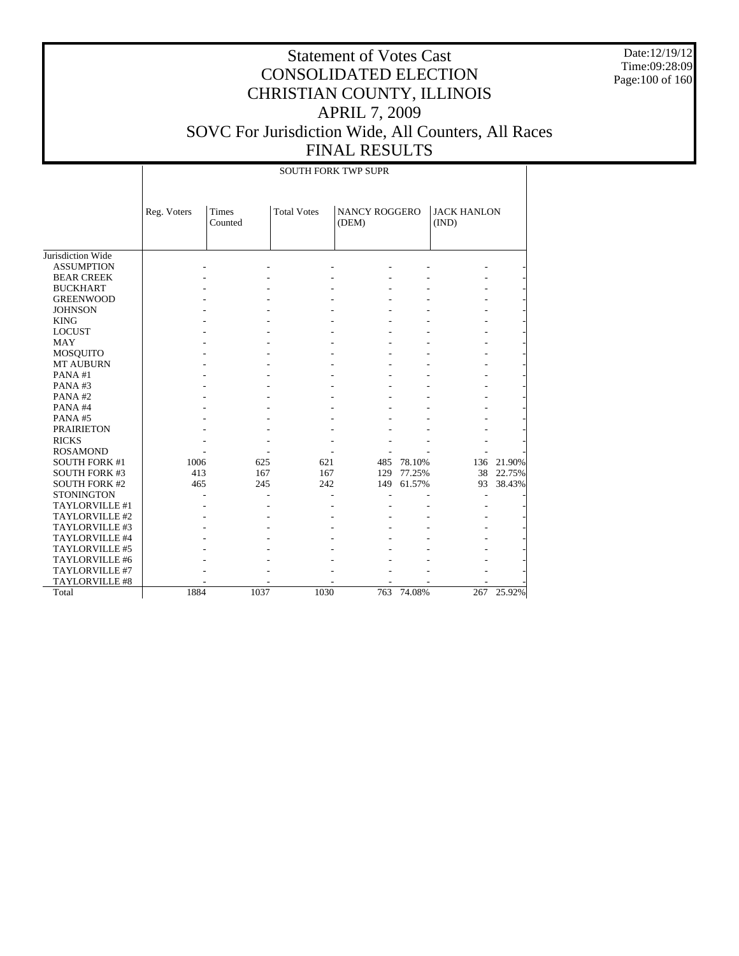Date:12/19/12 Time:09:28:09 Page:100 of 160

|                       |             |                  |                    | <b>SOUTH FORK TWP SUPR</b>    |        |                             |            |
|-----------------------|-------------|------------------|--------------------|-------------------------------|--------|-----------------------------|------------|
|                       | Reg. Voters | Times<br>Counted | <b>Total Votes</b> | <b>NANCY ROGGERO</b><br>(DEM) |        | <b>JACK HANLON</b><br>(IND) |            |
| Jurisdiction Wide     |             |                  |                    |                               |        |                             |            |
| <b>ASSUMPTION</b>     |             |                  |                    |                               |        |                             |            |
| <b>BEAR CREEK</b>     |             |                  |                    |                               |        |                             |            |
| <b>BUCKHART</b>       |             |                  |                    |                               |        |                             |            |
| <b>GREENWOOD</b>      |             |                  |                    |                               |        |                             |            |
| <b>JOHNSON</b>        |             |                  |                    |                               |        |                             |            |
| <b>KING</b>           |             |                  |                    |                               |        |                             |            |
| <b>LOCUST</b>         |             |                  |                    |                               |        |                             |            |
| <b>MAY</b>            |             |                  |                    |                               |        |                             |            |
| <b>MOSQUITO</b>       |             |                  |                    |                               |        |                             |            |
| <b>MT AUBURN</b>      |             |                  |                    |                               |        |                             |            |
| PANA#1                |             |                  |                    |                               |        |                             |            |
| PANA#3                |             |                  |                    |                               |        |                             |            |
| PANA#2                |             |                  |                    |                               |        |                             |            |
| PANA#4                |             |                  |                    |                               |        |                             |            |
| PANA#5                |             |                  |                    |                               |        |                             |            |
| <b>PRAIRIETON</b>     |             |                  |                    |                               |        |                             |            |
| <b>RICKS</b>          |             |                  |                    |                               |        |                             |            |
| <b>ROSAMOND</b>       |             |                  |                    |                               |        |                             |            |
| <b>SOUTH FORK #1</b>  | 1006        | 625              | 621                | 485                           | 78.10% |                             | 136 21.90% |
| <b>SOUTH FORK #3</b>  | 413         | 167              | 167                | 129                           | 77.25% | 38                          | 22.75%     |
| <b>SOUTH FORK #2</b>  | 465         | 245              | 242                | 149                           | 61.57% | 93                          | 38.43%     |
| <b>STONINGTON</b>     |             |                  |                    |                               |        |                             |            |
| TAYLORVILLE #1        |             |                  |                    |                               |        |                             |            |
| TAYLORVILLE #2        |             |                  |                    |                               |        |                             |            |
| TAYLORVILLE #3        |             |                  |                    |                               |        |                             |            |
| TAYLORVILLE #4        |             |                  |                    |                               |        |                             |            |
| TAYLORVILLE #5        |             |                  |                    |                               |        |                             |            |
| TAYLORVILLE #6        |             |                  |                    |                               |        |                             |            |
| TAYLORVILLE #7        |             |                  |                    |                               |        |                             |            |
| <b>TAYLORVILLE #8</b> |             |                  |                    |                               |        |                             |            |
| Total                 | 1884        | 1037             | 1030               | 763                           | 74.08% | 267                         | 25.92%     |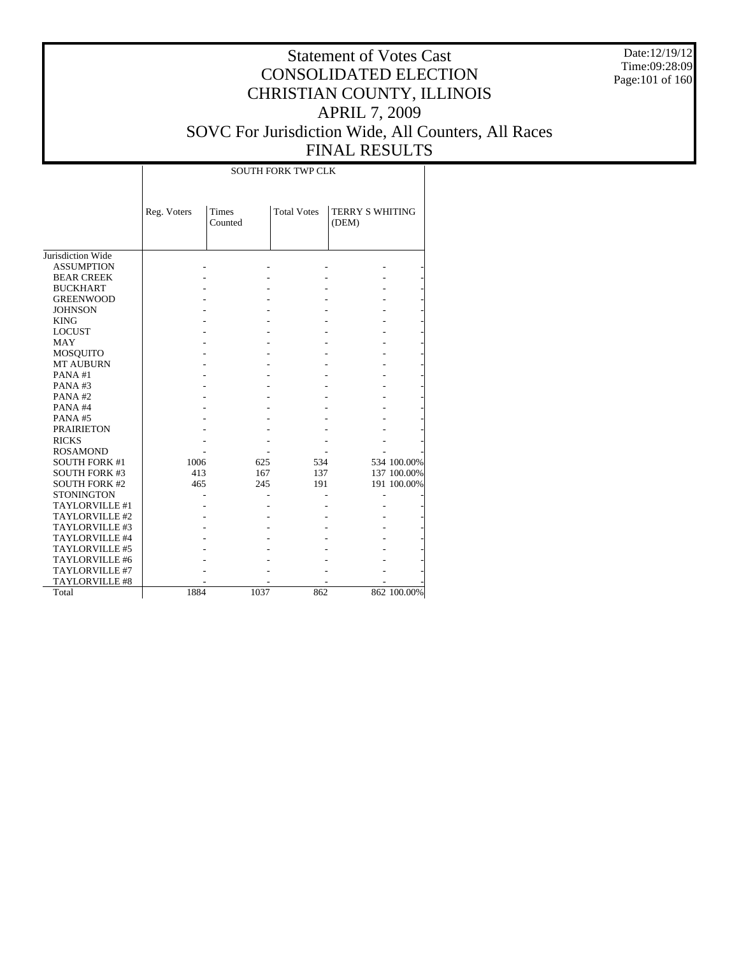Date:12/19/12 Time:09:28:09 Page:101 of 160

|                      |             |                  | <b>SOUTH FORK TWP CLK</b> |                                 |             |
|----------------------|-------------|------------------|---------------------------|---------------------------------|-------------|
|                      | Reg. Voters | Times<br>Counted | <b>Total Votes</b>        | <b>TERRY S WHITING</b><br>(DEM) |             |
| Jurisdiction Wide    |             |                  |                           |                                 |             |
| <b>ASSUMPTION</b>    |             |                  |                           |                                 |             |
| <b>BEAR CREEK</b>    |             |                  |                           |                                 |             |
| <b>BUCKHART</b>      |             |                  |                           |                                 |             |
| <b>GREENWOOD</b>     |             |                  |                           |                                 |             |
| <b>JOHNSON</b>       |             |                  |                           |                                 |             |
| <b>KING</b>          |             |                  |                           |                                 |             |
| <b>LOCUST</b>        |             |                  |                           |                                 |             |
| <b>MAY</b>           |             |                  |                           |                                 |             |
| MOSQUITO             |             |                  |                           |                                 |             |
| <b>MT AUBURN</b>     |             |                  |                           |                                 |             |
| PANA#1               |             |                  |                           |                                 |             |
| PANA#3               |             |                  |                           |                                 |             |
| PANA#2               |             |                  |                           |                                 |             |
| PANA#4               |             |                  |                           |                                 |             |
| PANA#5               |             |                  |                           |                                 |             |
| <b>PRAIRIETON</b>    |             |                  |                           |                                 |             |
| <b>RICKS</b>         |             |                  |                           |                                 |             |
| <b>ROSAMOND</b>      |             |                  |                           |                                 |             |
| <b>SOUTH FORK #1</b> | 1006        | 625              | 534                       |                                 | 534 100.00% |
| <b>SOUTH FORK #3</b> | 413         | 167              | 137                       |                                 | 137 100.00% |
| <b>SOUTH FORK #2</b> | 465         | 245              | 191                       |                                 | 191 100.00% |
| <b>STONINGTON</b>    |             |                  |                           |                                 |             |
| TAYLORVILLE #1       |             |                  |                           |                                 |             |
| TAYLORVILLE #2       |             |                  |                           |                                 |             |
| TAYLORVILLE #3       |             |                  |                           |                                 |             |
| TAYLORVILLE #4       |             |                  |                           |                                 |             |
| TAYLORVILLE #5       |             |                  |                           |                                 |             |
| TAYLORVILLE #6       |             |                  |                           |                                 |             |
| TAYLORVILLE #7       |             |                  |                           |                                 |             |
| TAYLORVILLE #8       |             |                  |                           |                                 |             |
| Total                | 1884        | 1037             | 862                       |                                 | 862 100.00% |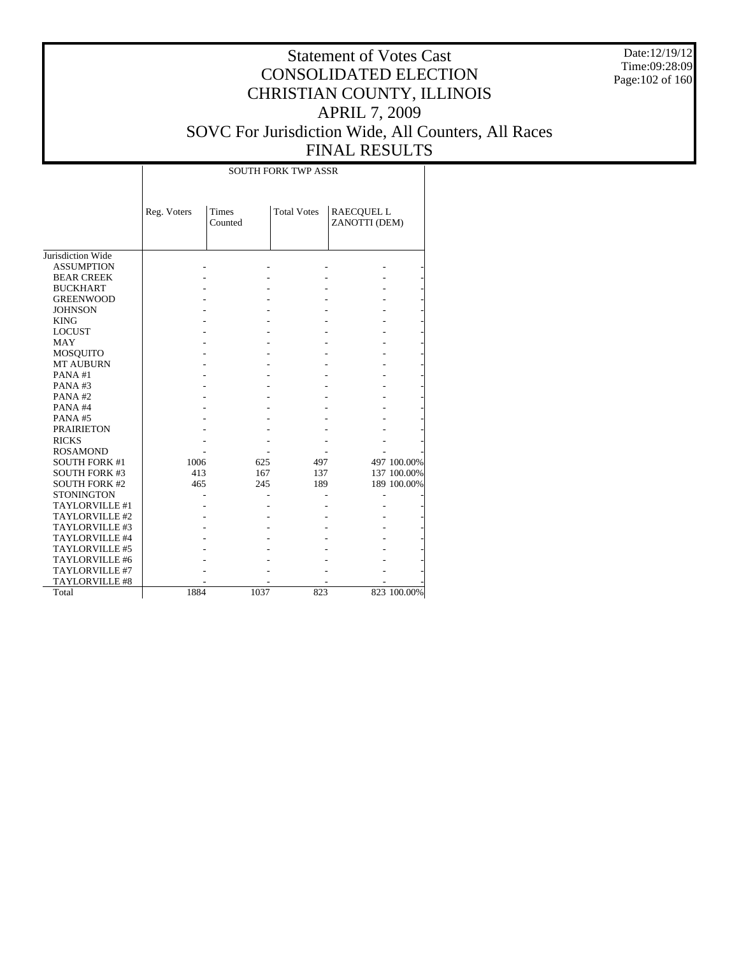Date:12/19/12 Time:09:28:09 Page:102 of 160

|                      |             |                         | <b>SOUTH FORK TWP ASSR</b> |                                    |             |
|----------------------|-------------|-------------------------|----------------------------|------------------------------------|-------------|
|                      | Reg. Voters | <b>Times</b><br>Counted | <b>Total Votes</b>         | <b>RAECQUEL L</b><br>ZANOTTI (DEM) |             |
| Jurisdiction Wide    |             |                         |                            |                                    |             |
| <b>ASSUMPTION</b>    |             |                         |                            |                                    |             |
| <b>BEAR CREEK</b>    |             |                         |                            |                                    |             |
| <b>BUCKHART</b>      |             |                         |                            |                                    |             |
| <b>GREENWOOD</b>     |             |                         |                            |                                    |             |
| <b>JOHNSON</b>       |             |                         |                            |                                    |             |
| <b>KING</b>          |             |                         |                            |                                    |             |
| <b>LOCUST</b>        |             |                         |                            |                                    |             |
| <b>MAY</b>           |             |                         |                            |                                    |             |
| <b>MOSQUITO</b>      |             |                         |                            |                                    |             |
| <b>MT AUBURN</b>     |             |                         |                            |                                    |             |
| PANA#1               |             |                         |                            |                                    |             |
| PANA#3               |             |                         |                            |                                    |             |
| PANA#2               |             |                         |                            |                                    |             |
| PANA#4               |             |                         |                            |                                    |             |
| PANA#5               |             |                         |                            |                                    |             |
| <b>PRAIRIETON</b>    |             |                         |                            |                                    |             |
| <b>RICKS</b>         |             |                         |                            |                                    |             |
| <b>ROSAMOND</b>      |             |                         |                            |                                    |             |
| <b>SOUTH FORK #1</b> | 1006        | 625                     | 497                        |                                    | 497 100.00% |
| <b>SOUTH FORK #3</b> | 413         | 167                     | 137                        |                                    | 137 100.00% |
| <b>SOUTH FORK #2</b> | 465         | 245                     | 189                        |                                    | 189 100.00% |
| <b>STONINGTON</b>    |             |                         |                            |                                    |             |
| TAYLORVILLE #1       |             |                         |                            |                                    |             |
| TAYLORVILLE #2       |             |                         |                            |                                    |             |
| TAYLORVILLE #3       |             |                         |                            |                                    |             |
| TAYLORVILLE #4       |             |                         |                            |                                    |             |
| TAYLORVILLE #5       |             |                         |                            |                                    |             |
| TAYLORVILLE #6       |             |                         |                            |                                    |             |
| TAYLORVILLE #7       |             |                         |                            |                                    |             |
| TAYLORVILLE #8       |             |                         |                            |                                    |             |
| Total                | 1884        | 1037                    | 823                        |                                    | 823 100.00% |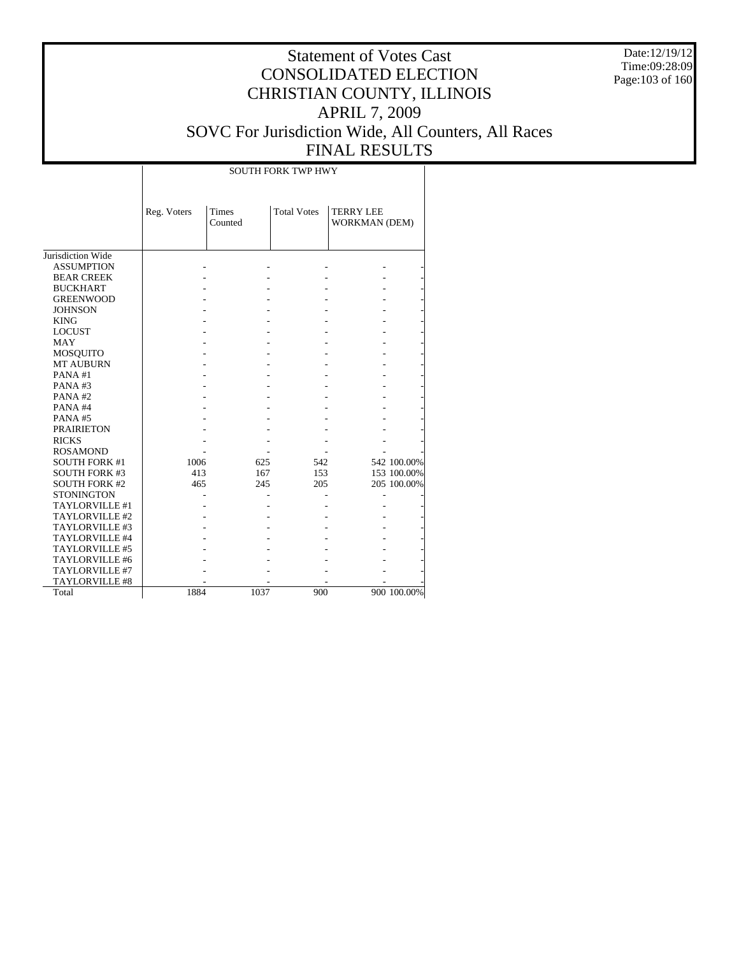Date:12/19/12 Time:09:28:09 Page:103 of 160

|                      |             |                  | <b>SOUTH FORK TWP HWY</b> |                                          |             |
|----------------------|-------------|------------------|---------------------------|------------------------------------------|-------------|
|                      | Reg. Voters | Times<br>Counted | <b>Total Votes</b>        | <b>TERRY LEE</b><br><b>WORKMAN (DEM)</b> |             |
| Jurisdiction Wide    |             |                  |                           |                                          |             |
| <b>ASSUMPTION</b>    |             |                  |                           |                                          |             |
| <b>BEAR CREEK</b>    |             |                  |                           |                                          |             |
| <b>BUCKHART</b>      |             |                  |                           |                                          |             |
| <b>GREENWOOD</b>     |             |                  |                           |                                          |             |
| <b>JOHNSON</b>       |             |                  |                           |                                          |             |
| <b>KING</b>          |             |                  |                           |                                          |             |
| <b>LOCUST</b>        |             |                  |                           |                                          |             |
| <b>MAY</b>           |             |                  |                           |                                          |             |
| <b>MOSQUITO</b>      |             |                  |                           |                                          |             |
| <b>MT AUBURN</b>     |             |                  |                           |                                          |             |
| PANA#1               |             |                  |                           |                                          |             |
| PANA#3               |             |                  |                           |                                          |             |
| PANA#2               |             |                  |                           |                                          |             |
| PANA#4               |             |                  |                           |                                          |             |
| PANA#5               |             |                  |                           |                                          |             |
| <b>PRAIRIETON</b>    |             |                  |                           |                                          |             |
| <b>RICKS</b>         |             |                  |                           |                                          |             |
| <b>ROSAMOND</b>      |             |                  |                           |                                          |             |
| <b>SOUTH FORK #1</b> | 1006        | 625              | 542                       |                                          | 542 100.00% |
| <b>SOUTH FORK #3</b> | 413         | 167              | 153                       |                                          | 153 100.00% |
| <b>SOUTH FORK #2</b> | 465         | 245              | 205                       |                                          | 205 100.00% |
| <b>STONINGTON</b>    |             |                  |                           |                                          |             |
| TAYLORVILLE #1       |             |                  |                           |                                          |             |
| TAYLORVILLE #2       |             |                  |                           |                                          |             |
| TAYLORVILLE #3       |             |                  |                           |                                          |             |
| TAYLORVILLE #4       |             |                  |                           |                                          |             |
| TAYLORVILLE #5       |             |                  |                           |                                          |             |
| TAYLORVILLE #6       |             |                  |                           |                                          |             |
| TAYLORVILLE #7       |             |                  |                           |                                          |             |
| TAYLORVILLE #8       |             |                  |                           |                                          |             |
| Total                | 1884        | 1037             | 900                       |                                          | 900 100.00% |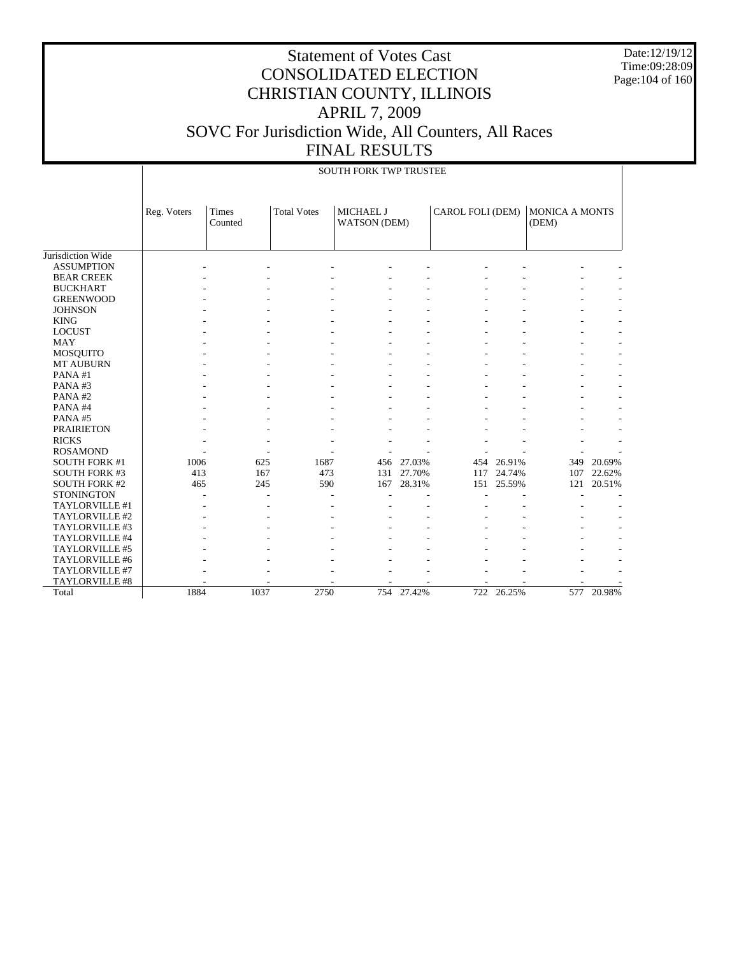Date:12/19/12 Time:09:28:09 Page:104 of 160

|                       |             | <b>SOUTH FORK TWP TRUSTEE</b> |      |                    |                           |            |                  |            |                                |        |  |  |
|-----------------------|-------------|-------------------------------|------|--------------------|---------------------------|------------|------------------|------------|--------------------------------|--------|--|--|
|                       | Reg. Voters | Times<br>Counted              |      | <b>Total Votes</b> | MICHAEL J<br>WATSON (DEM) |            | CAROL FOLI (DEM) |            | <b>MONICA A MONTS</b><br>(DEM) |        |  |  |
| Jurisdiction Wide     |             |                               |      |                    |                           |            |                  |            |                                |        |  |  |
| <b>ASSUMPTION</b>     |             |                               |      |                    |                           |            |                  |            |                                |        |  |  |
| <b>BEAR CREEK</b>     |             |                               |      |                    |                           |            |                  |            |                                |        |  |  |
| <b>BUCKHART</b>       |             |                               |      |                    |                           |            |                  |            |                                |        |  |  |
| <b>GREENWOOD</b>      |             |                               |      |                    |                           |            |                  |            |                                |        |  |  |
| <b>JOHNSON</b>        |             |                               |      |                    |                           |            |                  |            |                                |        |  |  |
| <b>KING</b>           |             |                               |      |                    |                           |            |                  |            |                                |        |  |  |
| <b>LOCUST</b>         |             |                               |      |                    |                           |            |                  |            |                                |        |  |  |
| <b>MAY</b>            |             |                               |      |                    |                           |            |                  |            |                                |        |  |  |
| <b>MOSQUITO</b>       |             |                               |      |                    |                           |            |                  |            |                                |        |  |  |
| <b>MT AUBURN</b>      |             |                               |      |                    |                           |            |                  |            |                                |        |  |  |
| PANA#1                |             |                               |      |                    |                           |            |                  |            |                                |        |  |  |
| PANA#3                |             |                               |      |                    |                           |            |                  |            |                                |        |  |  |
| PANA#2                |             |                               |      |                    |                           |            |                  |            |                                |        |  |  |
| PANA#4                |             |                               |      |                    |                           |            |                  |            |                                |        |  |  |
| PANA#5                |             |                               |      |                    |                           |            |                  |            |                                |        |  |  |
| <b>PRAIRIETON</b>     |             |                               |      |                    |                           |            |                  |            |                                |        |  |  |
| <b>RICKS</b>          |             |                               |      |                    |                           |            |                  |            |                                |        |  |  |
| <b>ROSAMOND</b>       |             |                               |      |                    |                           |            |                  |            |                                |        |  |  |
| <b>SOUTH FORK #1</b>  | 1006        |                               | 625  | 1687               |                           | 456 27.03% | 454              | 26.91%     | 349                            | 20.69% |  |  |
| <b>SOUTH FORK #3</b>  | 413         |                               | 167  | 473                |                           | 131 27.70% | 117              | 24.74%     | 107                            | 22.62% |  |  |
| <b>SOUTH FORK #2</b>  | 465         |                               | 245  | 590                | 167                       | 28.31%     | 151              | 25.59%     | 121                            | 20.51% |  |  |
| <b>STONINGTON</b>     |             |                               |      |                    |                           |            |                  |            |                                |        |  |  |
| TAYLORVILLE #1        |             |                               |      |                    |                           |            |                  |            |                                |        |  |  |
| TAYLORVILLE #2        |             |                               |      |                    |                           |            |                  |            |                                |        |  |  |
| TAYLORVILLE #3        |             |                               |      |                    |                           |            |                  |            |                                |        |  |  |
| TAYLORVILLE #4        |             |                               |      |                    |                           |            |                  |            |                                |        |  |  |
| TAYLORVILLE #5        |             |                               |      |                    |                           |            |                  |            |                                |        |  |  |
| TAYLORVILLE #6        |             |                               |      |                    |                           |            |                  |            |                                |        |  |  |
| TAYLORVILLE #7        |             |                               |      |                    |                           |            |                  |            |                                |        |  |  |
| <b>TAYLORVILLE #8</b> |             |                               |      |                    |                           |            |                  |            |                                |        |  |  |
| Total                 | 1884        |                               | 1037 | 2750               |                           | 754 27.42% |                  | 722 26.25% | 577                            | 20.98% |  |  |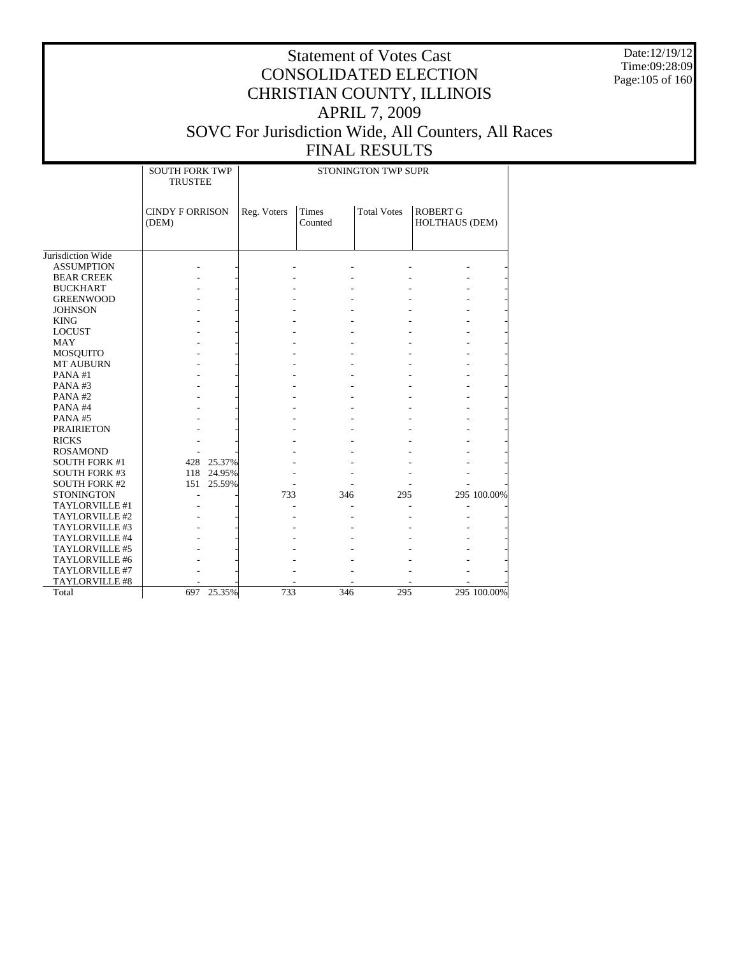Date:12/19/12 Time:09:28:09 Page:105 of 160

|                              | <b>SOUTH FORK TWP</b><br><b>TRUSTEE</b> |            |             |                  | STONINGTON TWP SUPR |                                   |             |
|------------------------------|-----------------------------------------|------------|-------------|------------------|---------------------|-----------------------------------|-------------|
|                              | <b>CINDY F ORRISON</b><br>(DEM)         |            | Reg. Voters | Times<br>Counted | <b>Total Votes</b>  | <b>ROBERT G</b><br>HOLTHAUS (DEM) |             |
| Jurisdiction Wide            |                                         |            |             |                  |                     |                                   |             |
| <b>ASSUMPTION</b>            |                                         |            |             |                  |                     |                                   |             |
| <b>BEAR CREEK</b>            |                                         |            |             |                  |                     |                                   |             |
| <b>BUCKHART</b>              |                                         |            |             |                  |                     |                                   |             |
| <b>GREENWOOD</b>             |                                         |            |             |                  |                     |                                   |             |
|                              |                                         |            |             |                  |                     |                                   |             |
| <b>JOHNSON</b>               |                                         |            |             |                  |                     |                                   |             |
| <b>KING</b><br><b>LOCUST</b> |                                         |            |             |                  |                     |                                   |             |
|                              |                                         |            |             |                  |                     |                                   |             |
| <b>MAY</b>                   |                                         |            |             |                  |                     |                                   |             |
| <b>MOSQUITO</b>              |                                         |            |             |                  |                     |                                   |             |
| <b>MT AUBURN</b><br>PANA#1   |                                         |            |             |                  |                     |                                   |             |
|                              |                                         |            |             |                  |                     |                                   |             |
| PANA#3<br>PANA#2             |                                         |            |             |                  |                     |                                   |             |
|                              |                                         |            |             |                  |                     |                                   |             |
| PANA#4                       |                                         |            |             |                  |                     |                                   |             |
| PANA#5                       |                                         |            |             |                  |                     |                                   |             |
| <b>PRAIRIETON</b>            |                                         |            |             |                  |                     |                                   |             |
| <b>RICKS</b>                 |                                         |            |             |                  |                     |                                   |             |
| <b>ROSAMOND</b>              |                                         |            |             |                  |                     |                                   |             |
| <b>SOUTH FORK #1</b>         |                                         | 428 25.37% |             |                  |                     |                                   |             |
| <b>SOUTH FORK #3</b>         |                                         | 118 24.95% |             |                  |                     |                                   |             |
| <b>SOUTH FORK #2</b>         | 151                                     | 25.59%     |             |                  |                     |                                   |             |
| <b>STONINGTON</b>            |                                         |            | 733         | 346              | 295                 |                                   | 295 100.00% |
| TAYLORVILLE #1               |                                         |            |             |                  |                     |                                   |             |
| TAYLORVILLE #2               |                                         |            |             |                  |                     |                                   |             |
| TAYLORVILLE #3               |                                         |            |             |                  |                     |                                   |             |
| TAYLORVILLE #4               |                                         |            |             |                  |                     |                                   |             |
| TAYLORVILLE #5               |                                         |            |             |                  |                     |                                   |             |
| TAYLORVILLE #6               |                                         |            |             |                  |                     |                                   |             |
| TAYLORVILLE #7               |                                         |            |             |                  |                     |                                   |             |
| TAYLORVILLE #8               |                                         |            |             |                  |                     |                                   |             |
| Total                        |                                         | 697 25.35% | 733         | 346              | 295                 |                                   | 295 100.00% |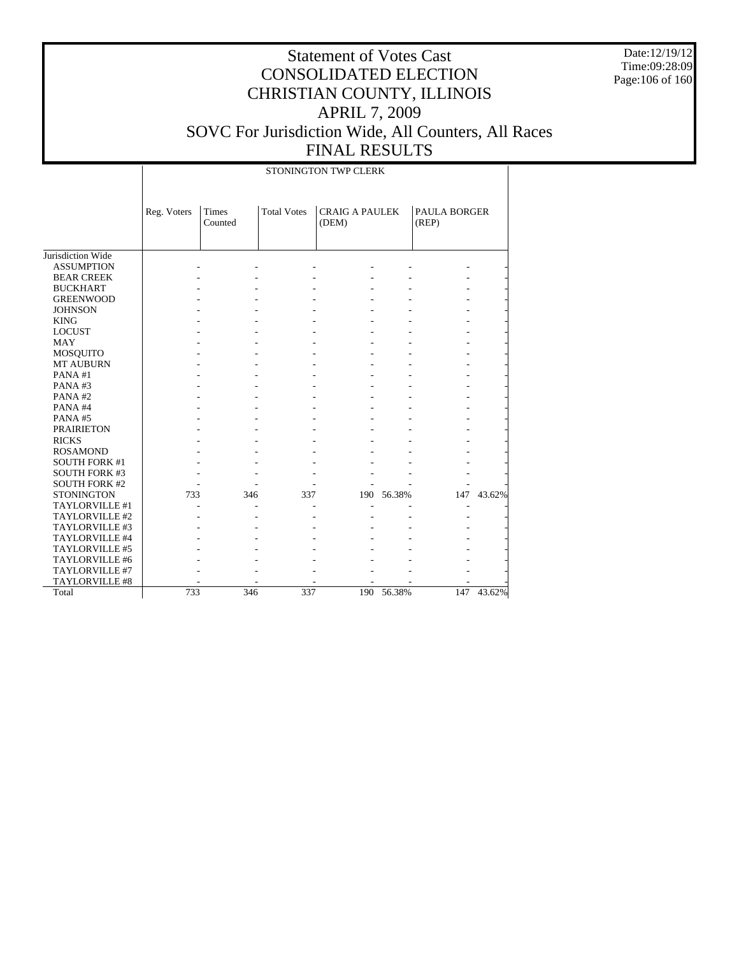Date:12/19/12 Time:09:28:09 Page:106 of 160

|                      |             |                  |                    | STONINGTON TWP CLERK           |        |                       |        |
|----------------------|-------------|------------------|--------------------|--------------------------------|--------|-----------------------|--------|
|                      | Reg. Voters | Times<br>Counted | <b>Total Votes</b> | <b>CRAIG A PAULEK</b><br>(DEM) |        | PAULA BORGER<br>(REP) |        |
| Jurisdiction Wide    |             |                  |                    |                                |        |                       |        |
| <b>ASSUMPTION</b>    |             |                  |                    |                                |        |                       |        |
| <b>BEAR CREEK</b>    |             |                  |                    |                                |        |                       |        |
| <b>BUCKHART</b>      |             |                  |                    |                                |        |                       |        |
| <b>GREENWOOD</b>     |             |                  |                    |                                |        |                       |        |
| <b>JOHNSON</b>       |             |                  |                    |                                |        |                       |        |
| <b>KING</b>          |             |                  |                    |                                |        |                       |        |
| <b>LOCUST</b>        |             |                  |                    |                                |        |                       |        |
| <b>MAY</b>           |             |                  |                    |                                |        |                       |        |
| MOSQUITO             |             |                  |                    |                                |        |                       |        |
| MT AUBURN            |             |                  |                    |                                |        |                       |        |
| PANA#1               |             |                  |                    |                                |        |                       |        |
| PANA#3               |             |                  |                    |                                |        |                       |        |
| PANA#2               |             |                  |                    |                                |        |                       |        |
| PANA#4               |             |                  |                    |                                |        |                       |        |
| PANA#5               |             |                  |                    |                                |        |                       |        |
| <b>PRAIRIETON</b>    |             |                  |                    |                                |        |                       |        |
| <b>RICKS</b>         |             |                  |                    |                                |        |                       |        |
| <b>ROSAMOND</b>      |             |                  |                    |                                |        |                       |        |
| <b>SOUTH FORK #1</b> |             |                  |                    |                                |        |                       |        |
| <b>SOUTH FORK #3</b> |             |                  |                    |                                |        |                       |        |
| <b>SOUTH FORK #2</b> |             |                  |                    |                                |        |                       |        |
| <b>STONINGTON</b>    | 733         | 346              | 337                | 190                            | 56.38% | 147                   | 43.62% |
| TAYLORVILLE #1       |             |                  |                    |                                |        |                       |        |
| TAYLORVILLE #2       |             |                  |                    |                                |        |                       |        |
| TAYLORVILLE #3       |             |                  |                    |                                |        |                       |        |
| TAYLORVILLE #4       |             |                  |                    |                                |        |                       |        |
| TAYLORVILLE #5       |             |                  |                    |                                |        |                       |        |
| TAYLORVILLE #6       |             |                  |                    |                                |        |                       |        |
| TAYLORVILLE #7       |             |                  |                    |                                |        |                       |        |
| TAYLORVILLE #8       |             |                  |                    |                                |        |                       |        |
| Total                | 733         | 346              | 337                | 190                            | 56.38% | 147                   | 43.62% |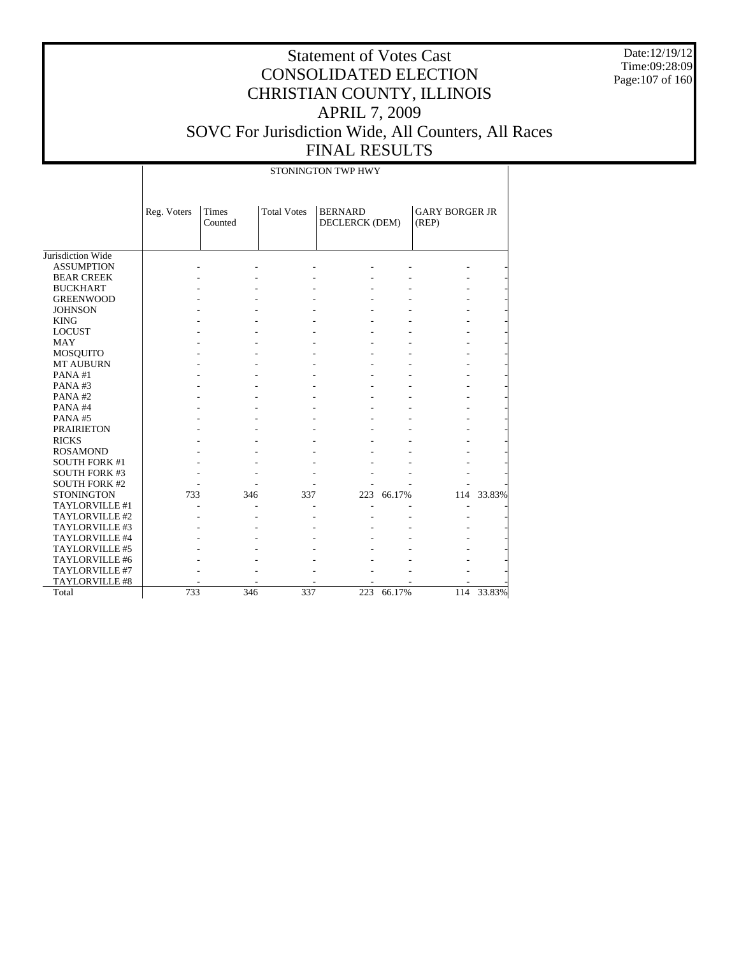Date:12/19/12 Time:09:28:09 Page:107 of 160

|                      |             |                  |                    | STONINGTON TWP HWY               |        |                                |            |
|----------------------|-------------|------------------|--------------------|----------------------------------|--------|--------------------------------|------------|
|                      | Reg. Voters | Times<br>Counted | <b>Total Votes</b> | <b>BERNARD</b><br>DECLERCK (DEM) |        | <b>GARY BORGER JR</b><br>(REP) |            |
| Jurisdiction Wide    |             |                  |                    |                                  |        |                                |            |
| <b>ASSUMPTION</b>    |             |                  |                    |                                  |        |                                |            |
| <b>BEAR CREEK</b>    |             |                  |                    |                                  |        |                                |            |
| <b>BUCKHART</b>      |             |                  |                    |                                  |        |                                |            |
| <b>GREENWOOD</b>     |             |                  |                    |                                  |        |                                |            |
| <b>JOHNSON</b>       |             |                  |                    |                                  |        |                                |            |
| <b>KING</b>          |             |                  |                    |                                  |        |                                |            |
| <b>LOCUST</b>        |             |                  |                    |                                  |        |                                |            |
| <b>MAY</b>           |             |                  |                    |                                  |        |                                |            |
| MOSQUITO             |             |                  |                    |                                  |        |                                |            |
| <b>MT AUBURN</b>     |             |                  |                    |                                  |        |                                |            |
| PANA#1               |             |                  |                    |                                  |        |                                |            |
| PANA#3               |             |                  |                    |                                  |        |                                |            |
| PANA#2               |             |                  |                    |                                  |        |                                |            |
| PANA#4               |             |                  |                    |                                  |        |                                |            |
| PANA#5               |             |                  |                    |                                  |        |                                |            |
| <b>PRAIRIETON</b>    |             |                  |                    |                                  |        |                                |            |
| <b>RICKS</b>         |             |                  |                    |                                  |        |                                |            |
| <b>ROSAMOND</b>      |             |                  |                    |                                  |        |                                |            |
| <b>SOUTH FORK #1</b> |             |                  |                    |                                  |        |                                |            |
| <b>SOUTH FORK #3</b> |             |                  |                    |                                  |        |                                |            |
| <b>SOUTH FORK #2</b> |             |                  |                    |                                  |        |                                |            |
| <b>STONINGTON</b>    | 733         | 346              | 337                | 223                              | 66.17% |                                | 114 33.83% |
| TAYLORVILLE #1       |             |                  |                    |                                  |        |                                |            |
| TAYLORVILLE #2       |             |                  |                    |                                  |        |                                |            |
| TAYLORVILLE #3       |             |                  |                    |                                  |        |                                |            |
| TAYLORVILLE #4       |             |                  |                    |                                  |        |                                |            |
| TAYLORVILLE #5       |             |                  |                    |                                  |        |                                |            |
| TAYLORVILLE #6       |             |                  |                    |                                  |        |                                |            |
| TAYLORVILLE #7       |             |                  |                    |                                  |        |                                |            |
| TAYLORVILLE #8       |             |                  |                    |                                  |        |                                |            |
| Total                | 733         | 346              | 337                | 223                              | 66.17% | 114                            | 33.83%     |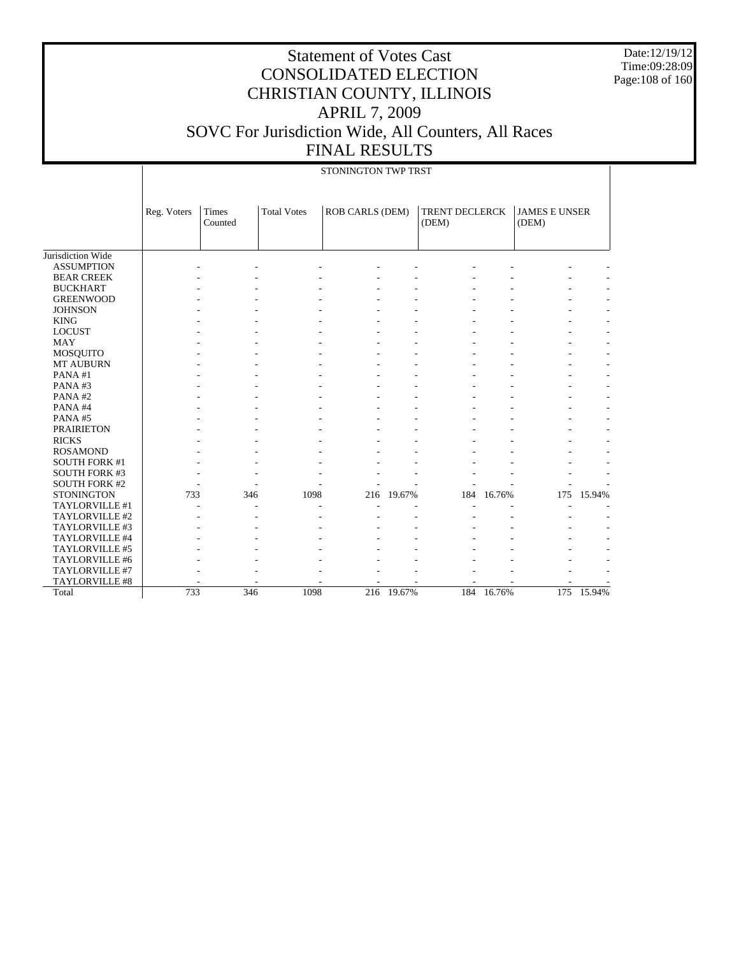Date:12/19/12 Time:09:28:09 Page:108 of 160

|                      | STONINGTON TWP TRST |                  |                    |                        |        |                         |        |                               |        |
|----------------------|---------------------|------------------|--------------------|------------------------|--------|-------------------------|--------|-------------------------------|--------|
|                      | Reg. Voters         | Times<br>Counted | <b>Total Votes</b> | <b>ROB CARLS (DEM)</b> |        | TRENT DECLERCK<br>(DEM) |        | <b>JAMES E UNSER</b><br>(DEM) |        |
| Jurisdiction Wide    |                     |                  |                    |                        |        |                         |        |                               |        |
| <b>ASSUMPTION</b>    |                     |                  |                    |                        |        |                         |        |                               |        |
| <b>BEAR CREEK</b>    |                     |                  |                    |                        |        |                         |        |                               |        |
| <b>BUCKHART</b>      |                     |                  |                    |                        |        |                         |        |                               |        |
| <b>GREENWOOD</b>     |                     |                  |                    |                        |        |                         |        |                               |        |
| <b>JOHNSON</b>       |                     |                  |                    |                        |        |                         |        |                               |        |
| <b>KING</b>          |                     |                  |                    |                        |        |                         |        |                               |        |
| <b>LOCUST</b>        |                     |                  |                    |                        |        |                         |        |                               |        |
| <b>MAY</b>           |                     |                  |                    |                        |        |                         |        |                               |        |
| <b>MOSQUITO</b>      |                     |                  |                    |                        |        |                         |        |                               |        |
| MT AUBURN            |                     |                  |                    |                        |        |                         |        |                               |        |
| PANA#1               |                     |                  |                    |                        |        |                         |        |                               |        |
| PANA#3               |                     |                  |                    |                        |        |                         |        |                               |        |
| PANA#2               |                     |                  |                    |                        |        |                         |        |                               |        |
| PANA#4               |                     |                  |                    |                        |        |                         |        |                               |        |
| PANA#5               |                     |                  |                    |                        |        |                         |        |                               |        |
| <b>PRAIRIETON</b>    |                     |                  |                    |                        |        |                         |        |                               |        |
| <b>RICKS</b>         |                     |                  |                    |                        |        |                         |        |                               |        |
| <b>ROSAMOND</b>      |                     |                  |                    |                        |        |                         |        |                               |        |
| SOUTH FORK #1        |                     |                  |                    |                        |        |                         |        |                               |        |
| <b>SOUTH FORK #3</b> |                     |                  |                    |                        |        |                         |        |                               |        |
| <b>SOUTH FORK #2</b> |                     |                  |                    |                        |        |                         |        |                               |        |
| <b>STONINGTON</b>    | 733                 | 346              | 1098               | 216                    | 19.67% | 184                     | 16.76% | 175                           | 15.94% |
| TAYLORVILLE #1       |                     |                  |                    |                        |        |                         |        |                               |        |
| TAYLORVILLE #2       |                     |                  |                    |                        |        |                         |        |                               |        |
| TAYLORVILLE #3       |                     |                  |                    |                        |        |                         |        |                               |        |
| TAYLORVILLE #4       |                     |                  |                    |                        |        |                         |        |                               |        |
| TAYLORVILLE #5       |                     |                  |                    |                        |        |                         |        |                               |        |
| TAYLORVILLE #6       |                     |                  |                    |                        |        |                         |        |                               |        |
| TAYLORVILLE #7       |                     |                  |                    |                        |        |                         |        |                               |        |
| TAYLORVILLE #8       |                     |                  |                    |                        |        |                         |        |                               |        |
| Total                | 733                 | 346              | 1098               | 216                    | 19.67% | 184                     | 16.76% | 175                           | 15.94% |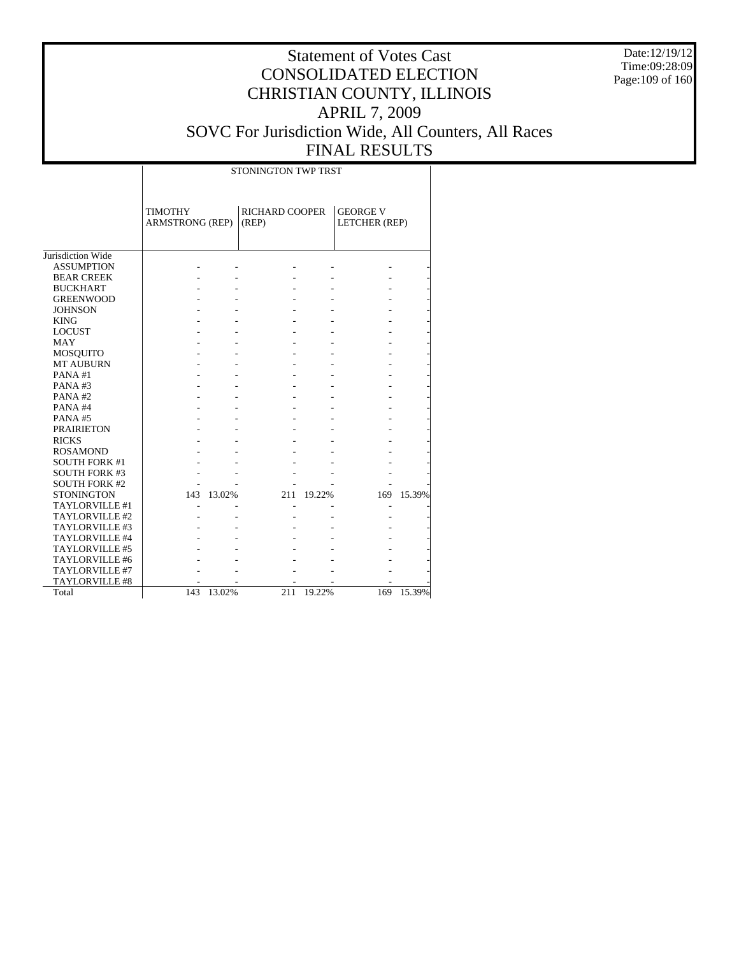Date:12/19/12 Time:09:28:09 Page:109 of 160

|                       | STONINGTON TWP TRST                      |            |                                |        |                                  |        |  |  |  |  |
|-----------------------|------------------------------------------|------------|--------------------------------|--------|----------------------------------|--------|--|--|--|--|
|                       | <b>TIMOTHY</b><br><b>ARMSTRONG (REP)</b> |            | <b>RICHARD COOPER</b><br>(REP) |        | <b>GEORGE V</b><br>LETCHER (REP) |        |  |  |  |  |
| Jurisdiction Wide     |                                          |            |                                |        |                                  |        |  |  |  |  |
| <b>ASSUMPTION</b>     |                                          |            |                                |        |                                  |        |  |  |  |  |
| <b>BEAR CREEK</b>     |                                          |            |                                |        |                                  |        |  |  |  |  |
| <b>BUCKHART</b>       |                                          |            |                                |        |                                  |        |  |  |  |  |
| <b>GREENWOOD</b>      |                                          |            |                                |        |                                  |        |  |  |  |  |
| <b>JOHNSON</b>        |                                          |            |                                |        |                                  |        |  |  |  |  |
| <b>KING</b>           |                                          |            |                                |        |                                  |        |  |  |  |  |
| <b>LOCUST</b>         |                                          |            |                                |        |                                  |        |  |  |  |  |
| <b>MAY</b>            |                                          |            |                                |        |                                  |        |  |  |  |  |
| <b>MOSQUITO</b>       |                                          |            |                                |        |                                  |        |  |  |  |  |
| <b>MT AUBURN</b>      |                                          |            |                                |        |                                  |        |  |  |  |  |
| PANA#1                |                                          |            |                                |        |                                  |        |  |  |  |  |
| PANA#3                |                                          |            |                                |        |                                  |        |  |  |  |  |
| PANA#2                |                                          |            |                                |        |                                  |        |  |  |  |  |
| PANA#4                |                                          |            |                                |        |                                  |        |  |  |  |  |
| PANA#5                |                                          |            |                                |        |                                  |        |  |  |  |  |
| <b>PRAIRIETON</b>     |                                          |            |                                |        |                                  |        |  |  |  |  |
| <b>RICKS</b>          |                                          |            |                                |        |                                  |        |  |  |  |  |
| <b>ROSAMOND</b>       |                                          |            |                                |        |                                  |        |  |  |  |  |
| <b>SOUTH FORK #1</b>  |                                          |            |                                |        |                                  |        |  |  |  |  |
| <b>SOUTH FORK #3</b>  |                                          |            |                                |        |                                  |        |  |  |  |  |
| <b>SOUTH FORK #2</b>  |                                          |            |                                |        |                                  |        |  |  |  |  |
| <b>STONINGTON</b>     |                                          | 143 13.02% | 211                            | 19.22% | 169                              | 15.39% |  |  |  |  |
| TAYLORVILLE #1        |                                          |            |                                |        |                                  |        |  |  |  |  |
| TAYLORVILLE #2        |                                          |            |                                |        |                                  |        |  |  |  |  |
| TAYLORVILLE #3        |                                          |            |                                |        |                                  |        |  |  |  |  |
| TAYLORVILLE #4        |                                          |            |                                |        |                                  |        |  |  |  |  |
| TAYLORVILLE #5        |                                          |            |                                |        |                                  |        |  |  |  |  |
| TAYLORVILLE #6        |                                          |            |                                |        |                                  |        |  |  |  |  |
| TAYLORVILLE #7        |                                          |            |                                |        |                                  |        |  |  |  |  |
| <b>TAYLORVILLE #8</b> |                                          |            |                                |        |                                  |        |  |  |  |  |
| Total                 | 143                                      | 13.02%     | 211                            | 19.22% | 169                              | 15.39% |  |  |  |  |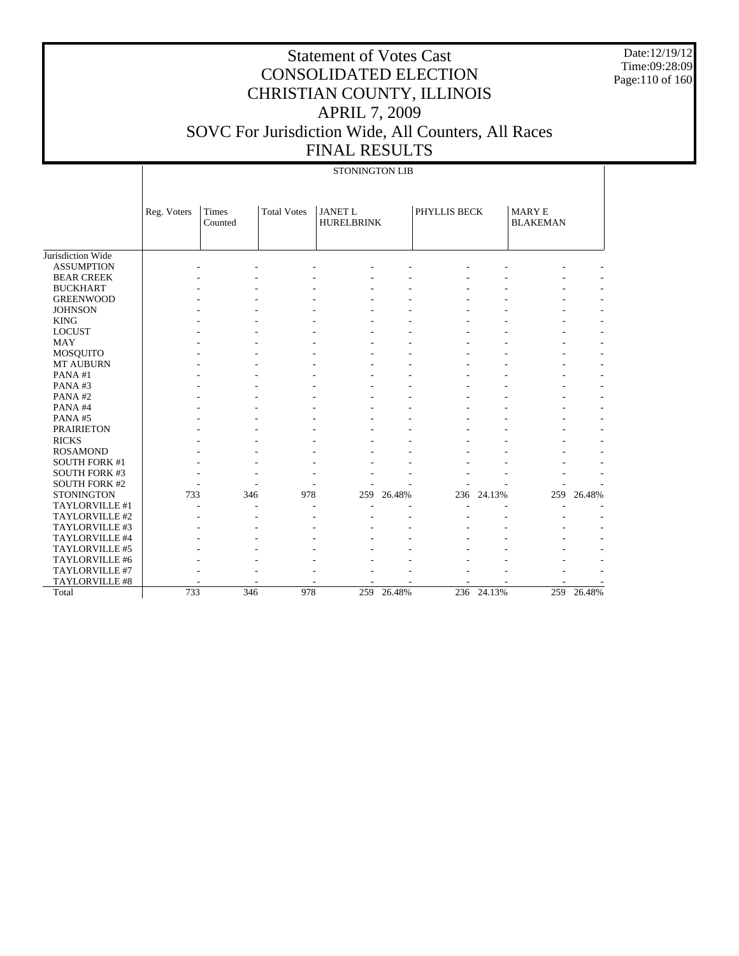Date:12/19/12 Time:09:28:09 Page:110 of 160

|                      |             | <b>STONINGTON LIB</b> |                    |                                     |        |              |        |                                  |        |  |  |
|----------------------|-------------|-----------------------|--------------------|-------------------------------------|--------|--------------|--------|----------------------------------|--------|--|--|
|                      | Reg. Voters | Times<br>Counted      | <b>Total Votes</b> | <b>JANET L</b><br><b>HURELBRINK</b> |        | PHYLLIS BECK |        | <b>MARY E</b><br><b>BLAKEMAN</b> |        |  |  |
| Jurisdiction Wide    |             |                       |                    |                                     |        |              |        |                                  |        |  |  |
| <b>ASSUMPTION</b>    |             |                       |                    |                                     |        |              |        |                                  |        |  |  |
| <b>BEAR CREEK</b>    |             |                       |                    |                                     |        |              |        |                                  |        |  |  |
| <b>BUCKHART</b>      |             |                       |                    |                                     |        |              |        |                                  |        |  |  |
| <b>GREENWOOD</b>     |             |                       |                    |                                     |        |              |        |                                  |        |  |  |
| <b>JOHNSON</b>       |             |                       |                    |                                     |        |              |        |                                  |        |  |  |
| <b>KING</b>          |             |                       |                    |                                     |        |              |        |                                  |        |  |  |
| <b>LOCUST</b>        |             |                       |                    |                                     |        |              |        |                                  |        |  |  |
| <b>MAY</b>           |             |                       |                    |                                     |        |              |        |                                  |        |  |  |
| MOSQUITO             |             |                       |                    |                                     |        |              |        |                                  |        |  |  |
| MT AUBURN            |             |                       |                    |                                     |        |              |        |                                  |        |  |  |
| PANA#1               |             |                       |                    |                                     |        |              |        |                                  |        |  |  |
| PANA#3               |             |                       |                    |                                     |        |              |        |                                  |        |  |  |
| PANA#2               |             |                       |                    |                                     |        |              |        |                                  |        |  |  |
| PANA#4               |             |                       |                    |                                     |        |              |        |                                  |        |  |  |
| PANA#5               |             |                       |                    |                                     |        |              |        |                                  |        |  |  |
| <b>PRAIRIETON</b>    |             |                       |                    |                                     |        |              |        |                                  |        |  |  |
| <b>RICKS</b>         |             |                       |                    |                                     |        |              |        |                                  |        |  |  |
| <b>ROSAMOND</b>      |             |                       |                    |                                     |        |              |        |                                  |        |  |  |
| <b>SOUTH FORK #1</b> |             |                       |                    |                                     |        |              |        |                                  |        |  |  |
| <b>SOUTH FORK #3</b> |             |                       |                    |                                     |        |              |        |                                  |        |  |  |
| <b>SOUTH FORK #2</b> |             |                       |                    |                                     |        |              |        |                                  |        |  |  |
| <b>STONINGTON</b>    | 733         | 346                   | 978                | 259                                 | 26.48% | 236          | 24.13% | 259                              | 26.48% |  |  |
| TAYLORVILLE #1       |             | $\overline{a}$        |                    |                                     |        |              |        |                                  |        |  |  |
| TAYLORVILLE #2       |             |                       |                    |                                     |        |              |        |                                  |        |  |  |
| TAYLORVILLE #3       |             |                       |                    |                                     |        |              |        |                                  |        |  |  |
| TAYLORVILLE #4       |             |                       |                    |                                     |        |              |        |                                  |        |  |  |
| TAYLORVILLE #5       |             |                       |                    |                                     |        |              |        |                                  |        |  |  |
| TAYLORVILLE #6       |             |                       |                    |                                     |        |              |        |                                  |        |  |  |
| TAYLORVILLE #7       |             |                       |                    |                                     |        |              |        |                                  |        |  |  |
| TAYLORVILLE #8       |             |                       |                    |                                     |        |              |        |                                  |        |  |  |
| Total                | 733         | 346                   | 978                | 259                                 | 26.48% | 236          | 24.13% | 259                              | 26.48% |  |  |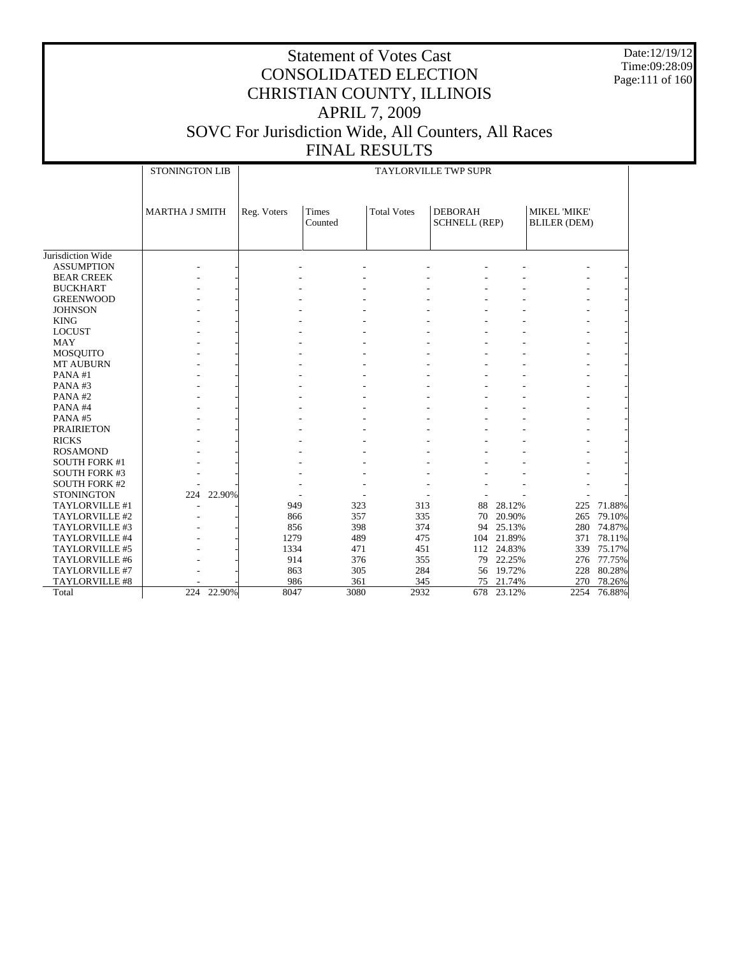Date:12/19/12 Time:09:28:09 Page:111 of 160

|                      | <b>STONINGTON LIB</b> |            | TAYLORVILLE TWP SUPR |                  |                    |                                        |            |                                     |        |  |
|----------------------|-----------------------|------------|----------------------|------------------|--------------------|----------------------------------------|------------|-------------------------------------|--------|--|
|                      | <b>MARTHA J SMITH</b> |            | Reg. Voters          | Times<br>Counted | <b>Total Votes</b> | <b>DEBORAH</b><br><b>SCHNELL (REP)</b> |            | MIKEL 'MIKE'<br><b>BLILER (DEM)</b> |        |  |
| Jurisdiction Wide    |                       |            |                      |                  |                    |                                        |            |                                     |        |  |
| <b>ASSUMPTION</b>    |                       |            |                      |                  |                    |                                        |            |                                     |        |  |
| <b>BEAR CREEK</b>    |                       |            |                      |                  |                    |                                        |            |                                     |        |  |
| <b>BUCKHART</b>      |                       |            |                      |                  |                    |                                        |            |                                     |        |  |
| <b>GREENWOOD</b>     |                       |            |                      |                  |                    |                                        |            |                                     |        |  |
| <b>JOHNSON</b>       |                       |            |                      |                  |                    |                                        |            |                                     |        |  |
| <b>KING</b>          |                       |            |                      |                  |                    |                                        |            |                                     |        |  |
| <b>LOCUST</b>        |                       |            |                      |                  |                    |                                        |            |                                     |        |  |
| <b>MAY</b>           |                       |            |                      |                  |                    |                                        |            |                                     |        |  |
| MOSQUITO             |                       |            |                      |                  |                    |                                        |            |                                     |        |  |
| <b>MT AUBURN</b>     |                       |            |                      |                  |                    |                                        |            |                                     |        |  |
| PANA#1               |                       |            |                      |                  |                    |                                        |            |                                     |        |  |
| PANA#3               |                       |            |                      |                  |                    |                                        |            |                                     |        |  |
| PANA#2               |                       |            |                      |                  |                    |                                        |            |                                     |        |  |
| PANA#4               |                       |            |                      |                  |                    |                                        |            |                                     |        |  |
| PANA#5               |                       |            |                      |                  |                    |                                        |            |                                     |        |  |
| <b>PRAIRIETON</b>    |                       |            |                      |                  |                    |                                        |            |                                     |        |  |
| <b>RICKS</b>         |                       |            |                      |                  |                    |                                        |            |                                     |        |  |
| <b>ROSAMOND</b>      |                       |            |                      |                  |                    |                                        |            |                                     |        |  |
| <b>SOUTH FORK #1</b> |                       |            |                      |                  |                    |                                        |            |                                     |        |  |
| <b>SOUTH FORK #3</b> |                       |            |                      |                  |                    |                                        |            |                                     |        |  |
| <b>SOUTH FORK #2</b> |                       |            |                      |                  |                    |                                        |            |                                     |        |  |
| <b>STONINGTON</b>    |                       | 224 22.90% |                      |                  |                    |                                        |            |                                     |        |  |
| TAYLORVILLE #1       |                       |            | 949                  | 323              | 313                | 88                                     | 28.12%     | 225                                 | 71.88% |  |
| TAYLORVILLE #2       |                       |            | 866                  | 357              | 335                | 70                                     | 20.90%     | 265                                 | 79.10% |  |
| TAYLORVILLE #3       |                       |            | 856                  | 398              | 374                | 94                                     | 25.13%     | 280                                 | 74.87% |  |
| TAYLORVILLE #4       |                       |            | 1279                 | 489              | 475                |                                        | 104 21.89% | 371                                 | 78.11% |  |
| TAYLORVILLE #5       |                       |            | 1334                 | 471              | 451                |                                        | 112 24.83% | 339                                 | 75.17% |  |
| TAYLORVILLE #6       |                       |            | 914                  | 376              | 355                | 79                                     | 22.25%     | 276                                 | 77.75% |  |
| TAYLORVILLE #7       |                       |            | 863                  | 305              | 284                |                                        | 56 19.72%  | 228                                 | 80.28% |  |
| TAYLORVILLE #8       |                       |            | 986                  | 361              | 345                | 75                                     | 21.74%     | 270                                 | 78.26% |  |
| Total                | 224                   | 22.90%     | 8047                 | 3080             | 2932               | 678                                    | 23.12%     | 2254                                | 76.88% |  |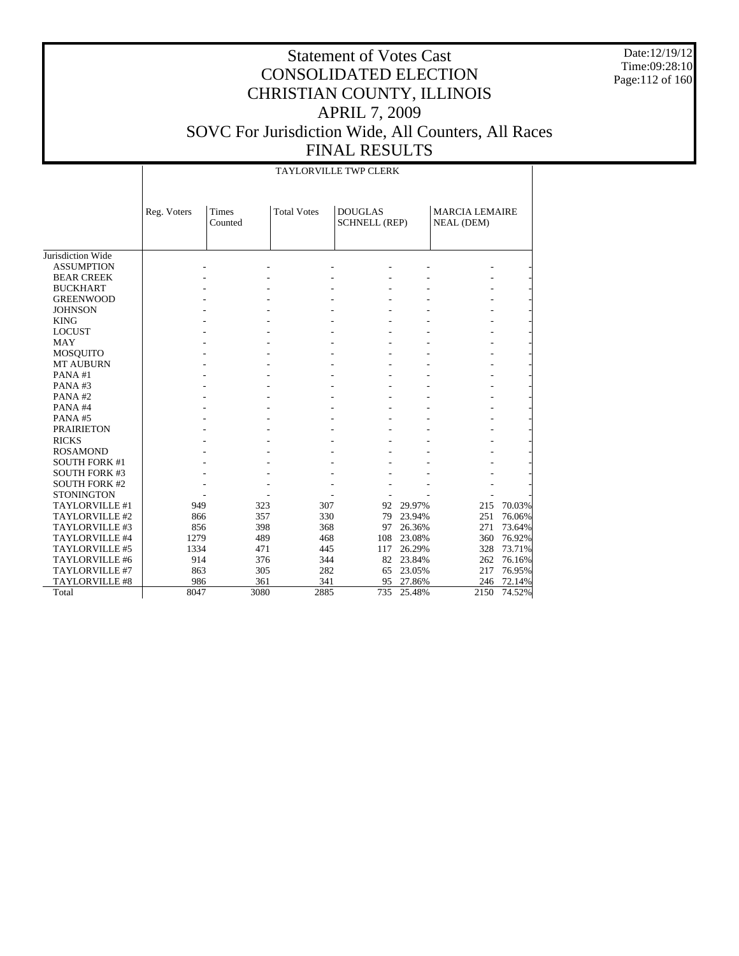Date:12/19/12 Time:09:28:10 Page:112 of 160

|                      |             | <b>TAYLORVILLE TWP CLERK</b> |                    |                                        |           |                                            |        |  |  |  |  |  |
|----------------------|-------------|------------------------------|--------------------|----------------------------------------|-----------|--------------------------------------------|--------|--|--|--|--|--|
|                      | Reg. Voters | <b>Times</b><br>Counted      | <b>Total Votes</b> | <b>DOUGLAS</b><br><b>SCHNELL (REP)</b> |           | <b>MARCIA LEMAIRE</b><br><b>NEAL</b> (DEM) |        |  |  |  |  |  |
| Jurisdiction Wide    |             |                              |                    |                                        |           |                                            |        |  |  |  |  |  |
| <b>ASSUMPTION</b>    |             |                              |                    |                                        |           |                                            |        |  |  |  |  |  |
|                      |             |                              |                    |                                        |           |                                            |        |  |  |  |  |  |
| <b>BEAR CREEK</b>    |             |                              |                    |                                        |           |                                            |        |  |  |  |  |  |
| <b>BUCKHART</b>      |             |                              |                    |                                        |           |                                            |        |  |  |  |  |  |
| <b>GREENWOOD</b>     |             |                              |                    |                                        |           |                                            |        |  |  |  |  |  |
| <b>JOHNSON</b>       |             |                              |                    |                                        |           |                                            |        |  |  |  |  |  |
| <b>KING</b>          |             |                              |                    |                                        |           |                                            |        |  |  |  |  |  |
| <b>LOCUST</b>        |             |                              |                    |                                        |           |                                            |        |  |  |  |  |  |
| <b>MAY</b>           |             |                              |                    |                                        |           |                                            |        |  |  |  |  |  |
| <b>MOSQUITO</b>      |             |                              |                    |                                        |           |                                            |        |  |  |  |  |  |
| <b>MT AUBURN</b>     |             |                              |                    |                                        |           |                                            |        |  |  |  |  |  |
| PANA#1               |             |                              |                    |                                        |           |                                            |        |  |  |  |  |  |
| PANA#3               |             |                              |                    |                                        |           |                                            |        |  |  |  |  |  |
| PANA#2               |             |                              |                    |                                        |           |                                            |        |  |  |  |  |  |
| PANA#4               |             |                              |                    |                                        |           |                                            |        |  |  |  |  |  |
| PANA#5               |             |                              |                    |                                        |           |                                            |        |  |  |  |  |  |
| <b>PRAIRIETON</b>    |             |                              |                    |                                        |           |                                            |        |  |  |  |  |  |
| <b>RICKS</b>         |             |                              |                    |                                        |           |                                            |        |  |  |  |  |  |
| <b>ROSAMOND</b>      |             |                              |                    |                                        |           |                                            |        |  |  |  |  |  |
| <b>SOUTH FORK #1</b> |             |                              |                    |                                        |           |                                            |        |  |  |  |  |  |
| <b>SOUTH FORK #3</b> |             |                              |                    |                                        |           |                                            |        |  |  |  |  |  |
| <b>SOUTH FORK #2</b> |             |                              |                    |                                        |           |                                            |        |  |  |  |  |  |
| <b>STONINGTON</b>    |             |                              |                    |                                        |           |                                            |        |  |  |  |  |  |
| TAYLORVILLE #1       | 949         | 323                          | 307                | 92                                     | 29.97%    | 215                                        | 70.03% |  |  |  |  |  |
| TAYLORVILLE #2       | 866         | 357                          | 330                | 79                                     | 23.94%    | 251                                        | 76.06% |  |  |  |  |  |
| TAYLORVILLE #3       | 856         | 398                          | 368                | 97                                     | 26.36%    | 271                                        | 73.64% |  |  |  |  |  |
| TAYLORVILLE #4       | 1279        | 489                          | 468                | 108                                    | 23.08%    | 360                                        | 76.92% |  |  |  |  |  |
| TAYLORVILLE #5       | 1334        | 471                          | 445                | 117                                    | 26.29%    | 328                                        | 73.71% |  |  |  |  |  |
| TAYLORVILLE #6       | 914         | 376                          | 344                | 82                                     | 23.84%    | 262                                        | 76.16% |  |  |  |  |  |
| TAYLORVILLE #7       | 863         | 305                          | 282                | 65                                     | 23.05%    | 217                                        | 76.95% |  |  |  |  |  |
| TAYLORVILLE #8       | 986         | 361                          | 341                |                                        | 95 27.86% | 246                                        | 72.14% |  |  |  |  |  |
| Total                | 8047        | 3080                         | 2885               | 735                                    | 25.48%    | 2150                                       | 74.52% |  |  |  |  |  |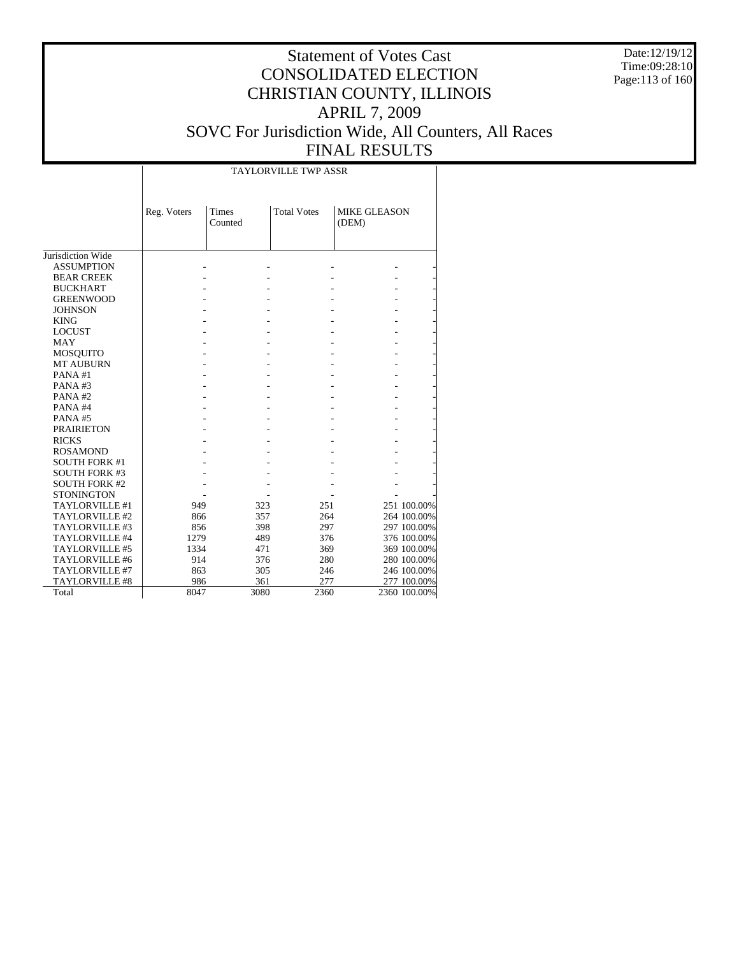Date:12/19/12 Time:09:28:10 Page:113 of 160

|                      |             |                  | <b>TAYLORVILLE TWP ASSR</b> |                              |              |
|----------------------|-------------|------------------|-----------------------------|------------------------------|--------------|
|                      | Reg. Voters | Times<br>Counted | <b>Total Votes</b>          | <b>MIKE GLEASON</b><br>(DEM) |              |
| Jurisdiction Wide    |             |                  |                             |                              |              |
| <b>ASSUMPTION</b>    |             |                  |                             |                              |              |
| <b>BEAR CREEK</b>    |             |                  |                             |                              |              |
| <b>BUCKHART</b>      |             |                  |                             |                              |              |
| <b>GREENWOOD</b>     |             |                  |                             |                              |              |
| <b>JOHNSON</b>       |             |                  |                             |                              |              |
| <b>KING</b>          |             |                  |                             |                              |              |
| <b>LOCUST</b>        |             |                  |                             |                              |              |
| <b>MAY</b>           |             |                  |                             |                              |              |
| MOSQUITO             |             |                  |                             |                              |              |
| <b>MT AUBURN</b>     |             |                  |                             |                              |              |
| PANA#1               |             |                  |                             |                              |              |
| PANA#3               |             |                  |                             |                              |              |
| PANA#2               |             |                  |                             |                              |              |
| PANA#4               |             |                  |                             |                              |              |
| PANA#5               |             |                  |                             |                              |              |
| <b>PRAIRIETON</b>    |             |                  |                             |                              |              |
| <b>RICKS</b>         |             |                  |                             |                              |              |
| <b>ROSAMOND</b>      |             |                  |                             |                              |              |
| <b>SOUTH FORK #1</b> |             |                  |                             |                              |              |
| <b>SOUTH FORK #3</b> |             |                  |                             |                              |              |
| <b>SOUTH FORK #2</b> |             |                  |                             |                              |              |
| <b>STONINGTON</b>    |             |                  |                             |                              |              |
| TAYLORVILLE #1       | 949         | 323              | 251                         |                              | 251 100.00%  |
| TAYLORVILLE #2       | 866         | 357              | 264                         |                              | 264 100.00%  |
| TAYLORVILLE #3       | 856         | 398              | 297                         |                              | 297 100.00%  |
| TAYLORVILLE #4       | 1279        | 489              | 376                         |                              | 376 100.00%  |
| TAYLORVILLE #5       | 1334        | 471              | 369                         |                              | 369 100.00%  |
| TAYLORVILLE #6       | 914         | 376              | 280                         |                              | 280 100.00%  |
| TAYLORVILLE #7       | 863         | 305              | 246                         |                              | 246 100.00%  |
| TAYLORVILLE #8       | 986         | 361              | 277                         |                              | 277 100.00%  |
| Total                | 8047        | 3080             | 2360                        |                              | 2360 100.00% |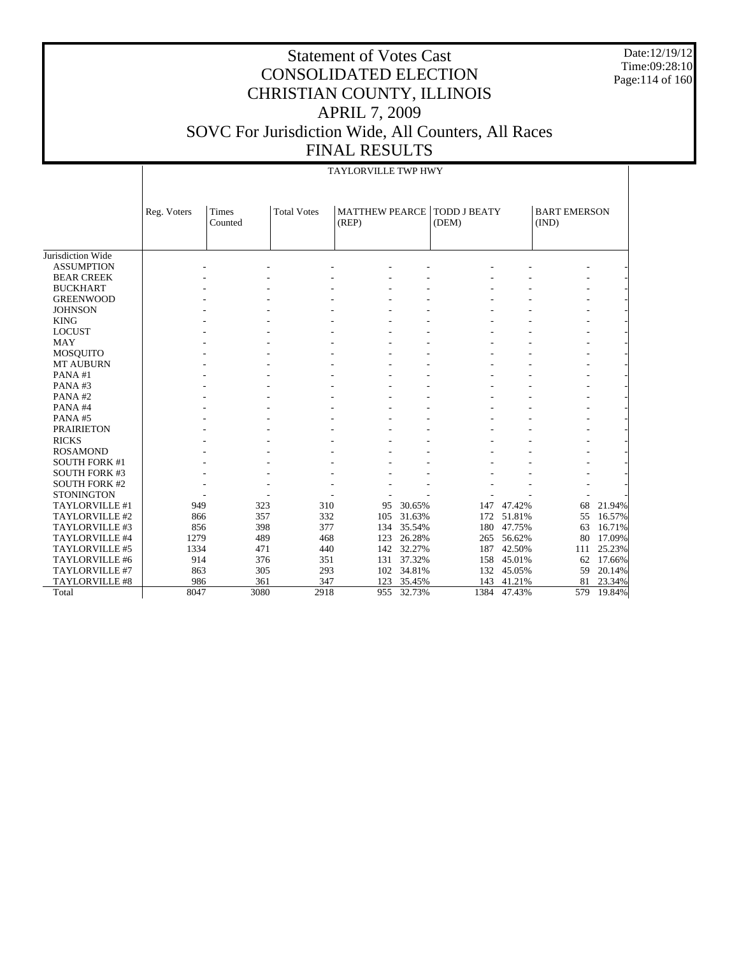Date:12/19/12 Time:09:28:10 Page:114 of 160

|                      |             | <b>TAYLORVILLE TWP HWY</b> |                    |                                |        |                              |        |                              |        |  |
|----------------------|-------------|----------------------------|--------------------|--------------------------------|--------|------------------------------|--------|------------------------------|--------|--|
|                      |             |                            |                    |                                |        |                              |        |                              |        |  |
|                      | Reg. Voters | <b>Times</b><br>Counted    | <b>Total Votes</b> | <b>MATTHEW PEARCE</b><br>(REP) |        | <b>TODD J BEATY</b><br>(DEM) |        | <b>BART EMERSON</b><br>(IND) |        |  |
|                      |             |                            |                    |                                |        |                              |        |                              |        |  |
| Jurisdiction Wide    |             |                            |                    |                                |        |                              |        |                              |        |  |
| <b>ASSUMPTION</b>    |             |                            |                    |                                |        |                              |        |                              |        |  |
| <b>BEAR CREEK</b>    |             |                            |                    |                                |        |                              |        |                              |        |  |
| <b>BUCKHART</b>      |             |                            |                    |                                |        |                              |        |                              |        |  |
| <b>GREENWOOD</b>     |             |                            |                    |                                |        |                              |        |                              |        |  |
| <b>JOHNSON</b>       |             |                            |                    |                                |        |                              |        |                              |        |  |
| <b>KING</b>          |             |                            |                    |                                |        |                              |        |                              |        |  |
| <b>LOCUST</b>        |             |                            |                    |                                |        |                              |        |                              |        |  |
| <b>MAY</b>           |             |                            |                    |                                |        |                              |        |                              |        |  |
| <b>MOSQUITO</b>      |             |                            |                    |                                |        |                              |        |                              |        |  |
| MT AUBURN            |             |                            |                    |                                |        |                              |        |                              |        |  |
| PANA#1               |             |                            |                    |                                |        |                              |        |                              |        |  |
| PANA#3               |             |                            |                    |                                |        |                              |        |                              |        |  |
| PANA#2               |             |                            |                    |                                |        |                              |        |                              |        |  |
| PANA#4               |             |                            |                    |                                |        |                              |        |                              |        |  |
| PANA#5               |             |                            |                    |                                |        |                              |        |                              |        |  |
| <b>PRAIRIETON</b>    |             |                            |                    |                                |        |                              |        |                              |        |  |
| <b>RICKS</b>         |             |                            |                    |                                |        |                              |        |                              |        |  |
| <b>ROSAMOND</b>      |             |                            |                    |                                |        |                              |        |                              |        |  |
| <b>SOUTH FORK #1</b> |             |                            |                    |                                |        |                              |        |                              |        |  |
| <b>SOUTH FORK #3</b> |             |                            |                    |                                |        |                              |        |                              |        |  |
| <b>SOUTH FORK #2</b> |             |                            |                    |                                |        |                              |        |                              |        |  |
| <b>STONINGTON</b>    |             |                            |                    |                                |        |                              |        |                              |        |  |
| TAYLORVILLE #1       | 949         | 323                        | 310                | 95                             | 30.65% | 147                          | 47.42% | 68                           | 21.94% |  |
| TAYLORVILLE #2       | 866         | 357                        | 332                | 105                            | 31.63% | 172                          | 51.81% | 55                           | 16.57% |  |
| TAYLORVILLE #3       | 856         | 398                        | 377                | 134                            | 35.54% | 180                          | 47.75% | 63                           | 16.71% |  |
| TAYLORVILLE #4       | 1279        | 489                        | 468                | 123                            | 26.28% | 265                          | 56.62% | 80                           | 17.09% |  |
| TAYLORVILLE #5       | 1334        | 471                        | 440                | 142                            | 32.27% | 187                          | 42.50% | 111                          | 25.23% |  |
| TAYLORVILLE #6       | 914         | 376                        | 351                | 131                            | 37.32% | 158                          | 45.01% | 62                           | 17.66% |  |
| TAYLORVILLE #7       | 863         | 305                        | 293                | 102                            | 34.81% | 132                          | 45.05% | 59                           | 20.14% |  |
| TAYLORVILLE #8       | 986         | 361                        | 347                | 123                            | 35.45% | 143                          | 41.21% | 81                           | 23.34% |  |
| Total                | 8047        | 3080                       | 2918               | 955                            | 32.73% | 1384                         | 47.43% | 579                          | 19.84% |  |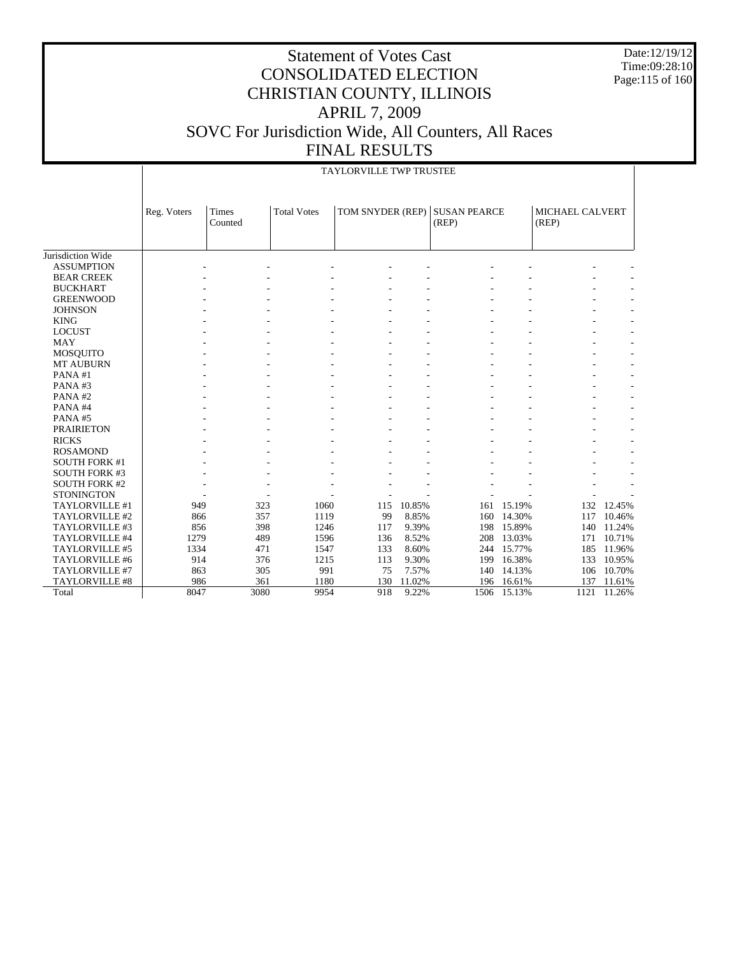Date:12/19/12 Time:09:28:10 Page:115 of 160

|                      |             | <b>TAYLORVILLE TWP TRUSTEE</b> |                    |                  |        |                              |            |                          |        |  |  |
|----------------------|-------------|--------------------------------|--------------------|------------------|--------|------------------------------|------------|--------------------------|--------|--|--|
|                      | Reg. Voters | <b>Times</b><br>Counted        | <b>Total Votes</b> | TOM SNYDER (REP) |        | <b>SUSAN PEARCE</b><br>(REP) |            | MICHAEL CALVERT<br>(REP) |        |  |  |
| Jurisdiction Wide    |             |                                |                    |                  |        |                              |            |                          |        |  |  |
| <b>ASSUMPTION</b>    |             |                                |                    |                  |        |                              |            |                          |        |  |  |
| <b>BEAR CREEK</b>    |             |                                |                    |                  |        |                              |            |                          |        |  |  |
| <b>BUCKHART</b>      |             |                                |                    |                  |        |                              |            |                          |        |  |  |
| <b>GREENWOOD</b>     |             |                                |                    |                  |        |                              |            |                          |        |  |  |
| <b>JOHNSON</b>       |             |                                |                    |                  |        |                              |            |                          |        |  |  |
| <b>KING</b>          |             |                                |                    |                  |        |                              |            |                          |        |  |  |
| <b>LOCUST</b>        |             |                                |                    |                  |        |                              |            |                          |        |  |  |
| <b>MAY</b>           |             |                                |                    |                  |        |                              |            |                          |        |  |  |
| <b>MOSQUITO</b>      |             |                                |                    |                  |        |                              |            |                          |        |  |  |
| <b>MT AUBURN</b>     |             |                                |                    |                  |        |                              |            |                          |        |  |  |
| PANA#1               |             |                                |                    |                  |        |                              |            |                          |        |  |  |
| PANA#3               |             |                                |                    |                  |        |                              |            |                          |        |  |  |
| PANA#2               |             |                                |                    |                  |        |                              |            |                          |        |  |  |
| PANA#4               |             |                                |                    |                  |        |                              |            |                          |        |  |  |
| PANA#5               |             |                                |                    |                  |        |                              |            |                          |        |  |  |
| <b>PRAIRIETON</b>    |             |                                |                    |                  |        |                              |            |                          |        |  |  |
| <b>RICKS</b>         |             |                                |                    |                  |        |                              |            |                          |        |  |  |
| <b>ROSAMOND</b>      |             |                                |                    |                  |        |                              |            |                          |        |  |  |
| <b>SOUTH FORK #1</b> |             |                                |                    |                  |        |                              |            |                          |        |  |  |
| <b>SOUTH FORK #3</b> |             |                                |                    |                  |        |                              |            |                          |        |  |  |
| <b>SOUTH FORK #2</b> |             |                                |                    |                  |        |                              |            |                          |        |  |  |
| <b>STONINGTON</b>    |             |                                |                    |                  |        |                              |            |                          |        |  |  |
| TAYLORVILLE #1       | 949         | 323                            | 1060               | 115              | 10.85% |                              | 161 15.19% | 132                      | 12.45% |  |  |
| TAYLORVILLE #2       | 866         | 357                            | 1119               | 99               | 8.85%  | 160                          | 14.30%     | 117                      | 10.46% |  |  |
| TAYLORVILLE #3       | 856         | 398                            | 1246               | 117              | 9.39%  | 198                          | 15.89%     | 140                      | 11.24% |  |  |
| TAYLORVILLE #4       | 1279        | 489                            | 1596               | 136              | 8.52%  | 208                          | 13.03%     | 171                      | 10.71% |  |  |
| TAYLORVILLE #5       | 1334        | 471                            | 1547               | 133              | 8.60%  | 244                          | 15.77%     | 185                      | 11.96% |  |  |
| TAYLORVILLE #6       | 914         | 376                            | 1215               | 113              | 9.30%  | 199                          | 16.38%     | 133                      | 10.95% |  |  |
| TAYLORVILLE #7       | 863         | 305                            | 991                | 75               | 7.57%  | 140                          | 14.13%     | 106                      | 10.70% |  |  |
| TAYLORVILLE #8       | 986         | 361                            | 1180               | 130              | 11.02% | 196                          | 16.61%     | 137                      | 11.61% |  |  |
| Total                | 8047        | 3080                           | 9954               | 918              | 9.22%  | 1506                         | 15.13%     | 1121                     | 11.26% |  |  |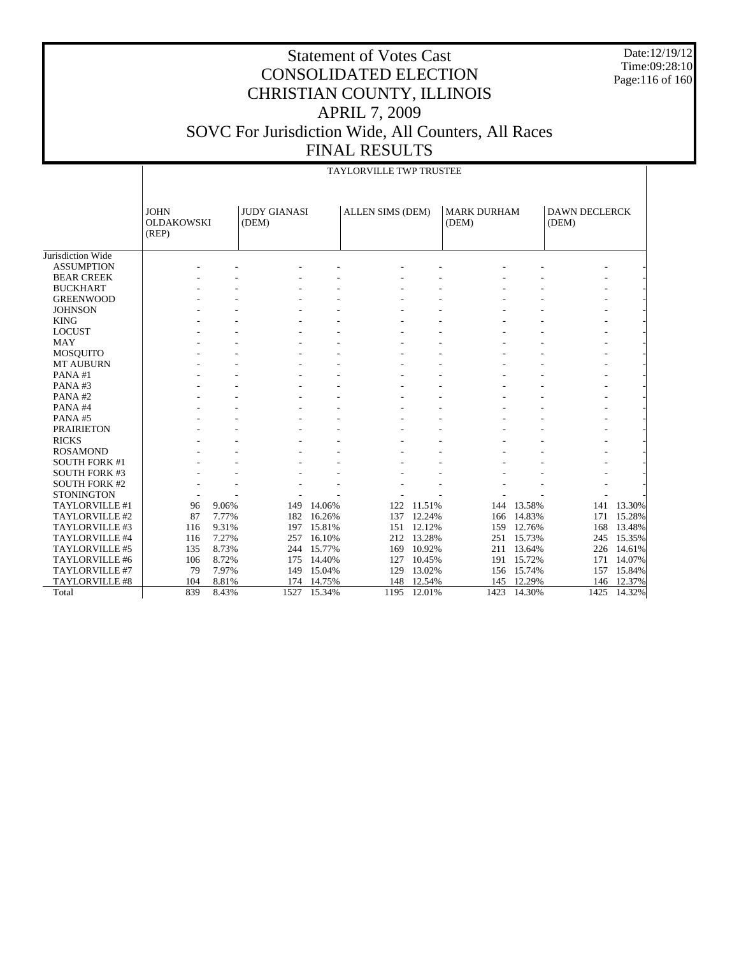Date:12/19/12 Time:09:28:10 Page:116 of 160

### Statement of Votes Cast CONSOLIDATED ELECTION CHRISTIAN COUNTY, ILLINOIS APRIL 7, 2009 SOVC For Jurisdiction Wide, All Counters, All Races FINAL RESULTS

|                      |                            | <b>TAYLORVILLE TWP TRUSTEE</b> |                     |            |                         |            |                    |            |                      |            |  |
|----------------------|----------------------------|--------------------------------|---------------------|------------|-------------------------|------------|--------------------|------------|----------------------|------------|--|
|                      | <b>JOHN</b>                |                                | <b>JUDY GIANASI</b> |            | <b>ALLEN SIMS (DEM)</b> |            | <b>MARK DURHAM</b> |            | <b>DAWN DECLERCK</b> |            |  |
|                      | <b>OLDAKOWSKI</b><br>(REP) |                                | (DEM)               |            |                         |            | (DEM)              |            | (DEM)                |            |  |
|                      |                            |                                |                     |            |                         |            |                    |            |                      |            |  |
| Jurisdiction Wide    |                            |                                |                     |            |                         |            |                    |            |                      |            |  |
| <b>ASSUMPTION</b>    |                            |                                |                     |            |                         |            |                    |            |                      |            |  |
| <b>BEAR CREEK</b>    |                            |                                |                     |            |                         |            |                    |            |                      |            |  |
| <b>BUCKHART</b>      |                            |                                |                     |            |                         |            |                    |            |                      |            |  |
| <b>GREENWOOD</b>     |                            |                                |                     |            |                         |            |                    |            |                      |            |  |
| <b>JOHNSON</b>       |                            |                                |                     |            |                         |            |                    |            |                      |            |  |
| <b>KING</b>          |                            |                                |                     |            |                         |            |                    |            |                      |            |  |
| <b>LOCUST</b>        |                            |                                |                     |            |                         |            |                    |            |                      |            |  |
| <b>MAY</b>           |                            |                                |                     |            |                         |            |                    |            |                      |            |  |
| <b>MOSQUITO</b>      |                            |                                |                     |            |                         |            |                    |            |                      |            |  |
| <b>MT AUBURN</b>     |                            |                                |                     |            |                         |            |                    |            |                      |            |  |
| PANA#1               |                            |                                |                     |            |                         |            |                    |            |                      |            |  |
| PANA#3               |                            |                                |                     |            |                         |            |                    |            |                      |            |  |
| PANA#2               |                            |                                |                     |            |                         |            |                    |            |                      |            |  |
| PANA#4               |                            |                                |                     |            |                         |            |                    |            |                      |            |  |
| PANA#5               |                            |                                |                     |            |                         |            |                    |            |                      |            |  |
| <b>PRAIRIETON</b>    |                            |                                |                     |            |                         |            |                    |            |                      |            |  |
| <b>RICKS</b>         |                            |                                |                     |            |                         |            |                    |            |                      |            |  |
| <b>ROSAMOND</b>      |                            |                                |                     |            |                         |            |                    |            |                      |            |  |
| <b>SOUTH FORK #1</b> |                            |                                |                     |            |                         |            |                    |            |                      |            |  |
| <b>SOUTH FORK #3</b> |                            |                                |                     |            |                         |            |                    |            |                      |            |  |
| <b>SOUTH FORK #2</b> |                            |                                |                     |            |                         |            |                    |            |                      |            |  |
| <b>STONINGTON</b>    |                            |                                |                     |            |                         |            |                    |            |                      |            |  |
| TAYLORVILLE #1       | 96                         | 9.06%                          | 149                 | 14.06%     | 122                     | 11.51%     |                    | 144 13.58% |                      | 141 13.30% |  |
| TAYLORVILLE #2       | 87                         | 7.77%                          | 182                 | 16.26%     | 137                     | 12.24%     |                    | 166 14.83% |                      | 171 15.28% |  |
| TAYLORVILLE #3       | 116                        | 9.31%                          | 197                 | 15.81%     | 151                     | 12.12%     | 159                | 12.76%     | 168                  | 13.48%     |  |
| TAYLORVILLE #4       | 116                        | 7.27%                          | 257                 | 16.10%     |                         | 212 13.28% | 251                | 15.73%     | 245                  | 15.35%     |  |
| TAYLORVILLE #5       | 135                        | 8.73%                          |                     | 244 15.77% | 169                     | 10.92%     |                    | 211 13.64% | 226                  | 14.61%     |  |
| TAYLORVILLE #6       | 106                        | 8.72%                          | 175                 | 14.40%     | 127                     | 10.45%     |                    | 191 15.72% | 171                  | 14.07%     |  |
| TAYLORVILLE #7       | 79                         | 7.97%                          | 149                 | 15.04%     | 129                     | 13.02%     |                    | 156 15.74% | 157                  | 15.84%     |  |
| TAYLORVILLE #8       | 104                        | 8.81%                          | 174                 | 14.75%     | 148                     | 12.54%     | 145                | 12.29%     | 146                  | 12.37%     |  |
| Total                | 839                        | 8.43%                          | 1527                | 15.34%     | 1195                    | 12.01%     | 1423               | 14.30%     | 1425                 | 14.32%     |  |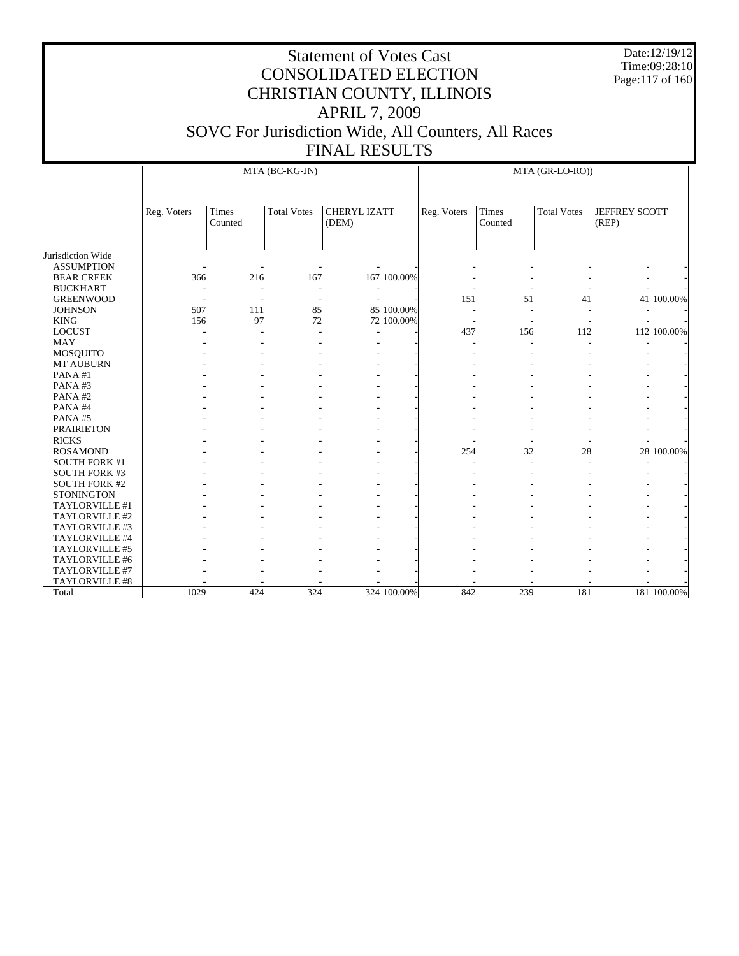Date:12/19/12 Time:09:28:10 Page:117 of 160

|                      |                          |                          | MTA (BC-KG-JN)           |                              | MTA (GR-LO-RO))          |                         |                    |                               |  |
|----------------------|--------------------------|--------------------------|--------------------------|------------------------------|--------------------------|-------------------------|--------------------|-------------------------------|--|
|                      | Reg. Voters              | <b>Times</b><br>Counted  | <b>Total Votes</b>       | <b>CHERYL IZATT</b><br>(DEM) | Reg. Voters              | <b>Times</b><br>Counted | <b>Total Votes</b> | <b>JEFFREY SCOTT</b><br>(REP) |  |
| Jurisdiction Wide    |                          |                          |                          |                              |                          |                         |                    |                               |  |
| <b>ASSUMPTION</b>    |                          |                          |                          |                              |                          |                         |                    |                               |  |
| <b>BEAR CREEK</b>    | 366                      | 216                      | 167                      | 167 100.00%                  |                          |                         |                    |                               |  |
| <b>BUCKHART</b>      |                          | $\overline{\phantom{a}}$ | $\overline{\phantom{a}}$ |                              |                          |                         |                    |                               |  |
| <b>GREENWOOD</b>     | $\overline{\phantom{a}}$ | $\overline{\phantom{a}}$ | $\overline{\phantom{a}}$ | ÷                            | 151                      | 51                      | 41                 | 41 100.00%                    |  |
| <b>JOHNSON</b>       | 507                      | 111                      | 85                       | 85 100,00%                   | $\overline{\phantom{a}}$ |                         |                    |                               |  |
| <b>KING</b>          | 156                      | 97                       | 72                       | 72 100.00%                   | $\overline{\phantom{a}}$ |                         |                    |                               |  |
| <b>LOCUST</b>        |                          | ÷,                       |                          |                              | 437                      | 156                     | 112                | 112 100.00%                   |  |
| <b>MAY</b>           |                          |                          |                          |                              |                          |                         |                    |                               |  |
| <b>MOSQUITO</b>      |                          |                          |                          |                              |                          |                         |                    |                               |  |
| MT AUBURN            |                          |                          |                          |                              |                          |                         |                    |                               |  |
| PANA#1               |                          |                          |                          |                              |                          |                         |                    |                               |  |
| PANA#3               |                          |                          |                          |                              |                          |                         |                    |                               |  |
| PANA#2               |                          |                          |                          |                              |                          |                         |                    |                               |  |
| PANA#4               |                          |                          |                          |                              |                          |                         |                    |                               |  |
| PANA#5               |                          |                          |                          |                              |                          |                         |                    |                               |  |
| <b>PRAIRIETON</b>    |                          |                          |                          |                              |                          |                         |                    |                               |  |
| <b>RICKS</b>         |                          |                          |                          |                              |                          |                         |                    |                               |  |
| <b>ROSAMOND</b>      |                          |                          |                          |                              | 254                      | 32                      | 28                 | 28 100.00%                    |  |
| <b>SOUTH FORK #1</b> |                          |                          |                          |                              |                          |                         |                    |                               |  |
| <b>SOUTH FORK #3</b> |                          |                          |                          |                              |                          |                         |                    |                               |  |
| <b>SOUTH FORK #2</b> |                          |                          |                          |                              |                          |                         |                    |                               |  |
| <b>STONINGTON</b>    |                          |                          |                          |                              |                          |                         |                    |                               |  |
| TAYLORVILLE #1       |                          |                          |                          |                              |                          |                         |                    |                               |  |
| TAYLORVILLE #2       |                          |                          |                          |                              |                          |                         |                    |                               |  |
| TAYLORVILLE #3       |                          |                          |                          |                              |                          |                         |                    |                               |  |
| TAYLORVILLE #4       |                          |                          |                          |                              |                          |                         |                    |                               |  |
| TAYLORVILLE #5       |                          |                          |                          |                              |                          |                         |                    |                               |  |
| TAYLORVILLE #6       |                          |                          |                          |                              |                          |                         |                    |                               |  |
| TAYLORVILLE #7       |                          |                          |                          |                              |                          |                         |                    |                               |  |
| TAYLORVILLE #8       |                          |                          |                          |                              |                          |                         |                    |                               |  |
| Total                | 1029                     | 424                      | 324                      | 324 100,00%                  | 842                      | 239                     | 181                | 181 100.00%                   |  |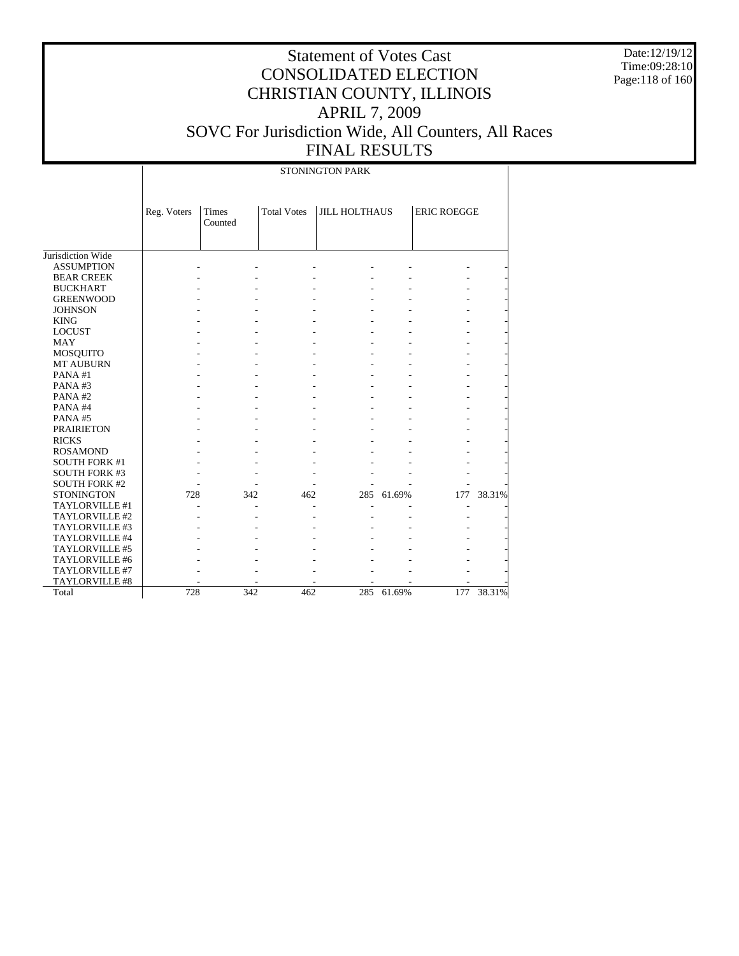Date:12/19/12 Time:09:28:10 Page:118 of 160

# Statement of Votes Cast CONSOLIDATED ELECTION CHRISTIAN COUNTY, ILLINOIS APRIL 7, 2009 SOVC For Jurisdiction Wide, All Counters, All Races FINAL RESULTS

STONINGTON PARK

|                       | Reg. Voters | Times<br>Counted | <b>Total Votes</b> | <b>JILL HOLTHAUS</b> |            | <b>ERIC ROEGGE</b> |        |
|-----------------------|-------------|------------------|--------------------|----------------------|------------|--------------------|--------|
| Jurisdiction Wide     |             |                  |                    |                      |            |                    |        |
| <b>ASSUMPTION</b>     |             |                  |                    |                      |            |                    |        |
| <b>BEAR CREEK</b>     |             |                  |                    |                      |            |                    |        |
| <b>BUCKHART</b>       |             |                  |                    |                      |            |                    |        |
| <b>GREENWOOD</b>      |             |                  |                    |                      |            |                    |        |
| <b>JOHNSON</b>        |             |                  |                    |                      |            |                    |        |
| <b>KING</b>           |             |                  |                    |                      |            |                    |        |
| <b>LOCUST</b>         |             |                  |                    |                      |            |                    |        |
| <b>MAY</b>            |             |                  |                    |                      |            |                    |        |
| <b>MOSQUITO</b>       |             |                  |                    |                      |            |                    |        |
| <b>MT AUBURN</b>      |             |                  |                    |                      |            |                    |        |
| PANA#1                |             |                  |                    |                      |            |                    |        |
| PANA#3                |             |                  |                    |                      |            |                    |        |
| PANA#2                |             |                  |                    |                      |            |                    |        |
| PANA#4                |             |                  |                    |                      |            |                    |        |
| PANA#5                |             |                  |                    |                      |            |                    |        |
| <b>PRAIRIETON</b>     |             |                  |                    |                      |            |                    |        |
| <b>RICKS</b>          |             |                  |                    |                      |            |                    |        |
| <b>ROSAMOND</b>       |             |                  |                    |                      |            |                    |        |
| <b>SOUTH FORK #1</b>  |             |                  |                    |                      |            |                    |        |
| <b>SOUTH FORK #3</b>  |             |                  |                    |                      |            |                    |        |
| <b>SOUTH FORK #2</b>  |             |                  |                    |                      |            |                    |        |
| <b>STONINGTON</b>     | 728         | 342              | 462                |                      | 285 61.69% | 177                | 38.31% |
| TAYLORVILLE #1        |             |                  |                    |                      |            |                    |        |
| TAYLORVILLE #2        |             |                  |                    |                      |            |                    |        |
| TAYLORVILLE #3        |             |                  |                    |                      |            |                    |        |
| TAYLORVILLE #4        |             |                  |                    |                      |            |                    |        |
| <b>TAYLORVILLE #5</b> |             |                  |                    |                      |            |                    |        |
| TAYLORVILLE #6        |             |                  |                    |                      |            |                    |        |
| TAYLORVILLE #7        |             |                  |                    |                      |            |                    |        |
| <b>TAYLORVILLE #8</b> |             |                  |                    |                      |            |                    |        |
| Total                 | 728         | 342              | 462                | 285                  | 61.69%     | 177                | 38.31% |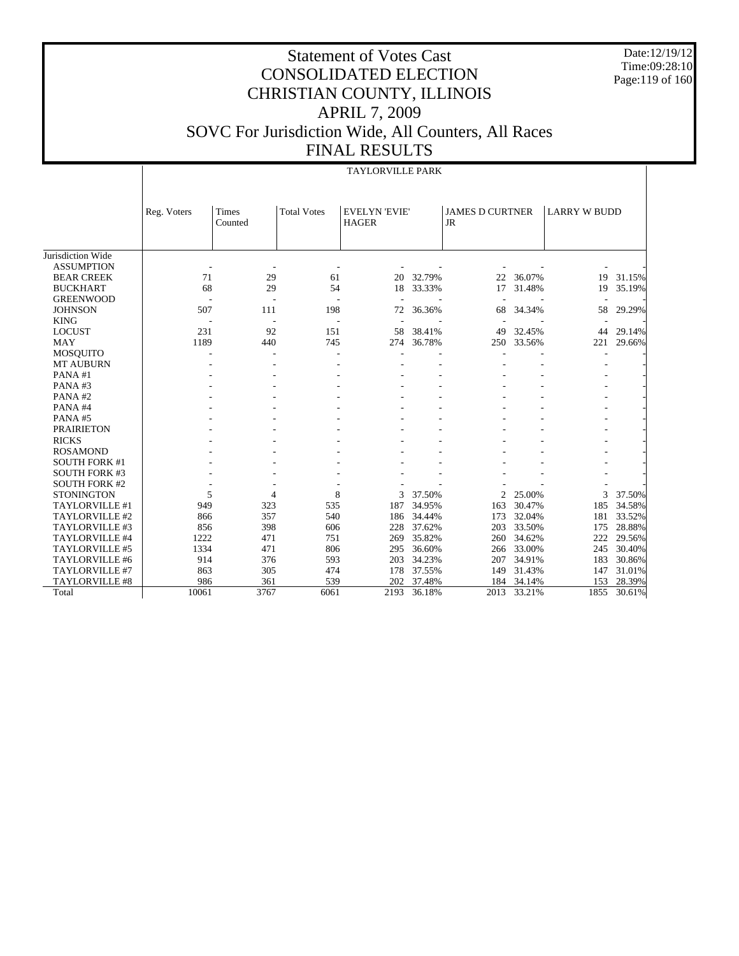Date:12/19/12 Time:09:28:10 Page:119 of 160

|                       | <b>TAYLORVILLE PARK</b>  |                  |                    |                                      |        |                                     |            |                     |        |  |  |
|-----------------------|--------------------------|------------------|--------------------|--------------------------------------|--------|-------------------------------------|------------|---------------------|--------|--|--|
|                       | Reg. Voters              | Times<br>Counted | <b>Total Votes</b> | <b>EVELYN 'EVIE'</b><br><b>HAGER</b> |        | <b>JAMES D CURTNER</b><br><b>JR</b> |            | <b>LARRY W BUDD</b> |        |  |  |
| Jurisdiction Wide     |                          |                  |                    |                                      |        |                                     |            |                     |        |  |  |
| <b>ASSUMPTION</b>     |                          |                  |                    |                                      |        |                                     |            |                     |        |  |  |
| <b>BEAR CREEK</b>     | 71                       | 29               | 61                 | 20                                   | 32.79% | 22                                  | 36.07%     | 19                  | 31.15% |  |  |
| <b>BUCKHART</b>       | 68                       | 29               | 54                 | 18                                   | 33.33% | 17                                  | 31.48%     | 19                  | 35.19% |  |  |
| <b>GREENWOOD</b>      | $\overline{\phantom{a}}$ | $\overline{a}$   | ÷,                 |                                      |        |                                     |            |                     |        |  |  |
| <b>JOHNSON</b>        | 507                      | 111              | 198                | 72                                   | 36.36% | 68                                  | 34.34%     | 58                  | 29.29% |  |  |
| <b>KING</b>           | ÷,                       |                  |                    |                                      |        |                                     |            |                     |        |  |  |
| <b>LOCUST</b>         | 231                      | 92               | 151                | 58                                   | 38.41% | 49                                  | 32.45%     | 44                  | 29.14% |  |  |
| <b>MAY</b>            | 1189                     | 440              | 745                | 274                                  | 36.78% |                                     | 250 33.56% | 221                 | 29.66% |  |  |
| <b>MOSQUITO</b>       |                          |                  |                    |                                      |        |                                     |            |                     |        |  |  |
| <b>MT AUBURN</b>      |                          |                  |                    |                                      |        |                                     |            |                     |        |  |  |
| PANA#1                |                          |                  |                    |                                      |        |                                     |            |                     |        |  |  |
| PANA#3                |                          |                  |                    |                                      |        |                                     |            |                     |        |  |  |
| PANA#2                |                          |                  |                    |                                      |        |                                     |            |                     |        |  |  |
| PANA#4                |                          |                  |                    |                                      |        |                                     |            |                     |        |  |  |
| PANA#5                |                          |                  |                    |                                      |        |                                     |            |                     |        |  |  |
| <b>PRAIRIETON</b>     |                          |                  |                    |                                      |        |                                     |            |                     |        |  |  |
| <b>RICKS</b>          |                          |                  |                    |                                      |        |                                     |            |                     |        |  |  |
| <b>ROSAMOND</b>       |                          |                  |                    |                                      |        |                                     |            |                     |        |  |  |
| <b>SOUTH FORK #1</b>  |                          |                  |                    |                                      |        |                                     |            |                     |        |  |  |
| <b>SOUTH FORK #3</b>  |                          |                  |                    |                                      |        |                                     |            |                     |        |  |  |
| <b>SOUTH FORK #2</b>  |                          |                  |                    |                                      |        |                                     |            |                     |        |  |  |
| <b>STONINGTON</b>     | 5                        | 4                | 8                  | 3                                    | 37.50% | $\overline{2}$                      | 25.00%     | 3                   | 37.50% |  |  |
| TAYLORVILLE #1        | 949                      | 323              | 535                | 187                                  | 34.95% | 163                                 | 30.47%     | 185                 | 34.58% |  |  |
| TAYLORVILLE #2        | 866                      | 357              | 540                | 186                                  | 34.44% | 173                                 | 32.04%     | 181                 | 33.52% |  |  |
| TAYLORVILLE #3        | 856                      | 398              | 606                | 228                                  | 37.62% | 203                                 | 33.50%     | 175                 | 28.88% |  |  |
| TAYLORVILLE #4        | 1222                     | 471              | 751                | 269                                  | 35.82% | 260                                 | 34.62%     | 222                 | 29.56% |  |  |
| TAYLORVILLE #5        | 1334                     | 471              | 806                | 295                                  | 36.60% | 266                                 | 33.00%     | 245                 | 30.40% |  |  |
| TAYLORVILLE #6        | 914                      | 376              | 593                | 203                                  | 34.23% | 207                                 | 34.91%     | 183                 | 30.86% |  |  |
| TAYLORVILLE #7        | 863                      | 305              | 474                | 178                                  | 37.55% | 149                                 | 31.43%     | 147                 | 31.01% |  |  |
| <b>TAYLORVILLE #8</b> | 986                      | 361              | 539                | 202                                  | 37.48% |                                     | 184 34.14% | 153                 | 28.39% |  |  |
| Total                 | 10061                    | 3767             | 6061               | 2193                                 | 36.18% | 2013                                | 33.21%     | 1855                | 30.61% |  |  |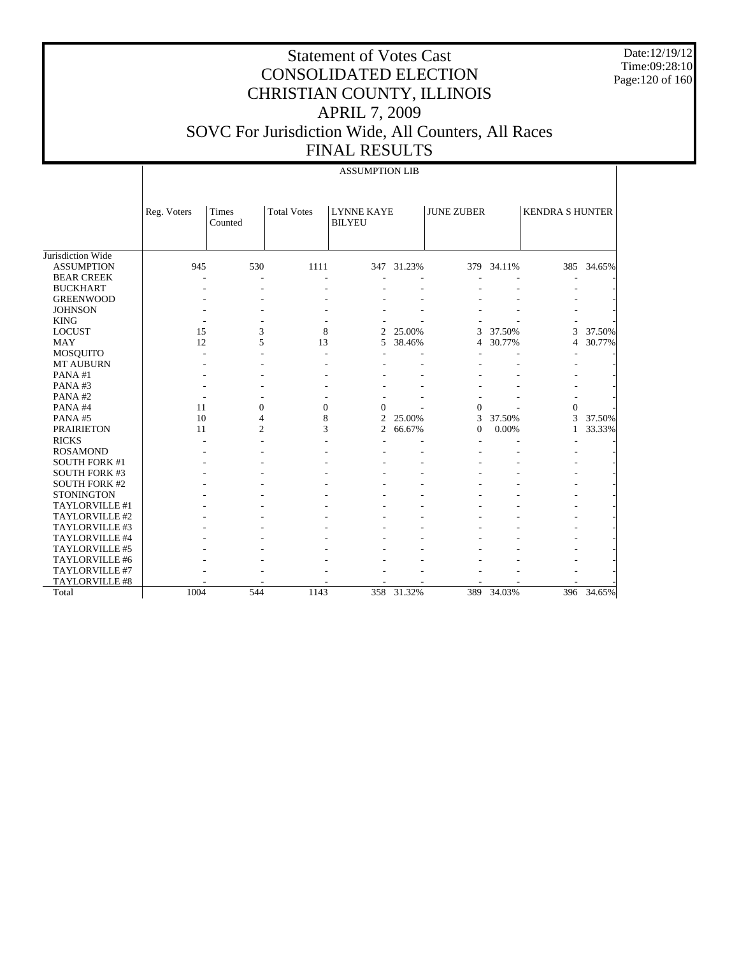Date:12/19/12 Time:09:28:10 Page:120 of 160

|                      |             | <b>ASSUMPTION LIB</b>   |                    |                                    |            |                   |        |                        |            |  |  |
|----------------------|-------------|-------------------------|--------------------|------------------------------------|------------|-------------------|--------|------------------------|------------|--|--|
|                      | Reg. Voters | <b>Times</b><br>Counted | <b>Total Votes</b> | <b>LYNNE KAYE</b><br><b>BILYEU</b> |            | <b>JUNE ZUBER</b> |        | <b>KENDRA S HUNTER</b> |            |  |  |
| Jurisdiction Wide    |             |                         |                    |                                    |            |                   |        |                        |            |  |  |
| <b>ASSUMPTION</b>    | 945         | 530                     | 1111               |                                    | 347 31.23% | 379               | 34.11% |                        | 385 34.65% |  |  |
| <b>BEAR CREEK</b>    |             |                         |                    |                                    |            |                   |        |                        |            |  |  |
| <b>BUCKHART</b>      |             |                         |                    |                                    |            |                   |        |                        |            |  |  |
| <b>GREENWOOD</b>     |             |                         |                    |                                    |            |                   |        |                        |            |  |  |
| <b>JOHNSON</b>       |             |                         |                    |                                    |            |                   |        |                        |            |  |  |
| <b>KING</b>          |             |                         |                    |                                    |            |                   |        |                        |            |  |  |
| <b>LOCUST</b>        | 15          | 3                       | 8                  | $\overline{c}$                     | 25.00%     | 3                 | 37.50% | 3                      | 37.50%     |  |  |
| <b>MAY</b>           | 12          | 5                       | 13                 | 5                                  | 38.46%     | 4                 | 30.77% | $\overline{4}$         | 30.77%     |  |  |
| <b>MOSQUITO</b>      |             |                         |                    |                                    |            |                   |        |                        |            |  |  |
| <b>MT AUBURN</b>     |             |                         |                    |                                    |            |                   |        |                        |            |  |  |
| PANA#1               |             |                         |                    |                                    |            |                   |        |                        |            |  |  |
| PANA#3               |             |                         |                    |                                    |            |                   |        |                        |            |  |  |
| PANA#2               |             |                         |                    |                                    |            |                   |        |                        |            |  |  |
| PANA#4               | 11          | $\overline{0}$          | $\overline{0}$     | $\Omega$                           |            | $\theta$          |        | $\theta$               |            |  |  |
| PANA#5               | 10          | 4                       | 8                  | $\overline{c}$                     | 25.00%     | 3                 | 37.50% | 3                      | 37.50%     |  |  |
| <b>PRAIRIETON</b>    | 11          | $\overline{2}$          | 3                  | $\overline{c}$                     | 66.67%     | $\Omega$          | 0.00%  | 1                      | 33.33%     |  |  |
| <b>RICKS</b>         |             |                         |                    |                                    |            |                   |        |                        |            |  |  |
| <b>ROSAMOND</b>      |             |                         |                    |                                    |            |                   |        |                        |            |  |  |
| <b>SOUTH FORK #1</b> |             |                         |                    |                                    |            |                   |        |                        |            |  |  |
| <b>SOUTH FORK #3</b> |             |                         |                    |                                    |            |                   |        |                        |            |  |  |
| <b>SOUTH FORK #2</b> |             |                         |                    |                                    |            |                   |        |                        |            |  |  |
| <b>STONINGTON</b>    |             |                         |                    |                                    |            |                   |        |                        |            |  |  |
| TAYLORVILLE #1       |             |                         |                    |                                    |            |                   |        |                        |            |  |  |
| TAYLORVILLE #2       |             |                         |                    |                                    |            |                   |        |                        |            |  |  |
| TAYLORVILLE #3       |             |                         |                    |                                    |            |                   |        |                        |            |  |  |
| TAYLORVILLE #4       |             |                         |                    |                                    |            |                   |        |                        |            |  |  |
| TAYLORVILLE #5       |             |                         |                    |                                    |            |                   |        |                        |            |  |  |
| TAYLORVILLE #6       |             |                         |                    |                                    |            |                   |        |                        |            |  |  |
| TAYLORVILLE #7       |             |                         |                    |                                    |            |                   |        |                        |            |  |  |
| TAYLORVILLE #8       |             |                         |                    |                                    |            |                   |        |                        |            |  |  |
| Total                | 1004        | 544                     | 1143               | 358                                | 31.32%     | 389               | 34.03% |                        | 396 34.65% |  |  |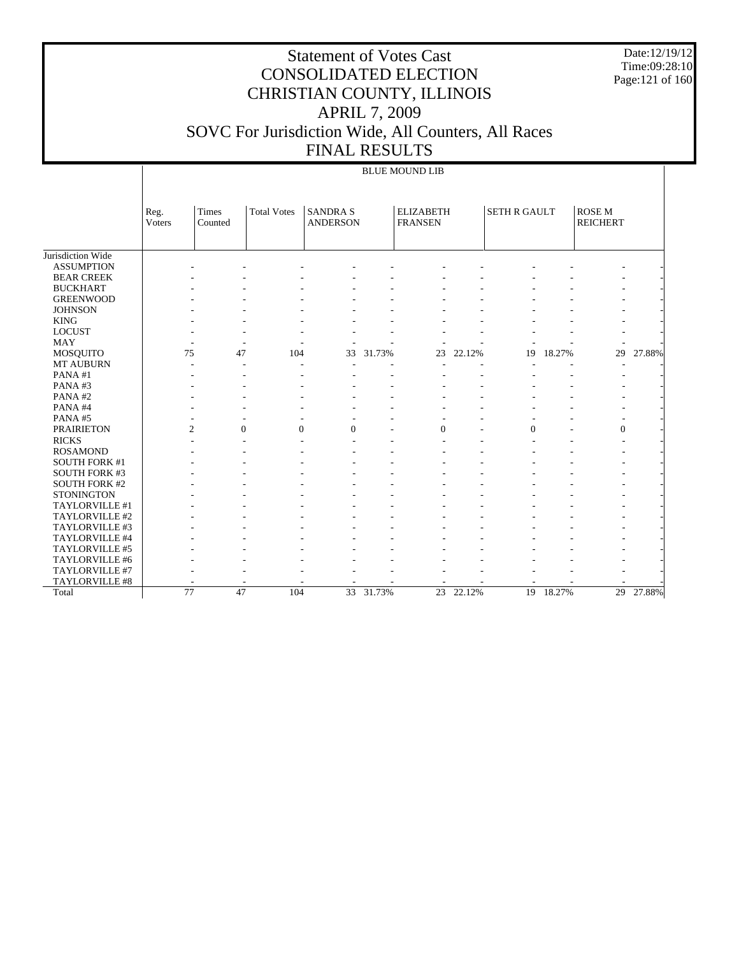Date:12/19/12 Time:09:28:10 Page:121 of 160

# Statement of Votes Cast CONSOLIDATED ELECTION CHRISTIAN COUNTY, ILLINOIS APRIL 7, 2009 SOVC For Jurisdiction Wide, All Counters, All Races FINAL RESULTS

### BLUE MOUND LIB

|                      | Reg.<br>Voters           | Times<br>Counted | <b>Total Votes</b> | <b>SANDRA S</b><br><b>ANDERSON</b> |           | <b>ELIZABETH</b><br><b>FRANSEN</b> |           | <b>SETH R GAULT</b> |           | <b>ROSEM</b><br><b>REICHERT</b> |        |
|----------------------|--------------------------|------------------|--------------------|------------------------------------|-----------|------------------------------------|-----------|---------------------|-----------|---------------------------------|--------|
|                      |                          |                  |                    |                                    |           |                                    |           |                     |           |                                 |        |
| Jurisdiction Wide    |                          |                  |                    |                                    |           |                                    |           |                     |           |                                 |        |
| <b>ASSUMPTION</b>    |                          |                  |                    |                                    |           |                                    |           |                     |           |                                 |        |
| <b>BEAR CREEK</b>    |                          |                  |                    |                                    |           |                                    |           |                     |           |                                 |        |
| <b>BUCKHART</b>      |                          |                  |                    |                                    |           |                                    |           |                     |           |                                 |        |
| <b>GREENWOOD</b>     |                          |                  |                    |                                    |           |                                    |           |                     |           |                                 |        |
| <b>JOHNSON</b>       |                          |                  |                    |                                    |           |                                    |           |                     |           |                                 |        |
| <b>KING</b>          |                          |                  |                    |                                    |           |                                    |           |                     |           |                                 |        |
| <b>LOCUST</b>        |                          |                  |                    |                                    |           |                                    |           |                     |           |                                 |        |
| <b>MAY</b>           |                          |                  |                    |                                    |           |                                    |           |                     |           |                                 |        |
| MOSQUITO             | 75                       | 47               | 104                | 33                                 | 31.73%    | 23                                 | 22.12%    | 19                  | 18.27%    | 29                              | 27.88% |
| <b>MT AUBURN</b>     |                          |                  |                    |                                    |           |                                    |           |                     |           | $\overline{a}$                  |        |
| PANA#1               |                          |                  |                    |                                    |           |                                    |           |                     |           |                                 |        |
| PANA#3               |                          |                  |                    |                                    |           |                                    |           |                     |           |                                 |        |
| PANA#2               |                          |                  |                    |                                    |           |                                    |           |                     |           |                                 |        |
| PANA#4               |                          |                  |                    |                                    |           |                                    |           |                     |           |                                 |        |
| PANA#5               |                          |                  |                    |                                    |           |                                    |           |                     |           |                                 |        |
| <b>PRAIRIETON</b>    | $\overline{c}$           | $\Omega$         | $\Omega$           | $\Omega$                           |           | $\theta$                           |           | $\Omega$            |           | $\overline{0}$                  |        |
| <b>RICKS</b>         |                          |                  |                    |                                    |           |                                    |           |                     |           |                                 |        |
| <b>ROSAMOND</b>      |                          |                  |                    |                                    |           |                                    |           |                     |           |                                 |        |
| <b>SOUTH FORK #1</b> |                          |                  |                    |                                    |           |                                    |           |                     |           |                                 |        |
| <b>SOUTH FORK #3</b> |                          |                  |                    |                                    |           |                                    |           |                     |           |                                 |        |
| <b>SOUTH FORK #2</b> |                          |                  |                    |                                    |           |                                    |           |                     |           |                                 |        |
| <b>STONINGTON</b>    |                          |                  |                    |                                    |           |                                    |           |                     |           |                                 |        |
| TAYLORVILLE #1       |                          |                  |                    |                                    |           |                                    |           |                     |           | ÷,                              |        |
| TAYLORVILLE #2       |                          |                  |                    |                                    |           |                                    |           |                     |           |                                 |        |
| TAYLORVILLE #3       |                          |                  |                    |                                    |           |                                    |           |                     |           |                                 |        |
| TAYLORVILLE #4       |                          |                  |                    |                                    |           |                                    |           |                     |           |                                 |        |
| TAYLORVILLE #5       |                          |                  |                    |                                    |           |                                    |           |                     |           |                                 |        |
| TAYLORVILLE #6       |                          |                  |                    |                                    |           |                                    |           |                     |           |                                 |        |
| TAYLORVILLE #7       |                          |                  |                    |                                    |           |                                    |           |                     |           |                                 |        |
| TAYLORVILLE #8       | $\overline{\phantom{a}}$ | ٠.               |                    | ٠                                  |           | ٠                                  | ۰         |                     |           |                                 |        |
| Total                | $\overline{77}$          | 47               | 104                |                                    | 33 31.73% |                                    | 23 22.12% |                     | 19 18.27% | 29                              | 27.88% |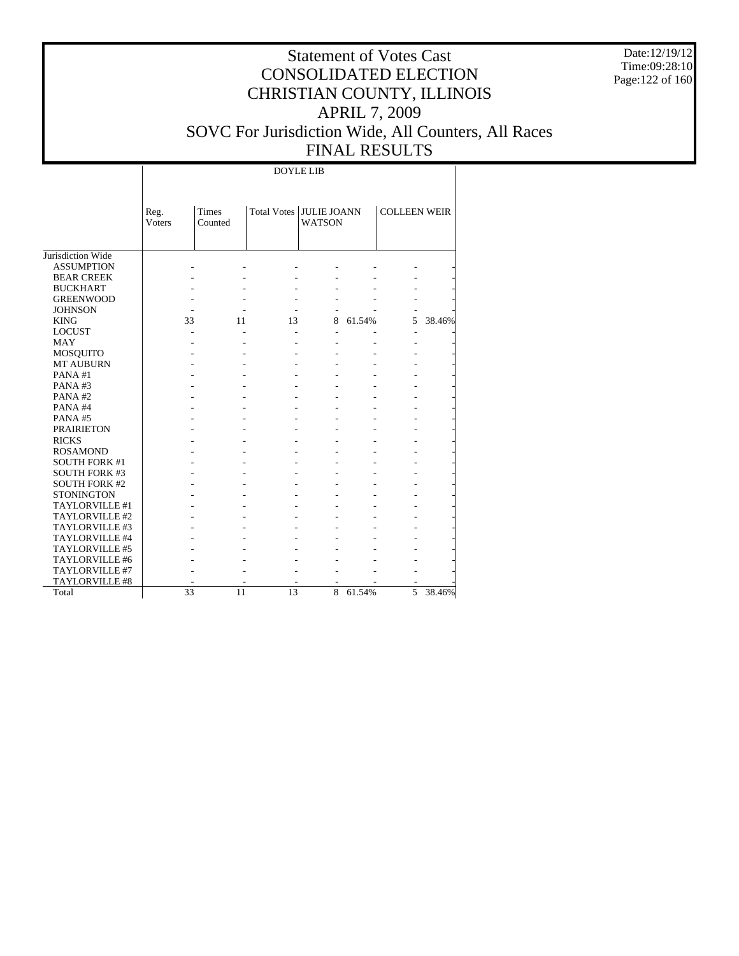Date:12/19/12 Time:09:28:10 Page:122 of 160

# Statement of Votes Cast CONSOLIDATED ELECTION CHRISTIAN COUNTY, ILLINOIS APRIL 7, 2009 SOVC For Jurisdiction Wide, All Counters, All Races FINAL RESULTS

DOYLE LIB

|                       | Reg.<br><b>Voters</b> | <b>Times</b><br>Counted | Total Votes JULIE JOANN | <b>WATSON</b>            |        | <b>COLLEEN WEIR</b> |        |
|-----------------------|-----------------------|-------------------------|-------------------------|--------------------------|--------|---------------------|--------|
| Jurisdiction Wide     |                       |                         |                         |                          |        |                     |        |
| <b>ASSUMPTION</b>     |                       |                         |                         |                          |        |                     |        |
| <b>BEAR CREEK</b>     |                       |                         |                         |                          |        |                     |        |
| <b>BUCKHART</b>       |                       |                         |                         |                          |        |                     |        |
| <b>GREENWOOD</b>      |                       |                         |                         |                          |        |                     |        |
| <b>JOHNSON</b>        |                       |                         |                         | $\overline{\phantom{a}}$ |        |                     |        |
| <b>KING</b>           | 33                    | 11                      | 13                      | 8                        | 61.54% | 5                   | 38.46% |
| <b>LOCUST</b>         |                       |                         |                         | $\overline{a}$           |        | $\overline{a}$      |        |
| <b>MAY</b>            |                       |                         |                         |                          |        |                     |        |
| <b>MOSQUITO</b>       |                       |                         |                         |                          |        |                     |        |
| <b>MT AUBURN</b>      |                       |                         |                         |                          |        |                     |        |
| PANA#1                |                       |                         |                         |                          |        |                     |        |
| PANA#3                |                       |                         |                         |                          |        |                     |        |
| PANA#2                |                       |                         |                         |                          |        |                     |        |
| PANA#4                |                       |                         |                         |                          |        |                     |        |
| PANA#5                |                       |                         |                         |                          |        |                     |        |
| <b>PRAIRIETON</b>     |                       |                         |                         |                          |        |                     |        |
| <b>RICKS</b>          |                       |                         |                         |                          |        |                     |        |
| <b>ROSAMOND</b>       |                       |                         |                         |                          |        |                     |        |
| <b>SOUTH FORK #1</b>  |                       |                         |                         |                          |        |                     |        |
| <b>SOUTH FORK #3</b>  |                       |                         |                         |                          |        |                     |        |
| <b>SOUTH FORK #2</b>  |                       |                         |                         |                          |        |                     |        |
| <b>STONINGTON</b>     |                       |                         |                         |                          |        |                     |        |
| TAYLORVILLE #1        |                       |                         |                         |                          |        |                     |        |
| TAYLORVILLE #2        |                       |                         |                         |                          |        |                     |        |
| TAYLORVILLE #3        |                       |                         |                         |                          |        |                     |        |
| TAYLORVILLE #4        |                       |                         |                         |                          |        |                     |        |
| TAYLORVILLE #5        |                       |                         |                         |                          |        |                     |        |
| TAYLORVILLE #6        |                       |                         |                         |                          |        |                     |        |
| TAYLORVILLE #7        |                       |                         |                         |                          |        |                     |        |
| <b>TAYLORVILLE #8</b> |                       |                         |                         |                          |        |                     |        |
| Total                 | 33                    | 11                      | 13                      | 8                        | 61.54% | 5                   | 38.46% |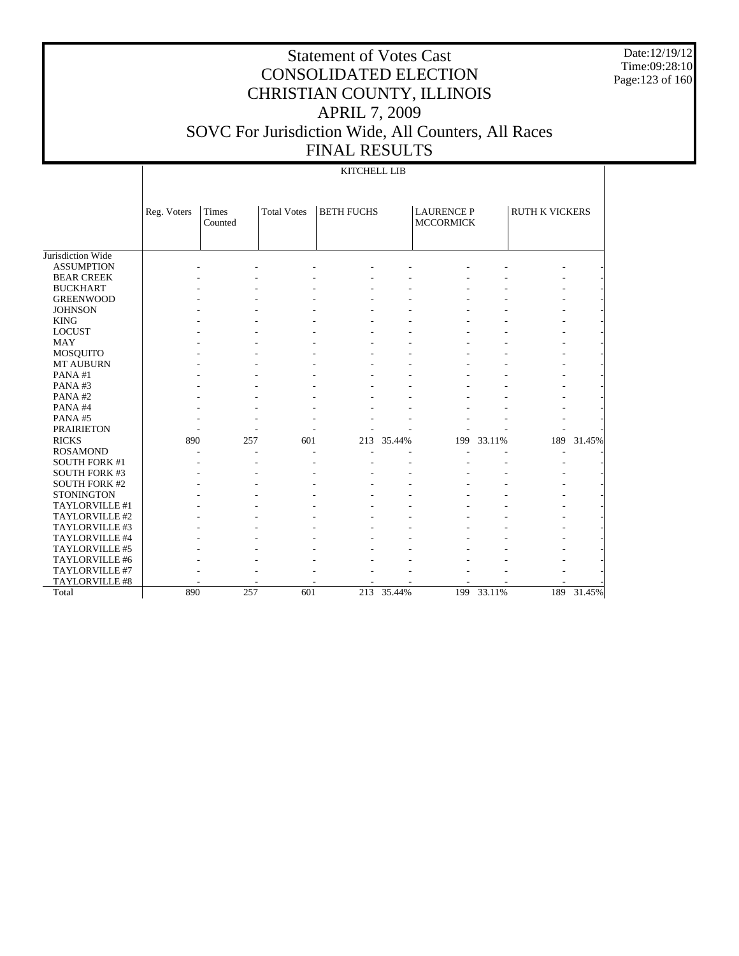Date:12/19/12 Time:09:28:10 Page:123 of 160

# Statement of Votes Cast CONSOLIDATED ELECTION CHRISTIAN COUNTY, ILLINOIS APRIL 7, 2009 SOVC For Jurisdiction Wide, All Counters, All Races FINAL RESULTS

### KITCHELL LIB

|                      | Reg. Voters | <b>Times</b><br>Counted | <b>Total Votes</b> | <b>BETH FUCHS</b> |            | <b>LAURENCE P</b><br><b>MCCORMICK</b> |            | <b>RUTH K VICKERS</b> |        |
|----------------------|-------------|-------------------------|--------------------|-------------------|------------|---------------------------------------|------------|-----------------------|--------|
| Jurisdiction Wide    |             |                         |                    |                   |            |                                       |            |                       |        |
| <b>ASSUMPTION</b>    |             |                         |                    |                   |            |                                       |            |                       |        |
| <b>BEAR CREEK</b>    |             |                         |                    |                   |            |                                       |            |                       |        |
| <b>BUCKHART</b>      |             |                         |                    |                   |            |                                       |            |                       |        |
| <b>GREENWOOD</b>     |             |                         |                    |                   |            |                                       |            |                       |        |
| <b>JOHNSON</b>       |             |                         |                    |                   |            |                                       |            |                       |        |
| <b>KING</b>          |             |                         |                    |                   |            |                                       |            |                       |        |
| <b>LOCUST</b>        |             |                         |                    |                   |            |                                       |            |                       |        |
| <b>MAY</b>           |             |                         |                    |                   |            |                                       |            |                       |        |
| MOSQUITO             |             |                         |                    |                   |            |                                       |            |                       |        |
| MT AUBURN            |             |                         |                    |                   |            |                                       |            |                       |        |
| PANA#1               |             |                         |                    |                   |            |                                       |            |                       |        |
| PANA#3               |             |                         |                    |                   |            |                                       |            |                       |        |
| PANA#2               |             |                         |                    |                   |            |                                       |            |                       |        |
| PANA#4               |             |                         |                    |                   |            |                                       |            |                       |        |
| PANA#5               |             |                         |                    |                   |            |                                       |            |                       |        |
| <b>PRAIRIETON</b>    |             |                         |                    |                   |            |                                       |            |                       |        |
| <b>RICKS</b>         | 890         | 257                     | 601                | 213               | 35.44%     | 199                                   | 33.11%     | 189                   | 31.45% |
| <b>ROSAMOND</b>      |             |                         |                    |                   |            |                                       |            |                       |        |
| <b>SOUTH FORK #1</b> |             |                         |                    |                   |            |                                       |            |                       |        |
| <b>SOUTH FORK #3</b> |             |                         |                    |                   |            |                                       |            |                       |        |
| <b>SOUTH FORK #2</b> |             |                         |                    |                   |            |                                       |            |                       |        |
| <b>STONINGTON</b>    |             |                         |                    |                   |            |                                       |            |                       |        |
| TAYLORVILLE #1       |             |                         |                    |                   |            |                                       |            |                       |        |
| TAYLORVILLE #2       |             |                         |                    |                   |            |                                       |            |                       |        |
| TAYLORVILLE #3       |             |                         |                    |                   |            |                                       |            |                       |        |
| TAYLORVILLE #4       |             |                         |                    |                   |            |                                       |            |                       |        |
| TAYLORVILLE #5       |             |                         |                    |                   |            |                                       |            |                       |        |
| TAYLORVILLE #6       |             |                         |                    |                   |            |                                       |            |                       |        |
| TAYLORVILLE #7       |             |                         |                    |                   |            |                                       |            |                       |        |
| TAYLORVILLE #8       |             |                         |                    |                   |            |                                       |            |                       |        |
| Total                | 890         | 257                     | 601                |                   | 213 35.44% |                                       | 199 33.11% | 189                   | 31.45% |
|                      |             |                         |                    |                   |            |                                       |            |                       |        |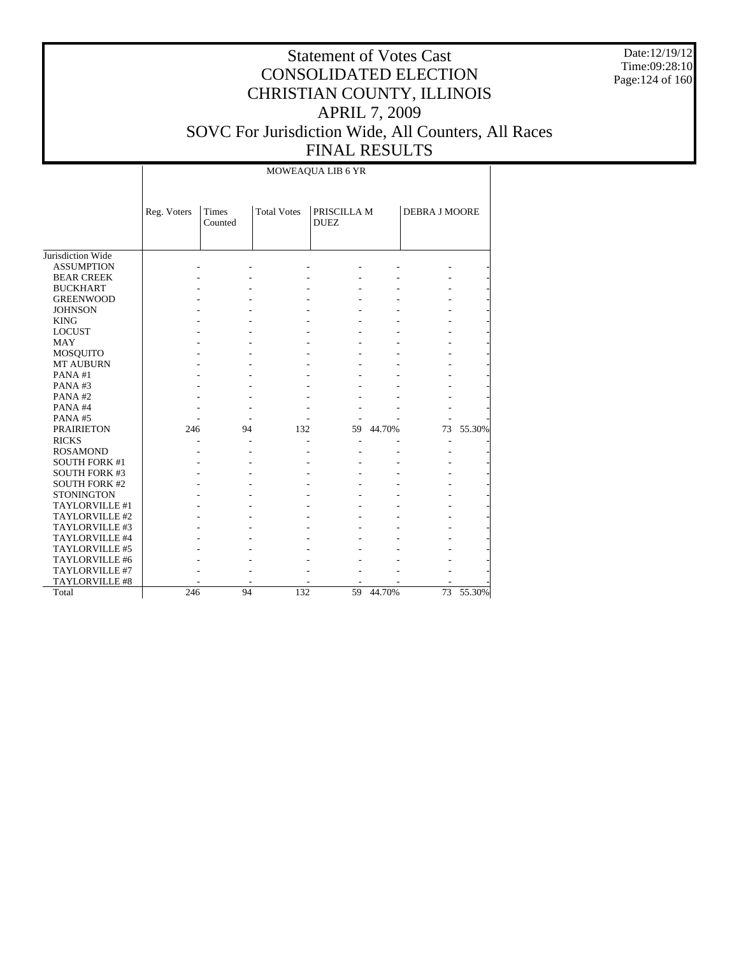Date:12/19/12 Time:09:28:10 Page:124 of 160

# Statement of Votes Cast CONSOLIDATED ELECTION CHRISTIAN COUNTY, ILLINOIS APRIL 7, 2009 SOVC For Jurisdiction Wide, All Counters, All Races FINAL RESULTS

### MOWEAQUA LIB 6 YR

|                      | Reg. Voters | Times<br>Counted | <b>Total Votes</b> | PRISCILLA M<br><b>DUEZ</b> |        | <b>DEBRA J MOORE</b> |        |
|----------------------|-------------|------------------|--------------------|----------------------------|--------|----------------------|--------|
| Jurisdiction Wide    |             |                  |                    |                            |        |                      |        |
| <b>ASSUMPTION</b>    |             |                  |                    |                            |        |                      |        |
| <b>BEAR CREEK</b>    |             |                  |                    |                            |        |                      |        |
| <b>BUCKHART</b>      |             |                  |                    |                            |        |                      |        |
| <b>GREENWOOD</b>     |             |                  |                    |                            |        |                      |        |
| <b>JOHNSON</b>       |             |                  |                    |                            |        |                      |        |
| <b>KING</b>          |             |                  |                    |                            |        |                      |        |
| <b>LOCUST</b>        |             |                  |                    |                            |        |                      |        |
| <b>MAY</b>           |             |                  |                    |                            |        |                      |        |
| MOSQUITO             |             |                  |                    |                            |        |                      |        |
| <b>MT AUBURN</b>     |             |                  |                    |                            |        |                      |        |
| PANA#1               |             |                  |                    |                            |        |                      |        |
| PANA#3               |             |                  |                    |                            |        |                      |        |
| PANA#2               |             |                  |                    |                            |        |                      |        |
| PANA#4               |             |                  |                    |                            |        |                      |        |
| PANA#5               |             |                  |                    |                            |        |                      |        |
| <b>PRAIRIETON</b>    | 246         | 94               | 132                | 59                         | 44.70% | 73                   | 55.30% |
| <b>RICKS</b>         |             |                  |                    |                            |        | L,                   |        |
| <b>ROSAMOND</b>      |             |                  |                    |                            |        |                      |        |
| <b>SOUTH FORK #1</b> |             |                  |                    |                            |        |                      |        |
| <b>SOUTH FORK #3</b> |             |                  |                    |                            |        |                      |        |
| <b>SOUTH FORK #2</b> |             |                  |                    |                            |        |                      |        |
| <b>STONINGTON</b>    |             |                  |                    |                            |        |                      |        |
| TAYLORVILLE #1       |             |                  |                    |                            |        |                      |        |
| TAYLORVILLE #2       |             |                  |                    |                            |        |                      |        |
| TAYLORVILLE #3       |             |                  |                    |                            |        |                      |        |
| TAYLORVILLE #4       |             |                  |                    |                            |        |                      |        |
| TAYLORVILLE #5       |             |                  |                    |                            |        |                      |        |
| TAYLORVILLE #6       |             |                  |                    |                            |        |                      |        |
| TAYLORVILLE #7       |             |                  |                    |                            |        |                      |        |
| TAYLORVILLE #8       |             |                  |                    |                            |        |                      |        |
| Total                | 246         | 94               | 132                | 59                         | 44.70% | 73                   | 55.30% |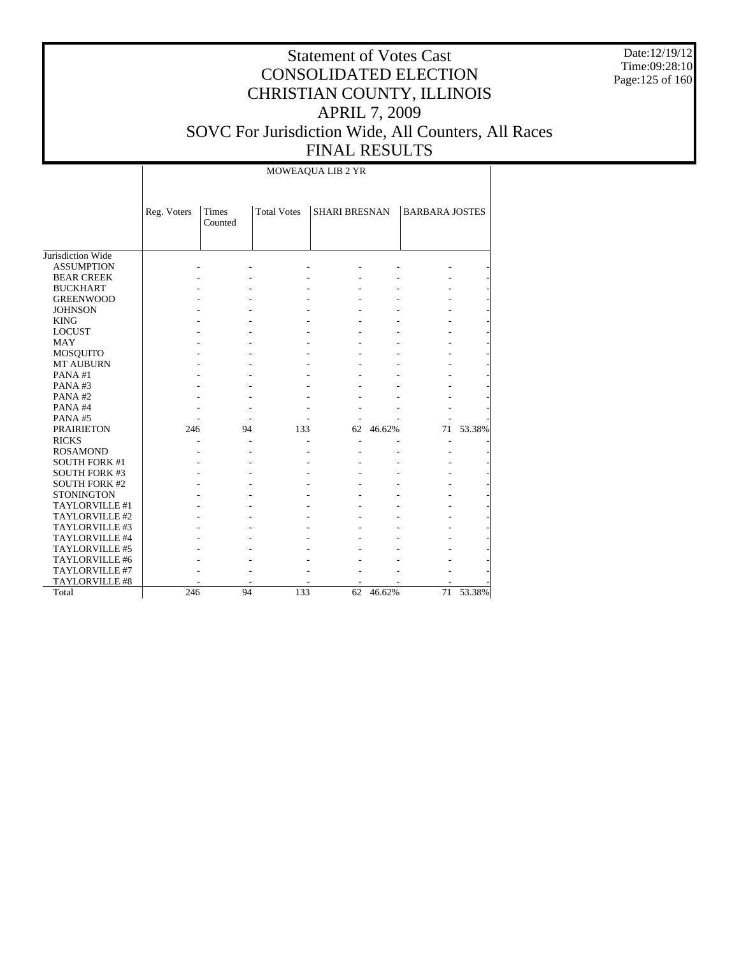Date:12/19/12 Time:09:28:10 Page:125 of 160

# Statement of Votes Cast CONSOLIDATED ELECTION CHRISTIAN COUNTY, ILLINOIS APRIL 7, 2009 SOVC For Jurisdiction Wide, All Counters, All Races FINAL RESULTS

MOWEAQUA LIB 2 YR

|                      | Reg. Voters | Times<br>Counted | <b>Total Votes</b> | <b>SHARI BRESNAN</b> |           | <b>BARBARA JOSTES</b> |        |
|----------------------|-------------|------------------|--------------------|----------------------|-----------|-----------------------|--------|
| Jurisdiction Wide    |             |                  |                    |                      |           |                       |        |
| <b>ASSUMPTION</b>    |             |                  |                    |                      |           |                       |        |
| <b>BEAR CREEK</b>    |             |                  |                    |                      |           |                       |        |
| <b>BUCKHART</b>      |             |                  |                    |                      |           |                       |        |
| <b>GREENWOOD</b>     |             |                  |                    |                      |           |                       |        |
| <b>JOHNSON</b>       |             |                  |                    |                      |           |                       |        |
| <b>KING</b>          |             |                  |                    |                      |           |                       |        |
| <b>LOCUST</b>        |             |                  |                    |                      |           |                       |        |
| <b>MAY</b>           |             |                  |                    |                      |           |                       |        |
| MOSQUITO             |             |                  |                    |                      |           |                       |        |
| <b>MT AUBURN</b>     |             |                  |                    |                      |           |                       |        |
| PANA#1               |             |                  |                    |                      |           |                       |        |
| PANA#3               |             |                  |                    |                      |           |                       |        |
| PANA#2               |             |                  |                    |                      |           |                       |        |
| PANA#4               |             |                  |                    |                      |           |                       |        |
| PANA#5               |             |                  |                    |                      |           |                       |        |
| <b>PRAIRIETON</b>    | 246         | 94               | 133                | 62                   | 46.62%    | 71                    | 53.38% |
| <b>RICKS</b>         |             |                  |                    |                      |           | $\qquad \qquad -$     |        |
| <b>ROSAMOND</b>      |             |                  |                    |                      |           |                       |        |
| <b>SOUTH FORK #1</b> |             |                  |                    |                      |           |                       |        |
| <b>SOUTH FORK #3</b> |             |                  |                    |                      |           |                       |        |
| <b>SOUTH FORK #2</b> |             |                  |                    |                      |           |                       |        |
| <b>STONINGTON</b>    |             |                  |                    |                      |           |                       |        |
| TAYLORVILLE #1       |             |                  |                    |                      |           |                       |        |
| TAYLORVILLE #2       |             |                  |                    |                      |           |                       |        |
| TAYLORVILLE #3       |             |                  |                    |                      |           |                       |        |
| TAYLORVILLE #4       |             |                  |                    |                      |           |                       |        |
| TAYLORVILLE #5       |             |                  |                    |                      |           |                       |        |
| TAYLORVILLE #6       |             |                  |                    |                      |           |                       |        |
| TAYLORVILLE #7       |             |                  |                    |                      |           |                       |        |
| TAYLORVILLE #8       |             |                  |                    |                      |           |                       |        |
| Total                | 246         | 94               | 133                |                      | 62 46.62% | 71                    | 53.38% |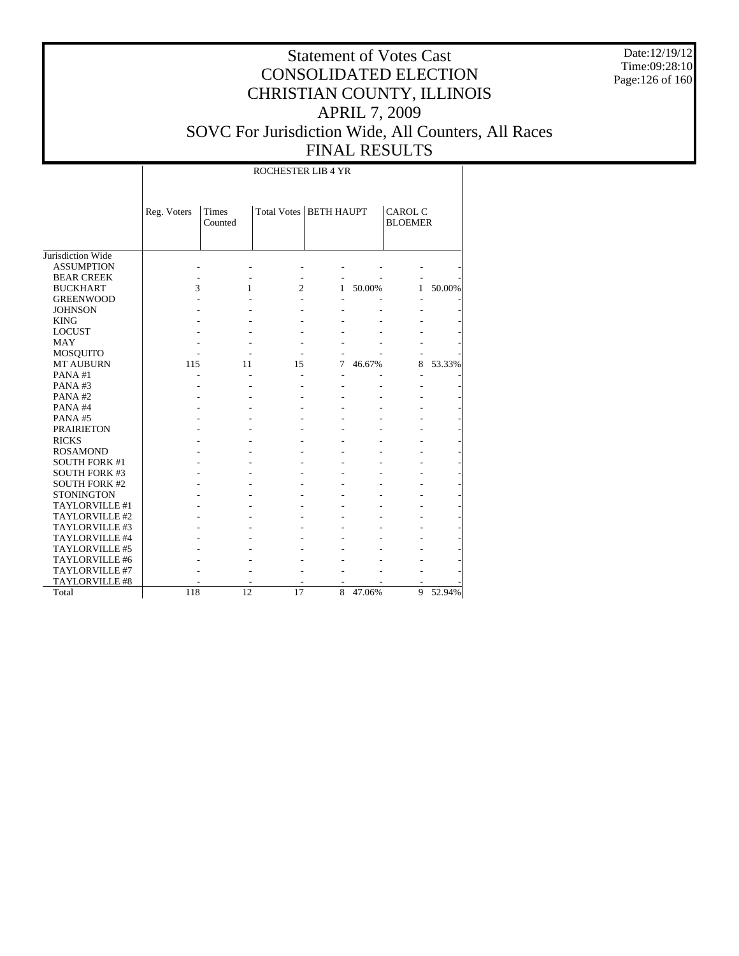Date:12/19/12 Time:09:28:10 Page:126 of 160

# Statement of Votes Cast CONSOLIDATED ELECTION CHRISTIAN COUNTY, ILLINOIS APRIL 7, 2009 SOVC For Jurisdiction Wide, All Counters, All Races FINAL RESULTS

ROCHESTER LIB 4 YR

|                      | Reg. Voters | <b>Times</b><br>Counted | Total Votes   BETH HAUPT |   |        | <b>CAROL C</b><br><b>BLOEMER</b> |        |
|----------------------|-------------|-------------------------|--------------------------|---|--------|----------------------------------|--------|
| Jurisdiction Wide    |             |                         |                          |   |        |                                  |        |
| <b>ASSUMPTION</b>    |             |                         |                          |   |        |                                  |        |
| <b>BEAR CREEK</b>    |             |                         |                          |   |        |                                  |        |
| <b>BUCKHART</b>      | 3           | 1                       | 2                        | 1 | 50.00% | $\mathbf{1}$                     | 50.00% |
| <b>GREENWOOD</b>     |             |                         |                          |   |        |                                  |        |
| <b>JOHNSON</b>       |             |                         |                          |   |        |                                  |        |
| <b>KING</b>          |             |                         |                          |   |        |                                  |        |
| <b>LOCUST</b>        |             |                         |                          |   |        |                                  |        |
| <b>MAY</b>           |             |                         |                          |   |        |                                  |        |
| MOSQUITO             |             |                         |                          |   |        |                                  |        |
| <b>MT AUBURN</b>     | 115         | 11                      | 15                       | 7 | 46.67% | 8                                | 53.33% |
| PANA#1               |             |                         |                          |   |        |                                  |        |
| PANA#3               |             |                         |                          |   |        |                                  |        |
| PANA#2               |             |                         |                          |   |        |                                  |        |
| PANA#4               |             |                         |                          |   |        |                                  |        |
| PANA#5               |             |                         |                          |   |        |                                  |        |
| <b>PRAIRIETON</b>    |             |                         |                          |   |        |                                  |        |
| <b>RICKS</b>         |             |                         |                          |   |        |                                  |        |
| <b>ROSAMOND</b>      |             |                         |                          |   |        |                                  |        |
| <b>SOUTH FORK #1</b> |             |                         |                          |   |        |                                  |        |
| <b>SOUTH FORK #3</b> |             |                         |                          |   |        |                                  |        |
| <b>SOUTH FORK #2</b> |             |                         |                          |   |        |                                  |        |
| <b>STONINGTON</b>    |             |                         |                          |   |        |                                  |        |
| TAYLORVILLE #1       |             |                         |                          |   |        |                                  |        |
| TAYLORVILLE #2       |             |                         |                          |   |        |                                  |        |
| TAYLORVILLE #3       |             |                         |                          |   |        |                                  |        |
| TAYLORVILLE #4       |             |                         |                          |   |        |                                  |        |
| TAYLORVILLE #5       |             |                         |                          |   |        |                                  |        |
| TAYLORVILLE #6       |             |                         |                          |   |        |                                  |        |
| TAYLORVILLE #7       |             |                         |                          |   |        |                                  |        |
| TAYLORVILLE #8       |             |                         |                          |   |        |                                  |        |
| Total                | 118         | 12                      | 17                       | 8 | 47.06% | 9                                | 52.94% |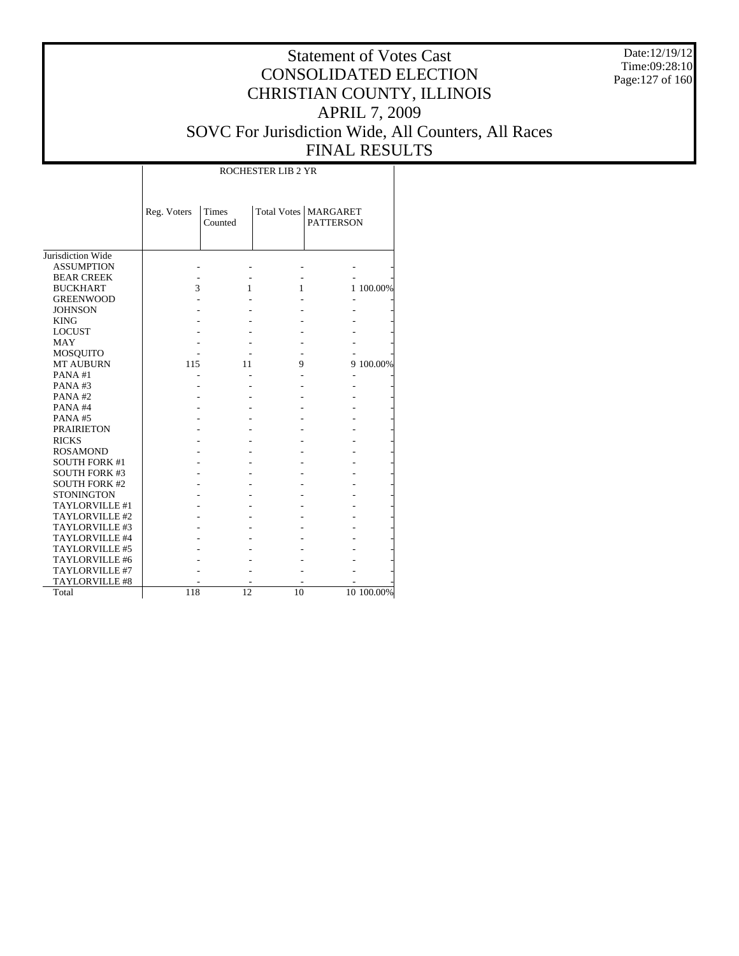Date:12/19/12 Time:09:28:10 Page:127 of 160

# Statement of Votes Cast CONSOLIDATED ELECTION CHRISTIAN COUNTY, ILLINOIS APRIL 7, 2009 SOVC For Jurisdiction Wide, All Counters, All Races FINAL RESULTS

|                      |             |                  | <b>ROCHESTER LIB 2 YR</b> |                              |            |
|----------------------|-------------|------------------|---------------------------|------------------------------|------------|
|                      | Reg. Voters | Times<br>Counted | <b>Total Votes</b>        | MARGARET<br><b>PATTERSON</b> |            |
| Jurisdiction Wide    |             |                  |                           |                              |            |
| <b>ASSUMPTION</b>    |             |                  |                           |                              |            |
| <b>BEAR CREEK</b>    |             |                  |                           |                              |            |
| <b>BUCKHART</b>      | 3           | 1                | 1                         |                              | 1 100.00%  |
| <b>GREENWOOD</b>     |             |                  |                           |                              |            |
| <b>JOHNSON</b>       |             |                  |                           |                              |            |
| <b>KING</b>          |             |                  |                           |                              |            |
| <b>LOCUST</b>        |             |                  |                           |                              |            |
| <b>MAY</b>           |             |                  |                           |                              |            |
| MOSQUITO             |             |                  |                           |                              |            |
| <b>MT AUBURN</b>     | 115         | 11               | 9                         |                              | 9 100.00%  |
| PANA#1               |             |                  |                           |                              |            |
| PANA#3               |             |                  |                           |                              |            |
| PANA#2               |             |                  |                           |                              |            |
| PANA#4               |             |                  |                           |                              |            |
| PANA#5               |             |                  |                           |                              |            |
| <b>PRAIRIETON</b>    |             |                  |                           |                              |            |
| <b>RICKS</b>         |             |                  |                           |                              |            |
| <b>ROSAMOND</b>      |             |                  |                           |                              |            |
| <b>SOUTH FORK #1</b> |             |                  |                           |                              |            |
| <b>SOUTH FORK #3</b> |             |                  |                           |                              |            |
| <b>SOUTH FORK #2</b> |             |                  |                           |                              |            |
| <b>STONINGTON</b>    |             |                  |                           |                              |            |
| TAYLORVILLE #1       |             |                  |                           |                              |            |
| TAYLORVILLE #2       |             |                  |                           |                              |            |
| TAYLORVILLE #3       |             |                  |                           |                              |            |
| TAYLORVILLE #4       |             |                  |                           |                              |            |
| TAYLORVILLE #5       |             |                  |                           |                              |            |
| TAYLORVILLE #6       |             |                  |                           |                              |            |
| TAYLORVILLE #7       |             |                  |                           |                              |            |
| TAYLORVILLE #8       |             |                  |                           |                              |            |
| Total                | 118         | 12               | 10                        |                              | 10 100.00% |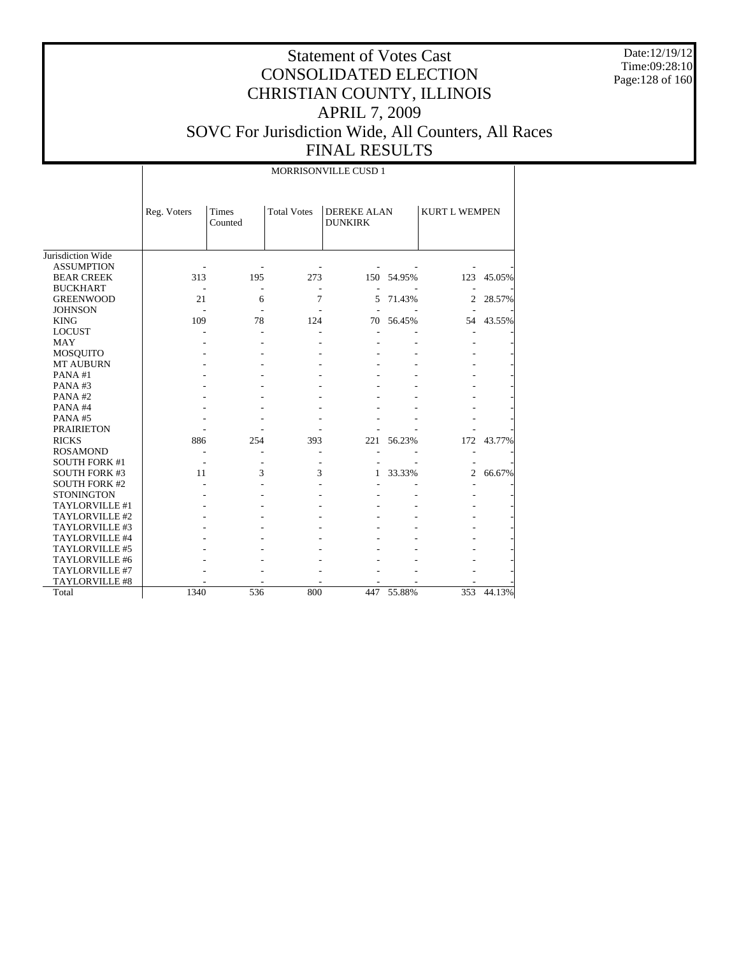Date:12/19/12 Time:09:28:10 Page:128 of 160

# Statement of Votes Cast CONSOLIDATED ELECTION CHRISTIAN COUNTY, ILLINOIS APRIL 7, 2009 SOVC For Jurisdiction Wide, All Counters, All Races

 $\overline{\phantom{a}}$ 

| <b>FINAL RESULTS</b> |  |
|----------------------|--|
| MORRISONVILLE CUSD 1 |  |

|                      | Reg. Voters | <b>Times</b><br>Counted | <b>Total Votes</b> | <b>DEREKE ALAN</b><br><b>DUNKIRK</b> |            | <b>KURT L WEMPEN</b> |        |
|----------------------|-------------|-------------------------|--------------------|--------------------------------------|------------|----------------------|--------|
|                      |             |                         |                    |                                      |            |                      |        |
| Jurisdiction Wide    |             |                         |                    |                                      |            |                      |        |
| <b>ASSUMPTION</b>    |             |                         |                    |                                      |            |                      |        |
| <b>BEAR CREEK</b>    | 313         | 195                     | 273                |                                      | 150 54.95% | 123                  | 45.05% |
| <b>BUCKHART</b>      |             | ٠                       |                    |                                      |            |                      |        |
| <b>GREENWOOD</b>     | 21          | 6                       | 7                  | 5                                    | 71.43%     | 2                    | 28.57% |
| <b>JOHNSON</b>       |             |                         |                    |                                      |            |                      |        |
| <b>KING</b>          | 109         | 78                      | 124                | 70                                   | 56.45%     | 54                   | 43.55% |
| <b>LOCUST</b>        |             |                         |                    |                                      |            |                      |        |
| <b>MAY</b>           |             |                         |                    |                                      |            |                      |        |
| <b>MOSQUITO</b>      |             |                         |                    |                                      |            |                      |        |
| <b>MT AUBURN</b>     |             |                         |                    |                                      |            |                      |        |
| PANA#1               |             |                         |                    |                                      |            |                      |        |
| PANA#3               |             |                         |                    |                                      |            |                      |        |
| PANA#2               |             |                         |                    |                                      |            |                      |        |
| PANA#4               |             |                         |                    |                                      |            |                      |        |
| PANA#5               |             |                         |                    |                                      |            |                      |        |
| <b>PRAIRIETON</b>    |             |                         |                    |                                      |            |                      |        |
| <b>RICKS</b>         | 886         | 254                     | 393                | 221                                  | 56.23%     | 172                  | 43.77% |
| <b>ROSAMOND</b>      |             |                         |                    |                                      |            | ۰                    |        |
| <b>SOUTH FORK #1</b> |             |                         |                    |                                      |            |                      |        |
| <b>SOUTH FORK #3</b> | 11          | 3                       | 3                  | 1                                    | 33.33%     | $\overline{c}$       | 66.67% |
| <b>SOUTH FORK #2</b> |             |                         |                    |                                      |            |                      |        |
| <b>STONINGTON</b>    |             |                         |                    |                                      |            |                      |        |
| TAYLORVILLE #1       |             |                         |                    |                                      |            |                      |        |
| TAYLORVILLE #2       |             |                         |                    |                                      |            |                      |        |
| TAYLORVILLE #3       |             |                         |                    |                                      |            |                      |        |
| TAYLORVILLE #4       |             |                         |                    |                                      |            |                      |        |
| TAYLORVILLE #5       |             |                         |                    |                                      |            |                      |        |
| TAYLORVILLE #6       |             |                         |                    |                                      |            |                      |        |
| TAYLORVILLE #7       |             |                         |                    |                                      |            |                      |        |
| TAYLORVILLE #8       |             |                         |                    |                                      |            |                      |        |
| Total                | 1340        | 536                     | 800                |                                      | 447 55.88% | 353                  | 44.13% |

 $\overline{\phantom{a}}$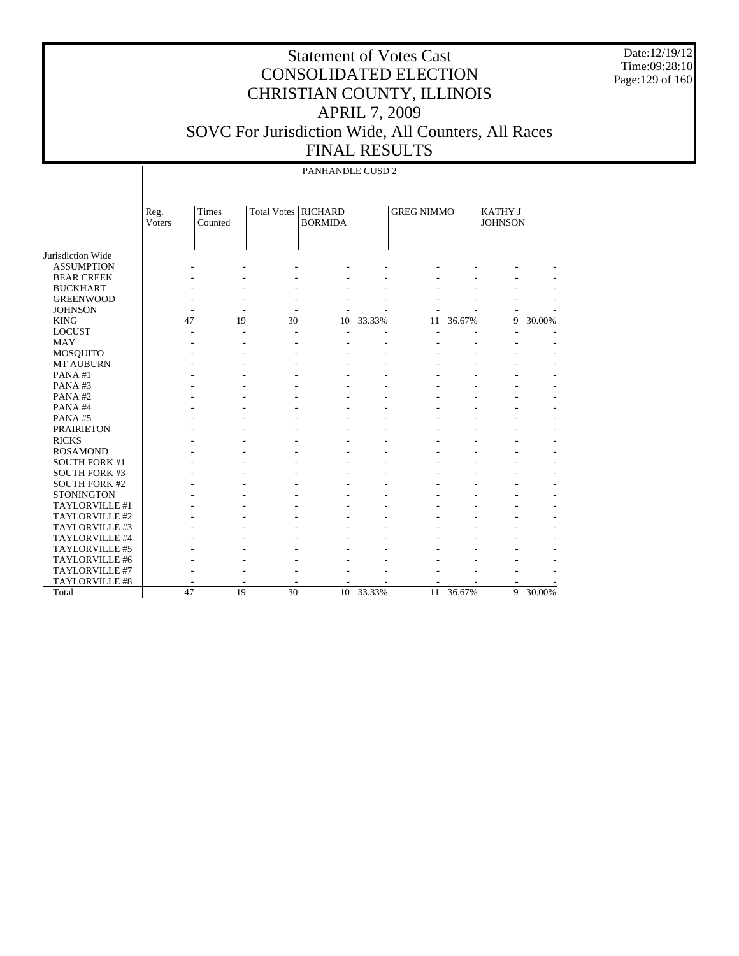Date:12/19/12 Time:09:28:10 Page:129 of 160

# Statement of Votes Cast CONSOLIDATED ELECTION CHRISTIAN COUNTY, ILLINOIS APRIL 7, 2009 SOVC For Jurisdiction Wide, All Counters, All Races FINAL RESULTS

47 19 30 10 33.33% 11 36.67% 9 30.00%

|                      |                |                  |                    | PANHANDLE CUSD 2                 |        |                   |        |                                  |        |
|----------------------|----------------|------------------|--------------------|----------------------------------|--------|-------------------|--------|----------------------------------|--------|
|                      | Reg.<br>Voters | Times<br>Counted | <b>Total Votes</b> | <b>RICHARD</b><br><b>BORMIDA</b> |        | <b>GREG NIMMO</b> |        | <b>KATHY J</b><br><b>JOHNSON</b> |        |
| Jurisdiction Wide    |                |                  |                    |                                  |        |                   |        |                                  |        |
| <b>ASSUMPTION</b>    |                |                  |                    |                                  |        |                   |        |                                  |        |
| <b>BEAR CREEK</b>    |                |                  |                    |                                  |        |                   |        |                                  |        |
| <b>BUCKHART</b>      |                |                  |                    |                                  |        |                   |        |                                  |        |
| <b>GREENWOOD</b>     |                |                  |                    |                                  |        |                   |        |                                  |        |
| <b>JOHNSON</b>       |                |                  |                    |                                  |        |                   |        |                                  |        |
| <b>KING</b>          | 47             | 19               | 30                 | 10                               | 33.33% | 11                | 36.67% | 9                                | 30.00% |
| <b>LOCUST</b>        |                | ÷.               |                    |                                  |        |                   |        |                                  |        |
| <b>MAY</b>           |                |                  |                    |                                  |        |                   |        |                                  |        |
| MOSQUITO             |                |                  |                    |                                  |        |                   |        |                                  |        |
| <b>MT AUBURN</b>     |                |                  |                    |                                  |        |                   |        |                                  |        |
| PANA#1               |                |                  |                    |                                  |        |                   |        |                                  |        |
| PANA#3               |                |                  |                    |                                  |        |                   |        |                                  |        |
| PANA#2               |                |                  |                    |                                  |        |                   |        |                                  |        |
| PANA#4               |                |                  |                    |                                  |        |                   |        |                                  |        |
| PANA#5               |                |                  |                    |                                  |        |                   |        |                                  |        |
| <b>PRAIRIETON</b>    |                |                  |                    |                                  |        |                   |        |                                  |        |
| <b>RICKS</b>         |                |                  |                    |                                  |        |                   |        |                                  |        |
| <b>ROSAMOND</b>      |                |                  |                    |                                  |        |                   |        |                                  |        |
| <b>SOUTH FORK #1</b> |                |                  |                    |                                  |        |                   |        |                                  |        |
| <b>SOUTH FORK #3</b> |                |                  |                    |                                  |        |                   |        |                                  |        |
| <b>SOUTH FORK #2</b> |                |                  |                    |                                  |        |                   |        |                                  |        |
| <b>STONINGTON</b>    |                |                  |                    |                                  |        |                   |        |                                  |        |
| TAYLORVILLE #1       |                |                  |                    |                                  |        |                   |        |                                  |        |
| TAYLORVILLE #2       |                |                  |                    |                                  |        |                   |        |                                  |        |
| TAYLORVILLE #3       |                |                  |                    |                                  |        |                   |        |                                  |        |
| TAYLORVILLE #4       |                |                  |                    |                                  |        |                   |        |                                  |        |
| TAYLORVILLE #5       |                |                  |                    |                                  |        |                   |        |                                  |        |
| TAYLORVILLE #6       |                |                  |                    |                                  |        |                   |        |                                  |        |
| TAYLORVILLE #7       |                |                  |                    |                                  |        |                   |        |                                  |        |
| TAYLORVILLE #8       |                |                  |                    | ÷                                |        |                   |        |                                  |        |

Total

 $\overline{\phantom{a}}$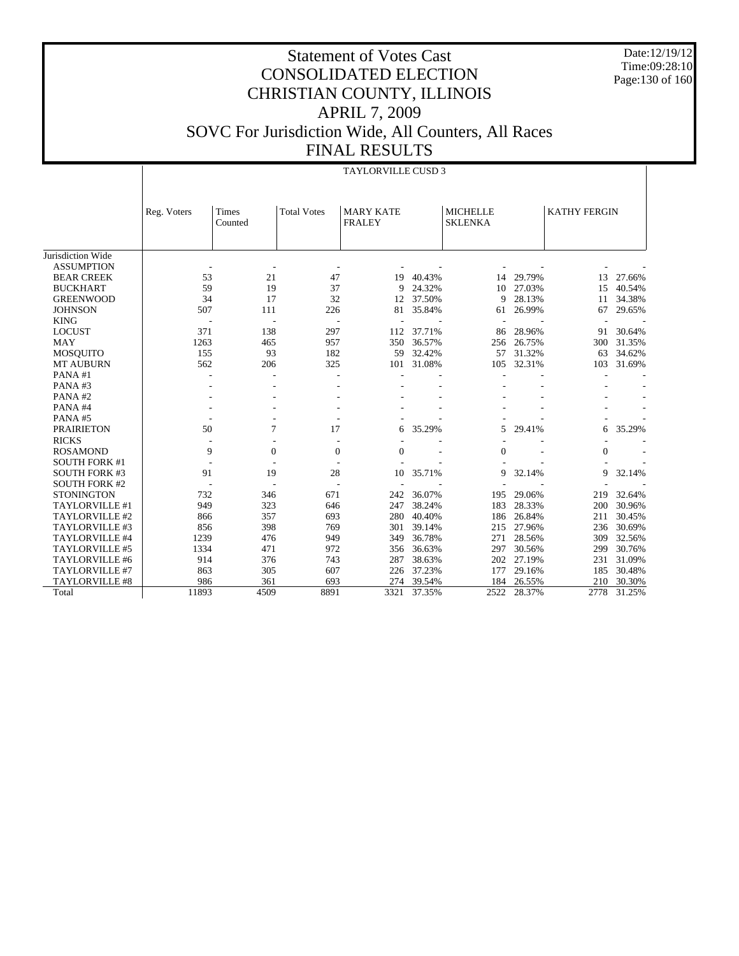Date:12/19/12 Time:09:28:10 Page:130 of 160

|                      |             |                          |                    | <b>TAYLORVILLE CUSD 3</b>         |        |                                   |        |                     |        |
|----------------------|-------------|--------------------------|--------------------|-----------------------------------|--------|-----------------------------------|--------|---------------------|--------|
|                      | Reg. Voters | Times<br>Counted         | <b>Total Votes</b> | <b>MARY KATE</b><br><b>FRALEY</b> |        | <b>MICHELLE</b><br><b>SKLENKA</b> |        | <b>KATHY FERGIN</b> |        |
| Jurisdiction Wide    |             |                          |                    |                                   |        |                                   |        |                     |        |
| <b>ASSUMPTION</b>    |             |                          |                    |                                   |        |                                   |        |                     |        |
| <b>BEAR CREEK</b>    | 53          | 21                       | 47                 | 19                                | 40.43% | 14                                | 29.79% | 13                  | 27.66% |
| <b>BUCKHART</b>      | 59          | 19                       | 37                 | 9                                 | 24.32% | 10                                | 27.03% | 15                  | 40.54% |
| <b>GREENWOOD</b>     | 34          | 17                       | 32                 | 12                                | 37.50% | 9                                 | 28.13% | 11                  | 34.38% |
| <b>JOHNSON</b>       | 507         | 111                      | 226                | 81                                | 35.84% | 61                                | 26.99% | 67                  | 29.65% |
| <b>KING</b>          | ÷,          | $\overline{a}$           |                    |                                   |        |                                   |        |                     |        |
| <b>LOCUST</b>        | 371         | 138                      | 297                | 112                               | 37.71% | 86                                | 28.96% | 91                  | 30.64% |
| <b>MAY</b>           | 1263        | 465                      | 957                | 350                               | 36.57% | 256                               | 26.75% | 300                 | 31.35% |
| <b>MOSQUITO</b>      | 155         | 93                       | 182                | 59                                | 32.42% | 57                                | 31.32% | 63                  | 34.62% |
| <b>MT AUBURN</b>     | 562         | 206                      | 325                | 101                               | 31.08% | 105                               | 32.31% | 103                 | 31.69% |
| PANA#1               |             |                          |                    |                                   |        |                                   |        |                     |        |
| PANA#3               |             |                          |                    |                                   |        |                                   |        |                     |        |
| PANA#2               |             |                          |                    |                                   |        |                                   |        |                     |        |
| PANA#4               |             |                          |                    |                                   |        |                                   |        |                     |        |
| PANA#5               |             | $\overline{\phantom{a}}$ |                    |                                   |        |                                   |        |                     |        |
| <b>PRAIRIETON</b>    | 50          | 7                        | 17                 | 6                                 | 35.29% | 5                                 | 29.41% | 6                   | 35.29% |
| <b>RICKS</b>         |             | $\overline{\phantom{a}}$ |                    |                                   |        |                                   |        |                     |        |
| <b>ROSAMOND</b>      | 9           | $\boldsymbol{0}$         | $\mathbf{0}$       | $\mathbf{0}$                      |        | $\overline{0}$                    |        | 0                   |        |
| <b>SOUTH FORK #1</b> | ٠           |                          |                    |                                   |        |                                   |        |                     |        |
| <b>SOUTH FORK #3</b> | 91          | 19                       | 28                 | 10                                | 35.71% | 9                                 | 32.14% | 9                   | 32.14% |
| <b>SOUTH FORK #2</b> |             |                          |                    |                                   |        |                                   |        |                     |        |
| <b>STONINGTON</b>    | 732         | 346                      | 671                | 242                               | 36.07% | 195                               | 29.06% | 219                 | 32.64% |
| TAYLORVILLE #1       | 949         | 323                      | 646                | 247                               | 38.24% | 183                               | 28.33% | 200                 | 30.96% |
| TAYLORVILLE #2       | 866         | 357                      | 693                | 280                               | 40.40% | 186                               | 26.84% | 211                 | 30.45% |
| TAYLORVILLE #3       | 856         | 398                      | 769                | 301                               | 39.14% | 215                               | 27.96% | 236                 | 30.69% |
| TAYLORVILLE #4       | 1239        | 476                      | 949                | 349                               | 36.78% | 271                               | 28.56% | 309                 | 32.56% |
| TAYLORVILLE #5       | 1334        | 471                      | 972                | 356                               | 36.63% | 297                               | 30.56% | 299                 | 30.76% |
| TAYLORVILLE #6       | 914         | 376                      | 743                | 287                               | 38.63% | 202                               | 27.19% | 231                 | 31.09% |
| TAYLORVILLE #7       | 863         | 305                      | 607                | 226                               | 37.23% | 177                               | 29.16% | 185                 | 30.48% |
| TAYLORVILLE #8       | 986         | 361                      | 693                | 274                               | 39.54% | 184                               | 26.55% | 210                 | 30.30% |
| Total                | 11893       | 4509                     | 8891               | 3321                              | 37.35% | 2522                              | 28.37% | 2778                | 31.25% |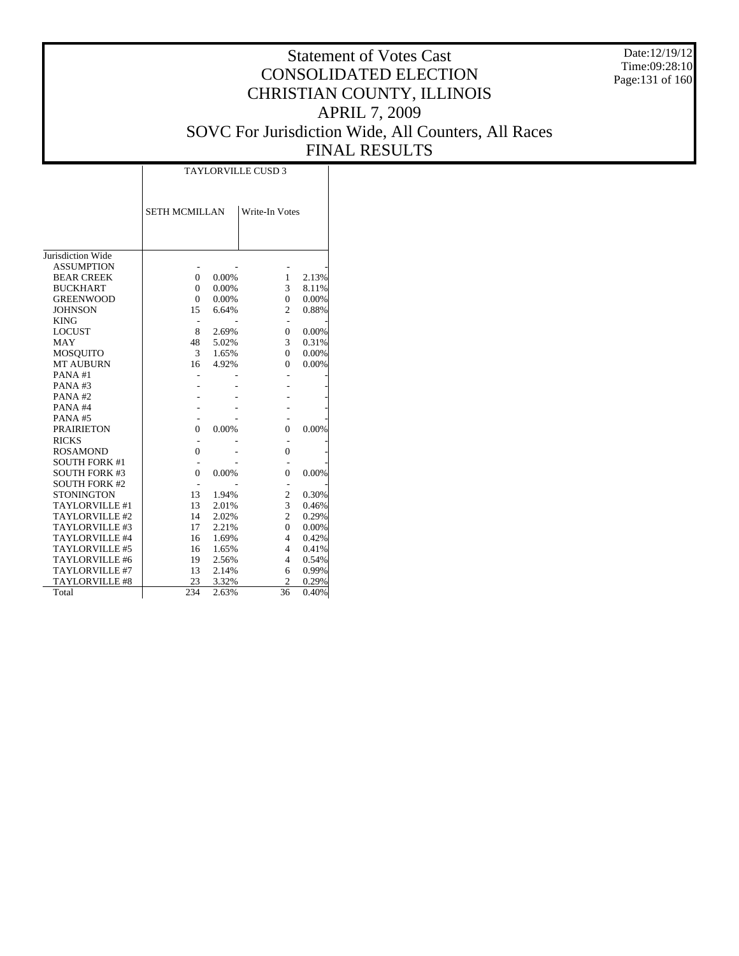Date:12/19/12 Time:09:28:10 Page:131 of 160

# Statement of Votes Cast CONSOLIDATED ELECTION CHRISTIAN COUNTY, ILLINOIS APRIL 7, 2009 SOVC For Jurisdiction Wide, All Counters, All Races FINAL RESULTS

Τ

|                       | <b>TAYLORVILLE CUSD 3</b> |       |                 |       |  |  |  |  |  |
|-----------------------|---------------------------|-------|-----------------|-------|--|--|--|--|--|
|                       | <b>SETH MCMILLAN</b>      |       | Write-In Votes  |       |  |  |  |  |  |
|                       |                           |       |                 |       |  |  |  |  |  |
| Jurisdiction Wide     |                           |       |                 |       |  |  |  |  |  |
| <b>ASSUMPTION</b>     |                           |       |                 |       |  |  |  |  |  |
| <b>BEAR CREEK</b>     | $\theta$                  | 0.00% | 1               | 2.13% |  |  |  |  |  |
| <b>BUCKHART</b>       | $\theta$                  | 0.00% | 3               | 8.11% |  |  |  |  |  |
| <b>GREENWOOD</b>      | $\theta$                  | 0.00% | $\theta$        | 0.00% |  |  |  |  |  |
| <b>JOHNSON</b>        | 15                        | 6.64% | $\overline{c}$  | 0.88% |  |  |  |  |  |
| <b>KING</b>           |                           |       | ٠               |       |  |  |  |  |  |
| <b>LOCUST</b>         | 8                         | 2.69% | $\Omega$        | 0.00% |  |  |  |  |  |
| <b>MAY</b>            | 48                        | 5.02% | 3               | 0.31% |  |  |  |  |  |
| <b>MOSQUITO</b>       | 3                         | 1.65% | $\theta$        | 0.00% |  |  |  |  |  |
| <b>MT AUBURN</b>      | 16                        | 4.92% | $\Omega$        | 0.00% |  |  |  |  |  |
| PANA#1                |                           |       |                 |       |  |  |  |  |  |
| PANA#3                |                           |       |                 |       |  |  |  |  |  |
| PANA#2                |                           |       |                 |       |  |  |  |  |  |
| PANA#4                |                           |       |                 |       |  |  |  |  |  |
| PANA#5                |                           |       |                 |       |  |  |  |  |  |
| <b>PRAIRIETON</b>     | $\overline{0}$            | 0.00% | $\theta$        | 0.00% |  |  |  |  |  |
| <b>RICKS</b>          |                           |       |                 |       |  |  |  |  |  |
| <b>ROSAMOND</b>       | $\theta$                  |       | $\theta$        |       |  |  |  |  |  |
| <b>SOUTH FORK #1</b>  |                           |       |                 |       |  |  |  |  |  |
| <b>SOUTH FORK #3</b>  | $\theta$                  | 0.00% | $\theta$        | 0.00% |  |  |  |  |  |
| <b>SOUTH FORK #2</b>  |                           |       |                 |       |  |  |  |  |  |
| <b>STONINGTON</b>     | 13                        | 1.94% | $\mathfrak{2}$  | 0.30% |  |  |  |  |  |
| TAYLORVILLE #1        | 13                        | 2.01% | 3               | 0.46% |  |  |  |  |  |
| TAYLORVILLE #2        | 14                        | 2.02% | $\overline{c}$  | 0.29% |  |  |  |  |  |
| TAYLORVILLE #3        | 17                        | 2.21% | $\Omega$        | 0.00% |  |  |  |  |  |
| TAYLORVILLE #4        | 16                        | 1.69% | 4               | 0.42% |  |  |  |  |  |
| TAYLORVILLE #5        | 16                        | 1.65% | 4               | 0.41% |  |  |  |  |  |
| TAYLORVILLE #6        | 19                        | 2.56% | 4               | 0.54% |  |  |  |  |  |
| TAYLORVILLE #7        | 13                        | 2.14% | 6               | 0.99% |  |  |  |  |  |
| <b>TAYLORVILLE #8</b> | 23                        | 3.32% | $\overline{c}$  | 0.29% |  |  |  |  |  |
| Total                 | 234                       | 2.63% | $\overline{36}$ | 0.40% |  |  |  |  |  |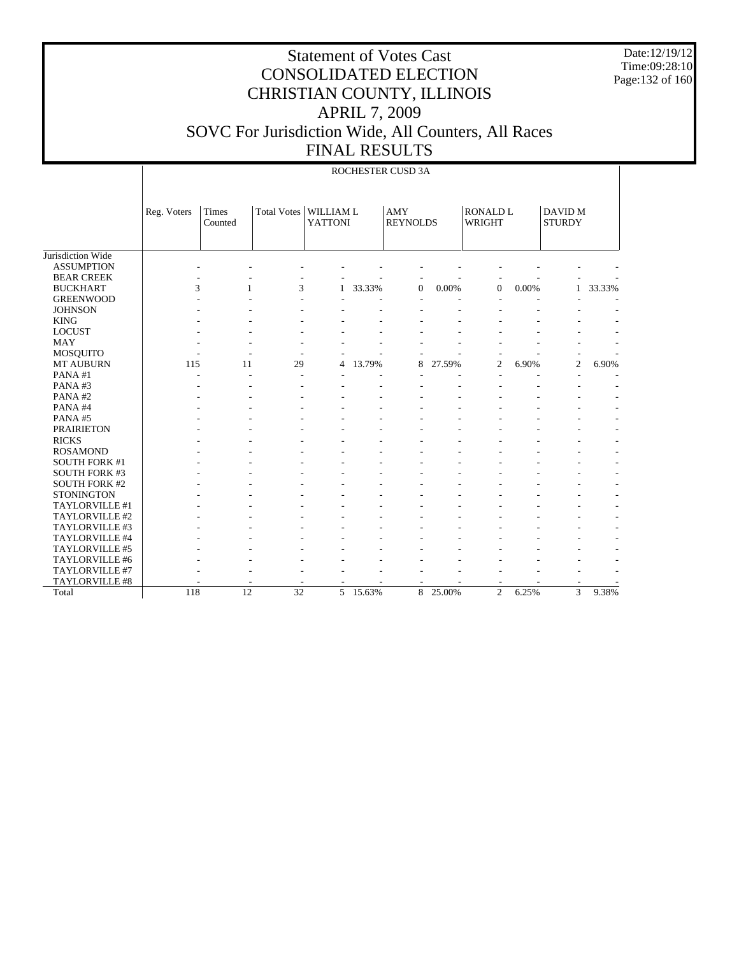Date:12/19/12 Time:09:28:10 Page:132 of 160

|                      |             |                  |                    |                             |        | ROCHESTER CUSD 3A      |        |                           |       |                          |        |
|----------------------|-------------|------------------|--------------------|-----------------------------|--------|------------------------|--------|---------------------------|-------|--------------------------|--------|
|                      | Reg. Voters | Times<br>Counted | <b>Total Votes</b> | WILLIAM L<br><b>YATTONI</b> |        | AMY<br><b>REYNOLDS</b> |        | <b>RONALD L</b><br>WRIGHT |       | DAVID M<br><b>STURDY</b> |        |
| Jurisdiction Wide    |             |                  |                    |                             |        |                        |        |                           |       |                          |        |
| <b>ASSUMPTION</b>    |             |                  |                    |                             |        |                        |        |                           |       |                          |        |
| <b>BEAR CREEK</b>    |             |                  |                    |                             |        |                        |        |                           |       |                          |        |
| <b>BUCKHART</b>      | 3           | 1                | 3                  | 1                           | 33.33% | 0                      | 0.00%  | $\mathbf{0}$              | 0.00% | 1                        | 33.33% |
| <b>GREENWOOD</b>     |             |                  |                    |                             |        |                        |        |                           |       |                          |        |
| <b>JOHNSON</b>       |             |                  |                    |                             |        |                        |        |                           |       |                          |        |
| <b>KING</b>          |             |                  |                    |                             |        |                        |        |                           |       |                          |        |
| <b>LOCUST</b>        |             |                  |                    |                             |        |                        |        |                           |       |                          |        |
| <b>MAY</b>           |             |                  |                    |                             |        |                        |        |                           |       |                          |        |
| <b>MOSQUITO</b>      |             |                  |                    |                             |        |                        |        |                           |       |                          |        |
| MT AUBURN            | 115         | 11               | 29                 | 4                           | 13.79% | 8                      | 27.59% | $\overline{2}$            | 6.90% | $\overline{c}$           | 6.90%  |
| PANA#1               |             |                  |                    |                             |        |                        |        |                           |       |                          |        |
| PANA#3               |             |                  |                    |                             |        |                        |        |                           |       |                          |        |
| PANA#2               |             |                  |                    |                             |        |                        |        |                           |       |                          |        |
| PANA#4               |             |                  |                    |                             |        |                        |        |                           |       |                          |        |
| PANA#5               |             |                  |                    |                             |        |                        |        |                           |       |                          |        |
| <b>PRAIRIETON</b>    |             |                  |                    |                             |        |                        |        |                           |       |                          |        |
| <b>RICKS</b>         |             |                  |                    |                             |        |                        |        |                           |       |                          |        |
| <b>ROSAMOND</b>      |             |                  |                    |                             |        |                        |        |                           |       |                          |        |
| <b>SOUTH FORK #1</b> |             |                  |                    |                             |        |                        |        |                           |       |                          |        |
| <b>SOUTH FORK #3</b> |             |                  |                    |                             |        |                        |        |                           |       |                          |        |
| <b>SOUTH FORK #2</b> |             |                  |                    |                             |        |                        |        |                           |       |                          |        |
| <b>STONINGTON</b>    |             |                  |                    |                             |        |                        |        |                           |       |                          |        |
| TAYLORVILLE #1       |             |                  |                    |                             |        |                        |        |                           |       |                          |        |
| TAYLORVILLE #2       |             |                  |                    |                             |        |                        |        |                           |       |                          |        |
| TAYLORVILLE #3       |             |                  |                    |                             |        |                        |        |                           |       |                          |        |
| TAYLORVILLE #4       |             |                  |                    |                             |        |                        |        |                           |       |                          |        |
| TAYLORVILLE #5       |             |                  |                    |                             |        |                        |        |                           |       |                          |        |
| TAYLORVILLE #6       |             |                  |                    |                             |        |                        |        |                           |       |                          |        |
| TAYLORVILLE #7       |             |                  |                    |                             |        |                        |        |                           |       |                          |        |
| TAYLORVILLE #8       |             |                  |                    |                             |        |                        |        |                           |       |                          |        |
| Total                | 118         | $\overline{12}$  | $\overline{32}$    | 5                           | 15.63% | 8                      | 25.00% | $\overline{c}$            | 6.25% | 3                        | 9.38%  |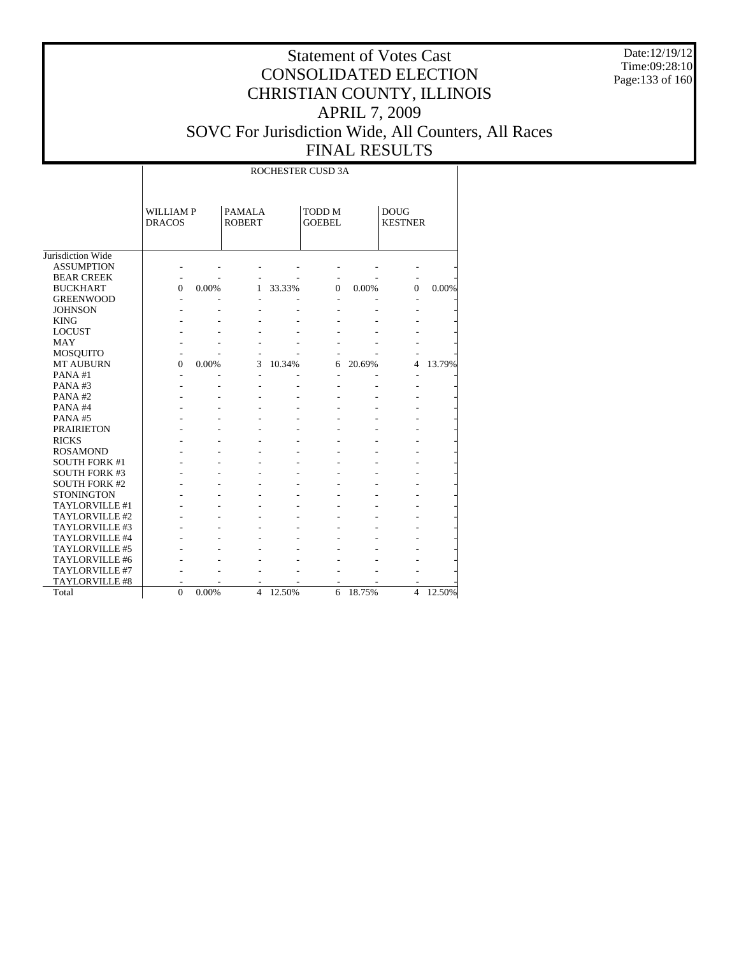Date:12/19/12 Time:09:28:10 Page:133 of 160

|                       |                                  |       |                                |        | ROCHESTER CUSD 3A       |        |                               |        |
|-----------------------|----------------------------------|-------|--------------------------------|--------|-------------------------|--------|-------------------------------|--------|
|                       | <b>WILLIAMP</b><br><b>DRACOS</b> |       | <b>PAMALA</b><br><b>ROBERT</b> |        | TODD M<br><b>GOEBEL</b> |        | <b>DOUG</b><br><b>KESTNER</b> |        |
| Jurisdiction Wide     |                                  |       |                                |        |                         |        |                               |        |
| <b>ASSUMPTION</b>     |                                  |       |                                |        |                         |        |                               |        |
| <b>BEAR CREEK</b>     |                                  |       |                                |        |                         |        |                               |        |
| <b>BUCKHART</b>       | $\Omega$                         | 0.00% | 1                              | 33.33% | $\Omega$                | 0.00%  | $\Omega$                      | 0.00%  |
| <b>GREENWOOD</b>      |                                  |       |                                |        |                         |        |                               |        |
| <b>JOHNSON</b>        |                                  |       |                                |        |                         |        |                               |        |
| <b>KING</b>           |                                  |       |                                |        |                         |        |                               |        |
| <b>LOCUST</b>         |                                  |       |                                |        |                         |        |                               |        |
| MAY                   |                                  |       |                                |        |                         |        |                               |        |
| MOSQUITO              | $\overline{a}$                   |       |                                |        |                         |        |                               |        |
| <b>MT AUBURN</b>      | $\Omega$                         | 0.00% | 3                              | 10.34% | 6                       | 20.69% | 4                             | 13.79% |
| PANA#1                | L,                               |       | L,                             |        | $\overline{a}$          |        |                               |        |
| PANA#3                |                                  |       |                                |        |                         |        |                               |        |
| PANA#2                |                                  |       |                                |        |                         |        |                               |        |
| PANA#4                |                                  |       |                                |        |                         |        |                               |        |
| PANA#5                |                                  |       |                                |        |                         |        |                               |        |
| <b>PRAIRIETON</b>     |                                  |       |                                |        |                         |        |                               |        |
| <b>RICKS</b>          |                                  |       |                                |        |                         |        |                               |        |
| <b>ROSAMOND</b>       |                                  |       |                                |        |                         |        |                               |        |
| <b>SOUTH FORK #1</b>  |                                  |       |                                |        |                         |        |                               |        |
| <b>SOUTH FORK #3</b>  |                                  |       |                                |        |                         |        |                               |        |
| <b>SOUTH FORK #2</b>  |                                  |       |                                |        |                         |        |                               |        |
| <b>STONINGTON</b>     |                                  |       |                                |        |                         |        |                               |        |
| TAYLORVILLE #1        |                                  |       |                                |        |                         |        |                               |        |
| TAYLORVILLE #2        |                                  |       |                                |        |                         |        |                               |        |
| TAYLORVILLE #3        |                                  |       |                                |        |                         |        |                               |        |
| TAYLORVILLE #4        |                                  |       |                                |        |                         |        |                               |        |
| TAYLORVILLE #5        |                                  |       |                                |        |                         |        |                               |        |
| TAYLORVILLE #6        |                                  |       |                                |        |                         |        |                               |        |
| TAYLORVILLE #7        |                                  |       |                                |        |                         |        |                               |        |
| <b>TAYLORVILLE #8</b> |                                  |       |                                |        |                         |        |                               |        |
| Total                 | $\Omega$                         | 0.00% | $\overline{4}$                 | 12.50% | 6                       | 18.75% | $\overline{4}$                | 12.50% |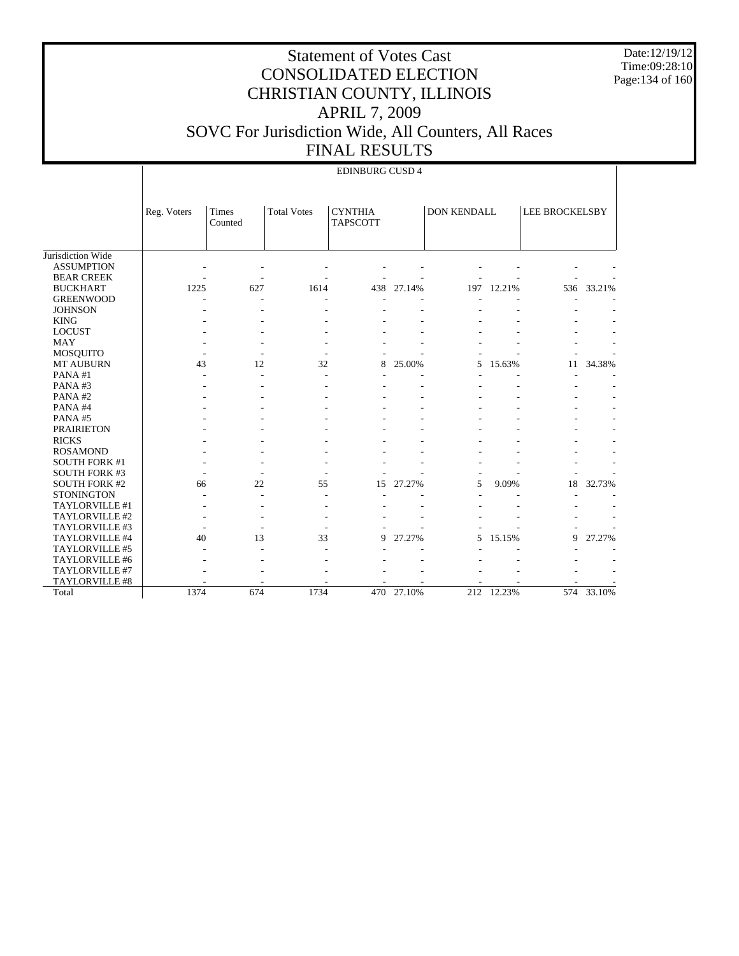Date:12/19/12 Time:09:28:10 Page:134 of 160

|                      |             |                  |                    | <b>EDINBURG CUSD 4</b>            |            |             |        |                       |            |
|----------------------|-------------|------------------|--------------------|-----------------------------------|------------|-------------|--------|-----------------------|------------|
|                      | Reg. Voters | Times<br>Counted | <b>Total Votes</b> | <b>CYNTHIA</b><br><b>TAPSCOTT</b> |            | DON KENDALL |        | <b>LEE BROCKELSBY</b> |            |
| Jurisdiction Wide    |             |                  |                    |                                   |            |             |        |                       |            |
| <b>ASSUMPTION</b>    |             |                  |                    |                                   |            |             |        |                       |            |
| <b>BEAR CREEK</b>    |             |                  |                    |                                   |            |             |        |                       |            |
| <b>BUCKHART</b>      | 1225        | 627              | 1614               | 438                               | 27.14%     | 197         | 12.21% | 536                   | 33.21%     |
| <b>GREENWOOD</b>     |             |                  |                    |                                   |            |             |        |                       |            |
| <b>JOHNSON</b>       |             |                  |                    |                                   |            |             |        |                       |            |
| <b>KING</b>          |             |                  |                    |                                   |            |             |        |                       |            |
| <b>LOCUST</b>        |             |                  |                    |                                   |            |             |        |                       |            |
| <b>MAY</b>           |             |                  |                    |                                   |            |             |        |                       |            |
| <b>MOSQUITO</b>      |             |                  |                    |                                   |            |             |        |                       |            |
| <b>MT AUBURN</b>     | 43          | 12               | 32                 | 8                                 | 25.00%     | 5           | 15.63% | 11                    | 34.38%     |
| PANA#1               |             |                  |                    |                                   |            |             |        |                       |            |
| PANA#3               |             |                  |                    |                                   |            |             |        |                       |            |
| PANA#2               |             |                  |                    |                                   |            |             |        |                       |            |
| PANA#4               |             |                  |                    |                                   |            |             |        |                       |            |
| PANA#5               |             |                  |                    |                                   |            |             |        |                       |            |
| <b>PRAIRIETON</b>    |             |                  |                    |                                   |            |             |        |                       |            |
| <b>RICKS</b>         |             |                  |                    |                                   |            |             |        |                       |            |
| <b>ROSAMOND</b>      |             |                  |                    |                                   |            |             |        |                       |            |
| <b>SOUTH FORK #1</b> |             |                  |                    |                                   |            |             |        |                       |            |
| <b>SOUTH FORK #3</b> |             |                  |                    |                                   |            |             |        |                       |            |
| <b>SOUTH FORK #2</b> | 66          | 22               | 55                 | 15                                | 27.27%     | 5           | 9.09%  | 18                    | 32.73%     |
| <b>STONINGTON</b>    |             |                  |                    |                                   |            |             |        |                       |            |
| TAYLORVILLE #1       |             |                  |                    |                                   |            |             |        |                       |            |
| TAYLORVILLE #2       |             |                  |                    |                                   |            |             |        |                       |            |
| TAYLORVILLE #3       |             |                  |                    |                                   |            |             |        |                       |            |
| TAYLORVILLE #4       | 40          | 13               | 33                 | 9                                 | 27.27%     | 5.          | 15.15% | 9                     | 27.27%     |
| TAYLORVILLE #5       |             |                  |                    |                                   |            |             |        |                       |            |
| TAYLORVILLE #6       |             |                  |                    |                                   |            |             |        |                       |            |
| TAYLORVILLE #7       |             |                  |                    |                                   |            |             |        |                       |            |
| TAYLORVILLE #8       |             |                  |                    |                                   |            |             |        |                       |            |
| Total                | 1374        | 674              | 1734               |                                   | 470 27.10% | 212         | 12.23% |                       | 574 33.10% |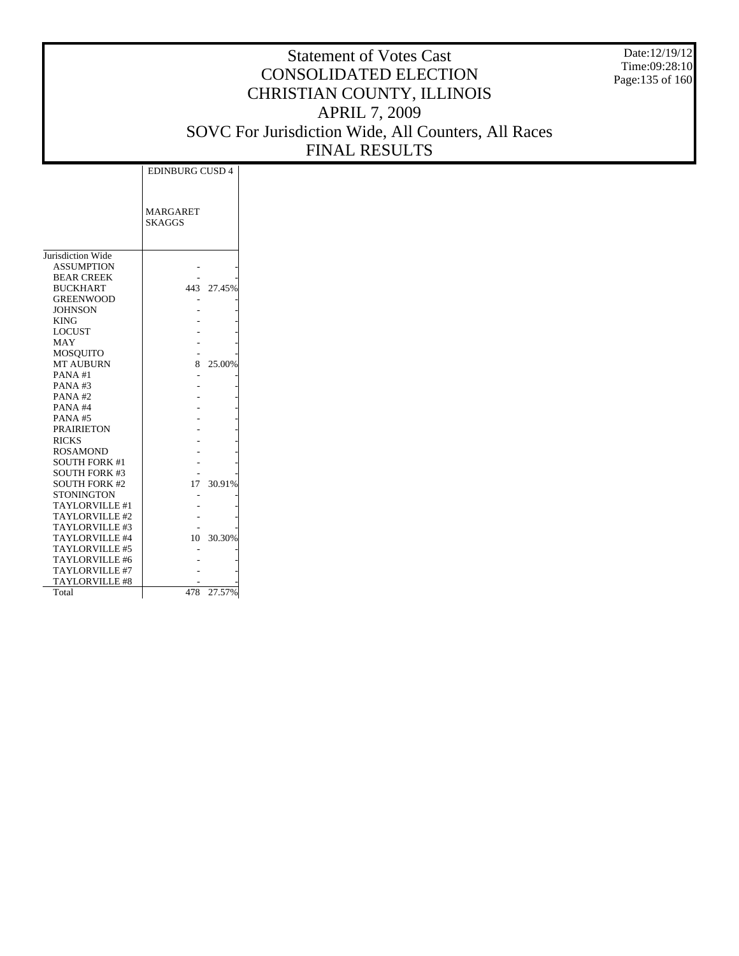Date:12/19/12 Time:09:28:10 Page:135 of 160

|                       | <b>EDINBURG CUSD 4</b>           |            |
|-----------------------|----------------------------------|------------|
|                       | <b>MARGARET</b><br><b>SKAGGS</b> |            |
| Jurisdiction Wide     |                                  |            |
| <b>ASSUMPTION</b>     |                                  |            |
| <b>BEAR CREEK</b>     |                                  |            |
| <b>BUCKHART</b>       |                                  | 443 27.45% |
| <b>GREENWOOD</b>      |                                  |            |
| <b>JOHNSON</b>        |                                  |            |
| <b>KING</b>           |                                  |            |
| <b>LOCUST</b>         |                                  |            |
| MAY                   |                                  |            |
| MOSOUITO              |                                  |            |
| <b>MT AUBURN</b>      | 8                                | 25.00%     |
| PANA#1                |                                  |            |
| PANA#3                |                                  |            |
| PANA#2                |                                  |            |
| PANA#4                |                                  |            |
| PANA#5                |                                  |            |
| <b>PRAIRIETON</b>     |                                  |            |
| <b>RICKS</b>          |                                  |            |
| <b>ROSAMOND</b>       |                                  |            |
| <b>SOUTH FORK #1</b>  |                                  |            |
| <b>SOUTH FORK #3</b>  |                                  |            |
| <b>SOUTH FORK #2</b>  | 17                               | 30.91%     |
| <b>STONINGTON</b>     |                                  |            |
| <b>TAYLORVILLE #1</b> |                                  |            |
| TAYLORVILLE #2        |                                  |            |
| TAYLORVILLE #3        |                                  |            |
| TAYLORVILLE #4        | 10                               | 30.30%     |
| TAYLORVILLE #5        |                                  |            |
| <b>TAYLORVILLE #6</b> |                                  |            |
| TAYLORVILLE #7        |                                  |            |
| TAYLORVILLE #8        |                                  |            |
| Total                 | 478                              | 27.57%     |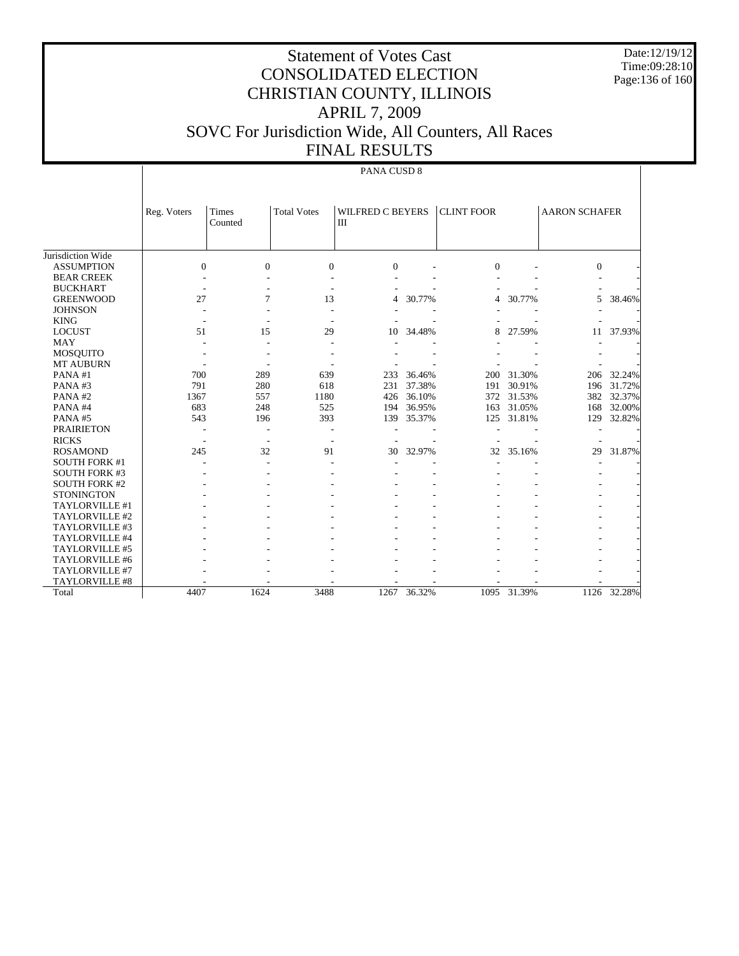Date:12/19/12 Time:09:28:10 Page:136 of 160

# Statement of Votes Cast CONSOLIDATED ELECTION CHRISTIAN COUNTY, ILLINOIS APRIL 7, 2009 SOVC For Jurisdiction Wide, All Counters, All Races FINAL RESULTS

#### PANA CUSD 8

|                      | Reg. Voters      | Times        | <b>Total Votes</b> | <b>WILFRED C BEYERS</b> |        | <b>CLINT FOOR</b>        |             | <b>AARON SCHAFER</b> |        |
|----------------------|------------------|--------------|--------------------|-------------------------|--------|--------------------------|-------------|----------------------|--------|
|                      |                  | Counted      |                    | III                     |        |                          |             |                      |        |
|                      |                  |              |                    |                         |        |                          |             |                      |        |
|                      |                  |              |                    |                         |        |                          |             |                      |        |
| Jurisdiction Wide    |                  |              |                    |                         |        |                          |             |                      |        |
| <b>ASSUMPTION</b>    | $\boldsymbol{0}$ | $\mathbf{0}$ | $\boldsymbol{0}$   | $\boldsymbol{0}$        |        | $\Omega$                 |             | $\boldsymbol{0}$     |        |
| <b>BEAR CREEK</b>    |                  |              |                    |                         |        |                          |             |                      |        |
| <b>BUCKHART</b>      |                  |              |                    |                         |        |                          |             |                      |        |
| <b>GREENWOOD</b>     | 27               | 7            | 13                 | 4                       | 30.77% | $\overline{\mathcal{A}}$ | 30.77%      | 5                    | 38.46% |
| <b>JOHNSON</b>       |                  |              |                    |                         |        |                          |             |                      |        |
| <b>KING</b>          |                  |              |                    |                         |        |                          |             |                      |        |
| <b>LOCUST</b>        | 51               | 15           | 29                 | 10                      | 34.48% | 8                        | 27.59%      | 11                   | 37.93% |
| <b>MAY</b>           |                  |              |                    |                         |        |                          |             |                      |        |
| <b>MOSQUITO</b>      |                  |              |                    |                         |        |                          |             |                      |        |
| <b>MT AUBURN</b>     |                  |              |                    |                         |        |                          |             |                      |        |
| PANA#1               | 700              | 289          | 639                | 233                     | 36.46% | 200                      | 31.30%      | 206                  | 32.24% |
| PANA#3               | 791              | 280          | 618                | 231                     | 37.38% | 191                      | 30.91%      | 196                  | 31.72% |
| PANA#2               | 1367             | 557          | 1180               | 426                     | 36.10% | 372                      | 31.53%      | 382                  | 32.37% |
| PANA#4               | 683              | 248          | 525                | 194                     | 36.95% | 163                      | 31.05%      | 168                  | 32.00% |
| PANA#5               | 543              | 196          | 393                | 139                     | 35.37% | 125                      | 31.81%      | 129                  | 32.82% |
| <b>PRAIRIETON</b>    |                  |              |                    |                         |        |                          |             |                      |        |
| <b>RICKS</b>         |                  |              |                    |                         |        |                          |             |                      |        |
| <b>ROSAMOND</b>      | 245              | 32           | 91                 | 30                      | 32.97% | 32                       | 35.16%      | 29                   | 31.87% |
| <b>SOUTH FORK #1</b> |                  |              |                    |                         |        |                          |             |                      |        |
| <b>SOUTH FORK #3</b> |                  |              |                    |                         |        |                          |             |                      |        |
| <b>SOUTH FORK #2</b> |                  |              |                    |                         |        |                          |             |                      |        |
| <b>STONINGTON</b>    |                  |              |                    |                         |        |                          |             |                      |        |
| TAYLORVILLE #1       |                  |              |                    |                         |        |                          |             |                      |        |
| TAYLORVILLE #2       |                  |              |                    |                         |        |                          |             |                      |        |
| TAYLORVILLE #3       |                  |              |                    |                         |        |                          |             |                      |        |
| TAYLORVILLE #4       |                  |              |                    |                         |        |                          |             |                      |        |
| TAYLORVILLE #5       |                  |              |                    |                         |        |                          |             |                      |        |
| TAYLORVILLE #6       |                  |              |                    |                         |        |                          |             |                      |        |
| TAYLORVILLE #7       |                  |              |                    |                         |        |                          |             |                      |        |
| TAYLORVILLE #8       |                  |              |                    |                         |        |                          |             |                      |        |
| Total                | 4407             | 1624         | 3488               | 1267                    | 36.32% |                          | 1095 31.39% | 1126                 | 32.28% |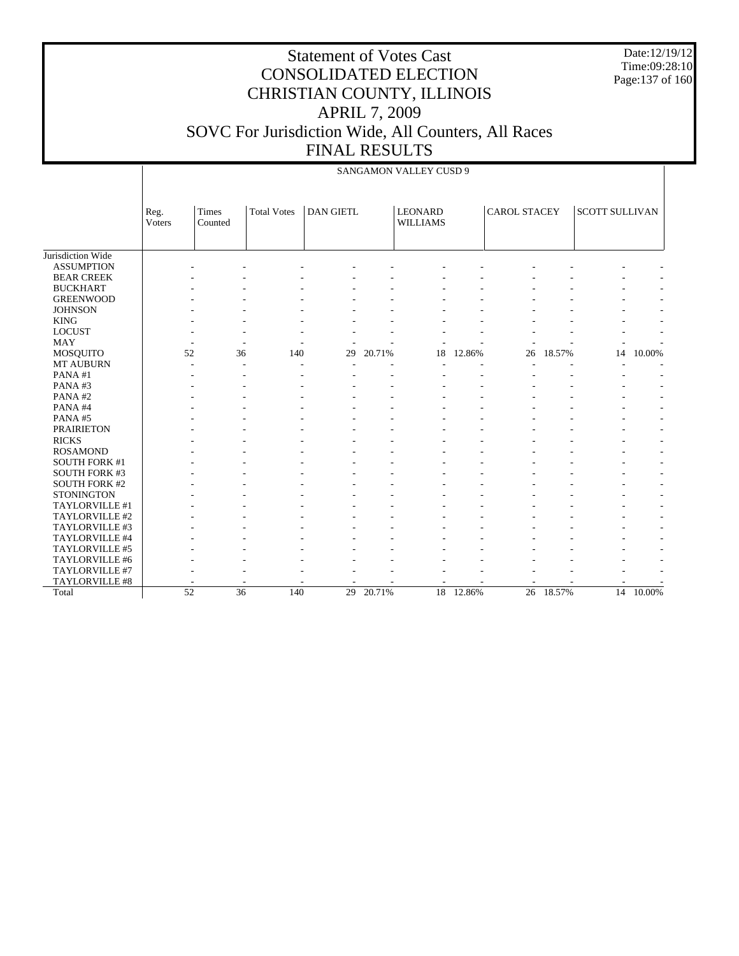Date:12/19/12 Time:09:28:10 Page:137 of 160

|                      |                |                                    |                    |                  |        | SANGAMON VALLEY CUSD 9            |        |                     |        |                       |        |
|----------------------|----------------|------------------------------------|--------------------|------------------|--------|-----------------------------------|--------|---------------------|--------|-----------------------|--------|
|                      | Reg.<br>Voters | Times<br>Counted                   | <b>Total Votes</b> | <b>DAN GIETL</b> |        | <b>LEONARD</b><br><b>WILLIAMS</b> |        | <b>CAROL STACEY</b> |        | <b>SCOTT SULLIVAN</b> |        |
| Jurisdiction Wide    |                |                                    |                    |                  |        |                                   |        |                     |        |                       |        |
| <b>ASSUMPTION</b>    |                |                                    |                    |                  |        |                                   |        |                     |        |                       |        |
| <b>BEAR CREEK</b>    |                |                                    |                    |                  |        |                                   |        |                     |        |                       |        |
| <b>BUCKHART</b>      |                |                                    |                    |                  |        |                                   |        |                     |        |                       |        |
| <b>GREENWOOD</b>     |                |                                    |                    |                  |        |                                   |        |                     |        |                       |        |
| <b>JOHNSON</b>       |                |                                    |                    |                  |        |                                   |        |                     |        |                       |        |
| <b>KING</b>          |                |                                    |                    |                  |        |                                   |        |                     |        |                       |        |
| <b>LOCUST</b>        |                |                                    |                    |                  |        |                                   |        |                     |        |                       |        |
| <b>MAY</b>           |                |                                    |                    |                  |        |                                   |        |                     |        |                       |        |
| <b>MOSQUITO</b>      |                | 52<br>36                           | 140                | 29               | 20.71% | 18                                | 12.86% | 26                  | 18.57% | 14                    | 10.00% |
| <b>MT AUBURN</b>     |                |                                    |                    |                  |        |                                   |        |                     |        |                       |        |
| PANA#1               |                |                                    |                    |                  |        |                                   |        |                     |        |                       |        |
| PANA#3               |                |                                    |                    |                  |        |                                   |        |                     |        |                       |        |
| PANA#2               |                |                                    |                    |                  |        |                                   |        |                     |        |                       |        |
| PANA#4               |                |                                    |                    |                  |        |                                   |        |                     |        |                       |        |
| PANA#5               |                |                                    |                    |                  |        |                                   |        |                     |        |                       |        |
| <b>PRAIRIETON</b>    |                |                                    |                    |                  |        |                                   |        |                     |        |                       |        |
| <b>RICKS</b>         |                |                                    |                    |                  |        |                                   |        |                     |        |                       |        |
| <b>ROSAMOND</b>      |                |                                    |                    |                  |        |                                   |        |                     |        |                       |        |
| <b>SOUTH FORK #1</b> |                |                                    |                    |                  |        |                                   |        |                     |        |                       |        |
| <b>SOUTH FORK #3</b> |                |                                    |                    |                  |        |                                   |        |                     |        |                       |        |
| <b>SOUTH FORK #2</b> |                |                                    |                    |                  |        |                                   |        |                     |        |                       |        |
| <b>STONINGTON</b>    |                |                                    |                    |                  |        |                                   |        |                     |        |                       |        |
| TAYLORVILLE #1       |                |                                    |                    |                  |        |                                   |        |                     |        |                       |        |
| TAYLORVILLE #2       |                |                                    |                    |                  |        |                                   |        |                     |        |                       |        |
| TAYLORVILLE #3       |                |                                    |                    |                  |        |                                   |        |                     |        |                       |        |
| TAYLORVILLE #4       |                |                                    |                    |                  |        |                                   |        |                     |        |                       |        |
| TAYLORVILLE #5       |                |                                    |                    |                  |        |                                   |        |                     |        |                       |        |
| TAYLORVILLE #6       |                |                                    |                    |                  |        |                                   |        |                     |        |                       |        |
| TAYLORVILLE #7       |                |                                    |                    |                  |        |                                   |        |                     |        |                       |        |
| TAYLORVILLE #8       |                |                                    |                    |                  |        |                                   |        |                     |        |                       |        |
| Total                |                | $\overline{52}$<br>$\overline{36}$ | 140                | 29               | 20.71% | $\overline{18}$                   | 12.86% | 26                  | 18.57% | $\overline{14}$       | 10.00% |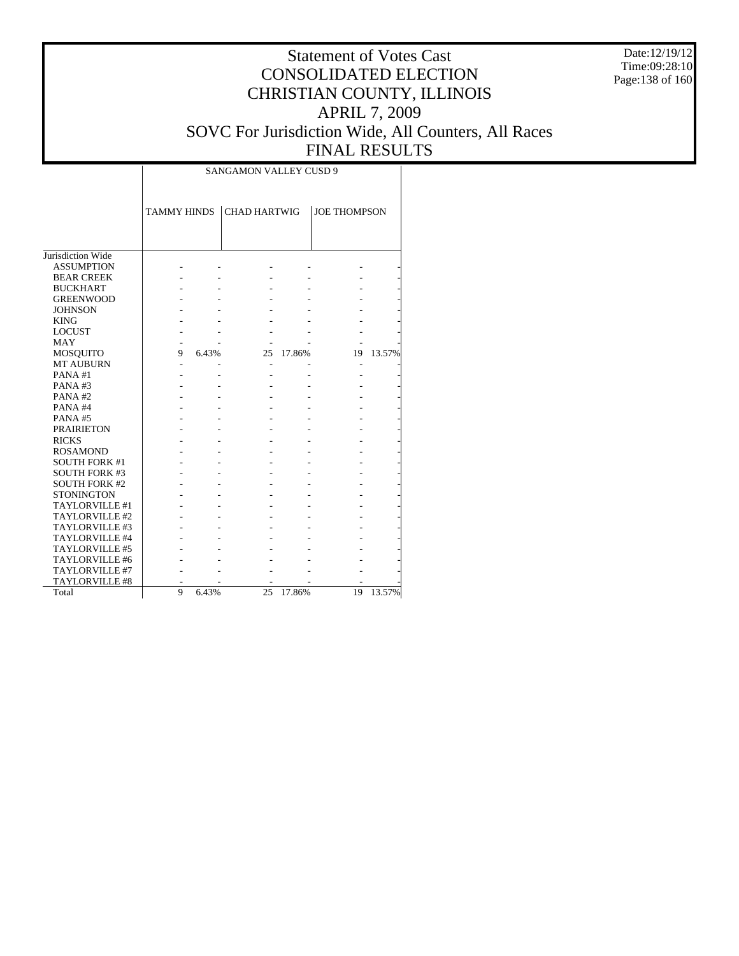Date:12/19/12 Time:09:28:10 Page:138 of 160

|                      |                    |       | <b>SANGAMON VALLEY CUSD 9</b> |        |                     |        |
|----------------------|--------------------|-------|-------------------------------|--------|---------------------|--------|
|                      | <b>TAMMY HINDS</b> |       | <b>CHAD HARTWIG</b>           |        | <b>JOE THOMPSON</b> |        |
|                      |                    |       |                               |        |                     |        |
| Jurisdiction Wide    |                    |       |                               |        |                     |        |
| <b>ASSUMPTION</b>    |                    |       |                               |        |                     |        |
| <b>BEAR CREEK</b>    |                    |       |                               |        |                     |        |
| <b>BUCKHART</b>      |                    |       |                               |        |                     |        |
| <b>GREENWOOD</b>     |                    |       |                               |        |                     |        |
| <b>JOHNSON</b>       |                    |       |                               |        |                     |        |
| <b>KING</b>          |                    |       |                               |        |                     |        |
| <b>LOCUST</b>        |                    |       |                               |        |                     |        |
| <b>MAY</b>           |                    |       |                               |        |                     |        |
| <b>MOSQUITO</b>      | 9                  | 6.43% | 25                            | 17.86% | 19                  | 13.57% |
| <b>MT AUBURN</b>     |                    |       | ٠                             |        |                     |        |
| PANA#1               |                    |       |                               |        |                     |        |
| PANA#3               |                    |       |                               |        |                     |        |
| PANA#2               |                    |       |                               |        |                     |        |
| PANA#4               |                    |       |                               |        |                     |        |
| PANA#5               |                    |       |                               |        |                     |        |
| <b>PRAIRIETON</b>    |                    |       |                               |        |                     |        |
| <b>RICKS</b>         |                    |       |                               |        |                     |        |
| <b>ROSAMOND</b>      |                    |       |                               |        |                     |        |
| <b>SOUTH FORK #1</b> |                    |       |                               |        |                     |        |
| <b>SOUTH FORK #3</b> |                    |       |                               |        |                     |        |
| <b>SOUTH FORK #2</b> |                    |       |                               |        |                     |        |
| <b>STONINGTON</b>    |                    |       |                               |        |                     |        |
| TAYLORVILLE #1       |                    |       |                               |        |                     |        |
| TAYLORVILLE #2       |                    |       |                               |        |                     |        |
| TAYLORVILLE #3       |                    |       |                               |        |                     |        |
| TAYLORVILLE #4       |                    |       |                               |        |                     |        |
| TAYLORVILLE #5       |                    |       |                               |        |                     |        |
| TAYLORVILLE #6       |                    |       |                               |        |                     |        |
| TAYLORVILLE #7       |                    |       |                               |        |                     |        |
| TAYLORVILLE #8       |                    |       |                               |        |                     |        |
| Total                | 9                  | 6.43% | 25                            | 17.86% | 19                  | 13.57% |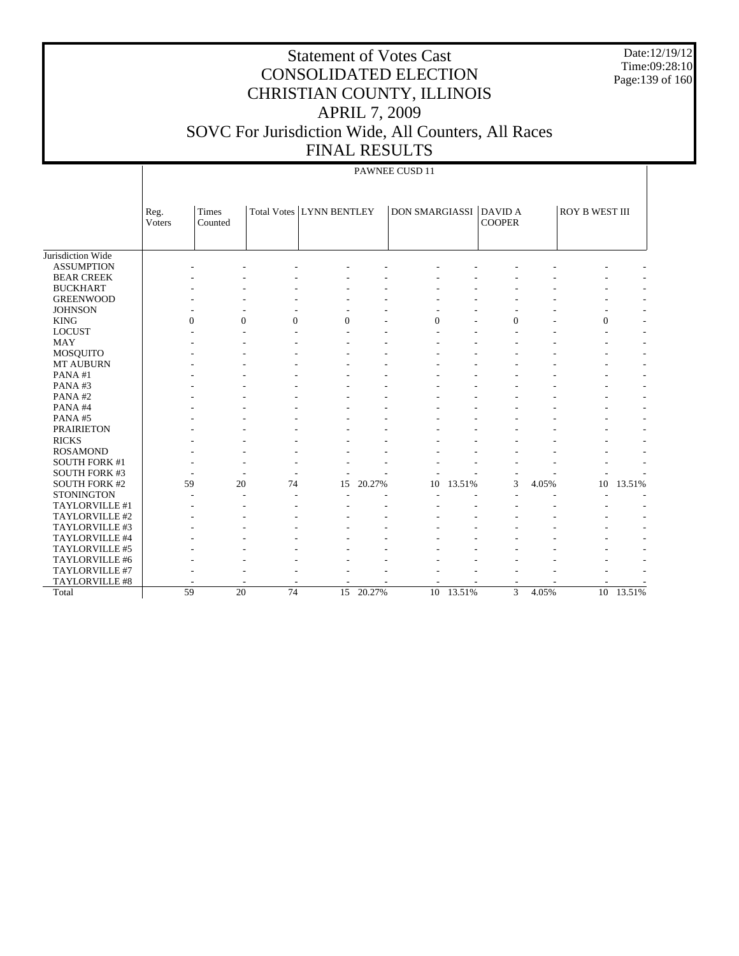Date:12/19/12 Time:09:28:10 Page:139 of 160

# Statement of Votes Cast CONSOLIDATED ELECTION CHRISTIAN COUNTY, ILLINOIS APRIL 7, 2009 SOVC For Jurisdiction Wide, All Counters, All Races FINAL RESULTS

### PAWNEE CUSD 11

|                      | Reg.<br>Voters | Times<br>Counted |                | Total Votes LYNN BENTLEY |           | <b>DON SMARGIASSI</b> |           | <b>DAVID A</b><br><b>COOPER</b> |       | ROY B WEST III |           |
|----------------------|----------------|------------------|----------------|--------------------------|-----------|-----------------------|-----------|---------------------------------|-------|----------------|-----------|
| Jurisdiction Wide    |                |                  |                |                          |           |                       |           |                                 |       |                |           |
| <b>ASSUMPTION</b>    |                |                  |                |                          |           |                       |           |                                 |       |                |           |
| <b>BEAR CREEK</b>    |                |                  |                |                          |           |                       |           |                                 |       |                |           |
| <b>BUCKHART</b>      |                |                  |                |                          |           |                       |           |                                 |       |                |           |
| <b>GREENWOOD</b>     |                |                  |                |                          |           |                       |           |                                 |       |                |           |
| <b>JOHNSON</b>       |                |                  |                |                          |           |                       |           |                                 |       |                |           |
| <b>KING</b>          | $\mathbf{0}$   | $\mathbf{0}$     | $\overline{0}$ | $\mathbf{0}$             |           | $\mathbf{0}$          |           | $\mathbf{0}$                    |       | $\mathbf{0}$   |           |
| <b>LOCUST</b>        |                |                  |                |                          |           |                       |           |                                 |       |                |           |
| <b>MAY</b>           |                |                  |                |                          |           |                       |           |                                 |       |                |           |
| <b>MOSQUITO</b>      |                |                  |                |                          |           |                       |           |                                 |       |                |           |
| <b>MT AUBURN</b>     |                |                  |                |                          |           |                       |           |                                 |       |                |           |
| PANA#1               |                |                  |                |                          |           |                       |           |                                 |       |                |           |
| PANA#3               |                |                  |                |                          |           |                       |           |                                 |       |                |           |
| PANA#2               |                |                  |                |                          |           |                       |           |                                 |       |                |           |
| PANA#4               |                |                  |                |                          |           |                       |           |                                 |       |                |           |
| PANA#5               |                |                  |                |                          |           |                       |           |                                 |       |                |           |
| <b>PRAIRIETON</b>    |                |                  |                |                          |           |                       |           |                                 |       |                |           |
| <b>RICKS</b>         |                |                  |                |                          |           |                       |           |                                 |       |                |           |
| <b>ROSAMOND</b>      |                |                  |                |                          |           |                       |           |                                 |       |                |           |
| <b>SOUTH FORK #1</b> |                |                  |                |                          |           |                       |           |                                 |       |                |           |
| <b>SOUTH FORK #3</b> |                |                  |                |                          |           |                       |           |                                 |       |                |           |
| <b>SOUTH FORK #2</b> | 59             | 20               | 74             | 15                       | 20.27%    | 10                    | 13.51%    | 3                               | 4.05% | 10             | 13.51%    |
| <b>STONINGTON</b>    |                |                  |                |                          |           |                       |           |                                 |       |                |           |
| TAYLORVILLE #1       |                |                  |                |                          |           |                       |           |                                 |       |                |           |
| TAYLORVILLE #2       |                |                  |                |                          |           |                       |           |                                 |       |                |           |
| TAYLORVILLE #3       |                |                  |                |                          |           |                       |           |                                 |       |                |           |
| TAYLORVILLE #4       |                |                  |                |                          |           |                       |           |                                 |       |                |           |
| TAYLORVILLE #5       |                |                  |                |                          |           |                       |           |                                 |       |                |           |
| TAYLORVILLE #6       |                |                  |                |                          |           |                       |           |                                 |       |                |           |
| TAYLORVILLE #7       |                |                  |                |                          |           |                       |           |                                 |       |                |           |
| TAYLORVILLE #8       |                |                  |                |                          |           |                       |           |                                 |       |                |           |
| Total                | 59             | 20               | 74             |                          | 15 20.27% |                       | 10 13.51% | 3                               | 4.05% |                | 10 13.51% |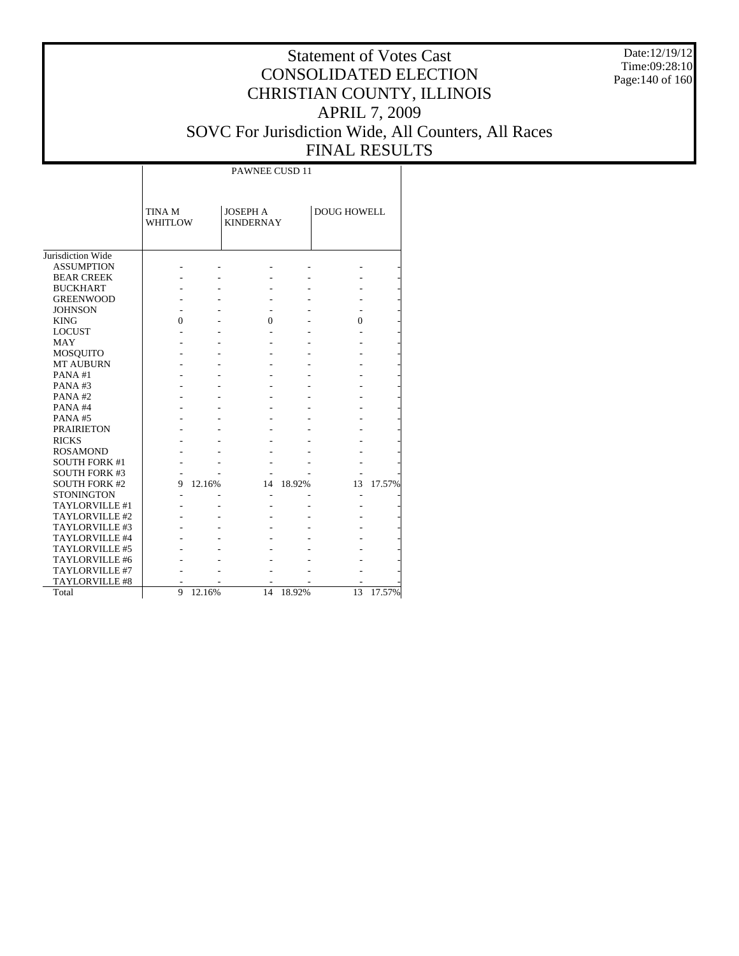Date:12/19/12 Time:09:28:10 Page:140 of 160

# Statement of Votes Cast CONSOLIDATED ELECTION CHRISTIAN COUNTY, ILLINOIS APRIL 7, 2009 SOVC For Jurisdiction Wide, All Counters, All Races FINAL RESULTS

Τ

|                      |                          |        | PAWNEE CUSD 11                      |        |                    |        |
|----------------------|--------------------------|--------|-------------------------------------|--------|--------------------|--------|
|                      | TINA M<br><b>WHITLOW</b> |        | <b>JOSEPH A</b><br><b>KINDERNAY</b> |        | <b>DOUG HOWELL</b> |        |
| Jurisdiction Wide    |                          |        |                                     |        |                    |        |
| <b>ASSUMPTION</b>    |                          |        |                                     |        |                    |        |
| <b>BEAR CREEK</b>    |                          |        |                                     |        |                    |        |
| <b>BUCKHART</b>      |                          |        |                                     |        |                    |        |
| <b>GREENWOOD</b>     |                          |        |                                     |        |                    |        |
| <b>JOHNSON</b>       |                          |        |                                     |        |                    |        |
| <b>KING</b>          | 0                        |        | $\Omega$                            |        | 0                  |        |
| <b>LOCUST</b>        |                          |        |                                     |        |                    |        |
| <b>MAY</b>           |                          |        |                                     |        |                    |        |
| MOSQUITO             |                          |        |                                     |        |                    |        |
| <b>MT AUBURN</b>     |                          |        |                                     |        |                    |        |
| PANA#1               |                          |        |                                     |        |                    |        |
| PANA#3               |                          |        |                                     |        |                    |        |
| PANA#2               |                          |        |                                     |        |                    |        |
| PANA#4               |                          |        |                                     |        |                    |        |
| PANA#5               |                          |        |                                     |        |                    |        |
| <b>PRAIRIETON</b>    |                          |        |                                     |        |                    |        |
|                      |                          |        |                                     |        |                    |        |
| <b>RICKS</b>         |                          |        |                                     |        |                    |        |
| <b>ROSAMOND</b>      |                          |        |                                     |        |                    |        |
| <b>SOUTH FORK #1</b> |                          |        |                                     |        |                    |        |
| <b>SOUTH FORK #3</b> |                          |        |                                     |        |                    |        |
| <b>SOUTH FORK #2</b> | 9                        | 12.16% | 14                                  | 18.92% | 13                 | 17.57% |
| <b>STONINGTON</b>    |                          |        |                                     |        |                    |        |
| TAYLORVILLE #1       |                          |        |                                     |        |                    |        |
| TAYLORVILLE #2       |                          |        |                                     |        |                    |        |
| TAYLORVILLE #3       |                          |        |                                     |        |                    |        |
| TAYLORVILLE #4       |                          |        |                                     |        |                    |        |
| TAYLORVILLE #5       |                          |        |                                     |        |                    |        |
| TAYLORVILLE #6       |                          |        |                                     |        |                    |        |
| TAYLORVILLE #7       |                          |        |                                     |        |                    |        |
| TAYLORVILLE #8       |                          |        |                                     |        |                    |        |
| Total                | 9                        | 12.16% | 14                                  | 18.92% | 13                 | 17.57% |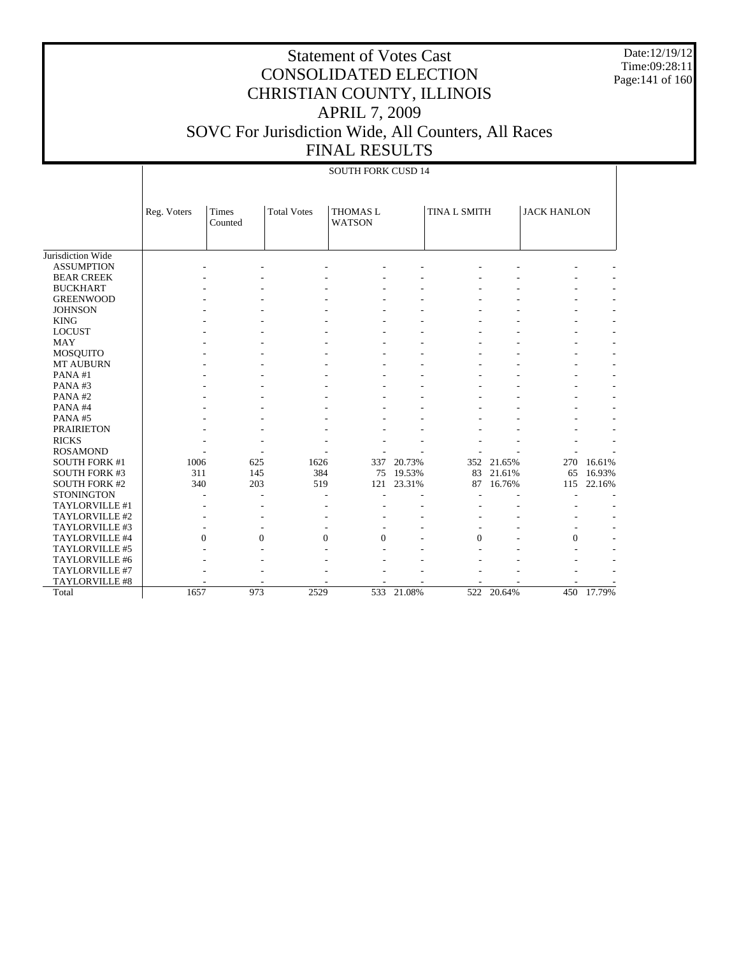Date:12/19/12 Time:09:28:11 Page:141 of 160

|                      | <b>SOUTH FORK CUSD 14</b> |                         |                    |                                  |        |                     |            |                    |        |  |
|----------------------|---------------------------|-------------------------|--------------------|----------------------------------|--------|---------------------|------------|--------------------|--------|--|
|                      | Reg. Voters               | <b>Times</b><br>Counted | <b>Total Votes</b> | <b>THOMAS L</b><br><b>WATSON</b> |        | <b>TINA L SMITH</b> |            | <b>JACK HANLON</b> |        |  |
| Jurisdiction Wide    |                           |                         |                    |                                  |        |                     |            |                    |        |  |
| <b>ASSUMPTION</b>    |                           |                         |                    |                                  |        |                     |            |                    |        |  |
| <b>BEAR CREEK</b>    |                           |                         |                    |                                  |        |                     |            |                    |        |  |
| <b>BUCKHART</b>      |                           |                         |                    |                                  |        |                     |            |                    |        |  |
| <b>GREENWOOD</b>     |                           |                         |                    |                                  |        |                     |            |                    |        |  |
| <b>JOHNSON</b>       |                           |                         |                    |                                  |        |                     |            |                    |        |  |
| <b>KING</b>          |                           |                         |                    |                                  |        |                     |            |                    |        |  |
| <b>LOCUST</b>        |                           |                         |                    |                                  |        |                     |            |                    |        |  |
| <b>MAY</b>           |                           |                         |                    |                                  |        |                     |            |                    |        |  |
| <b>MOSQUITO</b>      |                           |                         |                    |                                  |        |                     |            |                    |        |  |
| <b>MT AUBURN</b>     |                           |                         |                    |                                  |        |                     |            |                    |        |  |
| PANA#1               |                           |                         |                    |                                  |        |                     |            |                    |        |  |
| PANA#3               |                           |                         |                    |                                  |        |                     |            |                    |        |  |
| PANA#2               |                           |                         |                    |                                  |        |                     |            |                    |        |  |
| PANA#4               |                           |                         |                    |                                  |        |                     |            |                    |        |  |
| PANA#5               |                           |                         |                    |                                  |        |                     |            |                    |        |  |
| <b>PRAIRIETON</b>    |                           |                         |                    |                                  |        |                     |            |                    |        |  |
| <b>RICKS</b>         |                           |                         |                    |                                  |        |                     |            |                    |        |  |
| <b>ROSAMOND</b>      |                           |                         |                    |                                  |        |                     |            |                    |        |  |
| <b>SOUTH FORK #1</b> | 1006                      | 625                     | 1626               | 337                              | 20.73% | 352                 | 21.65%     | 270                | 16.61% |  |
| <b>SOUTH FORK #3</b> | 311                       | 145                     | 384                | 75                               | 19.53% | 83                  | 21.61%     | 65                 | 16.93% |  |
| <b>SOUTH FORK #2</b> | 340                       | 203                     | 519                | 121                              | 23.31% | 87                  | 16.76%     | 115                | 22.16% |  |
| <b>STONINGTON</b>    |                           |                         |                    |                                  |        |                     |            |                    |        |  |
| TAYLORVILLE #1       |                           |                         |                    |                                  |        |                     |            |                    |        |  |
| TAYLORVILLE #2       |                           |                         |                    |                                  |        |                     |            |                    |        |  |
| TAYLORVILLE #3       |                           |                         |                    |                                  |        |                     |            |                    |        |  |
| TAYLORVILLE #4       | $\Omega$                  | $\Omega$                | $\Omega$           | $\Omega$                         |        | $\Omega$            |            | $\Omega$           |        |  |
| TAYLORVILLE #5       |                           |                         |                    |                                  |        |                     |            |                    |        |  |
| TAYLORVILLE #6       |                           |                         |                    |                                  |        |                     |            |                    |        |  |
| TAYLORVILLE #7       |                           |                         |                    |                                  |        |                     |            |                    |        |  |
| TAYLORVILLE #8       |                           |                         |                    |                                  |        |                     |            |                    |        |  |
| Total                | 1657                      | 973                     | 2529               | 533                              | 21.08% |                     | 522 20.64% | 450                | 17.79% |  |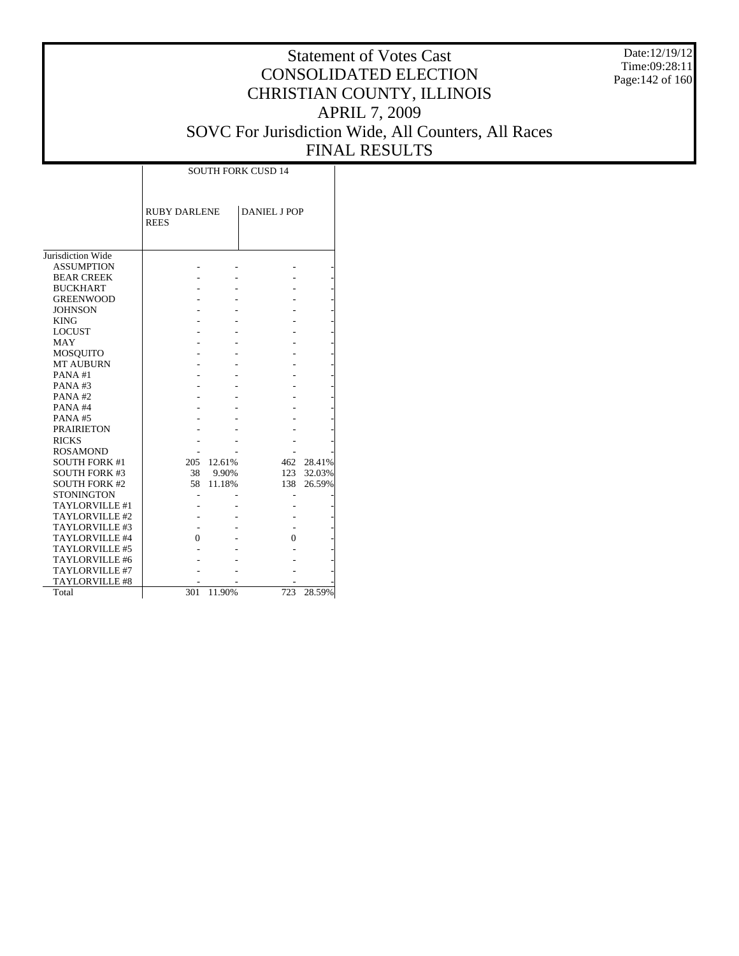Date:12/19/12 Time:09:28:11 Page:142 of 160

|                       | <b>SOUTH FORK CUSD 14</b>          |        |                     |        |  |  |  |  |  |
|-----------------------|------------------------------------|--------|---------------------|--------|--|--|--|--|--|
|                       | <b>RUBY DARLENE</b><br><b>REES</b> |        | <b>DANIEL J POP</b> |        |  |  |  |  |  |
| Jurisdiction Wide     |                                    |        |                     |        |  |  |  |  |  |
| <b>ASSUMPTION</b>     |                                    |        |                     |        |  |  |  |  |  |
| <b>BEAR CREEK</b>     |                                    |        |                     |        |  |  |  |  |  |
| <b>BUCKHART</b>       |                                    |        |                     |        |  |  |  |  |  |
| <b>GREENWOOD</b>      |                                    |        |                     |        |  |  |  |  |  |
| <b>JOHNSON</b>        |                                    |        |                     |        |  |  |  |  |  |
| <b>KING</b>           |                                    |        |                     |        |  |  |  |  |  |
| <b>LOCUST</b>         |                                    |        |                     |        |  |  |  |  |  |
| <b>MAY</b>            |                                    |        |                     |        |  |  |  |  |  |
| MOSQUITO              |                                    |        |                     |        |  |  |  |  |  |
| <b>MT AUBURN</b>      |                                    |        |                     |        |  |  |  |  |  |
| PANA#1                |                                    |        |                     |        |  |  |  |  |  |
| PANA#3                |                                    |        |                     |        |  |  |  |  |  |
| PANA#2                |                                    |        |                     |        |  |  |  |  |  |
| PANA#4                |                                    |        |                     |        |  |  |  |  |  |
| PANA#5                |                                    |        |                     |        |  |  |  |  |  |
| <b>PRAIRIETON</b>     |                                    |        |                     |        |  |  |  |  |  |
| <b>RICKS</b>          |                                    |        |                     |        |  |  |  |  |  |
| <b>ROSAMOND</b>       |                                    |        |                     |        |  |  |  |  |  |
| <b>SOUTH FORK #1</b>  | 205                                | 12.61% | 462                 | 28.41% |  |  |  |  |  |
| <b>SOUTH FORK #3</b>  | 38                                 | 9.90%  | 123                 | 32.03% |  |  |  |  |  |
| <b>SOUTH FORK #2</b>  | 58                                 | 11.18% | 138                 | 26.59% |  |  |  |  |  |
| <b>STONINGTON</b>     |                                    |        |                     |        |  |  |  |  |  |
| TAYLORVILLE #1        |                                    |        |                     |        |  |  |  |  |  |
| TAYLORVILLE #2        |                                    |        |                     |        |  |  |  |  |  |
| TAYLORVILLE #3        |                                    |        |                     |        |  |  |  |  |  |
| TAYLORVILLE #4        | $\theta$                           |        | $\theta$            |        |  |  |  |  |  |
| TAYLORVILLE #5        |                                    |        |                     |        |  |  |  |  |  |
| TAYLORVILLE #6        |                                    |        |                     |        |  |  |  |  |  |
| TAYLORVILLE #7        |                                    |        |                     |        |  |  |  |  |  |
| <b>TAYLORVILLE #8</b> |                                    |        |                     |        |  |  |  |  |  |
| Total                 | 301                                | 11.90% | 723                 | 28.59% |  |  |  |  |  |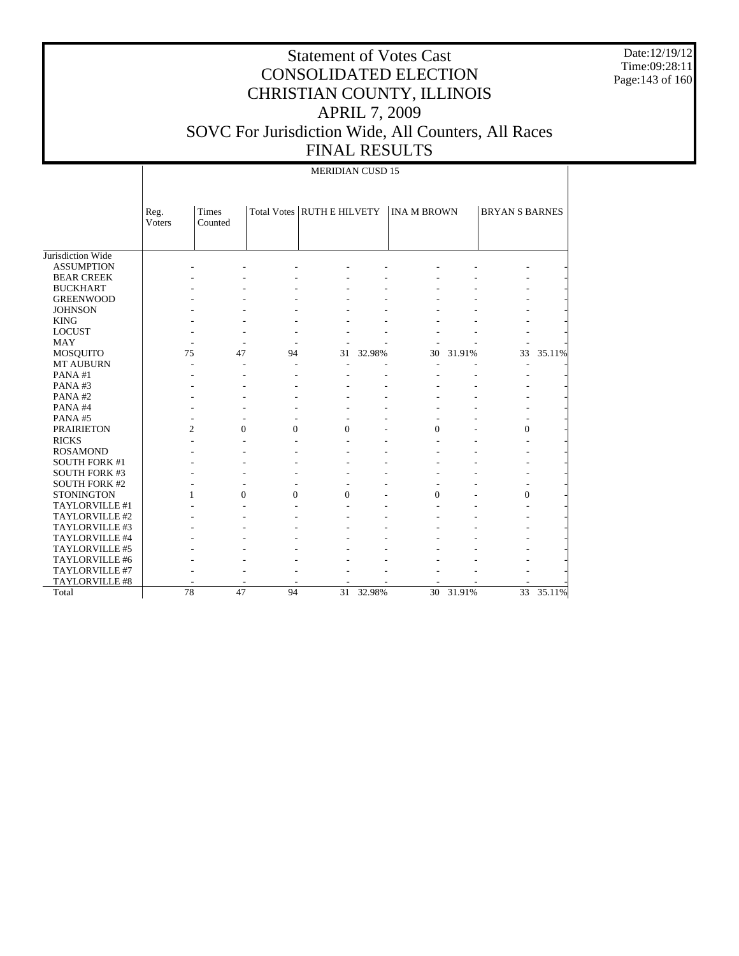Date:12/19/12 Time:09:28:11 Page:143 of 160

### Statement of Votes Cast CONSOLIDATED ELECTION CHRISTIAN COUNTY, ILLINOIS APRIL 7, 2009 SOVC For Jurisdiction Wide, All Counters, All Races FINAL RESULTS

Jurisdiction Wide ASSUMPTION BEAR CREEK BUCKHART GREENWOOD **JOHNSON**  KING LOCUST MAY MOSQUITO MT AUBURN PANA #1 PANA #3 PANA #2 PANA #4 PANA #5 PRAIRIETON RICKS ROSAMOND SOUTH FORK #1 SOUTH FORK #3 SOUTH FORK #2 STONINGTON TAYLORVILLE #1 TAYLORVILLE #2 TAYLORVILLE #3 TAYLORVILLE #4 TAYLORVILLE #5 TAYLORVILLE #6 TAYLORVILLE #7 TAYLORVILLE #8 Total Reg. Voters Times Counted Total Votes RUTH E HILVETY | INA M BROWN | BRYAN S BARNES MERIDIAN CUSD 15 - - - - - - - - - - - - - - - - - - - - - - - - - - - - - - - - - - - - - - - - - - - - - - - - - - - - - - - - - - - - - - - - - - - - - - - - 75 47 94 31 32.98% 30 31.91% 33 35.11% - - - - - - - - - - - - - - - - - - - - - - - - - - - - - - - - - - - - - - - - - - - - - - - - - - - - - - 2 0 0 0 - 0 - 0 -- - - - - - - - - - - - - - - - - - - - - - - - - - - - - - - - - - - - - - - - - - - - - 1 0 0 0 - 0 - 0 -- - - - - - - - - - - - - - - - - - - - - - - - - - - - - - - - - - - - - - - - - - - - - - - - - - - - - - - - - - - - - - - - - - - - - - - - 78 47 94 31 32.98% 30 31.91% 33 35.11%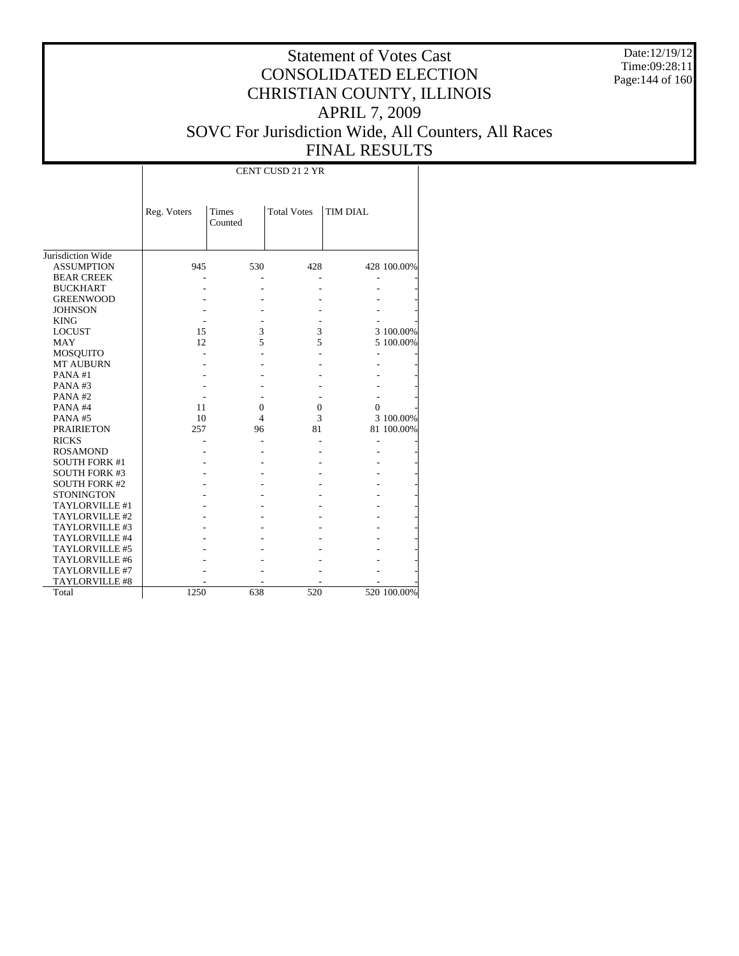Date:12/19/12 Time:09:28:11 Page:144 of 160

# Statement of Votes Cast CONSOLIDATED ELECTION CHRISTIAN COUNTY, ILLINOIS APRIL 7, 2009 SOVC For Jurisdiction Wide, All Counters, All Races FINAL RESULTS

|                       |             |                  | <b>CENT CUSD 21 2 YR</b> |                 |             |
|-----------------------|-------------|------------------|--------------------------|-----------------|-------------|
|                       | Reg. Voters | Times<br>Counted | <b>Total Votes</b>       | <b>TIM DIAL</b> |             |
| Jurisdiction Wide     |             |                  |                          |                 |             |
| <b>ASSUMPTION</b>     | 945         | 530              | 428                      |                 | 428 100.00% |
| <b>BEAR CREEK</b>     |             |                  |                          |                 |             |
| <b>BUCKHART</b>       |             |                  |                          |                 |             |
| <b>GREENWOOD</b>      |             |                  |                          |                 |             |
| <b>JOHNSON</b>        |             |                  |                          |                 |             |
| <b>KING</b>           |             |                  |                          |                 |             |
| <b>LOCUST</b>         | 15          | 3                | 3                        |                 | 3 100.00%   |
| MAY                   | 12          | 5                | 5                        |                 | 5 100.00%   |
| MOSQUITO              |             |                  |                          |                 |             |
| <b>MT AUBURN</b>      |             |                  |                          |                 |             |
| PANA#1                |             |                  |                          |                 |             |
| PANA#3                |             |                  |                          |                 |             |
| PANA#2                |             |                  |                          |                 |             |
| PANA#4                | 11          | 0                | 0                        | $\Omega$        |             |
| PANA#5                | 10          | 4                | 3                        |                 | 3 100.00%   |
| <b>PRAIRIETON</b>     | 257         | 96               | 81                       |                 | 81 100.00%  |
| <b>RICKS</b>          |             |                  |                          |                 |             |
| <b>ROSAMOND</b>       |             |                  |                          |                 |             |
| <b>SOUTH FORK #1</b>  |             |                  |                          |                 |             |
| <b>SOUTH FORK #3</b>  |             |                  |                          |                 |             |
| <b>SOUTH FORK #2</b>  |             |                  |                          |                 |             |
| <b>STONINGTON</b>     |             |                  |                          |                 |             |
| TAYLORVILLE #1        |             |                  |                          |                 |             |
| TAYLORVILLE #2        |             |                  |                          |                 |             |
| TAYLORVILLE #3        |             |                  |                          |                 |             |
| TAYLORVILLE #4        |             |                  |                          |                 |             |
| TAYLORVILLE #5        |             |                  |                          |                 |             |
| TAYLORVILLE #6        |             |                  |                          |                 |             |
| TAYLORVILLE #7        |             |                  |                          |                 |             |
| <b>TAYLORVILLE #8</b> |             |                  |                          |                 |             |
| Total                 | 1250        | 638              | 520                      |                 | 520 100.00% |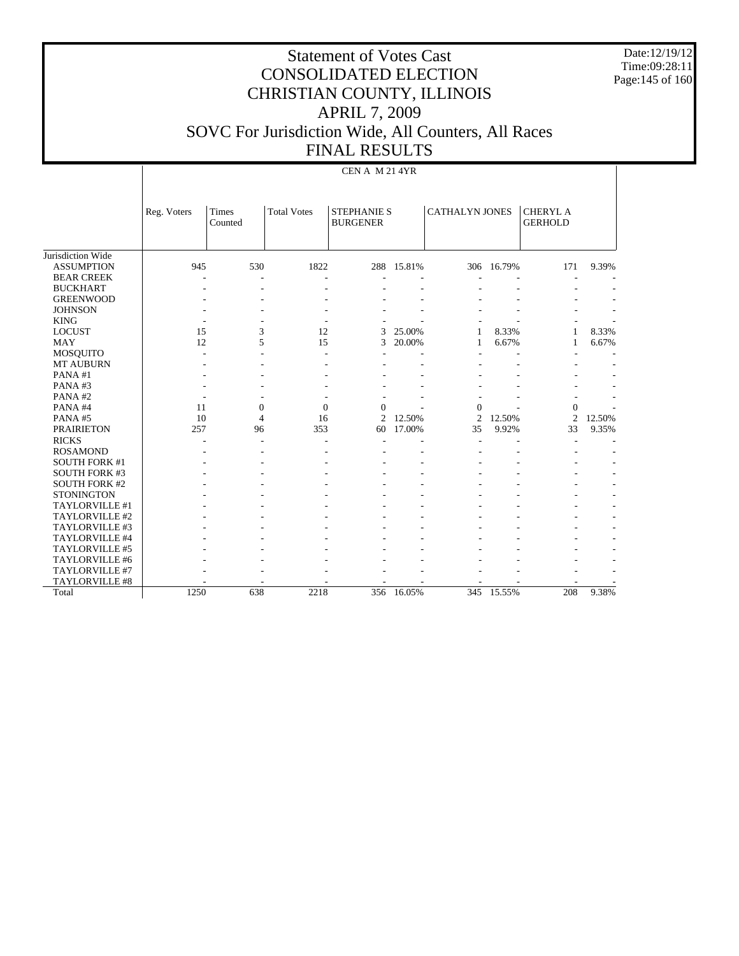Date:12/19/12 Time:09:28:11 Page:145 of 160

#### Statement of Votes Cast CONSOLIDATED ELECTION CHRISTIAN COUNTY, ILLINOIS APRIL 7, 2009 SOVC For Jurisdiction Wide, All Counters, All Races FINAL RESULTS

|                      |             | CEN A M 21 4YR          |                    |                                       |        |                       |            |                                   |        |
|----------------------|-------------|-------------------------|--------------------|---------------------------------------|--------|-----------------------|------------|-----------------------------------|--------|
|                      | Reg. Voters | <b>Times</b><br>Counted | <b>Total Votes</b> | <b>STEPHANIE S</b><br><b>BURGENER</b> |        | <b>CATHALYN JONES</b> |            | <b>CHERYL A</b><br><b>GERHOLD</b> |        |
| Jurisdiction Wide    |             |                         |                    |                                       |        |                       |            |                                   |        |
| <b>ASSUMPTION</b>    | 945         | 530                     | 1822               | 288                                   | 15.81% |                       | 306 16.79% | 171                               | 9.39%  |
| <b>BEAR CREEK</b>    |             |                         |                    |                                       |        |                       |            |                                   |        |
| <b>BUCKHART</b>      |             |                         |                    |                                       |        |                       |            |                                   |        |
| <b>GREENWOOD</b>     |             |                         |                    |                                       |        |                       |            |                                   |        |
| <b>JOHNSON</b>       |             |                         |                    |                                       |        |                       |            |                                   |        |
| <b>KING</b>          |             |                         |                    |                                       |        |                       |            |                                   |        |
| <b>LOCUST</b>        | 15          | 3                       | 12                 | 3                                     | 25.00% | 1                     | 8.33%      | 1                                 | 8.33%  |
| <b>MAY</b>           | 12          | 5                       | 15                 | 3                                     | 20.00% | 1                     | 6.67%      | 1                                 | 6.67%  |
| <b>MOSQUITO</b>      |             |                         |                    |                                       |        |                       |            |                                   |        |
| <b>MT AUBURN</b>     |             |                         |                    |                                       |        |                       |            |                                   |        |
| PANA#1               |             |                         |                    |                                       |        |                       |            |                                   |        |
| PANA#3               |             |                         |                    |                                       |        |                       |            |                                   |        |
| PANA#2               |             |                         |                    |                                       |        |                       |            |                                   |        |
| PANA#4               | 11          | $\boldsymbol{0}$        | $\mathbf{0}$       | $\Omega$                              |        | $\mathbf{0}$          |            | $\boldsymbol{0}$                  |        |
| PANA#5               | 10          | 4                       | 16                 | $\overline{c}$                        | 12.50% | $\overline{2}$        | 12.50%     | $\mathfrak{2}$                    | 12.50% |
| <b>PRAIRIETON</b>    | 257         | 96                      | 353                | 60                                    | 17.00% | 35                    | 9.92%      | 33                                | 9.35%  |
| <b>RICKS</b>         |             |                         |                    |                                       |        |                       |            |                                   |        |
| <b>ROSAMOND</b>      |             |                         |                    |                                       |        |                       |            |                                   |        |
| <b>SOUTH FORK #1</b> |             |                         |                    |                                       |        |                       |            |                                   |        |
| <b>SOUTH FORK #3</b> |             |                         |                    |                                       |        |                       |            |                                   |        |
| <b>SOUTH FORK #2</b> |             |                         |                    |                                       |        |                       |            |                                   |        |
| <b>STONINGTON</b>    |             |                         |                    |                                       |        |                       |            |                                   |        |
| TAYLORVILLE #1       |             |                         |                    |                                       |        |                       |            |                                   |        |
| TAYLORVILLE #2       |             |                         |                    |                                       |        |                       |            |                                   |        |
| TAYLORVILLE #3       |             |                         |                    |                                       |        |                       |            |                                   |        |
| TAYLORVILLE #4       |             |                         |                    |                                       |        |                       |            |                                   |        |
| TAYLORVILLE #5       |             |                         |                    |                                       |        |                       |            |                                   |        |
| TAYLORVILLE #6       |             |                         |                    |                                       |        |                       |            |                                   |        |
| TAYLORVILLE #7       |             |                         |                    |                                       |        |                       |            |                                   |        |
| TAYLORVILLE #8       |             |                         |                    |                                       |        |                       |            |                                   |        |
| Total                | 1250        | 638                     | 2218               | 356                                   | 16.05% |                       | 345 15.55% | 208                               | 9.38%  |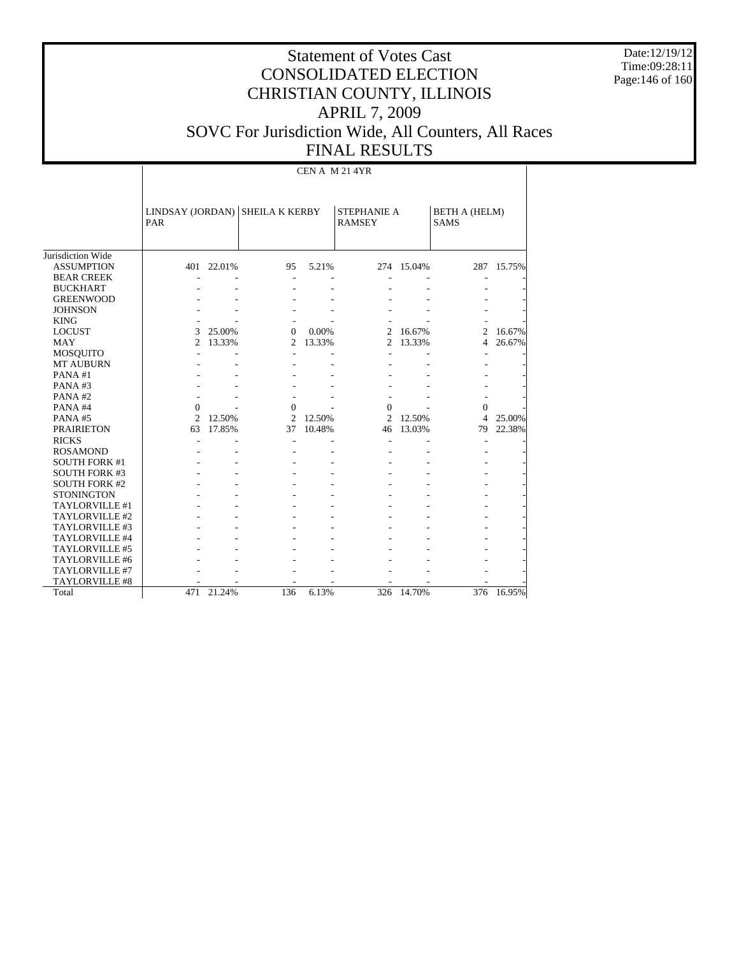Date:12/19/12 Time:09:28:11 Page:146 of 160

# Statement of Votes Cast CONSOLIDATED ELECTION CHRISTIAN COUNTY, ILLINOIS APRIL 7, 2009 SOVC For Jurisdiction Wide, All Counters, All Races FINAL RESULTS

CEN A M 21 4YR

|                      | PAR            |            | LINDSAY (JORDAN) SHEILA K KERBY |        | <b>STEPHANIE A</b><br><b>RAMSEY</b> |            | <b>BETH A (HELM)</b><br><b>SAMS</b> |            |
|----------------------|----------------|------------|---------------------------------|--------|-------------------------------------|------------|-------------------------------------|------------|
| Jurisdiction Wide    |                |            |                                 |        |                                     |            |                                     |            |
| <b>ASSUMPTION</b>    |                | 401 22.01% | 95                              | 5.21%  |                                     | 274 15.04% |                                     | 287 15.75% |
| <b>BEAR CREEK</b>    |                |            |                                 |        |                                     |            |                                     |            |
| <b>BUCKHART</b>      |                |            |                                 |        |                                     |            |                                     |            |
| <b>GREENWOOD</b>     |                |            |                                 |        |                                     |            |                                     |            |
| <b>JOHNSON</b>       |                |            |                                 |        |                                     |            |                                     |            |
| <b>KING</b>          |                |            |                                 |        |                                     |            |                                     |            |
| <b>LOCUST</b>        | 3              | 25.00%     | $\Omega$                        | 0.00%  | $\mathfrak{D}$                      | 16.67%     | 2                                   | 16.67%     |
| <b>MAY</b>           | $\mathfrak{2}$ | 13.33%     | $\overline{2}$                  | 13.33% | $\overline{2}$                      | 13.33%     | 4                                   | 26.67%     |
| <b>MOSQUITO</b>      |                |            |                                 |        |                                     |            |                                     |            |
| <b>MT AUBURN</b>     |                |            |                                 |        |                                     |            |                                     |            |
| PANA#1               |                |            |                                 |        |                                     |            |                                     |            |
| PANA#3               |                |            |                                 |        |                                     |            |                                     |            |
| PANA#2               |                |            |                                 |        |                                     |            |                                     |            |
| PANA#4               | $\Omega$       |            | $\Omega$                        |        | $\Omega$                            |            | $\Omega$                            |            |
| PANA#5               | $\mathfrak{D}$ | 12.50%     | 2                               | 12.50% | 2                                   | 12.50%     | 4                                   | 25.00%     |
| <b>PRAIRIETON</b>    | 63             | 17.85%     | 37                              | 10.48% | 46                                  | 13.03%     | 79                                  | 22.38%     |
| <b>RICKS</b>         |                |            |                                 |        |                                     |            | $\overline{a}$                      |            |
| <b>ROSAMOND</b>      |                |            |                                 |        |                                     |            |                                     |            |
| <b>SOUTH FORK #1</b> |                |            |                                 |        |                                     |            |                                     |            |
| <b>SOUTH FORK #3</b> |                |            |                                 |        |                                     |            |                                     |            |
| <b>SOUTH FORK #2</b> |                |            |                                 |        |                                     |            |                                     |            |
| <b>STONINGTON</b>    |                |            |                                 |        |                                     |            |                                     |            |
| TAYLORVILLE #1       |                |            |                                 |        |                                     |            |                                     |            |
| TAYLORVILLE #2       |                |            |                                 |        |                                     |            |                                     |            |
| TAYLORVILLE #3       |                |            |                                 |        |                                     |            |                                     |            |
| TAYLORVILLE #4       |                |            |                                 |        |                                     |            |                                     |            |
| TAYLORVILLE #5       |                |            |                                 |        |                                     |            |                                     |            |
| TAYLORVILLE #6       |                |            |                                 |        |                                     |            |                                     |            |
| TAYLORVILLE #7       |                |            |                                 |        |                                     |            |                                     |            |
| TAYLORVILLE #8       |                |            |                                 |        |                                     |            |                                     |            |
| Total                | 471            | 21.24%     | 136                             | 6.13%  | 326                                 | 14.70%     | 376                                 | 16.95%     |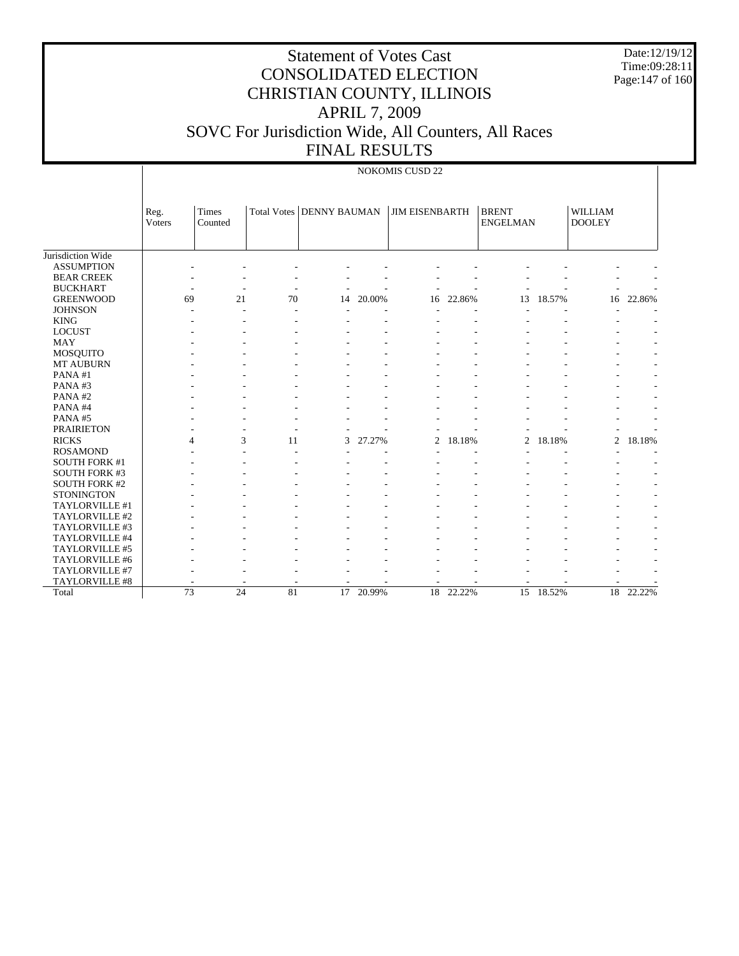# Statement of Votes Cast CONSOLIDATED ELECTION CHRISTIAN COUNTY, ILLINOIS APRIL 7, 2009 SOVC For Jurisdiction Wide, All Counters, All Races FINAL RESULTS

Date:12/19/12 Time:09:28:11 Page:147 of 160

|                                        |                |                  |    | LIJAT VESOLIS              |        |                       |        |                                 |           |                                 |                          |
|----------------------------------------|----------------|------------------|----|----------------------------|--------|-----------------------|--------|---------------------------------|-----------|---------------------------------|--------------------------|
|                                        |                |                  |    |                            |        | NOKOMIS CUSD 22       |        |                                 |           |                                 |                          |
|                                        | Reg.<br>Voters | Times<br>Counted |    | Total Votes   DENNY BAUMAN |        | <b>JIM EISENBARTH</b> |        | <b>BRENT</b><br><b>ENGELMAN</b> |           | <b>WILLIAM</b><br><b>DOOLEY</b> |                          |
| Jurisdiction Wide<br><b>ASSUMPTION</b> |                |                  |    |                            |        |                       |        |                                 |           |                                 |                          |
| <b>BEAR CREEK</b>                      |                |                  |    |                            |        |                       |        |                                 |           |                                 |                          |
| <b>BUCKHART</b>                        |                | ٠                |    |                            |        |                       |        |                                 |           |                                 |                          |
| <b>GREENWOOD</b>                       | 69             | 21               | 70 | 14                         | 20.00% | 16                    | 22.86% | 13                              | 18.57%    | 16                              | 22.86%                   |
| <b>JOHNSON</b>                         |                |                  |    |                            |        |                       |        |                                 |           |                                 |                          |
| <b>KING</b>                            |                |                  |    |                            |        |                       |        |                                 |           |                                 |                          |
| <b>LOCUST</b>                          |                |                  |    |                            |        |                       |        |                                 |           |                                 |                          |
| <b>MAY</b>                             |                |                  |    |                            |        |                       |        |                                 |           |                                 |                          |
| <b>MOSQUITO</b>                        |                |                  |    |                            |        |                       |        |                                 |           |                                 |                          |
| <b>MT AUBURN</b>                       |                |                  |    |                            |        |                       |        |                                 |           |                                 |                          |
| PANA#1                                 |                |                  |    |                            |        |                       |        |                                 |           |                                 |                          |
| PANA#3                                 |                |                  |    |                            |        |                       |        |                                 |           |                                 |                          |
| PANA#2                                 |                |                  |    |                            |        |                       |        |                                 |           |                                 |                          |
| PANA#4                                 |                |                  |    |                            |        |                       |        |                                 |           |                                 |                          |
| PANA#5                                 |                |                  |    |                            |        |                       |        |                                 |           |                                 |                          |
| <b>PRAIRIETON</b>                      |                |                  |    |                            |        |                       |        |                                 |           |                                 |                          |
| <b>RICKS</b>                           |                | 3<br>4           | 11 | 3                          | 27.27% | $\overline{2}$        | 18.18% | $\overline{c}$                  | 18.18%    | 2                               | 18.18%                   |
| <b>ROSAMOND</b>                        |                |                  |    |                            |        |                       |        |                                 |           |                                 |                          |
| <b>SOUTH FORK #1</b>                   |                |                  |    |                            |        |                       |        |                                 |           |                                 |                          |
| <b>SOUTH FORK #3</b>                   |                |                  |    |                            |        |                       |        |                                 |           |                                 |                          |
| <b>SOUTH FORK #2</b>                   |                |                  |    |                            |        |                       |        |                                 |           |                                 |                          |
| <b>STONINGTON</b>                      |                |                  |    |                            |        |                       |        |                                 |           |                                 |                          |
| TAYLORVILLE #1                         |                |                  |    |                            |        |                       |        |                                 |           |                                 |                          |
| TAYLORVILLE #2                         |                |                  |    |                            |        |                       |        |                                 |           |                                 | $\overline{\phantom{a}}$ |
| TAYLORVILLE #3<br>TAYLORVILLE #4       |                |                  |    |                            |        |                       |        |                                 |           |                                 |                          |
| TAYLORVILLE #5                         |                |                  |    |                            |        |                       |        |                                 |           |                                 |                          |
| TAYLORVILLE #6                         |                |                  |    |                            |        |                       |        |                                 |           |                                 |                          |
| TAYLORVILLE #7                         |                |                  |    |                            |        |                       |        |                                 |           |                                 |                          |
| TAYLORVILLE #8                         |                |                  |    |                            |        |                       |        |                                 |           |                                 |                          |
| Total                                  | 73             | 24               | 81 | 17                         | 20.99% | 18                    | 22.22% |                                 | 15 18.52% | 18                              | 22.22%                   |
|                                        |                |                  |    |                            |        |                       |        |                                 |           |                                 |                          |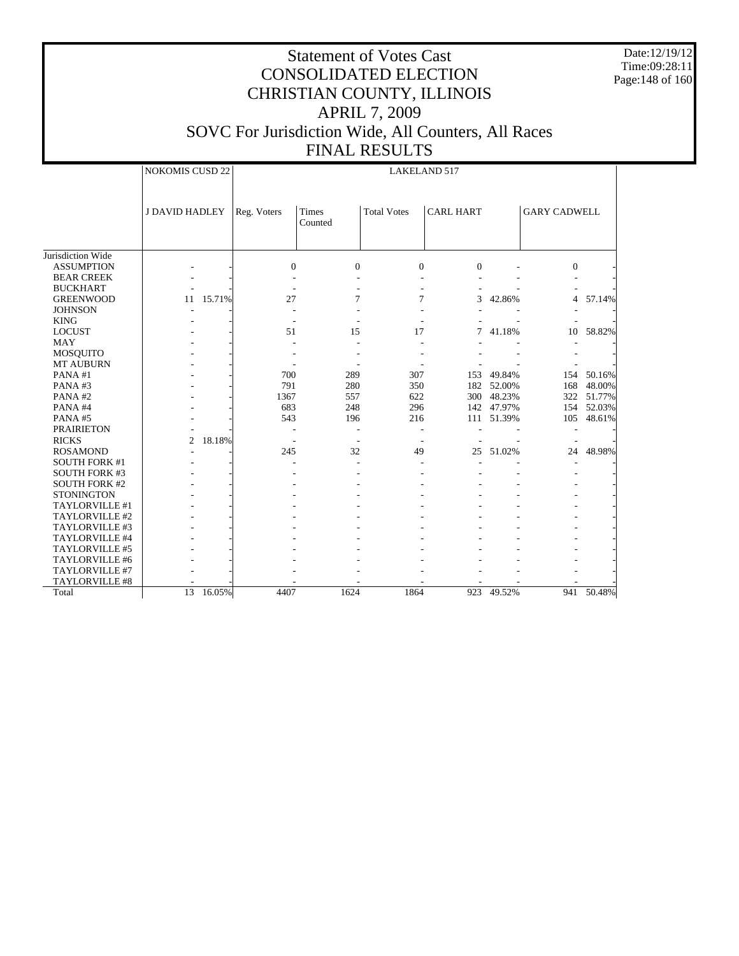Date:12/19/12 Time:09:28:11 Page:148 of 160

|                       | <b>NOKOMIS CUSD 22</b> |        |             |                  |                    | <b>LAKELAND 517</b> |        |                     |            |
|-----------------------|------------------------|--------|-------------|------------------|--------------------|---------------------|--------|---------------------|------------|
|                       | <b>J DAVID HADLEY</b>  |        | Reg. Voters | Times<br>Counted | <b>Total Votes</b> | <b>CARL HART</b>    |        | <b>GARY CADWELL</b> |            |
| Jurisdiction Wide     |                        |        |             |                  |                    |                     |        |                     |            |
| <b>ASSUMPTION</b>     |                        |        | $\Omega$    | $\Omega$         | $\Omega$           | $\Omega$            |        | $\Omega$            |            |
| <b>BEAR CREEK</b>     |                        |        |             |                  |                    |                     |        |                     |            |
| <b>BUCKHART</b>       |                        |        |             |                  |                    |                     |        |                     |            |
| <b>GREENWOOD</b>      | 11                     | 15.71% | 27          | 7                | 7                  | 3                   | 42.86% | $\overline{4}$      | 57.14%     |
| <b>JOHNSON</b>        |                        |        |             |                  |                    |                     |        |                     |            |
| <b>KING</b>           |                        |        |             |                  |                    |                     |        |                     |            |
| <b>LOCUST</b>         |                        |        | 51          | 15               | 17                 | 7                   | 41.18% | 10                  | 58.82%     |
| <b>MAY</b>            |                        |        |             |                  |                    |                     |        |                     |            |
| <b>MOSQUITO</b>       |                        |        |             |                  |                    |                     |        |                     |            |
| <b>MT AUBURN</b>      |                        |        |             |                  |                    |                     |        |                     |            |
| PANA#1                |                        |        | 700         | 289              | 307                | 153                 | 49.84% | 154                 | 50.16%     |
| PANA#3                |                        |        | 791         | 280              | 350                | 182                 | 52.00% | 168                 | 48.00%     |
| PANA#2                |                        |        | 1367        | 557              | 622                | 300                 | 48.23% |                     | 322 51.77% |
| PANA#4                |                        |        | 683         | 248              | 296                | 142                 | 47.97% | 154                 | 52.03%     |
| PANA#5                |                        |        | 543         | 196              | 216                | 111                 | 51.39% | 105                 | 48.61%     |
| <b>PRAIRIETON</b>     |                        |        |             |                  |                    |                     |        |                     |            |
| <b>RICKS</b>          | $\overline{c}$         | 18.18% |             |                  |                    |                     |        |                     |            |
| <b>ROSAMOND</b>       |                        |        | 245         | 32               | 49                 | 25                  | 51.02% | 24                  | 48.98%     |
| <b>SOUTH FORK #1</b>  |                        |        |             |                  |                    |                     |        |                     |            |
| <b>SOUTH FORK #3</b>  |                        |        |             |                  |                    |                     |        |                     |            |
| <b>SOUTH FORK #2</b>  |                        |        |             |                  |                    |                     |        |                     |            |
| <b>STONINGTON</b>     |                        |        |             |                  |                    |                     |        |                     |            |
| TAYLORVILLE #1        |                        |        |             |                  |                    |                     |        |                     |            |
| TAYLORVILLE #2        |                        |        |             |                  |                    |                     |        |                     |            |
| TAYLORVILLE #3        |                        |        |             |                  |                    |                     |        |                     |            |
| TAYLORVILLE #4        |                        |        |             |                  |                    |                     |        |                     |            |
| TAYLORVILLE #5        |                        |        |             |                  |                    |                     |        |                     |            |
| TAYLORVILLE #6        |                        |        |             |                  |                    |                     |        |                     |            |
| TAYLORVILLE #7        |                        |        |             |                  |                    |                     |        |                     |            |
| <b>TAYLORVILLE #8</b> |                        |        |             |                  |                    |                     |        |                     |            |
| Total                 | $\overline{13}$        | 16.05% | 4407        | 1624             | 1864               | 923                 | 49.52% |                     | 941 50.48% |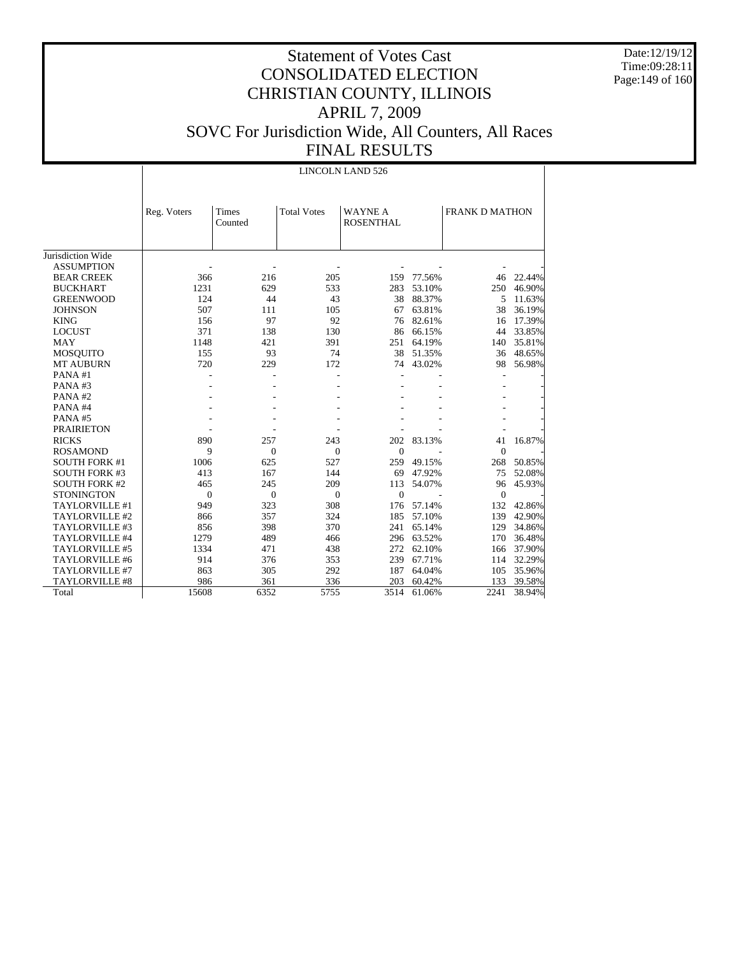Date:12/19/12 Time:09:28:11 Page:149 of 160

|                       |              |                  |                    | <b>LINCOLN LAND 526</b>            |        |                       |        |
|-----------------------|--------------|------------------|--------------------|------------------------------------|--------|-----------------------|--------|
|                       | Reg. Voters  | Times<br>Counted | <b>Total Votes</b> | <b>WAYNE A</b><br><b>ROSENTHAL</b> |        | <b>FRANK D MATHON</b> |        |
| Jurisdiction Wide     |              |                  |                    |                                    |        |                       |        |
| <b>ASSUMPTION</b>     |              |                  |                    |                                    |        |                       |        |
| <b>BEAR CREEK</b>     | 366          | 216              | 205                | 159                                | 77.56% | 46                    | 22.44% |
| <b>BUCKHART</b>       | 1231         | 629              | 533                | 283                                | 53.10% | 250                   | 46.90% |
| <b>GREENWOOD</b>      | 124          | 44               | 43                 | 38                                 | 88.37% | 5                     | 11.63% |
| <b>JOHNSON</b>        | 507          | 111              | 105                | 67                                 | 63.81% | 38                    | 36.19% |
| <b>KING</b>           | 156          | 97               | 92                 | 76                                 | 82.61% | 16                    | 17.39% |
| <b>LOCUST</b>         | 371          | 138              | 130                | 86                                 | 66.15% | 44                    | 33.85% |
| <b>MAY</b>            | 1148         | 421              | 391                | 251                                | 64.19% | 140                   | 35.81% |
| <b>MOSQUITO</b>       | 155          | 93               | 74                 | 38                                 | 51.35% | 36                    | 48.65% |
| <b>MT AUBURN</b>      | 720          | 229              | 172                | 74                                 | 43.02% | 98                    | 56.98% |
| PANA#1                |              |                  |                    |                                    |        |                       |        |
| PANA#3                |              |                  |                    |                                    |        |                       |        |
| PANA#2                |              |                  |                    |                                    |        |                       |        |
| PANA#4                |              |                  |                    |                                    |        |                       |        |
| PANA#5                |              |                  |                    |                                    |        |                       |        |
| <b>PRAIRIETON</b>     |              |                  |                    |                                    |        |                       |        |
| <b>RICKS</b>          | 890          | 257              | 243                | 202                                | 83.13% | 41                    | 16.87% |
| <b>ROSAMOND</b>       | 9            | $\theta$         | $\mathbf{0}$       | $\mathbf{0}$                       |        | $\theta$              |        |
| <b>SOUTH FORK #1</b>  | 1006         | 625              | 527                | 259                                | 49.15% | 268                   | 50.85% |
| <b>SOUTH FORK #3</b>  | 413          | 167              | 144                | 69                                 | 47.92% | 75                    | 52.08% |
| <b>SOUTH FORK #2</b>  | 465          | 245              | 209                | 113                                | 54.07% | 96                    | 45.93% |
| <b>STONINGTON</b>     | $\mathbf{0}$ | $\theta$         | $\theta$           | $\mathbf{0}$                       |        | $\theta$              |        |
| TAYLORVILLE #1        | 949          | 323              | 308                | 176                                | 57.14% | 132                   | 42.86% |
| TAYLORVILLE #2        | 866          | 357              | 324                | 185                                | 57.10% | 139                   | 42.90% |
| TAYLORVILLE #3        | 856          | 398              | 370                | 241                                | 65.14% | 129                   | 34.86% |
| TAYLORVILLE #4        | 1279         | 489              | 466                | 296                                | 63.52% | 170                   | 36.48% |
| TAYLORVILLE #5        | 1334         | 471              | 438                | 272                                | 62.10% | 166                   | 37.90% |
| TAYLORVILLE #6        | 914          | 376              | 353                | 239                                | 67.71% | 114                   | 32.29% |
| TAYLORVILLE #7        | 863          | 305              | 292                | 187                                | 64.04% | 105                   | 35.96% |
| <b>TAYLORVILLE #8</b> | 986          | 361              | 336                | 203                                | 60.42% | 133                   | 39.58% |
| Total                 | 15608        | 6352             | 5755               | 3514                               | 61.06% | 2241                  | 38.94% |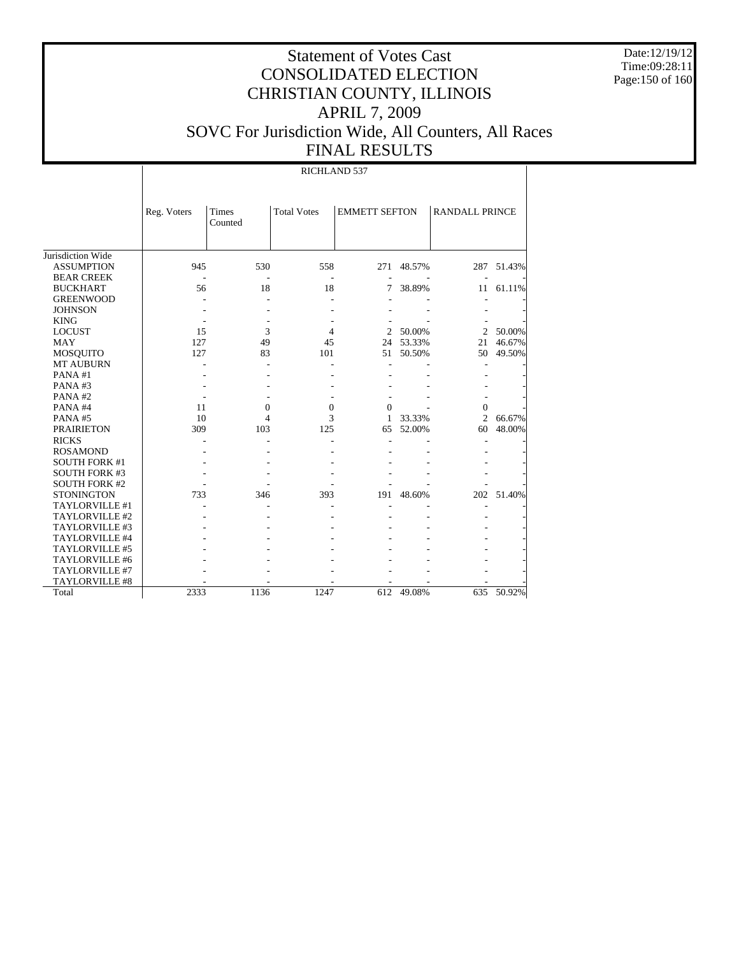Date:12/19/12 Time:09:28:11 Page:150 of 160

# Statement of Votes Cast CONSOLIDATED ELECTION CHRISTIAN COUNTY, ILLINOIS APRIL 7, 2009 SOVC For Jurisdiction Wide, All Counters, All Races FINAL RESULTS

RICHLAND 537

|                      | Reg. Voters | <b>Times</b><br>Counted | <b>Total Votes</b> | <b>EMMETT SEFTON</b> |           | <b>RANDALL PRINCE</b> |            |
|----------------------|-------------|-------------------------|--------------------|----------------------|-----------|-----------------------|------------|
| Jurisdiction Wide    |             |                         |                    |                      |           |                       |            |
| <b>ASSUMPTION</b>    | 945         | 530                     | 558                | 271                  | 48.57%    | 287                   | 51.43%     |
| <b>BEAR CREEK</b>    |             |                         |                    |                      |           |                       |            |
| <b>BUCKHART</b>      | 56          | 18                      | 18                 | 7                    | 38.89%    | 11                    | 61.11%     |
| <b>GREENWOOD</b>     |             |                         |                    |                      |           |                       |            |
| <b>JOHNSON</b>       |             |                         |                    |                      |           |                       |            |
| <b>KING</b>          |             |                         |                    |                      |           |                       |            |
| <b>LOCUST</b>        | 15          | 3                       | 4                  | 2                    | 50.00%    | $\overline{2}$        | 50.00%     |
| <b>MAY</b>           | 127         | 49                      | 45                 |                      | 24 53.33% | 21                    | 46.67%     |
| <b>MOSQUITO</b>      | 127         | 83                      | 101                | 51                   | 50.50%    | 50                    | 49.50%     |
| <b>MT AUBURN</b>     |             |                         |                    |                      |           |                       |            |
| PANA#1               |             |                         |                    |                      |           |                       |            |
| PANA#3               |             |                         |                    |                      |           |                       |            |
| PANA#2               |             |                         |                    |                      |           |                       |            |
| PANA#4               | 11          | $\mathbf{0}$            | $\theta$           | $\Omega$             |           | $\Omega$              |            |
| PANA#5               | 10          | 4                       | 3                  | 1                    | 33.33%    | $\overline{c}$        | 66.67%     |
| <b>PRAIRIETON</b>    | 309         | 103                     | 125                | 65                   | 52.00%    | 60                    | 48.00%     |
| <b>RICKS</b>         |             |                         |                    |                      |           |                       |            |
| <b>ROSAMOND</b>      |             |                         |                    |                      |           |                       |            |
| <b>SOUTH FORK #1</b> |             |                         |                    |                      |           |                       |            |
| <b>SOUTH FORK #3</b> |             |                         |                    |                      |           |                       |            |
| <b>SOUTH FORK #2</b> |             |                         |                    |                      |           |                       |            |
| <b>STONINGTON</b>    | 733         | 346                     | 393                | 191                  | 48.60%    |                       | 202 51.40% |
| TAYLORVILLE #1       |             |                         |                    |                      |           |                       |            |
| TAYLORVILLE #2       |             |                         |                    |                      |           |                       |            |
| TAYLORVILLE #3       |             |                         |                    |                      |           |                       |            |
| TAYLORVILLE #4       |             |                         |                    |                      |           |                       |            |
| TAYLORVILLE #5       |             |                         |                    |                      |           |                       |            |
| TAYLORVILLE #6       |             |                         |                    |                      |           |                       |            |
| TAYLORVILLE #7       |             |                         |                    |                      |           |                       |            |
| TAYLORVILLE #8       |             |                         |                    |                      |           |                       |            |
| Total                | 2333        | 1136                    | 1247               | 612                  | 49.08%    | 635                   | 50.92%     |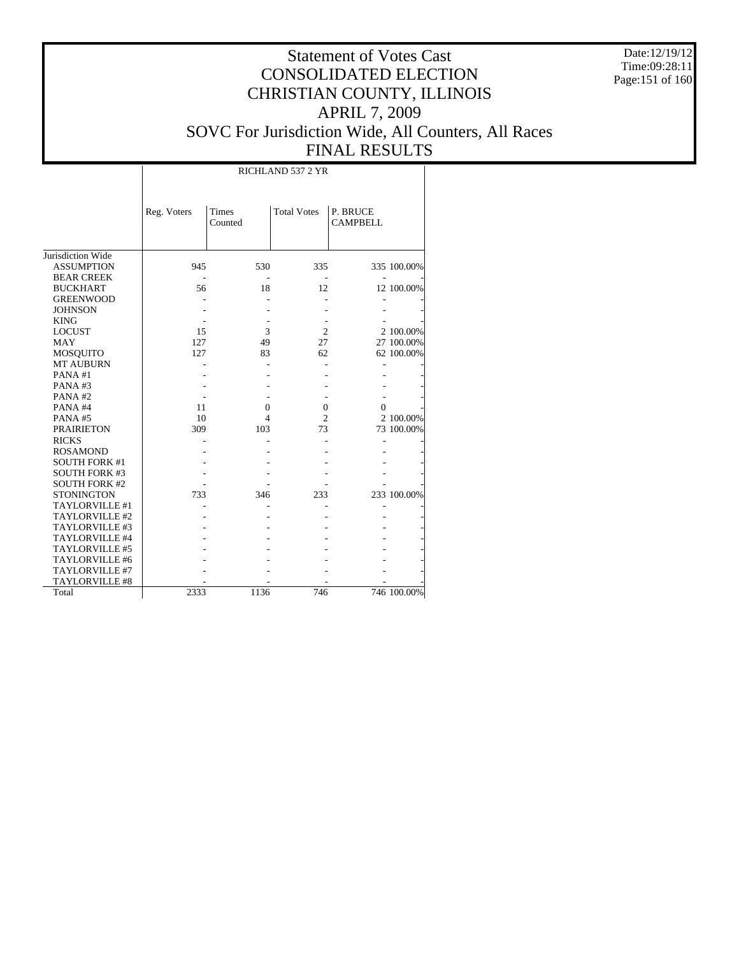Date:12/19/12 Time:09:28:11 Page:151 of 160

|                       |             | RICHLAND 537 2 YR       |                    |                             |             |  |  |  |  |  |
|-----------------------|-------------|-------------------------|--------------------|-----------------------------|-------------|--|--|--|--|--|
|                       | Reg. Voters | <b>Times</b><br>Counted | <b>Total Votes</b> | P. BRUCE<br><b>CAMPBELL</b> |             |  |  |  |  |  |
| Jurisdiction Wide     |             |                         |                    |                             |             |  |  |  |  |  |
| <b>ASSUMPTION</b>     | 945         | 530                     | 335                |                             | 335 100.00% |  |  |  |  |  |
| <b>BEAR CREEK</b>     |             |                         |                    |                             |             |  |  |  |  |  |
| <b>BUCKHART</b>       | 56          | 18                      | 12                 |                             | 12 100.00%  |  |  |  |  |  |
| <b>GREENWOOD</b>      |             |                         |                    |                             |             |  |  |  |  |  |
| <b>JOHNSON</b>        |             |                         |                    |                             |             |  |  |  |  |  |
| <b>KING</b>           |             |                         |                    |                             |             |  |  |  |  |  |
| <b>LOCUST</b>         | 15          | 3                       | $\overline{2}$     |                             | 2 100.00%   |  |  |  |  |  |
| <b>MAY</b>            | 127         | 49                      | 27                 |                             | 27 100.00%  |  |  |  |  |  |
| <b>MOSQUITO</b>       | 127         | 83                      | 62                 |                             | 62 100.00%  |  |  |  |  |  |
| <b>MT AUBURN</b>      |             |                         |                    |                             |             |  |  |  |  |  |
| PANA#1                |             |                         |                    |                             |             |  |  |  |  |  |
| PANA#3                |             |                         |                    |                             |             |  |  |  |  |  |
| PANA#2                |             |                         |                    |                             |             |  |  |  |  |  |
| PANA#4                | 11          | $\overline{0}$          | $\overline{0}$     | $\Omega$                    |             |  |  |  |  |  |
| PANA#5                | 10          | 4                       | $\overline{c}$     |                             | 2 100.00%   |  |  |  |  |  |
| <b>PRAIRIETON</b>     | 309         | 103                     | 73                 |                             | 73 100.00%  |  |  |  |  |  |
| <b>RICKS</b>          |             |                         |                    |                             |             |  |  |  |  |  |
| <b>ROSAMOND</b>       |             |                         |                    |                             |             |  |  |  |  |  |
| <b>SOUTH FORK #1</b>  |             |                         |                    |                             |             |  |  |  |  |  |
| <b>SOUTH FORK #3</b>  |             |                         |                    |                             |             |  |  |  |  |  |
| <b>SOUTH FORK #2</b>  |             |                         |                    |                             |             |  |  |  |  |  |
| <b>STONINGTON</b>     | 733         | 346                     | 233                |                             | 233 100.00% |  |  |  |  |  |
| TAYLORVILLE #1        |             |                         |                    |                             |             |  |  |  |  |  |
| TAYLORVILLE #2        |             |                         |                    |                             |             |  |  |  |  |  |
| TAYLORVILLE #3        |             |                         |                    |                             |             |  |  |  |  |  |
| TAYLORVILLE #4        |             |                         |                    |                             |             |  |  |  |  |  |
| TAYLORVILLE #5        |             |                         |                    |                             |             |  |  |  |  |  |
| TAYLORVILLE #6        |             |                         |                    |                             |             |  |  |  |  |  |
| TAYLORVILLE #7        |             |                         |                    |                             |             |  |  |  |  |  |
| <b>TAYLORVILLE #8</b> |             |                         |                    |                             |             |  |  |  |  |  |
| Total                 | 2333        | 1136                    | 746                |                             | 746 100.00% |  |  |  |  |  |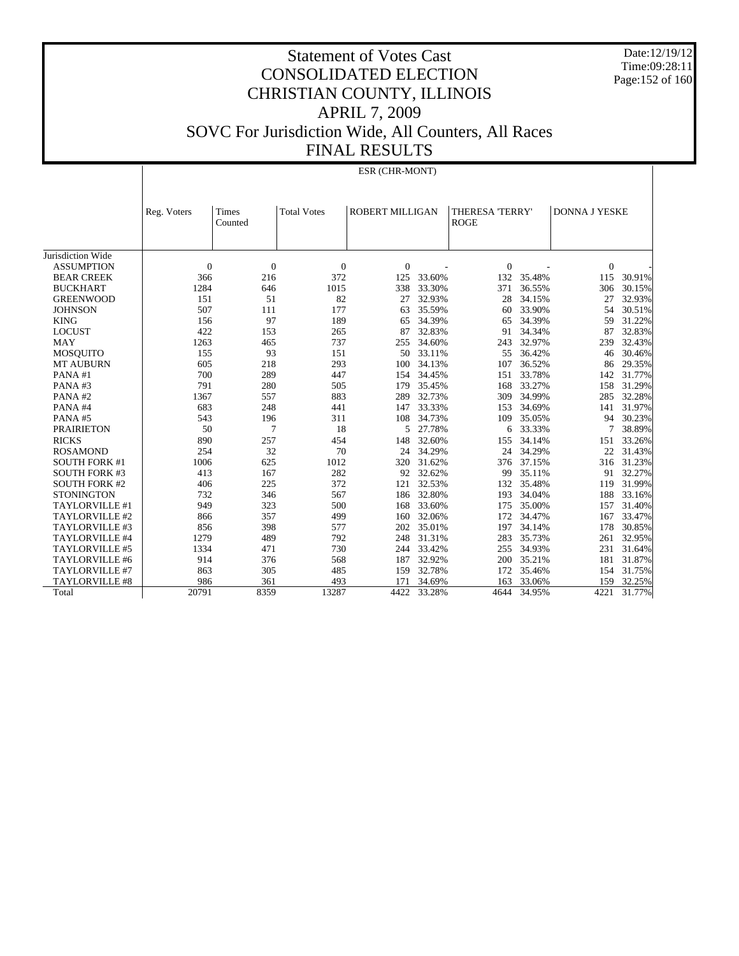Date:12/19/12 Time:09:28:11 Page:152 of 160

| ESR (CHR-MONT) |  |
|----------------|--|

|                       | Reg. Voters | Times<br>Counted | <b>Total Votes</b> | ROBERT MILLIGAN |        | THERESA 'TERRY'<br><b>ROGE</b> |        | <b>DONNA J YESKE</b> |        |
|-----------------------|-------------|------------------|--------------------|-----------------|--------|--------------------------------|--------|----------------------|--------|
|                       |             |                  |                    |                 |        |                                |        |                      |        |
| Jurisdiction Wide     |             |                  |                    |                 |        |                                |        |                      |        |
| <b>ASSUMPTION</b>     | $\theta$    | $\overline{0}$   | $\mathbf{0}$       | $\theta$        |        | $\Omega$                       |        | $\mathbf{0}$         |        |
| <b>BEAR CREEK</b>     | 366         | 216              | 372                | 125             | 33.60% | 132                            | 35.48% | 115                  | 30.91% |
| <b>BUCKHART</b>       | 1284        | 646              | 1015               | 338             | 33.30% | 371                            | 36.55% | 306                  | 30.15% |
| <b>GREENWOOD</b>      | 151         | 51               | 82                 | 27              | 32.93% | 28                             | 34.15% | 27                   | 32.93% |
| <b>JOHNSON</b>        | 507         | 111              | 177                | 63              | 35.59% | 60                             | 33.90% | 54                   | 30.51% |
| <b>KING</b>           | 156         | 97               | 189                | 65              | 34.39% | 65                             | 34.39% | 59                   | 31.22% |
| <b>LOCUST</b>         | 422         | 153              | 265                | 87              | 32.83% | 91                             | 34.34% | 87                   | 32.83% |
| <b>MAY</b>            | 1263        | 465              | 737                | 255             | 34.60% | 243                            | 32.97% | 239                  | 32.43% |
| <b>MOSQUITO</b>       | 155         | 93               | 151                | 50              | 33.11% | 55                             | 36.42% | 46                   | 30.46% |
| <b>MT AUBURN</b>      | 605         | 218              | 293                | 100             | 34.13% | 107                            | 36.52% | 86                   | 29.35% |
| PANA#1                | 700         | 289              | 447                | 154             | 34.45% | 151                            | 33.78% | 142                  | 31.77% |
| PANA#3                | 791         | 280              | 505                | 179             | 35.45% | 168                            | 33.27% | 158                  | 31.29% |
| PANA#2                | 1367        | 557              | 883                | 289             | 32.73% | 309                            | 34.99% | 285                  | 32.28% |
| PANA#4                | 683         | 248              | 441                | 147             | 33.33% | 153                            | 34.69% | 141                  | 31.97% |
| PANA#5                | 543         | 196              | 311                | 108             | 34.73% | 109                            | 35.05% | 94                   | 30.23% |
| <b>PRAIRIETON</b>     | 50          | 7                | 18                 | 5               | 27.78% | 6                              | 33.33% | 7                    | 38.89% |
| <b>RICKS</b>          | 890         | 257              | 454                | 148             | 32.60% | 155                            | 34.14% | 151                  | 33.26% |
| <b>ROSAMOND</b>       | 254         | 32               | 70                 | 24              | 34.29% | 24                             | 34.29% | 22                   | 31.43% |
| <b>SOUTH FORK #1</b>  | 1006        | 625              | 1012               | 320             | 31.62% | 376                            | 37.15% | 316                  | 31.23% |
| <b>SOUTH FORK #3</b>  | 413         | 167              | 282                | 92              | 32.62% | 99                             | 35.11% | 91                   | 32.27% |
| <b>SOUTH FORK #2</b>  | 406         | 225              | 372                | 121             | 32.53% | 132                            | 35.48% | 119                  | 31.99% |
| <b>STONINGTON</b>     | 732         | 346              | 567                | 186             | 32.80% | 193                            | 34.04% | 188                  | 33.16% |
| TAYLORVILLE #1        | 949         | 323              | 500                | 168             | 33.60% | 175                            | 35.00% | 157                  | 31.40% |
| TAYLORVILLE #2        | 866         | 357              | 499                | 160             | 32.06% | 172                            | 34.47% | 167                  | 33.47% |
| TAYLORVILLE #3        | 856         | 398              | 577                | 202             | 35.01% | 197                            | 34.14% | 178                  | 30.85% |
| TAYLORVILLE #4        | 1279        | 489              | 792                | 248             | 31.31% | 283                            | 35.73% | 261                  | 32.95% |
| <b>TAYLORVILLE #5</b> | 1334        | 471              | 730                | 244             | 33.42% | 255                            | 34.93% | 231                  | 31.64% |
| TAYLORVILLE #6        | 914         | 376              | 568                | 187             | 32.92% | 200                            | 35.21% | 181                  | 31.87% |
| <b>TAYLORVILLE #7</b> | 863         | 305              | 485                | 159             | 32.78% | 172                            | 35.46% | 154                  | 31.75% |
| <b>TAYLORVILLE #8</b> | 986         | 361              | 493                | 171             | 34.69% | 163                            | 33.06% | 159                  | 32.25% |
| Total                 | 20791       | 8359             | 13287              | 4422            | 33.28% | 4644                           | 34.95% | 4221                 | 31.77% |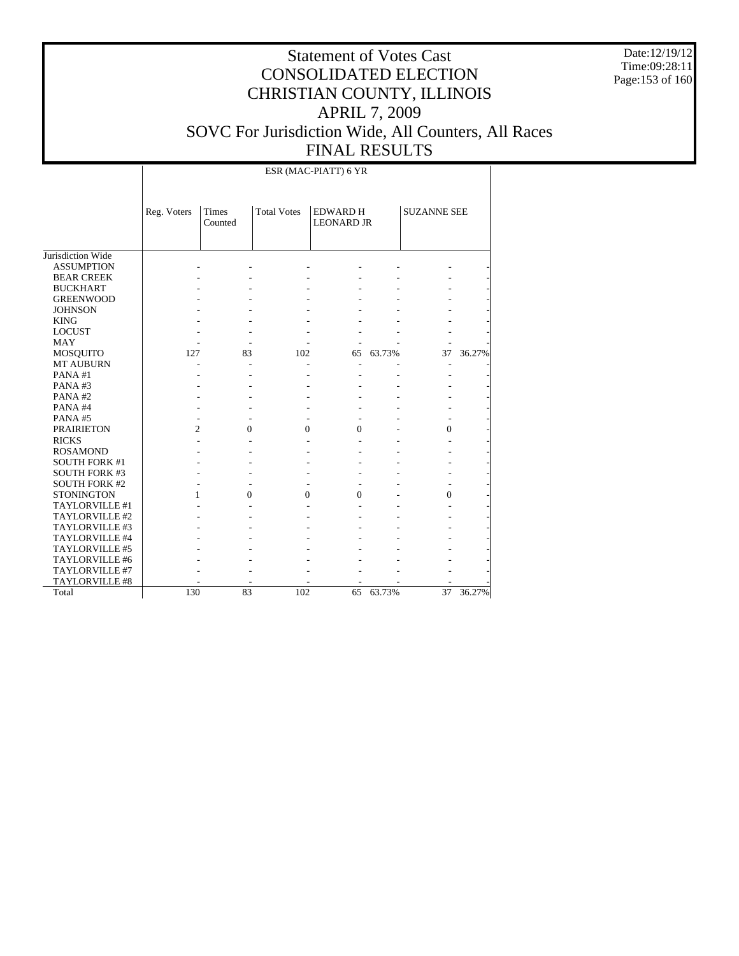Date:12/19/12 Time:09:28:11 Page:153 of 160

# Statement of Votes Cast CONSOLIDATED ELECTION CHRISTIAN COUNTY, ILLINOIS APRIL 7, 2009 SOVC For Jurisdiction Wide, All Counters, All Races FINAL RESULTS

ESR (MAC-PIATT) 6 YR

|                      | Reg. Voters    | Times<br>Counted | <b>Total Votes</b> | <b>EDWARD H</b><br><b>LEONARD JR</b> |        | <b>SUZANNE SEE</b> |        |
|----------------------|----------------|------------------|--------------------|--------------------------------------|--------|--------------------|--------|
| Jurisdiction Wide    |                |                  |                    |                                      |        |                    |        |
| <b>ASSUMPTION</b>    |                |                  |                    |                                      |        |                    |        |
| <b>BEAR CREEK</b>    |                |                  |                    |                                      |        |                    |        |
| <b>BUCKHART</b>      |                |                  |                    |                                      |        |                    |        |
| <b>GREENWOOD</b>     |                |                  |                    |                                      |        |                    |        |
| <b>JOHNSON</b>       |                |                  |                    |                                      |        |                    |        |
| <b>KING</b>          |                |                  |                    |                                      |        |                    |        |
| <b>LOCUST</b>        |                |                  |                    |                                      |        |                    |        |
| <b>MAY</b>           |                |                  |                    |                                      |        |                    |        |
| <b>MOSQUITO</b>      | 127            | 83               | 102                | 65                                   | 63.73% | 37                 | 36.27% |
| <b>MT AUBURN</b>     |                |                  |                    |                                      |        |                    |        |
| PANA#1               |                |                  |                    |                                      |        |                    |        |
| PANA#3               |                |                  |                    |                                      |        |                    |        |
| PANA#2               |                |                  |                    |                                      |        |                    |        |
| PANA#4               |                |                  |                    |                                      |        |                    |        |
| PANA#5               |                |                  |                    |                                      |        |                    |        |
| <b>PRAIRIETON</b>    | $\overline{c}$ | $\theta$         | $\theta$           | $\theta$                             |        | $\Omega$           |        |
| <b>RICKS</b>         |                |                  |                    |                                      |        |                    |        |
| <b>ROSAMOND</b>      |                |                  |                    |                                      |        |                    |        |
| <b>SOUTH FORK #1</b> |                |                  |                    |                                      |        |                    |        |
| <b>SOUTH FORK #3</b> |                |                  |                    |                                      |        |                    |        |
| <b>SOUTH FORK #2</b> |                |                  |                    |                                      |        |                    |        |
| <b>STONINGTON</b>    | 1              | $\overline{0}$   | $\mathbf{0}$       | $\Omega$                             |        | $\Omega$           |        |
| TAYLORVILLE #1       |                |                  |                    |                                      |        |                    |        |
| TAYLORVILLE #2       |                |                  |                    |                                      |        |                    |        |
| TAYLORVILLE #3       |                |                  |                    |                                      |        |                    |        |
| TAYLORVILLE #4       |                |                  |                    |                                      |        |                    |        |
| TAYLORVILLE #5       |                |                  |                    |                                      |        |                    |        |
| TAYLORVILLE #6       |                |                  |                    |                                      |        |                    |        |
| TAYLORVILLE #7       |                |                  |                    |                                      |        |                    |        |
| TAYLORVILLE #8       |                |                  |                    |                                      |        |                    |        |
| Total                | 130            | 83               | 102                | 65                                   | 63.73% | 37                 | 36.27% |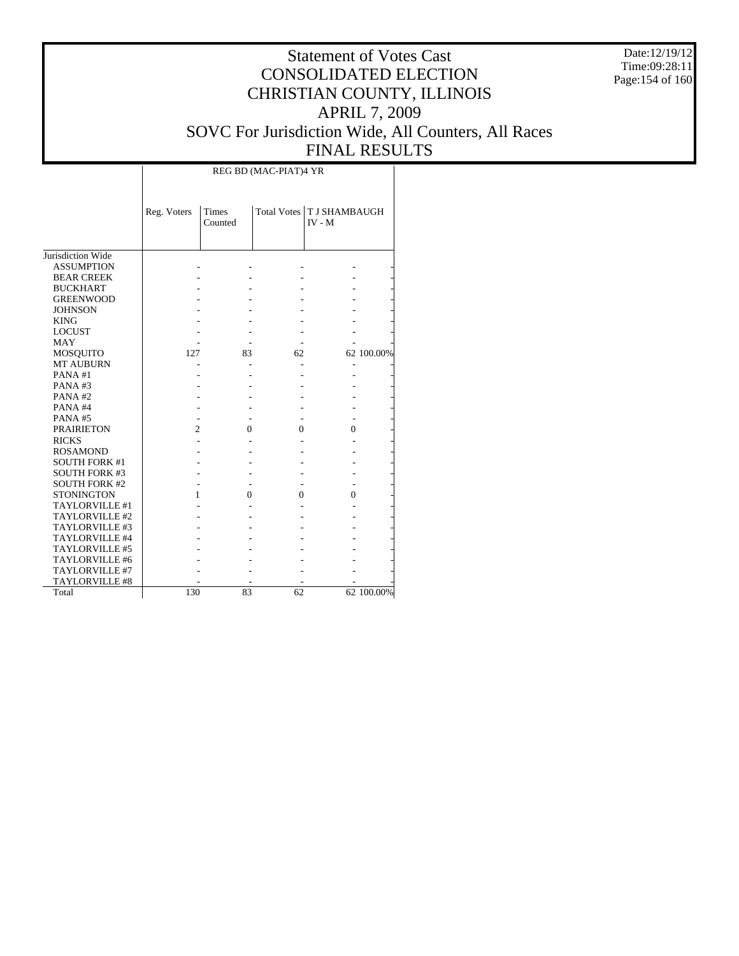Date:12/19/12 Time:09:28:11 Page:154 of 160

# Statement of Votes Cast CONSOLIDATED ELECTION CHRISTIAN COUNTY, ILLINOIS APRIL 7, 2009 SOVC For Jurisdiction Wide, All Counters, All Races FINAL RESULTS

 $\overline{\phantom{a}}$ 

|                       | Reg. Voters    | <b>Times</b><br>Counted |    | Total Votes   T J SHAMBAUGH<br>$IV - M$ |            |
|-----------------------|----------------|-------------------------|----|-----------------------------------------|------------|
| Jurisdiction Wide     |                |                         |    |                                         |            |
| <b>ASSUMPTION</b>     |                |                         |    |                                         |            |
| <b>BEAR CREEK</b>     |                |                         |    |                                         |            |
| <b>BUCKHART</b>       |                |                         |    |                                         |            |
| <b>GREENWOOD</b>      |                |                         |    |                                         |            |
| <b>JOHNSON</b>        |                |                         |    |                                         |            |
| <b>KING</b>           |                |                         |    |                                         |            |
| <b>LOCUST</b>         |                |                         |    |                                         |            |
| MAY                   |                |                         |    |                                         |            |
| MOSQUITO              | 127            | 83                      | 62 |                                         | 62 100.00% |
| <b>MT AUBURN</b>      |                |                         |    |                                         |            |
| PANA#1                |                |                         |    |                                         |            |
| PANA#3                |                |                         |    |                                         |            |
| PANA#2                |                |                         |    |                                         |            |
| PANA#4                |                |                         |    |                                         |            |
| PANA#5                |                |                         |    |                                         |            |
| <b>PRAIRIETON</b>     | $\overline{c}$ | $\Omega$                | 0  | $\Omega$                                |            |
| <b>RICKS</b>          |                |                         |    |                                         |            |
| <b>ROSAMOND</b>       |                |                         |    |                                         |            |
| <b>SOUTH FORK #1</b>  |                |                         |    |                                         |            |
| <b>SOUTH FORK #3</b>  |                |                         |    |                                         |            |
| <b>SOUTH FORK #2</b>  |                |                         |    |                                         |            |
| <b>STONINGTON</b>     | 1              | 0                       | 0  | 0                                       |            |
| <b>TAYLORVILLE #1</b> |                |                         |    |                                         |            |
| TAYLORVILLE #2        |                |                         |    |                                         |            |
| TAYLORVILLE #3        |                |                         |    |                                         |            |
| TAYLORVILLE #4        |                |                         |    |                                         |            |
| TAYLORVILLE #5        |                |                         |    |                                         |            |
| TAYLORVILLE #6        |                |                         |    |                                         |            |
| TAYLORVILLE #7        |                |                         |    |                                         |            |
| TAYLORVILLE #8        |                |                         |    |                                         |            |
| Total                 | 130            | 83                      | 62 |                                         | 62 100.00% |

 $\overline{\phantom{a}}$ 

REG BD (MAC-PIAT)4 YR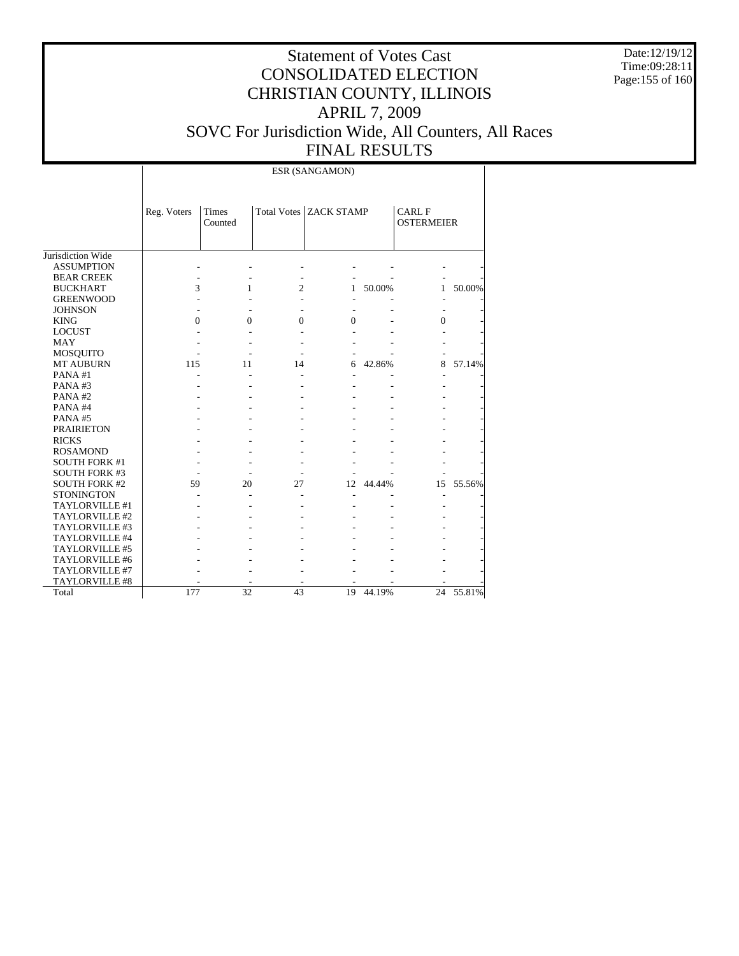Date:12/19/12 Time:09:28:11 Page:155 of 160

# Statement of Votes Cast CONSOLIDATED ELECTION CHRISTIAN COUNTY, ILLINOIS APRIL 7, 2009 SOVC For Jurisdiction Wide, All Counters, All Races FINAL RESULTS

ESR (SANGAMON)

|                      | Reg. Voters | Times<br>Counted |                | <b>Total Votes ZACK STAMP</b> |        | <b>CARL F</b><br><b>OSTERMEIER</b> |        |
|----------------------|-------------|------------------|----------------|-------------------------------|--------|------------------------------------|--------|
| Jurisdiction Wide    |             |                  |                |                               |        |                                    |        |
| <b>ASSUMPTION</b>    |             |                  |                |                               |        |                                    |        |
| <b>BEAR CREEK</b>    |             |                  |                |                               |        |                                    |        |
| <b>BUCKHART</b>      | 3           | 1                | $\overline{c}$ | 1                             | 50.00% | 1                                  | 50.00% |
| <b>GREENWOOD</b>     |             |                  |                |                               |        |                                    |        |
| <b>JOHNSON</b>       |             |                  |                |                               |        |                                    |        |
| <b>KING</b>          | 0           | $\Omega$         | $\theta$       | $\Omega$                      |        | 0                                  |        |
| <b>LOCUST</b>        |             |                  |                |                               |        |                                    |        |
| <b>MAY</b>           |             |                  |                |                               |        |                                    |        |
| <b>MOSQUITO</b>      |             |                  |                |                               |        |                                    |        |
| <b>MT AUBURN</b>     | 115         | 11               | 14             | 6                             | 42.86% | 8                                  | 57.14% |
| PANA#1               |             |                  |                |                               |        |                                    |        |
| PANA#3               |             |                  |                |                               |        |                                    |        |
| PANA#2               |             |                  |                |                               |        |                                    |        |
| PANA#4               |             |                  |                |                               |        |                                    |        |
| PANA#5               |             |                  |                |                               |        |                                    |        |
| <b>PRAIRIETON</b>    |             |                  |                |                               |        |                                    |        |
| <b>RICKS</b>         |             |                  |                |                               |        |                                    |        |
| <b>ROSAMOND</b>      |             |                  |                |                               |        |                                    |        |
| <b>SOUTH FORK #1</b> |             |                  |                |                               |        |                                    |        |
| <b>SOUTH FORK #3</b> |             |                  |                |                               |        |                                    |        |
| <b>SOUTH FORK #2</b> | 59          | 20               | 27             | 12                            | 44.44% | 15                                 | 55.56% |
| <b>STONINGTON</b>    |             |                  |                |                               |        |                                    |        |
| TAYLORVILLE #1       |             |                  |                |                               |        |                                    |        |
| TAYLORVILLE #2       |             |                  |                |                               |        |                                    |        |
| TAYLORVILLE #3       |             |                  |                |                               |        |                                    |        |
| TAYLORVILLE #4       |             |                  |                |                               |        |                                    |        |
| TAYLORVILLE #5       |             |                  |                |                               |        |                                    |        |
| TAYLORVILLE #6       |             |                  |                |                               |        |                                    |        |
| TAYLORVILLE #7       |             |                  |                |                               |        |                                    |        |
| TAYLORVILLE #8       |             |                  |                |                               |        |                                    |        |
| Total                | 177         | 32               | 43             | 19                            | 44.19% | 24                                 | 55.81% |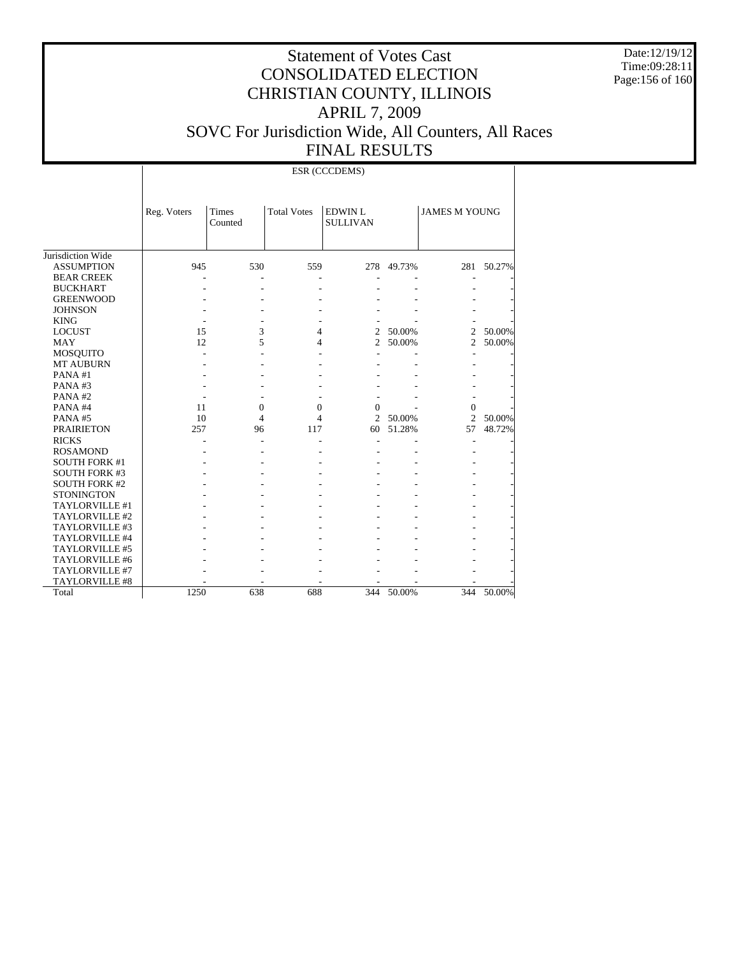Date:12/19/12 Time:09:28:11 Page:156 of 160

# Statement of Votes Cast CONSOLIDATED ELECTION CHRISTIAN COUNTY, ILLINOIS APRIL 7, 2009 SOVC For Jurisdiction Wide, All Counters, All Races FINAL RESULTS

ESR (CCCDEMS)

|                      | Reg. Voters | <b>Times</b><br>Counted | <b>Total Votes</b> | <b>EDWIN L</b><br><b>SULLIVAN</b> |        | <b>JAMES M YOUNG</b> |        |
|----------------------|-------------|-------------------------|--------------------|-----------------------------------|--------|----------------------|--------|
| Jurisdiction Wide    |             |                         |                    |                                   |        |                      |        |
| <b>ASSUMPTION</b>    | 945         | 530                     | 559                | 278                               | 49.73% | 281                  | 50.27% |
| <b>BEAR CREEK</b>    |             |                         |                    |                                   |        |                      |        |
| <b>BUCKHART</b>      |             |                         |                    |                                   |        |                      |        |
| <b>GREENWOOD</b>     |             |                         |                    |                                   |        |                      |        |
| <b>JOHNSON</b>       |             |                         |                    |                                   |        |                      |        |
| <b>KING</b>          |             |                         |                    |                                   |        |                      |        |
| <b>LOCUST</b>        | 15          | 3                       | 4                  | $\overline{2}$                    | 50.00% | 2                    | 50.00% |
| <b>MAY</b>           | 12          | 5                       | 4                  | 2                                 | 50.00% | 2                    | 50.00% |
| <b>MOSQUITO</b>      |             |                         |                    |                                   |        |                      |        |
| <b>MT AUBURN</b>     |             |                         |                    |                                   |        |                      |        |
| PANA#1               |             |                         |                    |                                   |        |                      |        |
| PANA#3               |             |                         |                    |                                   |        |                      |        |
| PANA#2               |             |                         |                    |                                   |        |                      |        |
| PANA#4               | 11          | $\Omega$                | $\Omega$           | $\Omega$                          |        | $\Omega$             |        |
| PANA#5               | 10          | 4                       | 4                  | $\overline{c}$                    | 50.00% | $\mathfrak{D}$       | 50.00% |
| <b>PRAIRIETON</b>    | 257         | 96                      | 117                | 60                                | 51.28% | 57                   | 48.72% |
| <b>RICKS</b>         |             |                         |                    |                                   |        |                      |        |
| <b>ROSAMOND</b>      |             |                         |                    |                                   |        |                      |        |
| <b>SOUTH FORK #1</b> |             |                         |                    |                                   |        |                      |        |
| <b>SOUTH FORK #3</b> |             |                         |                    |                                   |        |                      |        |
| <b>SOUTH FORK #2</b> |             |                         |                    |                                   |        |                      |        |
| <b>STONINGTON</b>    |             |                         |                    |                                   |        |                      |        |
| TAYLORVILLE #1       |             |                         |                    |                                   |        |                      |        |
| TAYLORVILLE #2       |             |                         |                    |                                   |        |                      |        |
| TAYLORVILLE #3       |             |                         |                    |                                   |        |                      |        |
| TAYLORVILLE #4       |             |                         |                    |                                   |        |                      |        |
| TAYLORVILLE #5       |             |                         |                    |                                   |        |                      |        |
| TAYLORVILLE #6       |             |                         |                    |                                   |        |                      |        |
| TAYLORVILLE #7       |             |                         |                    |                                   |        |                      |        |
| TAYLORVILLE #8       |             |                         |                    |                                   |        |                      |        |
| Total                | 1250        | 638                     | 688                | 344                               | 50.00% | 344                  | 50.00% |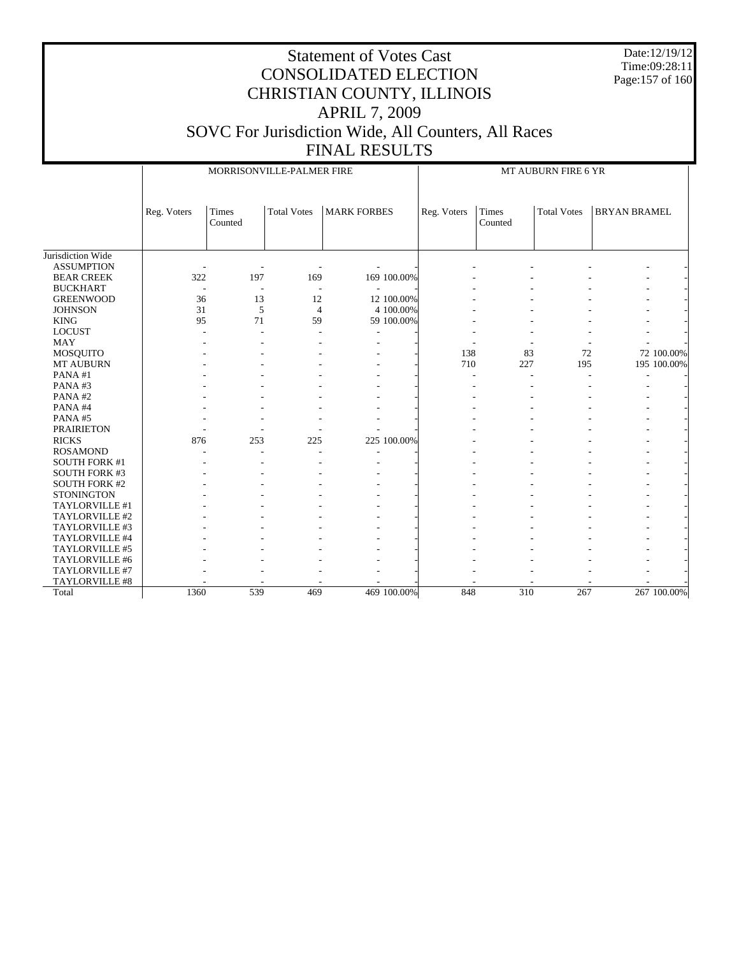Date:12/19/12 Time:09:28:11 Page:157 of 160

|                      |             | MORRISONVILLE-PALMER FIRE |                    |                    |             |                  | MT AUBURN FIRE 6 YR |                     |             |  |  |  |
|----------------------|-------------|---------------------------|--------------------|--------------------|-------------|------------------|---------------------|---------------------|-------------|--|--|--|
|                      | Reg. Voters | Times<br>Counted          | <b>Total Votes</b> | <b>MARK FORBES</b> | Reg. Voters | Times<br>Counted | <b>Total Votes</b>  | <b>BRYAN BRAMEL</b> |             |  |  |  |
| Jurisdiction Wide    |             |                           |                    |                    |             |                  |                     |                     |             |  |  |  |
| <b>ASSUMPTION</b>    |             | ÷,                        |                    |                    |             |                  |                     |                     |             |  |  |  |
| <b>BEAR CREEK</b>    | 322         | 197                       | 169                | 169 100.00%        |             |                  |                     |                     |             |  |  |  |
| <b>BUCKHART</b>      |             | $\overline{\phantom{a}}$  | ٠                  |                    |             |                  |                     |                     |             |  |  |  |
| <b>GREENWOOD</b>     | 36          | 13                        | 12                 | 12 100.00%         |             |                  |                     |                     |             |  |  |  |
| <b>JOHNSON</b>       | 31          | 5                         | $\overline{4}$     | 4 100.00%          |             |                  |                     |                     |             |  |  |  |
| <b>KING</b>          | 95          | 71                        | 59                 | 59 100.00%         |             |                  |                     |                     |             |  |  |  |
| <b>LOCUST</b>        |             | L,                        |                    |                    |             |                  |                     |                     |             |  |  |  |
| <b>MAY</b>           |             |                           |                    |                    |             |                  |                     |                     |             |  |  |  |
| <b>MOSQUITO</b>      |             |                           |                    |                    | 138         | 83               | 72                  |                     | 72 100.00%  |  |  |  |
| MT AUBURN            |             |                           |                    |                    | 710         | 227              | 195                 |                     | 195 100.00% |  |  |  |
| PANA#1               |             |                           |                    |                    |             | ٠                |                     |                     |             |  |  |  |
| PANA#3               |             |                           |                    |                    |             |                  |                     |                     |             |  |  |  |
| PANA#2               |             |                           |                    |                    |             |                  |                     |                     |             |  |  |  |
| PANA#4               |             |                           |                    |                    |             |                  |                     |                     |             |  |  |  |
| PANA#5               |             |                           |                    |                    |             |                  |                     |                     |             |  |  |  |
| <b>PRAIRIETON</b>    |             |                           |                    |                    |             |                  |                     |                     |             |  |  |  |
| <b>RICKS</b>         | 876         | 253                       | 225                | 225 100.00%        |             |                  |                     |                     |             |  |  |  |
| <b>ROSAMOND</b>      |             |                           |                    | ÷                  |             |                  |                     |                     |             |  |  |  |
| <b>SOUTH FORK #1</b> |             |                           |                    |                    |             |                  |                     | ٠                   |             |  |  |  |
| <b>SOUTH FORK #3</b> |             |                           |                    |                    |             |                  |                     |                     |             |  |  |  |
| <b>SOUTH FORK #2</b> |             |                           |                    |                    |             |                  |                     |                     |             |  |  |  |
| <b>STONINGTON</b>    |             |                           |                    |                    |             |                  |                     |                     |             |  |  |  |
| TAYLORVILLE #1       |             |                           |                    |                    |             |                  |                     |                     |             |  |  |  |
| TAYLORVILLE #2       |             |                           |                    |                    |             |                  |                     |                     |             |  |  |  |
| TAYLORVILLE #3       |             |                           |                    |                    |             |                  |                     |                     |             |  |  |  |
| TAYLORVILLE #4       |             |                           |                    |                    |             |                  |                     |                     |             |  |  |  |
| TAYLORVILLE #5       |             |                           |                    |                    |             |                  |                     |                     |             |  |  |  |
| TAYLORVILLE #6       |             |                           |                    |                    |             |                  |                     |                     |             |  |  |  |
| TAYLORVILLE #7       |             |                           |                    |                    |             |                  |                     |                     |             |  |  |  |
| TAYLORVILLE #8       |             |                           |                    |                    |             |                  |                     |                     |             |  |  |  |
| Total                | 1360        | 539                       | 469                | 469 100.00%        | 848         | 310              | 267                 |                     | 267 100.00% |  |  |  |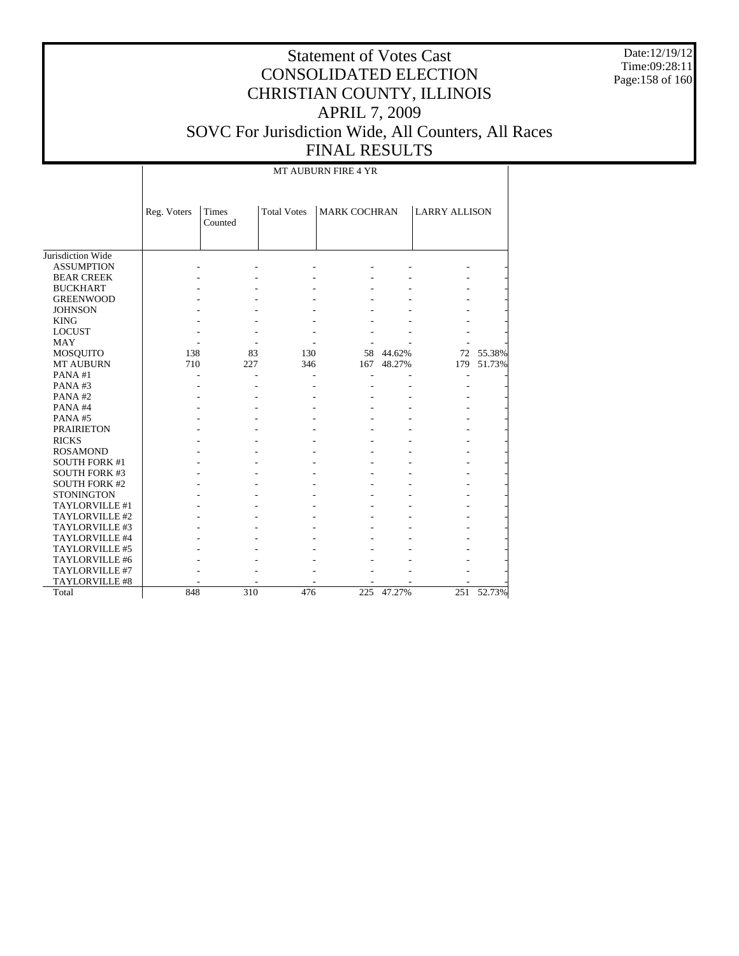Date:12/19/12 Time:09:28:11 Page:158 of 160

# Statement of Votes Cast CONSOLIDATED ELECTION CHRISTIAN COUNTY, ILLINOIS APRIL 7, 2009 SOVC For Jurisdiction Wide, All Counters, All Races FINAL RESULTS

MT AUBURN FIRE 4 YR

|                      | Reg. Voters | Times<br>Counted | <b>Total Votes</b> | <b>MARK COCHRAN</b> |            | <b>LARRY ALLISON</b> |           |
|----------------------|-------------|------------------|--------------------|---------------------|------------|----------------------|-----------|
| Jurisdiction Wide    |             |                  |                    |                     |            |                      |           |
| <b>ASSUMPTION</b>    |             |                  |                    |                     |            |                      |           |
| <b>BEAR CREEK</b>    |             |                  |                    |                     |            |                      |           |
| <b>BUCKHART</b>      |             |                  |                    |                     |            |                      |           |
| <b>GREENWOOD</b>     |             |                  |                    |                     |            |                      |           |
| <b>JOHNSON</b>       |             |                  |                    |                     |            |                      |           |
| <b>KING</b>          |             |                  |                    |                     |            |                      |           |
| <b>LOCUST</b>        |             |                  |                    |                     |            |                      |           |
| <b>MAY</b>           |             |                  |                    |                     |            |                      |           |
| MOSQUITO             | 138         | 83               | 130                | 58                  | 44.62%     |                      | 72 55.38% |
| <b>MT AUBURN</b>     | 710         | 227              | 346                | 167                 | 48.27%     | 179                  | 51.73%    |
| PANA#1               |             |                  |                    |                     |            |                      |           |
| PANA#3               |             |                  |                    |                     |            |                      |           |
| PANA#2               |             |                  |                    |                     |            |                      |           |
| PANA#4               |             |                  |                    |                     |            |                      |           |
| PANA#5               |             |                  |                    |                     |            |                      |           |
| <b>PRAIRIETON</b>    |             |                  |                    |                     |            |                      |           |
| <b>RICKS</b>         |             |                  |                    |                     |            |                      |           |
| <b>ROSAMOND</b>      |             |                  |                    |                     |            |                      |           |
| <b>SOUTH FORK #1</b> |             |                  |                    |                     |            |                      |           |
| <b>SOUTH FORK #3</b> |             |                  |                    |                     |            |                      |           |
| <b>SOUTH FORK #2</b> |             |                  |                    |                     |            |                      |           |
| <b>STONINGTON</b>    |             |                  |                    |                     |            |                      |           |
| TAYLORVILLE #1       |             |                  |                    |                     |            |                      |           |
| TAYLORVILLE #2       |             |                  |                    |                     |            |                      |           |
| TAYLORVILLE #3       |             |                  |                    |                     |            |                      |           |
| TAYLORVILLE #4       |             |                  |                    |                     |            |                      |           |
| TAYLORVILLE #5       |             |                  |                    |                     |            |                      |           |
| TAYLORVILLE #6       |             |                  |                    |                     |            |                      |           |
| TAYLORVILLE #7       |             |                  |                    |                     |            |                      |           |
| TAYLORVILLE #8       |             |                  |                    |                     |            |                      |           |
| Total                | 848         | 310              | 476                |                     | 225 47.27% | 251                  | 52.73%    |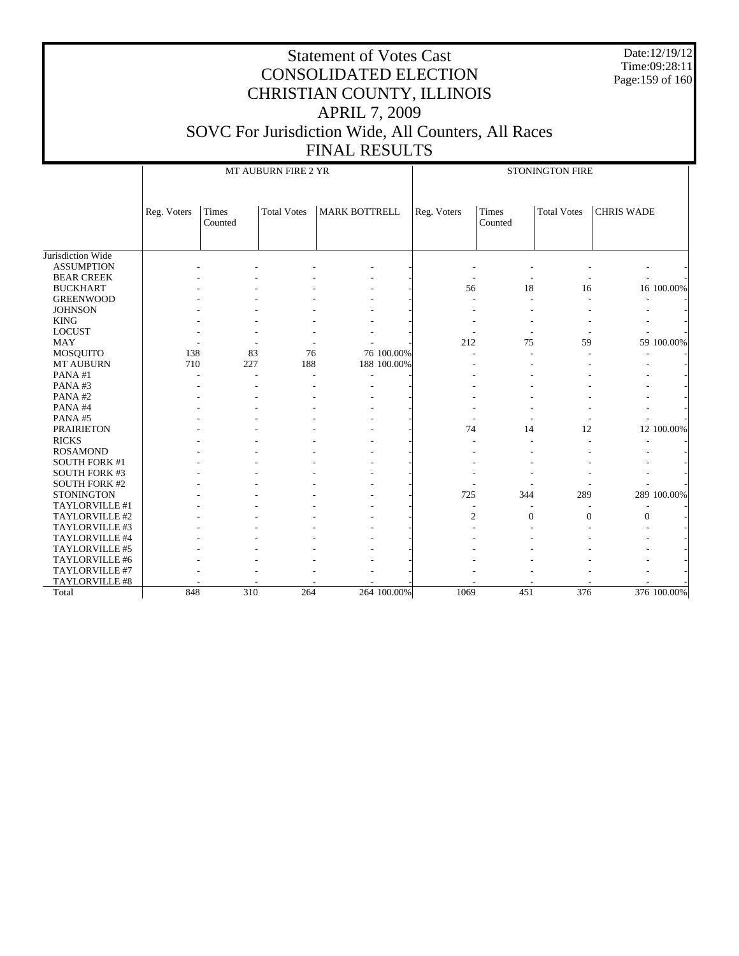Date:12/19/12 Time:09:28:11 Page:159 of 160

|                      |             |                  | MT AUBURN FIRE 2 YR |                      | STONINGTON FIRE |                  |                    |                   |  |  |
|----------------------|-------------|------------------|---------------------|----------------------|-----------------|------------------|--------------------|-------------------|--|--|
|                      | Reg. Voters | Times<br>Counted | <b>Total Votes</b>  | <b>MARK BOTTRELL</b> | Reg. Voters     | Times<br>Counted | <b>Total Votes</b> | <b>CHRIS WADE</b> |  |  |
| Jurisdiction Wide    |             |                  |                     |                      |                 |                  |                    |                   |  |  |
| <b>ASSUMPTION</b>    |             |                  |                     |                      |                 |                  |                    |                   |  |  |
| <b>BEAR CREEK</b>    |             |                  |                     |                      |                 |                  |                    |                   |  |  |
| <b>BUCKHART</b>      |             |                  |                     |                      | 56              | 18               | 16                 | 16 100.00%        |  |  |
| <b>GREENWOOD</b>     |             |                  |                     |                      |                 |                  |                    |                   |  |  |
| <b>JOHNSON</b>       |             |                  |                     |                      |                 |                  |                    |                   |  |  |
| <b>KING</b>          |             |                  |                     |                      |                 |                  |                    |                   |  |  |
| <b>LOCUST</b>        |             |                  |                     |                      |                 |                  |                    |                   |  |  |
| <b>MAY</b>           |             |                  |                     |                      | 212             | 75               | 59                 | 59 100.00%        |  |  |
| MOSQUITO             | 138         | 83               | 76                  | 76 100.00%           |                 |                  |                    |                   |  |  |
| MT AUBURN            | 710         | 227              | 188                 | 188 100.00%          |                 |                  |                    |                   |  |  |
| PANA#1               |             |                  |                     |                      |                 |                  |                    |                   |  |  |
| PANA#3               |             |                  |                     |                      |                 |                  |                    |                   |  |  |
| PANA#2               |             |                  |                     |                      |                 |                  |                    |                   |  |  |
| PANA#4               |             |                  |                     |                      |                 |                  |                    |                   |  |  |
| PANA#5               |             |                  |                     |                      |                 |                  |                    |                   |  |  |
| <b>PRAIRIETON</b>    |             |                  |                     |                      | 74              | 14               | 12                 | 12 100.00%        |  |  |
| <b>RICKS</b>         |             |                  |                     |                      |                 |                  |                    |                   |  |  |
| <b>ROSAMOND</b>      |             |                  |                     |                      |                 |                  |                    |                   |  |  |
| <b>SOUTH FORK #1</b> |             |                  |                     |                      |                 |                  |                    |                   |  |  |
| <b>SOUTH FORK #3</b> |             |                  |                     |                      |                 |                  |                    |                   |  |  |
| <b>SOUTH FORK #2</b> |             |                  |                     |                      |                 |                  |                    |                   |  |  |
| <b>STONINGTON</b>    |             |                  |                     |                      | 725             | 344              | 289                | 289 100.00%       |  |  |
| TAYLORVILLE #1       |             |                  |                     |                      |                 |                  |                    |                   |  |  |
| TAYLORVILLE #2       |             |                  |                     |                      | $\overline{2}$  | $\mathbf{0}$     | $\mathbf{0}$       | $\boldsymbol{0}$  |  |  |
| TAYLORVILLE #3       |             |                  |                     |                      |                 |                  |                    |                   |  |  |
| TAYLORVILLE #4       |             |                  |                     |                      |                 |                  |                    |                   |  |  |
| TAYLORVILLE #5       |             |                  |                     |                      |                 |                  |                    |                   |  |  |
| TAYLORVILLE #6       |             |                  |                     |                      |                 |                  |                    |                   |  |  |
| TAYLORVILLE #7       |             |                  |                     |                      |                 |                  |                    |                   |  |  |
| TAYLORVILLE #8       |             |                  |                     |                      |                 |                  |                    |                   |  |  |
| Total                | 848         | 310              | 264                 | 264 100.00%          | 1069            | 451              | 376                | 376 100.00%       |  |  |